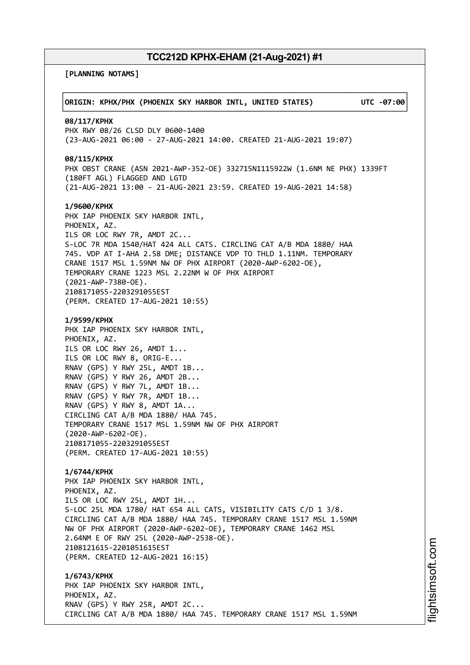**[PLANNING NOTAMS]**

| ORIGIN: KPHX/PHX (PHOENIX SKY HARBOR INTL, UNITED STATES)                                                                                                                                                                                                                                                                                                                                                                                                                             | UTC -07:00 |
|---------------------------------------------------------------------------------------------------------------------------------------------------------------------------------------------------------------------------------------------------------------------------------------------------------------------------------------------------------------------------------------------------------------------------------------------------------------------------------------|------------|
| 08/117/KPHX<br>PHX RWY 08/26 CLSD DLY 0600-1400<br>(23-AUG-2021 06:00 - 27-AUG-2021 14:00. CREATED 21-AUG-2021 19:07)                                                                                                                                                                                                                                                                                                                                                                 |            |
| 08/115/KPHX<br>PHX OBST CRANE (ASN 2021-AWP-352-OE) 332715N1115922W (1.6NM NE PHX) 1339FT<br>(180FT AGL) FLAGGED AND LGTD<br>(21-AUG-2021 13:00 - 21-AUG-2021 23:59. CREATED 19-AUG-2021 14:58)                                                                                                                                                                                                                                                                                       |            |
| 1/9600/KPHX<br>PHX IAP PHOENIX SKY HARBOR INTL,<br>PHOENIX, AZ.<br>ILS OR LOC RWY 7R, AMDT 2C<br>S-LOC 7R MDA 1540/HAT 424 ALL CATS. CIRCLING CAT A/B MDA 1880/ HAA<br>745. VDP AT I-AHA 2.58 DME; DISTANCE VDP TO THLD 1.11NM. TEMPORARY<br>CRANE 1517 MSL 1.59NM NW OF PHX AIRPORT (2020-AWP-6202-OE),<br>TEMPORARY CRANE 1223 MSL 2.22NM W OF PHX AIRPORT<br>$(2021 - AWP - 7380 - OE)$ .<br>2108171055-2203291055EST<br>(PERM. CREATED 17-AUG-2021 10:55)                         |            |
| 1/9599/KPHX<br>PHX IAP PHOENIX SKY HARBOR INTL,<br>PHOENIX, AZ.<br>ILS OR LOC RWY 26, AMDT 1<br>ILS OR LOC RWY 8, ORIG-E<br>RNAV (GPS) Y RWY 25L, AMDT 1B<br>RNAV (GPS) Y RWY 26, AMDT 2B<br>RNAV (GPS) Y RWY 7L, AMDT 1B<br>RNAV (GPS) Y RWY 7R, AMDT 1B<br>RNAV (GPS) Y RWY 8, AMDT 1A<br>CIRCLING CAT A/B MDA 1880/ HAA 745.<br>TEMPORARY CRANE 1517 MSL 1.59NM NW OF PHX AIRPORT<br>$(2020 - AWP - 6202 - OE)$ .<br>2108171055-2203291055EST<br>(PERM. CREATED 17-AUG-2021 10:55) |            |
| 1/6744/KPHX<br>PHX IAP PHOENIX SKY HARBOR INTL,<br>PHOENIX, AZ.<br>ILS OR LOC RWY 25L, AMDT 1H<br>S-LOC 25L MDA 1780/ HAT 654 ALL CATS, VISIBILITY CATS C/D 1 3/8.<br>CIRCLING CAT A/B MDA 1880/ HAA 745. TEMPORARY CRANE 1517 MSL 1.59NM<br>NW OF PHX AIRPORT (2020-AWP-6202-OE), TEMPORARY CRANE 1462 MSL<br>2.64NM E OF RWY 25L (2020-AWP-2538-OE).<br>2108121615-2201051615EST<br>(PERM. CREATED 12-AUG-2021 16:15)                                                               |            |
| 1/6743/KPHX<br>PHX IAP PHOENIX SKY HARBOR INTL,<br>PHOENIX, AZ.<br>RNAV (GPS) Y RWY 25R, AMDT 2C<br>CIRCLING CAT A/B MDA 1880/ HAA 745. TEMPORARY CRANE 1517 MSL 1.59NM                                                                                                                                                                                                                                                                                                               |            |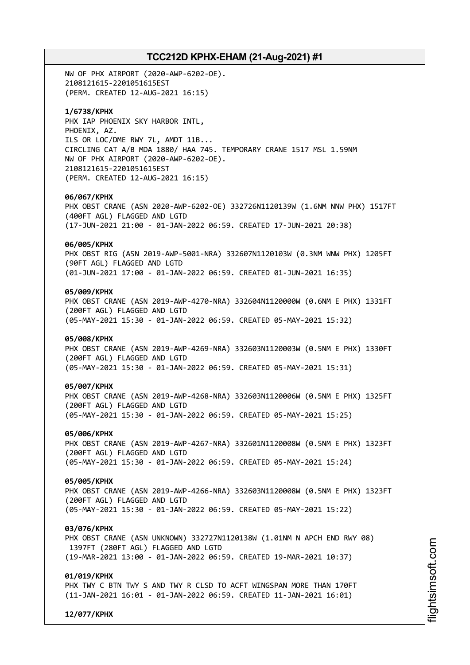NW OF PHX AIRPORT (2020-AWP-6202-OE). 2108121615-2201051615EST (PERM. CREATED 12-AUG-2021 16:15)

### **1/6738/KPHX**

PHX IAP PHOENIX SKY HARBOR INTL, PHOENIX, AZ. ILS OR LOC/DME RWY 7L, AMDT 11B... CIRCLING CAT A/B MDA 1880/ HAA 745. TEMPORARY CRANE 1517 MSL 1.59NM NW OF PHX AIRPORT (2020-AWP-6202-OE). 2108121615-2201051615EST (PERM. CREATED 12-AUG-2021 16:15)

### **06/067/KPHX**

PHX OBST CRANE (ASN 2020-AWP-6202-OE) 332726N1120139W (1.6NM NNW PHX) 1517FT (400FT AGL) FLAGGED AND LGTD (17-JUN-2021 21:00 - 01-JAN-2022 06:59. CREATED 17-JUN-2021 20:38)

### **06/005/KPHX**

PHX OBST RIG (ASN 2019-AWP-5001-NRA) 332607N1120103W (0.3NM WNW PHX) 1205FT (90FT AGL) FLAGGED AND LGTD (01-JUN-2021 17:00 - 01-JAN-2022 06:59. CREATED 01-JUN-2021 16:35)

### **05/009/KPHX**

PHX OBST CRANE (ASN 2019-AWP-4270-NRA) 332604N1120000W (0.6NM E PHX) 1331FT (200FT AGL) FLAGGED AND LGTD (05-MAY-2021 15:30 - 01-JAN-2022 06:59. CREATED 05-MAY-2021 15:32)

### **05/008/KPHX**

PHX OBST CRANE (ASN 2019-AWP-4269-NRA) 332603N1120003W (0.5NM E PHX) 1330FT (200FT AGL) FLAGGED AND LGTD (05-MAY-2021 15:30 - 01-JAN-2022 06:59. CREATED 05-MAY-2021 15:31)

#### **05/007/KPHX**

PHX OBST CRANE (ASN 2019-AWP-4268-NRA) 332603N1120006W (0.5NM E PHX) 1325FT (200FT AGL) FLAGGED AND LGTD (05-MAY-2021 15:30 - 01-JAN-2022 06:59. CREATED 05-MAY-2021 15:25)

#### **05/006/KPHX**

PHX OBST CRANE (ASN 2019-AWP-4267-NRA) 332601N1120008W (0.5NM E PHX) 1323FT (200FT AGL) FLAGGED AND LGTD (05-MAY-2021 15:30 - 01-JAN-2022 06:59. CREATED 05-MAY-2021 15:24)

### **05/005/KPHX**

PHX OBST CRANE (ASN 2019-AWP-4266-NRA) 332603N1120008W (0.5NM E PHX) 1323FT (200FT AGL) FLAGGED AND LGTD (05-MAY-2021 15:30 - 01-JAN-2022 06:59. CREATED 05-MAY-2021 15:22)

#### **03/076/KPHX**

PHX OBST CRANE (ASN UNKNOWN) 332727N1120138W (1.01NM N APCH END RWY 08) 1397FT (280FT AGL) FLAGGED AND LGTD (19-MAR-2021 13:00 - 01-JAN-2022 06:59. CREATED 19-MAR-2021 10:37)

### **01/019/KPHX**

PHX TWY C BTN TWY S AND TWY R CLSD TO ACFT WINGSPAN MORE THAN 170FT (11-JAN-2021 16:01 - 01-JAN-2022 06:59. CREATED 11-JAN-2021 16:01)

**12/077/KPHX**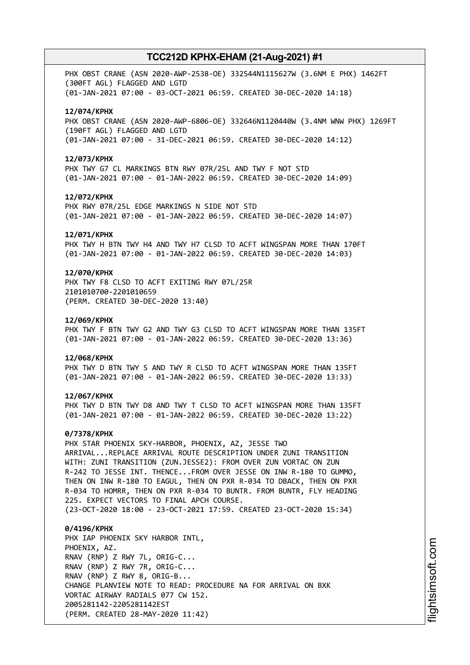PHX OBST CRANE (ASN 2020-AWP-2538-OE) 332544N1115627W (3.6NM E PHX) 1462FT (300FT AGL) FLAGGED AND LGTD (01-JAN-2021 07:00 - 03-OCT-2021 06:59. CREATED 30-DEC-2020 14:18)

### **12/074/KPHX**

PHX OBST CRANE (ASN 2020-AWP-6806-OE) 332646N1120440W (3.4NM WNW PHX) 1269FT (190FT AGL) FLAGGED AND LGTD (01-JAN-2021 07:00 - 31-DEC-2021 06:59. CREATED 30-DEC-2020 14:12)

#### **12/073/KPHX**

PHX TWY G7 CL MARKINGS BTN RWY 07R/25L AND TWY F NOT STD (01-JAN-2021 07:00 - 01-JAN-2022 06:59. CREATED 30-DEC-2020 14:09)

### **12/072/KPHX**

PHX RWY 07R/25L EDGE MARKINGS N SIDE NOT STD (01-JAN-2021 07:00 - 01-JAN-2022 06:59. CREATED 30-DEC-2020 14:07)

#### **12/071/KPHX**

PHX TWY H BTN TWY H4 AND TWY H7 CLSD TO ACFT WINGSPAN MORE THAN 170FT (01-JAN-2021 07:00 - 01-JAN-2022 06:59. CREATED 30-DEC-2020 14:03)

### **12/070/KPHX**

PHX TWY F8 CLSD TO ACFT EXITING RWY 07L/25R 2101010700-2201010659 (PERM. CREATED 30-DEC-2020 13:40)

#### **12/069/KPHX**

PHX TWY F BTN TWY G2 AND TWY G3 CLSD TO ACFT WINGSPAN MORE THAN 135FT (01-JAN-2021 07:00 - 01-JAN-2022 06:59. CREATED 30-DEC-2020 13:36)

#### **12/068/KPHX**

PHX TWY D BTN TWY S AND TWY R CLSD TO ACFT WINGSPAN MORE THAN 135FT (01-JAN-2021 07:00 - 01-JAN-2022 06:59. CREATED 30-DEC-2020 13:33)

#### **12/067/KPHX**

PHX TWY D BTN TWY D8 AND TWY T CLSD TO ACFT WINGSPAN MORE THAN 135FT (01-JAN-2021 07:00 - 01-JAN-2022 06:59. CREATED 30-DEC-2020 13:22)

#### **0/7378/KPHX**

PHX STAR PHOENIX SKY-HARBOR, PHOENIX, AZ, JESSE TWO ARRIVAL...REPLACE ARRIVAL ROUTE DESCRIPTION UNDER ZUNI TRANSITION WITH: ZUNI TRANSITION (ZUN.JESSE2): FROM OVER ZUN VORTAC ON ZUN R-242 TO JESSE INT. THENCE...FROM OVER JESSE ON INW R-180 TO GUMMO, THEN ON INW R-180 TO EAGUL, THEN ON PXR R-034 TO DBACK, THEN ON PXR R-034 TO HOMRR, THEN ON PXR R-034 TO BUNTR. FROM BUNTR, FLY HEADING 225. EXPECT VECTORS TO FINAL APCH COURSE.

(23-OCT-2020 18:00 - 23-OCT-2021 17:59. CREATED 23-OCT-2020 15:34)

### **0/4196/KPHX** PHX IAP PHOENIX SKY HARBOR INTL, PHOENIX, AZ. RNAV (RNP) Z RWY 7L, ORIG-C... RNAV (RNP) Z RWY 7R, ORIG-C... RNAV (RNP) Z RWY 8, ORIG-B... CHANGE PLANVIEW NOTE TO READ: PROCEDURE NA FOR ARRIVAL ON BXK VORTAC AIRWAY RADIALS 077 CW 152. 2005281142-2205281142EST (PERM. CREATED 28-MAY-2020 11:42)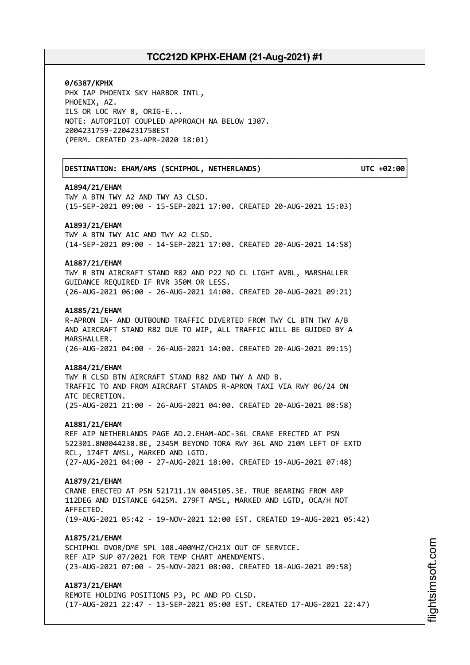┌──────────────────────────────────────────────────────────────────────────────┐

└──────────────────────────────────────────────────────────────────────────────┘

**0/6387/KPHX** PHX IAP PHOENIX SKY HARBOR INTL, PHOENIX, AZ. ILS OR LOC RWY 8, ORIG-E... NOTE: AUTOPILOT COUPLED APPROACH NA BELOW 1307. 2004231759-2204231758EST (PERM. CREATED 23-APR-2020 18:01)

│**DESTINATION: EHAM/AMS (SCHIPHOL, NETHERLANDS) UTC +02:00**│

### **A1894/21/EHAM**

TWY A BTN TWY A2 AND TWY A3 CLSD. (15-SEP-2021 09:00 - 15-SEP-2021 17:00. CREATED 20-AUG-2021 15:03)

#### **A1893/21/EHAM**

TWY A BTN TWY A1C AND TWY A2 CLSD. (14-SEP-2021 09:00 - 14-SEP-2021 17:00. CREATED 20-AUG-2021 14:58)

### **A1887/21/EHAM**

TWY R BTN AIRCRAFT STAND R82 AND P22 NO CL LIGHT AVBL, MARSHALLER GUIDANCE REQUIRED IF RVR 350M OR LESS. (26-AUG-2021 06:00 - 26-AUG-2021 14:00. CREATED 20-AUG-2021 09:21)

### **A1885/21/EHAM**

R-APRON IN- AND OUTBOUND TRAFFIC DIVERTED FROM TWY CL BTN TWY A/B AND AIRCRAFT STAND R82 DUE TO WIP, ALL TRAFFIC WILL BE GUIDED BY A MARSHALLER. (26-AUG-2021 04:00 - 26-AUG-2021 14:00. CREATED 20-AUG-2021 09:15)

#### **A1884/21/EHAM**

TWY R CLSD BTN AIRCRAFT STAND R82 AND TWY A AND B. TRAFFIC TO AND FROM AIRCRAFT STANDS R-APRON TAXI VIA RWY 06/24 ON ATC DECRETION. (25-AUG-2021 21:00 - 26-AUG-2021 04:00. CREATED 20-AUG-2021 08:58)

#### **A1881/21/EHAM**

REF AIP NETHERLANDS PAGE AD.2.EHAM-AOC-36L CRANE ERECTED AT PSN 522301.8N0044238.8E, 2345M BEYOND TORA RWY 36L AND 210M LEFT OF EXTD RCL, 174FT AMSL, MARKED AND LGTD. (27-AUG-2021 04:00 - 27-AUG-2021 18:00. CREATED 19-AUG-2021 07:48)

#### **A1879/21/EHAM**

CRANE ERECTED AT PSN 521711.1N 0045105.3E. TRUE BEARING FROM ARP 112DEG AND DISTANCE 6425M. 279FT AMSL, MARKED AND LGTD, OCA/H NOT AFFECTED. (19-AUG-2021 05:42 - 19-NOV-2021 12:00 EST. CREATED 19-AUG-2021 05:42)

### **A1875/21/EHAM**

SCHIPHOL DVOR/DME SPL 108.400MHZ/CH21X OUT OF SERVICE. REF AIP SUP 07/2021 FOR TEMP CHART AMENDMENTS. (23-AUG-2021 07:00 - 25-NOV-2021 08:00. CREATED 18-AUG-2021 09:58)

### **A1873/21/EHAM**

REMOTE HOLDING POSITIONS P3, PC AND PD CLSD. (17-AUG-2021 22:47 - 13-SEP-2021 05:00 EST. CREATED 17-AUG-2021 22:47)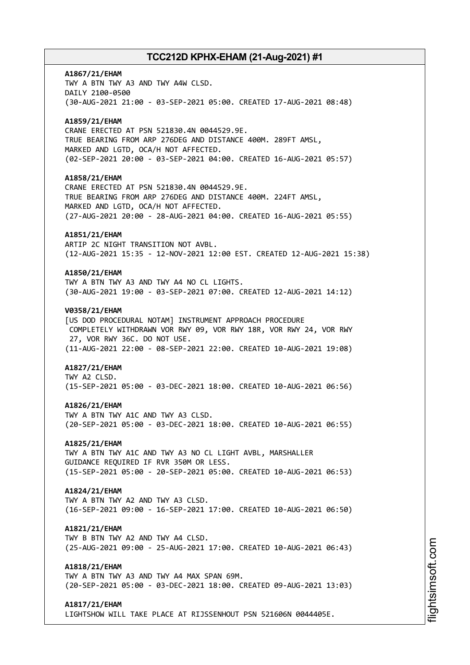# **A1867/21/EHAM** TWY A BTN TWY A3 AND TWY A4W CLSD. DAILY 2100-0500 (30-AUG-2021 21:00 - 03-SEP-2021 05:00. CREATED 17-AUG-2021 08:48) **A1859/21/EHAM** CRANE ERECTED AT PSN 521830.4N 0044529.9E. TRUE BEARING FROM ARP 276DEG AND DISTANCE 400M. 289FT AMSL, MARKED AND LGTD, OCA/H NOT AFFECTED. (02-SEP-2021 20:00 - 03-SEP-2021 04:00. CREATED 16-AUG-2021 05:57) **A1858/21/EHAM** CRANE ERECTED AT PSN 521830.4N 0044529.9E. TRUE BEARING FROM ARP 276DEG AND DISTANCE 400M. 224FT AMSL, MARKED AND LGTD, OCA/H NOT AFFECTED. (27-AUG-2021 20:00 - 28-AUG-2021 04:00. CREATED 16-AUG-2021 05:55) **A1851/21/EHAM** ARTIP 2C NIGHT TRANSITION NOT AVBL. (12-AUG-2021 15:35 - 12-NOV-2021 12:00 EST. CREATED 12-AUG-2021 15:38) **A1850/21/EHAM** TWY A BTN TWY A3 AND TWY A4 NO CL LIGHTS. (30-AUG-2021 19:00 - 03-SEP-2021 07:00. CREATED 12-AUG-2021 14:12) **V0358/21/EHAM** [US DOD PROCEDURAL NOTAM] INSTRUMENT APPROACH PROCEDURE COMPLETELY WITHDRAWN VOR RWY 09, VOR RWY 18R, VOR RWY 24, VOR RWY 27, VOR RWY 36C. DO NOT USE. (11-AUG-2021 22:00 - 08-SEP-2021 22:00. CREATED 10-AUG-2021 19:08) **A1827/21/EHAM** TWY A2 CLSD. (15-SEP-2021 05:00 - 03-DEC-2021 18:00. CREATED 10-AUG-2021 06:56) **A1826/21/EHAM** TWY A BTN TWY A1C AND TWY A3 CLSD. (20-SEP-2021 05:00 - 03-DEC-2021 18:00. CREATED 10-AUG-2021 06:55) **A1825/21/EHAM** TWY A BTN TWY A1C AND TWY A3 NO CL LIGHT AVBL, MARSHALLER GUIDANCE REQUIRED IF RVR 350M OR LESS. (15-SEP-2021 05:00 - 20-SEP-2021 05:00. CREATED 10-AUG-2021 06:53) **A1824/21/EHAM** TWY A BTN TWY A2 AND TWY A3 CLSD. (16-SEP-2021 09:00 - 16-SEP-2021 17:00. CREATED 10-AUG-2021 06:50) **A1821/21/EHAM** TWY B BTN TWY A2 AND TWY A4 CLSD. (25-AUG-2021 09:00 - 25-AUG-2021 17:00. CREATED 10-AUG-2021 06:43) **A1818/21/EHAM** TWY A BTN TWY A3 AND TWY A4 MAX SPAN 69M. (20-SEP-2021 05:00 - 03-DEC-2021 18:00. CREATED 09-AUG-2021 13:03) **A1817/21/EHAM**

LIGHTSHOW WILL TAKE PLACE AT RIJSSENHOUT PSN 521606N 0044405E.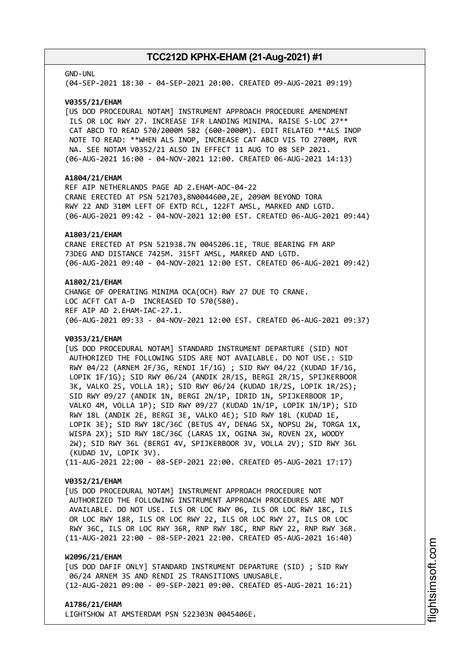#### GND-UNL

(04-SEP-2021 18:30 - 04-SEP-2021 20:00. CREATED 09-AUG-2021 09:19)

### **V0355/21/EHAM**

[US DOD PROCEDURAL NOTAM] INSTRUMENT APPROACH PROCEDURE AMENDMENT ILS OR LOC RWY 27. INCREASE IFR LANDING MINIMA. RAISE S-LOC 27\*\* CAT ABCD TO READ 570/2000M 582 (600-2000M). EDIT RELATED \*\*ALS INOP NOTE TO READ: \*\*WHEN ALS INOP, INCREASE CAT ABCD VIS TO 2700M, RVR NA. SEE NOTAM V0352/21 ALSO IN EFFECT 11 AUG TO 08 SEP 2021. (06-AUG-2021 16:00 - 04-NOV-2021 12:00. CREATED 06-AUG-2021 14:13)

### **A1804/21/EHAM**

REF AIP NETHERLANDS PAGE AD 2.EHAM-AOC-04-22 CRANE ERECTED AT PSN 521703,8N0044600,2E, 2090M BEYOND TORA RWY 22 AND 310M LEFT OF EXTD RCL, 122FT AMSL, MARKED AND LGTD. (06-AUG-2021 09:42 - 04-NOV-2021 12:00 EST. CREATED 06-AUG-2021 09:44)

### **A1803/21/EHAM**

CRANE ERECTED AT PSN 521938.7N 0045206.1E, TRUE BEARING FM ARP 73DEG AND DISTANCE 7425M. 315FT AMSL, MARKED AND LGTD. (06-AUG-2021 09:40 - 04-NOV-2021 12:00 EST. CREATED 06-AUG-2021 09:42)

### **A1802/21/EHAM**

CHANGE OF OPERATING MINIMA OCA(OCH) RWY 27 DUE TO CRANE. LOC ACFT CAT A-D INCREASED TO 570(580). REF AIP AD 2.EHAM-IAC-27.1. (06-AUG-2021 09:33 - 04-NOV-2021 12:00 EST. CREATED 06-AUG-2021 09:37)

### **V0353/21/EHAM**

[US DOD PROCEDURAL NOTAM] STANDARD INSTRUMENT DEPARTURE (SID) NOT AUTHORIZED THE FOLLOWING SIDS ARE NOT AVAILABLE. DO NOT USE.: SID RWY 04/22 (ARNEM 2F/3G, RENDI 1F/1G) ; SID RWY 04/22 (KUDAD 1F/1G, LOPIK 1F/1G); SID RWY 06/24 (ANDIK 2R/1S, BERGI 2R/1S, SPIJKERBOOR 3K, VALKO 2S, VOLLA 1R); SID RWY 06/24 (KUDAD 1R/2S, LOPIK 1R/2S); SID RWY 09/27 (ANDIK 1N, BERGI 2N/1P, IDRID 1N, SPIJKERBOOR 1P, VALKO 4M, VOLLA 1P); SID RWY 09/27 (KUDAD 1N/1P, LOPIK 1N/1P); SID RWY 18L (ANDIK 2E, BERGI 3E, VALKO 4E); SID RWY 18L (KUDAD 1E, LOPIK 3E); SID RWY 18C/36C (BETUS 4Y, DENAG 5X, NOPSU 2W, TORGA 1X, WISPA 2X); SID RWY 18C/36C (LARAS 1X, OGINA 3W, ROVEN 2X, WOODY 2W); SID RWY 36L (BERGI 4V, SPIJKERBOOR 3V, VOLLA 2V); SID RWY 36L (KUDAD 1V, LOPIK 3V). (11-AUG-2021 22:00 - 08-SEP-2021 22:00. CREATED 05-AUG-2021 17:17)

### **V0352/21/EHAM**

[US DOD PROCEDURAL NOTAM] INSTRUMENT APPROACH PROCEDURE NOT AUTHORIZED THE FOLLOWING INSTRUMENT APPROACH PROCEDURES ARE NOT AVAILABLE. DO NOT USE. ILS OR LOC RWY 06, ILS OR LOC RWY 18C, ILS OR LOC RWY 18R, ILS OR LOC RWY 22, ILS OR LOC RWY 27, ILS OR LOC RWY 36C, ILS OR LOC RWY 36R, RNP RWY 18C, RNP RWY 22, RNP RWY 36R. (11-AUG-2021 22:00 - 08-SEP-2021 22:00. CREATED 05-AUG-2021 16:40)

### **W2096/21/EHAM**

[US DOD DAFIF ONLY] STANDARD INSTRUMENT DEPARTURE (SID) ; SID RWY 06/24 ARNEM 3S AND RENDI 2S TRANSITIONS UNUSABLE. (12-AUG-2021 09:00 - 09-SEP-2021 09:00. CREATED 05-AUG-2021 16:21)

### **A1786/21/EHAM**

LIGHTSHOW AT AMSTERDAM PSN 522303N 0045406E.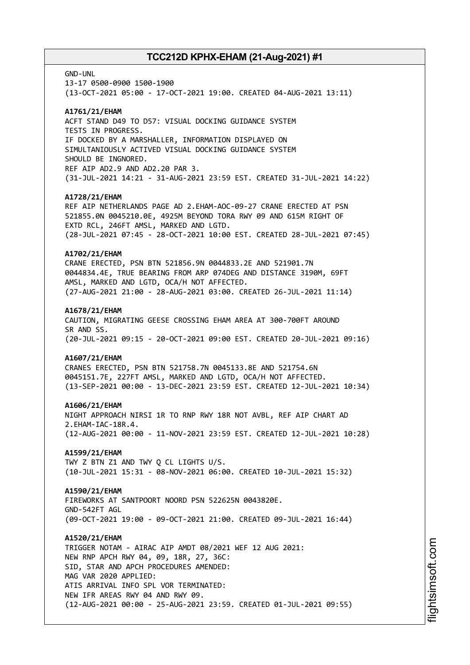GND-UNL

13-17 0500-0900 1500-1900 (13-OCT-2021 05:00 - 17-OCT-2021 19:00. CREATED 04-AUG-2021 13:11)

### **A1761/21/EHAM**

ACFT STAND D49 TO D57: VISUAL DOCKING GUIDANCE SYSTEM TESTS IN PROGRESS. IF DOCKED BY A MARSHALLER, INFORMATION DISPLAYED ON SIMULTANIOUSLY ACTIVED VISUAL DOCKING GUIDANCE SYSTEM SHOULD BE INGNORED. REF AIP AD2.9 AND AD2.20 PAR 3. (31-JUL-2021 14:21 - 31-AUG-2021 23:59 EST. CREATED 31-JUL-2021 14:22)

### **A1728/21/EHAM**

REF AIP NETHERLANDS PAGE AD 2.EHAM-AOC-09-27 CRANE ERECTED AT PSN 521855.0N 0045210.0E, 4925M BEYOND TORA RWY 09 AND 615M RIGHT OF EXTD RCL, 246FT AMSL, MARKED AND LGTD. (28-JUL-2021 07:45 - 28-OCT-2021 10:00 EST. CREATED 28-JUL-2021 07:45)

### **A1702/21/EHAM**

CRANE ERECTED, PSN BTN 521856.9N 0044833.2E AND 521901.7N 0044834.4E, TRUE BEARING FROM ARP 074DEG AND DISTANCE 3190M, 69FT AMSL, MARKED AND LGTD, OCA/H NOT AFFECTED. (27-AUG-2021 21:00 - 28-AUG-2021 03:00. CREATED 26-JUL-2021 11:14)

### **A1678/21/EHAM**

CAUTION, MIGRATING GEESE CROSSING EHAM AREA AT 300-700FT AROUND SR AND SS. (20-JUL-2021 09:15 - 20-OCT-2021 09:00 EST. CREATED 20-JUL-2021 09:16)

### **A1607/21/EHAM**

CRANES ERECTED, PSN BTN 521758.7N 0045133.8E AND 521754.6N 0045151.7E, 227FT AMSL, MARKED AND LGTD, OCA/H NOT AFFECTED. (13-SEP-2021 00:00 - 13-DEC-2021 23:59 EST. CREATED 12-JUL-2021 10:34)

### **A1606/21/EHAM**

NIGHT APPROACH NIRSI 1R TO RNP RWY 18R NOT AVBL, REF AIP CHART AD 2.EHAM-IAC-18R.4. (12-AUG-2021 00:00 - 11-NOV-2021 23:59 EST. CREATED 12-JUL-2021 10:28)

### **A1599/21/EHAM**

TWY Z BTN Z1 AND TWY Q CL LIGHTS U/S. (10-JUL-2021 15:31 - 08-NOV-2021 06:00. CREATED 10-JUL-2021 15:32)

### **A1590/21/EHAM**

FIREWORKS AT SANTPOORT NOORD PSN 522625N 0043820E. GND-542FT AGL (09-OCT-2021 19:00 - 09-OCT-2021 21:00. CREATED 09-JUL-2021 16:44)

### **A1520/21/EHAM**

TRIGGER NOTAM - AIRAC AIP AMDT 08/2021 WEF 12 AUG 2021: NEW RNP APCH RWY 04, 09, 18R, 27, 36C: SID, STAR AND APCH PROCEDURES AMENDED: MAG VAR 2020 APPLIED: ATIS ARRIVAL INFO SPL VOR TERMINATED: NEW IFR AREAS RWY 04 AND RWY 09. (12-AUG-2021 00:00 - 25-AUG-2021 23:59. CREATED 01-JUL-2021 09:55)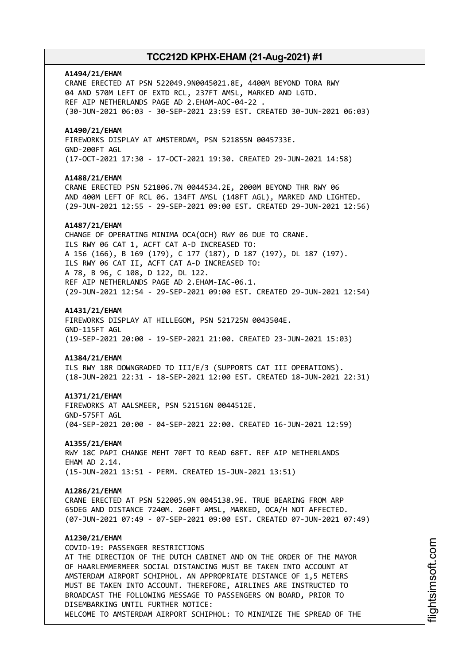### **A1494/21/EHAM**

CRANE ERECTED AT PSN 522049.9N0045021.8E, 4400M BEYOND TORA RWY 04 AND 570M LEFT OF EXTD RCL, 237FT AMSL, MARKED AND LGTD. REF AIP NETHERLANDS PAGE AD 2.EHAM-AOC-04-22 . (30-JUN-2021 06:03 - 30-SEP-2021 23:59 EST. CREATED 30-JUN-2021 06:03)

### **A1490/21/EHAM**

FIREWORKS DISPLAY AT AMSTERDAM, PSN 521855N 0045733E. GND-200FT AGL (17-OCT-2021 17:30 - 17-OCT-2021 19:30. CREATED 29-JUN-2021 14:58)

#### **A1488/21/EHAM**

CRANE ERECTED PSN 521806.7N 0044534.2E, 2000M BEYOND THR RWY 06 AND 400M LEFT OF RCL 06. 134FT AMSL (148FT AGL), MARKED AND LIGHTED. (29-JUN-2021 12:55 - 29-SEP-2021 09:00 EST. CREATED 29-JUN-2021 12:56)

### **A1487/21/EHAM**

CHANGE OF OPERATING MINIMA OCA(OCH) RWY 06 DUE TO CRANE. ILS RWY 06 CAT 1, ACFT CAT A-D INCREASED TO: A 156 (166), B 169 (179), C 177 (187), D 187 (197), DL 187 (197). ILS RWY 06 CAT II, ACFT CAT A-D INCREASED TO: A 78, B 96, C 108, D 122, DL 122. REF AIP NETHERLANDS PAGE AD 2.EHAM-IAC-06.1. (29-JUN-2021 12:54 - 29-SEP-2021 09:00 EST. CREATED 29-JUN-2021 12:54)

### **A1431/21/EHAM**

FIREWORKS DISPLAY AT HILLEGOM, PSN 521725N 0043504E. GND-115FT AGL (19-SEP-2021 20:00 - 19-SEP-2021 21:00. CREATED 23-JUN-2021 15:03)

### **A1384/21/EHAM**

ILS RWY 18R DOWNGRADED TO III/E/3 (SUPPORTS CAT III OPERATIONS). (18-JUN-2021 22:31 - 18-SEP-2021 12:00 EST. CREATED 18-JUN-2021 22:31)

### **A1371/21/EHAM**

FIREWORKS AT AALSMEER, PSN 521516N 0044512E. GND-575FT AGL (04-SEP-2021 20:00 - 04-SEP-2021 22:00. CREATED 16-JUN-2021 12:59)

### **A1355/21/EHAM**

RWY 18C PAPI CHANGE MEHT 70FT TO READ 68FT. REF AIP NETHERLANDS EHAM AD 2.14. (15-JUN-2021 13:51 - PERM. CREATED 15-JUN-2021 13:51)

### **A1286/21/EHAM**

CRANE ERECTED AT PSN 522005.9N 0045138.9E. TRUE BEARING FROM ARP 65DEG AND DISTANCE 7240M. 260FT AMSL, MARKED, OCA/H NOT AFFECTED. (07-JUN-2021 07:49 - 07-SEP-2021 09:00 EST. CREATED 07-JUN-2021 07:49)

### **A1230/21/EHAM**

COVID-19: PASSENGER RESTRICTIONS AT THE DIRECTION OF THE DUTCH CABINET AND ON THE ORDER OF THE MAYOR OF HAARLEMMERMEER SOCIAL DISTANCING MUST BE TAKEN INTO ACCOUNT AT AMSTERDAM AIRPORT SCHIPHOL. AN APPROPRIATE DISTANCE OF 1,5 METERS MUST BE TAKEN INTO ACCOUNT. THEREFORE, AIRLINES ARE INSTRUCTED TO BROADCAST THE FOLLOWING MESSAGE TO PASSENGERS ON BOARD, PRIOR TO DISEMBARKING UNTIL FURTHER NOTICE: WELCOME TO AMSTERDAM AIRPORT SCHIPHOL: TO MINIMIZE THE SPREAD OF THE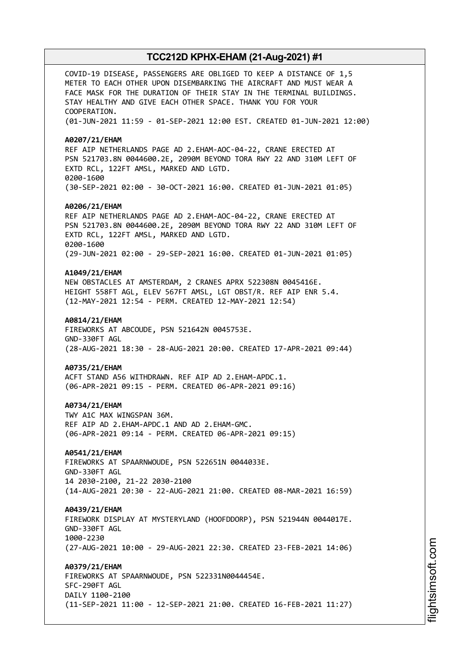COVID-19 DISEASE, PASSENGERS ARE OBLIGED TO KEEP A DISTANCE OF 1,5 METER TO EACH OTHER UPON DISEMBARKING THE AIRCRAFT AND MUST WEAR A FACE MASK FOR THE DURATION OF THEIR STAY IN THE TERMINAL BUILDINGS. STAY HEALTHY AND GIVE EACH OTHER SPACE. THANK YOU FOR YOUR COOPERATION. (01-JUN-2021 11:59 - 01-SEP-2021 12:00 EST. CREATED 01-JUN-2021 12:00) **A0207/21/EHAM** REF AIP NETHERLANDS PAGE AD 2.EHAM-AOC-04-22, CRANE ERECTED AT PSN 521703.8N 0044600.2E, 2090M BEYOND TORA RWY 22 AND 310M LEFT OF EXTD RCL, 122FT AMSL, MARKED AND LGTD. 0200-1600 (30-SEP-2021 02:00 - 30-OCT-2021 16:00. CREATED 01-JUN-2021 01:05) **A0206/21/EHAM** REF AIP NETHERLANDS PAGE AD 2.EHAM-AOC-04-22, CRANE ERECTED AT PSN 521703.8N 0044600.2E, 2090M BEYOND TORA RWY 22 AND 310M LEFT OF EXTD RCL, 122FT AMSL, MARKED AND LGTD. 0200-1600 (29-JUN-2021 02:00 - 29-SEP-2021 16:00. CREATED 01-JUN-2021 01:05) **A1049/21/EHAM** NEW OBSTACLES AT AMSTERDAM, 2 CRANES APRX 522308N 0045416E. HEIGHT 558FT AGL, ELEV 567FT AMSL, LGT OBST/R. REF AIP ENR 5.4. (12-MAY-2021 12:54 - PERM. CREATED 12-MAY-2021 12:54) **A0814/21/EHAM** FIREWORKS AT ABCOUDE, PSN 521642N 0045753E. GND-330FT AGL (28-AUG-2021 18:30 - 28-AUG-2021 20:00. CREATED 17-APR-2021 09:44) **A0735/21/EHAM** ACFT STAND A56 WITHDRAWN. REF AIP AD 2.EHAM-APDC.1. (06-APR-2021 09:15 - PERM. CREATED 06-APR-2021 09:16) **A0734/21/EHAM** TWY A1C MAX WINGSPAN 36M. REF AIP AD 2.EHAM-APDC.1 AND AD 2.EHAM-GMC. (06-APR-2021 09:14 - PERM. CREATED 06-APR-2021 09:15) **A0541/21/EHAM** FIREWORKS AT SPAARNWOUDE, PSN 522651N 0044033E. GND-330FT AGL 14 2030-2100, 21-22 2030-2100 (14-AUG-2021 20:30 - 22-AUG-2021 21:00. CREATED 08-MAR-2021 16:59) **A0439/21/EHAM** FIREWORK DISPLAY AT MYSTERYLAND (HOOFDDORP), PSN 521944N 0044017E. GND-330FT AGL 1000-2230 (27-AUG-2021 10:00 - 29-AUG-2021 22:30. CREATED 23-FEB-2021 14:06) **A0379/21/EHAM** FIREWORKS AT SPAARNWOUDE, PSN 522331N0044454E. SFC-290FT AGL DAILY 1100-2100 (11-SEP-2021 11:00 - 12-SEP-2021 21:00. CREATED 16-FEB-2021 11:27)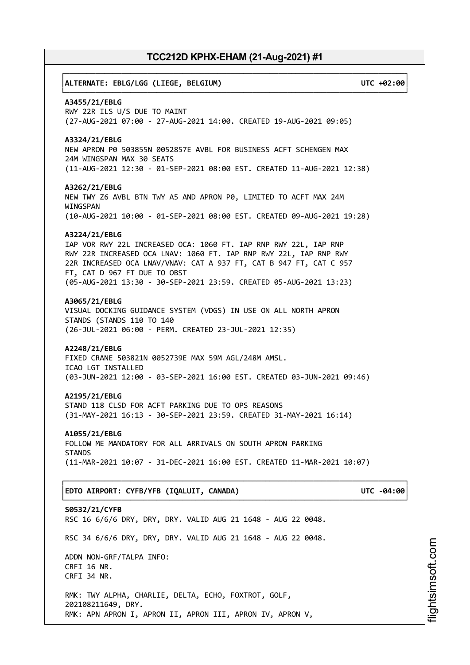# ┌──────────────────────────────────────────────────────────────────────────────┐ │**ALTERNATE: EBLG/LGG (LIEGE, BELGIUM) UTC +02:00**│ └──────────────────────────────────────────────────────────────────────────────┘ **A3455/21/EBLG** RWY 22R ILS U/S DUE TO MAINT (27-AUG-2021 07:00 - 27-AUG-2021 14:00. CREATED 19-AUG-2021 09:05) **A3324/21/EBLG** NEW APRON P0 503855N 0052857E AVBL FOR BUSINESS ACFT SCHENGEN MAX 24M WINGSPAN MAX 30 SEATS (11-AUG-2021 12:30 - 01-SEP-2021 08:00 EST. CREATED 11-AUG-2021 12:38) **A3262/21/EBLG** NEW TWY Z6 AVBL BTN TWY A5 AND APRON P0, LIMITED TO ACFT MAX 24M WINGSPAN (10-AUG-2021 10:00 - 01-SEP-2021 08:00 EST. CREATED 09-AUG-2021 19:28) **A3224/21/EBLG** IAP VOR RWY 22L INCREASED OCA: 1060 FT. IAP RNP RWY 22L, IAP RNP RWY 22R INCREASED OCA LNAV: 1060 FT. IAP RNP RWY 22L, IAP RNP RWY 22R INCREASED OCA LNAV/VNAV: CAT A 937 FT, CAT B 947 FT, CAT C 957 FT, CAT D 967 FT DUE TO OBST (05-AUG-2021 13:30 - 30-SEP-2021 23:59. CREATED 05-AUG-2021 13:23) **A3065/21/EBLG** VISUAL DOCKING GUIDANCE SYSTEM (VDGS) IN USE ON ALL NORTH APRON STANDS (STANDS 110 TO 140 (26-JUL-2021 06:00 - PERM. CREATED 23-JUL-2021 12:35) **A2248/21/EBLG** FIXED CRANE 503821N 0052739E MAX 59M AGL/248M AMSL. ICAO LGT INSTALLED (03-JUN-2021 12:00 - 03-SEP-2021 16:00 EST. CREATED 03-JUN-2021 09:46) **A2195/21/EBLG** STAND 118 CLSD FOR ACFT PARKING DUE TO OPS REASONS (31-MAY-2021 16:13 - 30-SEP-2021 23:59. CREATED 31-MAY-2021 16:14) **A1055/21/EBLG** FOLLOW ME MANDATORY FOR ALL ARRIVALS ON SOUTH APRON PARKING **STANDS** (11-MAR-2021 10:07 - 31-DEC-2021 16:00 EST. CREATED 11-MAR-2021 10:07) ┌──────────────────────────────────────────────────────────────────────────────┐ │**EDTO AIRPORT: CYFB/YFB (IQALUIT, CANADA) UTC -04:00**│ └──────────────────────────────────────────────────────────────────────────────┘ **S0532/21/CYFB** RSC 16 6/6/6 DRY, DRY, DRY. VALID AUG 21 1648 - AUG 22 0048. RSC 34 6/6/6 DRY, DRY, DRY. VALID AUG 21 1648 - AUG 22 0048. ADDN NON-GRF/TALPA INFO: CRFI 16 NR. CRFI 34 NR. RMK: TWY ALPHA, CHARLIE, DELTA, ECHO, FOXTROT, GOLF, 202108211649, DRY. RMK: APN APRON I, APRON II, APRON III, APRON IV, APRON V,

i⊒<br>⊫ htsim soft.c o

m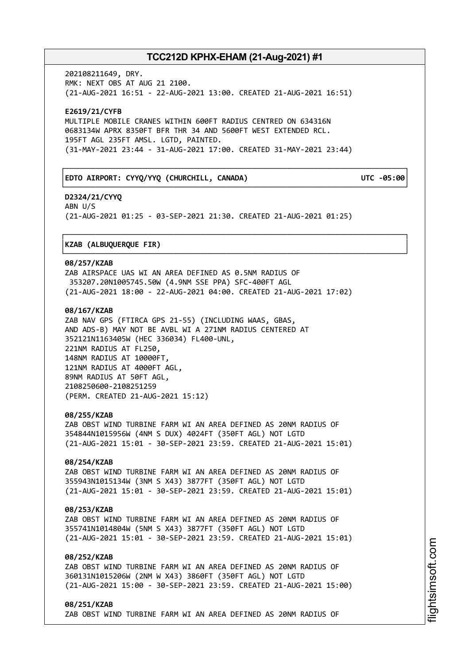┌──────────────────────────────────────────────────────────────────────────────┐

└──────────────────────────────────────────────────────────────────────────────┘

┌──────────────────────────────────────────────────────────────────────────────┐

└──────────────────────────────────────────────────────────────────────────────┘

202108211649, DRY. RMK: NEXT OBS AT AUG 21 2100. (21-AUG-2021 16:51 - 22-AUG-2021 13:00. CREATED 21-AUG-2021 16:51)

**E2619/21/CYFB** MULTIPLE MOBILE CRANES WITHIN 600FT RADIUS CENTRED ON 634316N 0683134W APRX 8350FT BFR THR 34 AND 5600FT WEST EXTENDED RCL. 195FT AGL 235FT AMSL. LGTD, PAINTED. (31-MAY-2021 23:44 - 31-AUG-2021 17:00. CREATED 31-MAY-2021 23:44)

### │**EDTO AIRPORT: CYYQ/YYQ (CHURCHILL, CANADA) UTC -05:00**│

**D2324/21/CYYQ** ABN U/S (21-AUG-2021 01:25 - 03-SEP-2021 21:30. CREATED 21-AUG-2021 01:25)

### │**KZAB (ALBUQUERQUE FIR)** │

### **08/257/KZAB**

ZAB AIRSPACE UAS WI AN AREA DEFINED AS 0.5NM RADIUS OF 353207.20N1005745.50W (4.9NM SSE PPA) SFC-400FT AGL (21-AUG-2021 18:00 - 22-AUG-2021 04:00. CREATED 21-AUG-2021 17:02)

### **08/167/KZAB**

ZAB NAV GPS (FTIRCA GPS 21-55) (INCLUDING WAAS, GBAS, AND ADS-B) MAY NOT BE AVBL WI A 271NM RADIUS CENTERED AT 352121N1163405W (HEC 336034) FL400-UNL, 221NM RADIUS AT FL250, 148NM RADIUS AT 10000FT, 121NM RADIUS AT 4000FT AGL, 89NM RADIUS AT 50FT AGL, 2108250600-2108251259 (PERM. CREATED 21-AUG-2021 15:12)

### **08/255/KZAB**

ZAB OBST WIND TURBINE FARM WI AN AREA DEFINED AS 20NM RADIUS OF 354844N1015956W (4NM S DUX) 4024FT (350FT AGL) NOT LGTD (21-AUG-2021 15:01 - 30-SEP-2021 23:59. CREATED 21-AUG-2021 15:01)

### **08/254/KZAB**

ZAB OBST WIND TURBINE FARM WI AN AREA DEFINED AS 20NM RADIUS OF 355943N1015134W (3NM S X43) 3877FT (350FT AGL) NOT LGTD (21-AUG-2021 15:01 - 30-SEP-2021 23:59. CREATED 21-AUG-2021 15:01)

### **08/253/KZAB**

ZAB OBST WIND TURBINE FARM WI AN AREA DEFINED AS 20NM RADIUS OF 355741N1014804W (5NM S X43) 3877FT (350FT AGL) NOT LGTD (21-AUG-2021 15:01 - 30-SEP-2021 23:59. CREATED 21-AUG-2021 15:01)

### **08/252/KZAB**

ZAB OBST WIND TURBINE FARM WI AN AREA DEFINED AS 20NM RADIUS OF 360131N1015206W (2NM W X43) 3860FT (350FT AGL) NOT LGTD (21-AUG-2021 15:00 - 30-SEP-2021 23:59. CREATED 21-AUG-2021 15:00)

**08/251/KZAB** ZAB OBST WIND TURBINE FARM WI AN AREA DEFINED AS 20NM RADIUS OF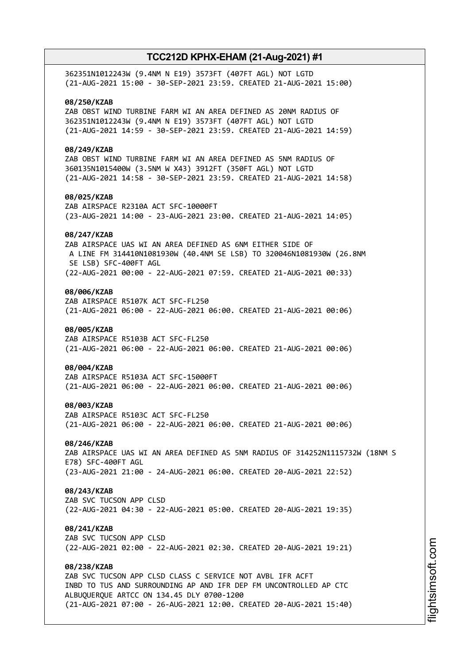| 362351N1012243W (9.4NM N E19) 3573FT (407FT AGL) NOT LGTD<br>(21-AUG-2021 15:00 - 30-SEP-2021 23:59. CREATED 21-AUG-2021 15:00)                                                                                   |
|-------------------------------------------------------------------------------------------------------------------------------------------------------------------------------------------------------------------|
| 08/250/KZAB<br>ZAB OBST WIND TURBINE FARM WI AN AREA DEFINED AS 20NM RADIUS OF<br>362351N1012243W (9.4NM N E19) 3573FT (407FT AGL) NOT LGTD<br>(21-AUG-2021 14:59 - 30-SEP-2021 23:59. CREATED 21-AUG-2021 14:59) |
| 08/249/KZAB                                                                                                                                                                                                       |
| ZAB OBST WIND TURBINE FARM WI AN AREA DEFINED AS 5NM RADIUS OF<br>360135N1015400W (3.5NM W X43) 3912FT (350FT AGL) NOT LGTD<br>(21-AUG-2021 14:58 - 30-SEP-2021 23:59. CREATED 21-AUG-2021 14:58)                 |
| 08/025/KZAB<br>ZAB AIRSPACE R2310A ACT SFC-10000FT                                                                                                                                                                |
| (23-AUG-2021 14:00 - 23-AUG-2021 23:00. CREATED 21-AUG-2021 14:05)<br>08/247/KZAB                                                                                                                                 |
| ZAB AIRSPACE UAS WI AN AREA DEFINED AS 6NM EITHER SIDE OF<br>A LINE FM 314410N1081930W (40.4NM SE LSB) TO 320046N1081930W (26.8NM<br>SE LSB) SFC-400FT AGL                                                        |
| (22-AUG-2021 00:00 - 22-AUG-2021 07:59. CREATED 21-AUG-2021 00:33)<br>08/006/KZAB                                                                                                                                 |
| ZAB AIRSPACE R5107K ACT SFC-FL250<br>(21-AUG-2021 06:00 - 22-AUG-2021 06:00. CREATED 21-AUG-2021 00:06)                                                                                                           |
| 08/005/KZAB<br>ZAB AIRSPACE R5103B ACT SFC-FL250<br>(21-AUG-2021 06:00 - 22-AUG-2021 06:00. CREATED 21-AUG-2021 00:06)                                                                                            |
| 08/004/KZAB<br>ZAB AIRSPACE R5103A ACT SFC-15000FT<br>(21-AUG-2021 06:00 - 22-AUG-2021 06:00. CREATED 21-AUG-2021 00:06)                                                                                          |
| 08/003/KZAB<br>ZAB AIRSPACE R5103C ACT SFC-FL250<br>(21-AUG-2021 06:00 - 22-AUG-2021 06:00. CREATED 21-AUG-2021 00:06)                                                                                            |
| 08/246/KZAB<br>ZAB AIRSPACE UAS WI AN AREA DEFINED AS 5NM RADIUS OF 314252N1115732W (18NM S<br>E78) SFC-400FT AGL<br>(23-AUG-2021 21:00 - 24-AUG-2021 06:00. CREATED 20-AUG-2021 22:52)                           |
| 08/243/KZAB<br>ZAB SVC TUCSON APP CLSD<br>(22-AUG-2021 04:30 - 22-AUG-2021 05:00. CREATED 20-AUG-2021 19:35)                                                                                                      |
| 08/241/KZAB<br>ZAB SVC TUCSON APP CLSD<br>(22-AUG-2021 02:00 - 22-AUG-2021 02:30. CREATED 20-AUG-2021 19:21)                                                                                                      |
| 08/238/KZAB<br>ZAB SVC TUCSON APP CLSD CLASS C SERVICE NOT AVBL IFR ACFT<br>INBD TO TUS AND SURROUNDING AP AND IFR DEP FM UNCONTROLLED AP CTC                                                                     |
| ALBUQUERQUE ARTCC ON 134.45 DLY 0700-1200<br>(21-AUG-2021 07:00 - 26-AUG-2021 12:00. CREATED 20-AUG-2021 15:40)                                                                                                   |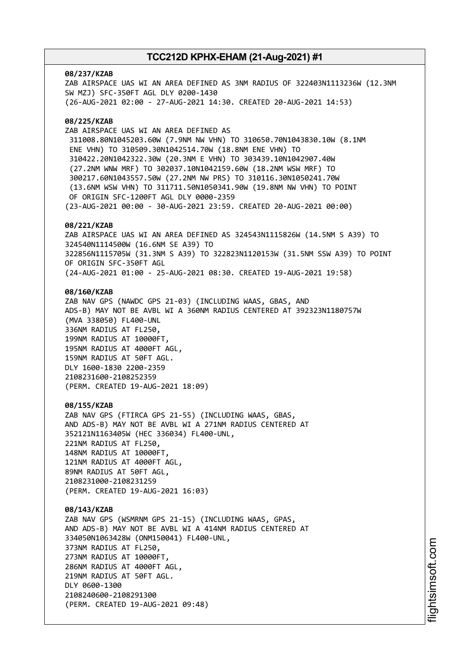### **08/237/KZAB**

ZAB AIRSPACE UAS WI AN AREA DEFINED AS 3NM RADIUS OF 322403N1113236W (12.3NM SW MZJ) SFC-350FT AGL DLY 0200-1430 (26-AUG-2021 02:00 - 27-AUG-2021 14:30. CREATED 20-AUG-2021 14:53)

### **08/225/KZAB**

ZAB AIRSPACE UAS WI AN AREA DEFINED AS 311008.80N1045203.60W (7.9NM NW VHN) TO 310650.70N1043830.10W (8.1NM ENE VHN) TO 310509.30N1042514.70W (18.8NM ENE VHN) TO 310422.20N1042322.30W (20.3NM E VHN) TO 303439.10N1042907.40W (27.2NM WNW MRF) TO 302037.10N1042159.60W (18.2NM WSW MRF) TO 300217.60N1043557.50W (27.2NM NW PRS) TO 310116.30N1050241.70W (13.6NM WSW VHN) TO 311711.50N1050341.90W (19.8NM NW VHN) TO POINT OF ORIGIN SFC-1200FT AGL DLY 0000-2359 (23-AUG-2021 00:00 - 30-AUG-2021 23:59. CREATED 20-AUG-2021 00:00)

### **08/221/KZAB**

ZAB AIRSPACE UAS WI AN AREA DEFINED AS 324543N1115826W (14.5NM S A39) TO 324540N1114500W (16.6NM SE A39) TO 322856N1115705W (31.3NM S A39) TO 322823N1120153W (31.5NM SSW A39) TO POINT OF ORIGIN SFC-350FT AGL (24-AUG-2021 01:00 - 25-AUG-2021 08:30. CREATED 19-AUG-2021 19:58)

### **08/160/KZAB**

ZAB NAV GPS (NAWDC GPS 21-03) (INCLUDING WAAS, GBAS, AND ADS-B) MAY NOT BE AVBL WI A 360NM RADIUS CENTERED AT 392323N1180757W (MVA 338050) FL400-UNL 336NM RADIUS AT FL250, 199NM RADIUS AT 10000FT, 195NM RADIUS AT 4000FT AGL, 159NM RADIUS AT 50FT AGL. DLY 1600-1830 2200-2359 2108231600-2108252359 (PERM. CREATED 19-AUG-2021 18:09)

### **08/155/KZAB**

ZAB NAV GPS (FTIRCA GPS 21-55) (INCLUDING WAAS, GBAS, AND ADS-B) MAY NOT BE AVBL WI A 271NM RADIUS CENTERED AT 352121N1163405W (HEC 336034) FL400-UNL, 221NM RADIUS AT FL250, 148NM RADIUS AT 10000FT, 121NM RADIUS AT 4000FT AGL, 89NM RADIUS AT 50FT AGL, 2108231000-2108231259 (PERM. CREATED 19-AUG-2021 16:03)

### **08/143/KZAB**

ZAB NAV GPS (WSMRNM GPS 21-15) (INCLUDING WAAS, GPAS, AND ADS-B) MAY NOT BE AVBL WI A 414NM RADIUS CENTERED AT 334050N1063428W (ONM150041) FL400-UNL, 373NM RADIUS AT FL250, 273NM RADIUS AT 10000FT, 286NM RADIUS AT 4000FT AGL, 219NM RADIUS AT 50FT AGL. DLY 0600-1300 2108240600-2108291300 (PERM. CREATED 19-AUG-2021 09:48)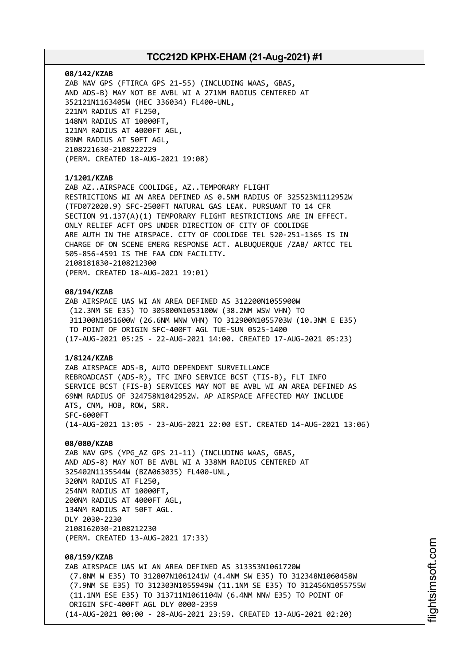### **08/142/KZAB**

ZAB NAV GPS (FTIRCA GPS 21-55) (INCLUDING WAAS, GBAS, AND ADS-B) MAY NOT BE AVBL WI A 271NM RADIUS CENTERED AT 352121N1163405W (HEC 336034) FL400-UNL, 221NM RADIUS AT FL250, 148NM RADIUS AT 10000FT, 121NM RADIUS AT 4000FT AGL, 89NM RADIUS AT 50FT AGL, 2108221630-2108222229 (PERM. CREATED 18-AUG-2021 19:08)

### **1/1201/KZAB**

ZAB AZ..AIRSPACE COOLIDGE, AZ..TEMPORARY FLIGHT RESTRICTIONS WI AN AREA DEFINED AS 0.5NM RADIUS OF 325523N1112952W (TFD072020.9) SFC-2500FT NATURAL GAS LEAK. PURSUANT TO 14 CFR SECTION 91.137(A)(1) TEMPORARY FLIGHT RESTRICTIONS ARE IN EFFECT. ONLY RELIEF ACFT OPS UNDER DIRECTION OF CITY OF COOLIDGE ARE AUTH IN THE AIRSPACE. CITY OF COOLIDGE TEL 520-251-1365 IS IN CHARGE OF ON SCENE EMERG RESPONSE ACT. ALBUQUERQUE /ZAB/ ARTCC TEL 505-856-4591 IS THE FAA CDN FACILITY. 2108181830-2108212300 (PERM. CREATED 18-AUG-2021 19:01)

#### **08/194/KZAB**

ZAB AIRSPACE UAS WI AN AREA DEFINED AS 312200N1055900W (12.3NM SE E35) TO 305800N1053100W (38.2NM WSW VHN) TO 311300N1051600W (26.6NM WNW VHN) TO 312900N1055703W (10.3NM E E35) TO POINT OF ORIGIN SFC-400FT AGL TUE-SUN 0525-1400 (17-AUG-2021 05:25 - 22-AUG-2021 14:00. CREATED 17-AUG-2021 05:23)

### **1/8124/KZAB**

ZAB AIRSPACE ADS-B, AUTO DEPENDENT SURVEILLANCE REBROADCAST (ADS-R), TFC INFO SERVICE BCST (TIS-B), FLT INFO SERVICE BCST (FIS-B) SERVICES MAY NOT BE AVBL WI AN AREA DEFINED AS 69NM RADIUS OF 324758N1042952W. AP AIRSPACE AFFECTED MAY INCLUDE ATS, CNM, HOB, ROW, SRR. SFC-6000FT (14-AUG-2021 13:05 - 23-AUG-2021 22:00 EST. CREATED 14-AUG-2021 13:06)

### **08/080/KZAB**

ZAB NAV GPS (YPG\_AZ GPS 21-11) (INCLUDING WAAS, GBAS, AND ADS-8) MAY NOT BE AVBL WI A 338NM RADIUS CENTERED AT 325402N1135544W (BZA063035) FL400-UNL, 320NM RADIUS AT FL250, 254NM RADIUS AT 10000FT, 200NM RADIUS AT 4000FT AGL, 134NM RADIUS AT 50FT AGL. DLY 2030-2230 2108162030-2108212230 (PERM. CREATED 13-AUG-2021 17:33)

### **08/159/KZAB**

ZAB AIRSPACE UAS WI AN AREA DEFINED AS 313353N1061720W (7.8NM W E35) TO 312807N1061241W (4.4NM SW E35) TO 312348N1060458W (7.9NM SE E35) TO 312303N1055949W (11.1NM SE E35) TO 312456N1055755W (11.1NM ESE E35) TO 313711N1061104W (6.4NM NNW E35) TO POINT OF ORIGIN SFC-400FT AGL DLY 0000-2359 (14-AUG-2021 00:00 - 28-AUG-2021 23:59. CREATED 13-AUG-2021 02:20)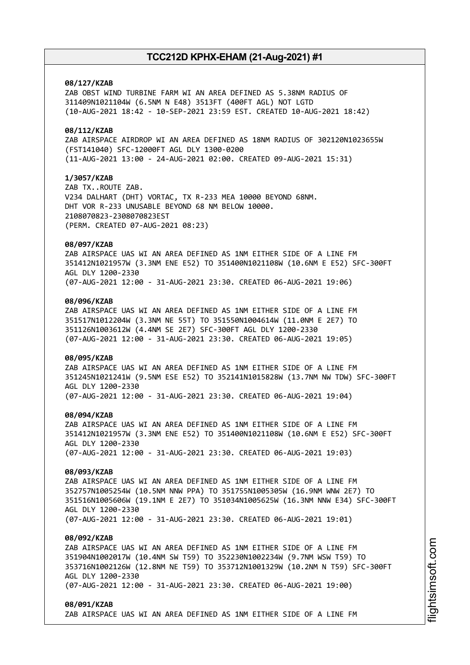### **08/127/KZAB**

ZAB OBST WIND TURBINE FARM WI AN AREA DEFINED AS 5.38NM RADIUS OF 311409N1021104W (6.5NM N E48) 3513FT (400FT AGL) NOT LGTD (10-AUG-2021 18:42 - 10-SEP-2021 23:59 EST. CREATED 10-AUG-2021 18:42)

### **08/112/KZAB**

ZAB AIRSPACE AIRDROP WI AN AREA DEFINED AS 18NM RADIUS OF 302120N1023655W (FST141040) SFC-12000FT AGL DLY 1300-0200 (11-AUG-2021 13:00 - 24-AUG-2021 02:00. CREATED 09-AUG-2021 15:31)

### **1/3057/KZAB**

ZAB TX..ROUTE ZAB. V234 DALHART (DHT) VORTAC, TX R-233 MEA 10000 BEYOND 68NM. DHT VOR R-233 UNUSABLE BEYOND 68 NM BELOW 10000. 2108070823-2308070823EST (PERM. CREATED 07-AUG-2021 08:23)

### **08/097/KZAB**

ZAB AIRSPACE UAS WI AN AREA DEFINED AS 1NM EITHER SIDE OF A LINE FM 351412N1021957W (3.3NM ENE E52) TO 351400N1021108W (10.6NM E E52) SFC-300FT AGL DLY 1200-2330 (07-AUG-2021 12:00 - 31-AUG-2021 23:30. CREATED 06-AUG-2021 19:06)

### **08/096/KZAB**

ZAB AIRSPACE UAS WI AN AREA DEFINED AS 1NM EITHER SIDE OF A LINE FM 351517N1012204W (3.3NM NE 55T) TO 351550N1004614W (11.0NM E 2E7) TO 351126N1003612W (4.4NM SE 2E7) SFC-300FT AGL DLY 1200-2330 (07-AUG-2021 12:00 - 31-AUG-2021 23:30. CREATED 06-AUG-2021 19:05)

### **08/095/KZAB**

ZAB AIRSPACE UAS WI AN AREA DEFINED AS 1NM EITHER SIDE OF A LINE FM 351245N1021241W (9.5NM ESE E52) TO 352141N1015828W (13.7NM NW TDW) SFC-300FT AGL DLY 1200-2330 (07-AUG-2021 12:00 - 31-AUG-2021 23:30. CREATED 06-AUG-2021 19:04)

### **08/094/KZAB**

ZAB AIRSPACE UAS WI AN AREA DEFINED AS 1NM EITHER SIDE OF A LINE FM 351412N1021957W (3.3NM ENE E52) TO 351400N1021108W (10.6NM E E52) SFC-300FT AGL DLY 1200-2330 (07-AUG-2021 12:00 - 31-AUG-2021 23:30. CREATED 06-AUG-2021 19:03)

#### **08/093/KZAB**

ZAB AIRSPACE UAS WI AN AREA DEFINED AS 1NM EITHER SIDE OF A LINE FM 352757N1005254W (10.5NM NNW PPA) TO 351755N1005305W (16.9NM WNW 2E7) TO 351516N1005606W (19.1NM E 2E7) TO 351034N1005625W (16.3NM NNW E34) SFC-300FT AGL DLY 1200-2330 (07-AUG-2021 12:00 - 31-AUG-2021 23:30. CREATED 06-AUG-2021 19:01)

### **08/092/KZAB**

ZAB AIRSPACE UAS WI AN AREA DEFINED AS 1NM EITHER SIDE OF A LINE FM 351904N1002017W (10.4NM SW T59) TO 352230N1002234W (9.7NM WSW T59) TO 353716N1002126W (12.8NM NE T59) TO 353712N1001329W (10.2NM N T59) SFC-300FT AGL DLY 1200-2330 (07-AUG-2021 12:00 - 31-AUG-2021 23:30. CREATED 06-AUG-2021 19:00)

### **08/091/KZAB**

ZAB AIRSPACE UAS WI AN AREA DEFINED AS 1NM EITHER SIDE OF A LINE FM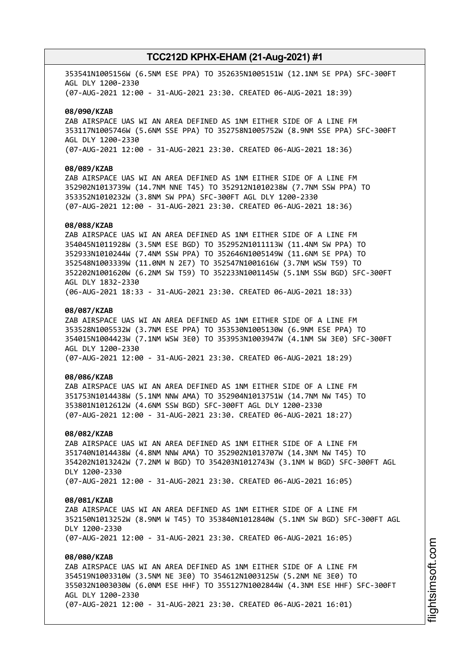353541N1005156W (6.5NM ESE PPA) TO 352635N1005151W (12.1NM SE PPA) SFC-300FT AGL DLY 1200-2330 (07-AUG-2021 12:00 - 31-AUG-2021 23:30. CREATED 06-AUG-2021 18:39)

### **08/090/KZAB**

ZAB AIRSPACE UAS WI AN AREA DEFINED AS 1NM EITHER SIDE OF A LINE FM 353117N1005746W (5.6NM SSE PPA) TO 352758N1005752W (8.9NM SSE PPA) SFC-300FT AGL DLY 1200-2330 (07-AUG-2021 12:00 - 31-AUG-2021 23:30. CREATED 06-AUG-2021 18:36)

### **08/089/KZAB**

ZAB AIRSPACE UAS WI AN AREA DEFINED AS 1NM EITHER SIDE OF A LINE FM 352902N1013739W (14.7NM NNE T45) TO 352912N1010238W (7.7NM SSW PPA) TO 353352N1010232W (3.8NM SW PPA) SFC-300FT AGL DLY 1200-2330 (07-AUG-2021 12:00 - 31-AUG-2021 23:30. CREATED 06-AUG-2021 18:36)

### **08/088/KZAB**

ZAB AIRSPACE UAS WI AN AREA DEFINED AS 1NM EITHER SIDE OF A LINE FM 354045N1011928W (3.5NM ESE BGD) TO 352952N1011113W (11.4NM SW PPA) TO 352933N1010244W (7.4NM SSW PPA) TO 352646N1005149W (11.6NM SE PPA) TO 352548N1003339W (11.0NM N 2E7) TO 352547N1001616W (3.7NM WSW T59) TO 352202N1001620W (6.2NM SW T59) TO 352233N1001145W (5.1NM SSW BGD) SFC-300FT AGL DLY 1832-2330 (06-AUG-2021 18:33 - 31-AUG-2021 23:30. CREATED 06-AUG-2021 18:33)

### **08/087/KZAB**

ZAB AIRSPACE UAS WI AN AREA DEFINED AS 1NM EITHER SIDE OF A LINE FM 353528N1005532W (3.7NM ESE PPA) TO 353530N1005130W (6.9NM ESE PPA) TO 354015N1004423W (7.1NM WSW 3E0) TO 353953N1003947W (4.1NM SW 3E0) SFC-300FT AGL DLY 1200-2330 (07-AUG-2021 12:00 - 31-AUG-2021 23:30. CREATED 06-AUG-2021 18:29)

### **08/086/KZAB**

ZAB AIRSPACE UAS WI AN AREA DEFINED AS 1NM EITHER SIDE OF A LINE FM 351753N1014438W (5.1NM NNW AMA) TO 352904N1013751W (14.7NM NW T45) TO 353801N1012612W (4.6NM SSW BGD) SFC-300FT AGL DLY 1200-2330 (07-AUG-2021 12:00 - 31-AUG-2021 23:30. CREATED 06-AUG-2021 18:27)

### **08/082/KZAB**

ZAB AIRSPACE UAS WI AN AREA DEFINED AS 1NM EITHER SIDE OF A LINE FM 351740N1014438W (4.8NM NNW AMA) TO 352902N1013707W (14.3NM NW T45) TO 354202N1013242W (7.2NM W BGD) TO 354203N1012743W (3.1NM W BGD) SFC-300FT AGL DLY 1200-2330 (07-AUG-2021 12:00 - 31-AUG-2021 23:30. CREATED 06-AUG-2021 16:05)

#### **08/081/KZAB**

ZAB AIRSPACE UAS WI AN AREA DEFINED AS 1NM EITHER SIDE OF A LINE FM 352150N1013252W (8.9NM W T45) TO 353840N1012840W (5.1NM SW BGD) SFC-300FT AGL DLY 1200-2330 (07-AUG-2021 12:00 - 31-AUG-2021 23:30. CREATED 06-AUG-2021 16:05)

### **08/080/KZAB**

ZAB AIRSPACE UAS WI AN AREA DEFINED AS 1NM EITHER SIDE OF A LINE FM 354519N1003310W (3.5NM NE 3E0) TO 354612N1003125W (5.2NM NE 3E0) TO 355032N1003030W (6.0NM ESE HHF) TO 355127N1002844W (4.3NM ESE HHF) SFC-300FT AGL DLY 1200-2330 (07-AUG-2021 12:00 - 31-AUG-2021 23:30. CREATED 06-AUG-2021 16:01)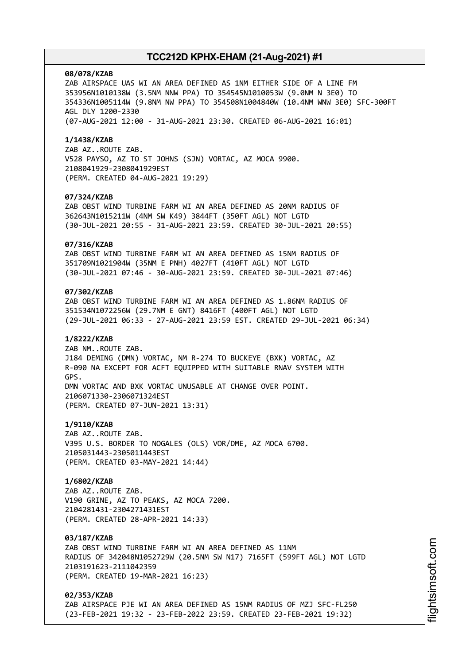#### **08/078/KZAB**

ZAB AIRSPACE UAS WI AN AREA DEFINED AS 1NM EITHER SIDE OF A LINE FM 353956N1010138W (3.5NM NNW PPA) TO 354545N1010053W (9.0NM N 3E0) TO 354336N1005114W (9.8NM NW PPA) TO 354508N1004840W (10.4NM WNW 3E0) SFC-300FT AGL DLY 1200-2330 (07-AUG-2021 12:00 - 31-AUG-2021 23:30. CREATED 06-AUG-2021 16:01)

#### **1/1438/KZAB**

ZAB AZ..ROUTE ZAB. V528 PAYSO, AZ TO ST JOHNS (SJN) VORTAC, AZ MOCA 9900. 2108041929-2308041929EST (PERM. CREATED 04-AUG-2021 19:29)

### **07/324/KZAB**

ZAB OBST WIND TURBINE FARM WI AN AREA DEFINED AS 20NM RADIUS OF 362643N1015211W (4NM SW K49) 3844FT (350FT AGL) NOT LGTD (30-JUL-2021 20:55 - 31-AUG-2021 23:59. CREATED 30-JUL-2021 20:55)

### **07/316/KZAB**

ZAB OBST WIND TURBINE FARM WI AN AREA DEFINED AS 15NM RADIUS OF 351709N1021904W (35NM E PNH) 4027FT (410FT AGL) NOT LGTD (30-JUL-2021 07:46 - 30-AUG-2021 23:59. CREATED 30-JUL-2021 07:46)

### **07/302/KZAB**

ZAB OBST WIND TURBINE FARM WI AN AREA DEFINED AS 1.86NM RADIUS OF 351534N1072256W (29.7NM E GNT) 8416FT (400FT AGL) NOT LGTD (29-JUL-2021 06:33 - 27-AUG-2021 23:59 EST. CREATED 29-JUL-2021 06:34)

### **1/8222/KZAB**

ZAB NM..ROUTE ZAB. J184 DEMING (DMN) VORTAC, NM R-274 TO BUCKEYE (BXK) VORTAC, AZ R-090 NA EXCEPT FOR ACFT EQUIPPED WITH SUITABLE RNAV SYSTEM WITH GPS. DMN VORTAC AND BXK VORTAC UNUSABLE AT CHANGE OVER POINT. 2106071330-2306071324EST (PERM. CREATED 07-JUN-2021 13:31)

### **1/9110/KZAB**

ZAB AZ..ROUTE ZAB. V395 U.S. BORDER TO NOGALES (OLS) VOR/DME, AZ MOCA 6700. 2105031443-2305011443EST (PERM. CREATED 03-MAY-2021 14:44)

### **1/6802/KZAB**

ZAB AZ..ROUTE ZAB. V190 GRINE, AZ TO PEAKS, AZ MOCA 7200. 2104281431-2304271431EST (PERM. CREATED 28-APR-2021 14:33)

### **03/187/KZAB**

ZAB OBST WIND TURBINE FARM WI AN AREA DEFINED AS 11NM RADIUS OF 342048N1052729W (20.5NM SW N17) 7165FT (599FT AGL) NOT LGTD 2103191623-2111042359 (PERM. CREATED 19-MAR-2021 16:23)

### **02/353/KZAB**

ZAB AIRSPACE PJE WI AN AREA DEFINED AS 15NM RADIUS OF MZJ SFC-FL250 (23-FEB-2021 19:32 - 23-FEB-2022 23:59. CREATED 23-FEB-2021 19:32)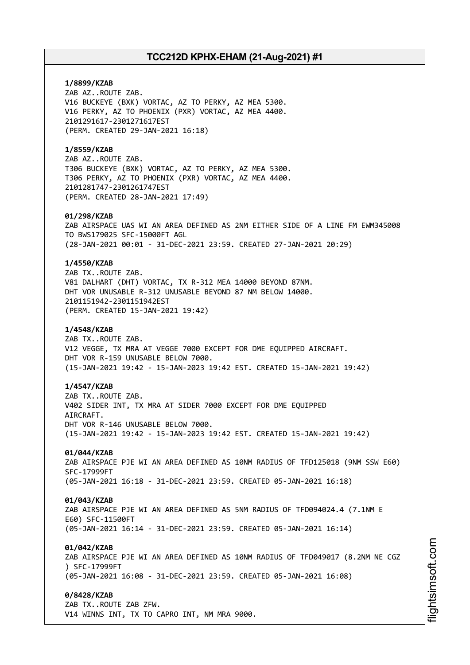**1/8899/KZAB** ZAB AZ..ROUTE ZAB. V16 BUCKEYE (BXK) VORTAC, AZ TO PERKY, AZ MEA 5300. V16 PERKY, AZ TO PHOENIX (PXR) VORTAC, AZ MEA 4400. 2101291617-2301271617EST (PERM. CREATED 29-JAN-2021 16:18) **1/8559/KZAB** ZAB AZ..ROUTE ZAB. T306 BUCKEYE (BXK) VORTAC, AZ TO PERKY, AZ MEA 5300. T306 PERKY, AZ TO PHOENIX (PXR) VORTAC, AZ MEA 4400. 2101281747-2301261747EST (PERM. CREATED 28-JAN-2021 17:49) **01/298/KZAB** ZAB AIRSPACE UAS WI AN AREA DEFINED AS 2NM EITHER SIDE OF A LINE FM EWM345008 TO BWS179025 SFC-15000FT AGL (28-JAN-2021 00:01 - 31-DEC-2021 23:59. CREATED 27-JAN-2021 20:29) **1/4550/KZAB** ZAB TX..ROUTE ZAB. V81 DALHART (DHT) VORTAC, TX R-312 MEA 14000 BEYOND 87NM. DHT VOR UNUSABLE R-312 UNUSABLE BEYOND 87 NM BELOW 14000. 2101151942-2301151942EST (PERM. CREATED 15-JAN-2021 19:42) **1/4548/KZAB** ZAB TX..ROUTE ZAB. V12 VEGGE, TX MRA AT VEGGE 7000 EXCEPT FOR DME EQUIPPED AIRCRAFT. DHT VOR R-159 UNUSABLE BELOW 7000. (15-JAN-2021 19:42 - 15-JAN-2023 19:42 EST. CREATED 15-JAN-2021 19:42) **1/4547/KZAB** ZAB TX..ROUTE ZAB. V402 SIDER INT, TX MRA AT SIDER 7000 EXCEPT FOR DME EQUIPPED AIRCRAFT. DHT VOR R-146 UNUSABLE BELOW 7000. (15-JAN-2021 19:42 - 15-JAN-2023 19:42 EST. CREATED 15-JAN-2021 19:42) **01/044/KZAB** ZAB AIRSPACE PJE WI AN AREA DEFINED AS 10NM RADIUS OF TFD125018 (9NM SSW E60) SFC-17999FT (05-JAN-2021 16:18 - 31-DEC-2021 23:59. CREATED 05-JAN-2021 16:18) **01/043/KZAB** ZAB AIRSPACE PJE WI AN AREA DEFINED AS 5NM RADIUS OF TFD094024.4 (7.1NM E E60) SFC-11500FT (05-JAN-2021 16:14 - 31-DEC-2021 23:59. CREATED 05-JAN-2021 16:14) **01/042/KZAB** ZAB AIRSPACE PJE WI AN AREA DEFINED AS 10NM RADIUS OF TFD049017 (8.2NM NE CGZ ) SFC-17999FT (05-JAN-2021 16:08 - 31-DEC-2021 23:59. CREATED 05-JAN-2021 16:08) **0/8428/KZAB** ZAB TX..ROUTE ZAB ZFW. V14 WINNS INT, TX TO CAPRO INT, NM MRA 9000.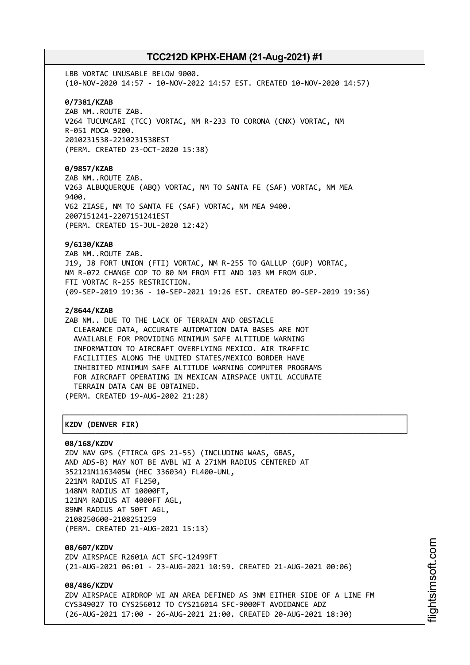LBB VORTAC UNUSABLE BELOW 9000. (10-NOV-2020 14:57 - 10-NOV-2022 14:57 EST. CREATED 10-NOV-2020 14:57) **0/7381/KZAB** ZAB NM..ROUTE ZAB. V264 TUCUMCARI (TCC) VORTAC, NM R-233 TO CORONA (CNX) VORTAC, NM R-051 MOCA 9200. 2010231538-2210231538EST (PERM. CREATED 23-OCT-2020 15:38) **0/9857/KZAB** ZAB NM..ROUTE ZAB. V263 ALBUQUERQUE (ABQ) VORTAC, NM TO SANTA FE (SAF) VORTAC, NM MEA 9400. V62 ZIASE, NM TO SANTA FE (SAF) VORTAC, NM MEA 9400. 2007151241-2207151241EST (PERM. CREATED 15-JUL-2020 12:42) **9/6130/KZAB** ZAB NM..ROUTE ZAB. J19, J8 FORT UNION (FTI) VORTAC, NM R-255 TO GALLUP (GUP) VORTAC, NM R-072 CHANGE COP TO 80 NM FROM FTI AND 103 NM FROM GUP. FTI VORTAC R-255 RESTRICTION. (09-SEP-2019 19:36 - 10-SEP-2021 19:26 EST. CREATED 09-SEP-2019 19:36) **2/8644/KZAB** ZAB NM.. DUE TO THE LACK OF TERRAIN AND OBSTACLE CLEARANCE DATA, ACCURATE AUTOMATION DATA BASES ARE NOT AVAILABLE FOR PROVIDING MINIMUM SAFE ALTITUDE WARNING INFORMATION TO AIRCRAFT OVERFLYING MEXICO. AIR TRAFFIC FACILITIES ALONG THE UNITED STATES/MEXICO BORDER HAVE INHIBITED MINIMUM SAFE ALTITUDE WARNING COMPUTER PROGRAMS FOR AIRCRAFT OPERATING IN MEXICAN AIRSPACE UNTIL ACCURATE TERRAIN DATA CAN BE OBTAINED. (PERM. CREATED 19-AUG-2002 21:28) ┌──────────────────────────────────────────────────────────────────────────────┐ │**KZDV (DENVER FIR)** │ └──────────────────────────────────────────────────────────────────────────────┘

# **08/168/KZDV**

ZDV NAV GPS (FTIRCA GPS 21-55) (INCLUDING WAAS, GBAS, AND ADS-B) MAY NOT BE AVBL WI A 271NM RADIUS CENTERED AT 352121N1163405W (HEC 336034) FL400-UNL, 221NM RADIUS AT FL250, 148NM RADIUS AT 10000FT, 121NM RADIUS AT 4000FT AGL, 89NM RADIUS AT 50FT AGL, 2108250600-2108251259 (PERM. CREATED 21-AUG-2021 15:13)

**08/607/KZDV** ZDV AIRSPACE R2601A ACT SFC-12499FT (21-AUG-2021 06:01 - 23-AUG-2021 10:59. CREATED 21-AUG-2021 00:06)

**08/486/KZDV** ZDV AIRSPACE AIRDROP WI AN AREA DEFINED AS 3NM EITHER SIDE OF A LINE FM CYS349027 TO CYS256012 TO CYS216014 SFC-9000FT AVOIDANCE ADZ (26-AUG-2021 17:00 - 26-AUG-2021 21:00. CREATED 20-AUG-2021 18:30)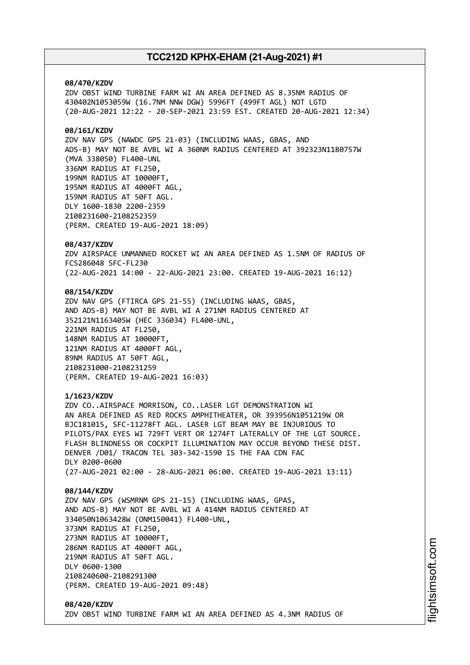### **08/470/KZDV**

ZDV OBST WIND TURBINE FARM WI AN AREA DEFINED AS 8.35NM RADIUS OF 430402N1053059W (16.7NM NNW DGW) 5996FT (499FT AGL) NOT LGTD (20-AUG-2021 12:22 - 20-SEP-2021 23:59 EST. CREATED 20-AUG-2021 12:34)

### **08/161/KZDV**

ZDV NAV GPS (NAWDC GPS 21-03) (INCLUDING WAAS, GBAS, AND ADS-B) MAY NOT BE AVBL WI A 360NM RADIUS CENTERED AT 392323N1180757W (MVA 338050) FL400-UNL 336NM RADIUS AT FL250, 199NM RADIUS AT 10000FT, 195NM RADIUS AT 4000FT AGL, 159NM RADIUS AT 50FT AGL. DLY 1600-1830 2200-2359 2108231600-2108252359 (PERM. CREATED 19-AUG-2021 18:09)

### **08/437/KZDV**

ZDV AIRSPACE UNMANNED ROCKET WI AN AREA DEFINED AS 1.5NM OF RADIUS OF FCS286048 SFC-FL230 (22-AUG-2021 14:00 - 22-AUG-2021 23:00. CREATED 19-AUG-2021 16:12)

### **08/154/KZDV**

ZDV NAV GPS (FTIRCA GPS 21-55) (INCLUDING WAAS, GBAS, AND ADS-B) MAY NOT BE AVBL WI A 271NM RADIUS CENTERED AT 352121N1163405W (HEC 336034) FL400-UNL, 221NM RADIUS AT FL250, 148NM RADIUS AT 10000FT, 121NM RADIUS AT 4000FT AGL, 89NM RADIUS AT 50FT AGL, 2108231000-2108231259 (PERM. CREATED 19-AUG-2021 16:03)

### **1/1623/KZDV**

ZDV CO..AIRSPACE MORRISON, CO..LASER LGT DEMONSTRATION WI AN AREA DEFINED AS RED ROCKS AMPHITHEATER, OR 393956N1051219W OR BJC181015, SFC-11278FT AGL. LASER LGT BEAM MAY BE INJURIOUS TO PILOTS/PAX EYES WI 729FT VERT OR 1274FT LATERALLY OF THE LGT SOURCE. FLASH BLINDNESS OR COCKPIT ILLUMINATION MAY OCCUR BEYOND THESE DIST. DENVER /D01/ TRACON TEL 303-342-1590 IS THE FAA CDN FAC DLY 0200-0600 (27-AUG-2021 02:00 - 28-AUG-2021 06:00. CREATED 19-AUG-2021 13:11)

### **08/144/KZDV**

ZDV NAV GPS (WSMRNM GPS 21-15) (INCLUDING WAAS, GPAS, AND ADS-B) MAY NOT BE AVBL WI A 414NM RADIUS CENTERED AT 334050N1063428W (ONM150041) FL400-UNL, 373NM RADIUS AT FL250, 273NM RADIUS AT 10000FT, 286NM RADIUS AT 4000FT AGL, 219NM RADIUS AT 50FT AGL. DLY 0600-1300 2108240600-2108291300 (PERM. CREATED 19-AUG-2021 09:48)

### **08/420/KZDV** ZDV OBST WIND TURBINE FARM WI AN AREA DEFINED AS 4.3NM RADIUS OF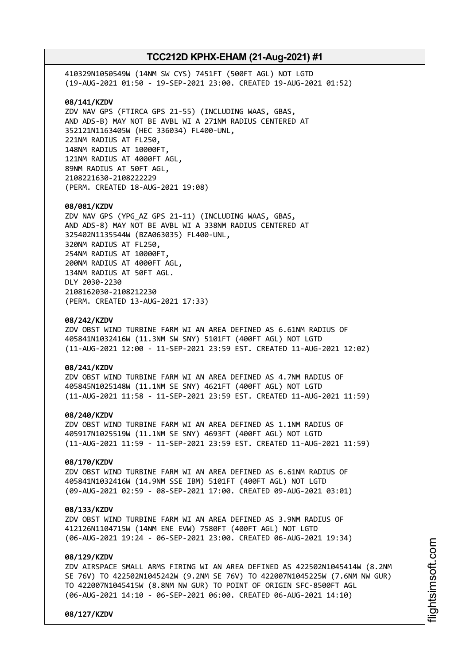410329N1050549W (14NM SW CYS) 7451FT (500FT AGL) NOT LGTD (19-AUG-2021 01:50 - 19-SEP-2021 23:00. CREATED 19-AUG-2021 01:52) **08/141/KZDV** ZDV NAV GPS (FTIRCA GPS 21-55) (INCLUDING WAAS, GBAS, AND ADS-B) MAY NOT BE AVBL WI A 271NM RADIUS CENTERED AT 352121N1163405W (HEC 336034) FL400-UNL, 221NM RADIUS AT FL250, 148NM RADIUS AT 10000FT, 121NM RADIUS AT 4000FT AGL, 89NM RADIUS AT 50FT AGL, 2108221630-2108222229 (PERM. CREATED 18-AUG-2021 19:08) **08/081/KZDV** ZDV NAV GPS (YPG\_AZ GPS 21-11) (INCLUDING WAAS, GBAS, AND ADS-8) MAY NOT BE AVBL WI A 338NM RADIUS CENTERED AT 325402N1135544W (BZA063035) FL400-UNL, 320NM RADIUS AT FL250, 254NM RADIUS AT 10000FT, 200NM RADIUS AT 4000FT AGL, 134NM RADIUS AT 50FT AGL. DLY 2030-2230 2108162030-2108212230 (PERM. CREATED 13-AUG-2021 17:33) **08/242/KZDV** ZDV OBST WIND TURBINE FARM WI AN AREA DEFINED AS 6.61NM RADIUS OF 405841N1032416W (11.3NM SW SNY) 5101FT (400FT AGL) NOT LGTD (11-AUG-2021 12:00 - 11-SEP-2021 23:59 EST. CREATED 11-AUG-2021 12:02) **08/241/KZDV** ZDV OBST WIND TURBINE FARM WI AN AREA DEFINED AS 4.7NM RADIUS OF 405845N1025148W (11.1NM SE SNY) 4621FT (400FT AGL) NOT LGTD (11-AUG-2021 11:58 - 11-SEP-2021 23:59 EST. CREATED 11-AUG-2021 11:59) **08/240/KZDV** ZDV OBST WIND TURBINE FARM WI AN AREA DEFINED AS 1.1NM RADIUS OF 405917N1025519W (11.1NM SE SNY) 4693FT (400FT AGL) NOT LGTD (11-AUG-2021 11:59 - 11-SEP-2021 23:59 EST. CREATED 11-AUG-2021 11:59)

### **08/170/KZDV**

ZDV OBST WIND TURBINE FARM WI AN AREA DEFINED AS 6.61NM RADIUS OF 405841N1032416W (14.9NM SSE IBM) 5101FT (400FT AGL) NOT LGTD (09-AUG-2021 02:59 - 08-SEP-2021 17:00. CREATED 09-AUG-2021 03:01)

### **08/133/KZDV**

ZDV OBST WIND TURBINE FARM WI AN AREA DEFINED AS 3.9NM RADIUS OF 412126N1104715W (14NM ENE EVW) 7580FT (400FT AGL) NOT LGTD (06-AUG-2021 19:24 - 06-SEP-2021 23:00. CREATED 06-AUG-2021 19:34)

### **08/129/KZDV**

ZDV AIRSPACE SMALL ARMS FIRING WI AN AREA DEFINED AS 422502N1045414W (8.2NM SE 76V) TO 422502N1045242W (9.2NM SE 76V) TO 422007N1045225W (7.6NM NW GUR) TO 422007N1045415W (8.8NM NW GUR) TO POINT OF ORIGIN SFC-8500FT AGL (06-AUG-2021 14:10 - 06-SEP-2021 06:00. CREATED 06-AUG-2021 14:10)

**08/127/KZDV**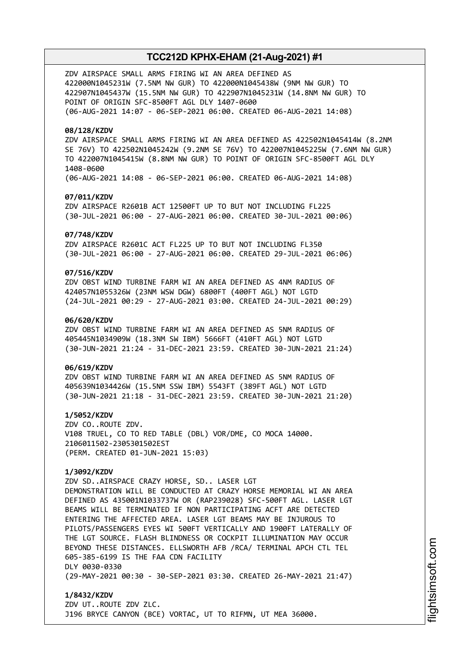ZDV AIRSPACE SMALL ARMS FIRING WI AN AREA DEFINED AS 422000N1045231W (7.5NM NW GUR) TO 422000N1045438W (9NM NW GUR) TO 422907N1045437W (15.5NM NW GUR) TO 422907N1045231W (14.8NM NW GUR) TO POINT OF ORIGIN SFC-8500FT AGL DLY 1407-0600 (06-AUG-2021 14:07 - 06-SEP-2021 06:00. CREATED 06-AUG-2021 14:08)

### **08/128/KZDV**

ZDV AIRSPACE SMALL ARMS FIRING WI AN AREA DEFINED AS 422502N1045414W (8.2NM SE 76V) TO 422502N1045242W (9.2NM SE 76V) TO 422007N1045225W (7.6NM NW GUR) TO 422007N1045415W (8.8NM NW GUR) TO POINT OF ORIGIN SFC-8500FT AGL DLY 1408-0600 (06-AUG-2021 14:08 - 06-SEP-2021 06:00. CREATED 06-AUG-2021 14:08)

### **07/011/KZDV**

ZDV AIRSPACE R2601B ACT 12500FT UP TO BUT NOT INCLUDING FL225 (30-JUL-2021 06:00 - 27-AUG-2021 06:00. CREATED 30-JUL-2021 00:06)

### **07/748/KZDV**

ZDV AIRSPACE R2601C ACT FL225 UP TO BUT NOT INCLUDING FL350 (30-JUL-2021 06:00 - 27-AUG-2021 06:00. CREATED 29-JUL-2021 06:06)

### **07/516/KZDV**

ZDV OBST WIND TURBINE FARM WI AN AREA DEFINED AS 4NM RADIUS OF 424057N1055326W (23NM WSW DGW) 6800FT (400FT AGL) NOT LGTD (24-JUL-2021 00:29 - 27-AUG-2021 03:00. CREATED 24-JUL-2021 00:29)

### **06/620/KZDV**

ZDV OBST WIND TURBINE FARM WI AN AREA DEFINED AS 5NM RADIUS OF 405445N1034909W (18.3NM SW IBM) 5666FT (410FT AGL) NOT LGTD (30-JUN-2021 21:24 - 31-DEC-2021 23:59. CREATED 30-JUN-2021 21:24)

### **06/619/KZDV**

ZDV OBST WIND TURBINE FARM WI AN AREA DEFINED AS 5NM RADIUS OF 405639N1034426W (15.5NM SSW IBM) 5543FT (389FT AGL) NOT LGTD (30-JUN-2021 21:18 - 31-DEC-2021 23:59. CREATED 30-JUN-2021 21:20)

**1/5052/KZDV** ZDV CO..ROUTE ZDV. V108 TRUEL, CO TO RED TABLE (DBL) VOR/DME, CO MOCA 14000. 2106011502-2305301502EST (PERM. CREATED 01-JUN-2021 15:03)

### **1/3092/KZDV**

ZDV SD..AIRSPACE CRAZY HORSE, SD.. LASER LGT DEMONSTRATION WILL BE CONDUCTED AT CRAZY HORSE MEMORIAL WI AN AREA DEFINED AS 435001N1033737W OR (RAP239028) SFC-500FT AGL. LASER LGT BEAMS WILL BE TERMINATED IF NON PARTICIPATING ACFT ARE DETECTED ENTERING THE AFFECTED AREA. LASER LGT BEAMS MAY BE INJUROUS TO PILOTS/PASSENGERS EYES WI 500FT VERTICALLY AND 1900FT LATERALLY OF THE LGT SOURCE. FLASH BLINDNESS OR COCKPIT ILLUMINATION MAY OCCUR BEYOND THESE DISTANCES. ELLSWORTH AFB /RCA/ TERMINAL APCH CTL TEL 605-385-6199 IS THE FAA CDN FACILITY DLY 0030-0330 (29-MAY-2021 00:30 - 30-SEP-2021 03:30. CREATED 26-MAY-2021 21:47)

**1/8432/KZDV** ZDV UT..ROUTE ZDV ZLC. J196 BRYCE CANYON (BCE) VORTAC, UT TO RIFMN, UT MEA 36000.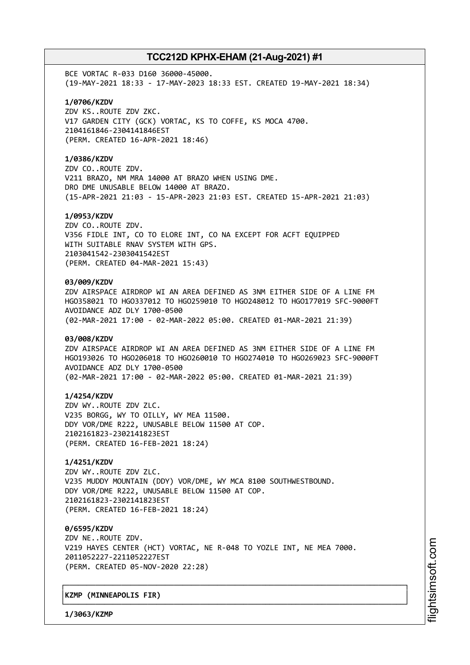BCE VORTAC R-033 D160 36000-45000. (19-MAY-2021 18:33 - 17-MAY-2023 18:33 EST. CREATED 19-MAY-2021 18:34)

**1/0706/KZDV** ZDV KS..ROUTE ZDV ZKC.

V17 GARDEN CITY (GCK) VORTAC, KS TO COFFE, KS MOCA 4700. 2104161846-2304141846EST (PERM. CREATED 16-APR-2021 18:46)

### **1/0386/KZDV**

ZDV CO..ROUTE ZDV. V211 BRAZO, NM MRA 14000 AT BRAZO WHEN USING DME. DRO DME UNUSABLE BELOW 14000 AT BRAZO. (15-APR-2021 21:03 - 15-APR-2023 21:03 EST. CREATED 15-APR-2021 21:03)

### **1/0953/KZDV**

ZDV CO..ROUTE ZDV. V356 FIDLE INT, CO TO ELORE INT, CO NA EXCEPT FOR ACFT EQUIPPED WITH SUITABLE RNAV SYSTEM WITH GPS. 2103041542-2303041542EST (PERM. CREATED 04-MAR-2021 15:43)

### **03/009/KZDV**

ZDV AIRSPACE AIRDROP WI AN AREA DEFINED AS 3NM EITHER SIDE OF A LINE FM HGO358021 TO HGO337012 TO HGO259010 TO HGO248012 TO HGO177019 SFC-9000FT AVOIDANCE ADZ DLY 1700-0500 (02-MAR-2021 17:00 - 02-MAR-2022 05:00. CREATED 01-MAR-2021 21:39)

### **03/008/KZDV**

ZDV AIRSPACE AIRDROP WI AN AREA DEFINED AS 3NM EITHER SIDE OF A LINE FM HGO193026 TO HGO206018 TO HGO260010 TO HGO274010 TO HGO269023 SFC-9000FT AVOIDANCE ADZ DLY 1700-0500 (02-MAR-2021 17:00 - 02-MAR-2022 05:00. CREATED 01-MAR-2021 21:39)

### **1/4254/KZDV**

ZDV WY..ROUTE ZDV ZLC. V235 BORGG, WY TO OILLY, WY MEA 11500. DDY VOR/DME R222, UNUSABLE BELOW 11500 AT COP. 2102161823-2302141823EST (PERM. CREATED 16-FEB-2021 18:24)

### **1/4251/KZDV**

ZDV WY..ROUTE ZDV ZLC. V235 MUDDY MOUNTAIN (DDY) VOR/DME, WY MCA 8100 SOUTHWESTBOUND. DDY VOR/DME R222, UNUSABLE BELOW 11500 AT COP. 2102161823-2302141823EST (PERM. CREATED 16-FEB-2021 18:24)

**0/6595/KZDV** ZDV NE..ROUTE ZDV. V219 HAYES CENTER (HCT) VORTAC, NE R-048 TO YOZLE INT, NE MEA 7000. 2011052227-2211052227EST (PERM. CREATED 05-NOV-2020 22:28)

┌──────────────────────────────────────────────────────────────────────────────┐

└──────────────────────────────────────────────────────────────────────────────┘

### │**KZMP (MINNEAPOLIS FIR)** │

**1/3063/KZMP**

m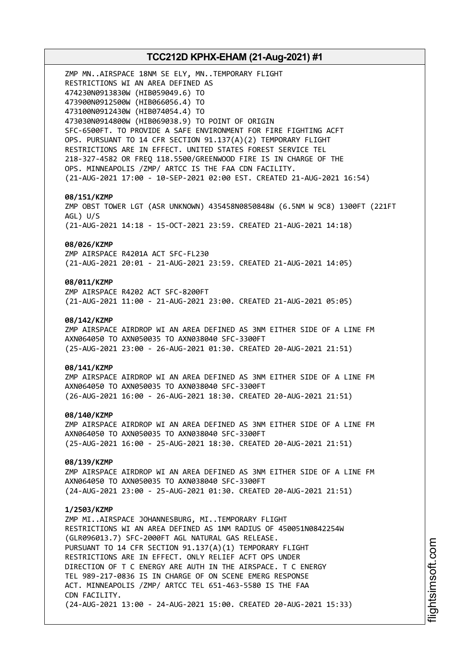# **TCC212D KPHX-EHAM (21-Aug-2021) #1** ZMP MN..AIRSPACE 18NM SE ELY, MN..TEMPORARY FLIGHT RESTRICTIONS WI AN AREA DEFINED AS 474230N0913830W (HIB059049.6) TO 473900N0912500W (HIB066056.4) TO 473100N0912430W (HIB074054.4) TO 473030N0914800W (HIB069038.9) TO POINT OF ORIGIN SFC-6500FT. TO PROVIDE A SAFE ENVIRONMENT FOR FIRE FIGHTING ACFT OPS. PURSUANT TO 14 CFR SECTION 91.137(A)(2) TEMPORARY FLIGHT RESTRICTIONS ARE IN EFFECT. UNITED STATES FOREST SERVICE TEL 218-327-4582 OR FREQ 118.5500/GREENWOOD FIRE IS IN CHARGE OF THE OPS. MINNEAPOLIS /ZMP/ ARTCC IS THE FAA CDN FACILITY. (21-AUG-2021 17:00 - 10-SEP-2021 02:00 EST. CREATED 21-AUG-2021 16:54) **08/151/KZMP** ZMP OBST TOWER LGT (ASR UNKNOWN) 435458N0850848W (6.5NM W 9C8) 1300FT (221FT AGL) U/S (21-AUG-2021 14:18 - 15-OCT-2021 23:59. CREATED 21-AUG-2021 14:18) **08/026/KZMP** ZMP AIRSPACE R4201A ACT SFC-FL230 (21-AUG-2021 20:01 - 21-AUG-2021 23:59. CREATED 21-AUG-2021 14:05) **08/011/KZMP** ZMP AIRSPACE R4202 ACT SFC-8200FT (21-AUG-2021 11:00 - 21-AUG-2021 23:00. CREATED 21-AUG-2021 05:05) **08/142/KZMP** ZMP AIRSPACE AIRDROP WI AN AREA DEFINED AS 3NM EITHER SIDE OF A LINE FM AXN064050 TO AXN050035 TO AXN038040 SFC-3300FT (25-AUG-2021 23:00 - 26-AUG-2021 01:30. CREATED 20-AUG-2021 21:51) **08/141/KZMP** ZMP AIRSPACE AIRDROP WI AN AREA DEFINED AS 3NM EITHER SIDE OF A LINE FM AXN064050 TO AXN050035 TO AXN038040 SFC-3300FT (26-AUG-2021 16:00 - 26-AUG-2021 18:30. CREATED 20-AUG-2021 21:51) **08/140/KZMP** ZMP AIRSPACE AIRDROP WI AN AREA DEFINED AS 3NM EITHER SIDE OF A LINE FM AXN064050 TO AXN050035 TO AXN038040 SFC-3300FT (25-AUG-2021 16:00 - 25-AUG-2021 18:30. CREATED 20-AUG-2021 21:51) **08/139/KZMP** ZMP AIRSPACE AIRDROP WI AN AREA DEFINED AS 3NM EITHER SIDE OF A LINE FM AXN064050 TO AXN050035 TO AXN038040 SFC-3300FT (24-AUG-2021 23:00 - 25-AUG-2021 01:30. CREATED 20-AUG-2021 21:51) **1/2503/KZMP** ZMP MI..AIRSPACE JOHANNESBURG, MI..TEMPORARY FLIGHT RESTRICTIONS WI AN AREA DEFINED AS 1NM RADIUS OF 450051N0842254W (GLR096013.7) SFC-2000FT AGL NATURAL GAS RELEASE. PURSUANT TO 14 CFR SECTION 91.137(A)(1) TEMPORARY FLIGHT RESTRICTIONS ARE IN EFFECT. ONLY RELIEF ACFT OPS UNDER DIRECTION OF T C ENERGY ARE AUTH IN THE AIRSPACE. T C ENERGY TEL 989-217-0836 IS IN CHARGE OF ON SCENE EMERG RESPONSE ACT. MINNEAPOLIS /ZMP/ ARTCC TEL 651-463-5580 IS THE FAA CDN FACILITY. (24-AUG-2021 13:00 - 24-AUG-2021 15:00. CREATED 20-AUG-2021 15:33)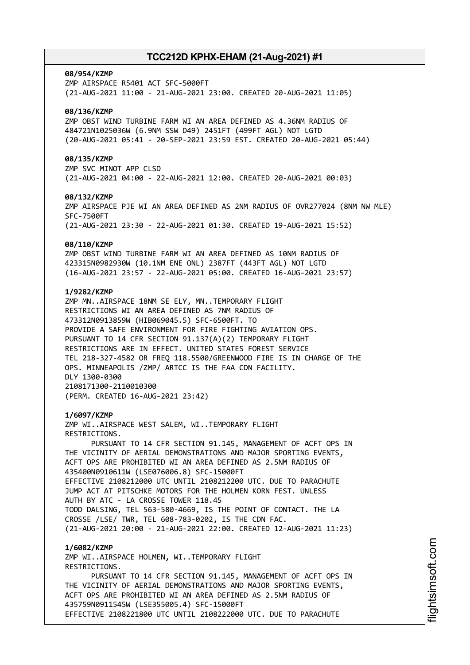### **08/954/KZMP**

ZMP AIRSPACE R5401 ACT SFC-5000FT (21-AUG-2021 11:00 - 21-AUG-2021 23:00. CREATED 20-AUG-2021 11:05)

### **08/136/KZMP**

ZMP OBST WIND TURBINE FARM WI AN AREA DEFINED AS 4.36NM RADIUS OF 484721N1025036W (6.9NM SSW D49) 2451FT (499FT AGL) NOT LGTD (20-AUG-2021 05:41 - 20-SEP-2021 23:59 EST. CREATED 20-AUG-2021 05:44)

### **08/135/KZMP**

ZMP SVC MINOT APP CLSD (21-AUG-2021 04:00 - 22-AUG-2021 12:00. CREATED 20-AUG-2021 00:03)

### **08/132/KZMP**

ZMP AIRSPACE PJE WI AN AREA DEFINED AS 2NM RADIUS OF OVR277024 (8NM NW MLE) SFC-7500FT (21-AUG-2021 23:30 - 22-AUG-2021 01:30. CREATED 19-AUG-2021 15:52)

#### **08/110/KZMP**

ZMP OBST WIND TURBINE FARM WI AN AREA DEFINED AS 10NM RADIUS OF 423315N0982930W (10.1NM ENE ONL) 2387FT (443FT AGL) NOT LGTD (16-AUG-2021 23:57 - 22-AUG-2021 05:00. CREATED 16-AUG-2021 23:57)

### **1/9282/KZMP**

ZMP MN..AIRSPACE 18NM SE ELY, MN..TEMPORARY FLIGHT RESTRICTIONS WI AN AREA DEFINED AS 7NM RADIUS OF 473312N0913859W (HIB069045.5) SFC-6500FT. TO PROVIDE A SAFE ENVIRONMENT FOR FIRE FIGHTING AVIATION OPS. PURSUANT TO 14 CFR SECTION 91.137(A)(2) TEMPORARY FLIGHT RESTRICTIONS ARE IN EFFECT. UNITED STATES FOREST SERVICE TEL 218-327-4582 OR FREQ 118.5500/GREENWOOD FIRE IS IN CHARGE OF THE OPS. MINNEAPOLIS /ZMP/ ARTCC IS THE FAA CDN FACILITY. DLY 1300-0300 2108171300-2110010300 (PERM. CREATED 16-AUG-2021 23:42)

### **1/6097/KZMP**

ZMP WI..AIRSPACE WEST SALEM, WI..TEMPORARY FLIGHT RESTRICTIONS.

PURSUANT TO 14 CFR SECTION 91.145, MANAGEMENT OF ACFT OPS IN THE VICINITY OF AERIAL DEMONSTRATIONS AND MAJOR SPORTING EVENTS, ACFT OPS ARE PROHIBITED WI AN AREA DEFINED AS 2.5NM RADIUS OF 435400N0910611W (LSE076006.8) SFC-15000FT EFFECTIVE 2108212000 UTC UNTIL 2108212200 UTC. DUE TO PARACHUTE JUMP ACT AT PITSCHKE MOTORS FOR THE HOLMEN KORN FEST. UNLESS AUTH BY ATC - LA CROSSE TOWER 118.45 TODD DALSING, TEL 563-580-4669, IS THE POINT OF CONTACT. THE LA CROSSE /LSE/ TWR, TEL 608-783-0202, IS THE CDN FAC. (21-AUG-2021 20:00 - 21-AUG-2021 22:00. CREATED 12-AUG-2021 11:23)

### **1/6082/KZMP**

ZMP WI..AIRSPACE HOLMEN, WI..TEMPORARY FLIGHT RESTRICTIONS. PURSUANT TO 14 CFR SECTION 91.145, MANAGEMENT OF ACFT OPS IN THE VICINITY OF AERIAL DEMONSTRATIONS AND MAJOR SPORTING EVENTS, ACFT OPS ARE PROHIBITED WI AN AREA DEFINED AS 2.5NM RADIUS OF 435759N0911545W (LSE355005.4) SFC-15000FT EFFECTIVE 2108221800 UTC UNTIL 2108222000 UTC. DUE TO PARACHUTE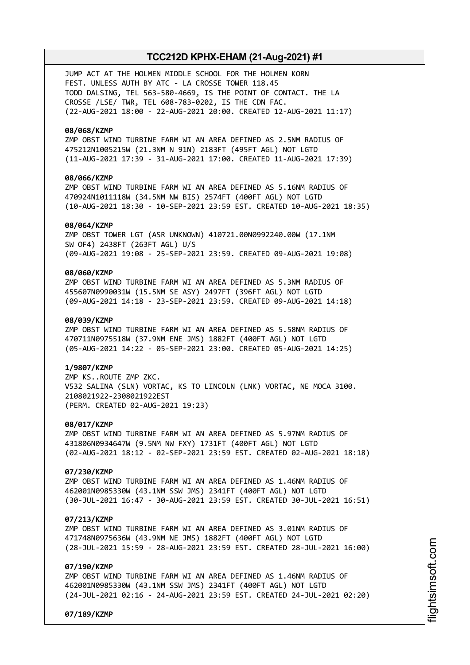JUMP ACT AT THE HOLMEN MIDDLE SCHOOL FOR THE HOLMEN KORN FEST. UNLESS AUTH BY ATC - LA CROSSE TOWER 118.45 TODD DALSING, TEL 563-580-4669, IS THE POINT OF CONTACT. THE LA CROSSE /LSE/ TWR, TEL 608-783-0202, IS THE CDN FAC. (22-AUG-2021 18:00 - 22-AUG-2021 20:00. CREATED 12-AUG-2021 11:17)

### **08/068/KZMP**

ZMP OBST WIND TURBINE FARM WI AN AREA DEFINED AS 2.5NM RADIUS OF 475212N1005215W (21.3NM N 91N) 2183FT (495FT AGL) NOT LGTD (11-AUG-2021 17:39 - 31-AUG-2021 17:00. CREATED 11-AUG-2021 17:39)

### **08/066/KZMP**

ZMP OBST WIND TURBINE FARM WI AN AREA DEFINED AS 5.16NM RADIUS OF 470924N1011118W (34.5NM NW BIS) 2574FT (400FT AGL) NOT LGTD (10-AUG-2021 18:30 - 10-SEP-2021 23:59 EST. CREATED 10-AUG-2021 18:35)

### **08/064/KZMP**

ZMP OBST TOWER LGT (ASR UNKNOWN) 410721.00N0992240.00W (17.1NM SW OF4) 2438FT (263FT AGL) U/S (09-AUG-2021 19:08 - 25-SEP-2021 23:59. CREATED 09-AUG-2021 19:08)

### **08/060/KZMP**

ZMP OBST WIND TURBINE FARM WI AN AREA DEFINED AS 5.3NM RADIUS OF 455607N0990031W (15.5NM SE ASY) 2497FT (396FT AGL) NOT LGTD (09-AUG-2021 14:18 - 23-SEP-2021 23:59. CREATED 09-AUG-2021 14:18)

### **08/039/KZMP**

ZMP OBST WIND TURBINE FARM WI AN AREA DEFINED AS 5.58NM RADIUS OF 470711N0975518W (37.9NM ENE JMS) 1882FT (400FT AGL) NOT LGTD (05-AUG-2021 14:22 - 05-SEP-2021 23:00. CREATED 05-AUG-2021 14:25)

#### **1/9807/KZMP**

ZMP KS..ROUTE ZMP ZKC. V532 SALINA (SLN) VORTAC, KS TO LINCOLN (LNK) VORTAC, NE MOCA 3100. 2108021922-2308021922EST (PERM. CREATED 02-AUG-2021 19:23)

### **08/017/KZMP**

ZMP OBST WIND TURBINE FARM WI AN AREA DEFINED AS 5.97NM RADIUS OF 431806N0934647W (9.5NM NW FXY) 1731FT (400FT AGL) NOT LGTD (02-AUG-2021 18:12 - 02-SEP-2021 23:59 EST. CREATED 02-AUG-2021 18:18)

#### **07/230/KZMP**

ZMP OBST WIND TURBINE FARM WI AN AREA DEFINED AS 1.46NM RADIUS OF 462001N0985330W (43.1NM SSW JMS) 2341FT (400FT AGL) NOT LGTD (30-JUL-2021 16:47 - 30-AUG-2021 23:59 EST. CREATED 30-JUL-2021 16:51)

### **07/213/KZMP**

ZMP OBST WIND TURBINE FARM WI AN AREA DEFINED AS 3.01NM RADIUS OF 471748N0975636W (43.9NM NE JMS) 1882FT (400FT AGL) NOT LGTD (28-JUL-2021 15:59 - 28-AUG-2021 23:59 EST. CREATED 28-JUL-2021 16:00)

#### **07/190/KZMP**

ZMP OBST WIND TURBINE FARM WI AN AREA DEFINED AS 1.46NM RADIUS OF 462001N0985330W (43.1NM SSW JMS) 2341FT (400FT AGL) NOT LGTD (24-JUL-2021 02:16 - 24-AUG-2021 23:59 EST. CREATED 24-JUL-2021 02:20)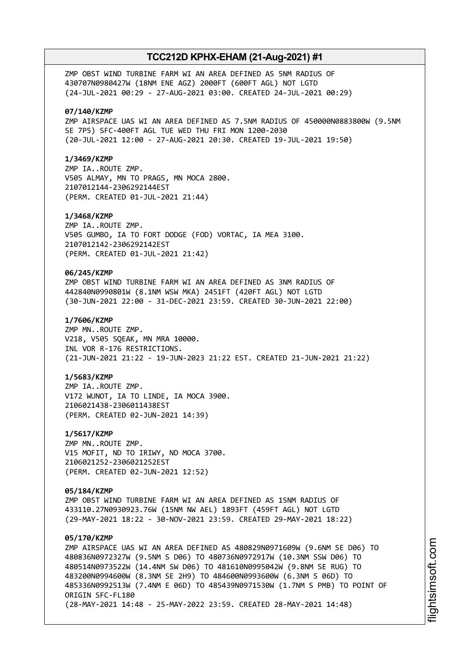ZMP OBST WIND TURBINE FARM WI AN AREA DEFINED AS 5NM RADIUS OF 430707N0980427W (18NM ENE AGZ) 2000FT (600FT AGL) NOT LGTD (24-JUL-2021 00:29 - 27-AUG-2021 03:00. CREATED 24-JUL-2021 00:29)

### **07/140/KZMP**

ZMP AIRSPACE UAS WI AN AREA DEFINED AS 7.5NM RADIUS OF 450000N0883800W (9.5NM SE 7P5) SFC-400FT AGL TUE WED THU FRI MON 1200-2030 (20-JUL-2021 12:00 - 27-AUG-2021 20:30. CREATED 19-JUL-2021 19:50)

### **1/3469/KZMP**

ZMP IA..ROUTE ZMP. V505 ALMAY, MN TO PRAGS, MN MOCA 2800. 2107012144-2306292144EST (PERM. CREATED 01-JUL-2021 21:44)

### **1/3468/KZMP**

ZMP IA..ROUTE ZMP. V505 GUMBO, IA TO FORT DODGE (FOD) VORTAC, IA MEA 3100. 2107012142-2306292142EST (PERM. CREATED 01-JUL-2021 21:42)

### **06/245/KZMP**

ZMP OBST WIND TURBINE FARM WI AN AREA DEFINED AS 3NM RADIUS OF 442840N0990801W (8.1NM WSW MKA) 2451FT (420FT AGL) NOT LGTD (30-JUN-2021 22:00 - 31-DEC-2021 23:59. CREATED 30-JUN-2021 22:00)

### **1/7606/KZMP**

ZMP MN..ROUTE ZMP. V218, V505 SQEAK, MN MRA 10000. INL VOR R-176 RESTRICTIONS. (21-JUN-2021 21:22 - 19-JUN-2023 21:22 EST. CREATED 21-JUN-2021 21:22)

### **1/5683/KZMP**

ZMP IA..ROUTE ZMP. V172 WUNOT, IA TO LINDE, IA MOCA 3900. 2106021438-2306011438EST (PERM. CREATED 02-JUN-2021 14:39)

#### **1/5617/KZMP**

ZMP MN..ROUTE ZMP. V15 MOFIT, ND TO IRIWY, ND MOCA 3700. 2106021252-2306021252EST (PERM. CREATED 02-JUN-2021 12:52)

### **05/184/KZMP**

ZMP OBST WIND TURBINE FARM WI AN AREA DEFINED AS 15NM RADIUS OF 433110.27N0930923.76W (15NM NW AEL) 1893FT (459FT AGL) NOT LGTD (29-MAY-2021 18:22 - 30-NOV-2021 23:59. CREATED 29-MAY-2021 18:22)

### **05/170/KZMP**

ZMP AIRSPACE UAS WI AN AREA DEFINED AS 480829N0971609W (9.6NM SE D06) TO 480836N0972327W (9.5NM S D06) TO 480736N0972917W (10.3NM SSW D06) TO 480514N0973522W (14.4NM SW D06) TO 481610N0995042W (9.8NM SE RUG) TO 483200N0994600W (8.3NM SE 2H9) TO 484600N0993600W (6.3NM S 06D) TO 485336N0992513W (7.4NM E 06D) TO 485439N0971530W (1.7NM S PMB) TO POINT OF ORIGIN SFC-FL180 (28-MAY-2021 14:48 - 25-MAY-2022 23:59. CREATED 28-MAY-2021 14:48)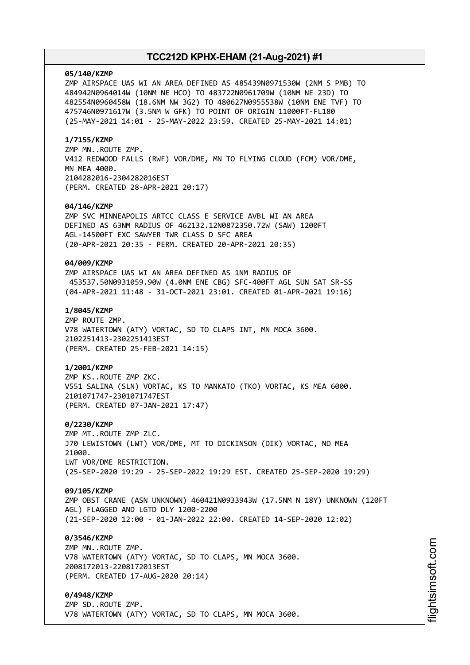#### **05/140/KZMP**

ZMP AIRSPACE UAS WI AN AREA DEFINED AS 485439N0971530W (2NM S PMB) TO 484942N0964014W (10NM NE HCO) TO 483722N0961709W (10NM NE 23D) TO 482554N0960458W (18.6NM NW 3G2) TO 480627N0955538W (10NM ENE TVF) TO 475746N0971617W (3.5NM W GFK) TO POINT OF ORIGIN 11000FT-FL180 (25-MAY-2021 14:01 - 25-MAY-2022 23:59. CREATED 25-MAY-2021 14:01)

### **1/7155/KZMP**

ZMP MN..ROUTE ZMP. V412 REDWOOD FALLS (RWF) VOR/DME, MN TO FLYING CLOUD (FCM) VOR/DME, MN MEA 4000. 2104282016-2304282016EST (PERM. CREATED 28-APR-2021 20:17)

### **04/146/KZMP**

ZMP SVC MINNEAPOLIS ARTCC CLASS E SERVICE AVBL WI AN AREA DEFINED AS 63NM RADIUS OF 462132.12N0872350.72W (SAW) 1200FT AGL-14500FT EXC SAWYER TWR CLASS D SFC AREA (20-APR-2021 20:35 - PERM. CREATED 20-APR-2021 20:35)

### **04/009/KZMP**

ZMP AIRSPACE UAS WI AN AREA DEFINED AS 1NM RADIUS OF 453537.50N0931059.90W (4.0NM ENE CBG) SFC-400FT AGL SUN SAT SR-SS (04-APR-2021 11:48 - 31-OCT-2021 23:01. CREATED 01-APR-2021 19:16)

### **1/8045/KZMP**

ZMP ROUTE ZMP. V78 WATERTOWN (ATY) VORTAC, SD TO CLAPS INT, MN MOCA 3600. 2102251413-2302251413EST (PERM. CREATED 25-FEB-2021 14:15)

### **1/2001/KZMP**

ZMP KS..ROUTE ZMP ZKC. V551 SALINA (SLN) VORTAC, KS TO MANKATO (TKO) VORTAC, KS MEA 6000. 2101071747-2301071747EST (PERM. CREATED 07-JAN-2021 17:47)

#### **0/2230/KZMP**

ZMP MT..ROUTE ZMP ZLC. J70 LEWISTOWN (LWT) VOR/DME, MT TO DICKINSON (DIK) VORTAC, ND MEA 21000. LWT VOR/DME RESTRICTION. (25-SEP-2020 19:29 - 25-SEP-2022 19:29 EST. CREATED 25-SEP-2020 19:29)

#### **09/105/KZMP**

ZMP OBST CRANE (ASN UNKNOWN) 460421N0933943W (17.5NM N 18Y) UNKNOWN (120FT AGL) FLAGGED AND LGTD DLY 1200-2200 (21-SEP-2020 12:00 - 01-JAN-2022 22:00. CREATED 14-SEP-2020 12:02)

### **0/3546/KZMP**

ZMP MN..ROUTE ZMP. V78 WATERTOWN (ATY) VORTAC, SD TO CLAPS, MN MOCA 3600. 2008172013-2208172013EST (PERM. CREATED 17-AUG-2020 20:14)

### **0/4948/KZMP**

ZMP SD..ROUTE ZMP. V78 WATERTOWN (ATY) VORTAC, SD TO CLAPS, MN MOCA 3600.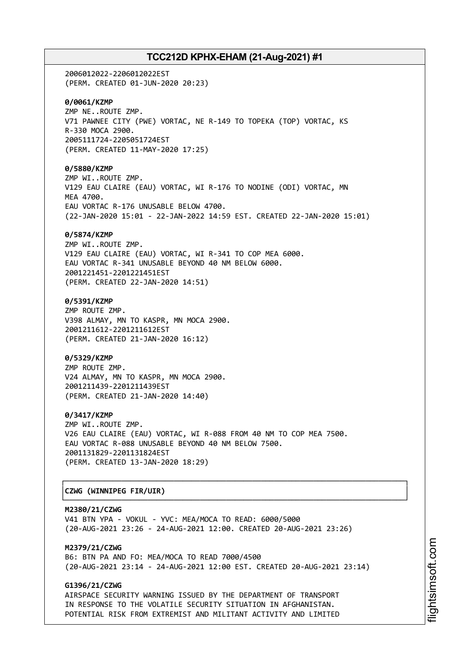2006012022-2206012022EST (PERM. CREATED 01-JUN-2020 20:23) **0/0061/KZMP** ZMP NE..ROUTE ZMP. V71 PAWNEE CITY (PWE) VORTAC, NE R-149 TO TOPEKA (TOP) VORTAC, KS R-330 MOCA 2900. 2005111724-2205051724EST (PERM. CREATED 11-MAY-2020 17:25) **0/5880/KZMP** ZMP WI..ROUTE ZMP. V129 EAU CLAIRE (EAU) VORTAC, WI R-176 TO NODINE (ODI) VORTAC, MN MEA 4700. EAU VORTAC R-176 UNUSABLE BELOW 4700. (22-JAN-2020 15:01 - 22-JAN-2022 14:59 EST. CREATED 22-JAN-2020 15:01) **0/5874/KZMP** ZMP WI..ROUTE ZMP. V129 EAU CLAIRE (EAU) VORTAC, WI R-341 TO COP MEA 6000. EAU VORTAC R-341 UNUSABLE BEYOND 40 NM BELOW 6000. 2001221451-2201221451EST (PERM. CREATED 22-JAN-2020 14:51) **0/5391/KZMP** ZMP ROUTE ZMP. V398 ALMAY, MN TO KASPR, MN MOCA 2900. 2001211612-2201211612EST (PERM. CREATED 21-JAN-2020 16:12) **0/5329/KZMP** ZMP ROUTE ZMP. V24 ALMAY, MN TO KASPR, MN MOCA 2900. 2001211439-2201211439EST (PERM. CREATED 21-JAN-2020 14:40) **0/3417/KZMP** ZMP WI..ROUTE ZMP. V26 EAU CLAIRE (EAU) VORTAC, WI R-088 FROM 40 NM TO COP MEA 7500. EAU VORTAC R-088 UNUSABLE BEYOND 40 NM BELOW 7500. 2001131829-2201131824EST (PERM. CREATED 13-JAN-2020 18:29) ┌──────────────────────────────────────────────────────────────────────────────┐

# │**CZWG (WINNIPEG FIR/UIR)** │

**M2380/21/CZWG** V41 BTN YPA - VOKUL - YVC: MEA/MOCA TO READ: 6000/5000 (20-AUG-2021 23:26 - 24-AUG-2021 12:00. CREATED 20-AUG-2021 23:26)

└──────────────────────────────────────────────────────────────────────────────┘

**M2379/21/CZWG** B6: BTN PA AND FO: MEA/MOCA TO READ 7000/4500 (20-AUG-2021 23:14 - 24-AUG-2021 12:00 EST. CREATED 20-AUG-2021 23:14)

### **G1396/21/CZWG**

AIRSPACE SECURITY WARNING ISSUED BY THE DEPARTMENT OF TRANSPORT IN RESPONSE TO THE VOLATILE SECURITY SITUATION IN AFGHANISTAN. POTENTIAL RISK FROM EXTREMIST AND MILITANT ACTIVITY AND LIMITED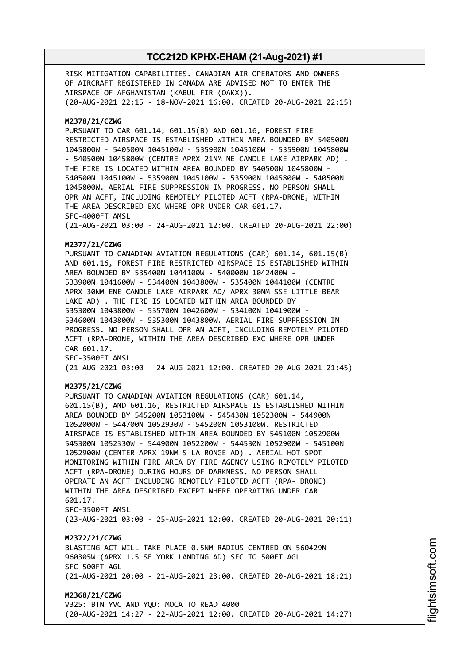RISK MITIGATION CAPABILITIES. CANADIAN AIR OPERATORS AND OWNERS OF AIRCRAFT REGISTERED IN CANADA ARE ADVISED NOT TO ENTER THE AIRSPACE OF AFGHANISTAN (KABUL FIR (OAKX)). (20-AUG-2021 22:15 - 18-NOV-2021 16:00. CREATED 20-AUG-2021 22:15) **M2378/21/CZWG** PURSUANT TO CAR 601.14, 601.15(B) AND 601.16, FOREST FIRE RESTRICTED AIRSPACE IS ESTABLISHED WITHIN AREA BOUNDED BY 540500N 1045800W - 540500N 1045100W - 535900N 1045100W - 535900N 1045800W - 540500N 1045800W (CENTRE APRX 21NM NE CANDLE LAKE AIRPARK AD) . THE FIRE IS LOCATED WITHIN AREA BOUNDED BY 540500N 1045800W - 540500N 1045100W - 535900N 1045100W - 535900N 1045800W - 540500N 1045800W. AERIAL FIRE SUPPRESSION IN PROGRESS. NO PERSON SHALL OPR AN ACFT, INCLUDING REMOTELY PILOTED ACFT (RPA-DRONE, WITHIN THE AREA DESCRIBED EXC WHERE OPR UNDER CAR 601.17. SFC-4000FT AMSL (21-AUG-2021 03:00 - 24-AUG-2021 12:00. CREATED 20-AUG-2021 22:00) **M2377/21/CZWG** PURSUANT TO CANADIAN AVIATION REGULATIONS (CAR) 601.14, 601.15(B) AND 601.16, FOREST FIRE RESTRICTED AIRSPACE IS ESTABLISHED WITHIN AREA BOUNDED BY 535400N 1044100W - 540000N 1042400W - 533900N 1041600W - 534400N 1043800W - 535400N 1044100W (CENTRE APRX 30NM ENE CANDLE LAKE AIRPARK AD/ APRX 30NM SSE LITTLE BEAR LAKE AD) . THE FIRE IS LOCATED WITHIN AREA BOUNDED BY 535300N 1043800W - 535700N 1042600W - 534100N 1041900W - 534600N 1043800W - 535300N 1043800W. AERIAL FIRE SUPPRESSION IN PROGRESS. NO PERSON SHALL OPR AN ACFT, INCLUDING REMOTELY PILOTED ACFT (RPA-DRONE, WITHIN THE AREA DESCRIBED EXC WHERE OPR UNDER CAR 601.17. SFC-3500FT AMSL (21-AUG-2021 03:00 - 24-AUG-2021 12:00. CREATED 20-AUG-2021 21:45) **M2375/21/CZWG** PURSUANT TO CANADIAN AVIATION REGULATIONS (CAR) 601.14, 601.15(B), AND 601.16, RESTRICTED AIRSPACE IS ESTABLISHED WITHIN AREA BOUNDED BY 545200N 1053100W - 545430N 1052300W - 544900N 1052000W - 544700N 1052930W - 545200N 1053100W. RESTRICTED AIRSPACE IS ESTABLISHED WITHIN AREA BOUNDED BY 545100N 1052900W - 545300N 1052330W - 544900N 1052200W - 544530N 1052900W - 545100N 1052900W (CENTER APRX 19NM S LA RONGE AD) . AERIAL HOT SPOT MONITORING WITHIN FIRE AREA BY FIRE AGENCY USING REMOTELY PILOTED ACFT (RPA-DRONE) DURING HOURS OF DARKNESS. NO PERSON SHALL OPERATE AN ACFT INCLUDING REMOTELY PILOTED ACFT (RPA- DRONE) WITHIN THE AREA DESCRIBED EXCEPT WHERE OPERATING UNDER CAR 601.17. SFC-3500FT AMSL (23-AUG-2021 03:00 - 25-AUG-2021 12:00. CREATED 20-AUG-2021 20:11) **M2372/21/CZWG** BLASTING ACT WILL TAKE PLACE 0.5NM RADIUS CENTRED ON 560429N 960305W (APRX 1.5 SE YORK LANDING AD) SFC TO 500FT AGL SFC-500FT AGL (21-AUG-2021 20:00 - 21-AUG-2021 23:00. CREATED 20-AUG-2021 18:21) **M2368/21/CZWG** V325: BTN YVC AND YQD: MOCA TO READ 4000 (20-AUG-2021 14:27 - 22-AUG-2021 12:00. CREATED 20-AUG-2021 14:27)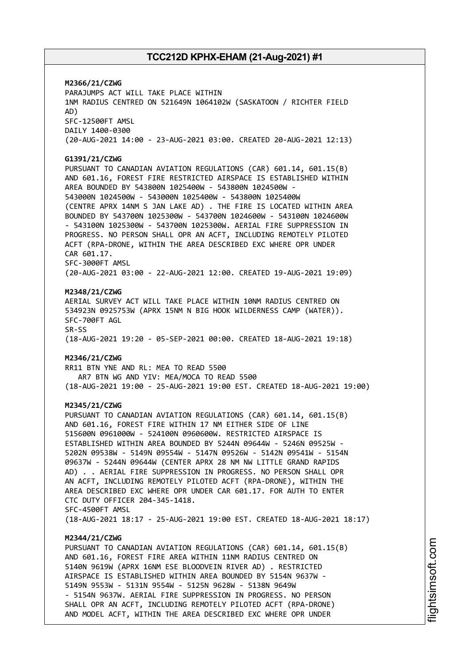**M2366/21/CZWG** PARAJUMPS ACT WILL TAKE PLACE WITHIN 1NM RADIUS CENTRED ON 521649N 1064102W (SASKATOON / RICHTER FIELD AD) SFC-12500FT AMSL DAILY 1400-0300 (20-AUG-2021 14:00 - 23-AUG-2021 03:00. CREATED 20-AUG-2021 12:13) **G1391/21/CZWG** PURSUANT TO CANADIAN AVIATION REGULATIONS (CAR) 601.14, 601.15(B) AND 601.16, FOREST FIRE RESTRICTED AIRSPACE IS ESTABLISHED WITHIN AREA BOUNDED BY 543800N 1025400W - 543800N 1024500W - 543000N 1024500W - 543000N 1025400W - 543800N 1025400W (CENTRE APRX 14NM S JAN LAKE AD) . THE FIRE IS LOCATED WITHIN AREA BOUNDED BY 543700N 1025300W - 543700N 1024600W - 543100N 1024600W - 543100N 1025300W - 543700N 1025300W. AERIAL FIRE SUPPRESSION IN PROGRESS. NO PERSON SHALL OPR AN ACFT, INCLUDING REMOTELY PILOTED ACFT (RPA-DRONE, WITHIN THE AREA DESCRIBED EXC WHERE OPR UNDER CAR 601.17. SFC-3000FT AMSL (20-AUG-2021 03:00 - 22-AUG-2021 12:00. CREATED 19-AUG-2021 19:09) **M2348/21/CZWG** AERIAL SURVEY ACT WILL TAKE PLACE WITHIN 10NM RADIUS CENTRED ON 534923N 0925753W (APRX 15NM N BIG HOOK WILDERNESS CAMP (WATER)). SFC-700FT AGL SR-SS (18-AUG-2021 19:20 - 05-SEP-2021 00:00. CREATED 18-AUG-2021 19:18) **M2346/21/CZWG** RR11 BTN YNE AND RL: MEA TO READ 5500 AR7 BTN WG AND YIV: MEA/MOCA TO READ 5500 (18-AUG-2021 19:00 - 25-AUG-2021 19:00 EST. CREATED 18-AUG-2021 19:00) **M2345/21/CZWG** PURSUANT TO CANADIAN AVIATION REGULATIONS (CAR) 601.14, 601.15(B) AND 601.16, FOREST FIRE WITHIN 17 NM EITHER SIDE OF LINE 515600N 0961000W - 524100N 0960600W. RESTRICTED AIRSPACE IS ESTABLISHED WITHIN AREA BOUNDED BY 5244N 09644W - 5246N 09525W - 5202N 09538W - 5149N 09554W - 5147N 09526W - 5142N 09541W - 5154N 09637W - 5244N 09644W (CENTER APRX 28 NM NW LITTLE GRAND RAPIDS AD) . . AERIAL FIRE SUPPRESSION IN PROGRESS. NO PERSON SHALL OPR AN ACFT, INCLUDING REMOTELY PILOTED ACFT (RPA-DRONE), WITHIN THE AREA DESCRIBED EXC WHERE OPR UNDER CAR 601.17. FOR AUTH TO ENTER CTC DUTY OFFICER 204-345-1418. SFC-4500FT AMSL (18-AUG-2021 18:17 - 25-AUG-2021 19:00 EST. CREATED 18-AUG-2021 18:17) **M2344/21/CZWG** PURSUANT TO CANADIAN AVIATION REGULATIONS (CAR) 601.14, 601.15(B) AND 601.16, FOREST FIRE AREA WITHIN 11NM RADIUS CENTRED ON 5140N 9619W (APRX 16NM ESE BLOODVEIN RIVER AD) . RESTRICTED AIRSPACE IS ESTABLISHED WITHIN AREA BOUNDED BY 5154N 9637W - 5149N 9553W - 5131N 9554W - 5125N 9628W - 5138N 9649W - 5154N 9637W. AERIAL FIRE SUPPRESSION IN PROGRESS. NO PERSON SHALL OPR AN ACFT, INCLUDING REMOTELY PILOTED ACFT (RPA-DRONE)

AND MODEL ACFT, WITHIN THE AREA DESCRIBED EXC WHERE OPR UNDER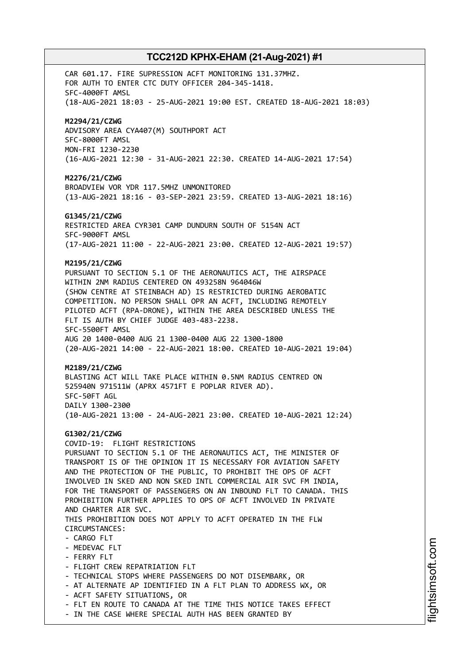CAR 601.17. FIRE SUPRESSION ACFT MONITORING 131.37MHZ. FOR AUTH TO ENTER CTC DUTY OFFICER 204-345-1418. SFC-4000FT AMSL (18-AUG-2021 18:03 - 25-AUG-2021 19:00 EST. CREATED 18-AUG-2021 18:03) **M2294/21/CZWG** ADVISORY AREA CYA407(M) SOUTHPORT ACT SFC-8000FT AMSL MON-FRI 1230-2230 (16-AUG-2021 12:30 - 31-AUG-2021 22:30. CREATED 14-AUG-2021 17:54) **M2276/21/CZWG** BROADVIEW VOR YDR 117.5MHZ UNMONITORED (13-AUG-2021 18:16 - 03-SEP-2021 23:59. CREATED 13-AUG-2021 18:16) **G1345/21/CZWG** RESTRICTED AREA CYR301 CAMP DUNDURN SOUTH OF 5154N ACT SFC-9000FT AMSL (17-AUG-2021 11:00 - 22-AUG-2021 23:00. CREATED 12-AUG-2021 19:57) **M2195/21/CZWG** PURSUANT TO SECTION 5.1 OF THE AERONAUTICS ACT, THE AIRSPACE WITHIN 2NM RADIUS CENTERED ON 493258N 964046W (SHOW CENTRE AT STEINBACH AD) IS RESTRICTED DURING AEROBATIC COMPETITION. NO PERSON SHALL OPR AN ACFT, INCLUDING REMOTELY PILOTED ACFT (RPA-DRONE), WITHIN THE AREA DESCRIBED UNLESS THE FLT IS AUTH BY CHIEF JUDGE 403-483-2238. SFC-5500FT AMSL AUG 20 1400-0400 AUG 21 1300-0400 AUG 22 1300-1800 (20-AUG-2021 14:00 - 22-AUG-2021 18:00. CREATED 10-AUG-2021 19:04) **M2189/21/CZWG** BLASTING ACT WILL TAKE PLACE WITHIN 0.5NM RADIUS CENTRED ON 525940N 971511W (APRX 4571FT E POPLAR RIVER AD). SFC-50FT AGL DAILY 1300-2300 (10-AUG-2021 13:00 - 24-AUG-2021 23:00. CREATED 10-AUG-2021 12:24) **G1302/21/CZWG** COVID-19: FLIGHT RESTRICTIONS PURSUANT TO SECTION 5.1 OF THE AERONAUTICS ACT, THE MINISTER OF TRANSPORT IS OF THE OPINION IT IS NECESSARY FOR AVIATION SAFETY AND THE PROTECTION OF THE PUBLIC, TO PROHIBIT THE OPS OF ACFT INVOLVED IN SKED AND NON SKED INTL COMMERCIAL AIR SVC FM INDIA, FOR THE TRANSPORT OF PASSENGERS ON AN INBOUND FLT TO CANADA. THIS PROHIBITION FURTHER APPLIES TO OPS OF ACFT INVOLVED IN PRIVATE AND CHARTER AIR SVC. THIS PROHIBITION DOES NOT APPLY TO ACFT OPERATED IN THE FLW CIRCUMSTANCES: - CARGO FLT - MEDEVAC FLT - FERRY FLT - FLIGHT CREW REPATRIATION FLT - TECHNICAL STOPS WHERE PASSENGERS DO NOT DISEMBARK, OR - AT ALTERNATE AP IDENTIFIED IN A FLT PLAN TO ADDRESS WX, OR - ACFT SAFETY SITUATIONS, OR - FLT EN ROUTE TO CANADA AT THE TIME THIS NOTICE TAKES EFFECT - IN THE CASE WHERE SPECIAL AUTH HAS BEEN GRANTED BY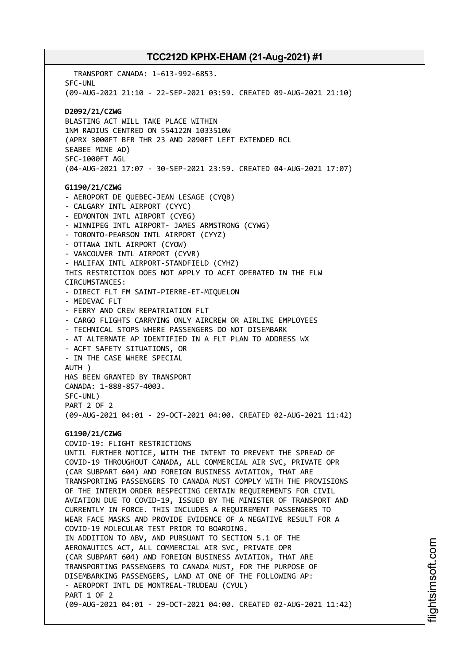TRANSPORT CANADA: 1-613-992-6853. SFC-UNL (09-AUG-2021 21:10 - 22-SEP-2021 03:59. CREATED 09-AUG-2021 21:10) **D2092/21/CZWG** BLASTING ACT WILL TAKE PLACE WITHIN 1NM RADIUS CENTRED ON 554122N 1033510W (APRX 3000FT BFR THR 23 AND 2090FT LEFT EXTENDED RCL SEABEE MINE AD) SFC-1000FT AGL (04-AUG-2021 17:07 - 30-SEP-2021 23:59. CREATED 04-AUG-2021 17:07) **G1190/21/CZWG** - AEROPORT DE QUEBEC-JEAN LESAGE (CYQB) - CALGARY INTL AIRPORT (CYYC) - EDMONTON INTL AIRPORT (CYEG) - WINNIPEG INTL AIRPORT- JAMES ARMSTRONG (CYWG) - TORONTO-PEARSON INTL AIRPORT (CYYZ) - OTTAWA INTL AIRPORT (CYOW) - VANCOUVER INTL AIRPORT (CYVR) - HALIFAX INTL AIRPORT-STANDFIELD (CYHZ) THIS RESTRICTION DOES NOT APPLY TO ACFT OPERATED IN THE FLW CIRCUMSTANCES: - DIRECT FLT FM SAINT-PIERRE-ET-MIQUELON - MEDEVAC FLT - FERRY AND CREW REPATRIATION FLT - CARGO FLIGHTS CARRYING ONLY AIRCREW OR AIRLINE EMPLOYEES - TECHNICAL STOPS WHERE PASSENGERS DO NOT DISEMBARK - AT ALTERNATE AP IDENTIFIED IN A FLT PLAN TO ADDRESS WX - ACFT SAFETY SITUATIONS, OR - IN THE CASE WHERE SPECIAL AUTH ) HAS BEEN GRANTED BY TRANSPORT CANADA: 1-888-857-4003. SFC-UNL) PART 2 OF 2 (09-AUG-2021 04:01 - 29-OCT-2021 04:00. CREATED 02-AUG-2021 11:42) **G1190/21/CZWG** COVID-19: FLIGHT RESTRICTIONS UNTIL FURTHER NOTICE, WITH THE INTENT TO PREVENT THE SPREAD OF COVID-19 THROUGHOUT CANADA, ALL COMMERCIAL AIR SVC, PRIVATE OPR (CAR SUBPART 604) AND FOREIGN BUSINESS AVIATION, THAT ARE TRANSPORTING PASSENGERS TO CANADA MUST COMPLY WITH THE PROVISIONS OF THE INTERIM ORDER RESPECTING CERTAIN REQUIREMENTS FOR CIVIL AVIATION DUE TO COVID-19, ISSUED BY THE MINISTER OF TRANSPORT AND CURRENTLY IN FORCE. THIS INCLUDES A REQUIREMENT PASSENGERS TO WEAR FACE MASKS AND PROVIDE EVIDENCE OF A NEGATIVE RESULT FOR A COVID-19 MOLECULAR TEST PRIOR TO BOARDING. IN ADDITION TO ABV, AND PURSUANT TO SECTION 5.1 OF THE AERONAUTICS ACT, ALL COMMERCIAL AIR SVC, PRIVATE OPR (CAR SUBPART 604) AND FOREIGN BUSINESS AVIATION, THAT ARE TRANSPORTING PASSENGERS TO CANADA MUST, FOR THE PURPOSE OF DISEMBARKING PASSENGERS, LAND AT ONE OF THE FOLLOWING AP: - AEROPORT INTL DE MONTREAL-TRUDEAU (CYUL) PART 1 OF 2 (09-AUG-2021 04:01 - 29-OCT-2021 04:00. CREATED 02-AUG-2021 11:42)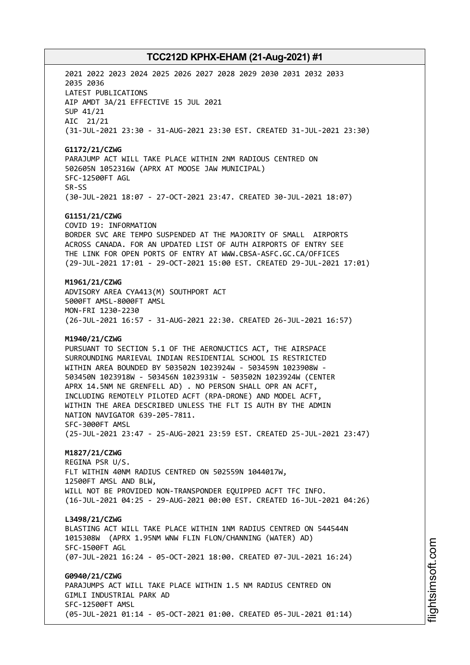2021 2022 2023 2024 2025 2026 2027 2028 2029 2030 2031 2032 2033 2035 2036 LATEST PUBLICATIONS AIP AMDT 3A/21 EFFECTIVE 15 JUL 2021 SUP 41/21 AIC 21/21 (31-JUL-2021 23:30 - 31-AUG-2021 23:30 EST. CREATED 31-JUL-2021 23:30) **G1172/21/CZWG** PARAJUMP ACT WILL TAKE PLACE WITHIN 2NM RADIOUS CENTRED ON 502605N 1052316W (APRX AT MOOSE JAW MUNICIPAL) SFC-12500FT AGL SR-SS (30-JUL-2021 18:07 - 27-OCT-2021 23:47. CREATED 30-JUL-2021 18:07) **G1151/21/CZWG** COVID 19: INFORMATION BORDER SVC ARE TEMPO SUSPENDED AT THE MAJORITY OF SMALL AIRPORTS ACROSS CANADA. FOR AN UPDATED LIST OF AUTH AIRPORTS OF ENTRY SEE THE LINK FOR OPEN PORTS OF ENTRY AT WWW.CBSA-ASFC.GC.CA/OFFICES (29-JUL-2021 17:01 - 29-OCT-2021 15:00 EST. CREATED 29-JUL-2021 17:01) **M1961/21/CZWG** ADVISORY AREA CYA413(M) SOUTHPORT ACT 5000FT AMSL-8000FT AMSL MON-FRI 1230-2230 (26-JUL-2021 16:57 - 31-AUG-2021 22:30. CREATED 26-JUL-2021 16:57) **M1940/21/CZWG** PURSUANT TO SECTION 5.1 OF THE AERONUCTICS ACT, THE AIRSPACE SURROUNDING MARIEVAL INDIAN RESIDENTIAL SCHOOL IS RESTRICTED WITHIN AREA BOUNDED BY 503502N 1023924W - 503459N 1023908W - 503450N 1023918W - 503456N 1023931W - 503502N 1023924W (CENTER APRX 14.5NM NE GRENFELL AD) . NO PERSON SHALL OPR AN ACFT, INCLUDING REMOTELY PILOTED ACFT (RPA-DRONE) AND MODEL ACFT, WITHIN THE AREA DESCRIBED UNLESS THE FLT IS AUTH BY THE ADMIN NATION NAVIGATOR 639-205-7811. SFC-3000FT AMSL (25-JUL-2021 23:47 - 25-AUG-2021 23:59 EST. CREATED 25-JUL-2021 23:47) **M1827/21/CZWG** REGINA PSR U/S. FLT WITHIN 40NM RADIUS CENTRED ON 502559N 1044017W, 12500FT AMSL AND BLW, WILL NOT BE PROVIDED NON-TRANSPONDER EQUIPPED ACFT TFC INFO. (16-JUL-2021 04:25 - 29-AUG-2021 00:00 EST. CREATED 16-JUL-2021 04:26) **L3498/21/CZWG** BLASTING ACT WILL TAKE PLACE WITHIN 1NM RADIUS CENTRED ON 544544N 1015308W (APRX 1.95NM WNW FLIN FLON/CHANNING (WATER) AD) SFC-1500FT AGL (07-JUL-2021 16:24 - 05-OCT-2021 18:00. CREATED 07-JUL-2021 16:24) **G0940/21/CZWG** PARAJUMPS ACT WILL TAKE PLACE WITHIN 1.5 NM RADIUS CENTRED ON GIMLI INDUSTRIAL PARK AD SFC-12500FT AMSL (05-JUL-2021 01:14 - 05-OCT-2021 01:00. CREATED 05-JUL-2021 01:14)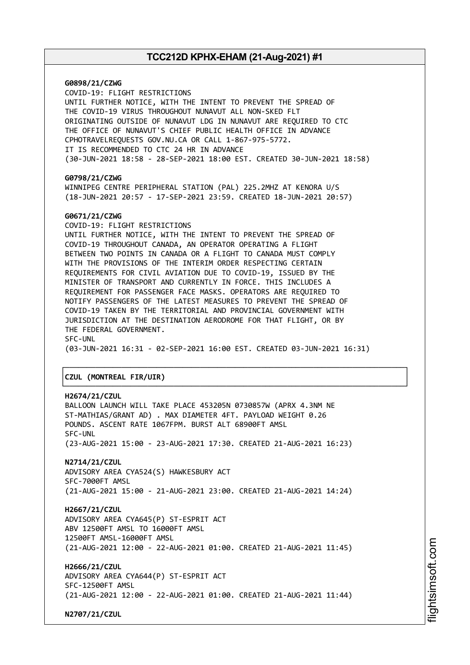**G0898/21/CZWG** COVID-19: FLIGHT RESTRICTIONS UNTIL FURTHER NOTICE, WITH THE INTENT TO PREVENT THE SPREAD OF THE COVID-19 VIRUS THROUGHOUT NUNAVUT ALL NON-SKED FLT ORIGINATING OUTSIDE OF NUNAVUT LDG IN NUNAVUT ARE REQUIRED TO CTC THE OFFICE OF NUNAVUT'S CHIEF PUBLIC HEALTH OFFICE IN ADVANCE CPHOTRAVELREQUESTS GOV.NU.CA OR CALL 1-867-975-5772. IT IS RECOMMENDED TO CTC 24 HR IN ADVANCE (30-JUN-2021 18:58 - 28-SEP-2021 18:00 EST. CREATED 30-JUN-2021 18:58) **G0798/21/CZWG** WINNIPEG CENTRE PERIPHERAL STATION (PAL) 225.2MHZ AT KENORA U/S (18-JUN-2021 20:57 - 17-SEP-2021 23:59. CREATED 18-JUN-2021 20:57) **G0671/21/CZWG** COVID-19: FLIGHT RESTRICTIONS UNTIL FURTHER NOTICE, WITH THE INTENT TO PREVENT THE SPREAD OF COVID-19 THROUGHOUT CANADA, AN OPERATOR OPERATING A FLIGHT BETWEEN TWO POINTS IN CANADA OR A FLIGHT TO CANADA MUST COMPLY WITH THE PROVISIONS OF THE INTERIM ORDER RESPECTING CERTAIN REQUIREMENTS FOR CIVIL AVIATION DUE TO COVID-19, ISSUED BY THE MINISTER OF TRANSPORT AND CURRENTLY IN FORCE. THIS INCLUDES A REQUIREMENT FOR PASSENGER FACE MASKS. OPERATORS ARE REQUIRED TO NOTIFY PASSENGERS OF THE LATEST MEASURES TO PREVENT THE SPREAD OF COVID-19 TAKEN BY THE TERRITORIAL AND PROVINCIAL GOVERNMENT WITH JURISDICTION AT THE DESTINATION AERODROME FOR THAT FLIGHT, OR BY THE FEDERAL GOVERNMENT. SFC-UNL (03-JUN-2021 16:31 - 02-SEP-2021 16:00 EST. CREATED 03-JUN-2021 16:31) ┌──────────────────────────────────────────────────────────────────────────────┐ │**CZUL (MONTREAL FIR/UIR)** │ └──────────────────────────────────────────────────────────────────────────────┘ **H2674/21/CZUL** BALLOON LAUNCH WILL TAKE PLACE 453205N 0730857W (APRX 4.3NM NE ST-MATHIAS/GRANT AD) . MAX DIAMETER 4FT. PAYLOAD WEIGHT 0.26 POUNDS. ASCENT RATE 1067FPM. BURST ALT 68900FT AMSL SFC-UNL (23-AUG-2021 15:00 - 23-AUG-2021 17:30. CREATED 21-AUG-2021 16:23)

**N2714/21/CZUL** ADVISORY AREA CYA524(S) HAWKESBURY ACT SFC-7000FT AMSL (21-AUG-2021 15:00 - 21-AUG-2021 23:00. CREATED 21-AUG-2021 14:24)

**H2667/21/CZUL** ADVISORY AREA CYA645(P) ST-ESPRIT ACT ABV 12500FT AMSL TO 16000FT AMSL 12500FT AMSL-16000FT AMSL (21-AUG-2021 12:00 - 22-AUG-2021 01:00. CREATED 21-AUG-2021 11:45)

**H2666/21/CZUL** ADVISORY AREA CYA644(P) ST-ESPRIT ACT SFC-12500FT AMSL (21-AUG-2021 12:00 - 22-AUG-2021 01:00. CREATED 21-AUG-2021 11:44)

**N2707/21/CZUL**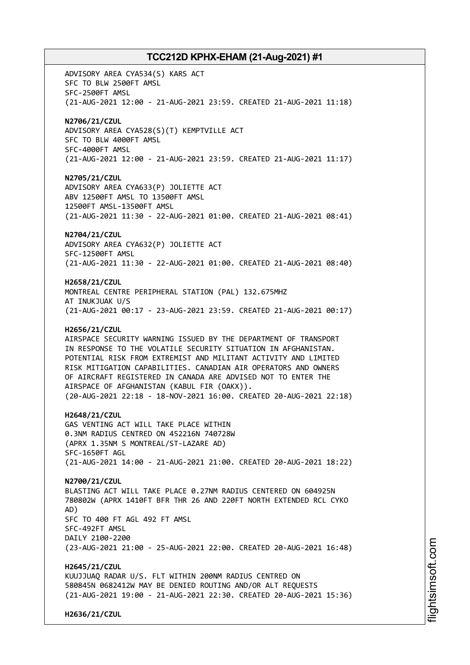ADVISORY AREA CYA534(S) KARS ACT SFC TO BLW 2500FT AMSL SFC-2500FT AMSL (21-AUG-2021 12:00 - 21-AUG-2021 23:59. CREATED 21-AUG-2021 11:18) **N2706/21/CZUL** ADVISORY AREA CYA528(S)(T) KEMPTVILLE ACT SFC TO BLW 4000FT AMSL SFC-4000FT AMSL (21-AUG-2021 12:00 - 21-AUG-2021 23:59. CREATED 21-AUG-2021 11:17) **N2705/21/CZUL** ADVISORY AREA CYA633(P) JOLIETTE ACT ABV 12500FT AMSL TO 13500FT AMSL 12500FT AMSL-13500FT AMSL (21-AUG-2021 11:30 - 22-AUG-2021 01:00. CREATED 21-AUG-2021 08:41) **N2704/21/CZUL** ADVISORY AREA CYA632(P) JOLIETTE ACT SFC-12500FT AMSL (21-AUG-2021 11:30 - 22-AUG-2021 01:00. CREATED 21-AUG-2021 08:40) **H2658/21/CZUL** MONTREAL CENTRE PERIPHERAL STATION (PAL) 132.675MHZ AT INUKJUAK U/S (21-AUG-2021 00:17 - 23-AUG-2021 23:59. CREATED 21-AUG-2021 00:17) **H2656/21/CZUL** AIRSPACE SECURITY WARNING ISSUED BY THE DEPARTMENT OF TRANSPORT IN RESPONSE TO THE VOLATILE SECURITY SITUATION IN AFGHANISTAN. POTENTIAL RISK FROM EXTREMIST AND MILITANT ACTIVITY AND LIMITED RISK MITIGATION CAPABILITIES. CANADIAN AIR OPERATORS AND OWNERS OF AIRCRAFT REGISTERED IN CANADA ARE ADVISED NOT TO ENTER THE AIRSPACE OF AFGHANISTAN (KABUL FIR (OAKX)). (20-AUG-2021 22:18 - 18-NOV-2021 16:00. CREATED 20-AUG-2021 22:18) **H2648/21/CZUL** GAS VENTING ACT WILL TAKE PLACE WITHIN 0.3NM RADIUS CENTRED ON 452216N 740728W (APRX 1.35NM S MONTREAL/ST-LAZARE AD) SFC-1650FT AGL (21-AUG-2021 14:00 - 21-AUG-2021 21:00. CREATED 20-AUG-2021 18:22) **N2700/21/CZUL** BLASTING ACT WILL TAKE PLACE 0.27NM RADIUS CENTERED ON 604925N 780802W (APRX 1410FT BFR THR 26 AND 220FT NORTH EXTENDED RCL CYKO AD) SFC TO 400 FT AGL 492 FT AMSL SFC-492FT AMSL DAILY 2100-2200 (23-AUG-2021 21:00 - 25-AUG-2021 22:00. CREATED 20-AUG-2021 16:48) **H2645/21/CZUL** KUUJJUAQ RADAR U/S. FLT WITHIN 200NM RADIUS CENTRED ON 580845N 0682412W MAY BE DENIED ROUTING AND/OR ALT REQUESTS (21-AUG-2021 19:00 - 21-AUG-2021 22:30. CREATED 20-AUG-2021 15:36)

**H2636/21/CZUL**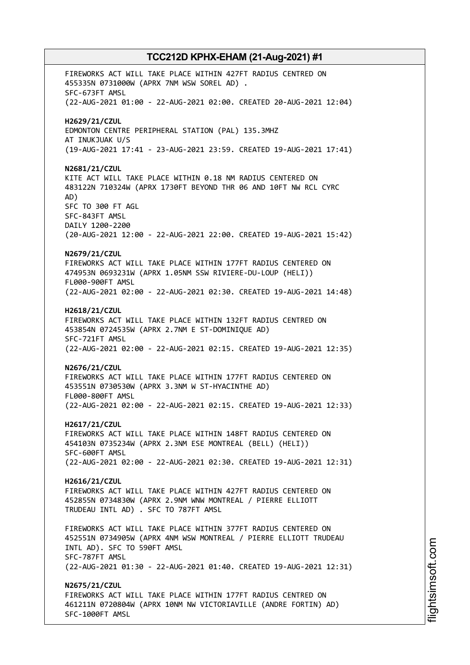FIREWORKS ACT WILL TAKE PLACE WITHIN 427FT RADIUS CENTRED ON 455335N 0731000W (APRX 7NM WSW SOREL AD) . SFC-673FT AMSL (22-AUG-2021 01:00 - 22-AUG-2021 02:00. CREATED 20-AUG-2021 12:04) **H2629/21/CZUL** EDMONTON CENTRE PERIPHERAL STATION (PAL) 135.3MHZ AT INUKJUAK U/S (19-AUG-2021 17:41 - 23-AUG-2021 23:59. CREATED 19-AUG-2021 17:41) **N2681/21/CZUL** KITE ACT WILL TAKE PLACE WITHIN 0.18 NM RADIUS CENTERED ON 483122N 710324W (APRX 1730FT BEYOND THR 06 AND 10FT NW RCL CYRC AD) SFC TO 300 FT AGL SFC-843FT AMSL DAILY 1200-2200 (20-AUG-2021 12:00 - 22-AUG-2021 22:00. CREATED 19-AUG-2021 15:42) **N2679/21/CZUL** FIREWORKS ACT WILL TAKE PLACE WITHIN 177FT RADIUS CENTERED ON 474953N 0693231W (APRX 1.05NM SSW RIVIERE-DU-LOUP (HELI)) FL000-900FT AMSL (22-AUG-2021 02:00 - 22-AUG-2021 02:30. CREATED 19-AUG-2021 14:48) **H2618/21/CZUL** FIREWORKS ACT WILL TAKE PLACE WITHIN 132FT RADIUS CENTRED ON 453854N 0724535W (APRX 2.7NM E ST-DOMINIQUE AD) SFC-721FT AMSL (22-AUG-2021 02:00 - 22-AUG-2021 02:15. CREATED 19-AUG-2021 12:35) **N2676/21/CZUL** FIREWORKS ACT WILL TAKE PLACE WITHIN 177FT RADIUS CENTERED ON 453551N 0730530W (APRX 3.3NM W ST-HYACINTHE AD) FL000-800FT AMSL (22-AUG-2021 02:00 - 22-AUG-2021 02:15. CREATED 19-AUG-2021 12:33) **H2617/21/CZUL** FIREWORKS ACT WILL TAKE PLACE WITHIN 148FT RADIUS CENTERED ON 454103N 0735234W (APRX 2.3NM ESE MONTREAL (BELL) (HELI)) SFC-600FT AMSL (22-AUG-2021 02:00 - 22-AUG-2021 02:30. CREATED 19-AUG-2021 12:31) **H2616/21/CZUL** FIREWORKS ACT WILL TAKE PLACE WITHIN 427FT RADIUS CENTERED ON 452855N 0734830W (APRX 2.9NM WNW MONTREAL / PIERRE ELLIOTT TRUDEAU INTL AD) . SFC TO 787FT AMSL FIREWORKS ACT WILL TAKE PLACE WITHIN 377FT RADIUS CENTERED ON 452551N 0734905W (APRX 4NM WSW MONTREAL / PIERRE ELLIOTT TRUDEAU INTL AD). SFC TO 590FT AMSL SFC-787FT AMSL (22-AUG-2021 01:30 - 22-AUG-2021 01:40. CREATED 19-AUG-2021 12:31) **N2675/21/CZUL** FIREWORKS ACT WILL TAKE PLACE WITHIN 177FT RADIUS CENTRED ON 461211N 0720804W (APRX 10NM NW VICTORIAVILLE (ANDRE FORTIN) AD) SFC-1000FT AMSL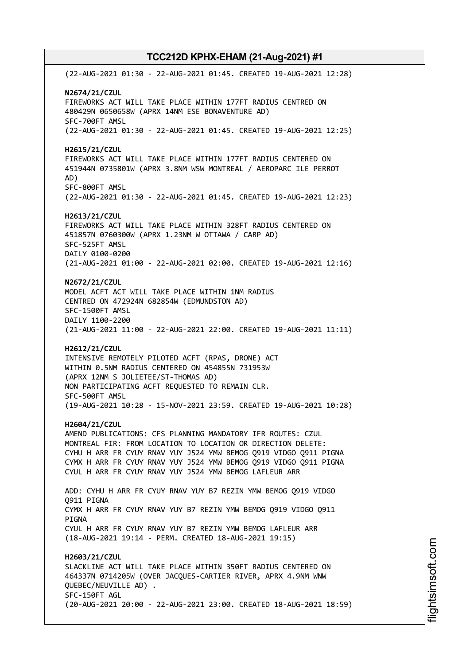(22-AUG-2021 01:30 - 22-AUG-2021 01:45. CREATED 19-AUG-2021 12:28) **N2674/21/CZUL** FIREWORKS ACT WILL TAKE PLACE WITHIN 177FT RADIUS CENTRED ON 480429N 0650658W (APRX 14NM ESE BONAVENTURE AD) SFC-700FT AMSL (22-AUG-2021 01:30 - 22-AUG-2021 01:45. CREATED 19-AUG-2021 12:25) **H2615/21/CZUL** FIREWORKS ACT WILL TAKE PLACE WITHIN 177FT RADIUS CENTERED ON 451944N 0735801W (APRX 3.8NM WSW MONTREAL / AEROPARC ILE PERROT AD) SFC-800FT AMSL (22-AUG-2021 01:30 - 22-AUG-2021 01:45. CREATED 19-AUG-2021 12:23) **H2613/21/CZUL** FIREWORKS ACT WILL TAKE PLACE WITHIN 328FT RADIUS CENTERED ON 451857N 0760300W (APRX 1.23NM W OTTAWA / CARP AD) SFC-525FT AMSL DAILY 0100-0200 (21-AUG-2021 01:00 - 22-AUG-2021 02:00. CREATED 19-AUG-2021 12:16) **N2672/21/CZUL** MODEL ACFT ACT WILL TAKE PLACE WITHIN 1NM RADIUS CENTRED ON 472924N 682854W (EDMUNDSTON AD) SFC-1500FT AMSL DAILY 1100-2200 (21-AUG-2021 11:00 - 22-AUG-2021 22:00. CREATED 19-AUG-2021 11:11) **H2612/21/CZUL** INTENSIVE REMOTELY PILOTED ACFT (RPAS, DRONE) ACT WITHIN 0.5NM RADIUS CENTERED ON 454855N 731953W (APRX 12NM S JOLIETEE/ST-THOMAS AD) NON PARTICIPATING ACFT REQUESTED TO REMAIN CLR. SFC-500FT AMSL (19-AUG-2021 10:28 - 15-NOV-2021 23:59. CREATED 19-AUG-2021 10:28) **H2604/21/CZUL** AMEND PUBLICATIONS: CFS PLANNING MANDATORY IFR ROUTES: CZUL MONTREAL FIR: FROM LOCATION TO LOCATION OR DIRECTION DELETE: CYHU H ARR FR CYUY RNAV YUY J524 YMW BEMOG Q919 VIDGO Q911 PIGNA CYMX H ARR FR CYUY RNAV YUY J524 YMW BEMOG Q919 VIDGO Q911 PIGNA CYUL H ARR FR CYUY RNAV YUY J524 YMW BEMOG LAFLEUR ARR ADD: CYHU H ARR FR CYUY RNAV YUY B7 REZIN YMW BEMOG Q919 VIDGO Q911 PIGNA CYMX H ARR FR CYUY RNAV YUY B7 REZIN YMW BEMOG Q919 VIDGO Q911 PIGNA CYUL H ARR FR CYUY RNAV YUY B7 REZIN YMW BEMOG LAFLEUR ARR (18-AUG-2021 19:14 - PERM. CREATED 18-AUG-2021 19:15) **H2603/21/CZUL** SLACKLINE ACT WILL TAKE PLACE WITHIN 350FT RADIUS CENTERED ON 464337N 0714205W (OVER JACQUES-CARTIER RIVER, APRX 4.9NM WNW QUEBEC/NEUVILLE AD) . SFC-150FT AGL (20-AUG-2021 20:00 - 22-AUG-2021 23:00. CREATED 18-AUG-2021 18:59)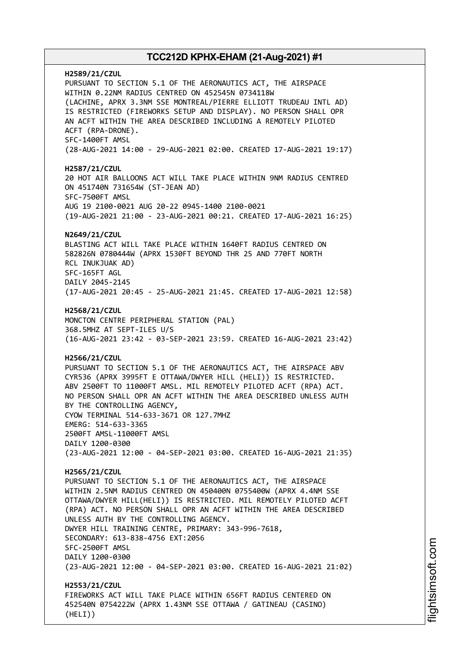**H2589/21/CZUL** PURSUANT TO SECTION 5.1 OF THE AERONAUTICS ACT, THE AIRSPACE WITHIN 0.22NM RADIUS CENTRED ON 452545N 0734118W (LACHINE, APRX 3.3NM SSE MONTREAL/PIERRE ELLIOTT TRUDEAU INTL AD) IS RESTRICTED (FIREWORKS SETUP AND DISPLAY). NO PERSON SHALL OPR AN ACFT WITHIN THE AREA DESCRIBED INCLUDING A REMOTELY PILOTED ACFT (RPA-DRONE). SFC-1400FT AMSL (28-AUG-2021 14:00 - 29-AUG-2021 02:00. CREATED 17-AUG-2021 19:17) **H2587/21/CZUL** 20 HOT AIR BALLOONS ACT WILL TAKE PLACE WITHIN 9NM RADIUS CENTRED ON 451740N 731654W (ST-JEAN AD) SFC-7500FT AMSL AUG 19 2100-0021 AUG 20-22 0945-1400 2100-0021 (19-AUG-2021 21:00 - 23-AUG-2021 00:21. CREATED 17-AUG-2021 16:25) **N2649/21/CZUL** BLASTING ACT WILL TAKE PLACE WITHIN 1640FT RADIUS CENTRED ON 582826N 0780444W (APRX 1530FT BEYOND THR 25 AND 770FT NORTH RCL INUKJUAK AD) SFC-165FT AGL DAILY 2045-2145 (17-AUG-2021 20:45 - 25-AUG-2021 21:45. CREATED 17-AUG-2021 12:58) **H2568/21/CZUL** MONCTON CENTRE PERIPHERAL STATION (PAL) 368.5MHZ AT SEPT-ILES U/S (16-AUG-2021 23:42 - 03-SEP-2021 23:59. CREATED 16-AUG-2021 23:42) **H2566/21/CZUL** PURSUANT TO SECTION 5.1 OF THE AERONAUTICS ACT, THE AIRSPACE ABV CYR536 (APRX 3995FT E OTTAWA/DWYER HILL (HELI)) IS RESTRICTED. ABV 2500FT TO 11000FT AMSL. MIL REMOTELY PILOTED ACFT (RPA) ACT. NO PERSON SHALL OPR AN ACFT WITHIN THE AREA DESCRIBED UNLESS AUTH BY THE CONTROLLING AGENCY, CYOW TERMINAL 514-633-3671 OR 127.7MHZ EMERG: 514-633-3365 2500FT AMSL-11000FT AMSL DAILY 1200-0300 (23-AUG-2021 12:00 - 04-SEP-2021 03:00. CREATED 16-AUG-2021 21:35) **H2565/21/CZUL** PURSUANT TO SECTION 5.1 OF THE AERONAUTICS ACT, THE AIRSPACE WITHIN 2.5NM RADIUS CENTRED ON 450400N 0755400W (APRX 4.4NM SSE OTTAWA/DWYER HILL(HELI)) IS RESTRICTED. MIL REMOTELY PILOTED ACFT (RPA) ACT. NO PERSON SHALL OPR AN ACFT WITHIN THE AREA DESCRIBED UNLESS AUTH BY THE CONTROLLING AGENCY. DWYER HILL TRAINING CENTRE, PRIMARY: 343-996-7618, SECONDARY: 613-838-4756 EXT:2056 SFC-2500FT AMSL DAILY 1200-0300 (23-AUG-2021 12:00 - 04-SEP-2021 03:00. CREATED 16-AUG-2021 21:02) **H2553/21/CZUL** FIREWORKS ACT WILL TAKE PLACE WITHIN 656FT RADIUS CENTERED ON 452540N 0754222W (APRX 1.43NM SSE OTTAWA / GATINEAU (CASINO) (HELI))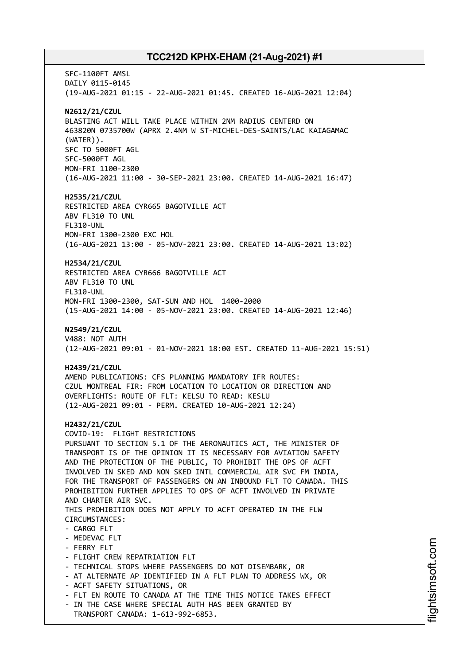SFC-1100FT AMSL DAILY 0115-0145 (19-AUG-2021 01:15 - 22-AUG-2021 01:45. CREATED 16-AUG-2021 12:04) **N2612/21/CZUL** BLASTING ACT WILL TAKE PLACE WITHIN 2NM RADIUS CENTERD ON 463820N 0735700W (APRX 2.4NM W ST-MICHEL-DES-SAINTS/LAC KAIAGAMAC (WATER)). SFC TO 5000FT AGL SFC-5000FT AGL MON-FRI 1100-2300 (16-AUG-2021 11:00 - 30-SEP-2021 23:00. CREATED 14-AUG-2021 16:47) **H2535/21/CZUL** RESTRICTED AREA CYR665 BAGOTVILLE ACT ABV FL310 TO UNL FL310-UNL MON-FRI 1300-2300 EXC HOL (16-AUG-2021 13:00 - 05-NOV-2021 23:00. CREATED 14-AUG-2021 13:02) **H2534/21/CZUL** RESTRICTED AREA CYR666 BAGOTVILLE ACT ABV FL310 TO UNL FL310-UNL MON-FRI 1300-2300, SAT-SUN AND HOL 1400-2000 (15-AUG-2021 14:00 - 05-NOV-2021 23:00. CREATED 14-AUG-2021 12:46) **N2549/21/CZUL** V488: NOT AUTH (12-AUG-2021 09:01 - 01-NOV-2021 18:00 EST. CREATED 11-AUG-2021 15:51) **H2439/21/CZUL** AMEND PUBLICATIONS: CFS PLANNING MANDATORY IFR ROUTES: CZUL MONTREAL FIR: FROM LOCATION TO LOCATION OR DIRECTION AND OVERFLIGHTS: ROUTE OF FLT: KELSU TO READ: KESLU (12-AUG-2021 09:01 - PERM. CREATED 10-AUG-2021 12:24) **H2432/21/CZUL** COVID-19: FLIGHT RESTRICTIONS PURSUANT TO SECTION 5.1 OF THE AERONAUTICS ACT, THE MINISTER OF TRANSPORT IS OF THE OPINION IT IS NECESSARY FOR AVIATION SAFETY AND THE PROTECTION OF THE PUBLIC, TO PROHIBIT THE OPS OF ACFT INVOLVED IN SKED AND NON SKED INTL COMMERCIAL AIR SVC FM INDIA, FOR THE TRANSPORT OF PASSENGERS ON AN INBOUND FLT TO CANADA. THIS PROHIBITION FURTHER APPLIES TO OPS OF ACFT INVOLVED IN PRIVATE AND CHARTER AIR SVC. THIS PROHIBITION DOES NOT APPLY TO ACFT OPERATED IN THE FLW CIRCUMSTANCES: - CARGO FLT - MEDEVAC FLT - FERRY FLT - FLIGHT CREW REPATRIATION FLT - TECHNICAL STOPS WHERE PASSENGERS DO NOT DISEMBARK, OR - AT ALTERNATE AP IDENTIFIED IN A FLT PLAN TO ADDRESS WX, OR - ACFT SAFETY SITUATIONS, OR - FLT EN ROUTE TO CANADA AT THE TIME THIS NOTICE TAKES EFFECT - IN THE CASE WHERE SPECIAL AUTH HAS BEEN GRANTED BY TRANSPORT CANADA: 1-613-992-6853.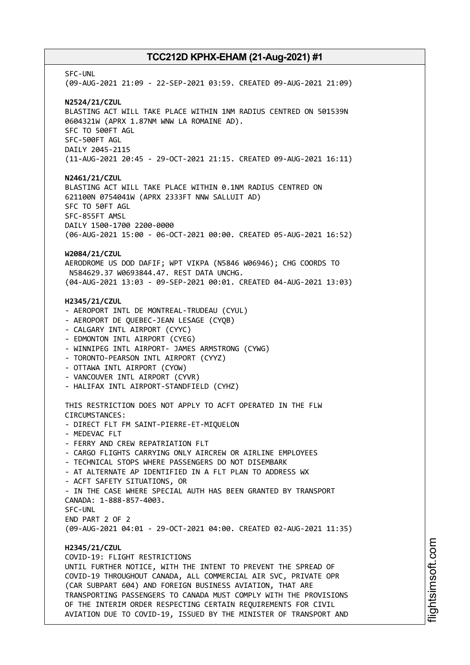SFC-UNL (09-AUG-2021 21:09 - 22-SEP-2021 03:59. CREATED 09-AUG-2021 21:09) **N2524/21/CZUL** BLASTING ACT WILL TAKE PLACE WITHIN 1NM RADIUS CENTRED ON 501539N 0604321W (APRX 1.87NM WNW LA ROMAINE AD). SFC TO 500FT AGL SFC-500FT AGL DAILY 2045-2115 (11-AUG-2021 20:45 - 29-OCT-2021 21:15. CREATED 09-AUG-2021 16:11) **N2461/21/CZUL** BLASTING ACT WILL TAKE PLACE WITHIN 0.1NM RADIUS CENTRED ON 621100N 0754041W (APRX 2333FT NNW SALLUIT AD) SFC TO 50FT AGL SFC-855FT AMSL DAILY 1500-1700 2200-0000 (06-AUG-2021 15:00 - 06-OCT-2021 00:00. CREATED 05-AUG-2021 16:52) **W2084/21/CZUL** AERODROME US DOD DAFIF; WPT VIKPA (N5846 W06946); CHG COORDS TO N584629.37 W0693844.47. REST DATA UNCHG. (04-AUG-2021 13:03 - 09-SEP-2021 00:01. CREATED 04-AUG-2021 13:03) **H2345/21/CZUL** - AEROPORT INTL DE MONTREAL-TRUDEAU (CYUL) - AEROPORT DE QUEBEC-JEAN LESAGE (CYQB) - CALGARY INTL AIRPORT (CYYC) - EDMONTON INTL AIRPORT (CYEG) - WINNIPEG INTL AIRPORT- JAMES ARMSTRONG (CYWG) - TORONTO-PEARSON INTL AIRPORT (CYYZ) - OTTAWA INTL AIRPORT (CYOW) - VANCOUVER INTL AIRPORT (CYVR) - HALIFAX INTL AIRPORT-STANDFIELD (CYHZ) THIS RESTRICTION DOES NOT APPLY TO ACFT OPERATED IN THE FLW CIRCUMSTANCES: - DIRECT FLT FM SAINT-PIERRE-ET-MIQUELON - MEDEVAC FLT - FERRY AND CREW REPATRIATION FLT - CARGO FLIGHTS CARRYING ONLY AIRCREW OR AIRLINE EMPLOYEES - TECHNICAL STOPS WHERE PASSENGERS DO NOT DISEMBARK - AT ALTERNATE AP IDENTIFIED IN A FLT PLAN TO ADDRESS WX - ACFT SAFETY SITUATIONS, OR - IN THE CASE WHERE SPECIAL AUTH HAS BEEN GRANTED BY TRANSPORT CANADA: 1-888-857-4003. SFC-UNL END PART 2 OF 2 (09-AUG-2021 04:01 - 29-OCT-2021 04:00. CREATED 02-AUG-2021 11:35) **H2345/21/CZUL** COVID-19: FLIGHT RESTRICTIONS UNTIL FURTHER NOTICE, WITH THE INTENT TO PREVENT THE SPREAD OF COVID-19 THROUGHOUT CANADA, ALL COMMERCIAL AIR SVC, PRIVATE OPR (CAR SUBPART 604) AND FOREIGN BUSINESS AVIATION, THAT ARE TRANSPORTING PASSENGERS TO CANADA MUST COMPLY WITH THE PROVISIONS OF THE INTERIM ORDER RESPECTING CERTAIN REQUIREMENTS FOR CIVIL AVIATION DUE TO COVID-19, ISSUED BY THE MINISTER OF TRANSPORT AND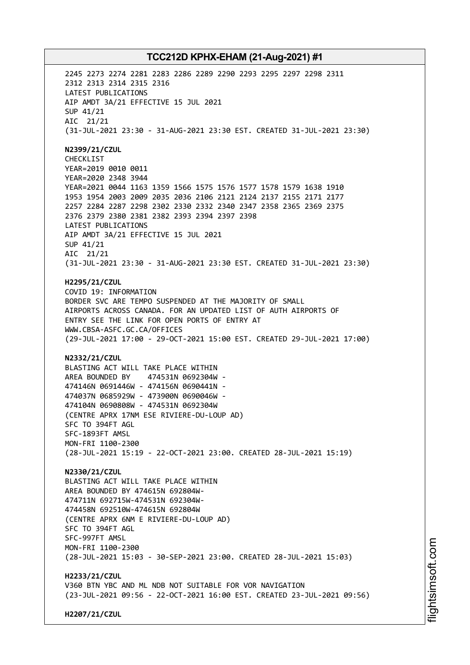2245 2273 2274 2281 2283 2286 2289 2290 2293 2295 2297 2298 2311 2312 2313 2314 2315 2316 LATEST PUBLICATIONS AIP AMDT 3A/21 EFFECTIVE 15 JUL 2021 SUP 41/21 AIC 21/21 (31-JUL-2021 23:30 - 31-AUG-2021 23:30 EST. CREATED 31-JUL-2021 23:30) **N2399/21/CZUL** CHECKLIST YEAR=2019 0010 0011 YEAR=2020 2348 3944 YEAR=2021 0044 1163 1359 1566 1575 1576 1577 1578 1579 1638 1910 1953 1954 2003 2009 2035 2036 2106 2121 2124 2137 2155 2171 2177 2257 2284 2287 2298 2302 2330 2332 2340 2347 2358 2365 2369 2375 2376 2379 2380 2381 2382 2393 2394 2397 2398 LATEST PUBLICATIONS AIP AMDT 3A/21 EFFECTIVE 15 JUL 2021 SUP 41/21 AIC 21/21 (31-JUL-2021 23:30 - 31-AUG-2021 23:30 EST. CREATED 31-JUL-2021 23:30) **H2295/21/CZUL** COVID 19: INFORMATION BORDER SVC ARE TEMPO SUSPENDED AT THE MAJORITY OF SMALL AIRPORTS ACROSS CANADA. FOR AN UPDATED LIST OF AUTH AIRPORTS OF ENTRY SEE THE LINK FOR OPEN PORTS OF ENTRY AT WWW.CBSA-ASFC.GC.CA/OFFICES (29-JUL-2021 17:00 - 29-OCT-2021 15:00 EST. CREATED 29-JUL-2021 17:00) **N2332/21/CZUL** BLASTING ACT WILL TAKE PLACE WITHIN AREA BOUNDED BY 474531N 0692304W - 474146N 0691446W - 474156N 0690441N - 474037N 0685929W - 473900N 0690046W - 474104N 0690808W - 474531N 0692304W (CENTRE APRX 17NM ESE RIVIERE-DU-LOUP AD) SFC TO 394FT AGL SFC-1893FT AMSL MON-FRI 1100-2300 (28-JUL-2021 15:19 - 22-OCT-2021 23:00. CREATED 28-JUL-2021 15:19) **N2330/21/CZUL** BLASTING ACT WILL TAKE PLACE WITHIN AREA BOUNDED BY 474615N 692804W-474711N 692715W-474531N 692304W-474458N 692510W-474615N 692804W (CENTRE APRX 6NM E RIVIERE-DU-LOUP AD) SFC TO 394FT AGL SFC-997FT AMSL MON-FRI 1100-2300 (28-JUL-2021 15:03 - 30-SEP-2021 23:00. CREATED 28-JUL-2021 15:03) **H2233/21/CZUL** V360 BTN YBC AND ML NDB NOT SUITABLE FOR VOR NAVIGATION (23-JUL-2021 09:56 - 22-OCT-2021 16:00 EST. CREATED 23-JUL-2021 09:56)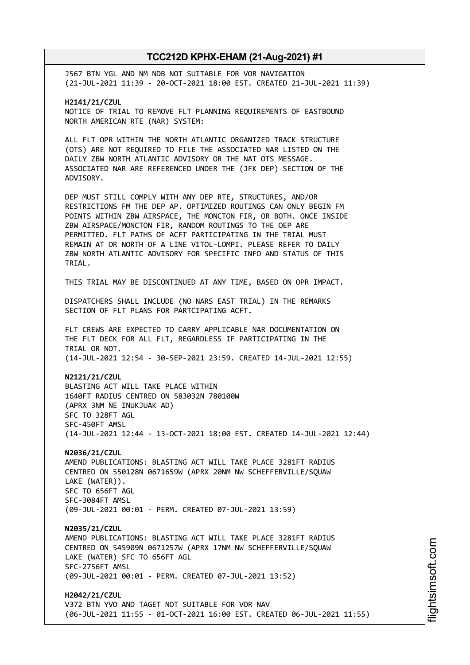J567 BTN YGL AND NM NDB NOT SUITABLE FOR VOR NAVIGATION (21-JUL-2021 11:39 - 20-OCT-2021 18:00 EST. CREATED 21-JUL-2021 11:39)

**H2141/21/CZUL** NOTICE OF TRIAL TO REMOVE FLT PLANNING REQUIREMENTS OF EASTBOUND NORTH AMERICAN RTE (NAR) SYSTEM:

ALL FLT OPR WITHIN THE NORTH ATLANTIC ORGANIZED TRACK STRUCTURE (OTS) ARE NOT REQUIRED TO FILE THE ASSOCIATED NAR LISTED ON THE DAILY ZBW NORTH ATLANTIC ADVISORY OR THE NAT OTS MESSAGE. ASSOCIATED NAR ARE REFERENCED UNDER THE (JFK DEP) SECTION OF THE ADVISORY.

DEP MUST STILL COMPLY WITH ANY DEP RTE, STRUCTURES, AND/OR RESTRICTIONS FM THE DEP AP. OPTIMIZED ROUTINGS CAN ONLY BEGIN FM POINTS WITHIN ZBW AIRSPACE, THE MONCTON FIR, OR BOTH. ONCE INSIDE ZBW AIRSPACE/MONCTON FIR, RANDOM ROUTINGS TO THE OEP ARE PERMITTED. FLT PATHS OF ACFT PARTICIPATING IN THE TRIAL MUST REMAIN AT OR NORTH OF A LINE VITOL-LOMPI. PLEASE REFER TO DAILY ZBW NORTH ATLANTIC ADVISORY FOR SPECIFIC INFO AND STATUS OF THIS TRIAL.

THIS TRIAL MAY BE DISCONTINUED AT ANY TIME, BASED ON OPR IMPACT.

DISPATCHERS SHALL INCLUDE (NO NARS EAST TRIAL) IN THE REMARKS SECTION OF FLT PLANS FOR PARTCIPATING ACFT.

FLT CREWS ARE EXPECTED TO CARRY APPLICABLE NAR DOCUMENTATION ON THE FLT DECK FOR ALL FLT, REGARDLESS IF PARTICIPATING IN THE TRIAL OR NOT. (14-JUL-2021 12:54 - 30-SEP-2021 23:59. CREATED 14-JUL-2021 12:55)

**N2121/21/CZUL** BLASTING ACT WILL TAKE PLACE WITHIN 1640FT RADIUS CENTRED ON 583032N 780100W (APRX 3NM NE INUKJUAK AD) SFC TO 328FT AGL SFC-450FT AMSL (14-JUL-2021 12:44 - 13-OCT-2021 18:00 EST. CREATED 14-JUL-2021 12:44)

**N2036/21/CZUL** AMEND PUBLICATIONS: BLASTING ACT WILL TAKE PLACE 3281FT RADIUS CENTRED ON 550128N 0671659W (APRX 20NM NW SCHEFFERVILLE/SQUAW LAKE (WATER)). SFC TO 656FT AGL SFC-3084FT AMSL (09-JUL-2021 00:01 - PERM. CREATED 07-JUL-2021 13:59)

**N2035/21/CZUL** AMEND PUBLICATIONS: BLASTING ACT WILL TAKE PLACE 3281FT RADIUS CENTRED ON 545909N 0671257W (APRX 17NM NW SCHEFFERVILLE/SQUAW LAKE (WATER) SFC TO 656FT AGL SFC-2756FT AMSL (09-JUL-2021 00:01 - PERM. CREATED 07-JUL-2021 13:52)

**H2042/21/CZUL** V372 BTN YVO AND TAGET NOT SUITABLE FOR VOR NAV (06-JUL-2021 11:55 - 01-OCT-2021 16:00 EST. CREATED 06-JUL-2021 11:55)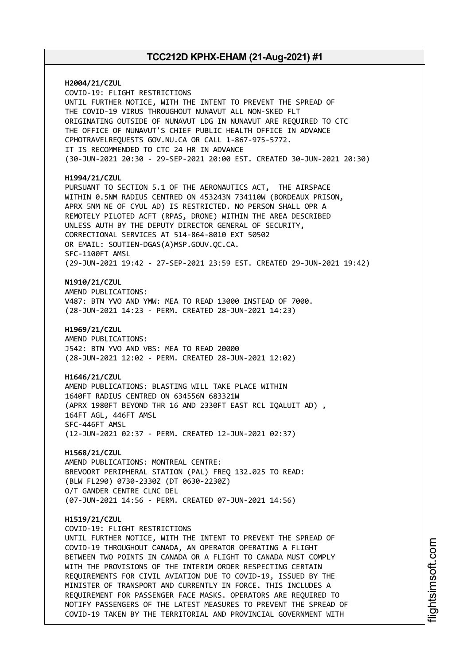**H2004/21/CZUL** COVID-19: FLIGHT RESTRICTIONS UNTIL FURTHER NOTICE, WITH THE INTENT TO PREVENT THE SPREAD OF THE COVID-19 VIRUS THROUGHOUT NUNAVUT ALL NON-SKED FLT ORIGINATING OUTSIDE OF NUNAVUT LDG IN NUNAVUT ARE REQUIRED TO CTC THE OFFICE OF NUNAVUT'S CHIEF PUBLIC HEALTH OFFICE IN ADVANCE CPHOTRAVELREQUESTS GOV.NU.CA OR CALL 1-867-975-5772. IT IS RECOMMENDED TO CTC 24 HR IN ADVANCE (30-JUN-2021 20:30 - 29-SEP-2021 20:00 EST. CREATED 30-JUN-2021 20:30) **H1994/21/CZUL** PURSUANT TO SECTION 5.1 OF THE AERONAUTICS ACT, THE AIRSPACE WITHIN 0.5NM RADIUS CENTRED ON 453243N 734110W (BORDEAUX PRISON, APRX 5NM NE OF CYUL AD) IS RESTRICTED. NO PERSON SHALL OPR A REMOTELY PILOTED ACFT (RPAS, DRONE) WITHIN THE AREA DESCRIBED UNLESS AUTH BY THE DEPUTY DIRECTOR GENERAL OF SECURITY, CORRECTIONAL SERVICES AT 514-864-8010 EXT 50502 OR EMAIL: SOUTIEN-DGAS(A)MSP.GOUV.QC.CA. SFC-1100FT AMSL (29-JUN-2021 19:42 - 27-SEP-2021 23:59 EST. CREATED 29-JUN-2021 19:42) **N1910/21/CZUL** AMEND PUBLICATIONS: V487: BTN YVO AND YMW: MEA TO READ 13000 INSTEAD OF 7000. (28-JUN-2021 14:23 - PERM. CREATED 28-JUN-2021 14:23) **H1969/21/CZUL** AMEND PUBLICATIONS: J542: BTN YVO AND VBS: MEA TO READ 20000 (28-JUN-2021 12:02 - PERM. CREATED 28-JUN-2021 12:02) **H1646/21/CZUL** AMEND PUBLICATIONS: BLASTING WILL TAKE PLACE WITHIN 1640FT RADIUS CENTRED ON 634556N 683321W (APRX 1980FT BEYOND THR 16 AND 2330FT EAST RCL IQALUIT AD) , 164FT AGL, 446FT AMSL SFC-446FT AMSL (12-JUN-2021 02:37 - PERM. CREATED 12-JUN-2021 02:37) **H1568/21/CZUL** AMEND PUBLICATIONS: MONTREAL CENTRE: BREVOORT PERIPHERAL STATION (PAL) FREQ 132.025 TO READ: (BLW FL290) 0730-2330Z (DT 0630-2230Z) O/T GANDER CENTRE CLNC DEL (07-JUN-2021 14:56 - PERM. CREATED 07-JUN-2021 14:56) **H1519/21/CZUL** COVID-19: FLIGHT RESTRICTIONS UNTIL FURTHER NOTICE, WITH THE INTENT TO PREVENT THE SPREAD OF COVID-19 THROUGHOUT CANADA, AN OPERATOR OPERATING A FLIGHT BETWEEN TWO POINTS IN CANADA OR A FLIGHT TO CANADA MUST COMPLY WITH THE PROVISIONS OF THE INTERIM ORDER RESPECTING CERTAIN REQUIREMENTS FOR CIVIL AVIATION DUE TO COVID-19, ISSUED BY THE MINISTER OF TRANSPORT AND CURRENTLY IN FORCE. THIS INCLUDES A REQUIREMENT FOR PASSENGER FACE MASKS. OPERATORS ARE REQUIRED TO NOTIFY PASSENGERS OF THE LATEST MEASURES TO PREVENT THE SPREAD OF COVID-19 TAKEN BY THE TERRITORIAL AND PROVINCIAL GOVERNMENT WITH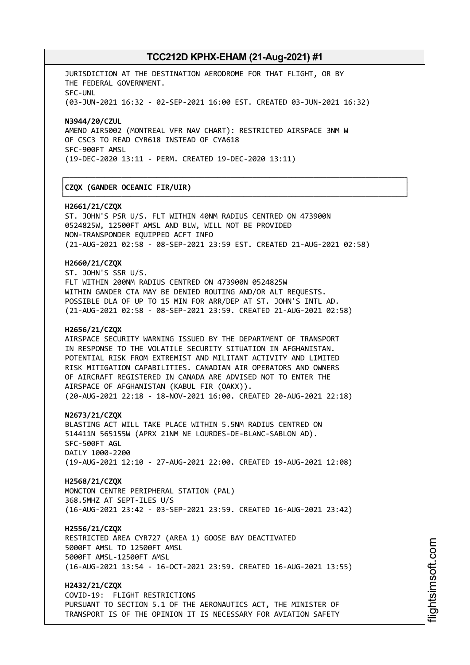┌──────────────────────────────────────────────────────────────────────────────┐

└──────────────────────────────────────────────────────────────────────────────┘

JURISDICTION AT THE DESTINATION AERODROME FOR THAT FLIGHT, OR BY THE FEDERAL GOVERNMENT. SFC-UNL (03-JUN-2021 16:32 - 02-SEP-2021 16:00 EST. CREATED 03-JUN-2021 16:32)

**N3944/20/CZUL** AMEND AIR5002 (MONTREAL VFR NAV CHART): RESTRICTED AIRSPACE 3NM W OF CSC3 TO READ CYR618 INSTEAD OF CYA618 SFC-900FT AMSL (19-DEC-2020 13:11 - PERM. CREATED 19-DEC-2020 13:11)

#### │**CZQX (GANDER OCEANIC FIR/UIR)** │

#### **H2661/21/CZQX**

ST. JOHN'S PSR U/S. FLT WITHIN 40NM RADIUS CENTRED ON 473900N 0524825W, 12500FT AMSL AND BLW, WILL NOT BE PROVIDED NON-TRANSPONDER EQUIPPED ACFT INFO (21-AUG-2021 02:58 - 08-SEP-2021 23:59 EST. CREATED 21-AUG-2021 02:58)

#### **H2660/21/CZQX**

ST. JOHN'S SSR U/S. FLT WITHIN 200NM RADIUS CENTRED ON 473900N 0524825W WITHIN GANDER CTA MAY BE DENIED ROUTING AND/OR ALT REQUESTS. POSSIBLE DLA OF UP TO 15 MIN FOR ARR/DEP AT ST. JOHN'S INTL AD. (21-AUG-2021 02:58 - 08-SEP-2021 23:59. CREATED 21-AUG-2021 02:58)

#### **H2656/21/CZQX**

AIRSPACE SECURITY WARNING ISSUED BY THE DEPARTMENT OF TRANSPORT IN RESPONSE TO THE VOLATILE SECURITY SITUATION IN AFGHANISTAN. POTENTIAL RISK FROM EXTREMIST AND MILITANT ACTIVITY AND LIMITED RISK MITIGATION CAPABILITIES. CANADIAN AIR OPERATORS AND OWNERS OF AIRCRAFT REGISTERED IN CANADA ARE ADVISED NOT TO ENTER THE AIRSPACE OF AFGHANISTAN (KABUL FIR (OAKX)). (20-AUG-2021 22:18 - 18-NOV-2021 16:00. CREATED 20-AUG-2021 22:18)

**N2673/21/CZQX**

BLASTING ACT WILL TAKE PLACE WITHIN 5.5NM RADIUS CENTRED ON 514411N 565155W (APRX 21NM NE LOURDES-DE-BLANC-SABLON AD). SFC-500FT AGL DAILY 1000-2200 (19-AUG-2021 12:10 - 27-AUG-2021 22:00. CREATED 19-AUG-2021 12:08)

**H2568/21/CZQX**

MONCTON CENTRE PERIPHERAL STATION (PAL) 368.5MHZ AT SEPT-ILES U/S (16-AUG-2021 23:42 - 03-SEP-2021 23:59. CREATED 16-AUG-2021 23:42)

#### **H2556/21/CZQX**

RESTRICTED AREA CYR727 (AREA 1) GOOSE BAY DEACTIVATED 5000FT AMSL TO 12500FT AMSL 5000FT AMSL-12500FT AMSL (16-AUG-2021 13:54 - 16-OCT-2021 23:59. CREATED 16-AUG-2021 13:55)

**H2432/21/CZQX** COVID-19: FLIGHT RESTRICTIONS PURSUANT TO SECTION 5.1 OF THE AERONAUTICS ACT, THE MINISTER OF TRANSPORT IS OF THE OPINION IT IS NECESSARY FOR AVIATION SAFETY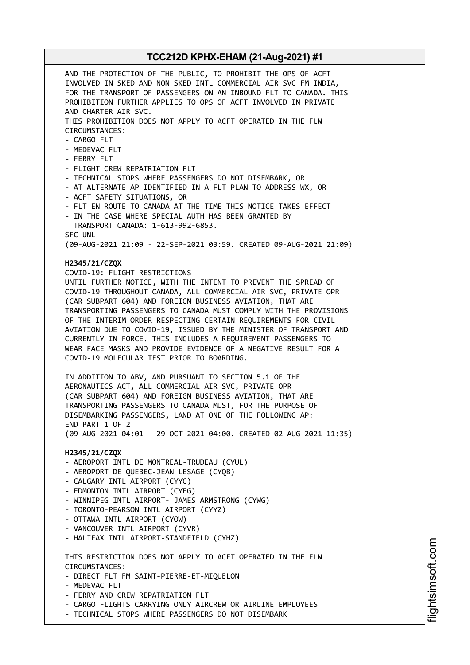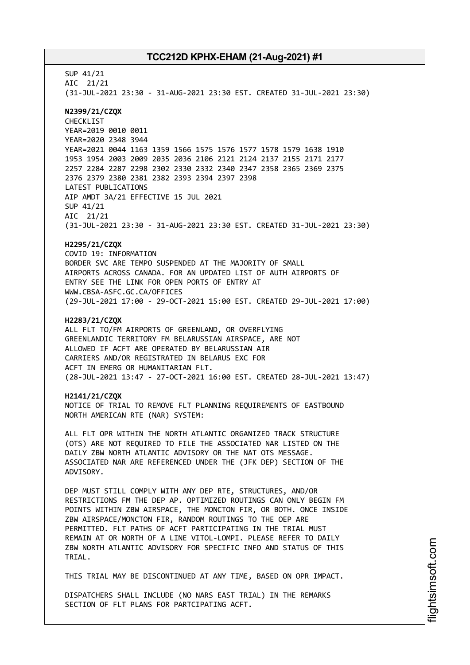SUP 41/21 AIC 21/21 (31-JUL-2021 23:30 - 31-AUG-2021 23:30 EST. CREATED 31-JUL-2021 23:30) **N2399/21/CZQX** CHECKLIST YEAR=2019 0010 0011 YEAR=2020 2348 3944 YEAR=2021 0044 1163 1359 1566 1575 1576 1577 1578 1579 1638 1910 1953 1954 2003 2009 2035 2036 2106 2121 2124 2137 2155 2171 2177 2257 2284 2287 2298 2302 2330 2332 2340 2347 2358 2365 2369 2375 2376 2379 2380 2381 2382 2393 2394 2397 2398 LATEST PUBLICATIONS AIP AMDT 3A/21 EFFECTIVE 15 JUL 2021 SUP 41/21 AIC 21/21 (31-JUL-2021 23:30 - 31-AUG-2021 23:30 EST. CREATED 31-JUL-2021 23:30) **H2295/21/CZQX** COVID 19: INFORMATION BORDER SVC ARE TEMPO SUSPENDED AT THE MAJORITY OF SMALL AIRPORTS ACROSS CANADA. FOR AN UPDATED LIST OF AUTH AIRPORTS OF ENTRY SEE THE LINK FOR OPEN PORTS OF ENTRY AT WWW.CBSA-ASFC.GC.CA/OFFICES (29-JUL-2021 17:00 - 29-OCT-2021 15:00 EST. CREATED 29-JUL-2021 17:00) **H2283/21/CZQX** ALL FLT TO/FM AIRPORTS OF GREENLAND, OR OVERFLYING GREENLANDIC TERRITORY FM BELARUSSIAN AIRSPACE, ARE NOT ALLOWED IF ACFT ARE OPERATED BY BELARUSSIAN AIR CARRIERS AND/OR REGISTRATED IN BELARUS EXC FOR ACFT IN EMERG OR HUMANITARIAN FLT. (28-JUL-2021 13:47 - 27-OCT-2021 16:00 EST. CREATED 28-JUL-2021 13:47) **H2141/21/CZQX** NOTICE OF TRIAL TO REMOVE FLT PLANNING REQUIREMENTS OF EASTBOUND NORTH AMERICAN RTE (NAR) SYSTEM: ALL FLT OPR WITHIN THE NORTH ATLANTIC ORGANIZED TRACK STRUCTURE (OTS) ARE NOT REQUIRED TO FILE THE ASSOCIATED NAR LISTED ON THE DAILY ZBW NORTH ATLANTIC ADVISORY OR THE NAT OTS MESSAGE. ASSOCIATED NAR ARE REFERENCED UNDER THE (JFK DEP) SECTION OF THE ADVISORY. DEP MUST STILL COMPLY WITH ANY DEP RTE, STRUCTURES, AND/OR RESTRICTIONS FM THE DEP AP. OPTIMIZED ROUTINGS CAN ONLY BEGIN FM POINTS WITHIN ZBW AIRSPACE, THE MONCTON FIR, OR BOTH. ONCE INSIDE ZBW AIRSPACE/MONCTON FIR, RANDOM ROUTINGS TO THE OEP ARE PERMITTED. FLT PATHS OF ACFT PARTICIPATING IN THE TRIAL MUST REMAIN AT OR NORTH OF A LINE VITOL-LOMPI. PLEASE REFER TO DAILY ZBW NORTH ATLANTIC ADVISORY FOR SPECIFIC INFO AND STATUS OF THIS TRIAL. THIS TRIAL MAY BE DISCONTINUED AT ANY TIME, BASED ON OPR IMPACT.

DISPATCHERS SHALL INCLUDE (NO NARS EAST TRIAL) IN THE REMARKS SECTION OF FLT PLANS FOR PARTCIPATING ACFT.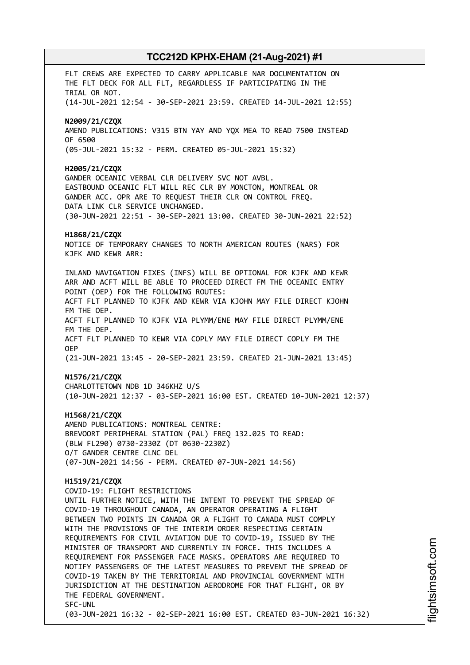FLT CREWS ARE EXPECTED TO CARRY APPLICABLE NAR DOCUMENTATION ON THE FLT DECK FOR ALL FLT, REGARDLESS IF PARTICIPATING IN THE TRIAL OR NOT. (14-JUL-2021 12:54 - 30-SEP-2021 23:59. CREATED 14-JUL-2021 12:55) **N2009/21/CZQX** AMEND PUBLICATIONS: V315 BTN YAY AND YQX MEA TO READ 7500 INSTEAD OF 6500 (05-JUL-2021 15:32 - PERM. CREATED 05-JUL-2021 15:32) **H2005/21/CZQX** GANDER OCEANIC VERBAL CLR DELIVERY SVC NOT AVBL. EASTBOUND OCEANIC FLT WILL REC CLR BY MONCTON, MONTREAL OR GANDER ACC. OPR ARE TO REQUEST THEIR CLR ON CONTROL FREQ. DATA LINK CLR SERVICE UNCHANGED. (30-JUN-2021 22:51 - 30-SEP-2021 13:00. CREATED 30-JUN-2021 22:52) **H1868/21/CZQX** NOTICE OF TEMPORARY CHANGES TO NORTH AMERICAN ROUTES (NARS) FOR KJFK AND KEWR ARR: INLAND NAVIGATION FIXES (INFS) WILL BE OPTIONAL FOR KJFK AND KEWR ARR AND ACFT WILL BE ABLE TO PROCEED DIRECT FM THE OCEANIC ENTRY POINT (OEP) FOR THE FOLLOWING ROUTES: ACFT FLT PLANNED TO KJFK AND KEWR VIA KJOHN MAY FILE DIRECT KJOHN FM THE OEP. ACFT FLT PLANNED TO KJFK VIA PLYMM/ENE MAY FILE DIRECT PLYMM/ENE FM THE OEP. ACFT FLT PLANNED TO KEWR VIA COPLY MAY FILE DIRECT COPLY FM THE OEP (21-JUN-2021 13:45 - 20-SEP-2021 23:59. CREATED 21-JUN-2021 13:45) **N1576/21/CZQX** CHARLOTTETOWN NDB 1D 346KHZ U/S (10-JUN-2021 12:37 - 03-SEP-2021 16:00 EST. CREATED 10-JUN-2021 12:37) **H1568/21/CZQX** AMEND PUBLICATIONS: MONTREAL CENTRE: BREVOORT PERIPHERAL STATION (PAL) FREQ 132.025 TO READ: (BLW FL290) 0730-2330Z (DT 0630-2230Z) O/T GANDER CENTRE CLNC DEL (07-JUN-2021 14:56 - PERM. CREATED 07-JUN-2021 14:56) **H1519/21/CZQX** COVID-19: FLIGHT RESTRICTIONS UNTIL FURTHER NOTICE, WITH THE INTENT TO PREVENT THE SPREAD OF COVID-19 THROUGHOUT CANADA, AN OPERATOR OPERATING A FLIGHT BETWEEN TWO POINTS IN CANADA OR A FLIGHT TO CANADA MUST COMPLY WITH THE PROVISIONS OF THE INTERIM ORDER RESPECTING CERTAIN REQUIREMENTS FOR CIVIL AVIATION DUE TO COVID-19, ISSUED BY THE MINISTER OF TRANSPORT AND CURRENTLY IN FORCE. THIS INCLUDES A REQUIREMENT FOR PASSENGER FACE MASKS. OPERATORS ARE REQUIRED TO NOTIFY PASSENGERS OF THE LATEST MEASURES TO PREVENT THE SPREAD OF COVID-19 TAKEN BY THE TERRITORIAL AND PROVINCIAL GOVERNMENT WITH JURISDICTION AT THE DESTINATION AERODROME FOR THAT FLIGHT, OR BY THE FEDERAL GOVERNMENT. SFC-UNL (03-JUN-2021 16:32 - 02-SEP-2021 16:00 EST. CREATED 03-JUN-2021 16:32)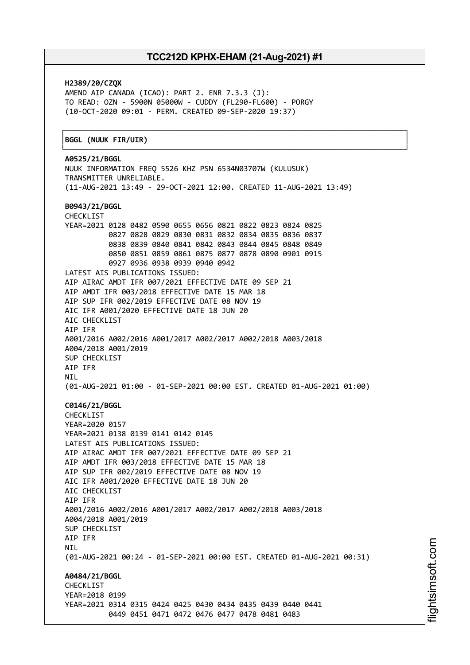┌──────────────────────────────────────────────────────────────────────────────┐

**H2389/20/CZQX** AMEND AIP CANADA (ICAO): PART 2. ENR 7.3.3 (J): TO READ: OZN - 5900N 05000W - CUDDY (FL290-FL600) - PORGY (10-OCT-2020 09:01 - PERM. CREATED 09-SEP-2020 19:37)

#### │**BGGL (NUUK FIR/UIR)** │

└──────────────────────────────────────────────────────────────────────────────┘ **A0525/21/BGGL** NUUK INFORMATION FREQ 5526 KHZ PSN 6534N03707W (KULUSUK) TRANSMITTER UNRELIABLE. (11-AUG-2021 13:49 - 29-OCT-2021 12:00. CREATED 11-AUG-2021 13:49) **B0943/21/BGGL** CHECKLIST YEAR=2021 0128 0482 0590 0655 0656 0821 0822 0823 0824 0825 0827 0828 0829 0830 0831 0832 0834 0835 0836 0837 0838 0839 0840 0841 0842 0843 0844 0845 0848 0849 0850 0851 0859 0861 0875 0877 0878 0890 0901 0915 0927 0936 0938 0939 0940 0942 LATEST AIS PUBLICATIONS ISSUED: AIP AIRAC AMDT IFR 007/2021 EFFECTIVE DATE 09 SEP 21 AIP AMDT IFR 003/2018 EFFECTIVE DATE 15 MAR 18 AIP SUP IFR 002/2019 EFFECTIVE DATE 08 NOV 19 AIC IFR A001/2020 EFFECTIVE DATE 18 JUN 20 AIC CHECKLIST AIP IFR A001/2016 A002/2016 A001/2017 A002/2017 A002/2018 A003/2018 A004/2018 A001/2019 SUP CHECKLIST AIP IFR NIL (01-AUG-2021 01:00 - 01-SEP-2021 00:00 EST. CREATED 01-AUG-2021 01:00) **C0146/21/BGGL** CHECKLIST YEAR=2020 0157 YEAR=2021 0138 0139 0141 0142 0145 LATEST AIS PUBLICATIONS ISSUED: AIP AIRAC AMDT IFR 007/2021 EFFECTIVE DATE 09 SEP 21 AIP AMDT IFR 003/2018 EFFECTIVE DATE 15 MAR 18 AIP SUP IFR 002/2019 EFFECTIVE DATE 08 NOV 19 AIC IFR A001/2020 EFFECTIVE DATE 18 JUN 20 ATC CHECKLIST AIP IFR A001/2016 A002/2016 A001/2017 A002/2017 A002/2018 A003/2018 A004/2018 A001/2019 SUP CHECKLIST AIP IFR **NTI** (01-AUG-2021 00:24 - 01-SEP-2021 00:00 EST. CREATED 01-AUG-2021 00:31) **A0484/21/BGGL CHECKLIST** YEAR=2018 0199 YEAR=2021 0314 0315 0424 0425 0430 0434 0435 0439 0440 0441 0449 0451 0471 0472 0476 0477 0478 0481 0483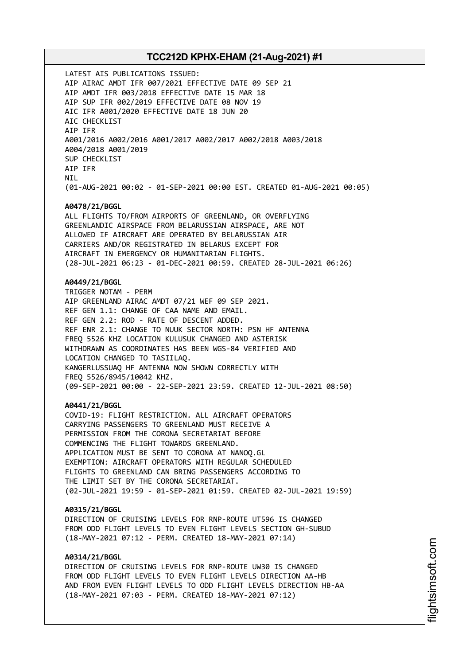LATEST AIS PUBLICATIONS ISSUED: AIP AIRAC AMDT IFR 007/2021 EFFECTIVE DATE 09 SEP 21 AIP AMDT IFR 003/2018 EFFECTIVE DATE 15 MAR 18 AIP SUP IFR 002/2019 EFFECTIVE DATE 08 NOV 19 AIC IFR A001/2020 EFFECTIVE DATE 18 JUN 20 AIC CHECKLIST AIP IFR A001/2016 A002/2016 A001/2017 A002/2017 A002/2018 A003/2018 A004/2018 A001/2019 SUP CHECKLIST AIP IFR **NTI** (01-AUG-2021 00:02 - 01-SEP-2021 00:00 EST. CREATED 01-AUG-2021 00:05) **A0478/21/BGGL** ALL FLIGHTS TO/FROM AIRPORTS OF GREENLAND, OR OVERFLYING GREENLANDIC AIRSPACE FROM BELARUSSIAN AIRSPACE, ARE NOT ALLOWED IF AIRCRAFT ARE OPERATED BY BELARUSSIAN AIR CARRIERS AND/OR REGISTRATED IN BELARUS EXCEPT FOR AIRCRAFT IN EMERGENCY OR HUMANITARIAN FLIGHTS. (28-JUL-2021 06:23 - 01-DEC-2021 00:59. CREATED 28-JUL-2021 06:26) **A0449/21/BGGL** TRIGGER NOTAM - PERM AIP GREENLAND AIRAC AMDT 07/21 WEF 09 SEP 2021. REF GEN 1.1: CHANGE OF CAA NAME AND EMAIL. REF GEN 2.2: ROD - RATE OF DESCENT ADDED. REF ENR 2.1: CHANGE TO NUUK SECTOR NORTH: PSN HF ANTENNA FREQ 5526 KHZ LOCATION KULUSUK CHANGED AND ASTERISK WITHDRAWN AS COORDINATES HAS BEEN WGS-84 VERIFIED AND LOCATION CHANGED TO TASIILAQ. KANGERLUSSUAQ HF ANTENNA NOW SHOWN CORRECTLY WITH FREQ 5526/8945/10042 KHZ. (09-SEP-2021 00:00 - 22-SEP-2021 23:59. CREATED 12-JUL-2021 08:50) **A0441/21/BGGL** COVID-19: FLIGHT RESTRICTION. ALL AIRCRAFT OPERATORS CARRYING PASSENGERS TO GREENLAND MUST RECEIVE A PERMISSION FROM THE CORONA SECRETARIAT BEFORE COMMENCING THE FLIGHT TOWARDS GREENLAND. APPLICATION MUST BE SENT TO CORONA AT NANOQ.GL EXEMPTION: AIRCRAFT OPERATORS WITH REGULAR SCHEDULED FLIGHTS TO GREENLAND CAN BRING PASSENGERS ACCORDING TO THE LIMIT SET BY THE CORONA SECRETARIAT. (02-JUL-2021 19:59 - 01-SEP-2021 01:59. CREATED 02-JUL-2021 19:59) **A0315/21/BGGL** DIRECTION OF CRUISING LEVELS FOR RNP-ROUTE UT596 IS CHANGED FROM ODD FLIGHT LEVELS TO EVEN FLIGHT LEVELS SECTION GH-SUBUD (18-MAY-2021 07:12 - PERM. CREATED 18-MAY-2021 07:14) **A0314/21/BGGL** DIRECTION OF CRUISING LEVELS FOR RNP-ROUTE UW30 IS CHANGED FROM ODD FLIGHT LEVELS TO EVEN FLIGHT LEVELS DIRECTION AA-HB

AND FROM EVEN FLIGHT LEVELS TO ODD FLIGHT LEVELS DIRECTION HB-AA

(18-MAY-2021 07:03 - PERM. CREATED 18-MAY-2021 07:12)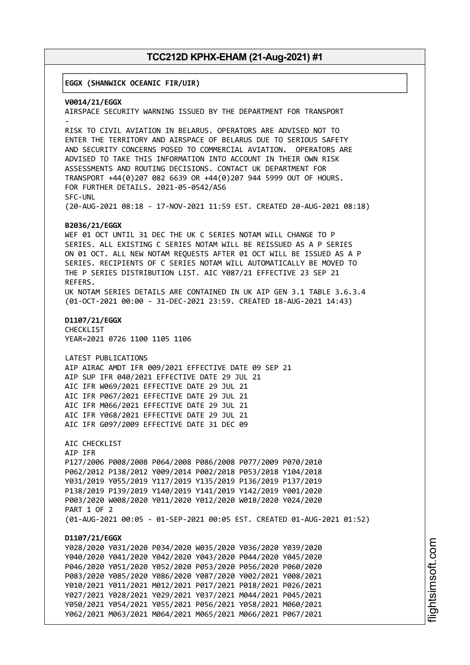┌──────────────────────────────────────────────────────────────────────────────┐

│**EGGX (SHANWICK OCEANIC FIR/UIR)** │

└──────────────────────────────────────────────────────────────────────────────┘ **V0014/21/EGGX** AIRSPACE SECURITY WARNING ISSUED BY THE DEPARTMENT FOR TRANSPORT - RISK TO CIVIL AVIATION IN BELARUS. OPERATORS ARE ADVISED NOT TO ENTER THE TERRITORY AND AIRSPACE OF BELARUS DUE TO SERIOUS SAFETY AND SECURITY CONCERNS POSED TO COMMERCIAL AVIATION. OPERATORS ARE ADVISED TO TAKE THIS INFORMATION INTO ACCOUNT IN THEIR OWN RISK ASSESSMENTS AND ROUTING DECISIONS. CONTACT UK DEPARTMENT FOR TRANSPORT +44(0)207 082 6639 OR +44(0)207 944 5999 OUT OF HOURS. FOR FURTHER DETAILS. 2021-05-0542/AS6 SFC-UNL (20-AUG-2021 08:18 - 17-NOV-2021 11:59 EST. CREATED 20-AUG-2021 08:18) **B2036/21/EGGX** WEF 01 OCT UNTIL 31 DEC THE UK C SERIES NOTAM WILL CHANGE TO P SERIES. ALL EXISTING C SERIES NOTAM WILL BE REISSUED AS A P SERIES ON 01 OCT. ALL NEW NOTAM REQUESTS AFTER 01 OCT WILL BE ISSUED AS A P SERIES. RECIPIENTS OF C SERIES NOTAM WILL AUTOMATICALLY BE MOVED TO THE P SERIES DISTRIBUTION LIST. AIC Y087/21 EFFECTIVE 23 SEP 21 REFERS. UK NOTAM SERIES DETAILS ARE CONTAINED IN UK AIP GEN 3.1 TABLE 3.6.3.4 (01-OCT-2021 00:00 - 31-DEC-2021 23:59. CREATED 18-AUG-2021 14:43) **D1107/21/EGGX** CHECKLIST YEAR=2021 0726 1100 1105 1106 LATEST PUBLICATIONS AIP AIRAC AMDT IFR 009/2021 EFFECTIVE DATE 09 SEP 21 AIP SUP IFR 040/2021 EFFECTIVE DATE 29 JUL 21 AIC IFR W069/2021 EFFECTIVE DATE 29 JUL 21 AIC IFR P067/2021 EFFECTIVE DATE 29 JUL 21 AIC IFR M066/2021 EFFECTIVE DATE 29 JUL 21 AIC IFR Y068/2021 EFFECTIVE DATE 29 JUL 21 AIC IFR G097/2009 EFFECTIVE DATE 31 DEC 09 AIC CHECKLIST AIP IFR P127/2006 P008/2008 P064/2008 P086/2008 P077/2009 P070/2010 P062/2012 P138/2012 Y009/2014 P002/2018 P053/2018 Y104/2018 Y031/2019 Y055/2019 Y117/2019 Y135/2019 P136/2019 P137/2019 P138/2019 P139/2019 Y140/2019 Y141/2019 Y142/2019 Y001/2020 P003/2020 W008/2020 Y011/2020 Y012/2020 W018/2020 Y024/2020 PART 1 OF 2 (01-AUG-2021 00:05 - 01-SEP-2021 00:05 EST. CREATED 01-AUG-2021 01:52) **D1107/21/EGGX** Y028/2020 Y031/2020 P034/2020 W035/2020 Y036/2020 Y039/2020 Y040/2020 Y041/2020 Y042/2020 Y043/2020 P044/2020 Y045/2020 P046/2020 Y051/2020 Y052/2020 P053/2020 P056/2020 P060/2020 P083/2020 Y085/2020 Y086/2020 Y087/2020 Y002/2021 Y008/2021 Y010/2021 Y011/2021 M012/2021 P017/2021 P018/2021 P026/2021 Y027/2021 Y028/2021 Y029/2021 Y037/2021 M044/2021 P045/2021 Y050/2021 Y054/2021 Y055/2021 P056/2021 Y058/2021 M060/2021 Y062/2021 M063/2021 M064/2021 M065/2021 M066/2021 P067/2021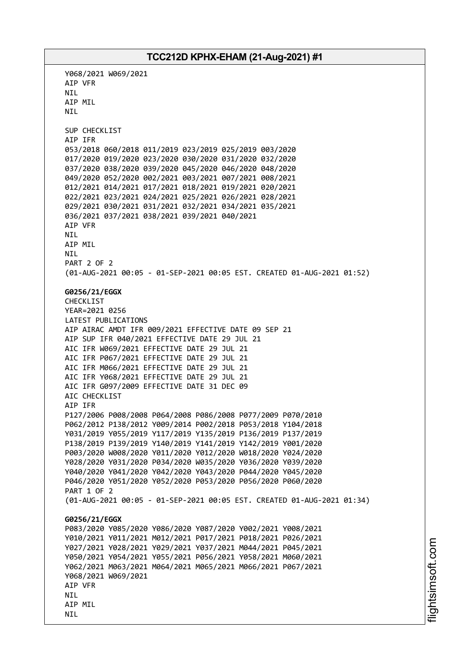Y068/2021 W069/2021 AIP VFR NIL AIP MIL NIL SUP CHECKLIST AIP IFR 053/2018 060/2018 011/2019 023/2019 025/2019 003/2020 017/2020 019/2020 023/2020 030/2020 031/2020 032/2020 037/2020 038/2020 039/2020 045/2020 046/2020 048/2020 049/2020 052/2020 002/2021 003/2021 007/2021 008/2021 012/2021 014/2021 017/2021 018/2021 019/2021 020/2021 022/2021 023/2021 024/2021 025/2021 026/2021 028/2021 029/2021 030/2021 031/2021 032/2021 034/2021 035/2021 036/2021 037/2021 038/2021 039/2021 040/2021 AIP VFR NIL AIP MIL NIL PART 2 OF 2 (01-AUG-2021 00:05 - 01-SEP-2021 00:05 EST. CREATED 01-AUG-2021 01:52) **G0256/21/EGGX** CHECKLIST YEAR=2021 0256 LATEST PUBLICATIONS AIP AIRAC AMDT IFR 009/2021 EFFECTIVE DATE 09 SEP 21 AIP SUP IFR 040/2021 EFFECTIVE DATE 29 JUL 21 AIC IFR W069/2021 EFFECTIVE DATE 29 JUL 21 AIC IFR P067/2021 EFFECTIVE DATE 29 JUL 21 AIC IFR M066/2021 EFFECTIVE DATE 29 JUL 21 AIC IFR Y068/2021 EFFECTIVE DATE 29 JUL 21 AIC IFR G097/2009 EFFECTIVE DATE 31 DEC 09 AIC CHECKLIST AIP IFR P127/2006 P008/2008 P064/2008 P086/2008 P077/2009 P070/2010 P062/2012 P138/2012 Y009/2014 P002/2018 P053/2018 Y104/2018 Y031/2019 Y055/2019 Y117/2019 Y135/2019 P136/2019 P137/2019 P138/2019 P139/2019 Y140/2019 Y141/2019 Y142/2019 Y001/2020 P003/2020 W008/2020 Y011/2020 Y012/2020 W018/2020 Y024/2020 Y028/2020 Y031/2020 P034/2020 W035/2020 Y036/2020 Y039/2020 Y040/2020 Y041/2020 Y042/2020 Y043/2020 P044/2020 Y045/2020 P046/2020 Y051/2020 Y052/2020 P053/2020 P056/2020 P060/2020 PART 1 OF 2 (01-AUG-2021 00:05 - 01-SEP-2021 00:05 EST. CREATED 01-AUG-2021 01:34) **G0256/21/EGGX** P083/2020 Y085/2020 Y086/2020 Y087/2020 Y002/2021 Y008/2021 Y010/2021 Y011/2021 M012/2021 P017/2021 P018/2021 P026/2021 Y027/2021 Y028/2021 Y029/2021 Y037/2021 M044/2021 P045/2021 Y050/2021 Y054/2021 Y055/2021 P056/2021 Y058/2021 M060/2021 Y062/2021 M063/2021 M064/2021 M065/2021 M066/2021 P067/2021 Y068/2021 W069/2021 AIP VFR **NTI** AIP MIL NIL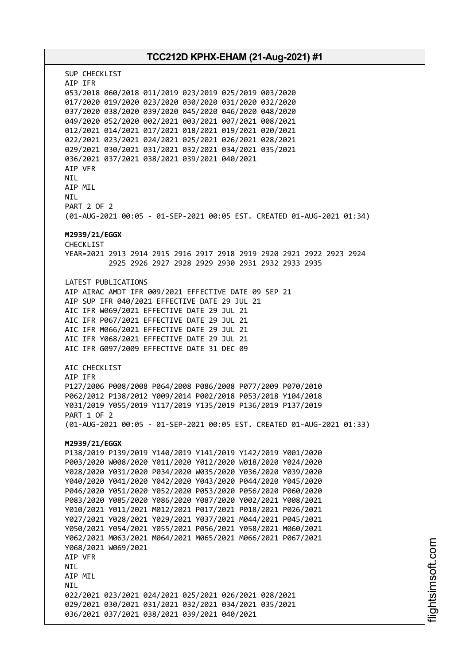# **TCC212D KPHX-EHAM (21-Aug-2021) #1** SUP CHECKLIST AIP IFR 053/2018 060/2018 011/2019 023/2019 025/2019 003/2020 017/2020 019/2020 023/2020 030/2020 031/2020 032/2020 037/2020 038/2020 039/2020 045/2020 046/2020 048/2020 049/2020 052/2020 002/2021 003/2021 007/2021 008/2021 012/2021 014/2021 017/2021 018/2021 019/2021 020/2021 022/2021 023/2021 024/2021 025/2021 026/2021 028/2021 029/2021 030/2021 031/2021 032/2021 034/2021 035/2021 036/2021 037/2021 038/2021 039/2021 040/2021 AIP VFR **NTI** AIP MIL NIL PART 2 OF 2 (01-AUG-2021 00:05 - 01-SEP-2021 00:05 EST. CREATED 01-AUG-2021 01:34) **M2939/21/EGGX** CHECKL<sub>TST</sub> YEAR=2021 2913 2914 2915 2916 2917 2918 2919 2920 2921 2922 2923 2924 2925 2926 2927 2928 2929 2930 2931 2932 2933 2935 LATEST PUBLICATIONS AIP AIRAC AMDT IFR 009/2021 EFFECTIVE DATE 09 SEP 21 AIP SUP IFR 040/2021 EFFECTIVE DATE 29 JUL 21 AIC IFR W069/2021 EFFECTIVE DATE 29 JUL 21 AIC IFR P067/2021 EFFECTIVE DATE 29 JUL 21 AIC IFR M066/2021 EFFECTIVE DATE 29 JUL 21 AIC IFR Y068/2021 EFFECTIVE DATE 29 JUL 21 AIC IFR G097/2009 EFFECTIVE DATE 31 DEC 09 AIC CHECKLIST AIP IFR P127/2006 P008/2008 P064/2008 P086/2008 P077/2009 P070/2010 P062/2012 P138/2012 Y009/2014 P002/2018 P053/2018 Y104/2018 Y031/2019 Y055/2019 Y117/2019 Y135/2019 P136/2019 P137/2019 PART 1 OF 2 (01-AUG-2021 00:05 - 01-SEP-2021 00:05 EST. CREATED 01-AUG-2021 01:33) **M2939/21/EGGX** P138/2019 P139/2019 Y140/2019 Y141/2019 Y142/2019 Y001/2020 P003/2020 W008/2020 Y011/2020 Y012/2020 W018/2020 Y024/2020 Y028/2020 Y031/2020 P034/2020 W035/2020 Y036/2020 Y039/2020 Y040/2020 Y041/2020 Y042/2020 Y043/2020 P044/2020 Y045/2020 P046/2020 Y051/2020 Y052/2020 P053/2020 P056/2020 P060/2020 P083/2020 Y085/2020 Y086/2020 Y087/2020 Y002/2021 Y008/2021 Y010/2021 Y011/2021 M012/2021 P017/2021 P018/2021 P026/2021 Y027/2021 Y028/2021 Y029/2021 Y037/2021 M044/2021 P045/2021 Y050/2021 Y054/2021 Y055/2021 P056/2021 Y058/2021 M060/2021 Y062/2021 M063/2021 M064/2021 M065/2021 M066/2021 P067/2021 Y068/2021 W069/2021 AIP VFR NIL AIP MIL **NTI** 022/2021 023/2021 024/2021 025/2021 026/2021 028/2021 029/2021 030/2021 031/2021 032/2021 034/2021 035/2021 036/2021 037/2021 038/2021 039/2021 040/2021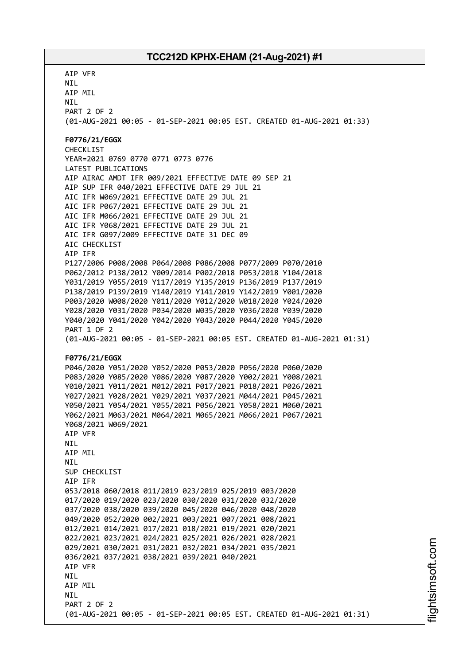AIP VFR NIL AIP MIL NIL PART 2 OF 2 (01-AUG-2021 00:05 - 01-SEP-2021 00:05 EST. CREATED 01-AUG-2021 01:33) **F0776/21/EGGX** CHECKLIST YEAR=2021 0769 0770 0771 0773 0776 LATEST PUBLICATIONS AIP AIRAC AMDT IFR 009/2021 EFFECTIVE DATE 09 SEP 21 AIP SUP IFR 040/2021 EFFECTIVE DATE 29 JUL 21 AIC IFR W069/2021 EFFECTIVE DATE 29 JUL 21 AIC IFR P067/2021 EFFECTIVE DATE 29 JUL 21 AIC IFR M066/2021 EFFECTIVE DATE 29 JUL 21 AIC IFR Y068/2021 EFFECTIVE DATE 29 JUL 21 AIC IFR G097/2009 EFFECTIVE DATE 31 DEC 09 AIC CHECKLIST AIP IFR P127/2006 P008/2008 P064/2008 P086/2008 P077/2009 P070/2010 P062/2012 P138/2012 Y009/2014 P002/2018 P053/2018 Y104/2018 Y031/2019 Y055/2019 Y117/2019 Y135/2019 P136/2019 P137/2019 P138/2019 P139/2019 Y140/2019 Y141/2019 Y142/2019 Y001/2020 P003/2020 W008/2020 Y011/2020 Y012/2020 W018/2020 Y024/2020 Y028/2020 Y031/2020 P034/2020 W035/2020 Y036/2020 Y039/2020 Y040/2020 Y041/2020 Y042/2020 Y043/2020 P044/2020 Y045/2020 PART 1 OF 2 (01-AUG-2021 00:05 - 01-SEP-2021 00:05 EST. CREATED 01-AUG-2021 01:31) **F0776/21/EGGX** P046/2020 Y051/2020 Y052/2020 P053/2020 P056/2020 P060/2020 P083/2020 Y085/2020 Y086/2020 Y087/2020 Y002/2021 Y008/2021 Y010/2021 Y011/2021 M012/2021 P017/2021 P018/2021 P026/2021 Y027/2021 Y028/2021 Y029/2021 Y037/2021 M044/2021 P045/2021 Y050/2021 Y054/2021 Y055/2021 P056/2021 Y058/2021 M060/2021 Y062/2021 M063/2021 M064/2021 M065/2021 M066/2021 P067/2021 Y068/2021 W069/2021 AIP VFR NIL AIP MIL **NTI** SUP CHECKLIST AIP IFR 053/2018 060/2018 011/2019 023/2019 025/2019 003/2020 017/2020 019/2020 023/2020 030/2020 031/2020 032/2020 037/2020 038/2020 039/2020 045/2020 046/2020 048/2020 049/2020 052/2020 002/2021 003/2021 007/2021 008/2021 012/2021 014/2021 017/2021 018/2021 019/2021 020/2021 022/2021 023/2021 024/2021 025/2021 026/2021 028/2021 029/2021 030/2021 031/2021 032/2021 034/2021 035/2021 036/2021 037/2021 038/2021 039/2021 040/2021 AIP VFR **NTL** AIP MIL **NTI** PART 2 OF 2 (01-AUG-2021 00:05 - 01-SEP-2021 00:05 EST. CREATED 01-AUG-2021 01:31)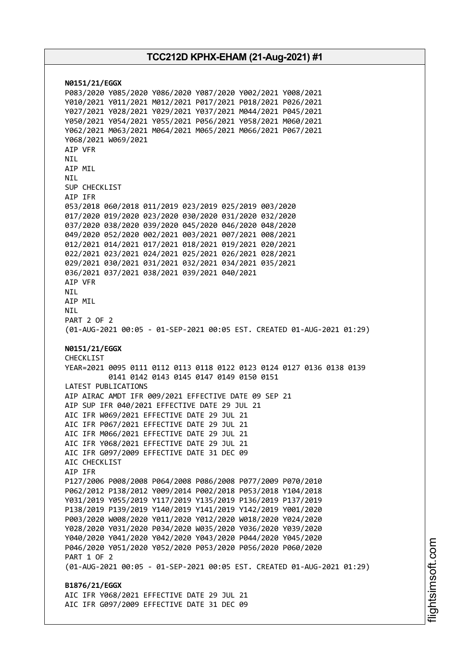**N0151/21/EGGX** P083/2020 Y085/2020 Y086/2020 Y087/2020 Y002/2021 Y008/2021 Y010/2021 Y011/2021 M012/2021 P017/2021 P018/2021 P026/2021 Y027/2021 Y028/2021 Y029/2021 Y037/2021 M044/2021 P045/2021 Y050/2021 Y054/2021 Y055/2021 P056/2021 Y058/2021 M060/2021 Y062/2021 M063/2021 M064/2021 M065/2021 M066/2021 P067/2021 Y068/2021 W069/2021 AIP VFR NIL AIP MIL **NTI** SUP CHECKLIST AIP IFR 053/2018 060/2018 011/2019 023/2019 025/2019 003/2020 017/2020 019/2020 023/2020 030/2020 031/2020 032/2020 037/2020 038/2020 039/2020 045/2020 046/2020 048/2020 049/2020 052/2020 002/2021 003/2021 007/2021 008/2021 012/2021 014/2021 017/2021 018/2021 019/2021 020/2021 022/2021 023/2021 024/2021 025/2021 026/2021 028/2021 029/2021 030/2021 031/2021 032/2021 034/2021 035/2021 036/2021 037/2021 038/2021 039/2021 040/2021 AIP VFR NIL AIP MIL NIL PART 2 OF 2 (01-AUG-2021 00:05 - 01-SEP-2021 00:05 EST. CREATED 01-AUG-2021 01:29) **N0151/21/EGGX** CHECKLIST YEAR=2021 0095 0111 0112 0113 0118 0122 0123 0124 0127 0136 0138 0139 0141 0142 0143 0145 0147 0149 0150 0151 LATEST PUBLICATIONS AIP AIRAC AMDT IFR 009/2021 EFFECTIVE DATE 09 SEP 21 AIP SUP IFR 040/2021 EFFECTIVE DATE 29 JUL 21 AIC IFR W069/2021 EFFECTIVE DATE 29 JUL 21 AIC IFR P067/2021 EFFECTIVE DATE 29 JUL 21 AIC IFR M066/2021 EFFECTIVE DATE 29 JUL 21 AIC IFR Y068/2021 EFFECTIVE DATE 29 JUL 21 AIC IFR G097/2009 EFFECTIVE DATE 31 DEC 09 AIC CHECKLIST AIP IFR P127/2006 P008/2008 P064/2008 P086/2008 P077/2009 P070/2010 P062/2012 P138/2012 Y009/2014 P002/2018 P053/2018 Y104/2018 Y031/2019 Y055/2019 Y117/2019 Y135/2019 P136/2019 P137/2019 P138/2019 P139/2019 Y140/2019 Y141/2019 Y142/2019 Y001/2020 P003/2020 W008/2020 Y011/2020 Y012/2020 W018/2020 Y024/2020 Y028/2020 Y031/2020 P034/2020 W035/2020 Y036/2020 Y039/2020 Y040/2020 Y041/2020 Y042/2020 Y043/2020 P044/2020 Y045/2020 P046/2020 Y051/2020 Y052/2020 P053/2020 P056/2020 P060/2020 PART 1 OF 2 (01-AUG-2021 00:05 - 01-SEP-2021 00:05 EST. CREATED 01-AUG-2021 01:29) **B1876/21/EGGX** AIC IFR Y068/2021 EFFECTIVE DATE 29 JUL 21 AIC IFR G097/2009 EFFECTIVE DATE 31 DEC 09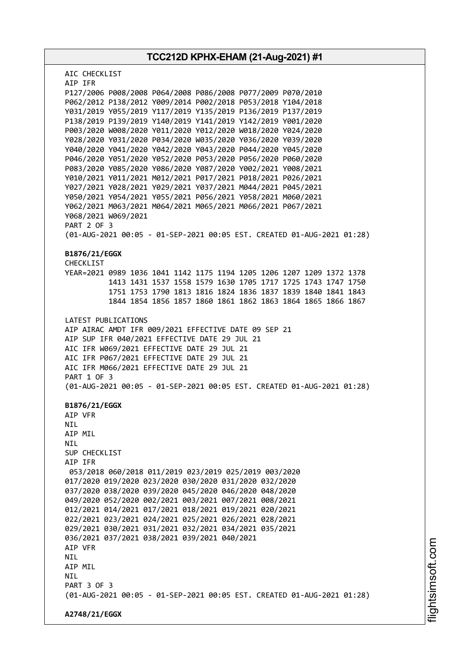**TCC212D KPHX-EHAM (21-Aug-2021) #1** AIC CHECKLIST AIP IFR P127/2006 P008/2008 P064/2008 P086/2008 P077/2009 P070/2010 P062/2012 P138/2012 Y009/2014 P002/2018 P053/2018 Y104/2018 Y031/2019 Y055/2019 Y117/2019 Y135/2019 P136/2019 P137/2019 P138/2019 P139/2019 Y140/2019 Y141/2019 Y142/2019 Y001/2020 P003/2020 W008/2020 Y011/2020 Y012/2020 W018/2020 Y024/2020 Y028/2020 Y031/2020 P034/2020 W035/2020 Y036/2020 Y039/2020 Y040/2020 Y041/2020 Y042/2020 Y043/2020 P044/2020 Y045/2020 P046/2020 Y051/2020 Y052/2020 P053/2020 P056/2020 P060/2020 P083/2020 Y085/2020 Y086/2020 Y087/2020 Y002/2021 Y008/2021 Y010/2021 Y011/2021 M012/2021 P017/2021 P018/2021 P026/2021 Y027/2021 Y028/2021 Y029/2021 Y037/2021 M044/2021 P045/2021 Y050/2021 Y054/2021 Y055/2021 P056/2021 Y058/2021 M060/2021 Y062/2021 M063/2021 M064/2021 M065/2021 M066/2021 P067/2021 Y068/2021 W069/2021 PART 2 OF 3 (01-AUG-2021 00:05 - 01-SEP-2021 00:05 EST. CREATED 01-AUG-2021 01:28) **B1876/21/EGGX** CHECKLIST YEAR=2021 0989 1036 1041 1142 1175 1194 1205 1206 1207 1209 1372 1378 1413 1431 1537 1558 1579 1630 1705 1717 1725 1743 1747 1750 1751 1753 1790 1813 1816 1824 1836 1837 1839 1840 1841 1843 1844 1854 1856 1857 1860 1861 1862 1863 1864 1865 1866 1867 LATEST PUBLICATIONS AIP AIRAC AMDT IFR 009/2021 EFFECTIVE DATE 09 SEP 21 AIP SUP IFR 040/2021 EFFECTIVE DATE 29 JUL 21 AIC IFR W069/2021 EFFECTIVE DATE 29 JUL 21 AIC IFR P067/2021 EFFECTIVE DATE 29 JUL 21 AIC IFR M066/2021 EFFECTIVE DATE 29 JUL 21 PART 1 OF 3 (01-AUG-2021 00:05 - 01-SEP-2021 00:05 EST. CREATED 01-AUG-2021 01:28) **B1876/21/EGGX** AIP VFR NIL AIP MIL NIL SUP CHECKLIST AIP IFR 053/2018 060/2018 011/2019 023/2019 025/2019 003/2020 017/2020 019/2020 023/2020 030/2020 031/2020 032/2020 037/2020 038/2020 039/2020 045/2020 046/2020 048/2020 049/2020 052/2020 002/2021 003/2021 007/2021 008/2021 012/2021 014/2021 017/2021 018/2021 019/2021 020/2021 022/2021 023/2021 024/2021 025/2021 026/2021 028/2021 029/2021 030/2021 031/2021 032/2021 034/2021 035/2021 036/2021 037/2021 038/2021 039/2021 040/2021 AIP VFR NIL AIP MIL **NTL** PART 3 OF 3 (01-AUG-2021 00:05 - 01-SEP-2021 00:05 EST. CREATED 01-AUG-2021 01:28) **A2748/21/EGGX**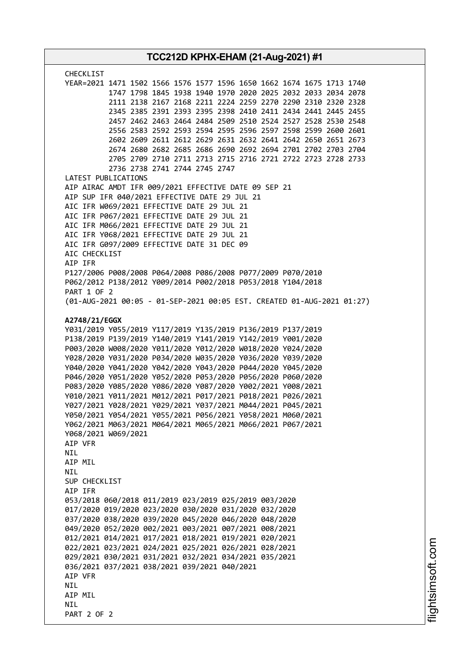| TCC212D KPHX-EHAM (21-Aug-2021) #1                                                                                                                                                                                                                                                                                                                                                                                                                                                                                                                                                                                                                                                                                                                                                                                                                                                                                                                                                                                                                                                                                                                                                                                                                                                                                                  |  |
|-------------------------------------------------------------------------------------------------------------------------------------------------------------------------------------------------------------------------------------------------------------------------------------------------------------------------------------------------------------------------------------------------------------------------------------------------------------------------------------------------------------------------------------------------------------------------------------------------------------------------------------------------------------------------------------------------------------------------------------------------------------------------------------------------------------------------------------------------------------------------------------------------------------------------------------------------------------------------------------------------------------------------------------------------------------------------------------------------------------------------------------------------------------------------------------------------------------------------------------------------------------------------------------------------------------------------------------|--|
| <b>CHECKLIST</b><br>YEAR=2021 1471 1502 1566 1576 1577 1596 1650 1662 1674 1675 1713 1740<br>1747 1798 1845 1938 1940 1970 2020 2025 2032 2033 2034 2078<br>2111 2138 2167 2168 2211 2224 2259 2270 2290 2310 2320 2328<br>2345 2385 2391 2393 2395 2398 2410 2411 2434 2441 2445 2455<br>2457 2462 2463 2464 2484 2509 2510 2524 2527 2528 2530 2548<br>2556 2583 2592 2593 2594 2595 2596 2597 2598 2599 2600 2601<br>2602 2609 2611 2612 2629 2631 2632 2641 2642 2650 2651 2673<br>2674 2680 2682 2685 2686 2690 2692 2694 2701 2702 2703 2704<br>2705 2709 2710 2711 2713 2715 2716 2721 2722 2723 2728 2733<br>2736 2738 2741 2744 2745 2747                                                                                                                                                                                                                                                                                                                                                                                                                                                                                                                                                                                                                                                                                  |  |
| LATEST PUBLICATIONS<br>AIP AIRAC AMDT IFR 009/2021 EFFECTIVE DATE 09 SEP 21<br>AIP SUP IFR 040/2021 EFFECTIVE DATE 29 JUL 21<br>AIC IFR W069/2021 EFFECTIVE DATE 29 JUL 21<br>AIC IFR P067/2021 EFFECTIVE DATE 29 JUL 21<br>AIC IFR M066/2021 EFFECTIVE DATE 29 JUL 21<br>AIC IFR Y068/2021 EFFECTIVE DATE 29 JUL 21<br>AIC IFR G097/2009 EFFECTIVE DATE 31 DEC 09<br>AIC CHECKLIST<br>AIP IFR                                                                                                                                                                                                                                                                                                                                                                                                                                                                                                                                                                                                                                                                                                                                                                                                                                                                                                                                      |  |
| P127/2006 P008/2008 P064/2008 P086/2008 P077/2009 P070/2010<br>P062/2012 P138/2012 Y009/2014 P002/2018 P053/2018 Y104/2018<br>PART 1 OF 2<br>(01-AUG-2021 00:05 - 01-SEP-2021 00:05 EST. CREATED 01-AUG-2021 01:27)                                                                                                                                                                                                                                                                                                                                                                                                                                                                                                                                                                                                                                                                                                                                                                                                                                                                                                                                                                                                                                                                                                                 |  |
| A2748/21/EGGX<br>Y031/2019 Y055/2019 Y117/2019 Y135/2019 P136/2019 P137/2019<br>P138/2019 P139/2019 Y140/2019 Y141/2019 Y142/2019 Y001/2020<br>P003/2020 W008/2020 Y011/2020 Y012/2020 W018/2020 Y024/2020<br>Y028/2020 Y031/2020 P034/2020 W035/2020 Y036/2020 Y039/2020<br>Y040/2020 Y041/2020 Y042/2020 Y043/2020 P044/2020 Y045/2020<br>P046/2020 Y051/2020 Y052/2020 P053/2020 P056/2020 P060/2020<br>P083/2020 Y085/2020 Y086/2020 Y087/2020 Y002/2021 Y008/2021<br>Y010/2021 Y011/2021 M012/2021 P017/2021 P018/2021 P026/2021<br>Y027/2021 Y028/2021 Y029/2021 Y037/2021 M044/2021 P045/2021<br>Y050/2021 Y054/2021 Y055/2021 P056/2021 Y058/2021 M060/2021<br>Y062/2021 M063/2021 M064/2021 M065/2021 M066/2021 P067/2021<br>Y068/2021 W069/2021<br>AIP VFR<br>NIL<br>AIP MIL<br><b>NIL</b><br>SUP CHECKLIST<br>AIP IFR<br>053/2018 060/2018 011/2019 023/2019 025/2019 003/2020<br>017/2020 019/2020 023/2020 030/2020 031/2020 032/2020<br>037/2020 038/2020 039/2020 045/2020 046/2020 048/2020<br>049/2020 052/2020 002/2021 003/2021 007/2021 008/2021<br>012/2021 014/2021 017/2021 018/2021 019/2021 020/2021<br>022/2021 023/2021 024/2021 025/2021 026/2021 028/2021<br>029/2021 030/2021 031/2021 032/2021 034/2021 035/2021<br>036/2021 037/2021 038/2021 039/2021 040/2021<br>AIP VFR<br><b>NIL</b><br>AIP MIL |  |
| <b>NIL</b><br>PART 2 OF 2                                                                                                                                                                                                                                                                                                                                                                                                                                                                                                                                                                                                                                                                                                                                                                                                                                                                                                                                                                                                                                                                                                                                                                                                                                                                                                           |  |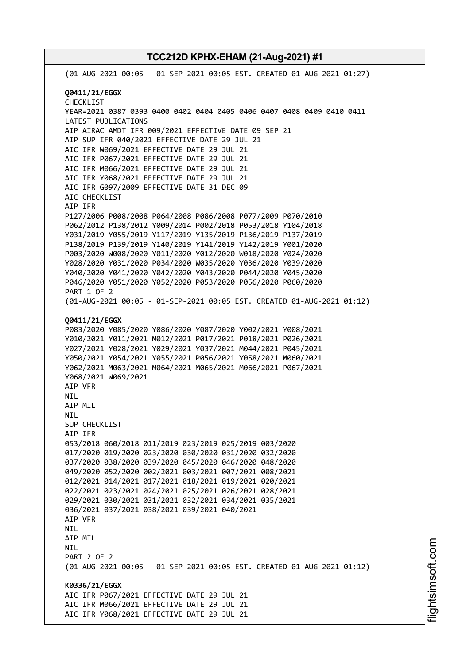(01-AUG-2021 00:05 - 01-SEP-2021 00:05 EST. CREATED 01-AUG-2021 01:27) **Q0411/21/EGGX** CHECKLIST YEAR=2021 0387 0393 0400 0402 0404 0405 0406 0407 0408 0409 0410 0411 LATEST PUBLICATIONS AIP AIRAC AMDT IFR 009/2021 EFFECTIVE DATE 09 SEP 21 AIP SUP IFR 040/2021 EFFECTIVE DATE 29 JUL 21 AIC IFR W069/2021 EFFECTIVE DATE 29 JUL 21 AIC IFR P067/2021 EFFECTIVE DATE 29 JUL 21 AIC IFR M066/2021 EFFECTIVE DATE 29 JUL 21 AIC IFR Y068/2021 EFFECTIVE DATE 29 JUL 21 AIC IFR G097/2009 EFFECTIVE DATE 31 DEC 09 AIC CHECKLIST AIP IFR P127/2006 P008/2008 P064/2008 P086/2008 P077/2009 P070/2010 P062/2012 P138/2012 Y009/2014 P002/2018 P053/2018 Y104/2018 Y031/2019 Y055/2019 Y117/2019 Y135/2019 P136/2019 P137/2019 P138/2019 P139/2019 Y140/2019 Y141/2019 Y142/2019 Y001/2020 P003/2020 W008/2020 Y011/2020 Y012/2020 W018/2020 Y024/2020 Y028/2020 Y031/2020 P034/2020 W035/2020 Y036/2020 Y039/2020 Y040/2020 Y041/2020 Y042/2020 Y043/2020 P044/2020 Y045/2020 P046/2020 Y051/2020 Y052/2020 P053/2020 P056/2020 P060/2020 PART 1 OF 2 (01-AUG-2021 00:05 - 01-SEP-2021 00:05 EST. CREATED 01-AUG-2021 01:12) **Q0411/21/EGGX** P083/2020 Y085/2020 Y086/2020 Y087/2020 Y002/2021 Y008/2021 Y010/2021 Y011/2021 M012/2021 P017/2021 P018/2021 P026/2021 Y027/2021 Y028/2021 Y029/2021 Y037/2021 M044/2021 P045/2021 Y050/2021 Y054/2021 Y055/2021 P056/2021 Y058/2021 M060/2021 Y062/2021 M063/2021 M064/2021 M065/2021 M066/2021 P067/2021 Y068/2021 W069/2021 AIP VFR NIL AIP MIL NIL SUP CHECKLIST AIP IFR 053/2018 060/2018 011/2019 023/2019 025/2019 003/2020 017/2020 019/2020 023/2020 030/2020 031/2020 032/2020 037/2020 038/2020 039/2020 045/2020 046/2020 048/2020 049/2020 052/2020 002/2021 003/2021 007/2021 008/2021 012/2021 014/2021 017/2021 018/2021 019/2021 020/2021 022/2021 023/2021 024/2021 025/2021 026/2021 028/2021 029/2021 030/2021 031/2021 032/2021 034/2021 035/2021 036/2021 037/2021 038/2021 039/2021 040/2021 AIP VFR NIL AIP MIL NIL PART 2 OF 2 (01-AUG-2021 00:05 - 01-SEP-2021 00:05 EST. CREATED 01-AUG-2021 01:12) **K0336/21/EGGX** AIC IFR P067/2021 EFFECTIVE DATE 29 JUL 21 AIC IFR M066/2021 EFFECTIVE DATE 29 JUL 21 AIC IFR Y068/2021 EFFECTIVE DATE 29 JUL 21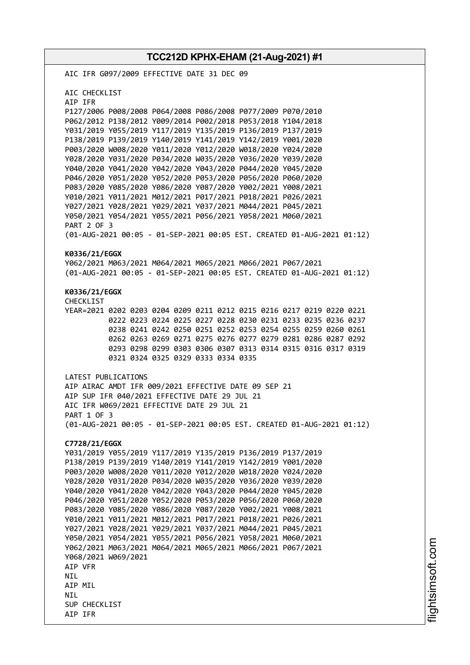**TCC212D KPHX-EHAM (21-Aug-2021) #1** AIC IFR G097/2009 EFFECTIVE DATE 31 DEC 09 AIC CHECKLIST AIP IFR P127/2006 P008/2008 P064/2008 P086/2008 P077/2009 P070/2010 P062/2012 P138/2012 Y009/2014 P002/2018 P053/2018 Y104/2018 Y031/2019 Y055/2019 Y117/2019 Y135/2019 P136/2019 P137/2019 P138/2019 P139/2019 Y140/2019 Y141/2019 Y142/2019 Y001/2020 P003/2020 W008/2020 Y011/2020 Y012/2020 W018/2020 Y024/2020 Y028/2020 Y031/2020 P034/2020 W035/2020 Y036/2020 Y039/2020 Y040/2020 Y041/2020 Y042/2020 Y043/2020 P044/2020 Y045/2020 P046/2020 Y051/2020 Y052/2020 P053/2020 P056/2020 P060/2020 P083/2020 Y085/2020 Y086/2020 Y087/2020 Y002/2021 Y008/2021 Y010/2021 Y011/2021 M012/2021 P017/2021 P018/2021 P026/2021 Y027/2021 Y028/2021 Y029/2021 Y037/2021 M044/2021 P045/2021 Y050/2021 Y054/2021 Y055/2021 P056/2021 Y058/2021 M060/2021 PART 2 OF 3 (01-AUG-2021 00:05 - 01-SEP-2021 00:05 EST. CREATED 01-AUG-2021 01:12) **K0336/21/EGGX** Y062/2021 M063/2021 M064/2021 M065/2021 M066/2021 P067/2021 (01-AUG-2021 00:05 - 01-SEP-2021 00:05 EST. CREATED 01-AUG-2021 01:12) **K0336/21/EGGX** CHECKLIST YEAR=2021 0202 0203 0204 0209 0211 0212 0215 0216 0217 0219 0220 0221 0222 0223 0224 0225 0227 0228 0230 0231 0233 0235 0236 0237 0238 0241 0242 0250 0251 0252 0253 0254 0255 0259 0260 0261 0262 0263 0269 0271 0275 0276 0277 0279 0281 0286 0287 0292 0293 0298 0299 0303 0306 0307 0313 0314 0315 0316 0317 0319 0321 0324 0325 0329 0333 0334 0335 LATEST PUBLICATIONS AIP AIRAC AMDT IFR 009/2021 EFFECTIVE DATE 09 SEP 21 AIP SUP IFR 040/2021 EFFECTIVE DATE 29 JUL 21 AIC IFR W069/2021 EFFECTIVE DATE 29 JUL 21 PART 1 OF 3 (01-AUG-2021 00:05 - 01-SEP-2021 00:05 EST. CREATED 01-AUG-2021 01:12) **C7728/21/EGGX** Y031/2019 Y055/2019 Y117/2019 Y135/2019 P136/2019 P137/2019 P138/2019 P139/2019 Y140/2019 Y141/2019 Y142/2019 Y001/2020 P003/2020 W008/2020 Y011/2020 Y012/2020 W018/2020 Y024/2020 Y028/2020 Y031/2020 P034/2020 W035/2020 Y036/2020 Y039/2020 Y040/2020 Y041/2020 Y042/2020 Y043/2020 P044/2020 Y045/2020 P046/2020 Y051/2020 Y052/2020 P053/2020 P056/2020 P060/2020 P083/2020 Y085/2020 Y086/2020 Y087/2020 Y002/2021 Y008/2021 Y010/2021 Y011/2021 M012/2021 P017/2021 P018/2021 P026/2021 Y027/2021 Y028/2021 Y029/2021 Y037/2021 M044/2021 P045/2021 Y050/2021 Y054/2021 Y055/2021 P056/2021 Y058/2021 M060/2021 Y062/2021 M063/2021 M064/2021 M065/2021 M066/2021 P067/2021 Y068/2021 W069/2021 AIP VFR **NTI** AIP MIL **NTI** SUP CHECKLIST AIP IFR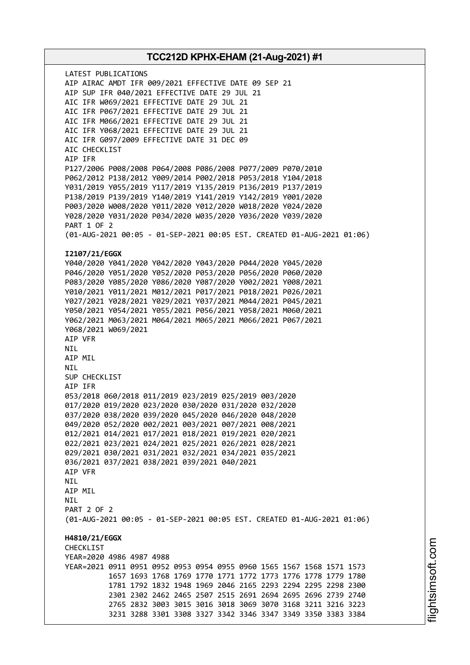LATEST PUBLICATIONS AIP AIRAC AMDT IFR 009/2021 EFFECTIVE DATE 09 SEP 21 AIP SUP IFR 040/2021 EFFECTIVE DATE 29 JUL 21 AIC IFR W069/2021 EFFECTIVE DATE 29 JUL 21 AIC IFR P067/2021 EFFECTIVE DATE 29 JUL 21 AIC IFR M066/2021 EFFECTIVE DATE 29 JUL 21 AIC IFR Y068/2021 EFFECTIVE DATE 29 JUL 21 AIC IFR G097/2009 EFFECTIVE DATE 31 DEC 09 AIC CHECKLIST AIP IFR P127/2006 P008/2008 P064/2008 P086/2008 P077/2009 P070/2010 P062/2012 P138/2012 Y009/2014 P002/2018 P053/2018 Y104/2018 Y031/2019 Y055/2019 Y117/2019 Y135/2019 P136/2019 P137/2019 P138/2019 P139/2019 Y140/2019 Y141/2019 Y142/2019 Y001/2020 P003/2020 W008/2020 Y011/2020 Y012/2020 W018/2020 Y024/2020 Y028/2020 Y031/2020 P034/2020 W035/2020 Y036/2020 Y039/2020 PART 1 OF 2 (01-AUG-2021 00:05 - 01-SEP-2021 00:05 EST. CREATED 01-AUG-2021 01:06) **I2107/21/EGGX** Y040/2020 Y041/2020 Y042/2020 Y043/2020 P044/2020 Y045/2020 P046/2020 Y051/2020 Y052/2020 P053/2020 P056/2020 P060/2020 P083/2020 Y085/2020 Y086/2020 Y087/2020 Y002/2021 Y008/2021 Y010/2021 Y011/2021 M012/2021 P017/2021 P018/2021 P026/2021 Y027/2021 Y028/2021 Y029/2021 Y037/2021 M044/2021 P045/2021 Y050/2021 Y054/2021 Y055/2021 P056/2021 Y058/2021 M060/2021 Y062/2021 M063/2021 M064/2021 M065/2021 M066/2021 P067/2021 Y068/2021 W069/2021 AIP VFR NIL AIP MIL NIL SUP CHECKLIST AIP IFR 053/2018 060/2018 011/2019 023/2019 025/2019 003/2020 017/2020 019/2020 023/2020 030/2020 031/2020 032/2020 037/2020 038/2020 039/2020 045/2020 046/2020 048/2020 049/2020 052/2020 002/2021 003/2021 007/2021 008/2021 012/2021 014/2021 017/2021 018/2021 019/2021 020/2021 022/2021 023/2021 024/2021 025/2021 026/2021 028/2021 029/2021 030/2021 031/2021 032/2021 034/2021 035/2021 036/2021 037/2021 038/2021 039/2021 040/2021 AIP VFR NIL AIP MIL **NTI** PART 2 OF 2 (01-AUG-2021 00:05 - 01-SEP-2021 00:05 EST. CREATED 01-AUG-2021 01:06) **H4810/21/EGGX** CHECKLIST YEAR=2020 4986 4987 4988 YEAR=2021 0911 0951 0952 0953 0954 0955 0960 1565 1567 1568 1571 1573 1657 1693 1768 1769 1770 1771 1772 1773 1776 1778 1779 1780 1781 1792 1832 1948 1969 2046 2165 2293 2294 2295 2298 2300 2301 2302 2462 2465 2507 2515 2691 2694 2695 2696 2739 2740 2765 2832 3003 3015 3016 3018 3069 3070 3168 3211 3216 3223 3231 3288 3301 3308 3327 3342 3346 3347 3349 3350 3383 3384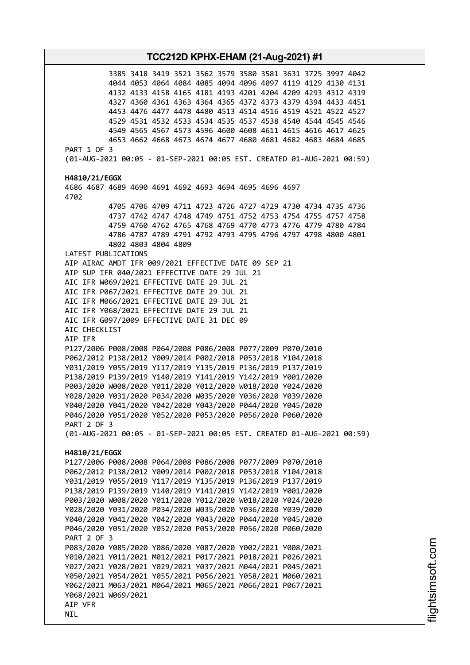3385 3418 3419 3521 3562 3579 3580 3581 3631 3725 3997 4042 4044 4053 4064 4084 4085 4094 4096 4097 4119 4129 4130 4131 4132 4133 4158 4165 4181 4193 4201 4204 4209 4293 4312 4319 4327 4360 4361 4363 4364 4365 4372 4373 4379 4394 4433 4451 4453 4476 4477 4478 4480 4513 4514 4516 4519 4521 4522 4527 4529 4531 4532 4533 4534 4535 4537 4538 4540 4544 4545 4546 4549 4565 4567 4573 4596 4600 4608 4611 4615 4616 4617 4625 4653 4662 4668 4673 4674 4677 4680 4681 4682 4683 4684 4685 PART 1 OF 3 (01-AUG-2021 00:05 - 01-SEP-2021 00:05 EST. CREATED 01-AUG-2021 00:59) **H4810/21/EGGX** 4686 4687 4689 4690 4691 4692 4693 4694 4695 4696 4697 4702 4705 4706 4709 4711 4723 4726 4727 4729 4730 4734 4735 4736 4737 4742 4747 4748 4749 4751 4752 4753 4754 4755 4757 4758 4759 4760 4762 4765 4768 4769 4770 4773 4776 4779 4780 4784 4786 4787 4789 4791 4792 4793 4795 4796 4797 4798 4800 4801 4802 4803 4804 4809 LATEST PUBLICATIONS AIP AIRAC AMDT IFR 009/2021 EFFECTIVE DATE 09 SEP 21 AIP SUP IFR 040/2021 EFFECTIVE DATE 29 JUL 21 AIC IFR W069/2021 EFFECTIVE DATE 29 JUL 21 AIC IFR P067/2021 EFFECTIVE DATE 29 JUL 21 AIC IFR M066/2021 EFFECTIVE DATE 29 JUL 21 AIC IFR Y068/2021 EFFECTIVE DATE 29 JUL 21 AIC IFR G097/2009 EFFECTIVE DATE 31 DEC 09 AIC CHECKLIST AIP IFR P127/2006 P008/2008 P064/2008 P086/2008 P077/2009 P070/2010 P062/2012 P138/2012 Y009/2014 P002/2018 P053/2018 Y104/2018 Y031/2019 Y055/2019 Y117/2019 Y135/2019 P136/2019 P137/2019 P138/2019 P139/2019 Y140/2019 Y141/2019 Y142/2019 Y001/2020 P003/2020 W008/2020 Y011/2020 Y012/2020 W018/2020 Y024/2020 Y028/2020 Y031/2020 P034/2020 W035/2020 Y036/2020 Y039/2020 Y040/2020 Y041/2020 Y042/2020 Y043/2020 P044/2020 Y045/2020 P046/2020 Y051/2020 Y052/2020 P053/2020 P056/2020 P060/2020 PART 2 OF 3 (01-AUG-2021 00:05 - 01-SEP-2021 00:05 EST. CREATED 01-AUG-2021 00:59) **H4810/21/EGGX** P127/2006 P008/2008 P064/2008 P086/2008 P077/2009 P070/2010 P062/2012 P138/2012 Y009/2014 P002/2018 P053/2018 Y104/2018 Y031/2019 Y055/2019 Y117/2019 Y135/2019 P136/2019 P137/2019 P138/2019 P139/2019 Y140/2019 Y141/2019 Y142/2019 Y001/2020 P003/2020 W008/2020 Y011/2020 Y012/2020 W018/2020 Y024/2020 Y028/2020 Y031/2020 P034/2020 W035/2020 Y036/2020 Y039/2020 Y040/2020 Y041/2020 Y042/2020 Y043/2020 P044/2020 Y045/2020 P046/2020 Y051/2020 Y052/2020 P053/2020 P056/2020 P060/2020 PART 2 OF 3 P083/2020 Y085/2020 Y086/2020 Y087/2020 Y002/2021 Y008/2021 Y010/2021 Y011/2021 M012/2021 P017/2021 P018/2021 P026/2021 Y027/2021 Y028/2021 Y029/2021 Y037/2021 M044/2021 P045/2021 Y050/2021 Y054/2021 Y055/2021 P056/2021 Y058/2021 M060/2021 Y062/2021 M063/2021 M064/2021 M065/2021 M066/2021 P067/2021 Y068/2021 W069/2021 AIP VFR NIL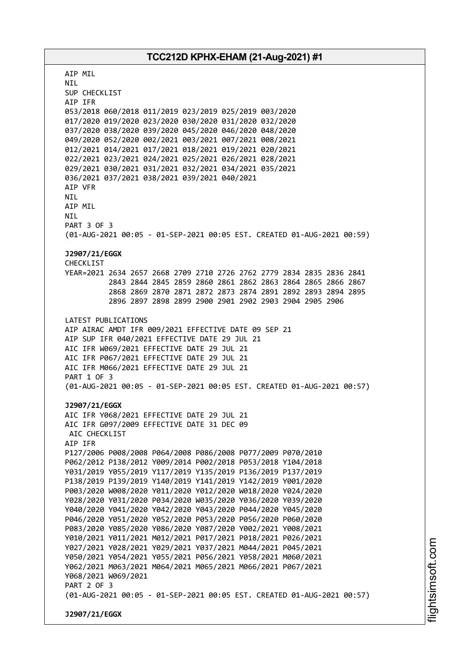AIP MIL NIL SUP CHECKLIST AIP IFR 053/2018 060/2018 011/2019 023/2019 025/2019 003/2020 017/2020 019/2020 023/2020 030/2020 031/2020 032/2020 037/2020 038/2020 039/2020 045/2020 046/2020 048/2020 049/2020 052/2020 002/2021 003/2021 007/2021 008/2021 012/2021 014/2021 017/2021 018/2021 019/2021 020/2021 022/2021 023/2021 024/2021 025/2021 026/2021 028/2021 029/2021 030/2021 031/2021 032/2021 034/2021 035/2021 036/2021 037/2021 038/2021 039/2021 040/2021 AIP VFR NIL AIP MIL NIL PART 3 OF 3 (01-AUG-2021 00:05 - 01-SEP-2021 00:05 EST. CREATED 01-AUG-2021 00:59) **J2907/21/EGGX** CHECKLIST YEAR=2021 2634 2657 2668 2709 2710 2726 2762 2779 2834 2835 2836 2841 2843 2844 2845 2859 2860 2861 2862 2863 2864 2865 2866 2867 2868 2869 2870 2871 2872 2873 2874 2891 2892 2893 2894 2895 2896 2897 2898 2899 2900 2901 2902 2903 2904 2905 2906 LATEST PUBLICATIONS AIP AIRAC AMDT IFR 009/2021 EFFECTIVE DATE 09 SEP 21 AIP SUP IFR 040/2021 EFFECTIVE DATE 29 JUL 21 AIC IFR W069/2021 EFFECTIVE DATE 29 JUL 21 AIC IFR P067/2021 EFFECTIVE DATE 29 JUL 21 AIC IFR M066/2021 EFFECTIVE DATE 29 JUL 21 PART 1 OF 3 (01-AUG-2021 00:05 - 01-SEP-2021 00:05 EST. CREATED 01-AUG-2021 00:57) **J2907/21/EGGX** AIC IFR Y068/2021 EFFECTIVE DATE 29 JUL 21 AIC IFR G097/2009 EFFECTIVE DATE 31 DEC 09 AIC CHECKLIST AIP IFR P127/2006 P008/2008 P064/2008 P086/2008 P077/2009 P070/2010 P062/2012 P138/2012 Y009/2014 P002/2018 P053/2018 Y104/2018 Y031/2019 Y055/2019 Y117/2019 Y135/2019 P136/2019 P137/2019 P138/2019 P139/2019 Y140/2019 Y141/2019 Y142/2019 Y001/2020 P003/2020 W008/2020 Y011/2020 Y012/2020 W018/2020 Y024/2020 Y028/2020 Y031/2020 P034/2020 W035/2020 Y036/2020 Y039/2020 Y040/2020 Y041/2020 Y042/2020 Y043/2020 P044/2020 Y045/2020 P046/2020 Y051/2020 Y052/2020 P053/2020 P056/2020 P060/2020 P083/2020 Y085/2020 Y086/2020 Y087/2020 Y002/2021 Y008/2021 Y010/2021 Y011/2021 M012/2021 P017/2021 P018/2021 P026/2021 Y027/2021 Y028/2021 Y029/2021 Y037/2021 M044/2021 P045/2021 Y050/2021 Y054/2021 Y055/2021 P056/2021 Y058/2021 M060/2021 Y062/2021 M063/2021 M064/2021 M065/2021 M066/2021 P067/2021 Y068/2021 W069/2021 PART 2 OF 3 (01-AUG-2021 00:05 - 01-SEP-2021 00:05 EST. CREATED 01-AUG-2021 00:57) **J2907/21/EGGX**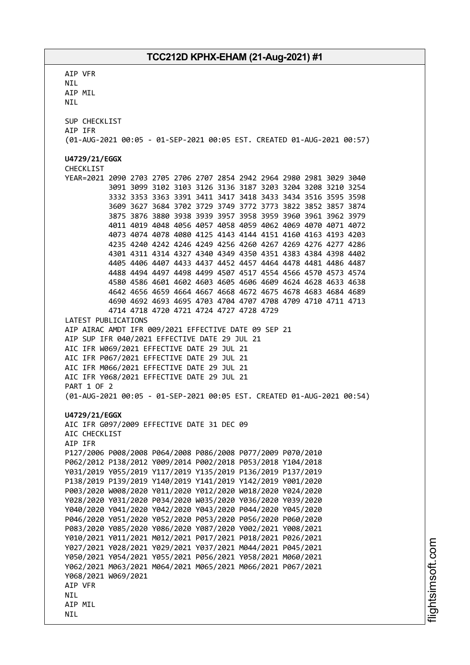AIP VFR NIL AIP MIL NIL SUP CHECKLIST AIP IFR (01-AUG-2021 00:05 - 01-SEP-2021 00:05 EST. CREATED 01-AUG-2021 00:57) **U4729/21/EGGX** CHECKLIST YEAR=2021 2090 2703 2705 2706 2707 2854 2942 2964 2980 2981 3029 3040 3091 3099 3102 3103 3126 3136 3187 3203 3204 3208 3210 3254 3332 3353 3363 3391 3411 3417 3418 3433 3434 3516 3595 3598 3609 3627 3684 3702 3729 3749 3772 3773 3822 3852 3857 3874 3875 3876 3880 3938 3939 3957 3958 3959 3960 3961 3962 3979 4011 4019 4048 4056 4057 4058 4059 4062 4069 4070 4071 4072 4073 4074 4078 4080 4125 4143 4144 4151 4160 4163 4193 4203 4235 4240 4242 4246 4249 4256 4260 4267 4269 4276 4277 4286 4301 4311 4314 4327 4340 4349 4350 4351 4383 4384 4398 4402 4405 4406 4407 4433 4437 4452 4457 4464 4478 4481 4486 4487 4488 4494 4497 4498 4499 4507 4517 4554 4566 4570 4573 4574 4580 4586 4601 4602 4603 4605 4606 4609 4624 4628 4633 4638 4642 4656 4659 4664 4667 4668 4672 4675 4678 4683 4684 4689 4690 4692 4693 4695 4703 4704 4707 4708 4709 4710 4711 4713 4714 4718 4720 4721 4724 4727 4728 4729 LATEST PUBLICATIONS AIP AIRAC AMDT IFR 009/2021 EFFECTIVE DATE 09 SEP 21 AIP SUP IFR 040/2021 EFFECTIVE DATE 29 JUL 21 AIC IFR W069/2021 EFFECTIVE DATE 29 JUL 21 AIC IFR P067/2021 EFFECTIVE DATE 29 JUL 21 AIC IFR M066/2021 EFFECTIVE DATE 29 JUL 21 AIC IFR Y068/2021 EFFECTIVE DATE 29 JUL 21 PART 1 OF 2 (01-AUG-2021 00:05 - 01-SEP-2021 00:05 EST. CREATED 01-AUG-2021 00:54) **U4729/21/EGGX** AIC IFR G097/2009 EFFECTIVE DATE 31 DEC 09 AIC CHECKLIST AIP IFR P127/2006 P008/2008 P064/2008 P086/2008 P077/2009 P070/2010 P062/2012 P138/2012 Y009/2014 P002/2018 P053/2018 Y104/2018 Y031/2019 Y055/2019 Y117/2019 Y135/2019 P136/2019 P137/2019 P138/2019 P139/2019 Y140/2019 Y141/2019 Y142/2019 Y001/2020 P003/2020 W008/2020 Y011/2020 Y012/2020 W018/2020 Y024/2020 Y028/2020 Y031/2020 P034/2020 W035/2020 Y036/2020 Y039/2020 Y040/2020 Y041/2020 Y042/2020 Y043/2020 P044/2020 Y045/2020 P046/2020 Y051/2020 Y052/2020 P053/2020 P056/2020 P060/2020 P083/2020 Y085/2020 Y086/2020 Y087/2020 Y002/2021 Y008/2021 Y010/2021 Y011/2021 M012/2021 P017/2021 P018/2021 P026/2021 Y027/2021 Y028/2021 Y029/2021 Y037/2021 M044/2021 P045/2021 Y050/2021 Y054/2021 Y055/2021 P056/2021 Y058/2021 M060/2021 Y062/2021 M063/2021 M064/2021 M065/2021 M066/2021 P067/2021 Y068/2021 W069/2021 AIP VFR **NTI** AIP MIL NIL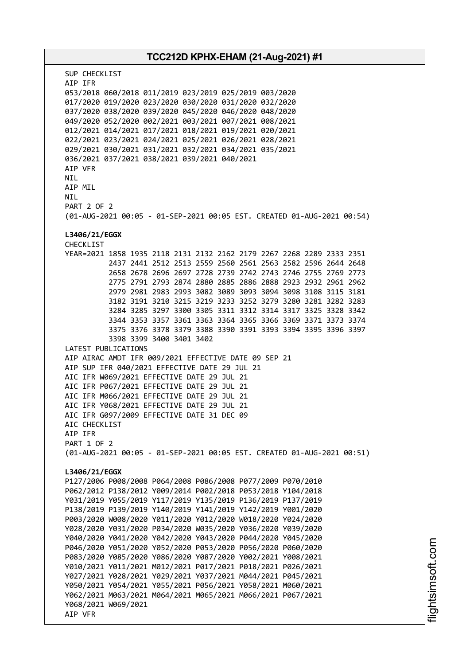# **TCC212D KPHX-EHAM (21-Aug-2021) #1** SUP CHECKLIST AIP IFR 053/2018 060/2018 011/2019 023/2019 025/2019 003/2020 017/2020 019/2020 023/2020 030/2020 031/2020 032/2020 037/2020 038/2020 039/2020 045/2020 046/2020 048/2020 049/2020 052/2020 002/2021 003/2021 007/2021 008/2021 012/2021 014/2021 017/2021 018/2021 019/2021 020/2021 022/2021 023/2021 024/2021 025/2021 026/2021 028/2021 029/2021 030/2021 031/2021 032/2021 034/2021 035/2021 036/2021 037/2021 038/2021 039/2021 040/2021 AIP VFR **NTI** AIP MIL NIL PART 2 OF 2 (01-AUG-2021 00:05 - 01-SEP-2021 00:05 EST. CREATED 01-AUG-2021 00:54) **L3406/21/EGGX** CHECKLIST YEAR=2021 1858 1935 2118 2131 2132 2162 2179 2267 2268 2289 2333 2351 2437 2441 2512 2513 2559 2560 2561 2563 2582 2596 2644 2648 2658 2678 2696 2697 2728 2739 2742 2743 2746 2755 2769 2773 2775 2791 2793 2874 2880 2885 2886 2888 2923 2932 2961 2962 2979 2981 2983 2993 3082 3089 3093 3094 3098 3108 3115 3181 3182 3191 3210 3215 3219 3233 3252 3279 3280 3281 3282 3283 3284 3285 3297 3300 3305 3311 3312 3314 3317 3325 3328 3342 3344 3353 3357 3361 3363 3364 3365 3366 3369 3371 3373 3374 3375 3376 3378 3379 3388 3390 3391 3393 3394 3395 3396 3397 3398 3399 3400 3401 3402 LATEST PUBLICATIONS AIP AIRAC AMDT IFR 009/2021 EFFECTIVE DATE 09 SEP 21 AIP SUP IFR 040/2021 EFFECTIVE DATE 29 JUL 21 AIC IFR W069/2021 EFFECTIVE DATE 29 JUL 21 AIC IFR P067/2021 EFFECTIVE DATE 29 JUL 21 AIC IFR M066/2021 EFFECTIVE DATE 29 JUL 21 AIC IFR Y068/2021 EFFECTIVE DATE 29 JUL 21 AIC IFR G097/2009 EFFECTIVE DATE 31 DEC 09 AIC CHECKLIST AIP IFR PART 1 OF 2 (01-AUG-2021 00:05 - 01-SEP-2021 00:05 EST. CREATED 01-AUG-2021 00:51) **L3406/21/EGGX** P127/2006 P008/2008 P064/2008 P086/2008 P077/2009 P070/2010 P062/2012 P138/2012 Y009/2014 P002/2018 P053/2018 Y104/2018 Y031/2019 Y055/2019 Y117/2019 Y135/2019 P136/2019 P137/2019 P138/2019 P139/2019 Y140/2019 Y141/2019 Y142/2019 Y001/2020 P003/2020 W008/2020 Y011/2020 Y012/2020 W018/2020 Y024/2020 Y028/2020 Y031/2020 P034/2020 W035/2020 Y036/2020 Y039/2020 Y040/2020 Y041/2020 Y042/2020 Y043/2020 P044/2020 Y045/2020 P046/2020 Y051/2020 Y052/2020 P053/2020 P056/2020 P060/2020 P083/2020 Y085/2020 Y086/2020 Y087/2020 Y002/2021 Y008/2021 Y010/2021 Y011/2021 M012/2021 P017/2021 P018/2021 P026/2021 Y027/2021 Y028/2021 Y029/2021 Y037/2021 M044/2021 P045/2021 Y050/2021 Y054/2021 Y055/2021 P056/2021 Y058/2021 M060/2021 Y062/2021 M063/2021 M064/2021 M065/2021 M066/2021 P067/2021 Y068/2021 W069/2021 AIP VFR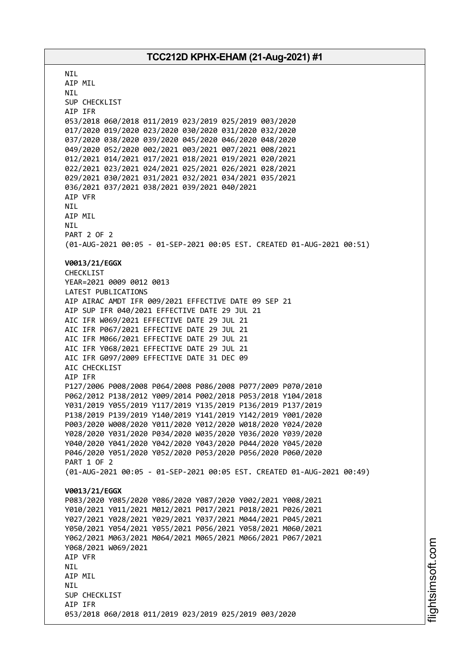**NTI** AIP MIL NIL SUP CHECKLIST AIP IFR 053/2018 060/2018 011/2019 023/2019 025/2019 003/2020 017/2020 019/2020 023/2020 030/2020 031/2020 032/2020 037/2020 038/2020 039/2020 045/2020 046/2020 048/2020 049/2020 052/2020 002/2021 003/2021 007/2021 008/2021 012/2021 014/2021 017/2021 018/2021 019/2021 020/2021 022/2021 023/2021 024/2021 025/2021 026/2021 028/2021 029/2021 030/2021 031/2021 032/2021 034/2021 035/2021 036/2021 037/2021 038/2021 039/2021 040/2021 AIP VFR NIL AIP MIL NIL PART 2 OF 2 (01-AUG-2021 00:05 - 01-SEP-2021 00:05 EST. CREATED 01-AUG-2021 00:51) **V0013/21/EGGX** CHECKLIST YEAR=2021 0009 0012 0013 LATEST PUBLICATIONS AIP AIRAC AMDT IFR 009/2021 EFFECTIVE DATE 09 SEP 21 AIP SUP IFR 040/2021 EFFECTIVE DATE 29 JUL 21 AIC IFR W069/2021 EFFECTIVE DATE 29 JUL 21 AIC IFR P067/2021 EFFECTIVE DATE 29 JUL 21 AIC IFR M066/2021 EFFECTIVE DATE 29 JUL 21 AIC IFR Y068/2021 EFFECTIVE DATE 29 JUL 21 AIC IFR G097/2009 EFFECTIVE DATE 31 DEC 09 AIC CHECKLIST AIP IFR P127/2006 P008/2008 P064/2008 P086/2008 P077/2009 P070/2010 P062/2012 P138/2012 Y009/2014 P002/2018 P053/2018 Y104/2018 Y031/2019 Y055/2019 Y117/2019 Y135/2019 P136/2019 P137/2019 P138/2019 P139/2019 Y140/2019 Y141/2019 Y142/2019 Y001/2020 P003/2020 W008/2020 Y011/2020 Y012/2020 W018/2020 Y024/2020 Y028/2020 Y031/2020 P034/2020 W035/2020 Y036/2020 Y039/2020 Y040/2020 Y041/2020 Y042/2020 Y043/2020 P044/2020 Y045/2020 P046/2020 Y051/2020 Y052/2020 P053/2020 P056/2020 P060/2020 PART 1 OF 2 (01-AUG-2021 00:05 - 01-SEP-2021 00:05 EST. CREATED 01-AUG-2021 00:49) **V0013/21/EGGX** P083/2020 Y085/2020 Y086/2020 Y087/2020 Y002/2021 Y008/2021 Y010/2021 Y011/2021 M012/2021 P017/2021 P018/2021 P026/2021 Y027/2021 Y028/2021 Y029/2021 Y037/2021 M044/2021 P045/2021 Y050/2021 Y054/2021 Y055/2021 P056/2021 Y058/2021 M060/2021 Y062/2021 M063/2021 M064/2021 M065/2021 M066/2021 P067/2021 Y068/2021 W069/2021 AIP VFR NIL AIP MIL **NTI** SUP CHECKLIST AIP IFR 053/2018 060/2018 011/2019 023/2019 025/2019 003/2020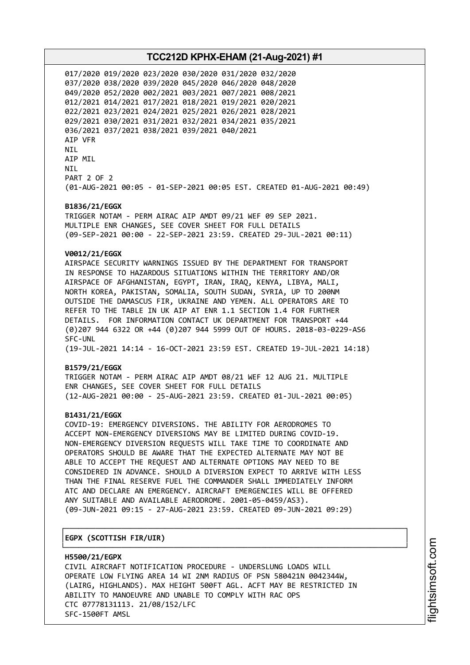017/2020 019/2020 023/2020 030/2020 031/2020 032/2020 037/2020 038/2020 039/2020 045/2020 046/2020 048/2020 049/2020 052/2020 002/2021 003/2021 007/2021 008/2021 012/2021 014/2021 017/2021 018/2021 019/2021 020/2021 022/2021 023/2021 024/2021 025/2021 026/2021 028/2021 029/2021 030/2021 031/2021 032/2021 034/2021 035/2021 036/2021 037/2021 038/2021 039/2021 040/2021 AIP VFR NIL AIP MIL NIL PART 2 OF 2 (01-AUG-2021 00:05 - 01-SEP-2021 00:05 EST. CREATED 01-AUG-2021 00:49)

#### **B1836/21/EGGX**

TRIGGER NOTAM - PERM AIRAC AIP AMDT 09/21 WEF 09 SEP 2021. MULTIPLE ENR CHANGES, SEE COVER SHEET FOR FULL DETAILS (09-SEP-2021 00:00 - 22-SEP-2021 23:59. CREATED 29-JUL-2021 00:11)

#### **V0012/21/EGGX**

AIRSPACE SECURITY WARNINGS ISSUED BY THE DEPARTMENT FOR TRANSPORT IN RESPONSE TO HAZARDOUS SITUATIONS WITHIN THE TERRITORY AND/OR AIRSPACE OF AFGHANISTAN, EGYPT, IRAN, IRAQ, KENYA, LIBYA, MALI, NORTH KOREA, PAKISTAN, SOMALIA, SOUTH SUDAN, SYRIA, UP TO 200NM OUTSIDE THE DAMASCUS FIR, UKRAINE AND YEMEN. ALL OPERATORS ARE TO REFER TO THE TABLE IN UK AIP AT ENR 1.1 SECTION 1.4 FOR FURTHER DETAILS. FOR INFORMATION CONTACT UK DEPARTMENT FOR TRANSPORT +44 (0)207 944 6322 OR +44 (0)207 944 5999 OUT OF HOURS. 2018-03-0229-AS6 SFC-UNL (19-JUL-2021 14:14 - 16-OCT-2021 23:59 EST. CREATED 19-JUL-2021 14:18)

#### **B1579/21/EGGX**

TRIGGER NOTAM - PERM AIRAC AIP AMDT 08/21 WEF 12 AUG 21. MULTIPLE ENR CHANGES, SEE COVER SHEET FOR FULL DETAILS (12-AUG-2021 00:00 - 25-AUG-2021 23:59. CREATED 01-JUL-2021 00:05)

#### **B1431/21/EGGX**

COVID-19: EMERGENCY DIVERSIONS. THE ABILITY FOR AERODROMES TO ACCEPT NON-EMERGENCY DIVERSIONS MAY BE LIMITED DURING COVID-19. NON-EMERGENCY DIVERSION REQUESTS WILL TAKE TIME TO COORDINATE AND OPERATORS SHOULD BE AWARE THAT THE EXPECTED ALTERNATE MAY NOT BE ABLE TO ACCEPT THE REQUEST AND ALTERNATE OPTIONS MAY NEED TO BE CONSIDERED IN ADVANCE. SHOULD A DIVERSION EXPECT TO ARRIVE WITH LESS THAN THE FINAL RESERVE FUEL THE COMMANDER SHALL IMMEDIATELY INFORM ATC AND DECLARE AN EMERGENCY. AIRCRAFT EMERGENCIES WILL BE OFFERED ANY SUITABLE AND AVAILABLE AERODROME. 2001-05-0459/AS3). (09-JUN-2021 09:15 - 27-AUG-2021 23:59. CREATED 09-JUN-2021 09:29)

┌──────────────────────────────────────────────────────────────────────────────┐

#### │**EGPX (SCOTTISH FIR/UIR)** │

└──────────────────────────────────────────────────────────────────────────────┘ **H5500/21/EGPX** CIVIL AIRCRAFT NOTIFICATION PROCEDURE - UNDERSLUNG LOADS WILL OPERATE LOW FLYING AREA 14 WI 2NM RADIUS OF PSN 580421N 0042344W, (LAIRG, HIGHLANDS). MAX HEIGHT 500FT AGL. ACFT MAY BE RESTRICTED IN ABILITY TO MANOEUVRE AND UNABLE TO COMPLY WITH RAC OPS CTC 07778131113. 21/08/152/LFC SFC-1500FT AMSL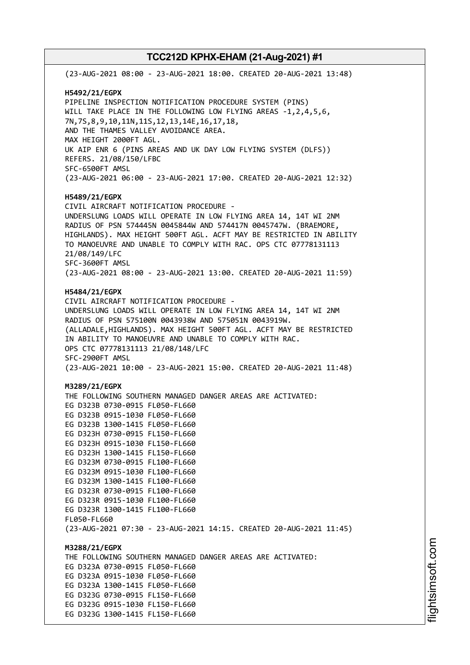(23-AUG-2021 08:00 - 23-AUG-2021 18:00. CREATED 20-AUG-2021 13:48) **H5492/21/EGPX** PIPELINE INSPECTION NOTIFICATION PROCEDURE SYSTEM (PINS) WILL TAKE PLACE IN THE FOLLOWING LOW FLYING AREAS -1,2,4,5,6, 7N,7S,8,9,10,11N,11S,12,13,14E,16,17,18, AND THE THAMES VALLEY AVOIDANCE AREA. MAX HEIGHT 2000FT AGL. UK AIP ENR 6 (PINS AREAS AND UK DAY LOW FLYING SYSTEM (DLFS)) REFERS. 21/08/150/LFBC SFC-6500FT AMSL (23-AUG-2021 06:00 - 23-AUG-2021 17:00. CREATED 20-AUG-2021 12:32) **H5489/21/EGPX** CIVIL AIRCRAFT NOTIFICATION PROCEDURE - UNDERSLUNG LOADS WILL OPERATE IN LOW FLYING AREA 14, 14T WI 2NM RADIUS OF PSN 574445N 0045844W AND 574417N 0045747W. (BRAEMORE, HIGHLANDS). MAX HEIGHT 500FT AGL. ACFT MAY BE RESTRICTED IN ABILITY TO MANOEUVRE AND UNABLE TO COMPLY WITH RAC. OPS CTC 07778131113 21/08/149/LFC SFC-3600FT AMSL (23-AUG-2021 08:00 - 23-AUG-2021 13:00. CREATED 20-AUG-2021 11:59) **H5484/21/EGPX** CIVIL AIRCRAFT NOTIFICATION PROCEDURE - UNDERSLUNG LOADS WILL OPERATE IN LOW FLYING AREA 14, 14T WI 2NM RADIUS OF PSN 575100N 0043938W AND 575051N 0043919W. (ALLADALE,HIGHLANDS). MAX HEIGHT 500FT AGL. ACFT MAY BE RESTRICTED IN ABILITY TO MANOEUVRE AND UNABLE TO COMPLY WITH RAC. OPS CTC 07778131113 21/08/148/LFC SFC-2900FT AMSL (23-AUG-2021 10:00 - 23-AUG-2021 15:00. CREATED 20-AUG-2021 11:48) **M3289/21/EGPX** THE FOLLOWING SOUTHERN MANAGED DANGER AREAS ARE ACTIVATED: EG D323B 0730-0915 FL050-FL660 EG D323B 0915-1030 FL050-FL660 EG D323B 1300-1415 FL050-FL660 EG D323H 0730-0915 FL150-FL660 EG D323H 0915-1030 FL150-FL660 EG D323H 1300-1415 FL150-FL660 EG D323M 0730-0915 FL100-FL660 EG D323M 0915-1030 FL100-FL660 EG D323M 1300-1415 FL100-FL660 EG D323R 0730-0915 FL100-FL660 EG D323R 0915-1030 FL100-FL660 EG D323R 1300-1415 FL100-FL660 FL050-FL660 (23-AUG-2021 07:30 - 23-AUG-2021 14:15. CREATED 20-AUG-2021 11:45) **M3288/21/EGPX** THE FOLLOWING SOUTHERN MANAGED DANGER AREAS ARE ACTIVATED: EG D323A 0730-0915 FL050-FL660 EG D323A 0915-1030 FL050-FL660 EG D323A 1300-1415 FL050-FL660 EG D323G 0730-0915 FL150-FL660 EG D323G 0915-1030 FL150-FL660 EG D323G 1300-1415 FL150-FL660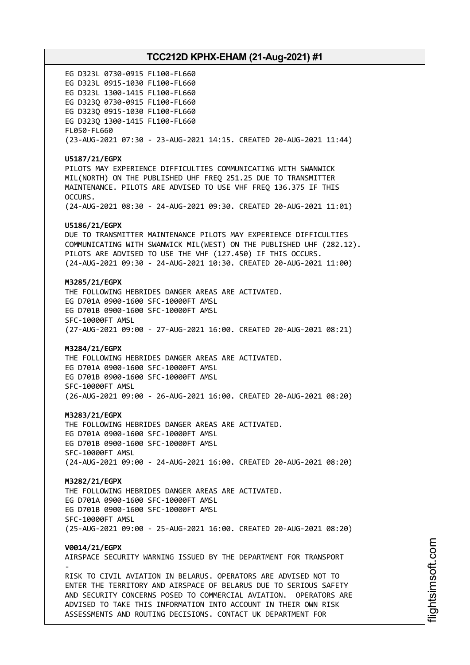EG D323L 0730-0915 FL100-FL660 EG D323L 0915-1030 FL100-FL660 EG D323L 1300-1415 FL100-FL660 EG D323Q 0730-0915 FL100-FL660 EG D323Q 0915-1030 FL100-FL660 EG D323Q 1300-1415 FL100-FL660 FL050-FL660 (23-AUG-2021 07:30 - 23-AUG-2021 14:15. CREATED 20-AUG-2021 11:44) **U5187/21/EGPX** PILOTS MAY EXPERIENCE DIFFICULTIES COMMUNICATING WITH SWANWICK MIL(NORTH) ON THE PUBLISHED UHF FREQ 251.25 DUE TO TRANSMITTER MAINTENANCE. PILOTS ARE ADVISED TO USE VHF FREQ 136.375 IF THIS OCCURS. (24-AUG-2021 08:30 - 24-AUG-2021 09:30. CREATED 20-AUG-2021 11:01) **U5186/21/EGPX** DUE TO TRANSMITTER MAINTENANCE PILOTS MAY EXPERIENCE DIFFICULTIES COMMUNICATING WITH SWANWICK MIL(WEST) ON THE PUBLISHED UHF (282.12). PILOTS ARE ADVISED TO USE THE VHF (127.450) IF THIS OCCURS. (24-AUG-2021 09:30 - 24-AUG-2021 10:30. CREATED 20-AUG-2021 11:00) **M3285/21/EGPX** THE FOLLOWING HEBRIDES DANGER AREAS ARE ACTIVATED. EG D701A 0900-1600 SFC-10000FT AMSL EG D701B 0900-1600 SFC-10000FT AMSL SFC-10000FT AMSL (27-AUG-2021 09:00 - 27-AUG-2021 16:00. CREATED 20-AUG-2021 08:21) **M3284/21/EGPX** THE FOLLOWING HEBRIDES DANGER AREAS ARE ACTIVATED. EG D701A 0900-1600 SFC-10000FT AMSL EG D701B 0900-1600 SFC-10000FT AMSL SFC-10000FT AMSL (26-AUG-2021 09:00 - 26-AUG-2021 16:00. CREATED 20-AUG-2021 08:20) **M3283/21/EGPX** THE FOLLOWING HEBRIDES DANGER AREAS ARE ACTIVATED. EG D701A 0900-1600 SFC-10000FT AMSL EG D701B 0900-1600 SFC-10000FT AMSL SFC-10000FT AMSL (24-AUG-2021 09:00 - 24-AUG-2021 16:00. CREATED 20-AUG-2021 08:20) **M3282/21/EGPX** THE FOLLOWING HEBRIDES DANGER AREAS ARE ACTIVATED. EG D701A 0900-1600 SFC-10000FT AMSL EG D701B 0900-1600 SFC-10000FT AMSL SFC-10000FT AMSL (25-AUG-2021 09:00 - 25-AUG-2021 16:00. CREATED 20-AUG-2021 08:20) **V0014/21/EGPX** AIRSPACE SECURITY WARNING ISSUED BY THE DEPARTMENT FOR TRANSPORT - RISK TO CIVIL AVIATION IN BELARUS. OPERATORS ARE ADVISED NOT TO ENTER THE TERRITORY AND AIRSPACE OF BELARUS DUE TO SERIOUS SAFETY AND SECURITY CONCERNS POSED TO COMMERCIAL AVIATION. OPERATORS ARE ADVISED TO TAKE THIS INFORMATION INTO ACCOUNT IN THEIR OWN RISK ASSESSMENTS AND ROUTING DECISIONS. CONTACT UK DEPARTMENT FOR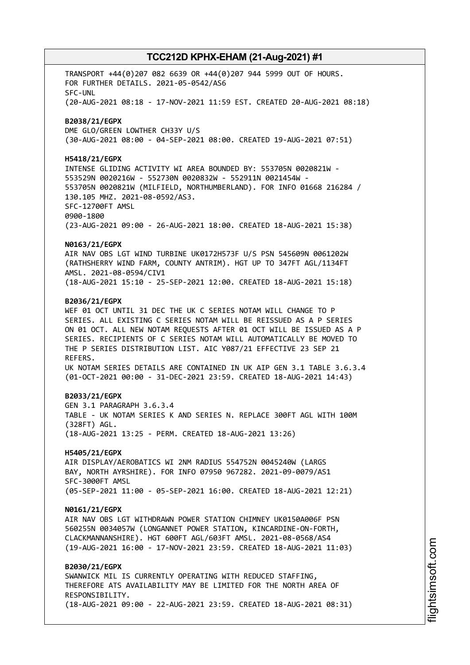TRANSPORT +44(0)207 082 6639 OR +44(0)207 944 5999 OUT OF HOURS. FOR FURTHER DETAILS. 2021-05-0542/AS6 SFC-UNL (20-AUG-2021 08:18 - 17-NOV-2021 11:59 EST. CREATED 20-AUG-2021 08:18) **B2038/21/EGPX** DME GLO/GREEN LOWTHER CH33Y U/S (30-AUG-2021 08:00 - 04-SEP-2021 08:00. CREATED 19-AUG-2021 07:51) **H5418/21/EGPX** INTENSE GLIDING ACTIVITY WI AREA BOUNDED BY: 553705N 0020821W - 553529N 0020216W - 552730N 0020832W - 552911N 0021454W - 553705N 0020821W (MILFIELD, NORTHUMBERLAND). FOR INFO 01668 216284 / 130.105 MHZ. 2021-08-0592/AS3. SFC-12700FT AMSL 0900-1800 (23-AUG-2021 09:00 - 26-AUG-2021 18:00. CREATED 18-AUG-2021 15:38) **N0163/21/EGPX** AIR NAV OBS LGT WIND TURBINE UK0172H573F U/S PSN 545609N 0061202W (RATHSHERRY WIND FARM, COUNTY ANTRIM). HGT UP TO 347FT AGL/1134FT AMSL. 2021-08-0594/CIV1 (18-AUG-2021 15:10 - 25-SEP-2021 12:00. CREATED 18-AUG-2021 15:18) **B2036/21/EGPX** WEF 01 OCT UNTIL 31 DEC THE UK C SERIES NOTAM WILL CHANGE TO P SERIES. ALL EXISTING C SERIES NOTAM WILL BE REISSUED AS A P SERIES ON 01 OCT. ALL NEW NOTAM REQUESTS AFTER 01 OCT WILL BE ISSUED AS A P SERIES. RECIPIENTS OF C SERIES NOTAM WILL AUTOMATICALLY BE MOVED TO THE P SERIES DISTRIBUTION LIST. AIC Y087/21 EFFECTIVE 23 SEP 21 REFERS. UK NOTAM SERIES DETAILS ARE CONTAINED IN UK AIP GEN 3.1 TABLE 3.6.3.4 (01-OCT-2021 00:00 - 31-DEC-2021 23:59. CREATED 18-AUG-2021 14:43) **B2033/21/EGPX** GEN 3.1 PARAGRAPH 3.6.3.4 TABLE - UK NOTAM SERIES K AND SERIES N. REPLACE 300FT AGL WITH 100M (328FT) AGL. (18-AUG-2021 13:25 - PERM. CREATED 18-AUG-2021 13:26) **H5405/21/EGPX** AIR DISPLAY/AEROBATICS WI 2NM RADIUS 554752N 0045240W (LARGS BAY, NORTH AYRSHIRE). FOR INFO 07950 967282. 2021-09-0079/AS1 SFC-3000FT AMSL (05-SEP-2021 11:00 - 05-SEP-2021 16:00. CREATED 18-AUG-2021 12:21) **N0161/21/EGPX** AIR NAV OBS LGT WITHDRAWN POWER STATION CHIMNEY UK0150A006F PSN 560255N 0034057W (LONGANNET POWER STATION, KINCARDINE-ON-FORTH, CLACKMANNANSHIRE). HGT 600FT AGL/603FT AMSL. 2021-08-0568/AS4 (19-AUG-2021 16:00 - 17-NOV-2021 23:59. CREATED 18-AUG-2021 11:03) **B2030/21/EGPX** SWANWICK MIL IS CURRENTLY OPERATING WITH REDUCED STAFFING, THEREFORE ATS AVAILABILITY MAY BE LIMITED FOR THE NORTH AREA OF RESPONSIBILITY. (18-AUG-2021 09:00 - 22-AUG-2021 23:59. CREATED 18-AUG-2021 08:31)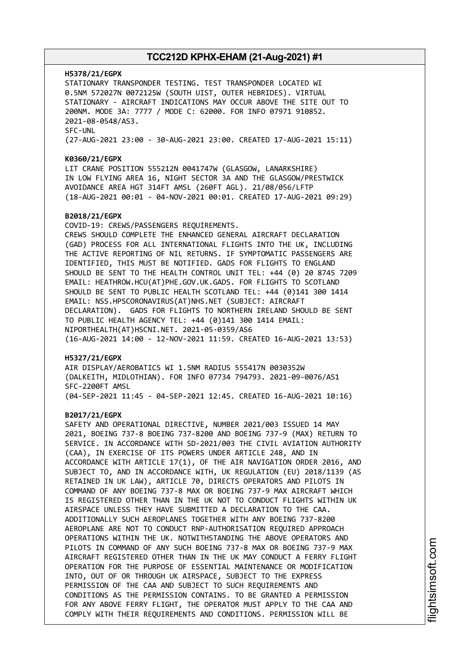#### **H5378/21/EGPX**

STATIONARY TRANSPONDER TESTING. TEST TRANSPONDER LOCATED WI 0.5NM 572027N 0072125W (SOUTH UIST, OUTER HEBRIDES). VIRTUAL STATIONARY - AIRCRAFT INDICATIONS MAY OCCUR ABOVE THE SITE OUT TO 200NM. MODE 3A: 7777 / MODE C: 62000. FOR INFO 07971 910852. 2021-08-0548/AS3. SFC-UNL (27-AUG-2021 23:00 - 30-AUG-2021 23:00. CREATED 17-AUG-2021 15:11)

#### **K0360/21/EGPX**

LIT CRANE POSITION 555212N 0041747W (GLASGOW, LANARKSHIRE) IN LOW FLYING AREA 16, NIGHT SECTOR 3A AND THE GLASGOW/PRESTWICK AVOIDANCE AREA HGT 314FT AMSL (260FT AGL). 21/08/056/LFTP (18-AUG-2021 00:01 - 04-NOV-2021 00:01. CREATED 17-AUG-2021 09:29)

#### **B2018/21/EGPX**

COVID-19: CREWS/PASSENGERS REQUIREMENTS. CREWS SHOULD COMPLETE THE ENHANCED GENERAL AIRCRAFT DECLARATION (GAD) PROCESS FOR ALL INTERNATIONAL FLIGHTS INTO THE UK, INCLUDING THE ACTIVE REPORTING OF NIL RETURNS. IF SYMPTOMATIC PASSENGERS ARE IDENTIFIED, THIS MUST BE NOTIFIED. GADS FOR FLIGHTS TO ENGLAND SHOULD BE SENT TO THE HEALTH CONTROL UNIT TEL: +44 (0) 20 8745 7209 EMAIL: HEATHROW.HCU(AT)PHE.GOV.UK.GADS. FOR FLIGHTS TO SCOTLAND SHOULD BE SENT TO PUBLIC HEALTH SCOTLAND TEL: +44 (0)141 300 1414 EMAIL: NSS.HPSCORONAVIRUS(AT)NHS.NET (SUBJECT: AIRCRAFT DECLARATION). GADS FOR FLIGHTS TO NORTHERN IRELAND SHOULD BE SENT TO PUBLIC HEALTH AGENCY TEL: +44 (0)141 300 1414 EMAIL: NIPORTHEALTH(AT)HSCNI.NET. 2021-05-0359/AS6 (16-AUG-2021 14:00 - 12-NOV-2021 11:59. CREATED 16-AUG-2021 13:53)

#### **H5327/21/EGPX**

AIR DISPLAY/AEROBATICS WI 1.5NM RADIUS 555417N 0030352W (DALKEITH, MIDLOTHIAN). FOR INFO 07734 794793. 2021-09-0076/AS1 SFC-2200FT AMSL (04-SEP-2021 11:45 - 04-SEP-2021 12:45. CREATED 16-AUG-2021 10:16)

#### **B2017/21/EGPX**

SAFETY AND OPERATIONAL DIRECTIVE, NUMBER 2021/003 ISSUED 14 MAY 2021, BOEING 737-8 BOEING 737-8200 AND BOEING 737-9 (MAX) RETURN TO SERVICE. IN ACCORDANCE WITH SD-2021/003 THE CIVIL AVIATION AUTHORITY (CAA), IN EXERCISE OF ITS POWERS UNDER ARTICLE 248, AND IN ACCORDANCE WITH ARTICLE 17(1), OF THE AIR NAVIGATION ORDER 2016, AND SUBJECT TO, AND IN ACCORDANCE WITH, UK REGULATION (EU) 2018/1139 (AS RETAINED IN UK LAW), ARTICLE 70, DIRECTS OPERATORS AND PILOTS IN COMMAND OF ANY BOEING 737-8 MAX OR BOEING 737-9 MAX AIRCRAFT WHICH IS REGISTERED OTHER THAN IN THE UK NOT TO CONDUCT FLIGHTS WITHIN UK AIRSPACE UNLESS THEY HAVE SUBMITTED A DECLARATION TO THE CAA. ADDITIONALLY SUCH AEROPLANES TOGETHER WITH ANY BOEING 737-8200 AEROPLANE ARE NOT TO CONDUCT RNP-AUTHORISATION REQUIRED APPROACH OPERATIONS WITHIN THE UK. NOTWITHSTANDING THE ABOVE OPERATORS AND PILOTS IN COMMAND OF ANY SUCH BOEING 737-8 MAX OR BOEING 737-9 MAX AIRCRAFT REGISTERED OTHER THAN IN THE UK MAY CONDUCT A FERRY FLIGHT OPERATION FOR THE PURPOSE OF ESSENTIAL MAINTENANCE OR MODIFICATION INTO, OUT OF OR THROUGH UK AIRSPACE, SUBJECT TO THE EXPRESS PERMISSION OF THE CAA AND SUBJECT TO SUCH REQUIREMENTS AND CONDITIONS AS THE PERMISSION CONTAINS. TO BE GRANTED A PERMISSION FOR ANY ABOVE FERRY FLIGHT, THE OPERATOR MUST APPLY TO THE CAA AND COMPLY WITH THEIR REQUIREMENTS AND CONDITIONS. PERMISSION WILL BE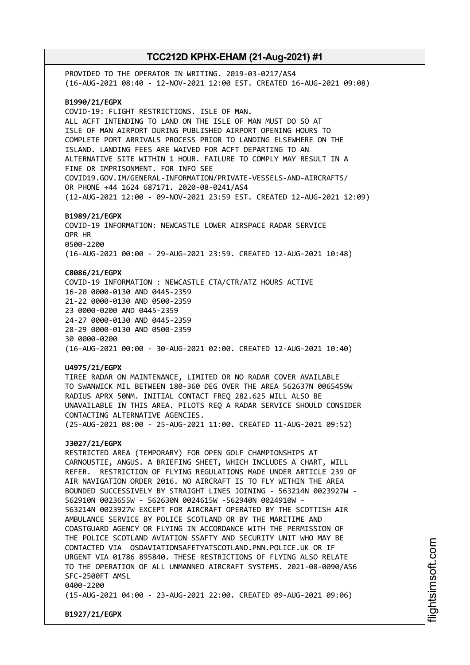PROVIDED TO THE OPERATOR IN WRITING. 2019-03-0217/AS4 (16-AUG-2021 08:40 - 12-NOV-2021 12:00 EST. CREATED 16-AUG-2021 09:08) **B1990/21/EGPX** COVID-19: FLIGHT RESTRICTIONS. ISLE OF MAN. ALL ACFT INTENDING TO LAND ON THE ISLE OF MAN MUST DO SO AT ISLE OF MAN AIRPORT DURING PUBLISHED AIRPORT OPENING HOURS TO COMPLETE PORT ARRIVALS PROCESS PRIOR TO LANDING ELSEWHERE ON THE ISLAND. LANDING FEES ARE WAIVED FOR ACFT DEPARTING TO AN ALTERNATIVE SITE WITHIN 1 HOUR. FAILURE TO COMPLY MAY RESULT IN A FINE OR IMPRISONMENT. FOR INFO SEE COVID19.GOV.IM/GENERAL-INFORMATION/PRIVATE-VESSELS-AND-AIRCRAFTS/ OR PHONE +44 1624 687171. 2020-08-0241/AS4 (12-AUG-2021 12:00 - 09-NOV-2021 23:59 EST. CREATED 12-AUG-2021 12:09) **B1989/21/EGPX** COVID-19 INFORMATION: NEWCASTLE LOWER AIRSPACE RADAR SERVICE OPR HR 0500-2200 (16-AUG-2021 00:00 - 29-AUG-2021 23:59. CREATED 12-AUG-2021 10:48) **C8086/21/EGPX** COVID-19 INFORMATION : NEWCASTLE CTA/CTR/ATZ HOURS ACTIVE 16-20 0000-0130 AND 0445-2359 21-22 0000-0130 AND 0500-2359 23 0000-0200 AND 0445-2359 24-27 0000-0130 AND 0445-2359 28-29 0000-0130 AND 0500-2359 30 0000-0200 (16-AUG-2021 00:00 - 30-AUG-2021 02:00. CREATED 12-AUG-2021 10:40) **U4975/21/EGPX** TIREE RADAR ON MAINTENANCE, LIMITED OR NO RADAR COVER AVAILABLE TO SWANWICK MIL BETWEEN 180-360 DEG OVER THE AREA 562637N 0065459W RADIUS APRX 50NM. INITIAL CONTACT FREQ 282.625 WILL ALSO BE UNAVAILABLE IN THIS AREA. PILOTS REQ A RADAR SERVICE SHOULD CONSIDER CONTACTING ALTERNATIVE AGENCIES. (25-AUG-2021 08:00 - 25-AUG-2021 11:00. CREATED 11-AUG-2021 09:52) **J3027/21/EGPX** RESTRICTED AREA (TEMPORARY) FOR OPEN GOLF CHAMPIONSHIPS AT CARNOUSTIE, ANGUS. A BRIEFING SHEET, WHICH INCLUDES A CHART, WILL REFER. RESTRICTION OF FLYING REGULATIONS MADE UNDER ARTICLE 239 OF AIR NAVIGATION ORDER 2016. NO AIRCRAFT IS TO FLY WITHIN THE AREA BOUNDED SUCCESSIVELY BY STRAIGHT LINES JOINING - 563214N 0023927W - 562910N 0023655W - 562630N 0024615W -562940N 0024910W - 563214N 0023927W EXCEPT FOR AIRCRAFT OPERATED BY THE SCOTTISH AIR AMBULANCE SERVICE BY POLICE SCOTLAND OR BY THE MARITIME AND COASTGUARD AGENCY OR FLYING IN ACCORDANCE WITH THE PERMISSION OF THE POLICE SCOTLAND AVIATION SSAFTY AND SECURITY UNIT WHO MAY BE CONTACTED VIA OSDAVIATIONSAFETYATSCOTLAND.PNN.POLICE.UK OR IF URGENT VIA 01786 895840. THESE RESTRICTIONS OF FLYING ALSO RELATE TO THE OPERATION OF ALL UNMANNED AIRCRAFT SYSTEMS. 2021-08-0090/AS6 SFC-2500FT AMSL 0400-2200 (15-AUG-2021 04:00 - 23-AUG-2021 22:00. CREATED 09-AUG-2021 09:06)

**B1927/21/EGPX**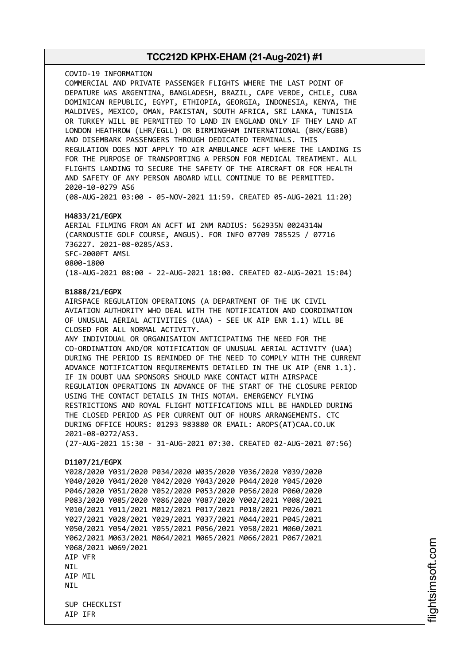COVID-19 INFORMATION COMMERCIAL AND PRIVATE PASSENGER FLIGHTS WHERE THE LAST POINT OF DEPATURE WAS ARGENTINA, BANGLADESH, BRAZIL, CAPE VERDE, CHILE, CUBA DOMINICAN REPUBLIC, EGYPT, ETHIOPIA, GEORGIA, INDONESIA, KENYA, THE MALDIVES, MEXICO, OMAN, PAKISTAN, SOUTH AFRICA, SRI LANKA, TUNISIA OR TURKEY WILL BE PERMITTED TO LAND IN ENGLAND ONLY IF THEY LAND AT LONDON HEATHROW (LHR/EGLL) OR BIRMINGHAM INTERNATIONAL (BHX/EGBB) AND DISEMBARK PASSENGERS THROUGH DEDICATED TERMINALS. THIS REGULATION DOES NOT APPLY TO AIR AMBULANCE ACFT WHERE THE LANDING IS FOR THE PURPOSE OF TRANSPORTING A PERSON FOR MEDICAL TREATMENT. ALL FLIGHTS LANDING TO SECURE THE SAFETY OF THE AIRCRAFT OR FOR HEALTH AND SAFETY OF ANY PERSON ABOARD WILL CONTINUE TO BE PERMITTED. 2020-10-0279 AS6 (08-AUG-2021 03:00 - 05-NOV-2021 11:59. CREATED 05-AUG-2021 11:20)

### **H4833/21/EGPX**

AERIAL FILMING FROM AN ACFT WI 2NM RADIUS: 562935N 0024314W (CARNOUSTIE GOLF COURSE, ANGUS). FOR INFO 07709 785525 / 07716 736227. 2021-08-0285/AS3. SFC-2000FT AMSL 0800-1800 (18-AUG-2021 08:00 - 22-AUG-2021 18:00. CREATED 02-AUG-2021 15:04)

#### **B1888/21/EGPX**

AIRSPACE REGULATION OPERATIONS (A DEPARTMENT OF THE UK CIVIL AVIATION AUTHORITY WHO DEAL WITH THE NOTIFICATION AND COORDINATION OF UNUSUAL AERIAL ACTIVITIES (UAA) - SEE UK AIP ENR 1.1) WILL BE CLOSED FOR ALL NORMAL ACTIVITY. ANY INDIVIDUAL OR ORGANISATION ANTICIPATING THE NEED FOR THE CO-ORDINATION AND/OR NOTIFICATION OF UNUSUAL AERIAL ACTIVITY (UAA) DURING THE PERIOD IS REMINDED OF THE NEED TO COMPLY WITH THE CURRENT ADVANCE NOTIFICATION REQUIREMENTS DETAILED IN THE UK AIP (ENR 1.1). IF IN DOUBT UAA SPONSORS SHOULD MAKE CONTACT WITH AIRSPACE REGULATION OPERATIONS IN ADVANCE OF THE START OF THE CLOSURE PERIOD USING THE CONTACT DETAILS IN THIS NOTAM. EMERGENCY FLYING RESTRICTIONS AND ROYAL FLIGHT NOTIFICATIONS WILL BE HANDLED DURING THE CLOSED PERIOD AS PER CURRENT OUT OF HOURS ARRANGEMENTS. CTC DURING OFFICE HOURS: 01293 983880 OR EMAIL: AROPS(AT)CAA.CO.UK 2021-08-0272/AS3. (27-AUG-2021 15:30 - 31-AUG-2021 07:30. CREATED 02-AUG-2021 07:56) **D1107/21/EGPX** Y028/2020 Y031/2020 P034/2020 W035/2020 Y036/2020 Y039/2020 Y040/2020 Y041/2020 Y042/2020 Y043/2020 P044/2020 Y045/2020 P046/2020 Y051/2020 Y052/2020 P053/2020 P056/2020 P060/2020 P083/2020 Y085/2020 Y086/2020 Y087/2020 Y002/2021 Y008/2021 Y010/2021 Y011/2021 M012/2021 P017/2021 P018/2021 P026/2021 Y027/2021 Y028/2021 Y029/2021 Y037/2021 M044/2021 P045/2021 Y050/2021 Y054/2021 Y055/2021 P056/2021 Y058/2021 M060/2021 Y062/2021 M063/2021 M064/2021 M065/2021 M066/2021 P067/2021

Y068/2021 W069/2021 AIP VFR NIL AIP MIL

**NTI** SUP CHECKLIST AIP IFR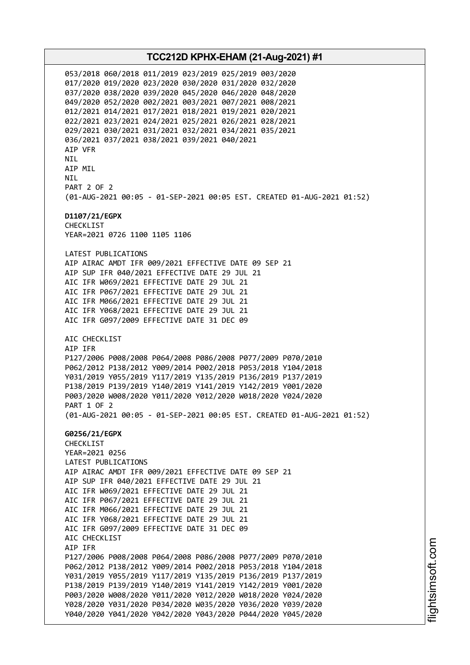053/2018 060/2018 011/2019 023/2019 025/2019 003/2020 017/2020 019/2020 023/2020 030/2020 031/2020 032/2020 037/2020 038/2020 039/2020 045/2020 046/2020 048/2020 049/2020 052/2020 002/2021 003/2021 007/2021 008/2021 012/2021 014/2021 017/2021 018/2021 019/2021 020/2021 022/2021 023/2021 024/2021 025/2021 026/2021 028/2021 029/2021 030/2021 031/2021 032/2021 034/2021 035/2021 036/2021 037/2021 038/2021 039/2021 040/2021 AIP VFR NIL AIP MIL **NTI** PART 2 OF 2 (01-AUG-2021 00:05 - 01-SEP-2021 00:05 EST. CREATED 01-AUG-2021 01:52) **D1107/21/EGPX** CHECKLIST YEAR=2021 0726 1100 1105 1106 LATEST PUBLICATIONS AIP AIRAC AMDT IFR 009/2021 EFFECTIVE DATE 09 SEP 21 AIP SUP IFR 040/2021 EFFECTIVE DATE 29 JUL 21 AIC IFR W069/2021 EFFECTIVE DATE 29 JUL 21 AIC IFR P067/2021 EFFECTIVE DATE 29 JUL 21 AIC IFR M066/2021 EFFECTIVE DATE 29 JUL 21 AIC IFR Y068/2021 EFFECTIVE DATE 29 JUL 21 AIC IFR G097/2009 EFFECTIVE DATE 31 DEC 09 AIC CHECKLIST AIP IFR P127/2006 P008/2008 P064/2008 P086/2008 P077/2009 P070/2010 P062/2012 P138/2012 Y009/2014 P002/2018 P053/2018 Y104/2018 Y031/2019 Y055/2019 Y117/2019 Y135/2019 P136/2019 P137/2019 P138/2019 P139/2019 Y140/2019 Y141/2019 Y142/2019 Y001/2020 P003/2020 W008/2020 Y011/2020 Y012/2020 W018/2020 Y024/2020 PART 1 OF 2 (01-AUG-2021 00:05 - 01-SEP-2021 00:05 EST. CREATED 01-AUG-2021 01:52) **G0256/21/EGPX** CHECKLIST YEAR=2021 0256 LATEST PUBLICATIONS AIP AIRAC AMDT IFR 009/2021 EFFECTIVE DATE 09 SEP 21 AIP SUP IFR 040/2021 EFFECTIVE DATE 29 JUL 21 AIC IFR W069/2021 EFFECTIVE DATE 29 JUL 21 AIC IFR P067/2021 EFFECTIVE DATE 29 JUL 21 AIC IFR M066/2021 EFFECTIVE DATE 29 JUL 21 AIC IFR Y068/2021 EFFECTIVE DATE 29 JUL 21 AIC IFR G097/2009 EFFECTIVE DATE 31 DEC 09 AIC CHECKLIST AIP IFR P127/2006 P008/2008 P064/2008 P086/2008 P077/2009 P070/2010 P062/2012 P138/2012 Y009/2014 P002/2018 P053/2018 Y104/2018 Y031/2019 Y055/2019 Y117/2019 Y135/2019 P136/2019 P137/2019 P138/2019 P139/2019 Y140/2019 Y141/2019 Y142/2019 Y001/2020 P003/2020 W008/2020 Y011/2020 Y012/2020 W018/2020 Y024/2020 Y028/2020 Y031/2020 P034/2020 W035/2020 Y036/2020 Y039/2020 Y040/2020 Y041/2020 Y042/2020 Y043/2020 P044/2020 Y045/2020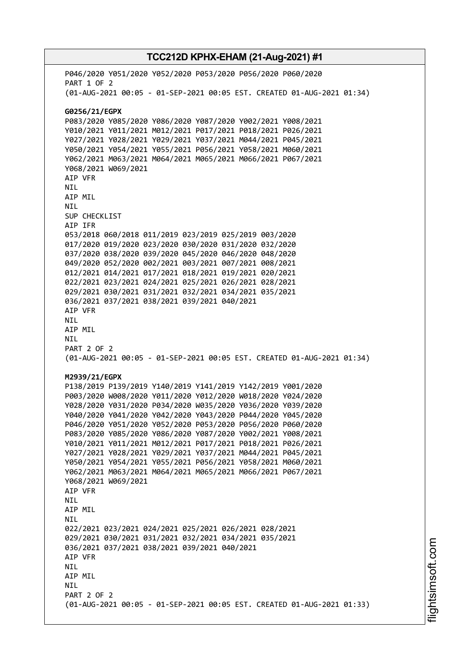P046/2020 Y051/2020 Y052/2020 P053/2020 P056/2020 P060/2020 PART 1 OF 2 (01-AUG-2021 00:05 - 01-SEP-2021 00:05 EST. CREATED 01-AUG-2021 01:34) **G0256/21/EGPX** P083/2020 Y085/2020 Y086/2020 Y087/2020 Y002/2021 Y008/2021 Y010/2021 Y011/2021 M012/2021 P017/2021 P018/2021 P026/2021 Y027/2021 Y028/2021 Y029/2021 Y037/2021 M044/2021 P045/2021 Y050/2021 Y054/2021 Y055/2021 P056/2021 Y058/2021 M060/2021 Y062/2021 M063/2021 M064/2021 M065/2021 M066/2021 P067/2021 Y068/2021 W069/2021 AIP VFR NIL AIP MIL NIL SUP CHECKLIST AIP IFR 053/2018 060/2018 011/2019 023/2019 025/2019 003/2020 017/2020 019/2020 023/2020 030/2020 031/2020 032/2020 037/2020 038/2020 039/2020 045/2020 046/2020 048/2020 049/2020 052/2020 002/2021 003/2021 007/2021 008/2021 012/2021 014/2021 017/2021 018/2021 019/2021 020/2021 022/2021 023/2021 024/2021 025/2021 026/2021 028/2021 029/2021 030/2021 031/2021 032/2021 034/2021 035/2021 036/2021 037/2021 038/2021 039/2021 040/2021 AIP VFR NIL AIP MIL NIL PART 2 OF 2 (01-AUG-2021 00:05 - 01-SEP-2021 00:05 EST. CREATED 01-AUG-2021 01:34) **M2939/21/EGPX** P138/2019 P139/2019 Y140/2019 Y141/2019 Y142/2019 Y001/2020 P003/2020 W008/2020 Y011/2020 Y012/2020 W018/2020 Y024/2020 Y028/2020 Y031/2020 P034/2020 W035/2020 Y036/2020 Y039/2020 Y040/2020 Y041/2020 Y042/2020 Y043/2020 P044/2020 Y045/2020 P046/2020 Y051/2020 Y052/2020 P053/2020 P056/2020 P060/2020 P083/2020 Y085/2020 Y086/2020 Y087/2020 Y002/2021 Y008/2021 Y010/2021 Y011/2021 M012/2021 P017/2021 P018/2021 P026/2021 Y027/2021 Y028/2021 Y029/2021 Y037/2021 M044/2021 P045/2021 Y050/2021 Y054/2021 Y055/2021 P056/2021 Y058/2021 M060/2021 Y062/2021 M063/2021 M064/2021 M065/2021 M066/2021 P067/2021 Y068/2021 W069/2021 AIP VFR NIL AIP MIL **NTI** 022/2021 023/2021 024/2021 025/2021 026/2021 028/2021 029/2021 030/2021 031/2021 032/2021 034/2021 035/2021 036/2021 037/2021 038/2021 039/2021 040/2021 AIP VFR NIL AIP MIL **NTI** PART 2 OF 2 (01-AUG-2021 00:05 - 01-SEP-2021 00:05 EST. CREATED 01-AUG-2021 01:33)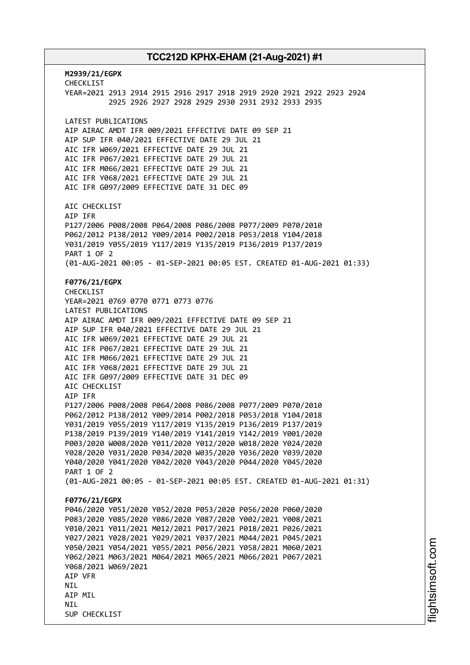**M2939/21/EGPX** CHECKLIST YEAR=2021 2913 2914 2915 2916 2917 2918 2919 2920 2921 2922 2923 2924 2925 2926 2927 2928 2929 2930 2931 2932 2933 2935 LATEST PUBLICATIONS AIP AIRAC AMDT IFR 009/2021 EFFECTIVE DATE 09 SEP 21 AIP SUP IFR 040/2021 EFFECTIVE DATE 29 JUL 21 AIC IFR W069/2021 EFFECTIVE DATE 29 JUL 21 AIC IFR P067/2021 EFFECTIVE DATE 29 JUL 21 AIC IFR M066/2021 EFFECTIVE DATE 29 JUL 21 AIC IFR Y068/2021 EFFECTIVE DATE 29 JUL 21 AIC IFR G097/2009 EFFECTIVE DATE 31 DEC 09 AIC CHECKLIST AIP IFR P127/2006 P008/2008 P064/2008 P086/2008 P077/2009 P070/2010 P062/2012 P138/2012 Y009/2014 P002/2018 P053/2018 Y104/2018 Y031/2019 Y055/2019 Y117/2019 Y135/2019 P136/2019 P137/2019 PART 1 OF 2 (01-AUG-2021 00:05 - 01-SEP-2021 00:05 EST. CREATED 01-AUG-2021 01:33) **F0776/21/EGPX** CHECKLIST YEAR=2021 0769 0770 0771 0773 0776 LATEST PUBLICATIONS AIP AIRAC AMDT IFR 009/2021 EFFECTIVE DATE 09 SEP 21 AIP SUP IFR 040/2021 EFFECTIVE DATE 29 JUL 21 AIC IFR W069/2021 EFFECTIVE DATE 29 JUL 21 AIC IFR P067/2021 EFFECTIVE DATE 29 JUL 21 AIC IFR M066/2021 EFFECTIVE DATE 29 JUL 21 AIC IFR Y068/2021 EFFECTIVE DATE 29 JUL 21 AIC IFR G097/2009 EFFECTIVE DATE 31 DEC 09 AIC CHECKLIST AIP IFR P127/2006 P008/2008 P064/2008 P086/2008 P077/2009 P070/2010 P062/2012 P138/2012 Y009/2014 P002/2018 P053/2018 Y104/2018 Y031/2019 Y055/2019 Y117/2019 Y135/2019 P136/2019 P137/2019 P138/2019 P139/2019 Y140/2019 Y141/2019 Y142/2019 Y001/2020 P003/2020 W008/2020 Y011/2020 Y012/2020 W018/2020 Y024/2020 Y028/2020 Y031/2020 P034/2020 W035/2020 Y036/2020 Y039/2020 Y040/2020 Y041/2020 Y042/2020 Y043/2020 P044/2020 Y045/2020 PART 1 OF 2 (01-AUG-2021 00:05 - 01-SEP-2021 00:05 EST. CREATED 01-AUG-2021 01:31) **F0776/21/EGPX** P046/2020 Y051/2020 Y052/2020 P053/2020 P056/2020 P060/2020 P083/2020 Y085/2020 Y086/2020 Y087/2020 Y002/2021 Y008/2021 Y010/2021 Y011/2021 M012/2021 P017/2021 P018/2021 P026/2021 Y027/2021 Y028/2021 Y029/2021 Y037/2021 M044/2021 P045/2021 Y050/2021 Y054/2021 Y055/2021 P056/2021 Y058/2021 M060/2021 Y062/2021 M063/2021 M064/2021 M065/2021 M066/2021 P067/2021 Y068/2021 W069/2021 AIP VFR NIL AIP MIL **NTI** SUP CHECKLIST

i⊒<br>⊫ htsim soft.c om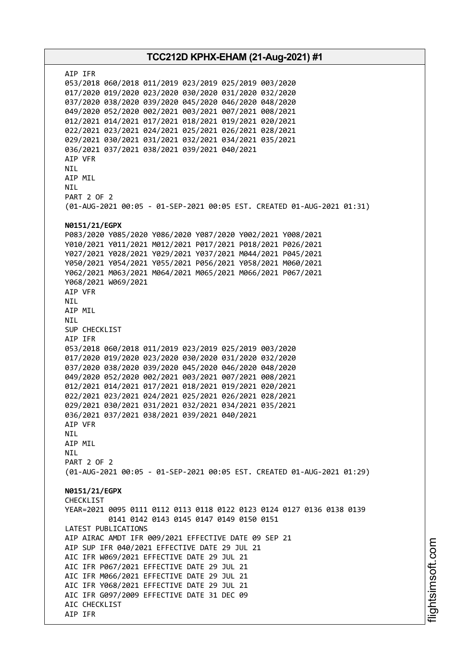AIP IFR 053/2018 060/2018 011/2019 023/2019 025/2019 003/2020 017/2020 019/2020 023/2020 030/2020 031/2020 032/2020 037/2020 038/2020 039/2020 045/2020 046/2020 048/2020 049/2020 052/2020 002/2021 003/2021 007/2021 008/2021 012/2021 014/2021 017/2021 018/2021 019/2021 020/2021 022/2021 023/2021 024/2021 025/2021 026/2021 028/2021 029/2021 030/2021 031/2021 032/2021 034/2021 035/2021 036/2021 037/2021 038/2021 039/2021 040/2021 AIP VFR NIL AIP MIL NIL PART 2 OF 2 (01-AUG-2021 00:05 - 01-SEP-2021 00:05 EST. CREATED 01-AUG-2021 01:31) **N0151/21/EGPX** P083/2020 Y085/2020 Y086/2020 Y087/2020 Y002/2021 Y008/2021 Y010/2021 Y011/2021 M012/2021 P017/2021 P018/2021 P026/2021 Y027/2021 Y028/2021 Y029/2021 Y037/2021 M044/2021 P045/2021 Y050/2021 Y054/2021 Y055/2021 P056/2021 Y058/2021 M060/2021 Y062/2021 M063/2021 M064/2021 M065/2021 M066/2021 P067/2021 Y068/2021 W069/2021 AIP VFR NIL AIP MIL NIL SUP CHECKLIST AIP IFR 053/2018 060/2018 011/2019 023/2019 025/2019 003/2020 017/2020 019/2020 023/2020 030/2020 031/2020 032/2020 037/2020 038/2020 039/2020 045/2020 046/2020 048/2020 049/2020 052/2020 002/2021 003/2021 007/2021 008/2021 012/2021 014/2021 017/2021 018/2021 019/2021 020/2021 022/2021 023/2021 024/2021 025/2021 026/2021 028/2021 029/2021 030/2021 031/2021 032/2021 034/2021 035/2021 036/2021 037/2021 038/2021 039/2021 040/2021 AIP VFR NIL AIP MIL **NTI** PART 2 OF 2 (01-AUG-2021 00:05 - 01-SEP-2021 00:05 EST. CREATED 01-AUG-2021 01:29) **N0151/21/EGPX** CHECKLIST YEAR=2021 0095 0111 0112 0113 0118 0122 0123 0124 0127 0136 0138 0139 0141 0142 0143 0145 0147 0149 0150 0151 LATEST PUBLICATIONS AIP AIRAC AMDT IFR 009/2021 EFFECTIVE DATE 09 SEP 21 AIP SUP IFR 040/2021 EFFECTIVE DATE 29 JUL 21 AIC IFR W069/2021 EFFECTIVE DATE 29 JUL 21 AIC IFR P067/2021 EFFECTIVE DATE 29 JUL 21 AIC IFR M066/2021 EFFECTIVE DATE 29 JUL 21 AIC IFR Y068/2021 EFFECTIVE DATE 29 JUL 21 AIC IFR G097/2009 EFFECTIVE DATE 31 DEC 09 AIC CHECKLIST AIP IFR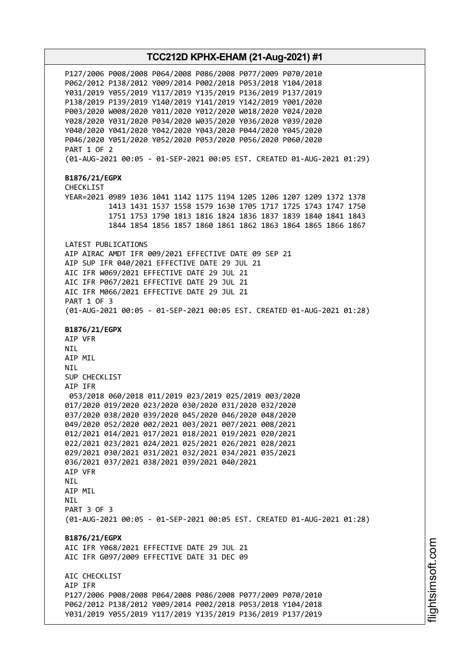P127/2006 P008/2008 P064/2008 P086/2008 P077/2009 P070/2010 P062/2012 P138/2012 Y009/2014 P002/2018 P053/2018 Y104/2018 Y031/2019 Y055/2019 Y117/2019 Y135/2019 P136/2019 P137/2019 P138/2019 P139/2019 Y140/2019 Y141/2019 Y142/2019 Y001/2020 P003/2020 W008/2020 Y011/2020 Y012/2020 W018/2020 Y024/2020 Y028/2020 Y031/2020 P034/2020 W035/2020 Y036/2020 Y039/2020 Y040/2020 Y041/2020 Y042/2020 Y043/2020 P044/2020 Y045/2020 P046/2020 Y051/2020 Y052/2020 P053/2020 P056/2020 P060/2020 PART 1 OF 2 (01-AUG-2021 00:05 - 01-SEP-2021 00:05 EST. CREATED 01-AUG-2021 01:29) **B1876/21/EGPX** CHECKLIST YEAR=2021 0989 1036 1041 1142 1175 1194 1205 1206 1207 1209 1372 1378 1413 1431 1537 1558 1579 1630 1705 1717 1725 1743 1747 1750 1751 1753 1790 1813 1816 1824 1836 1837 1839 1840 1841 1843 1844 1854 1856 1857 1860 1861 1862 1863 1864 1865 1866 1867 LATEST PUBLICATIONS AIP AIRAC AMDT IFR 009/2021 EFFECTIVE DATE 09 SEP 21 AIP SUP IFR 040/2021 EFFECTIVE DATE 29 JUL 21 AIC IFR W069/2021 EFFECTIVE DATE 29 JUL 21 AIC IFR P067/2021 EFFECTIVE DATE 29 JUL 21 AIC IFR M066/2021 EFFECTIVE DATE 29 JUL 21 PART 1 OF 3 (01-AUG-2021 00:05 - 01-SEP-2021 00:05 EST. CREATED 01-AUG-2021 01:28) **B1876/21/EGPX** AIP VFR NIL AIP MIL NIL SUP CHECKLIST AIP IFR 053/2018 060/2018 011/2019 023/2019 025/2019 003/2020 017/2020 019/2020 023/2020 030/2020 031/2020 032/2020 037/2020 038/2020 039/2020 045/2020 046/2020 048/2020 049/2020 052/2020 002/2021 003/2021 007/2021 008/2021 012/2021 014/2021 017/2021 018/2021 019/2021 020/2021 022/2021 023/2021 024/2021 025/2021 026/2021 028/2021 029/2021 030/2021 031/2021 032/2021 034/2021 035/2021 036/2021 037/2021 038/2021 039/2021 040/2021 AIP VFR NIL AIP MIL **NTI** PART 3 OF 3 (01-AUG-2021 00:05 - 01-SEP-2021 00:05 EST. CREATED 01-AUG-2021 01:28) **B1876/21/EGPX** AIC IFR Y068/2021 EFFECTIVE DATE 29 JUL 21 AIC IFR G097/2009 EFFECTIVE DATE 31 DEC 09 ATC CHECKLIST AIP IFR P127/2006 P008/2008 P064/2008 P086/2008 P077/2009 P070/2010 P062/2012 P138/2012 Y009/2014 P002/2018 P053/2018 Y104/2018 Y031/2019 Y055/2019 Y117/2019 Y135/2019 P136/2019 P137/2019

i⊒<br>⊫ htsim soft.c om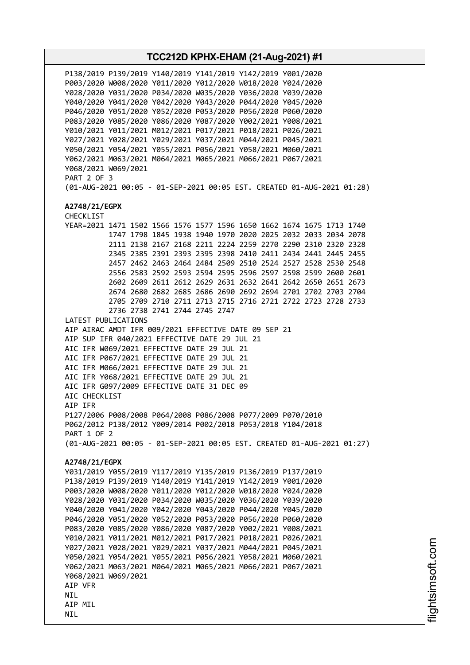**TCC212D KPHX-EHAM (21-Aug-2021) #1** P138/2019 P139/2019 Y140/2019 Y141/2019 Y142/2019 Y001/2020 P003/2020 W008/2020 Y011/2020 Y012/2020 W018/2020 Y024/2020 Y028/2020 Y031/2020 P034/2020 W035/2020 Y036/2020 Y039/2020 Y040/2020 Y041/2020 Y042/2020 Y043/2020 P044/2020 Y045/2020 P046/2020 Y051/2020 Y052/2020 P053/2020 P056/2020 P060/2020 P083/2020 Y085/2020 Y086/2020 Y087/2020 Y002/2021 Y008/2021 Y010/2021 Y011/2021 M012/2021 P017/2021 P018/2021 P026/2021 Y027/2021 Y028/2021 Y029/2021 Y037/2021 M044/2021 P045/2021 Y050/2021 Y054/2021 Y055/2021 P056/2021 Y058/2021 M060/2021 Y062/2021 M063/2021 M064/2021 M065/2021 M066/2021 P067/2021 Y068/2021 W069/2021 PART 2 OF 3 (01-AUG-2021 00:05 - 01-SEP-2021 00:05 EST. CREATED 01-AUG-2021 01:28) **A2748/21/EGPX** CHECKLIST YEAR=2021 1471 1502 1566 1576 1577 1596 1650 1662 1674 1675 1713 1740 1747 1798 1845 1938 1940 1970 2020 2025 2032 2033 2034 2078 2111 2138 2167 2168 2211 2224 2259 2270 2290 2310 2320 2328 2345 2385 2391 2393 2395 2398 2410 2411 2434 2441 2445 2455 2457 2462 2463 2464 2484 2509 2510 2524 2527 2528 2530 2548 2556 2583 2592 2593 2594 2595 2596 2597 2598 2599 2600 2601 2602 2609 2611 2612 2629 2631 2632 2641 2642 2650 2651 2673 2674 2680 2682 2685 2686 2690 2692 2694 2701 2702 2703 2704 2705 2709 2710 2711 2713 2715 2716 2721 2722 2723 2728 2733 2736 2738 2741 2744 2745 2747 LATEST PUBLICATIONS AIP AIRAC AMDT IFR 009/2021 EFFECTIVE DATE 09 SEP 21 AIP SUP IFR 040/2021 EFFECTIVE DATE 29 JUL 21 AIC IFR W069/2021 EFFECTIVE DATE 29 JUL 21 AIC IFR P067/2021 EFFECTIVE DATE 29 JUL 21 AIC IFR M066/2021 EFFECTIVE DATE 29 JUL 21 AIC IFR Y068/2021 EFFECTIVE DATE 29 JUL 21 AIC IFR G097/2009 EFFECTIVE DATE 31 DEC 09 AIC CHECKLIST AIP IFR P127/2006 P008/2008 P064/2008 P086/2008 P077/2009 P070/2010 P062/2012 P138/2012 Y009/2014 P002/2018 P053/2018 Y104/2018 PART 1 OF 2 (01-AUG-2021 00:05 - 01-SEP-2021 00:05 EST. CREATED 01-AUG-2021 01:27) **A2748/21/EGPX** Y031/2019 Y055/2019 Y117/2019 Y135/2019 P136/2019 P137/2019 P138/2019 P139/2019 Y140/2019 Y141/2019 Y142/2019 Y001/2020 P003/2020 W008/2020 Y011/2020 Y012/2020 W018/2020 Y024/2020 Y028/2020 Y031/2020 P034/2020 W035/2020 Y036/2020 Y039/2020 Y040/2020 Y041/2020 Y042/2020 Y043/2020 P044/2020 Y045/2020 P046/2020 Y051/2020 Y052/2020 P053/2020 P056/2020 P060/2020 P083/2020 Y085/2020 Y086/2020 Y087/2020 Y002/2021 Y008/2021 Y010/2021 Y011/2021 M012/2021 P017/2021 P018/2021 P026/2021 Y027/2021 Y028/2021 Y029/2021 Y037/2021 M044/2021 P045/2021 Y050/2021 Y054/2021 Y055/2021 P056/2021 Y058/2021 M060/2021 Y062/2021 M063/2021 M064/2021 M065/2021 M066/2021 P067/2021 Y068/2021 W069/2021 AIP VFR **NTI** AIP MIL NIL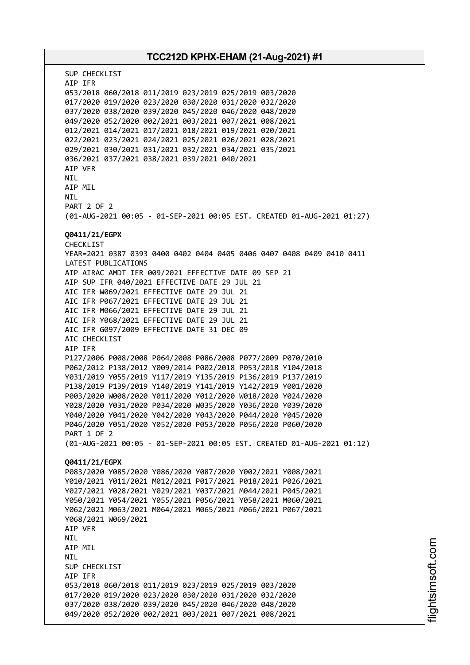SUP CHECKLIST AIP IFR 053/2018 060/2018 011/2019 023/2019 025/2019 003/2020 017/2020 019/2020 023/2020 030/2020 031/2020 032/2020 037/2020 038/2020 039/2020 045/2020 046/2020 048/2020 049/2020 052/2020 002/2021 003/2021 007/2021 008/2021 012/2021 014/2021 017/2021 018/2021 019/2021 020/2021 022/2021 023/2021 024/2021 025/2021 026/2021 028/2021 029/2021 030/2021 031/2021 032/2021 034/2021 035/2021 036/2021 037/2021 038/2021 039/2021 040/2021 AIP VFR **NTI** AIP MIL NIL PART 2 OF 2 (01-AUG-2021 00:05 - 01-SEP-2021 00:05 EST. CREATED 01-AUG-2021 01:27) **Q0411/21/EGPX** CHECKLIST YEAR=2021 0387 0393 0400 0402 0404 0405 0406 0407 0408 0409 0410 0411 LATEST PUBLICATIONS AIP AIRAC AMDT IFR 009/2021 EFFECTIVE DATE 09 SEP 21 AIP SUP IFR 040/2021 EFFECTIVE DATE 29 JUL 21 AIC IFR W069/2021 EFFECTIVE DATE 29 JUL 21 AIC IFR P067/2021 EFFECTIVE DATE 29 JUL 21 AIC IFR M066/2021 EFFECTIVE DATE 29 JUL 21 AIC IFR Y068/2021 EFFECTIVE DATE 29 JUL 21 AIC IFR G097/2009 EFFECTIVE DATE 31 DEC 09 AIC CHECKLIST AIP IFR P127/2006 P008/2008 P064/2008 P086/2008 P077/2009 P070/2010 P062/2012 P138/2012 Y009/2014 P002/2018 P053/2018 Y104/2018 Y031/2019 Y055/2019 Y117/2019 Y135/2019 P136/2019 P137/2019 P138/2019 P139/2019 Y140/2019 Y141/2019 Y142/2019 Y001/2020 P003/2020 W008/2020 Y011/2020 Y012/2020 W018/2020 Y024/2020 Y028/2020 Y031/2020 P034/2020 W035/2020 Y036/2020 Y039/2020 Y040/2020 Y041/2020 Y042/2020 Y043/2020 P044/2020 Y045/2020 P046/2020 Y051/2020 Y052/2020 P053/2020 P056/2020 P060/2020 PART 1 OF 2 (01-AUG-2021 00:05 - 01-SEP-2021 00:05 EST. CREATED 01-AUG-2021 01:12) **Q0411/21/EGPX** P083/2020 Y085/2020 Y086/2020 Y087/2020 Y002/2021 Y008/2021 Y010/2021 Y011/2021 M012/2021 P017/2021 P018/2021 P026/2021 Y027/2021 Y028/2021 Y029/2021 Y037/2021 M044/2021 P045/2021 Y050/2021 Y054/2021 Y055/2021 P056/2021 Y058/2021 M060/2021 Y062/2021 M063/2021 M064/2021 M065/2021 M066/2021 P067/2021 Y068/2021 W069/2021 AIP VFR NIL AIP MIL NIL SUP CHECKLIST AIP IFR 053/2018 060/2018 011/2019 023/2019 025/2019 003/2020 017/2020 019/2020 023/2020 030/2020 031/2020 032/2020 037/2020 038/2020 039/2020 045/2020 046/2020 048/2020 049/2020 052/2020 002/2021 003/2021 007/2021 008/2021

i⊒<br>⊫ htsim soft.c om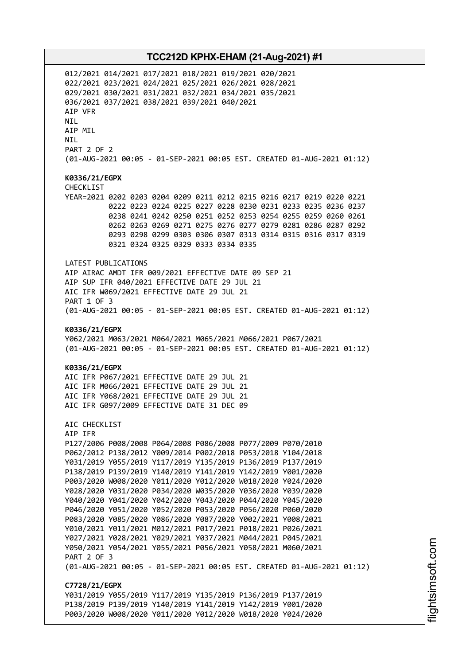012/2021 014/2021 017/2021 018/2021 019/2021 020/2021 022/2021 023/2021 024/2021 025/2021 026/2021 028/2021 029/2021 030/2021 031/2021 032/2021 034/2021 035/2021 036/2021 037/2021 038/2021 039/2021 040/2021 AIP VFR NIL AIP MIL NIL PART 2 OF 2 (01-AUG-2021 00:05 - 01-SEP-2021 00:05 EST. CREATED 01-AUG-2021 01:12) **K0336/21/EGPX** CHECKLIST YEAR=2021 0202 0203 0204 0209 0211 0212 0215 0216 0217 0219 0220 0221 0222 0223 0224 0225 0227 0228 0230 0231 0233 0235 0236 0237 0238 0241 0242 0250 0251 0252 0253 0254 0255 0259 0260 0261 0262 0263 0269 0271 0275 0276 0277 0279 0281 0286 0287 0292 0293 0298 0299 0303 0306 0307 0313 0314 0315 0316 0317 0319 0321 0324 0325 0329 0333 0334 0335 LATEST PUBLICATIONS AIP AIRAC AMDT IFR 009/2021 EFFECTIVE DATE 09 SEP 21 AIP SUP IFR 040/2021 EFFECTIVE DATE 29 JUL 21 AIC IFR W069/2021 EFFECTIVE DATE 29 JUL 21 PART 1 OF 3 (01-AUG-2021 00:05 - 01-SEP-2021 00:05 EST. CREATED 01-AUG-2021 01:12) **K0336/21/EGPX** Y062/2021 M063/2021 M064/2021 M065/2021 M066/2021 P067/2021 (01-AUG-2021 00:05 - 01-SEP-2021 00:05 EST. CREATED 01-AUG-2021 01:12) **K0336/21/EGPX** AIC IFR P067/2021 EFFECTIVE DATE 29 JUL 21 AIC IFR M066/2021 EFFECTIVE DATE 29 JUL 21 AIC IFR Y068/2021 EFFECTIVE DATE 29 JUL 21 AIC IFR G097/2009 EFFECTIVE DATE 31 DEC 09 AIC CHECKLIST AIP IFR P127/2006 P008/2008 P064/2008 P086/2008 P077/2009 P070/2010 P062/2012 P138/2012 Y009/2014 P002/2018 P053/2018 Y104/2018 Y031/2019 Y055/2019 Y117/2019 Y135/2019 P136/2019 P137/2019 P138/2019 P139/2019 Y140/2019 Y141/2019 Y142/2019 Y001/2020 P003/2020 W008/2020 Y011/2020 Y012/2020 W018/2020 Y024/2020 Y028/2020 Y031/2020 P034/2020 W035/2020 Y036/2020 Y039/2020 Y040/2020 Y041/2020 Y042/2020 Y043/2020 P044/2020 Y045/2020 P046/2020 Y051/2020 Y052/2020 P053/2020 P056/2020 P060/2020 P083/2020 Y085/2020 Y086/2020 Y087/2020 Y002/2021 Y008/2021 Y010/2021 Y011/2021 M012/2021 P017/2021 P018/2021 P026/2021 Y027/2021 Y028/2021 Y029/2021 Y037/2021 M044/2021 P045/2021 Y050/2021 Y054/2021 Y055/2021 P056/2021 Y058/2021 M060/2021 PART 2 OF 3 (01-AUG-2021 00:05 - 01-SEP-2021 00:05 EST. CREATED 01-AUG-2021 01:12) **C7728/21/EGPX** Y031/2019 Y055/2019 Y117/2019 Y135/2019 P136/2019 P137/2019 P138/2019 P139/2019 Y140/2019 Y141/2019 Y142/2019 Y001/2020 P003/2020 W008/2020 Y011/2020 Y012/2020 W018/2020 Y024/2020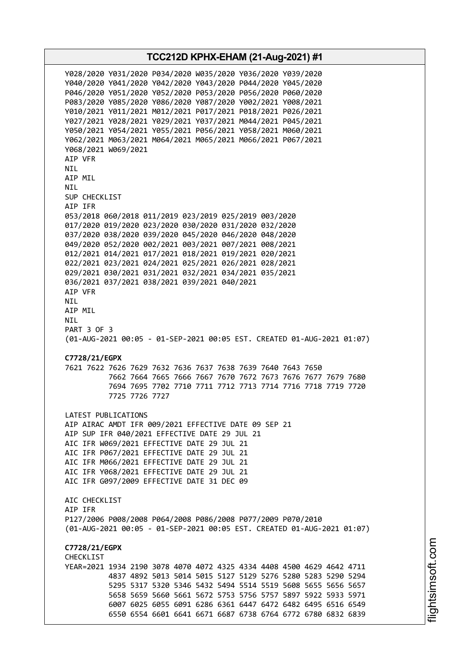Y028/2020 Y031/2020 P034/2020 W035/2020 Y036/2020 Y039/2020 Y040/2020 Y041/2020 Y042/2020 Y043/2020 P044/2020 Y045/2020 P046/2020 Y051/2020 Y052/2020 P053/2020 P056/2020 P060/2020 P083/2020 Y085/2020 Y086/2020 Y087/2020 Y002/2021 Y008/2021 Y010/2021 Y011/2021 M012/2021 P017/2021 P018/2021 P026/2021 Y027/2021 Y028/2021 Y029/2021 Y037/2021 M044/2021 P045/2021 Y050/2021 Y054/2021 Y055/2021 P056/2021 Y058/2021 M060/2021 Y062/2021 M063/2021 M064/2021 M065/2021 M066/2021 P067/2021 Y068/2021 W069/2021 AIP VFR NIL AIP MIL NIL SUP CHECKLIST AIP IFR 053/2018 060/2018 011/2019 023/2019 025/2019 003/2020 017/2020 019/2020 023/2020 030/2020 031/2020 032/2020 037/2020 038/2020 039/2020 045/2020 046/2020 048/2020 049/2020 052/2020 002/2021 003/2021 007/2021 008/2021 012/2021 014/2021 017/2021 018/2021 019/2021 020/2021 022/2021 023/2021 024/2021 025/2021 026/2021 028/2021 029/2021 030/2021 031/2021 032/2021 034/2021 035/2021 036/2021 037/2021 038/2021 039/2021 040/2021 AIP VFR NIL AIP MIL NIL PART 3 OF 3 (01-AUG-2021 00:05 - 01-SEP-2021 00:05 EST. CREATED 01-AUG-2021 01:07) **C7728/21/EGPX** 7621 7622 7626 7629 7632 7636 7637 7638 7639 7640 7643 7650 7662 7664 7665 7666 7667 7670 7672 7673 7676 7677 7679 7680 7694 7695 7702 7710 7711 7712 7713 7714 7716 7718 7719 7720 7725 7726 7727 LATEST PUBLICATIONS AIP AIRAC AMDT IFR 009/2021 EFFECTIVE DATE 09 SEP 21 AIP SUP IFR 040/2021 EFFECTIVE DATE 29 JUL 21 AIC IFR W069/2021 EFFECTIVE DATE 29 JUL 21 AIC IFR P067/2021 EFFECTIVE DATE 29 JUL 21 AIC IFR M066/2021 EFFECTIVE DATE 29 JUL 21 AIC IFR Y068/2021 EFFECTIVE DATE 29 JUL 21 AIC IFR G097/2009 EFFECTIVE DATE 31 DEC 09 AIC CHECKLIST AIP IFR P127/2006 P008/2008 P064/2008 P086/2008 P077/2009 P070/2010 (01-AUG-2021 00:05 - 01-SEP-2021 00:05 EST. CREATED 01-AUG-2021 01:07) **C7728/21/EGPX CHECKLIST** YEAR=2021 1934 2190 3078 4070 4072 4325 4334 4408 4500 4629 4642 4711 4837 4892 5013 5014 5015 5127 5129 5276 5280 5283 5290 5294 5295 5317 5320 5346 5432 5494 5514 5519 5608 5655 5656 5657 5658 5659 5660 5661 5672 5753 5756 5757 5897 5922 5933 5971 6007 6025 6055 6091 6286 6361 6447 6472 6482 6495 6516 6549 6550 6554 6601 6641 6671 6687 6738 6764 6772 6780 6832 6839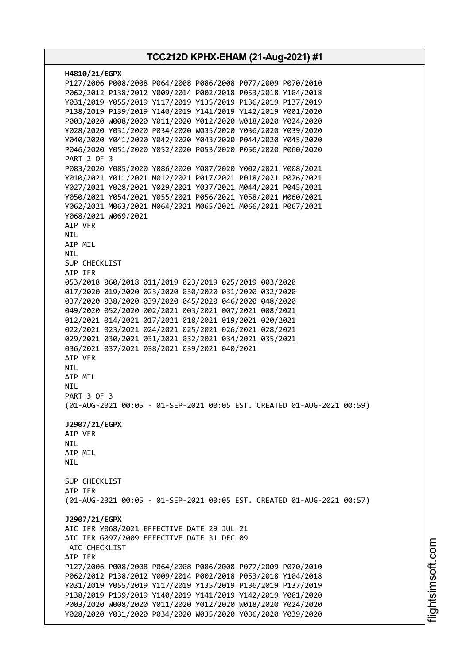| H4810/21/EGPX                                                          |
|------------------------------------------------------------------------|
| P127/2006 P008/2008 P064/2008 P086/2008 P077/2009 P070/2010            |
| P062/2012 P138/2012 Y009/2014 P002/2018 P053/2018 Y104/2018            |
| Y031/2019 Y055/2019 Y117/2019 Y135/2019 P136/2019 P137/2019            |
| P138/2019 P139/2019 Y140/2019 Y141/2019 Y142/2019 Y001/2020            |
| P003/2020 W008/2020 Y011/2020 Y012/2020 W018/2020 Y024/2020            |
| Y028/2020 Y031/2020 P034/2020 W035/2020 Y036/2020 Y039/2020            |
| Y040/2020 Y041/2020 Y042/2020 Y043/2020 P044/2020 Y045/2020            |
| P046/2020 Y051/2020 Y052/2020 P053/2020 P056/2020 P060/2020            |
| <b>PART 2 OF 3</b>                                                     |
| P083/2020 Y085/2020 Y086/2020 Y087/2020 Y002/2021 Y008/2021            |
| Y010/2021 Y011/2021 M012/2021 P017/2021 P018/2021 P026/2021            |
| Y027/2021 Y028/2021 Y029/2021 Y037/2021 M044/2021 P045/2021            |
| Y050/2021 Y054/2021 Y055/2021 P056/2021 Y058/2021 M060/2021            |
| Y062/2021 M063/2021 M064/2021 M065/2021 M066/2021 P067/2021            |
| Y068/2021 W069/2021                                                    |
| AIP VFR                                                                |
| <b>NIL</b><br>AIP MIL                                                  |
| NIL                                                                    |
| SUP CHECKLIST                                                          |
| AIP IFR                                                                |
| 053/2018 060/2018 011/2019 023/2019 025/2019 003/2020                  |
| 017/2020 019/2020 023/2020 030/2020 031/2020 032/2020                  |
| 037/2020 038/2020 039/2020 045/2020 046/2020 048/2020                  |
| 049/2020 052/2020 002/2021 003/2021 007/2021 008/2021                  |
| 012/2021 014/2021 017/2021 018/2021 019/2021 020/2021                  |
| 022/2021 023/2021 024/2021 025/2021 026/2021 028/2021                  |
| 029/2021 030/2021 031/2021 032/2021 034/2021 035/2021                  |
| 036/2021 037/2021 038/2021 039/2021 040/2021                           |
| AIP VFR                                                                |
| NIL                                                                    |
| AIP MIL                                                                |
| <b>NIL</b>                                                             |
| <b>PART 3 OF 3</b>                                                     |
| (01-AUG-2021 00:05 - 01-SEP-2021 00:05 EST. CREATED 01-AUG-2021 00:59) |
| J2907/21/EGPX                                                          |
| AIP VFR                                                                |
| NIL                                                                    |
| AIP MIL                                                                |
| NIL                                                                    |
|                                                                        |
| SUP CHECKLIST                                                          |
| AIP IFR                                                                |
| (01-AUG-2021 00:05 - 01-SEP-2021 00:05 EST. CREATED 01-AUG-2021 00:57) |
|                                                                        |
| J2907/21/EGPX                                                          |
| AIC IFR Y068/2021 EFFECTIVE DATE 29 JUL 21                             |
| AIC IFR G097/2009 EFFECTIVE DATE 31 DEC 09<br>AIC CHECKLIST            |
| AIP IFR                                                                |
| P127/2006 P008/2008 P064/2008 P086/2008 P077/2009 P070/2010            |
| P062/2012 P138/2012 Y009/2014 P002/2018 P053/2018 Y104/2018            |
| Y031/2019 Y055/2019 Y117/2019 Y135/2019 P136/2019 P137/2019            |
| P138/2019 P139/2019 Y140/2019 Y141/2019 Y142/2019 Y001/2020            |
| P003/2020 W008/2020 Y011/2020 Y012/2020 W018/2020 Y024/2020            |
| Y028/2020 Y031/2020 P034/2020 W035/2020 Y036/2020 Y039/2020            |
|                                                                        |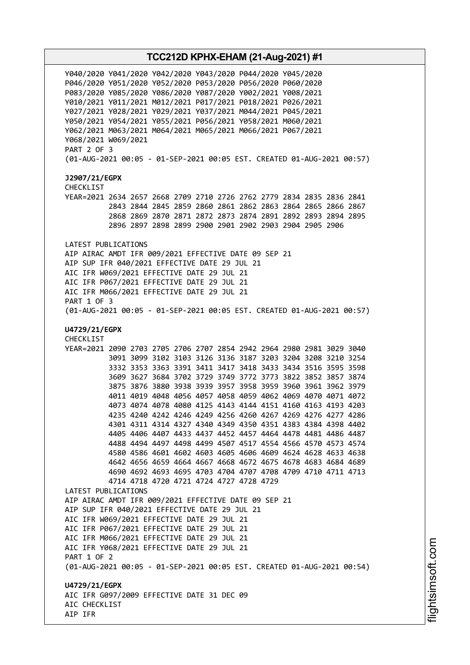Y040/2020 Y041/2020 Y042/2020 Y043/2020 P044/2020 Y045/2020 P046/2020 Y051/2020 Y052/2020 P053/2020 P056/2020 P060/2020 P083/2020 Y085/2020 Y086/2020 Y087/2020 Y002/2021 Y008/2021 Y010/2021 Y011/2021 M012/2021 P017/2021 P018/2021 P026/2021 Y027/2021 Y028/2021 Y029/2021 Y037/2021 M044/2021 P045/2021 Y050/2021 Y054/2021 Y055/2021 P056/2021 Y058/2021 M060/2021 Y062/2021 M063/2021 M064/2021 M065/2021 M066/2021 P067/2021 Y068/2021 W069/2021 PART 2 OF 3 (01-AUG-2021 00:05 - 01-SEP-2021 00:05 EST. CREATED 01-AUG-2021 00:57) **J2907/21/EGPX** CHECKLIST YEAR=2021 2634 2657 2668 2709 2710 2726 2762 2779 2834 2835 2836 2841 2843 2844 2845 2859 2860 2861 2862 2863 2864 2865 2866 2867 2868 2869 2870 2871 2872 2873 2874 2891 2892 2893 2894 2895 2896 2897 2898 2899 2900 2901 2902 2903 2904 2905 2906 LATEST PUBLICATIONS AIP AIRAC AMDT IFR 009/2021 EFFECTIVE DATE 09 SEP 21 AIP SUP IFR 040/2021 EFFECTIVE DATE 29 JUL 21 AIC IFR W069/2021 EFFECTIVE DATE 29 JUL 21 AIC IFR P067/2021 EFFECTIVE DATE 29 JUL 21 AIC IFR M066/2021 EFFECTIVE DATE 29 JUL 21 PART 1 OF 3 (01-AUG-2021 00:05 - 01-SEP-2021 00:05 EST. CREATED 01-AUG-2021 00:57) **U4729/21/EGPX** CHECKLIST YEAR=2021 2090 2703 2705 2706 2707 2854 2942 2964 2980 2981 3029 3040 3091 3099 3102 3103 3126 3136 3187 3203 3204 3208 3210 3254 3332 3353 3363 3391 3411 3417 3418 3433 3434 3516 3595 3598 3609 3627 3684 3702 3729 3749 3772 3773 3822 3852 3857 3874 3875 3876 3880 3938 3939 3957 3958 3959 3960 3961 3962 3979 4011 4019 4048 4056 4057 4058 4059 4062 4069 4070 4071 4072 4073 4074 4078 4080 4125 4143 4144 4151 4160 4163 4193 4203 4235 4240 4242 4246 4249 4256 4260 4267 4269 4276 4277 4286 4301 4311 4314 4327 4340 4349 4350 4351 4383 4384 4398 4402 4405 4406 4407 4433 4437 4452 4457 4464 4478 4481 4486 4487 4488 4494 4497 4498 4499 4507 4517 4554 4566 4570 4573 4574 4580 4586 4601 4602 4603 4605 4606 4609 4624 4628 4633 4638 4642 4656 4659 4664 4667 4668 4672 4675 4678 4683 4684 4689 4690 4692 4693 4695 4703 4704 4707 4708 4709 4710 4711 4713 4714 4718 4720 4721 4724 4727 4728 4729 LATEST PUBLICATIONS AIP AIRAC AMDT IFR 009/2021 EFFECTIVE DATE 09 SEP 21 AIP SUP IFR 040/2021 EFFECTIVE DATE 29 JUL 21 AIC IFR W069/2021 EFFECTIVE DATE 29 JUL 21 AIC IFR P067/2021 EFFECTIVE DATE 29 JUL 21 AIC IFR M066/2021 EFFECTIVE DATE 29 JUL 21 AIC IFR Y068/2021 EFFECTIVE DATE 29 JUL 21 PART 1 OF 2 (01-AUG-2021 00:05 - 01-SEP-2021 00:05 EST. CREATED 01-AUG-2021 00:54) **U4729/21/EGPX** AIC IFR G097/2009 EFFECTIVE DATE 31 DEC 09 AIC CHECKLIST AIP IFR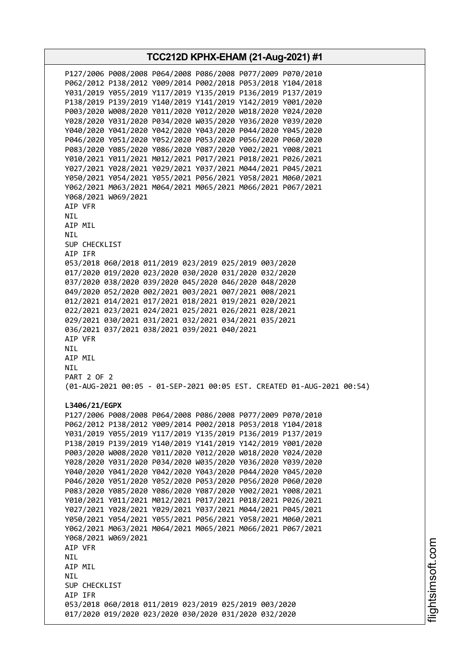**TCC212D KPHX-EHAM (21-Aug-2021) #1** P127/2006 P008/2008 P064/2008 P086/2008 P077/2009 P070/2010 P062/2012 P138/2012 Y009/2014 P002/2018 P053/2018 Y104/2018 Y031/2019 Y055/2019 Y117/2019 Y135/2019 P136/2019 P137/2019 P138/2019 P139/2019 Y140/2019 Y141/2019 Y142/2019 Y001/2020 P003/2020 W008/2020 Y011/2020 Y012/2020 W018/2020 Y024/2020 Y028/2020 Y031/2020 P034/2020 W035/2020 Y036/2020 Y039/2020 Y040/2020 Y041/2020 Y042/2020 Y043/2020 P044/2020 Y045/2020 P046/2020 Y051/2020 Y052/2020 P053/2020 P056/2020 P060/2020 P083/2020 Y085/2020 Y086/2020 Y087/2020 Y002/2021 Y008/2021 Y010/2021 Y011/2021 M012/2021 P017/2021 P018/2021 P026/2021 Y027/2021 Y028/2021 Y029/2021 Y037/2021 M044/2021 P045/2021 Y050/2021 Y054/2021 Y055/2021 P056/2021 Y058/2021 M060/2021 Y062/2021 M063/2021 M064/2021 M065/2021 M066/2021 P067/2021 Y068/2021 W069/2021 AIP VFR NIL AIP MIL NIL SUP CHECKLIST AIP IFR 053/2018 060/2018 011/2019 023/2019 025/2019 003/2020 017/2020 019/2020 023/2020 030/2020 031/2020 032/2020 037/2020 038/2020 039/2020 045/2020 046/2020 048/2020 049/2020 052/2020 002/2021 003/2021 007/2021 008/2021 012/2021 014/2021 017/2021 018/2021 019/2021 020/2021 022/2021 023/2021 024/2021 025/2021 026/2021 028/2021 029/2021 030/2021 031/2021 032/2021 034/2021 035/2021 036/2021 037/2021 038/2021 039/2021 040/2021 AIP VFR NIL AIP MIL NIL PART 2 OF 2 (01-AUG-2021 00:05 - 01-SEP-2021 00:05 EST. CREATED 01-AUG-2021 00:54) **L3406/21/EGPX** P127/2006 P008/2008 P064/2008 P086/2008 P077/2009 P070/2010 P062/2012 P138/2012 Y009/2014 P002/2018 P053/2018 Y104/2018 Y031/2019 Y055/2019 Y117/2019 Y135/2019 P136/2019 P137/2019 P138/2019 P139/2019 Y140/2019 Y141/2019 Y142/2019 Y001/2020 P003/2020 W008/2020 Y011/2020 Y012/2020 W018/2020 Y024/2020 Y028/2020 Y031/2020 P034/2020 W035/2020 Y036/2020 Y039/2020 Y040/2020 Y041/2020 Y042/2020 Y043/2020 P044/2020 Y045/2020 P046/2020 Y051/2020 Y052/2020 P053/2020 P056/2020 P060/2020 P083/2020 Y085/2020 Y086/2020 Y087/2020 Y002/2021 Y008/2021 Y010/2021 Y011/2021 M012/2021 P017/2021 P018/2021 P026/2021 Y027/2021 Y028/2021 Y029/2021 Y037/2021 M044/2021 P045/2021 Y050/2021 Y054/2021 Y055/2021 P056/2021 Y058/2021 M060/2021 Y062/2021 M063/2021 M064/2021 M065/2021 M066/2021 P067/2021 Y068/2021 W069/2021 AIP VFR NIL AIP MIL **NTL** SUP CHECKLIST AIP IFR 053/2018 060/2018 011/2019 023/2019 025/2019 003/2020 017/2020 019/2020 023/2020 030/2020 031/2020 032/2020

i⊒<br>⊫ htsim soft.c om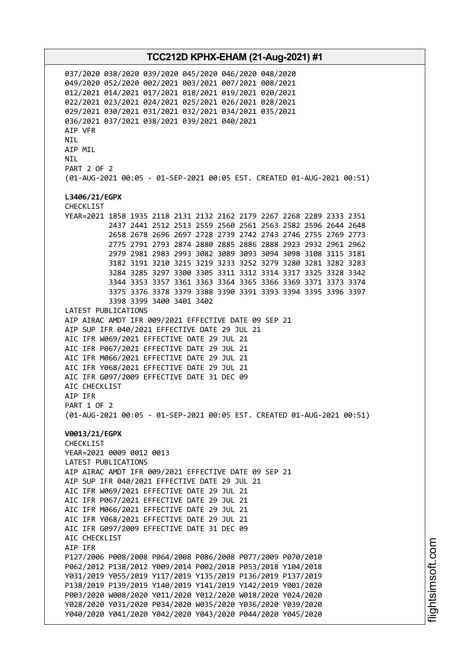037/2020 038/2020 039/2020 045/2020 046/2020 048/2020 049/2020 052/2020 002/2021 003/2021 007/2021 008/2021 012/2021 014/2021 017/2021 018/2021 019/2021 020/2021 022/2021 023/2021 024/2021 025/2021 026/2021 028/2021 029/2021 030/2021 031/2021 032/2021 034/2021 035/2021 036/2021 037/2021 038/2021 039/2021 040/2021 AIP VFR NIL AIP MIL NIL PART 2 OF 2 (01-AUG-2021 00:05 - 01-SEP-2021 00:05 EST. CREATED 01-AUG-2021 00:51) **L3406/21/EGPX** CHECKLIST YEAR=2021 1858 1935 2118 2131 2132 2162 2179 2267 2268 2289 2333 2351 2437 2441 2512 2513 2559 2560 2561 2563 2582 2596 2644 2648 2658 2678 2696 2697 2728 2739 2742 2743 2746 2755 2769 2773 2775 2791 2793 2874 2880 2885 2886 2888 2923 2932 2961 2962 2979 2981 2983 2993 3082 3089 3093 3094 3098 3108 3115 3181 3182 3191 3210 3215 3219 3233 3252 3279 3280 3281 3282 3283 3284 3285 3297 3300 3305 3311 3312 3314 3317 3325 3328 3342 3344 3353 3357 3361 3363 3364 3365 3366 3369 3371 3373 3374 3375 3376 3378 3379 3388 3390 3391 3393 3394 3395 3396 3397 3398 3399 3400 3401 3402 LATEST PUBLICATIONS AIP AIRAC AMDT IFR 009/2021 EFFECTIVE DATE 09 SEP 21 AIP SUP IFR 040/2021 EFFECTIVE DATE 29 JUL 21 AIC IFR W069/2021 EFFECTIVE DATE 29 JUL 21 AIC IFR P067/2021 EFFECTIVE DATE 29 JUL 21 AIC IFR M066/2021 EFFECTIVE DATE 29 JUL 21 AIC IFR Y068/2021 EFFECTIVE DATE 29 JUL 21 AIC IFR G097/2009 EFFECTIVE DATE 31 DEC 09 AIC CHECKLIST AIP IFR PART 1 OF 2 (01-AUG-2021 00:05 - 01-SEP-2021 00:05 EST. CREATED 01-AUG-2021 00:51) **V0013/21/EGPX** CHECKLIST YEAR=2021 0009 0012 0013 LATEST PUBLICATIONS AIP AIRAC AMDT IFR 009/2021 EFFECTIVE DATE 09 SEP 21 AIP SUP IFR 040/2021 EFFECTIVE DATE 29 JUL 21 AIC IFR W069/2021 EFFECTIVE DATE 29 JUL 21 AIC IFR P067/2021 EFFECTIVE DATE 29 JUL 21 AIC IFR M066/2021 EFFECTIVE DATE 29 JUL 21 AIC IFR Y068/2021 EFFECTIVE DATE 29 JUL 21 AIC IFR G097/2009 EFFECTIVE DATE 31 DEC 09 AIC CHECKLIST AIP IFR P127/2006 P008/2008 P064/2008 P086/2008 P077/2009 P070/2010 P062/2012 P138/2012 Y009/2014 P002/2018 P053/2018 Y104/2018 Y031/2019 Y055/2019 Y117/2019 Y135/2019 P136/2019 P137/2019 P138/2019 P139/2019 Y140/2019 Y141/2019 Y142/2019 Y001/2020 P003/2020 W008/2020 Y011/2020 Y012/2020 W018/2020 Y024/2020 Y028/2020 Y031/2020 P034/2020 W035/2020 Y036/2020 Y039/2020 Y040/2020 Y041/2020 Y042/2020 Y043/2020 P044/2020 Y045/2020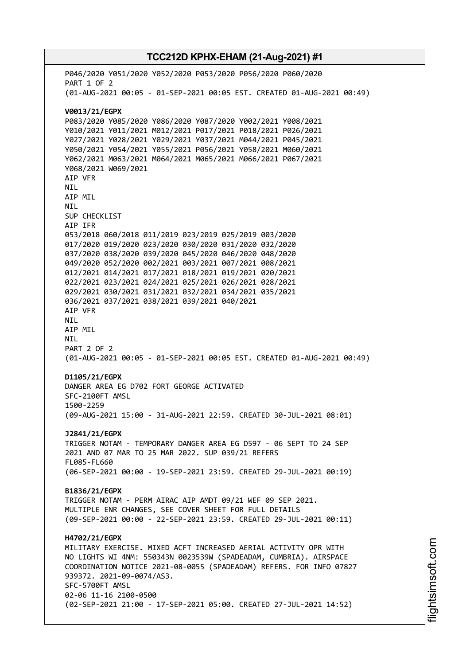# **TCC212D KPHX-EHAM (21-Aug-2021) #1** P046/2020 Y051/2020 Y052/2020 P053/2020 P056/2020 P060/2020 PART 1 OF 2 (01-AUG-2021 00:05 - 01-SEP-2021 00:05 EST. CREATED 01-AUG-2021 00:49) **V0013/21/EGPX** P083/2020 Y085/2020 Y086/2020 Y087/2020 Y002/2021 Y008/2021 Y010/2021 Y011/2021 M012/2021 P017/2021 P018/2021 P026/2021 Y027/2021 Y028/2021 Y029/2021 Y037/2021 M044/2021 P045/2021 Y050/2021 Y054/2021 Y055/2021 P056/2021 Y058/2021 M060/2021 Y062/2021 M063/2021 M064/2021 M065/2021 M066/2021 P067/2021 Y068/2021 W069/2021 AIP VFR NIL AIP MIL NIL SUP CHECKLIST AIP IFR 053/2018 060/2018 011/2019 023/2019 025/2019 003/2020 017/2020 019/2020 023/2020 030/2020 031/2020 032/2020 037/2020 038/2020 039/2020 045/2020 046/2020 048/2020 049/2020 052/2020 002/2021 003/2021 007/2021 008/2021 012/2021 014/2021 017/2021 018/2021 019/2021 020/2021 022/2021 023/2021 024/2021 025/2021 026/2021 028/2021 029/2021 030/2021 031/2021 032/2021 034/2021 035/2021 036/2021 037/2021 038/2021 039/2021 040/2021 AIP VFR NIL AIP MIL NIL PART 2 OF 2 (01-AUG-2021 00:05 - 01-SEP-2021 00:05 EST. CREATED 01-AUG-2021 00:49) **D1105/21/EGPX** DANGER AREA EG D702 FORT GEORGE ACTIVATED SFC-2100FT AMSL 1500-2259 (09-AUG-2021 15:00 - 31-AUG-2021 22:59. CREATED 30-JUL-2021 08:01) **J2841/21/EGPX** TRIGGER NOTAM - TEMPORARY DANGER AREA EG D597 - 06 SEPT TO 24 SEP 2021 AND 07 MAR TO 25 MAR 2022. SUP 039/21 REFERS FL085-FL660 (06-SEP-2021 00:00 - 19-SEP-2021 23:59. CREATED 29-JUL-2021 00:19) **B1836/21/EGPX** TRIGGER NOTAM - PERM AIRAC AIP AMDT 09/21 WEF 09 SEP 2021. MULTIPLE ENR CHANGES, SEE COVER SHEET FOR FULL DETAILS (09-SEP-2021 00:00 - 22-SEP-2021 23:59. CREATED 29-JUL-2021 00:11) **H4702/21/EGPX** MILITARY EXERCISE. MIXED ACFT INCREASED AERIAL ACTIVITY OPR WITH NO LIGHTS WI 4NM: 550343N 0023539W (SPADEADAM, CUMBRIA). AIRSPACE COORDINATION NOTICE 2021-08-0055 (SPADEADAM) REFERS. FOR INFO 07827 939372. 2021-09-0074/AS3.

(02-SEP-2021 21:00 - 17-SEP-2021 05:00. CREATED 27-JUL-2021 14:52)

SFC-5700FT AMSL

02-06 11-16 2100-0500

i⊒<br>⊫ htsim soft.c om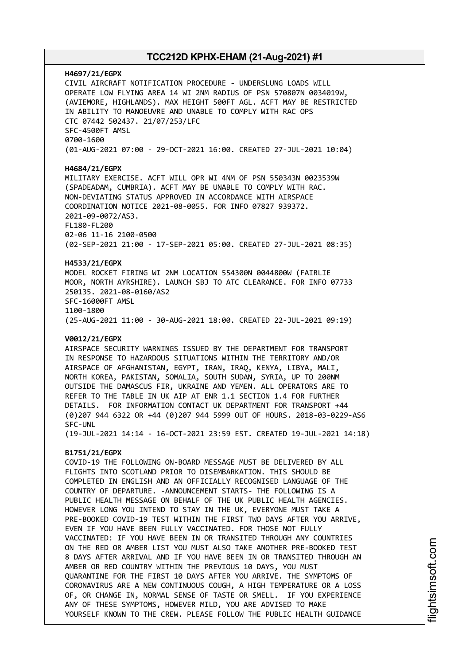### **H4697/21/EGPX** CIVIL AIRCRAFT NOTIFICATION PROCEDURE - UNDERSLUNG LOADS WILL OPERATE LOW FLYING AREA 14 WI 2NM RADIUS OF PSN 570807N 0034019W, (AVIEMORE, HIGHLANDS). MAX HEIGHT 500FT AGL. ACFT MAY BE RESTRICTED IN ABILITY TO MANOEUVRE AND UNABLE TO COMPLY WITH RAC OPS CTC 07442 502437. 21/07/253/LFC SFC-4500FT AMSL 0700-1600 (01-AUG-2021 07:00 - 29-OCT-2021 16:00. CREATED 27-JUL-2021 10:04)

#### **H4684/21/EGPX**

MILITARY EXERCISE. ACFT WILL OPR WI 4NM OF PSN 550343N 0023539W (SPADEADAM, CUMBRIA). ACFT MAY BE UNABLE TO COMPLY WITH RAC. NON-DEVIATING STATUS APPROVED IN ACCORDANCE WITH AIRSPACE COORDINATION NOTICE 2021-08-0055. FOR INFO 07827 939372. 2021-09-0072/AS3. FL180-FL200 02-06 11-16 2100-0500 (02-SEP-2021 21:00 - 17-SEP-2021 05:00. CREATED 27-JUL-2021 08:35)

#### **H4533/21/EGPX**

MODEL ROCKET FIRING WI 2NM LOCATION 554300N 0044800W (FAIRLIE MOOR, NORTH AYRSHIRE). LAUNCH SBJ TO ATC CLEARANCE. FOR INFO 07733 250135. 2021-08-0160/AS2 SFC-16000FT AMSL 1100-1800 (25-AUG-2021 11:00 - 30-AUG-2021 18:00. CREATED 22-JUL-2021 09:19)

#### **V0012/21/EGPX**

AIRSPACE SECURITY WARNINGS ISSUED BY THE DEPARTMENT FOR TRANSPORT IN RESPONSE TO HAZARDOUS SITUATIONS WITHIN THE TERRITORY AND/OR AIRSPACE OF AFGHANISTAN, EGYPT, IRAN, IRAQ, KENYA, LIBYA, MALI, NORTH KOREA, PAKISTAN, SOMALIA, SOUTH SUDAN, SYRIA, UP TO 200NM OUTSIDE THE DAMASCUS FIR, UKRAINE AND YEMEN. ALL OPERATORS ARE TO REFER TO THE TABLE IN UK AIP AT ENR 1.1 SECTION 1.4 FOR FURTHER DETAILS. FOR INFORMATION CONTACT UK DEPARTMENT FOR TRANSPORT +44 (0)207 944 6322 OR +44 (0)207 944 5999 OUT OF HOURS. 2018-03-0229-AS6 SFC-UNL

(19-JUL-2021 14:14 - 16-OCT-2021 23:59 EST. CREATED 19-JUL-2021 14:18)

### **B1751/21/EGPX**

COVID-19 THE FOLLOWING ON-BOARD MESSAGE MUST BE DELIVERED BY ALL FLIGHTS INTO SCOTLAND PRIOR TO DISEMBARKATION. THIS SHOULD BE COMPLETED IN ENGLISH AND AN OFFICIALLY RECOGNISED LANGUAGE OF THE COUNTRY OF DEPARTURE. -ANNOUNCEMENT STARTS- THE FOLLOWING IS A PUBLIC HEALTH MESSAGE ON BEHALF OF THE UK PUBLIC HEALTH AGENCIES. HOWEVER LONG YOU INTEND TO STAY IN THE UK, EVERYONE MUST TAKE A PRE-BOOKED COVID-19 TEST WITHIN THE FIRST TWO DAYS AFTER YOU ARRIVE, EVEN IF YOU HAVE BEEN FULLY VACCINATED. FOR THOSE NOT FULLY VACCINATED: IF YOU HAVE BEEN IN OR TRANSITED THROUGH ANY COUNTRIES ON THE RED OR AMBER LIST YOU MUST ALSO TAKE ANOTHER PRE-BOOKED TEST 8 DAYS AFTER ARRIVAL AND IF YOU HAVE BEEN IN OR TRANSITED THROUGH AN AMBER OR RED COUNTRY WITHIN THE PREVIOUS 10 DAYS, YOU MUST QUARANTINE FOR THE FIRST 10 DAYS AFTER YOU ARRIVE. THE SYMPTOMS OF CORONAVIRUS ARE A NEW CONTINUOUS COUGH, A HIGH TEMPERATURE OR A LOSS OF, OR CHANGE IN, NORMAL SENSE OF TASTE OR SMELL. IF YOU EXPERIENCE ANY OF THESE SYMPTOMS, HOWEVER MILD, YOU ARE ADVISED TO MAKE YOURSELF KNOWN TO THE CREW. PLEASE FOLLOW THE PUBLIC HEALTH GUIDANCE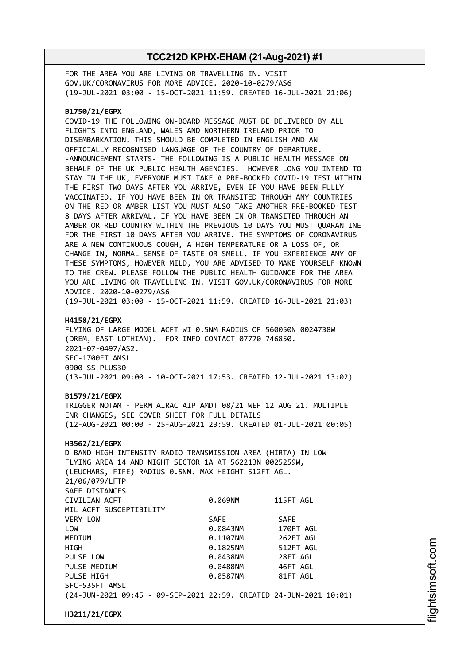FOR THE AREA YOU ARE LIVING OR TRAVELLING IN. VISIT GOV.UK/CORONAVIRUS FOR MORE ADVICE. 2020-10-0279/AS6 (19-JUL-2021 03:00 - 15-OCT-2021 11:59. CREATED 16-JUL-2021 21:06)

#### **B1750/21/EGPX**

COVID-19 THE FOLLOWING ON-BOARD MESSAGE MUST BE DELIVERED BY ALL FLIGHTS INTO ENGLAND, WALES AND NORTHERN IRELAND PRIOR TO DISEMBARKATION. THIS SHOULD BE COMPLETED IN ENGLISH AND AN OFFICIALLY RECOGNISED LANGUAGE OF THE COUNTRY OF DEPARTURE. -ANNOUNCEMENT STARTS- THE FOLLOWING IS A PUBLIC HEALTH MESSAGE ON BEHALF OF THE UK PUBLIC HEALTH AGENCIES. HOWEVER LONG YOU INTEND TO STAY IN THE UK, EVERYONE MUST TAKE A PRE-BOOKED COVID-19 TEST WITHIN THE FIRST TWO DAYS AFTER YOU ARRIVE, EVEN IF YOU HAVE BEEN FULLY VACCINATED. IF YOU HAVE BEEN IN OR TRANSITED THROUGH ANY COUNTRIES ON THE RED OR AMBER LIST YOU MUST ALSO TAKE ANOTHER PRE-BOOKED TEST 8 DAYS AFTER ARRIVAL. IF YOU HAVE BEEN IN OR TRANSITED THROUGH AN AMBER OR RED COUNTRY WITHIN THE PREVIOUS 10 DAYS YOU MUST QUARANTINE FOR THE FIRST 10 DAYS AFTER YOU ARRIVE. THE SYMPTOMS OF CORONAVIRUS ARE A NEW CONTINUOUS COUGH, A HIGH TEMPERATURE OR A LOSS OF, OR CHANGE IN, NORMAL SENSE OF TASTE OR SMELL. IF YOU EXPERIENCE ANY OF THESE SYMPTOMS, HOWEVER MILD, YOU ARE ADVISED TO MAKE YOURSELF KNOWN TO THE CREW. PLEASE FOLLOW THE PUBLIC HEALTH GUIDANCE FOR THE AREA YOU ARE LIVING OR TRAVELLING IN. VISIT GOV.UK/CORONAVIRUS FOR MORE ADVICE. 2020-10-0279/AS6 (19-JUL-2021 03:00 - 15-OCT-2021 11:59. CREATED 16-JUL-2021 21:03)

#### **H4158/21/EGPX**

FLYING OF LARGE MODEL ACFT WI 0.5NM RADIUS OF 560050N 0024738W (DREM, EAST LOTHIAN). FOR INFO CONTACT 07770 746850. 2021-07-0497/AS2. SFC-1700FT AMSL 0900-SS PLUS30 (13-JUL-2021 09:00 - 10-OCT-2021 17:53. CREATED 12-JUL-2021 13:02)

#### **B1579/21/EGPX**

TRIGGER NOTAM - PERM AIRAC AIP AMDT 08/21 WEF 12 AUG 21. MULTIPLE ENR CHANGES, SEE COVER SHEET FOR FULL DETAILS (12-AUG-2021 00:00 - 25-AUG-2021 23:59. CREATED 01-JUL-2021 00:05)

#### **H3562/21/EGPX**

D BAND HIGH INTENSITY RADIO TRANSMISSION AREA (HIRTA) IN LOW FLYING AREA 14 AND NIGHT SECTOR 1A AT 562213N 0025259W, (LEUCHARS, FIFE) RADIUS 0.5NM. MAX HEIGHT 512FT AGL. 21/06/079/LFTP SAFE DISTANCES CIVILIAN ACFT 0.069NM 115FT AGL MIL ACFT SUSCEPTIBILITY VERY LOW SAFE SAFE LOW 0.0843NM 170FT AGL MEDIUM 0.1107NM 262FT AGL HIGH 0.1825NM 512FT AGL PULSE LOW 0.0438NM 28FT AGL PULSE MEDIUM 0.0488NM 46FT AGL PULSE HIGH **DESIGNATION 81FT AGLACI 0.0587NM** 81FT AGL SFC-535FT AMSL (24-JUN-2021 09:45 - 09-SEP-2021 22:59. CREATED 24-JUN-2021 10:01)

**H3211/21/EGPX**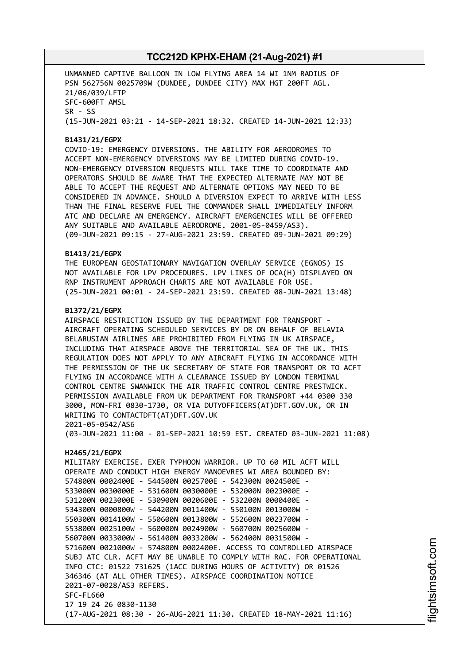UNMANNED CAPTIVE BALLOON IN LOW FLYING AREA 14 WI 1NM RADIUS OF PSN 562756N 0025709W (DUNDEE, DUNDEE CITY) MAX HGT 200FT AGL. 21/06/039/LFTP SFC-600FT AMSL SR - SS (15-JUN-2021 03:21 - 14-SEP-2021 18:32. CREATED 14-JUN-2021 12:33)

### **B1431/21/EGPX**

COVID-19: EMERGENCY DIVERSIONS. THE ABILITY FOR AERODROMES TO ACCEPT NON-EMERGENCY DIVERSIONS MAY BE LIMITED DURING COVID-19. NON-EMERGENCY DIVERSION REQUESTS WILL TAKE TIME TO COORDINATE AND OPERATORS SHOULD BE AWARE THAT THE EXPECTED ALTERNATE MAY NOT BE ABLE TO ACCEPT THE REQUEST AND ALTERNATE OPTIONS MAY NEED TO BE CONSIDERED IN ADVANCE. SHOULD A DIVERSION EXPECT TO ARRIVE WITH LESS THAN THE FINAL RESERVE FUEL THE COMMANDER SHALL IMMEDIATELY INFORM ATC AND DECLARE AN EMERGENCY. AIRCRAFT EMERGENCIES WILL BE OFFERED ANY SUITABLE AND AVAILABLE AERODROME. 2001-05-0459/AS3). (09-JUN-2021 09:15 - 27-AUG-2021 23:59. CREATED 09-JUN-2021 09:29)

#### **B1413/21/EGPX**

THE EUROPEAN GEOSTATIONARY NAVIGATION OVERLAY SERVICE (EGNOS) IS NOT AVAILABLE FOR LPV PROCEDURES. LPV LINES OF OCA(H) DISPLAYED ON RNP INSTRUMENT APPROACH CHARTS ARE NOT AVAILABLE FOR USE. (25-JUN-2021 00:01 - 24-SEP-2021 23:59. CREATED 08-JUN-2021 13:48)

#### **B1372/21/EGPX**

AIRSPACE RESTRICTION ISSUED BY THE DEPARTMENT FOR TRANSPORT - AIRCRAFT OPERATING SCHEDULED SERVICES BY OR ON BEHALF OF BELAVIA BELARUSIAN AIRLINES ARE PROHIBITED FROM FLYING IN UK AIRSPACE, INCLUDING THAT AIRSPACE ABOVE THE TERRITORIAL SEA OF THE UK. THIS REGULATION DOES NOT APPLY TO ANY AIRCRAFT FLYING IN ACCORDANCE WITH THE PERMISSION OF THE UK SECRETARY OF STATE FOR TRANSPORT OR TO ACFT FLYING IN ACCORDANCE WITH A CLEARANCE ISSUED BY LONDON TERMINAL CONTROL CENTRE SWANWICK THE AIR TRAFFIC CONTROL CENTRE PRESTWICK. PERMISSION AVAILABLE FROM UK DEPARTMENT FOR TRANSPORT +44 0300 330 3000, MON-FRI 0830-1730, OR VIA DUTYOFFICERS(AT)DFT.GOV.UK, OR IN WRITING TO CONTACTDFT(AT)DFT.GOV.UK 2021-05-0542/AS6

(03-JUN-2021 11:00 - 01-SEP-2021 10:59 EST. CREATED 03-JUN-2021 11:08)

### **H2465/21/EGPX**

MILITARY EXERCISE. EXER TYPHOON WARRIOR. UP TO 60 MIL ACFT WILL OPERATE AND CONDUCT HIGH ENERGY MANOEVRES WI AREA BOUNDED BY: 574800N 0002400E - 544500N 0025700E - 542300N 0024500E - 533000N 0030000E - 531600N 0030000E - 532000N 0023000E - 531200N 0023000E - 530900N 0020600E - 532200N 0000400E - 534300N 0000800W - 544200N 0011400W - 550100N 0013000W - 550300N 0014100W - 550600N 0013800W - 552600N 0023700W - 553800N 0025100W - 560000N 0024900W - 560700N 0025600W - 560700N 0033000W - 561400N 0033200W - 562400N 0031500W - 571600N 0021000W - 574800N 0002400E. ACCESS TO CONTROLLED AIRSPACE SUBJ ATC CLR. ACFT MAY BE UNABLE TO COMPLY WITH RAC. FOR OPERATIONAL INFO CTC: 01522 731625 (1ACC DURING HOURS OF ACTIVITY) OR 01526 346346 (AT ALL OTHER TIMES). AIRSPACE COORDINATION NOTICE 2021-07-0028/AS3 REFERS. SFC-FL660 17 19 24 26 0830-1130 (17-AUG-2021 08:30 - 26-AUG-2021 11:30. CREATED 18-MAY-2021 11:16)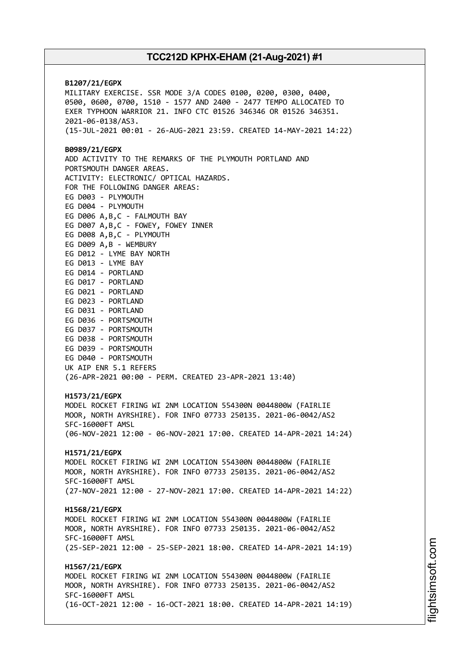**B1207/21/EGPX** MILITARY EXERCISE. SSR MODE 3/A CODES 0100, 0200, 0300, 0400, 0500, 0600, 0700, 1510 - 1577 AND 2400 - 2477 TEMPO ALLOCATED TO EXER TYPHOON WARRIOR 21. INFO CTC 01526 346346 OR 01526 346351. 2021-06-0138/AS3. (15-JUL-2021 00:01 - 26-AUG-2021 23:59. CREATED 14-MAY-2021 14:22) **B0989/21/EGPX** ADD ACTIVITY TO THE REMARKS OF THE PLYMOUTH PORTLAND AND PORTSMOUTH DANGER AREAS. ACTIVITY: ELECTRONIC/ OPTICAL HAZARDS. FOR THE FOLLOWING DANGER AREAS: EG D003 - PLYMOUTH EG D004 - PLYMOUTH EG D006 A,B,C - FALMOUTH BAY EG D007 A,B,C - FOWEY, FOWEY INNER EG D008 A,B,C - PLYMOUTH EG D009 A,B - WEMBURY EG D012 - LYME BAY NORTH EG D013 - LYME BAY EG D014 - PORTLAND EG D017 - PORTLAND EG D021 - PORTLAND EG D023 - PORTLAND EG D031 - PORTLAND EG D036 - PORTSMOUTH EG D037 - PORTSMOUTH EG D038 - PORTSMOUTH EG D039 - PORTSMOUTH EG D040 - PORTSMOUTH UK AIP ENR 5.1 REFERS (26-APR-2021 00:00 - PERM. CREATED 23-APR-2021 13:40) **H1573/21/EGPX** MODEL ROCKET FIRING WI 2NM LOCATION 554300N 0044800W (FAIRLIE MOOR, NORTH AYRSHIRE). FOR INFO 07733 250135. 2021-06-0042/AS2 SFC-16000FT AMSL (06-NOV-2021 12:00 - 06-NOV-2021 17:00. CREATED 14-APR-2021 14:24) **H1571/21/EGPX** MODEL ROCKET FIRING WI 2NM LOCATION 554300N 0044800W (FAIRLIE MOOR, NORTH AYRSHIRE). FOR INFO 07733 250135. 2021-06-0042/AS2 SFC-16000FT AMSL (27-NOV-2021 12:00 - 27-NOV-2021 17:00. CREATED 14-APR-2021 14:22) **H1568/21/EGPX** MODEL ROCKET FIRING WI 2NM LOCATION 554300N 0044800W (FAIRLIE MOOR, NORTH AYRSHIRE). FOR INFO 07733 250135. 2021-06-0042/AS2 SFC-16000FT AMSL (25-SEP-2021 12:00 - 25-SEP-2021 18:00. CREATED 14-APR-2021 14:19) **H1567/21/EGPX** MODEL ROCKET FIRING WI 2NM LOCATION 554300N 0044800W (FAIRLIE MOOR, NORTH AYRSHIRE). FOR INFO 07733 250135. 2021-06-0042/AS2 SFC-16000FT AMSL (16-OCT-2021 12:00 - 16-OCT-2021 18:00. CREATED 14-APR-2021 14:19)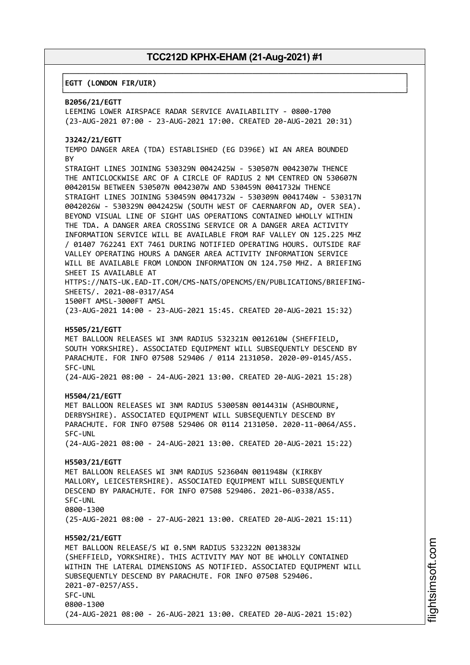┌──────────────────────────────────────────────────────────────────────────────┐

└──────────────────────────────────────────────────────────────────────────────┘

#### │**EGTT (LONDON FIR/UIR)** │

### **B2056/21/EGTT**

LEEMING LOWER AIRSPACE RADAR SERVICE AVAILABILITY - 0800-1700 (23-AUG-2021 07:00 - 23-AUG-2021 17:00. CREATED 20-AUG-2021 20:31)

#### **J3242/21/EGTT**

TEMPO DANGER AREA (TDA) ESTABLISHED (EG D396E) WI AN AREA BOUNDED **BY** 

STRAIGHT LINES JOINING 530329N 0042425W - 530507N 0042307W THENCE THE ANTICLOCKWISE ARC OF A CIRCLE OF RADIUS 2 NM CENTRED ON 530607N 0042015W BETWEEN 530507N 0042307W AND 530459N 0041732W THENCE STRAIGHT LINES JOINING 530459N 0041732W - 530309N 0041740W - 530317N 0042026W - 530329N 0042425W (SOUTH WEST OF CAERNARFON AD, OVER SEA). BEYOND VISUAL LINE OF SIGHT UAS OPERATIONS CONTAINED WHOLLY WITHIN THE TDA. A DANGER AREA CROSSING SERVICE OR A DANGER AREA ACTIVITY INFORMATION SERVICE WILL BE AVAILABLE FROM RAF VALLEY ON 125.225 MHZ / 01407 762241 EXT 7461 DURING NOTIFIED OPERATING HOURS. OUTSIDE RAF VALLEY OPERATING HOURS A DANGER AREA ACTIVITY INFORMATION SERVICE WILL BE AVAILABLE FROM LONDON INFORMATION ON 124.750 MHZ. A BRIEFING SHEET IS AVAILABLE AT HTTPS://NATS-UK.EAD-IT.COM/CMS-NATS/OPENCMS/EN/PUBLICATIONS/BRIEFING-

SHEETS/. 2021-08-0317/AS4

1500FT AMSL-3000FT AMSL (23-AUG-2021 14:00 - 23-AUG-2021 15:45. CREATED 20-AUG-2021 15:32)

#### **H5505/21/EGTT**

MET BALLOON RELEASES WI 3NM RADIUS 532321N 0012610W (SHEFFIELD, SOUTH YORKSHIRE). ASSOCIATED EQUIPMENT WILL SUBSEQUENTLY DESCEND BY PARACHUTE. FOR INFO 07508 529406 / 0114 2131050. 2020-09-0145/AS5. SFC-UNL

(24-AUG-2021 08:00 - 24-AUG-2021 13:00. CREATED 20-AUG-2021 15:28)

#### **H5504/21/EGTT**

MET BALLOON RELEASES WI 3NM RADIUS 530058N 0014431W (ASHBOURNE, DERBYSHIRE). ASSOCIATED EQUIPMENT WILL SUBSEQUENTLY DESCEND BY PARACHUTE. FOR INFO 07508 529406 OR 0114 2131050. 2020-11-0064/AS5. SFC-UNL

(24-AUG-2021 08:00 - 24-AUG-2021 13:00. CREATED 20-AUG-2021 15:22)

#### **H5503/21/EGTT**

MET BALLOON RELEASES WI 3NM RADIUS 523604N 0011948W (KIRKBY MALLORY, LEICESTERSHIRE). ASSOCIATED EQUIPMENT WILL SUBSEQUENTLY DESCEND BY PARACHUTE. FOR INFO 07508 529406. 2021-06-0338/AS5. SFC-UNL 0800-1300 (25-AUG-2021 08:00 - 27-AUG-2021 13:00. CREATED 20-AUG-2021 15:11)

#### **H5502/21/EGTT**

MET BALLOON RELEASE/S WI 0.5NM RADIUS 532322N 0013832W (SHEFFIELD, YORKSHIRE). THIS ACTIVITY MAY NOT BE WHOLLY CONTAINED WITHIN THE LATERAL DIMENSIONS AS NOTIFIED. ASSOCIATED EQUIPMENT WILL SUBSEQUENTLY DESCEND BY PARACHUTE. FOR INFO 07508 529406. 2021-07-0257/AS5. SFC-UNL 0800-1300 (24-AUG-2021 08:00 - 26-AUG-2021 13:00. CREATED 20-AUG-2021 15:02)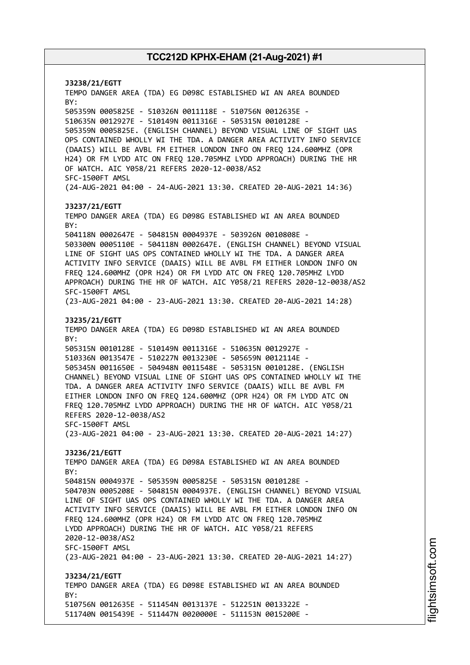**J3238/21/EGTT** TEMPO DANGER AREA (TDA) EG D098C ESTABLISHED WI AN AREA BOUNDED BY: 505359N 0005825E - 510326N 0011118E - 510756N 0012635E - 510635N 0012927E - 510149N 0011316E - 505315N 0010128E - 505359N 0005825E. (ENGLISH CHANNEL) BEYOND VISUAL LINE OF SIGHT UAS OPS CONTAINED WHOLLY WI THE TDA. A DANGER AREA ACTIVITY INFO SERVICE (DAAIS) WILL BE AVBL FM EITHER LONDON INFO ON FREQ 124.600MHZ (OPR H24) OR FM LYDD ATC ON FREQ 120.705MHZ LYDD APPROACH) DURING THE HR OF WATCH. AIC Y058/21 REFERS 2020-12-0038/AS2 SFC-1500FT AMSL (24-AUG-2021 04:00 - 24-AUG-2021 13:30. CREATED 20-AUG-2021 14:36) **J3237/21/EGTT** TEMPO DANGER AREA (TDA) EG D098G ESTABLISHED WI AN AREA BOUNDED BY: 504118N 0002647E - 504815N 0004937E - 503926N 0010808E - 503300N 0005110E - 504118N 0002647E. (ENGLISH CHANNEL) BEYOND VISUAL LINE OF SIGHT UAS OPS CONTAINED WHOLLY WI THE TDA. A DANGER AREA ACTIVITY INFO SERVICE (DAAIS) WILL BE AVBL FM EITHER LONDON INFO ON FREQ 124.600MHZ (OPR H24) OR FM LYDD ATC ON FREQ 120.705MHZ LYDD APPROACH) DURING THE HR OF WATCH. AIC Y058/21 REFERS 2020-12-0038/AS2 SFC-1500FT AMSL (23-AUG-2021 04:00 - 23-AUG-2021 13:30. CREATED 20-AUG-2021 14:28) **J3235/21/EGTT** TEMPO DANGER AREA (TDA) EG D098D ESTABLISHED WI AN AREA BOUNDED BY: 505315N 0010128E - 510149N 0011316E - 510635N 0012927E - 510336N 0013547E - 510227N 0013230E - 505659N 0012114E - 505345N 0011650E - 504948N 0011548E - 505315N 0010128E. (ENGLISH CHANNEL) BEYOND VISUAL LINE OF SIGHT UAS OPS CONTAINED WHOLLY WI THE TDA. A DANGER AREA ACTIVITY INFO SERVICE (DAAIS) WILL BE AVBL FM EITHER LONDON INFO ON FREQ 124.600MHZ (OPR H24) OR FM LYDD ATC ON FREQ 120.705MHZ LYDD APPROACH) DURING THE HR OF WATCH. AIC Y058/21 REFERS 2020-12-0038/AS2 SFC-1500FT AMSL (23-AUG-2021 04:00 - 23-AUG-2021 13:30. CREATED 20-AUG-2021 14:27) **J3236/21/EGTT** TEMPO DANGER AREA (TDA) EG D098A ESTABLISHED WI AN AREA BOUNDED BY: 504815N 0004937E - 505359N 0005825E - 505315N 0010128E - 504703N 0005208E - 504815N 0004937E. (ENGLISH CHANNEL) BEYOND VISUAL LINE OF SIGHT UAS OPS CONTAINED WHOLLY WI THE TDA. A DANGER AREA ACTIVITY INFO SERVICE (DAAIS) WILL BE AVBL FM EITHER LONDON INFO ON FREQ 124.600MHZ (OPR H24) OR FM LYDD ATC ON FREQ 120.705MHZ LYDD APPROACH) DURING THE HR OF WATCH. AIC Y058/21 REFERS 2020-12-0038/AS2 SFC-1500FT AMSL (23-AUG-2021 04:00 - 23-AUG-2021 13:30. CREATED 20-AUG-2021 14:27) **J3234/21/EGTT** TEMPO DANGER AREA (TDA) EG D098E ESTABLISHED WI AN AREA BOUNDED BY: 510756N 0012635E - 511454N 0013137E - 512251N 0013322E - 511740N 0015439E - 511447N 0020000E - 511153N 0015200E -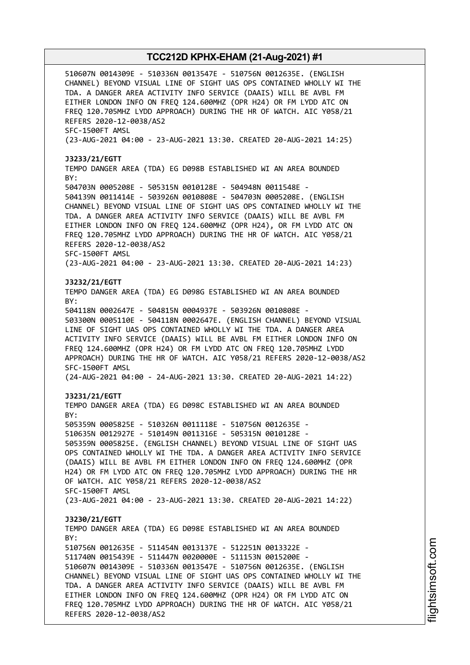510607N 0014309E - 510336N 0013547E - 510756N 0012635E. (ENGLISH CHANNEL) BEYOND VISUAL LINE OF SIGHT UAS OPS CONTAINED WHOLLY WI THE TDA. A DANGER AREA ACTIVITY INFO SERVICE (DAAIS) WILL BE AVBL FM EITHER LONDON INFO ON FREQ 124.600MHZ (OPR H24) OR FM LYDD ATC ON FREQ 120.705MHZ LYDD APPROACH) DURING THE HR OF WATCH. AIC Y058/21 REFERS 2020-12-0038/AS2 SFC-1500FT AMSL (23-AUG-2021 04:00 - 23-AUG-2021 13:30. CREATED 20-AUG-2021 14:25) **J3233/21/EGTT** TEMPO DANGER AREA (TDA) EG D098B ESTABLISHED WI AN AREA BOUNDED BY: 504703N 0005208E - 505315N 0010128E - 504948N 0011548E - 504139N 0011414E - 503926N 0010808E - 504703N 0005208E. (ENGLISH CHANNEL) BEYOND VISUAL LINE OF SIGHT UAS OPS CONTAINED WHOLLY WI THE TDA. A DANGER AREA ACTIVITY INFO SERVICE (DAAIS) WILL BE AVBL FM EITHER LONDON INFO ON FREQ 124.600MHZ (OPR H24), OR FM LYDD ATC ON FREQ 120.705MHZ LYDD APPROACH) DURING THE HR OF WATCH. AIC Y058/21 REFERS 2020-12-0038/AS2 SFC-1500FT AMSL (23-AUG-2021 04:00 - 23-AUG-2021 13:30. CREATED 20-AUG-2021 14:23) **J3232/21/EGTT** TEMPO DANGER AREA (TDA) EG D098G ESTABLISHED WI AN AREA BOUNDED BY: 504118N 0002647E - 504815N 0004937E - 503926N 0010808E - 503300N 0005110E - 504118N 0002647E. (ENGLISH CHANNEL) BEYOND VISUAL LINE OF SIGHT UAS OPS CONTAINED WHOLLY WI THE TDA. A DANGER AREA ACTIVITY INFO SERVICE (DAAIS) WILL BE AVBL FM EITHER LONDON INFO ON FREQ 124.600MHZ (OPR H24) OR FM LYDD ATC ON FREQ 120.705MHZ LYDD APPROACH) DURING THE HR OF WATCH. AIC Y058/21 REFERS 2020-12-0038/AS2 SFC-1500FT AMSL (24-AUG-2021 04:00 - 24-AUG-2021 13:30. CREATED 20-AUG-2021 14:22) **J3231/21/EGTT** TEMPO DANGER AREA (TDA) EG D098C ESTABLISHED WI AN AREA BOUNDED BY: 505359N 0005825E - 510326N 0011118E - 510756N 0012635E - 510635N 0012927E - 510149N 0011316E - 505315N 0010128E - 505359N 0005825E. (ENGLISH CHANNEL) BEYOND VISUAL LINE OF SIGHT UAS OPS CONTAINED WHOLLY WI THE TDA. A DANGER AREA ACTIVITY INFO SERVICE (DAAIS) WILL BE AVBL FM EITHER LONDON INFO ON FREQ 124.600MHZ (OPR H24) OR FM LYDD ATC ON FREQ 120.705MHZ LYDD APPROACH) DURING THE HR OF WATCH. AIC Y058/21 REFERS 2020-12-0038/AS2 SFC-1500FT AMSL (23-AUG-2021 04:00 - 23-AUG-2021 13:30. CREATED 20-AUG-2021 14:22) **J3230/21/EGTT** TEMPO DANGER AREA (TDA) EG D098E ESTABLISHED WI AN AREA BOUNDED BY: 510756N 0012635E - 511454N 0013137E - 512251N 0013322E - 511740N 0015439E - 511447N 0020000E - 511153N 0015200E - 510607N 0014309E - 510336N 0013547E - 510756N 0012635E. (ENGLISH CHANNEL) BEYOND VISUAL LINE OF SIGHT UAS OPS CONTAINED WHOLLY WI THE TDA. A DANGER AREA ACTIVITY INFO SERVICE (DAAIS) WILL BE AVBL FM EITHER LONDON INFO ON FREQ 124.600MHZ (OPR H24) OR FM LYDD ATC ON FREQ 120.705MHZ LYDD APPROACH) DURING THE HR OF WATCH. AIC Y058/21 REFERS 2020-12-0038/AS2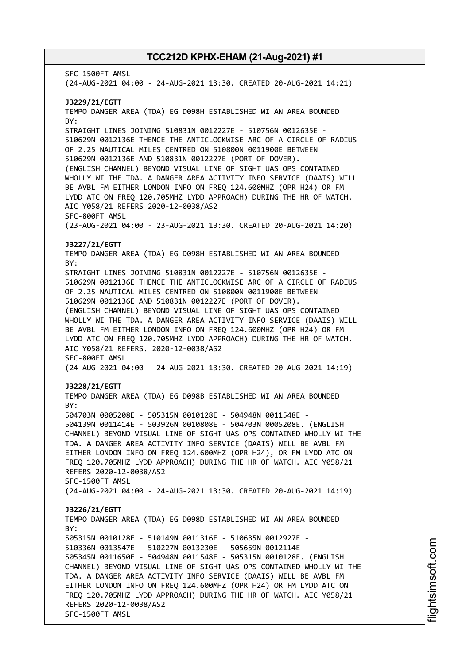SFC-1500FT AMSL (24-AUG-2021 04:00 - 24-AUG-2021 13:30. CREATED 20-AUG-2021 14:21) **J3229/21/EGTT** TEMPO DANGER AREA (TDA) EG D098H ESTABLISHED WI AN AREA BOUNDED BY: STRAIGHT LINES JOINING 510831N 0012227E - 510756N 0012635E - 510629N 0012136E THENCE THE ANTICLOCKWISE ARC OF A CIRCLE OF RADIUS OF 2.25 NAUTICAL MILES CENTRED ON 510800N 0011900E BETWEEN 510629N 0012136E AND 510831N 0012227E (PORT OF DOVER). (ENGLISH CHANNEL) BEYOND VISUAL LINE OF SIGHT UAS OPS CONTAINED WHOLLY WI THE TDA. A DANGER AREA ACTIVITY INFO SERVICE (DAAIS) WILL BE AVBL FM EITHER LONDON INFO ON FREQ 124.600MHZ (OPR H24) OR FM LYDD ATC ON FREQ 120.705MHZ LYDD APPROACH) DURING THE HR OF WATCH. AIC Y058/21 REFERS 2020-12-0038/AS2 SFC-800FT AMSL (23-AUG-2021 04:00 - 23-AUG-2021 13:30. CREATED 20-AUG-2021 14:20) **J3227/21/EGTT** TEMPO DANGER AREA (TDA) EG D098H ESTABLISHED WI AN AREA BOUNDED BY: STRAIGHT LINES JOINING 510831N 0012227E - 510756N 0012635E - 510629N 0012136E THENCE THE ANTICLOCKWISE ARC OF A CIRCLE OF RADIUS OF 2.25 NAUTICAL MILES CENTRED ON 510800N 0011900E BETWEEN 510629N 0012136E AND 510831N 0012227E (PORT OF DOVER). (ENGLISH CHANNEL) BEYOND VISUAL LINE OF SIGHT UAS OPS CONTAINED WHOLLY WI THE TDA. A DANGER AREA ACTIVITY INFO SERVICE (DAAIS) WILL BE AVBL FM EITHER LONDON INFO ON FREQ 124.600MHZ (OPR H24) OR FM LYDD ATC ON FREQ 120.705MHZ LYDD APPROACH) DURING THE HR OF WATCH. AIC Y058/21 REFERS. 2020-12-0038/AS2 SFC-800FT AMSL (24-AUG-2021 04:00 - 24-AUG-2021 13:30. CREATED 20-AUG-2021 14:19) **J3228/21/EGTT** TEMPO DANGER AREA (TDA) EG D098B ESTABLISHED WI AN AREA BOUNDED BY: 504703N 0005208E - 505315N 0010128E - 504948N 0011548E - 504139N 0011414E - 503926N 0010808E - 504703N 0005208E. (ENGLISH CHANNEL) BEYOND VISUAL LINE OF SIGHT UAS OPS CONTAINED WHOLLY WI THE TDA. A DANGER AREA ACTIVITY INFO SERVICE (DAAIS) WILL BE AVBL FM EITHER LONDON INFO ON FREQ 124.600MHZ (OPR H24), OR FM LYDD ATC ON FREQ 120.705MHZ LYDD APPROACH) DURING THE HR OF WATCH. AIC Y058/21 REFERS 2020-12-0038/AS2 SFC-1500FT AMSL (24-AUG-2021 04:00 - 24-AUG-2021 13:30. CREATED 20-AUG-2021 14:19) **J3226/21/EGTT** TEMPO DANGER AREA (TDA) EG D098D ESTABLISHED WI AN AREA BOUNDED  $RY$ 505315N 0010128E - 510149N 0011316E - 510635N 0012927E - 510336N 0013547E - 510227N 0013230E - 505659N 0012114E - 505345N 0011650E - 504948N 0011548E - 505315N 0010128E. (ENGLISH CHANNEL) BEYOND VISUAL LINE OF SIGHT UAS OPS CONTAINED WHOLLY WI THE TDA. A DANGER AREA ACTIVITY INFO SERVICE (DAAIS) WILL BE AVBL FM EITHER LONDON INFO ON FREQ 124.600MHZ (OPR H24) OR FM LYDD ATC ON FREQ 120.705MHZ LYDD APPROACH) DURING THE HR OF WATCH. AIC Y058/21 REFERS 2020-12-0038/AS2 SFC-1500FT AMSL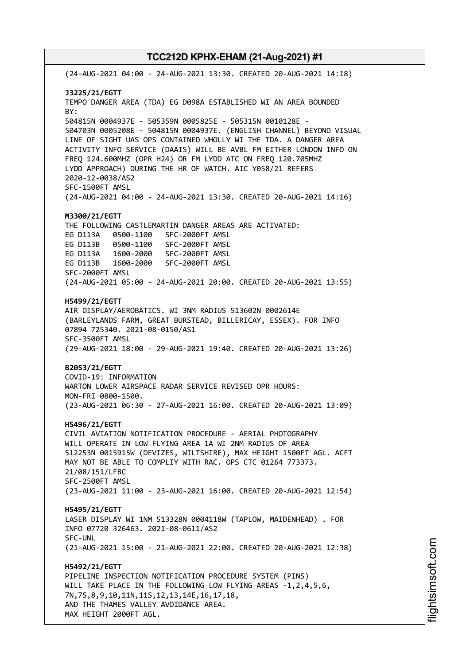(24-AUG-2021 04:00 - 24-AUG-2021 13:30. CREATED 20-AUG-2021 14:18) **J3225/21/EGTT** TEMPO DANGER AREA (TDA) EG D098A ESTABLISHED WI AN AREA BOUNDED BY: 504815N 0004937E - 505359N 0005825E - 505315N 0010128E - 504703N 0005208E - 504815N 0004937E. (ENGLISH CHANNEL) BEYOND VISUAL LINE OF SIGHT UAS OPS CONTAINED WHOLLY WI THE TDA. A DANGER AREA ACTIVITY INFO SERVICE (DAAIS) WILL BE AVBL FM EITHER LONDON INFO ON FREQ 124.600MHZ (OPR H24) OR FM LYDD ATC ON FREQ 120.705MHZ LYDD APPROACH) DURING THE HR OF WATCH. AIC Y058/21 REFERS 2020-12-0038/AS2 SFC-1500FT AMSL (24-AUG-2021 04:00 - 24-AUG-2021 13:30. CREATED 20-AUG-2021 14:16) **M3300/21/EGTT** THE FOLLOWING CASTLEMARTIN DANGER AREAS ARE ACTIVATED: EG D113A 0500-1100 SFC-2000FT AMSL EG D113B 0500-1100 SFC-2000FT AMSL EG D113A 1600-2000 SFC-2000FT AMSL EG D113B 1600-2000 SFC-2000FT AMSL SFC-2000FT AMSL (24-AUG-2021 05:00 - 24-AUG-2021 20:00. CREATED 20-AUG-2021 13:55) **H5499/21/EGTT** AIR DISPLAY/AEROBATICS. WI 3NM RADIUS 513602N 0002614E (BARLEYLANDS FARM, GREAT BURSTEAD, BILLERICAY, ESSEX). FOR INFO 07894 725340. 2021-08-0150/AS1 SFC-3500FT AMSL (29-AUG-2021 18:00 - 29-AUG-2021 19:40. CREATED 20-AUG-2021 13:26) **B2053/21/EGTT** COVID-19: INFORMATION WARTON LOWER AIRSPACE RADAR SERVICE REVISED OPR HOURS: MON-FRI 0800-1500. (23-AUG-2021 06:30 - 27-AUG-2021 16:00. CREATED 20-AUG-2021 13:09) **H5496/21/EGTT** CIVIL AVIATION NOTIFICATION PROCEDURE - AERIAL PHOTOGRAPHY WILL OPERATE IN LOW FLYING AREA 1A WI 2NM RADIUS OF AREA 512253N 0015915W (DEVIZES, WILTSHIRE), MAX HEIGHT 1500FT AGL. ACFT MAY NOT BE ABLE TO COMPLIY WITH RAC. OPS CTC 01264 773373. 21/08/151/LFBC SFC-2500FT AMSL (23-AUG-2021 11:00 - 23-AUG-2021 16:00. CREATED 20-AUG-2021 12:54) **H5495/21/EGTT** LASER DISPLAY WI 1NM 513328N 0004118W (TAPLOW, MAIDENHEAD) . FOR INFO 07720 326463. 2021-08-0611/AS2 SFC-UNL (21-AUG-2021 15:00 - 21-AUG-2021 22:00. CREATED 20-AUG-2021 12:38) **H5492/21/EGTT** PIPELINE INSPECTION NOTIFICATION PROCEDURE SYSTEM (PINS) WILL TAKE PLACE IN THE FOLLOWING LOW FLYING AREAS -1,2,4,5,6, 7N,7S,8,9,10,11N,11S,12,13,14E,16,17,18, AND THE THAMES VALLEY AVOIDANCE AREA. MAX HEIGHT 2000FT AGL.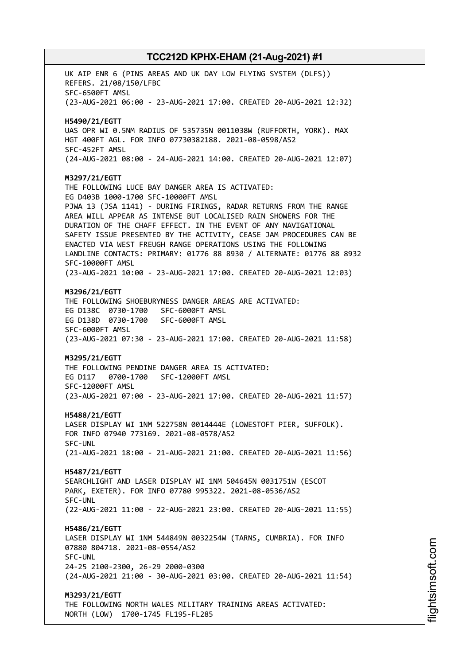UK AIP ENR 6 (PINS AREAS AND UK DAY LOW FLYING SYSTEM (DLFS)) REFERS. 21/08/150/LFBC SFC-6500FT AMSL (23-AUG-2021 06:00 - 23-AUG-2021 17:00. CREATED 20-AUG-2021 12:32) **H5490/21/EGTT** UAS OPR WI 0.5NM RADIUS OF 535735N 0011038W (RUFFORTH, YORK). MAX HGT 400FT AGL. FOR INFO 07730382188. 2021-08-0598/AS2 SFC-452FT AMSL (24-AUG-2021 08:00 - 24-AUG-2021 14:00. CREATED 20-AUG-2021 12:07) **M3297/21/EGTT** THE FOLLOWING LUCE BAY DANGER AREA IS ACTIVATED: EG D403B 1000-1700 SFC-10000FT AMSL PJWA 13 (JSA 1141) - DURING FIRINGS, RADAR RETURNS FROM THE RANGE AREA WILL APPEAR AS INTENSE BUT LOCALISED RAIN SHOWERS FOR THE DURATION OF THE CHAFF EFFECT. IN THE EVENT OF ANY NAVIGATIONAL SAFETY ISSUE PRESENTED BY THE ACTIVITY, CEASE JAM PROCEDURES CAN BE ENACTED VIA WEST FREUGH RANGE OPERATIONS USING THE FOLLOWING LANDLINE CONTACTS: PRIMARY: 01776 88 8930 / ALTERNATE: 01776 88 8932 SFC-10000FT AMSL (23-AUG-2021 10:00 - 23-AUG-2021 17:00. CREATED 20-AUG-2021 12:03) **M3296/21/EGTT** THE FOLLOWING SHOEBURYNESS DANGER AREAS ARE ACTIVATED: EG D138C 0730-1700 SFC-6000FT AMSL EG D138D 0730-1700 SFC-6000FT AMSL SFC-6000FT AMSL (23-AUG-2021 07:30 - 23-AUG-2021 17:00. CREATED 20-AUG-2021 11:58) **M3295/21/EGTT** THE FOLLOWING PENDINE DANGER AREA IS ACTIVATED: EG D117 0700-1700 SFC-12000FT AMSL SFC-12000FT AMSL (23-AUG-2021 07:00 - 23-AUG-2021 17:00. CREATED 20-AUG-2021 11:57) **H5488/21/EGTT** LASER DISPLAY WI 1NM 522758N 0014444E (LOWESTOFT PIER, SUFFOLK). FOR INFO 07940 773169. 2021-08-0578/AS2 SFC-UNL (21-AUG-2021 18:00 - 21-AUG-2021 21:00. CREATED 20-AUG-2021 11:56) **H5487/21/EGTT** SEARCHLIGHT AND LASER DISPLAY WI 1NM 504645N 0031751W (ESCOT PARK, EXETER). FOR INFO 07780 995322. 2021-08-0536/AS2 SFC-UNL (22-AUG-2021 11:00 - 22-AUG-2021 23:00. CREATED 20-AUG-2021 11:55) **H5486/21/EGTT** LASER DISPLAY WI 1NM 544849N 0032254W (TARNS, CUMBRIA). FOR INFO 07880 804718. 2021-08-0554/AS2 SFC-UNL 24-25 2100-2300, 26-29 2000-0300 (24-AUG-2021 21:00 - 30-AUG-2021 03:00. CREATED 20-AUG-2021 11:54) **M3293/21/EGTT** THE FOLLOWING NORTH WALES MILITARY TRAINING AREAS ACTIVATED: NORTH (LOW) 1700-1745 FL195-FL285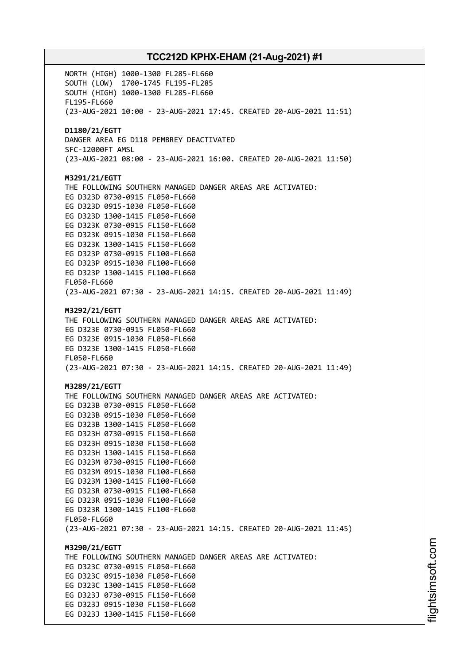NORTH (HIGH) 1000-1300 FL285-FL660 SOUTH (LOW) 1700-1745 FL195-FL285 SOUTH (HIGH) 1000-1300 FL285-FL660 FL195-FL660 (23-AUG-2021 10:00 - 23-AUG-2021 17:45. CREATED 20-AUG-2021 11:51) **D1180/21/EGTT** DANGER AREA EG D118 PEMBREY DEACTIVATED SFC-12000FT AMSL (23-AUG-2021 08:00 - 23-AUG-2021 16:00. CREATED 20-AUG-2021 11:50) **M3291/21/EGTT** THE FOLLOWING SOUTHERN MANAGED DANGER AREAS ARE ACTIVATED: EG D323D 0730-0915 FL050-FL660 EG D323D 0915-1030 FL050-FL660 EG D323D 1300-1415 FL050-FL660 EG D323K 0730-0915 FL150-FL660 EG D323K 0915-1030 FL150-FL660 EG D323K 1300-1415 FL150-FL660 EG D323P 0730-0915 FL100-FL660 EG D323P 0915-1030 FL100-FL660 EG D323P 1300-1415 FL100-FL660 FL050-FL660 (23-AUG-2021 07:30 - 23-AUG-2021 14:15. CREATED 20-AUG-2021 11:49) **M3292/21/EGTT** THE FOLLOWING SOUTHERN MANAGED DANGER AREAS ARE ACTIVATED: EG D323E 0730-0915 FL050-FL660 EG D323E 0915-1030 FL050-FL660 EG D323E 1300-1415 FL050-FL660 FL050-FL660 (23-AUG-2021 07:30 - 23-AUG-2021 14:15. CREATED 20-AUG-2021 11:49) **M3289/21/EGTT** THE FOLLOWING SOUTHERN MANAGED DANGER AREAS ARE ACTIVATED: EG D323B 0730-0915 FL050-FL660 EG D323B 0915-1030 FL050-FL660 EG D323B 1300-1415 FL050-FL660 EG D323H 0730-0915 FL150-FL660 EG D323H 0915-1030 FL150-FL660 EG D323H 1300-1415 FL150-FL660 EG D323M 0730-0915 FL100-FL660 EG D323M 0915-1030 FL100-FL660 EG D323M 1300-1415 FL100-FL660 EG D323R 0730-0915 FL100-FL660 EG D323R 0915-1030 FL100-FL660 EG D323R 1300-1415 FL100-FL660 FL050-FL660 (23-AUG-2021 07:30 - 23-AUG-2021 14:15. CREATED 20-AUG-2021 11:45) **M3290/21/EGTT** THE FOLLOWING SOUTHERN MANAGED DANGER AREAS ARE ACTIVATED: EG D323C 0730-0915 FL050-FL660 EG D323C 0915-1030 FL050-FL660 EG D323C 1300-1415 FL050-FL660 EG D323J 0730-0915 FL150-FL660 EG D323J 0915-1030 FL150-FL660 EG D323J 1300-1415 FL150-FL660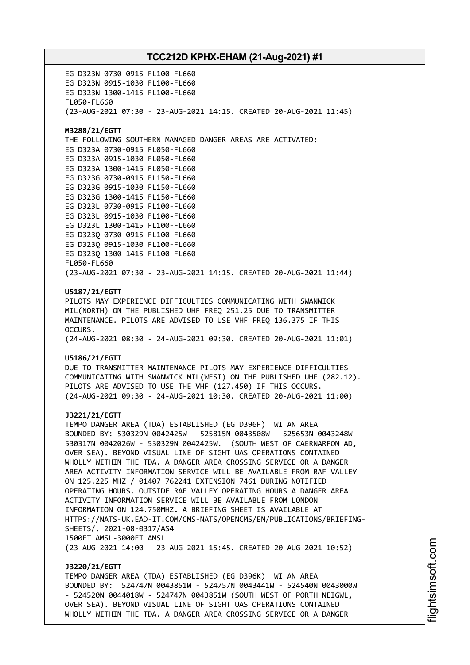EG D323N 0730-0915 FL100-FL660 EG D323N 0915-1030 FL100-FL660 EG D323N 1300-1415 FL100-FL660 FL050-FL660 (23-AUG-2021 07:30 - 23-AUG-2021 14:15. CREATED 20-AUG-2021 11:45) **M3288/21/EGTT** THE FOLLOWING SOUTHERN MANAGED DANGER AREAS ARE ACTIVATED: EG D323A 0730-0915 FL050-FL660 EG D323A 0915-1030 FL050-FL660 EG D323A 1300-1415 FL050-FL660 EG D323G 0730-0915 FL150-FL660 EG D323G 0915-1030 FL150-FL660 EG D323G 1300-1415 FL150-FL660 EG D323L 0730-0915 FL100-FL660 EG D323L 0915-1030 FL100-FL660 EG D323L 1300-1415 FL100-FL660 EG D323Q 0730-0915 FL100-FL660 EG D323Q 0915-1030 FL100-FL660 EG D323Q 1300-1415 FL100-FL660 FL050-FL660 (23-AUG-2021 07:30 - 23-AUG-2021 14:15. CREATED 20-AUG-2021 11:44) **U5187/21/EGTT** PILOTS MAY EXPERIENCE DIFFICULTIES COMMUNICATING WITH SWANWICK MIL(NORTH) ON THE PUBLISHED UHF FREQ 251.25 DUE TO TRANSMITTER MAINTENANCE. PILOTS ARE ADVISED TO USE VHF FREQ 136.375 IF THIS OCCURS. (24-AUG-2021 08:30 - 24-AUG-2021 09:30. CREATED 20-AUG-2021 11:01) **U5186/21/EGTT** DUE TO TRANSMITTER MAINTENANCE PILOTS MAY EXPERIENCE DIFFICULTIES COMMUNICATING WITH SWANWICK MIL(WEST) ON THE PUBLISHED UHF (282.12). PILOTS ARE ADVISED TO USE THE VHF (127.450) IF THIS OCCURS. (24-AUG-2021 09:30 - 24-AUG-2021 10:30. CREATED 20-AUG-2021 11:00) **J3221/21/EGTT** TEMPO DANGER AREA (TDA) ESTABLISHED (EG D396F) WI AN AREA BOUNDED BY: 530329N 0042425W - 525815N 0043508W - 525653N 0043248W - 530317N 0042026W - 530329N 0042425W. (SOUTH WEST OF CAERNARFON AD, OVER SEA). BEYOND VISUAL LINE OF SIGHT UAS OPERATIONS CONTAINED WHOLLY WITHIN THE TDA. A DANGER AREA CROSSING SERVICE OR A DANGER AREA ACTIVITY INFORMATION SERVICE WILL BE AVAILABLE FROM RAF VALLEY ON 125.225 MHZ / 01407 762241 EXTENSION 7461 DURING NOTIFIED OPERATING HOURS. OUTSIDE RAF VALLEY OPERATING HOURS A DANGER AREA ACTIVITY INFORMATION SERVICE WILL BE AVAILABLE FROM LONDON INFORMATION ON 124.750MHZ. A BRIEFING SHEET IS AVAILABLE AT HTTPS://NATS-UK.EAD-IT.COM/CMS-NATS/OPENCMS/EN/PUBLICATIONS/BRIEFING-SHEETS/. 2021-08-0317/AS4 1500FT AMSL-3000FT AMSL (23-AUG-2021 14:00 - 23-AUG-2021 15:45. CREATED 20-AUG-2021 10:52) **J3220/21/EGTT**

TEMPO DANGER AREA (TDA) ESTABLISHED (EG D396K) WI AN AREA BOUNDED BY: 524747N 0043851W - 524757N 0043441W - 524540N 0043000W - 524520N 0044018W - 524747N 0043851W (SOUTH WEST OF PORTH NEIGWL, OVER SEA). BEYOND VISUAL LINE OF SIGHT UAS OPERATIONS CONTAINED WHOLLY WITHIN THE TDA. A DANGER AREA CROSSING SERVICE OR A DANGER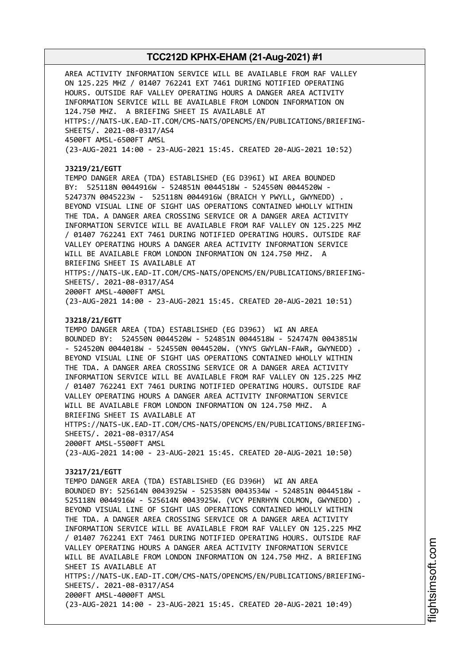AREA ACTIVITY INFORMATION SERVICE WILL BE AVAILABLE FROM RAF VALLEY ON 125.225 MHZ / 01407 762241 EXT 7461 DURING NOTIFIED OPERATING HOURS. OUTSIDE RAF VALLEY OPERATING HOURS A DANGER AREA ACTIVITY INFORMATION SERVICE WILL BE AVAILABLE FROM LONDON INFORMATION ON 124.750 MHZ. A BRIEFING SHEET IS AVAILABLE AT HTTPS://NATS-UK.EAD-IT.COM/CMS-NATS/OPENCMS/EN/PUBLICATIONS/BRIEFING-SHEETS/. 2021-08-0317/AS4 4500FT AMSL-6500FT AMSL (23-AUG-2021 14:00 - 23-AUG-2021 15:45. CREATED 20-AUG-2021 10:52) **J3219/21/EGTT** TEMPO DANGER AREA (TDA) ESTABLISHED (EG D396I) WI AREA BOUNDED BY: 525118N 0044916W - 524851N 0044518W - 524550N 0044520W - 524737N 0045223W - 525118N 0044916W (BRAICH Y PWYLL, GWYNEDD) . BEYOND VISUAL LINE OF SIGHT UAS OPERATIONS CONTAINED WHOLLY WITHIN THE TDA. A DANGER AREA CROSSING SERVICE OR A DANGER AREA ACTIVITY INFORMATION SERVICE WILL BE AVAILABLE FROM RAF VALLEY ON 125.225 MHZ / 01407 762241 EXT 7461 DURING NOTIFIED OPERATING HOURS. OUTSIDE RAF VALLEY OPERATING HOURS A DANGER AREA ACTIVITY INFORMATION SERVICE WILL BE AVAILABLE FROM LONDON INFORMATION ON 124.750 MHZ. A BRIEFING SHEET IS AVAILABLE AT HTTPS://NATS-UK.EAD-IT.COM/CMS-NATS/OPENCMS/EN/PUBLICATIONS/BRIEFING-SHEETS/. 2021-08-0317/AS4 2000FT AMSL-4000FT AMSL (23-AUG-2021 14:00 - 23-AUG-2021 15:45. CREATED 20-AUG-2021 10:51) **J3218/21/EGTT** TEMPO DANGER AREA (TDA) ESTABLISHED (EG D396J) WI AN AREA BOUNDED BY: 524550N 0044520W - 524851N 0044518W - 524747N 0043851W - 524520N 0044018W - 524550N 0044520W. (YNYS GWYLAN-FAWR, GWYNEDD) . BEYOND VISUAL LINE OF SIGHT UAS OPERATIONS CONTAINED WHOLLY WITHIN THE TDA. A DANGER AREA CROSSING SERVICE OR A DANGER AREA ACTIVITY INFORMATION SERVICE WILL BE AVAILABLE FROM RAF VALLEY ON 125.225 MHZ / 01407 762241 EXT 7461 DURING NOTIFIED OPERATING HOURS. OUTSIDE RAF VALLEY OPERATING HOURS A DANGER AREA ACTIVITY INFORMATION SERVICE WILL BE AVAILABLE FROM LONDON INFORMATION ON 124.750 MHZ. A BRIEFING SHEET IS AVAILABLE AT HTTPS://NATS-UK.EAD-IT.COM/CMS-NATS/OPENCMS/EN/PUBLICATIONS/BRIEFING-SHEETS/. 2021-08-0317/AS4 2000FT AMSL-5500FT AMSL (23-AUG-2021 14:00 - 23-AUG-2021 15:45. CREATED 20-AUG-2021 10:50) **J3217/21/EGTT** TEMPO DANGER AREA (TDA) ESTABLISHED (EG D396H) WI AN AREA BOUNDED BY: 525614N 0043925W - 525358N 0043534W - 524851N 0044518W - 525118N 0044916W - 525614N 0043925W. (VCY PENRHYN COLMON, GWYNEDD) . BEYOND VISUAL LINE OF SIGHT UAS OPERATIONS CONTAINED WHOLLY WITHIN THE TDA. A DANGER AREA CROSSING SERVICE OR A DANGER AREA ACTIVITY INFORMATION SERVICE WILL BE AVAILABLE FROM RAF VALLEY ON 125.225 MHZ / 01407 762241 EXT 7461 DURING NOTIFIED OPERATING HOURS. OUTSIDE RAF VALLEY OPERATING HOURS A DANGER AREA ACTIVITY INFORMATION SERVICE WILL BE AVAILABLE FROM LONDON INFORMATION ON 124.750 MHZ. A BRIEFING SHEET IS AVAILABLE AT HTTPS://NATS-UK.EAD-IT.COM/CMS-NATS/OPENCMS/EN/PUBLICATIONS/BRIEFING-SHEETS/. 2021-08-0317/AS4 2000FT AMSL-4000FT AMSL (23-AUG-2021 14:00 - 23-AUG-2021 15:45. CREATED 20-AUG-2021 10:49)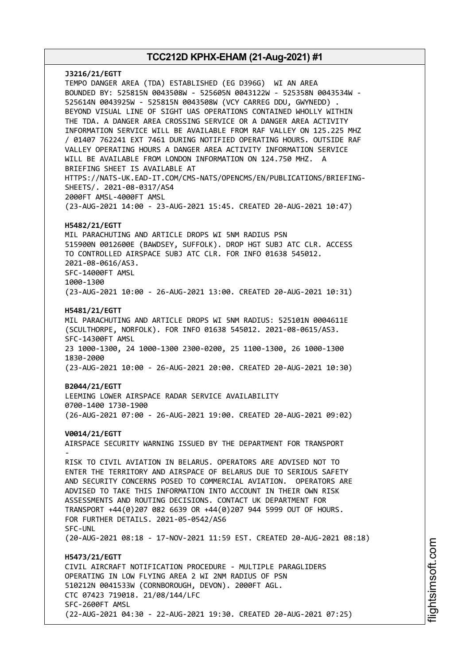**J3216/21/EGTT** TEMPO DANGER AREA (TDA) ESTABLISHED (EG D396G) WI AN AREA BOUNDED BY: 525815N 0043508W - 525605N 0043122W - 525358N 0043534W - 525614N 0043925W - 525815N 0043508W (VCY CARREG DDU, GWYNEDD) . BEYOND VISUAL LINE OF SIGHT UAS OPERATIONS CONTAINED WHOLLY WITHIN THE TDA. A DANGER AREA CROSSING SERVICE OR A DANGER AREA ACTIVITY INFORMATION SERVICE WILL BE AVAILABLE FROM RAF VALLEY ON 125.225 MHZ / 01407 762241 EXT 7461 DURING NOTIFIED OPERATING HOURS. OUTSIDE RAF VALLEY OPERATING HOURS A DANGER AREA ACTIVITY INFORMATION SERVICE WILL BE AVAILABLE FROM LONDON INFORMATION ON 124.750 MHZ. A BRIEFING SHEET IS AVAILABLE AT HTTPS://NATS-UK.EAD-IT.COM/CMS-NATS/OPENCMS/EN/PUBLICATIONS/BRIEFING-SHEETS/. 2021-08-0317/AS4 2000FT AMSL-4000FT AMSL (23-AUG-2021 14:00 - 23-AUG-2021 15:45. CREATED 20-AUG-2021 10:47) **H5482/21/EGTT** MIL PARACHUTING AND ARTICLE DROPS WI 5NM RADIUS PSN 515900N 0012600E (BAWDSEY, SUFFOLK). DROP HGT SUBJ ATC CLR. ACCESS TO CONTROLLED AIRSPACE SUBJ ATC CLR. FOR INFO 01638 545012. 2021-08-0616/AS3. SFC-14000FT AMSL 1000-1300 (23-AUG-2021 10:00 - 26-AUG-2021 13:00. CREATED 20-AUG-2021 10:31) **H5481/21/EGTT** MIL PARACHUTING AND ARTICLE DROPS WI 5NM RADIUS: 525101N 0004611E (SCULTHORPE, NORFOLK). FOR INFO 01638 545012. 2021-08-0615/AS3. SFC-14300FT AMSL 23 1000-1300, 24 1000-1300 2300-0200, 25 1100-1300, 26 1000-1300 1830-2000 (23-AUG-2021 10:00 - 26-AUG-2021 20:00. CREATED 20-AUG-2021 10:30) **B2044/21/EGTT** LEEMING LOWER AIRSPACE RADAR SERVICE AVAILABILITY 0700-1400 1730-1900 (26-AUG-2021 07:00 - 26-AUG-2021 19:00. CREATED 20-AUG-2021 09:02) **V0014/21/EGTT** AIRSPACE SECURITY WARNING ISSUED BY THE DEPARTMENT FOR TRANSPORT - RISK TO CIVIL AVIATION IN BELARUS. OPERATORS ARE ADVISED NOT TO ENTER THE TERRITORY AND AIRSPACE OF BELARUS DUE TO SERIOUS SAFETY AND SECURITY CONCERNS POSED TO COMMERCIAL AVIATION. OPERATORS ARE ADVISED TO TAKE THIS INFORMATION INTO ACCOUNT IN THEIR OWN RISK ASSESSMENTS AND ROUTING DECISIONS. CONTACT UK DEPARTMENT FOR TRANSPORT +44(0)207 082 6639 OR +44(0)207 944 5999 OUT OF HOURS. FOR FURTHER DETAILS. 2021-05-0542/AS6 SFC-UNL (20-AUG-2021 08:18 - 17-NOV-2021 11:59 EST. CREATED 20-AUG-2021 08:18) **H5473/21/EGTT** CIVIL AIRCRAFT NOTIFICATION PROCEDURE - MULTIPLE PARAGLIDERS OPERATING IN LOW FLYING AREA 2 WI 2NM RADIUS OF PSN 510212N 0041533W (CORNBOROUGH, DEVON). 2000FT AGL. CTC 07423 719018. 21/08/144/LFC SFC-2600FT AMSL (22-AUG-2021 04:30 - 22-AUG-2021 19:30. CREATED 20-AUG-2021 07:25)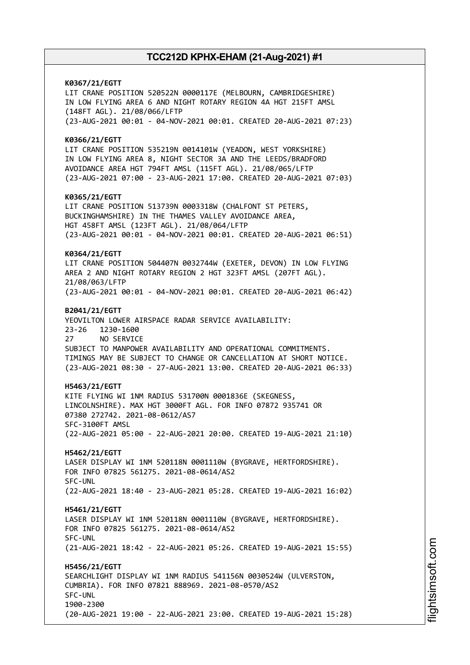**K0367/21/EGTT** LIT CRANE POSITION 520522N 0000117E (MELBOURN, CAMBRIDGESHIRE) IN LOW FLYING AREA 6 AND NIGHT ROTARY REGION 4A HGT 215FT AMSL (148FT AGL). 21/08/066/LFTP (23-AUG-2021 00:01 - 04-NOV-2021 00:01. CREATED 20-AUG-2021 07:23) **K0366/21/EGTT** LIT CRANE POSITION 535219N 0014101W (YEADON, WEST YORKSHIRE) IN LOW FLYING AREA 8, NIGHT SECTOR 3A AND THE LEEDS/BRADFORD AVOIDANCE AREA HGT 794FT AMSL (115FT AGL). 21/08/065/LFTP (23-AUG-2021 07:00 - 23-AUG-2021 17:00. CREATED 20-AUG-2021 07:03) **K0365/21/EGTT** LIT CRANE POSITION 513739N 0003318W (CHALFONT ST PETERS, BUCKINGHAMSHIRE) IN THE THAMES VALLEY AVOIDANCE AREA, HGT 458FT AMSL (123FT AGL). 21/08/064/LFTP (23-AUG-2021 00:01 - 04-NOV-2021 00:01. CREATED 20-AUG-2021 06:51) **K0364/21/EGTT** LIT CRANE POSITION 504407N 0032744W (EXETER, DEVON) IN LOW FLYING AREA 2 AND NIGHT ROTARY REGION 2 HGT 323FT AMSL (207FT AGL). 21/08/063/LFTP (23-AUG-2021 00:01 - 04-NOV-2021 00:01. CREATED 20-AUG-2021 06:42) **B2041/21/EGTT** YEOVILTON LOWER AIRSPACE RADAR SERVICE AVAILABILITY: 23-26 1230-1600 27 NO SERVICE SUBJECT TO MANPOWER AVAILABILITY AND OPERATIONAL COMMITMENTS. TIMINGS MAY BE SUBJECT TO CHANGE OR CANCELLATION AT SHORT NOTICE. (23-AUG-2021 08:30 - 27-AUG-2021 13:00. CREATED 20-AUG-2021 06:33) **H5463/21/EGTT** KITE FLYING WI 1NM RADIUS 531700N 0001836E (SKEGNESS, LINCOLNSHIRE). MAX HGT 3000FT AGL. FOR INFO 07872 935741 OR 07380 272742. 2021-08-0612/AS7 SFC-3100FT AMSL (22-AUG-2021 05:00 - 22-AUG-2021 20:00. CREATED 19-AUG-2021 21:10) **H5462/21/EGTT** LASER DISPLAY WI 1NM 520118N 0001110W (BYGRAVE, HERTFORDSHIRE). FOR INFO 07825 561275. 2021-08-0614/AS2 SFC-UNL (22-AUG-2021 18:40 - 23-AUG-2021 05:28. CREATED 19-AUG-2021 16:02) **H5461/21/EGTT** LASER DISPLAY WI 1NM 520118N 0001110W (BYGRAVE, HERTFORDSHIRE). FOR INFO 07825 561275. 2021-08-0614/AS2 SFC-UNL (21-AUG-2021 18:42 - 22-AUG-2021 05:26. CREATED 19-AUG-2021 15:55) **H5456/21/EGTT** SEARCHLIGHT DISPLAY WI 1NM RADIUS 541156N 0030524W (ULVERSTON, CUMBRIA). FOR INFO 07821 888969. 2021-08-0570/AS2 SFC-UNL 1900-2300 (20-AUG-2021 19:00 - 22-AUG-2021 23:00. CREATED 19-AUG-2021 15:28)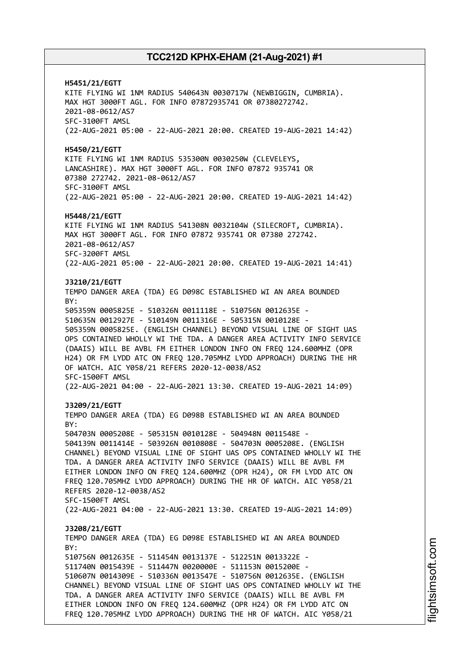**H5451/21/EGTT** KITE FLYING WI 1NM RADIUS 540643N 0030717W (NEWBIGGIN, CUMBRIA). MAX HGT 3000FT AGL. FOR INFO 07872935741 OR 07380272742. 2021-08-0612/AS7 SFC-3100FT AMSL (22-AUG-2021 05:00 - 22-AUG-2021 20:00. CREATED 19-AUG-2021 14:42) **H5450/21/EGTT** KITE FLYING WI 1NM RADIUS 535300N 0030250W (CLEVELEYS, LANCASHIRE). MAX HGT 3000FT AGL. FOR INFO 07872 935741 OR 07380 272742. 2021-08-0612/AS7 SFC-3100FT AMSL (22-AUG-2021 05:00 - 22-AUG-2021 20:00. CREATED 19-AUG-2021 14:42) **H5448/21/EGTT** KITE FLYING WI 1NM RADIUS 541308N 0032104W (SILECROFT, CUMBRIA). MAX HGT 3000FT AGL. FOR INFO 07872 935741 OR 07380 272742. 2021-08-0612/AS7 SFC-3200FT AMSL (22-AUG-2021 05:00 - 22-AUG-2021 20:00. CREATED 19-AUG-2021 14:41) **J3210/21/EGTT** TEMPO DANGER AREA (TDA) EG D098C ESTABLISHED WI AN AREA BOUNDED BY: 505359N 0005825E - 510326N 0011118E - 510756N 0012635E - 510635N 0012927E - 510149N 0011316E - 505315N 0010128E - 505359N 0005825E. (ENGLISH CHANNEL) BEYOND VISUAL LINE OF SIGHT UAS OPS CONTAINED WHOLLY WI THE TDA. A DANGER AREA ACTIVITY INFO SERVICE (DAAIS) WILL BE AVBL FM EITHER LONDON INFO ON FREQ 124.600MHZ (OPR H24) OR FM LYDD ATC ON FREQ 120.705MHZ LYDD APPROACH) DURING THE HR OF WATCH. AIC Y058/21 REFERS 2020-12-0038/AS2 SFC-1500FT AMSL (22-AUG-2021 04:00 - 22-AUG-2021 13:30. CREATED 19-AUG-2021 14:09) **J3209/21/EGTT** TEMPO DANGER AREA (TDA) EG D098B ESTABLISHED WI AN AREA BOUNDED BY: 504703N 0005208E - 505315N 0010128E - 504948N 0011548E - 504139N 0011414E - 503926N 0010808E - 504703N 0005208E. (ENGLISH CHANNEL) BEYOND VISUAL LINE OF SIGHT UAS OPS CONTAINED WHOLLY WI THE TDA. A DANGER AREA ACTIVITY INFO SERVICE (DAAIS) WILL BE AVBL FM EITHER LONDON INFO ON FREQ 124.600MHZ (OPR H24), OR FM LYDD ATC ON FREQ 120.705MHZ LYDD APPROACH) DURING THE HR OF WATCH. AIC Y058/21 REFERS 2020-12-0038/AS2 SFC-1500FT AMSL (22-AUG-2021 04:00 - 22-AUG-2021 13:30. CREATED 19-AUG-2021 14:09) **J3208/21/EGTT** TEMPO DANGER AREA (TDA) EG D098E ESTABLISHED WI AN AREA BOUNDED  $RY$ 510756N 0012635E - 511454N 0013137E - 512251N 0013322E - 511740N 0015439E - 511447N 0020000E - 511153N 0015200E - 510607N 0014309E - 510336N 0013547E - 510756N 0012635E. (ENGLISH CHANNEL) BEYOND VISUAL LINE OF SIGHT UAS OPS CONTAINED WHOLLY WI THE TDA. A DANGER AREA ACTIVITY INFO SERVICE (DAAIS) WILL BE AVBL FM EITHER LONDON INFO ON FREQ 124.600MHZ (OPR H24) OR FM LYDD ATC ON FREQ 120.705MHZ LYDD APPROACH) DURING THE HR OF WATCH. AIC Y058/21

i⊒<br>⊫ htsim soft.c om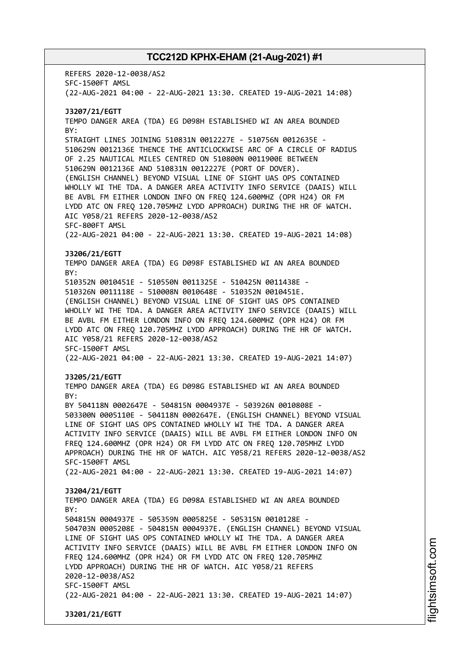REFERS 2020-12-0038/AS2 SFC-1500FT AMSL (22-AUG-2021 04:00 - 22-AUG-2021 13:30. CREATED 19-AUG-2021 14:08) **J3207/21/EGTT** TEMPO DANGER AREA (TDA) EG D098H ESTABLISHED WI AN AREA BOUNDED BY: STRAIGHT LINES JOINING 510831N 0012227E - 510756N 0012635E - 510629N 0012136E THENCE THE ANTICLOCKWISE ARC OF A CIRCLE OF RADIUS OF 2.25 NAUTICAL MILES CENTRED ON 510800N 0011900E BETWEEN 510629N 0012136E AND 510831N 0012227E (PORT OF DOVER). (ENGLISH CHANNEL) BEYOND VISUAL LINE OF SIGHT UAS OPS CONTAINED WHOLLY WI THE TDA. A DANGER AREA ACTIVITY INFO SERVICE (DAAIS) WILL BE AVBL FM EITHER LONDON INFO ON FREQ 124.600MHZ (OPR H24) OR FM LYDD ATC ON FREQ 120.705MHZ LYDD APPROACH) DURING THE HR OF WATCH. AIC Y058/21 REFERS 2020-12-0038/AS2 SFC-800FT AMSL (22-AUG-2021 04:00 - 22-AUG-2021 13:30. CREATED 19-AUG-2021 14:08) **J3206/21/EGTT** TEMPO DANGER AREA (TDA) EG D098F ESTABLISHED WI AN AREA BOUNDED BY: 510352N 0010451E - 510550N 0011325E - 510425N 0011438E - 510326N 0011118E - 510008N 0010648E - 510352N 0010451E. (ENGLISH CHANNEL) BEYOND VISUAL LINE OF SIGHT UAS OPS CONTAINED WHOLLY WI THE TDA. A DANGER AREA ACTIVITY INFO SERVICE (DAAIS) WILL BE AVBL FM EITHER LONDON INFO ON FREQ 124.600MHZ (OPR H24) OR FM LYDD ATC ON FREQ 120.705MHZ LYDD APPROACH) DURING THE HR OF WATCH. AIC Y058/21 REFERS 2020-12-0038/AS2 SFC-1500FT AMSL (22-AUG-2021 04:00 - 22-AUG-2021 13:30. CREATED 19-AUG-2021 14:07) **J3205/21/EGTT** TEMPO DANGER AREA (TDA) EG D098G ESTABLISHED WI AN AREA BOUNDED BY: BY 504118N 0002647E - 504815N 0004937E - 503926N 0010808E - 503300N 0005110E - 504118N 0002647E. (ENGLISH CHANNEL) BEYOND VISUAL LINE OF SIGHT UAS OPS CONTAINED WHOLLY WI THE TDA. A DANGER AREA ACTIVITY INFO SERVICE (DAAIS) WILL BE AVBL FM EITHER LONDON INFO ON FREQ 124.600MHZ (OPR H24) OR FM LYDD ATC ON FREQ 120.705MHZ LYDD APPROACH) DURING THE HR OF WATCH. AIC Y058/21 REFERS 2020-12-0038/AS2 SFC-1500FT AMSL (22-AUG-2021 04:00 - 22-AUG-2021 13:30. CREATED 19-AUG-2021 14:07) **J3204/21/EGTT** TEMPO DANGER AREA (TDA) EG D098A ESTABLISHED WI AN AREA BOUNDED  $RY$ 504815N 0004937E - 505359N 0005825E - 505315N 0010128E - 504703N 0005208E - 504815N 0004937E. (ENGLISH CHANNEL) BEYOND VISUAL LINE OF SIGHT UAS OPS CONTAINED WHOLLY WI THE TDA. A DANGER AREA ACTIVITY INFO SERVICE (DAAIS) WILL BE AVBL FM EITHER LONDON INFO ON FREQ 124.600MHZ (OPR H24) OR FM LYDD ATC ON FREQ 120.705MHZ LYDD APPROACH) DURING THE HR OF WATCH. AIC Y058/21 REFERS 2020-12-0038/AS2 SFC-1500FT AMSL (22-AUG-2021 04:00 - 22-AUG-2021 13:30. CREATED 19-AUG-2021 14:07) **J3201/21/EGTT**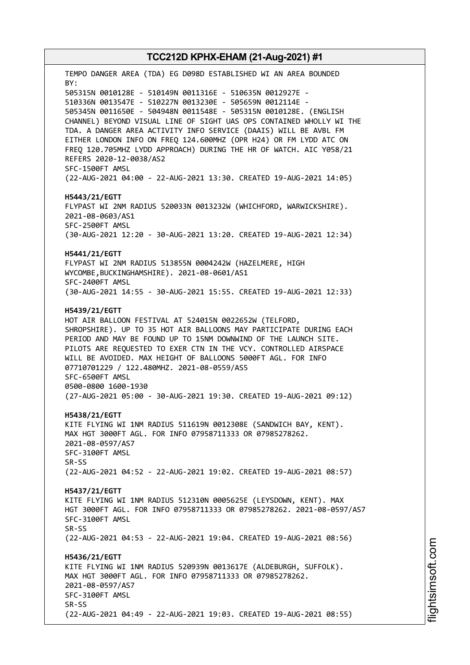TEMPO DANGER AREA (TDA) EG D098D ESTABLISHED WI AN AREA BOUNDED BY: 505315N 0010128E - 510149N 0011316E - 510635N 0012927E - 510336N 0013547E - 510227N 0013230E - 505659N 0012114E - 505345N 0011650E - 504948N 0011548E - 505315N 0010128E. (ENGLISH CHANNEL) BEYOND VISUAL LINE OF SIGHT UAS OPS CONTAINED WHOLLY WI THE TDA. A DANGER AREA ACTIVITY INFO SERVICE (DAAIS) WILL BE AVBL FM EITHER LONDON INFO ON FREQ 124.600MHZ (OPR H24) OR FM LYDD ATC ON FREQ 120.705MHZ LYDD APPROACH) DURING THE HR OF WATCH. AIC Y058/21 REFERS 2020-12-0038/AS2 SFC-1500FT AMSL (22-AUG-2021 04:00 - 22-AUG-2021 13:30. CREATED 19-AUG-2021 14:05) **H5443/21/EGTT** FLYPAST WI 2NM RADIUS 520033N 0013232W (WHICHFORD, WARWICKSHIRE). 2021-08-0603/AS1 SFC-2500FT AMSL (30-AUG-2021 12:20 - 30-AUG-2021 13:20. CREATED 19-AUG-2021 12:34) **H5441/21/EGTT** FLYPAST WI 2NM RADIUS 513855N 0004242W (HAZELMERE, HIGH WYCOMBE,BUCKINGHAMSHIRE). 2021-08-0601/AS1 SFC-2400FT AMSL (30-AUG-2021 14:55 - 30-AUG-2021 15:55. CREATED 19-AUG-2021 12:33) **H5439/21/EGTT** HOT AIR BALLOON FESTIVAL AT 524015N 0022652W (TELFORD, SHROPSHIRE). UP TO 35 HOT AIR BALLOONS MAY PARTICIPATE DURING EACH PERIOD AND MAY BE FOUND UP TO 15NM DOWNWIND OF THE LAUNCH SITE. PILOTS ARE REQUESTED TO EXER CTN IN THE VCY. CONTROLLED AIRSPACE WILL BE AVOIDED. MAX HEIGHT OF BALLOONS 5000FT AGL. FOR INFO 07710701229 / 122.480MHZ. 2021-08-0559/AS5 SFC-6500FT AMSL 0500-0800 1600-1930 (27-AUG-2021 05:00 - 30-AUG-2021 19:30. CREATED 19-AUG-2021 09:12) **H5438/21/EGTT** KITE FLYING WI 1NM RADIUS 511619N 0012308E (SANDWICH BAY, KENT). MAX HGT 3000FT AGL. FOR INFO 07958711333 OR 07985278262. 2021-08-0597/AS7 SFC-3100FT AMSL SR-SS (22-AUG-2021 04:52 - 22-AUG-2021 19:02. CREATED 19-AUG-2021 08:57) **H5437/21/EGTT** KITE FLYING WI 1NM RADIUS 512310N 0005625E (LEYSDOWN, KENT). MAX HGT 3000FT AGL. FOR INFO 07958711333 OR 07985278262. 2021-08-0597/AS7 SFC-3100FT AMSL SR-SS (22-AUG-2021 04:53 - 22-AUG-2021 19:04. CREATED 19-AUG-2021 08:56) **H5436/21/EGTT** KITE FLYING WI 1NM RADIUS 520939N 0013617E (ALDEBURGH, SUFFOLK). MAX HGT 3000FT AGL. FOR INFO 07958711333 OR 07985278262. 2021-08-0597/AS7 SFC-3100FT AMSL SR-SS (22-AUG-2021 04:49 - 22-AUG-2021 19:03. CREATED 19-AUG-2021 08:55)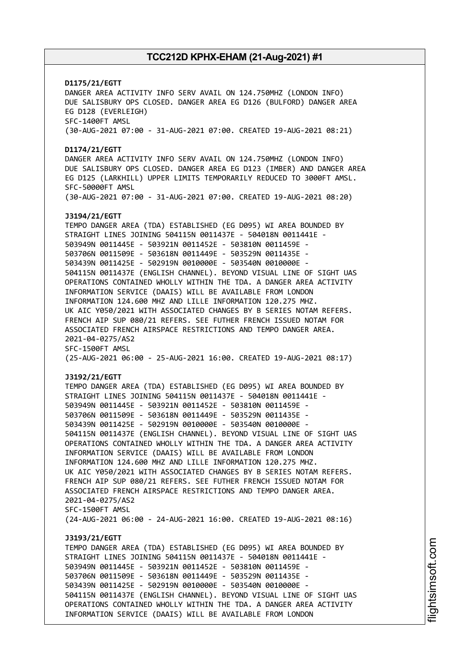# **D1175/21/EGTT** DANGER AREA ACTIVITY INFO SERV AVAIL ON 124.750MHZ (LONDON INFO) DUE SALISBURY OPS CLOSED. DANGER AREA EG D126 (BULFORD) DANGER AREA EG D128 (EVERLEIGH) SFC-1400FT AMSL (30-AUG-2021 07:00 - 31-AUG-2021 07:00. CREATED 19-AUG-2021 08:21) **D1174/21/EGTT** DANGER AREA ACTIVITY INFO SERV AVAIL ON 124.750MHZ (LONDON INFO) DUE SALISBURY OPS CLOSED. DANGER AREA EG D123 (IMBER) AND DANGER AREA EG D125 (LARKHILL) UPPER LIMITS TEMPORARILY REDUCED TO 3000FT AMSL. SFC-50000FT AMSL (30-AUG-2021 07:00 - 31-AUG-2021 07:00. CREATED 19-AUG-2021 08:20) **J3194/21/EGTT** TEMPO DANGER AREA (TDA) ESTABLISHED (EG D095) WI AREA BOUNDED BY STRAIGHT LINES JOINING 504115N 0011437E - 504018N 0011441E - 503949N 0011445E - 503921N 0011452E - 503810N 0011459E - 503706N 0011509E - 503618N 0011449E - 503529N 0011435E - 503439N 0011425E - 502919N 0010000E - 503540N 0010000E - 504115N 0011437E (ENGLISH CHANNEL). BEYOND VISUAL LINE OF SIGHT UAS OPERATIONS CONTAINED WHOLLY WITHIN THE TDA. A DANGER AREA ACTIVITY INFORMATION SERVICE (DAAIS) WILL BE AVAILABLE FROM LONDON INFORMATION 124.600 MHZ AND LILLE INFORMATION 120.275 MHZ. UK AIC Y050/2021 WITH ASSOCIATED CHANGES BY B SERIES NOTAM REFERS. FRENCH AIP SUP 080/21 REFERS. SEE FUTHER FRENCH ISSUED NOTAM FOR ASSOCIATED FRENCH AIRSPACE RESTRICTIONS AND TEMPO DANGER AREA. 2021-04-0275/AS2 SFC-1500FT AMSL (25-AUG-2021 06:00 - 25-AUG-2021 16:00. CREATED 19-AUG-2021 08:17) **J3192/21/EGTT** TEMPO DANGER AREA (TDA) ESTABLISHED (EG D095) WI AREA BOUNDED BY STRAIGHT LINES JOINING 504115N 0011437E - 504018N 0011441E - 503949N 0011445E - 503921N 0011452E - 503810N 0011459E - 503706N 0011509E - 503618N 0011449E - 503529N 0011435E - 503439N 0011425E - 502919N 0010000E - 503540N 0010000E - 504115N 0011437E (ENGLISH CHANNEL). BEYOND VISUAL LINE OF SIGHT UAS OPERATIONS CONTAINED WHOLLY WITHIN THE TDA. A DANGER AREA ACTIVITY INFORMATION SERVICE (DAAIS) WILL BE AVAILABLE FROM LONDON INFORMATION 124.600 MHZ AND LILLE INFORMATION 120.275 MHZ. UK AIC Y050/2021 WITH ASSOCIATED CHANGES BY B SERIES NOTAM REFERS. FRENCH AIP SUP 080/21 REFERS. SEE FUTHER FRENCH ISSUED NOTAM FOR ASSOCIATED FRENCH AIRSPACE RESTRICTIONS AND TEMPO DANGER AREA. 2021-04-0275/AS2 SFC-1500FT AMSL (24-AUG-2021 06:00 - 24-AUG-2021 16:00. CREATED 19-AUG-2021 08:16) **J3193/21/EGTT** TEMPO DANGER AREA (TDA) ESTABLISHED (EG D095) WI AREA BOUNDED BY STRAIGHT LINES JOINING 504115N 0011437E - 504018N 0011441E - 503949N 0011445E - 503921N 0011452E - 503810N 0011459E - 503706N 0011509E - 503618N 0011449E - 503529N 0011435E - 503439N 0011425E - 502919N 0010000E - 503540N 0010000E - 504115N 0011437E (ENGLISH CHANNEL). BEYOND VISUAL LINE OF SIGHT UAS OPERATIONS CONTAINED WHOLLY WITHIN THE TDA. A DANGER AREA ACTIVITY INFORMATION SERVICE (DAAIS) WILL BE AVAILABLE FROM LONDON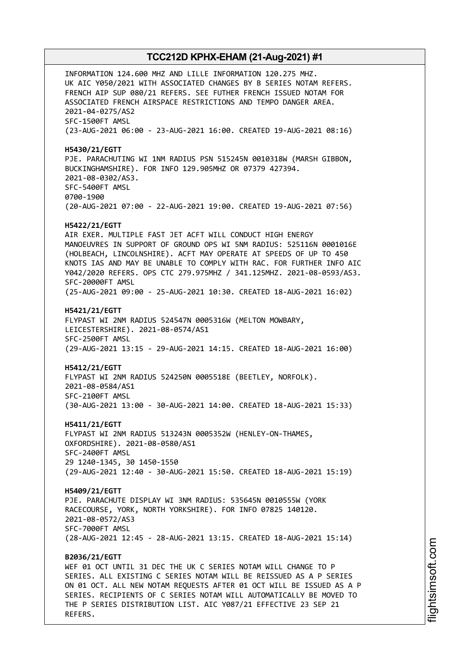INFORMATION 124.600 MHZ AND LILLE INFORMATION 120.275 MHZ. UK AIC Y050/2021 WITH ASSOCIATED CHANGES BY B SERIES NOTAM REFERS. FRENCH AIP SUP 080/21 REFERS. SEE FUTHER FRENCH ISSUED NOTAM FOR ASSOCIATED FRENCH AIRSPACE RESTRICTIONS AND TEMPO DANGER AREA. 2021-04-0275/AS2 SFC-1500FT AMSL (23-AUG-2021 06:00 - 23-AUG-2021 16:00. CREATED 19-AUG-2021 08:16) **H5430/21/EGTT** PJE. PARACHUTING WI 1NM RADIUS PSN 515245N 0010318W (MARSH GIBBON, BUCKINGHAMSHIRE). FOR INFO 129.905MHZ OR 07379 427394. 2021-08-0302/AS3. SFC-5400FT AMSL 0700-1900 (20-AUG-2021 07:00 - 22-AUG-2021 19:00. CREATED 19-AUG-2021 07:56) **H5422/21/EGTT** AIR EXER. MULTIPLE FAST JET ACFT WILL CONDUCT HIGH ENERGY MANOEUVRES IN SUPPORT OF GROUND OPS WI 5NM RADIUS: 525116N 0001016E (HOLBEACH, LINCOLNSHIRE). ACFT MAY OPERATE AT SPEEDS OF UP TO 450 KNOTS IAS AND MAY BE UNABLE TO COMPLY WITH RAC. FOR FURTHER INFO AIC Y042/2020 REFERS. OPS CTC 279.975MHZ / 341.125MHZ. 2021-08-0593/AS3. SFC-20000FT AMSL (25-AUG-2021 09:00 - 25-AUG-2021 10:30. CREATED 18-AUG-2021 16:02) **H5421/21/EGTT** FLYPAST WI 2NM RADIUS 524547N 0005316W (MELTON MOWBARY, LEICESTERSHIRE). 2021-08-0574/AS1 SFC-2500FT AMSL (29-AUG-2021 13:15 - 29-AUG-2021 14:15. CREATED 18-AUG-2021 16:00) **H5412/21/EGTT** FLYPAST WI 2NM RADIUS 524250N 0005518E (BEETLEY, NORFOLK). 2021-08-0584/AS1 SFC-2100FT AMSL (30-AUG-2021 13:00 - 30-AUG-2021 14:00. CREATED 18-AUG-2021 15:33) **H5411/21/EGTT** FLYPAST WI 2NM RADIUS 513243N 0005352W (HENLEY-ON-THAMES, OXFORDSHIRE). 2021-08-0580/AS1 SFC-2400FT AMSL 29 1240-1345, 30 1450-1550 (29-AUG-2021 12:40 - 30-AUG-2021 15:50. CREATED 18-AUG-2021 15:19) **H5409/21/EGTT** PJE. PARACHUTE DISPLAY WI 3NM RADIUS: 535645N 0010555W (YORK RACECOURSE, YORK, NORTH YORKSHIRE). FOR INFO 07825 140120. 2021-08-0572/AS3 SFC-7000FT AMSL (28-AUG-2021 12:45 - 28-AUG-2021 13:15. CREATED 18-AUG-2021 15:14) **B2036/21/EGTT** WEF 01 OCT UNTIL 31 DEC THE UK C SERIES NOTAM WILL CHANGE TO P SERIES. ALL EXISTING C SERIES NOTAM WILL BE REISSUED AS A P SERIES ON 01 OCT. ALL NEW NOTAM REQUESTS AFTER 01 OCT WILL BE ISSUED AS A P SERIES. RECIPIENTS OF C SERIES NOTAM WILL AUTOMATICALLY BE MOVED TO

THE P SERIES DISTRIBUTION LIST. AIC Y087/21 EFFECTIVE 23 SEP 21

REFERS.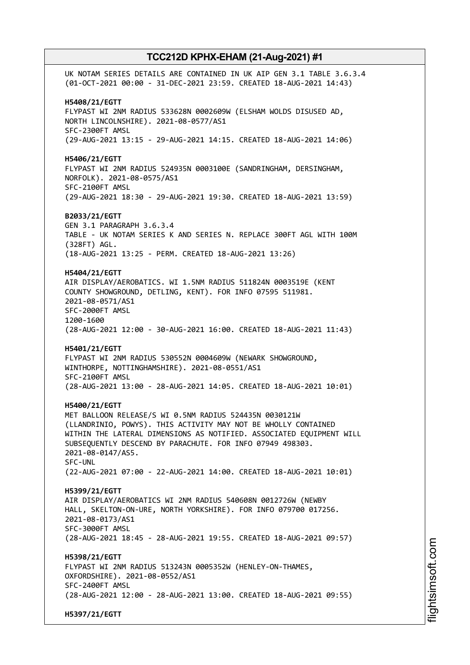UK NOTAM SERIES DETAILS ARE CONTAINED IN UK AIP GEN 3.1 TABLE 3.6.3.4 (01-OCT-2021 00:00 - 31-DEC-2021 23:59. CREATED 18-AUG-2021 14:43) **H5408/21/EGTT** FLYPAST WI 2NM RADIUS 533628N 0002609W (ELSHAM WOLDS DISUSED AD, NORTH LINCOLNSHIRE). 2021-08-0577/AS1 SFC-2300FT AMSL (29-AUG-2021 13:15 - 29-AUG-2021 14:15. CREATED 18-AUG-2021 14:06) **H5406/21/EGTT** FLYPAST WI 2NM RADIUS 524935N 0003100E (SANDRINGHAM, DERSINGHAM, NORFOLK). 2021-08-0575/AS1 SFC-2100FT AMSL (29-AUG-2021 18:30 - 29-AUG-2021 19:30. CREATED 18-AUG-2021 13:59) **B2033/21/EGTT** GEN 3.1 PARAGRAPH 3.6.3.4 TABLE - UK NOTAM SERIES K AND SERIES N. REPLACE 300FT AGL WITH 100M (328FT) AGL. (18-AUG-2021 13:25 - PERM. CREATED 18-AUG-2021 13:26) **H5404/21/EGTT** AIR DISPLAY/AEROBATICS. WI 1.5NM RADIUS 511824N 0003519E (KENT COUNTY SHOWGROUND, DETLING, KENT). FOR INFO 07595 511981. 2021-08-0571/AS1 SFC-2000FT AMSL 1200-1600 (28-AUG-2021 12:00 - 30-AUG-2021 16:00. CREATED 18-AUG-2021 11:43) **H5401/21/EGTT** FLYPAST WI 2NM RADIUS 530552N 0004609W (NEWARK SHOWGROUND, WINTHORPE, NOTTINGHAMSHIRE). 2021-08-0551/AS1 SFC-2100FT AMSL (28-AUG-2021 13:00 - 28-AUG-2021 14:05. CREATED 18-AUG-2021 10:01) **H5400/21/EGTT** MET BALLOON RELEASE/S WI 0.5NM RADIUS 524435N 0030121W (LLANDRINIO, POWYS). THIS ACTIVITY MAY NOT BE WHOLLY CONTAINED WITHIN THE LATERAL DIMENSIONS AS NOTIFIED. ASSOCIATED EQUIPMENT WILL SUBSEQUENTLY DESCEND BY PARACHUTE. FOR INFO 07949 498303. 2021-08-0147/AS5. SFC-UNL (22-AUG-2021 07:00 - 22-AUG-2021 14:00. CREATED 18-AUG-2021 10:01) **H5399/21/EGTT** AIR DISPLAY/AEROBATICS WI 2NM RADIUS 540608N 0012726W (NEWBY HALL, SKELTON-ON-URE, NORTH YORKSHIRE). FOR INFO 079700 017256. 2021-08-0173/AS1 SFC-3000FT AMSL (28-AUG-2021 18:45 - 28-AUG-2021 19:55. CREATED 18-AUG-2021 09:57) **H5398/21/EGTT** FLYPAST WI 2NM RADIUS 513243N 0005352W (HENLEY-ON-THAMES, OXFORDSHIRE). 2021-08-0552/AS1 SFC-2400FT AMSL (28-AUG-2021 12:00 - 28-AUG-2021 13:00. CREATED 18-AUG-2021 09:55) **H5397/21/EGTT**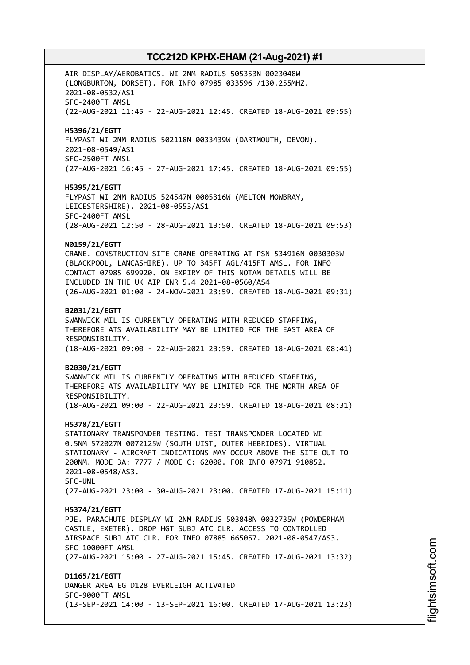AIR DISPLAY/AEROBATICS. WI 2NM RADIUS 505353N 0023048W (LONGBURTON, DORSET). FOR INFO 07985 033596 /130.255MHZ. 2021-08-0532/AS1 SFC-2400FT AMSL (22-AUG-2021 11:45 - 22-AUG-2021 12:45. CREATED 18-AUG-2021 09:55) **H5396/21/EGTT** FLYPAST WI 2NM RADIUS 502118N 0033439W (DARTMOUTH, DEVON). 2021-08-0549/AS1 SFC-2500FT AMSL (27-AUG-2021 16:45 - 27-AUG-2021 17:45. CREATED 18-AUG-2021 09:55) **H5395/21/EGTT** FLYPAST WI 2NM RADIUS 524547N 0005316W (MELTON MOWBRAY, LEICESTERSHIRE). 2021-08-0553/AS1 SFC-2400FT AMSL (28-AUG-2021 12:50 - 28-AUG-2021 13:50. CREATED 18-AUG-2021 09:53) **N0159/21/EGTT** CRANE. CONSTRUCTION SITE CRANE OPERATING AT PSN 534916N 0030303W (BLACKPOOL, LANCASHIRE). UP TO 345FT AGL/415FT AMSL. FOR INFO CONTACT 07985 699920. ON EXPIRY OF THIS NOTAM DETAILS WILL BE INCLUDED IN THE UK AIP ENR 5.4 2021-08-0560/AS4 (26-AUG-2021 01:00 - 24-NOV-2021 23:59. CREATED 18-AUG-2021 09:31) **B2031/21/EGTT** SWANWICK MIL IS CURRENTLY OPERATING WITH REDUCED STAFFING, THEREFORE ATS AVAILABILITY MAY BE LIMITED FOR THE EAST AREA OF RESPONSIBILITY. (18-AUG-2021 09:00 - 22-AUG-2021 23:59. CREATED 18-AUG-2021 08:41) **B2030/21/EGTT** SWANWICK MIL IS CURRENTLY OPERATING WITH REDUCED STAFFING, THEREFORE ATS AVAILABILITY MAY BE LIMITED FOR THE NORTH AREA OF RESPONSIBILITY. (18-AUG-2021 09:00 - 22-AUG-2021 23:59. CREATED 18-AUG-2021 08:31) **H5378/21/EGTT** STATIONARY TRANSPONDER TESTING. TEST TRANSPONDER LOCATED WI 0.5NM 572027N 0072125W (SOUTH UIST, OUTER HEBRIDES). VIRTUAL STATIONARY - AIRCRAFT INDICATIONS MAY OCCUR ABOVE THE SITE OUT TO 200NM. MODE 3A: 7777 / MODE C: 62000. FOR INFO 07971 910852. 2021-08-0548/AS3. SFC-UNL (27-AUG-2021 23:00 - 30-AUG-2021 23:00. CREATED 17-AUG-2021 15:11) **H5374/21/EGTT** PJE. PARACHUTE DISPLAY WI 2NM RADIUS 503848N 0032735W (POWDERHAM CASTLE, EXETER). DROP HGT SUBJ ATC CLR. ACCESS TO CONTROLLED AIRSPACE SUBJ ATC CLR. FOR INFO 07885 665057. 2021-08-0547/AS3. SFC-10000FT AMSL (27-AUG-2021 15:00 - 27-AUG-2021 15:45. CREATED 17-AUG-2021 13:32) **D1165/21/EGTT** DANGER AREA EG D128 EVERLEIGH ACTIVATED SFC-9000FT AMSL (13-SEP-2021 14:00 - 13-SEP-2021 16:00. CREATED 17-AUG-2021 13:23)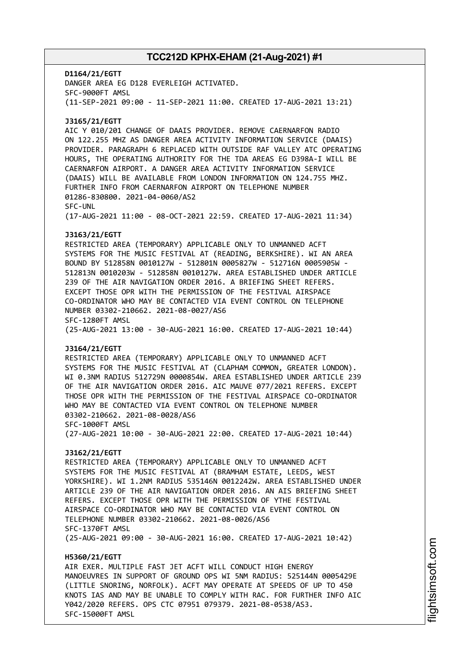**D1164/21/EGTT** DANGER AREA EG D128 EVERLEIGH ACTIVATED. SFC-9000FT AMSL (11-SEP-2021 09:00 - 11-SEP-2021 11:00. CREATED 17-AUG-2021 13:21) **J3165/21/EGTT** AIC Y 010/201 CHANGE OF DAAIS PROVIDER. REMOVE CAERNARFON RADIO ON 122.255 MHZ AS DANGER AREA ACTIVITY INFORMATION SERVICE (DAAIS) PROVIDER. PARAGRAPH 6 REPLACED WITH OUTSIDE RAF VALLEY ATC OPERATING HOURS, THE OPERATING AUTHORITY FOR THE TDA AREAS EG D398A-I WILL BE CAERNARFON AIRPORT. A DANGER AREA ACTIVITY INFORMATION SERVICE (DAAIS) WILL BE AVAILABLE FROM LONDON INFORMATION ON 124.755 MHZ. FURTHER INFO FROM CAERNARFON AIRPORT ON TELEPHONE NUMBER 01286-830800. 2021-04-0060/AS2 SFC-UNL (17-AUG-2021 11:00 - 08-OCT-2021 22:59. CREATED 17-AUG-2021 11:34) **J3163/21/EGTT** RESTRICTED AREA (TEMPORARY) APPLICABLE ONLY TO UNMANNED ACFT SYSTEMS FOR THE MUSIC FESTIVAL AT (READING, BERKSHIRE). WI AN AREA BOUND BY 512858N 0010127W - 512801N 0005827W - 512716N 0005905W - 512813N 0010203W - 512858N 0010127W. AREA ESTABLISHED UNDER ARTICLE 239 OF THE AIR NAVIGATION ORDER 2016. A BRIEFING SHEET REFERS. EXCEPT THOSE OPR WITH THE PERMISSION OF THE FESTIVAL AIRSPACE CO-ORDINATOR WHO MAY BE CONTACTED VIA EVENT CONTROL ON TELEPHONE NUMBER 03302-210662. 2021-08-0027/AS6 SFC-1280FT AMSL (25-AUG-2021 13:00 - 30-AUG-2021 16:00. CREATED 17-AUG-2021 10:44) **J3164/21/EGTT** RESTRICTED AREA (TEMPORARY) APPLICABLE ONLY TO UNMANNED ACFT SYSTEMS FOR THE MUSIC FESTIVAL AT (CLAPHAM COMMON, GREATER LONDON). WI 0.3NM RADIUS 512729N 0000854W. AREA ESTABLISHED UNDER ARTICLE 239 OF THE AIR NAVIGATION ORDER 2016. AIC MAUVE 077/2021 REFERS. EXCEPT THOSE OPR WITH THE PERMISSION OF THE FESTIVAL AIRSPACE CO-ORDINATOR WHO MAY BE CONTACTED VIA EVENT CONTROL ON TELEPHONE NUMBER 03302-210662. 2021-08-0028/AS6 SFC-1000FT AMSL (27-AUG-2021 10:00 - 30-AUG-2021 22:00. CREATED 17-AUG-2021 10:44) **J3162/21/EGTT** RESTRICTED AREA (TEMPORARY) APPLICABLE ONLY TO UNMANNED ACFT SYSTEMS FOR THE MUSIC FESTIVAL AT (BRAMHAM ESTATE, LEEDS, WEST YORKSHIRE). WI 1.2NM RADIUS 535146N 0012242W. AREA ESTABLISHED UNDER ARTICLE 239 OF THE AIR NAVIGATION ORDER 2016. AN AIS BRIEFING SHEET REFERS. EXCEPT THOSE OPR WITH THE PERMISSION OF YTHE FESTIVAL AIRSPACE CO-ORDINATOR WHO MAY BE CONTACTED VIA EVENT CONTROL ON TELEPHONE NUMBER 03302-210662. 2021-08-0026/AS6 SFC-1370FT AMSL (25-AUG-2021 09:00 - 30-AUG-2021 16:00. CREATED 17-AUG-2021 10:42) **H5360/21/EGTT** AIR EXER. MULTIPLE FAST JET ACFT WILL CONDUCT HIGH ENERGY MANOEUVRES IN SUPPORT OF GROUND OPS WI 5NM RADIUS: 525144N 0005429E (LITTLE SNORING, NORFOLK). ACFT MAY OPERATE AT SPEEDS OF UP TO 450 KNOTS IAS AND MAY BE UNABLE TO COMPLY WITH RAC. FOR FURTHER INFO AIC

Y042/2020 REFERS. OPS CTC 07951 079379. 2021-08-0538/AS3.

SFC-15000FT AMSL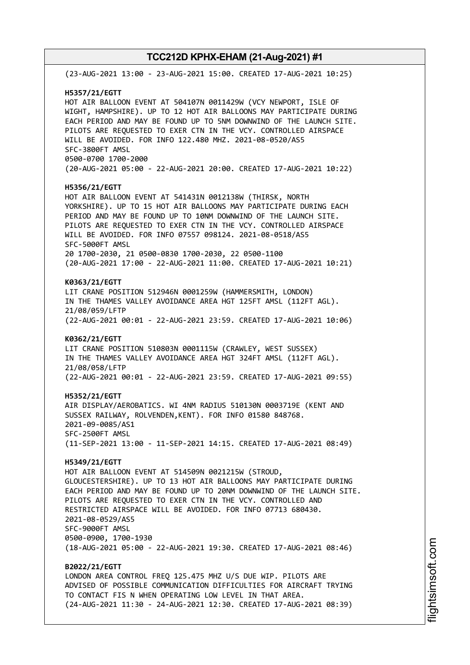(23-AUG-2021 13:00 - 23-AUG-2021 15:00. CREATED 17-AUG-2021 10:25) **H5357/21/EGTT** HOT AIR BALLOON EVENT AT 504107N 0011429W (VCY NEWPORT, ISLE OF WIGHT, HAMPSHIRE). UP TO 12 HOT AIR BALLOONS MAY PARTICIPATE DURING EACH PERIOD AND MAY BE FOUND UP TO 5NM DOWNWIND OF THE LAUNCH SITE. PILOTS ARE REQUESTED TO EXER CTN IN THE VCY. CONTROLLED AIRSPACE WILL BE AVOIDED. FOR INFO 122.480 MHZ. 2021-08-0520/AS5 SFC-3800FT AMSL 0500-0700 1700-2000 (20-AUG-2021 05:00 - 22-AUG-2021 20:00. CREATED 17-AUG-2021 10:22) **H5356/21/EGTT** HOT AIR BALLOON EVENT AT 541431N 0012138W (THIRSK, NORTH YORKSHIRE). UP TO 15 HOT AIR BALLOONS MAY PARTICIPATE DURING EACH PERIOD AND MAY BE FOUND UP TO 10NM DOWNWIND OF THE LAUNCH SITE. PILOTS ARE REQUESTED TO EXER CTN IN THE VCY. CONTROLLED AIRSPACE WILL BE AVOIDED. FOR INFO 07557 098124. 2021-08-0518/AS5 SFC-5000FT AMSL 20 1700-2030, 21 0500-0830 1700-2030, 22 0500-1100 (20-AUG-2021 17:00 - 22-AUG-2021 11:00. CREATED 17-AUG-2021 10:21) **K0363/21/EGTT** LIT CRANE POSITION 512946N 0001259W (HAMMERSMITH, LONDON) IN THE THAMES VALLEY AVOIDANCE AREA HGT 125FT AMSL (112FT AGL). 21/08/059/LFTP (22-AUG-2021 00:01 - 22-AUG-2021 23:59. CREATED 17-AUG-2021 10:06) **K0362/21/EGTT** LIT CRANE POSITION 510803N 0001115W (CRAWLEY, WEST SUSSEX) IN THE THAMES VALLEY AVOIDANCE AREA HGT 324FT AMSL (112FT AGL). 21/08/058/LFTP (22-AUG-2021 00:01 - 22-AUG-2021 23:59. CREATED 17-AUG-2021 09:55) **H5352/21/EGTT** AIR DISPLAY/AEROBATICS. WI 4NM RADIUS 510130N 0003719E (KENT AND SUSSEX RAILWAY, ROLVENDEN,KENT). FOR INFO 01580 848768. 2021-09-0085/AS1 SFC-2500FT AMSL (11-SEP-2021 13:00 - 11-SEP-2021 14:15. CREATED 17-AUG-2021 08:49) **H5349/21/EGTT** HOT AIR BALLOON EVENT AT 514509N 0021215W (STROUD, GLOUCESTERSHIRE). UP TO 13 HOT AIR BALLOONS MAY PARTICIPATE DURING EACH PERIOD AND MAY BE FOUND UP TO 20NM DOWNWIND OF THE LAUNCH SITE. PILOTS ARE REQUESTED TO EXER CTN IN THE VCY. CONTROLLED AND RESTRICTED AIRSPACE WILL BE AVOIDED. FOR INFO 07713 680430. 2021-08-0529/AS5 SFC-9000FT AMSL 0500-0900, 1700-1930 (18-AUG-2021 05:00 - 22-AUG-2021 19:30. CREATED 17-AUG-2021 08:46) **B2022/21/EGTT** LONDON AREA CONTROL FREQ 125.475 MHZ U/S DUE WIP. PILOTS ARE ADVISED OF POSSIBLE COMMUNICATION DIFFICULTIES FOR AIRCRAFT TRYING TO CONTACT FIS N WHEN OPERATING LOW LEVEL IN THAT AREA. (24-AUG-2021 11:30 - 24-AUG-2021 12:30. CREATED 17-AUG-2021 08:39)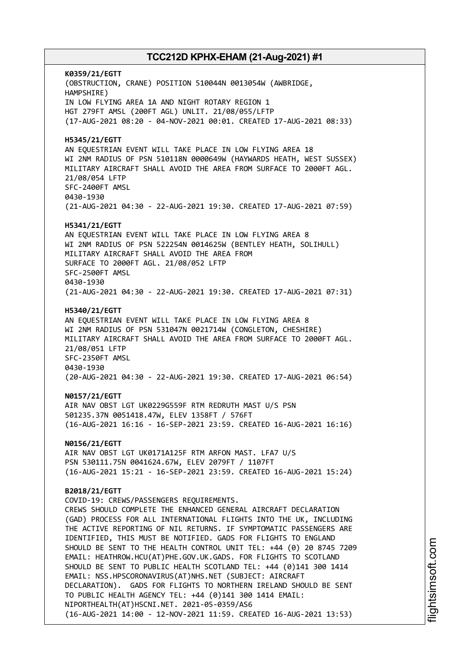**K0359/21/EGTT** (OBSTRUCTION, CRANE) POSITION 510044N 0013054W (AWBRIDGE, HAMPSHIRE) IN LOW FLYING AREA 1A AND NIGHT ROTARY REGION 1 HGT 279FT AMSL (200FT AGL) UNLIT. 21/08/055/LFTP (17-AUG-2021 08:20 - 04-NOV-2021 00:01. CREATED 17-AUG-2021 08:33) **H5345/21/EGTT** AN EQUESTRIAN EVENT WILL TAKE PLACE IN LOW FLYING AREA 18 WI 2NM RADIUS OF PSN 510118N 0000649W (HAYWARDS HEATH, WEST SUSSEX) MILITARY AIRCRAFT SHALL AVOID THE AREA FROM SURFACE TO 2000FT AGL. 21/08/054 LFTP SFC-2400FT AMSL 0430-1930 (21-AUG-2021 04:30 - 22-AUG-2021 19:30. CREATED 17-AUG-2021 07:59) **H5341/21/EGTT** AN EQUESTRIAN EVENT WILL TAKE PLACE IN LOW FLYING AREA 8 WI 2NM RADIUS OF PSN 522254N 0014625W (BENTLEY HEATH, SOLIHULL) MILITARY AIRCRAFT SHALL AVOID THE AREA FROM SURFACE TO 2000FT AGL. 21/08/052 LFTP SFC-2500FT AMSL 0430-1930 (21-AUG-2021 04:30 - 22-AUG-2021 19:30. CREATED 17-AUG-2021 07:31) **H5340/21/EGTT** AN EQUESTRIAN EVENT WILL TAKE PLACE IN LOW FLYING AREA 8 WI 2NM RADIUS OF PSN 531047N 0021714W (CONGLETON, CHESHIRE) MILITARY AIRCRAFT SHALL AVOID THE AREA FROM SURFACE TO 2000FT AGL. 21/08/051 LFTP SFC-2350FT AMSL 0430-1930 (20-AUG-2021 04:30 - 22-AUG-2021 19:30. CREATED 17-AUG-2021 06:54) **N0157/21/EGTT** AIR NAV OBST LGT UK0229G559F RTM REDRUTH MAST U/S PSN 501235.37N 0051418.47W, ELEV 1358FT / 576FT (16-AUG-2021 16:16 - 16-SEP-2021 23:59. CREATED 16-AUG-2021 16:16) **N0156/21/EGTT** AIR NAV OBST LGT UK0171A125F RTM ARFON MAST. LFA7 U/S PSN 530111.75N 0041624.67W, ELEV 2079FT / 1107FT (16-AUG-2021 15:21 - 16-SEP-2021 23:59. CREATED 16-AUG-2021 15:24) **B2018/21/EGTT** COVID-19: CREWS/PASSENGERS REQUIREMENTS. CREWS SHOULD COMPLETE THE ENHANCED GENERAL AIRCRAFT DECLARATION (GAD) PROCESS FOR ALL INTERNATIONAL FLIGHTS INTO THE UK, INCLUDING THE ACTIVE REPORTING OF NIL RETURNS. IF SYMPTOMATIC PASSENGERS ARE IDENTIFIED, THIS MUST BE NOTIFIED. GADS FOR FLIGHTS TO ENGLAND SHOULD BE SENT TO THE HEALTH CONTROL UNIT TEL: +44 (0) 20 8745 7209 EMAIL: HEATHROW.HCU(AT)PHE.GOV.UK.GADS. FOR FLIGHTS TO SCOTLAND SHOULD BE SENT TO PUBLIC HEALTH SCOTLAND TEL: +44 (0)141 300 1414 EMAIL: NSS.HPSCORONAVIRUS(AT)NHS.NET (SUBJECT: AIRCRAFT DECLARATION). GADS FOR FLIGHTS TO NORTHERN IRELAND SHOULD BE SENT TO PUBLIC HEALTH AGENCY TEL: +44 (0)141 300 1414 EMAIL: NIPORTHEALTH(AT)HSCNI.NET. 2021-05-0359/AS6 (16-AUG-2021 14:00 - 12-NOV-2021 11:59. CREATED 16-AUG-2021 13:53)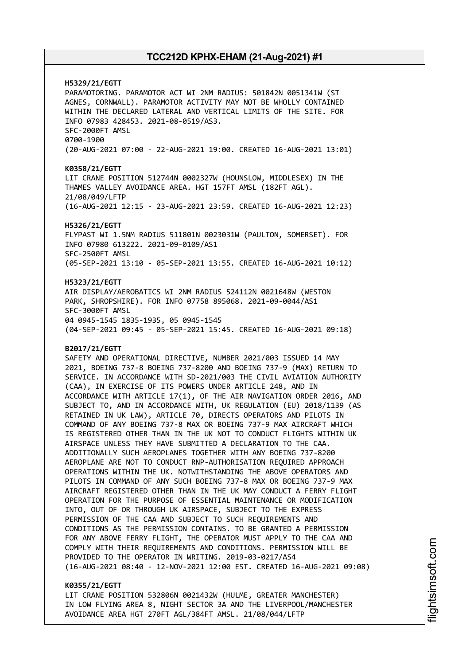**H5329/21/EGTT** PARAMOTORING. PARAMOTOR ACT WI 2NM RADIUS: 501842N 0051341W (ST AGNES, CORNWALL). PARAMOTOR ACTIVITY MAY NOT BE WHOLLY CONTAINED WITHIN THE DECLARED LATERAL AND VERTICAL LIMITS OF THE SITE. FOR INFO 07983 428453. 2021-08-0519/AS3. SFC-2000FT AMSL 0700-1900 (20-AUG-2021 07:00 - 22-AUG-2021 19:00. CREATED 16-AUG-2021 13:01) **K0358/21/EGTT** LIT CRANE POSITION 512744N 0002327W (HOUNSLOW, MIDDLESEX) IN THE THAMES VALLEY AVOIDANCE AREA. HGT 157FT AMSL (182FT AGL). 21/08/049/LFTP (16-AUG-2021 12:15 - 23-AUG-2021 23:59. CREATED 16-AUG-2021 12:23) **H5326/21/EGTT** FLYPAST WI 1.5NM RADIUS 511801N 0023031W (PAULTON, SOMERSET). FOR INFO 07980 613222. 2021-09-0109/AS1 SFC-2500FT AMSL (05-SEP-2021 13:10 - 05-SEP-2021 13:55. CREATED 16-AUG-2021 10:12) **H5323/21/EGTT** AIR DISPLAY/AEROBATICS WI 2NM RADIUS 524112N 0021648W (WESTON PARK, SHROPSHIRE). FOR INFO 07758 895068. 2021-09-0044/AS1 SFC-3000FT AMSL 04 0945-1545 1835-1935, 05 0945-1545 (04-SEP-2021 09:45 - 05-SEP-2021 15:45. CREATED 16-AUG-2021 09:18) **B2017/21/EGTT** SAFETY AND OPERATIONAL DIRECTIVE, NUMBER 2021/003 ISSUED 14 MAY 2021, BOEING 737-8 BOEING 737-8200 AND BOEING 737-9 (MAX) RETURN TO SERVICE. IN ACCORDANCE WITH SD-2021/003 THE CIVIL AVIATION AUTHORITY (CAA), IN EXERCISE OF ITS POWERS UNDER ARTICLE 248, AND IN ACCORDANCE WITH ARTICLE 17(1), OF THE AIR NAVIGATION ORDER 2016, AND SUBJECT TO, AND IN ACCORDANCE WITH, UK REGULATION (EU) 2018/1139 (AS RETAINED IN UK LAW), ARTICLE 70, DIRECTS OPERATORS AND PILOTS IN COMMAND OF ANY BOEING 737-8 MAX OR BOEING 737-9 MAX AIRCRAFT WHICH IS REGISTERED OTHER THAN IN THE UK NOT TO CONDUCT FLIGHTS WITHIN UK AIRSPACE UNLESS THEY HAVE SUBMITTED A DECLARATION TO THE CAA. ADDITIONALLY SUCH AEROPLANES TOGETHER WITH ANY BOEING 737-8200 AEROPLANE ARE NOT TO CONDUCT RNP-AUTHORISATION REQUIRED APPROACH OPERATIONS WITHIN THE UK. NOTWITHSTANDING THE ABOVE OPERATORS AND PILOTS IN COMMAND OF ANY SUCH BOEING 737-8 MAX OR BOEING 737-9 MAX AIRCRAFT REGISTERED OTHER THAN IN THE UK MAY CONDUCT A FERRY FLIGHT OPERATION FOR THE PURPOSE OF ESSENTIAL MAINTENANCE OR MODIFICATION INTO, OUT OF OR THROUGH UK AIRSPACE, SUBJECT TO THE EXPRESS PERMISSION OF THE CAA AND SUBJECT TO SUCH REQUIREMENTS AND CONDITIONS AS THE PERMISSION CONTAINS. TO BE GRANTED A PERMISSION FOR ANY ABOVE FERRY FLIGHT, THE OPERATOR MUST APPLY TO THE CAA AND COMPLY WITH THEIR REQUIREMENTS AND CONDITIONS. PERMISSION WILL BE PROVIDED TO THE OPERATOR IN WRITING. 2019-03-0217/AS4 (16-AUG-2021 08:40 - 12-NOV-2021 12:00 EST. CREATED 16-AUG-2021 09:08)

### **K0355/21/EGTT**

LIT CRANE POSITION 532806N 0021432W (HULME, GREATER MANCHESTER) IN LOW FLYING AREA 8, NIGHT SECTOR 3A AND THE LIVERPOOL/MANCHESTER AVOIDANCE AREA HGT 270FT AGL/384FT AMSL. 21/08/044/LFTP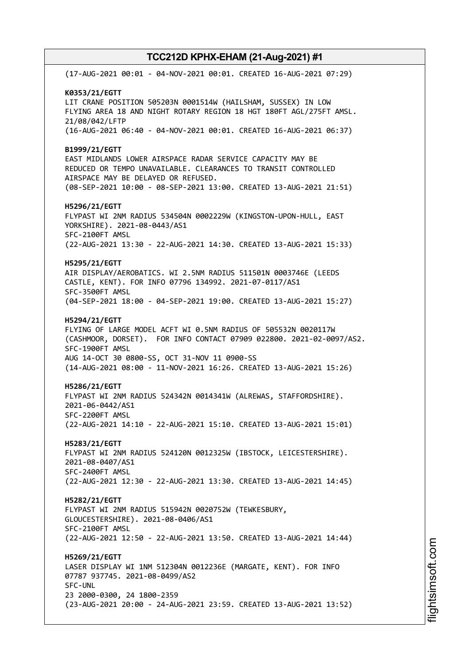(17-AUG-2021 00:01 - 04-NOV-2021 00:01. CREATED 16-AUG-2021 07:29) **K0353/21/EGTT** LIT CRANE POSITION 505203N 0001514W (HAILSHAM, SUSSEX) IN LOW FLYING AREA 18 AND NIGHT ROTARY REGION 18 HGT 180FT AGL/275FT AMSL. 21/08/042/LFTP (16-AUG-2021 06:40 - 04-NOV-2021 00:01. CREATED 16-AUG-2021 06:37) **B1999/21/EGTT** EAST MIDLANDS LOWER AIRSPACE RADAR SERVICE CAPACITY MAY BE REDUCED OR TEMPO UNAVAILABLE. CLEARANCES TO TRANSIT CONTROLLED AIRSPACE MAY BE DELAYED OR REFUSED. (08-SEP-2021 10:00 - 08-SEP-2021 13:00. CREATED 13-AUG-2021 21:51) **H5296/21/EGTT** FLYPAST WI 2NM RADIUS 534504N 0002229W (KINGSTON-UPON-HULL, EAST YORKSHIRE). 2021-08-0443/AS1 SFC-2100FT AMSL (22-AUG-2021 13:30 - 22-AUG-2021 14:30. CREATED 13-AUG-2021 15:33) **H5295/21/EGTT** AIR DISPLAY/AEROBATICS. WI 2.5NM RADIUS 511501N 0003746E (LEEDS CASTLE, KENT). FOR INFO 07796 134992. 2021-07-0117/AS1 SFC-3500FT AMSL (04-SEP-2021 18:00 - 04-SEP-2021 19:00. CREATED 13-AUG-2021 15:27) **H5294/21/EGTT** FLYING OF LARGE MODEL ACFT WI 0.5NM RADIUS OF 505532N 0020117W (CASHMOOR, DORSET). FOR INFO CONTACT 07909 022800. 2021-02-0097/AS2. SFC-1900FT AMSL AUG 14-OCT 30 0800-SS, OCT 31-NOV 11 0900-SS (14-AUG-2021 08:00 - 11-NOV-2021 16:26. CREATED 13-AUG-2021 15:26) **H5286/21/EGTT** FLYPAST WI 2NM RADIUS 524342N 0014341W (ALREWAS, STAFFORDSHIRE). 2021-06-0442/AS1 SFC-2200FT AMSL (22-AUG-2021 14:10 - 22-AUG-2021 15:10. CREATED 13-AUG-2021 15:01) **H5283/21/EGTT** FLYPAST WI 2NM RADIUS 524120N 0012325W (IBSTOCK, LEICESTERSHIRE). 2021-08-0407/AS1 SFC-2400FT AMSL (22-AUG-2021 12:30 - 22-AUG-2021 13:30. CREATED 13-AUG-2021 14:45) **H5282/21/EGTT** FLYPAST WI 2NM RADIUS 515942N 0020752W (TEWKESBURY, GLOUCESTERSHIRE). 2021-08-0406/AS1 SFC-2100FT AMSL (22-AUG-2021 12:50 - 22-AUG-2021 13:50. CREATED 13-AUG-2021 14:44) **H5269/21/EGTT** LASER DISPLAY WI 1NM 512304N 0012236E (MARGATE, KENT). FOR INFO 07787 937745. 2021-08-0499/AS2 SFC-UNL 23 2000-0300, 24 1800-2359 (23-AUG-2021 20:00 - 24-AUG-2021 23:59. CREATED 13-AUG-2021 13:52)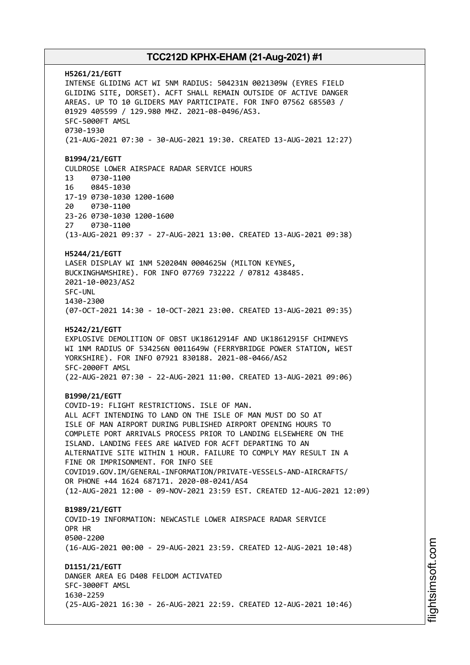**H5261/21/EGTT** INTENSE GLIDING ACT WI 5NM RADIUS: 504231N 0021309W (EYRES FIELD GLIDING SITE, DORSET). ACFT SHALL REMAIN OUTSIDE OF ACTIVE DANGER AREAS. UP TO 10 GLIDERS MAY PARTICIPATE. FOR INFO 07562 685503 / 01929 405599 / 129.980 MHZ. 2021-08-0496/AS3. SFC-5000FT AMSL 0730-1930 (21-AUG-2021 07:30 - 30-AUG-2021 19:30. CREATED 13-AUG-2021 12:27) **B1994/21/EGTT** CULDROSE LOWER AIRSPACE RADAR SERVICE HOURS 13 0730-1100 16 0845-1030 17-19 0730-1030 1200-1600 20 0730-1100 23-26 0730-1030 1200-1600 27 0730-1100 (13-AUG-2021 09:37 - 27-AUG-2021 13:00. CREATED 13-AUG-2021 09:38) **H5244/21/EGTT** LASER DISPLAY WI 1NM 520204N 0004625W (MILTON KEYNES, BUCKINGHAMSHIRE). FOR INFO 07769 732222 / 07812 438485. 2021-10-0023/AS2 SFC-UNL 1430-2300 (07-OCT-2021 14:30 - 10-OCT-2021 23:00. CREATED 13-AUG-2021 09:35) **H5242/21/EGTT** EXPLOSIVE DEMOLITION OF OBST UK18612914F AND UK18612915F CHIMNEYS WI 1NM RADIUS OF 534256N 0011649W (FERRYBRIDGE POWER STATION, WEST YORKSHIRE). FOR INFO 07921 830188. 2021-08-0466/AS2 SFC-2000FT AMSL (22-AUG-2021 07:30 - 22-AUG-2021 11:00. CREATED 13-AUG-2021 09:06) **B1990/21/EGTT** COVID-19: FLIGHT RESTRICTIONS. ISLE OF MAN. ALL ACFT INTENDING TO LAND ON THE ISLE OF MAN MUST DO SO AT ISLE OF MAN AIRPORT DURING PUBLISHED AIRPORT OPENING HOURS TO COMPLETE PORT ARRIVALS PROCESS PRIOR TO LANDING ELSEWHERE ON THE ISLAND. LANDING FEES ARE WAIVED FOR ACFT DEPARTING TO AN ALTERNATIVE SITE WITHIN 1 HOUR. FAILURE TO COMPLY MAY RESULT IN A FINE OR IMPRISONMENT. FOR INFO SEE COVID19.GOV.IM/GENERAL-INFORMATION/PRIVATE-VESSELS-AND-AIRCRAFTS/ OR PHONE +44 1624 687171. 2020-08-0241/AS4 (12-AUG-2021 12:00 - 09-NOV-2021 23:59 EST. CREATED 12-AUG-2021 12:09) **B1989/21/EGTT** COVID-19 INFORMATION: NEWCASTLE LOWER AIRSPACE RADAR SERVICE OPR HR 0500-2200 (16-AUG-2021 00:00 - 29-AUG-2021 23:59. CREATED 12-AUG-2021 10:48) **D1151/21/EGTT** DANGER AREA EG D408 FELDOM ACTIVATED SFC-3000FT AMSL 1630-2259 (25-AUG-2021 16:30 - 26-AUG-2021 22:59. CREATED 12-AUG-2021 10:46)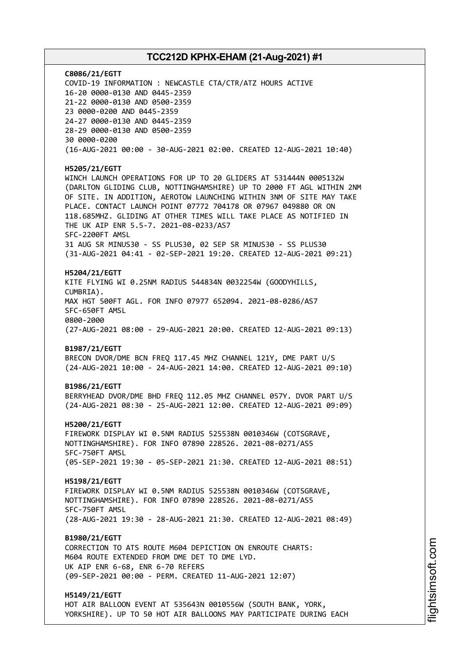**C8086/21/EGTT** COVID-19 INFORMATION : NEWCASTLE CTA/CTR/ATZ HOURS ACTIVE 16-20 0000-0130 AND 0445-2359 21-22 0000-0130 AND 0500-2359 23 0000-0200 AND 0445-2359 24-27 0000-0130 AND 0445-2359 28-29 0000-0130 AND 0500-2359 30 0000-0200 (16-AUG-2021 00:00 - 30-AUG-2021 02:00. CREATED 12-AUG-2021 10:40) **H5205/21/EGTT** WINCH LAUNCH OPERATIONS FOR UP TO 20 GLIDERS AT 531444N 0005132W (DARLTON GLIDING CLUB, NOTTINGHAMSHIRE) UP TO 2000 FT AGL WITHIN 2NM OF SITE. IN ADDITION, AEROTOW LAUNCHING WITHIN 3NM OF SITE MAY TAKE PLACE. CONTACT LAUNCH POINT 07772 704178 OR 07967 049880 OR ON 118.685MHZ. GLIDING AT OTHER TIMES WILL TAKE PLACE AS NOTIFIED IN THE UK AIP ENR 5.5-7. 2021-08-0233/AS7 SFC-2200FT AMSL 31 AUG SR MINUS30 - SS PLUS30, 02 SEP SR MINUS30 - SS PLUS30 (31-AUG-2021 04:41 - 02-SEP-2021 19:20. CREATED 12-AUG-2021 09:21) **H5204/21/EGTT** KITE FLYING WI 0.25NM RADIUS 544834N 0032254W (GOODYHILLS, CUMBRIA). MAX HGT 500FT AGL. FOR INFO 07977 652094. 2021-08-0286/AS7 SFC-650FT AMSL 0800-2000 (27-AUG-2021 08:00 - 29-AUG-2021 20:00. CREATED 12-AUG-2021 09:13) **B1987/21/EGTT** BRECON DVOR/DME BCN FREQ 117.45 MHZ CHANNEL 121Y, DME PART U/S (24-AUG-2021 10:00 - 24-AUG-2021 14:00. CREATED 12-AUG-2021 09:10) **B1986/21/EGTT** BERRYHEAD DVOR/DME BHD FREQ 112.05 MHZ CHANNEL 057Y. DVOR PART U/S (24-AUG-2021 08:30 - 25-AUG-2021 12:00. CREATED 12-AUG-2021 09:09) **H5200/21/EGTT** FIREWORK DISPLAY WI 0.5NM RADIUS 525538N 0010346W (COTSGRAVE, NOTTINGHAMSHIRE). FOR INFO 07890 228526. 2021-08-0271/AS5 SFC-750FT AMSL (05-SEP-2021 19:30 - 05-SEP-2021 21:30. CREATED 12-AUG-2021 08:51) **H5198/21/EGTT** FIREWORK DISPLAY WI 0.5NM RADIUS 525538N 0010346W (COTSGRAVE, NOTTINGHAMSHIRE). FOR INFO 07890 228526. 2021-08-0271/AS5 SFC-750FT AMSL (28-AUG-2021 19:30 - 28-AUG-2021 21:30. CREATED 12-AUG-2021 08:49) **B1980/21/EGTT** CORRECTION TO ATS ROUTE M604 DEPICTION ON ENROUTE CHARTS: M604 ROUTE EXTENDED FROM DME DET TO DME LYD. UK AIP ENR 6-68, ENR 6-70 REFERS (09-SEP-2021 00:00 - PERM. CREATED 11-AUG-2021 12:07) **H5149/21/EGTT** HOT AIR BALLOON EVENT AT 535643N 0010556W (SOUTH BANK, YORK,

YORKSHIRE). UP TO 50 HOT AIR BALLOONS MAY PARTICIPATE DURING EACH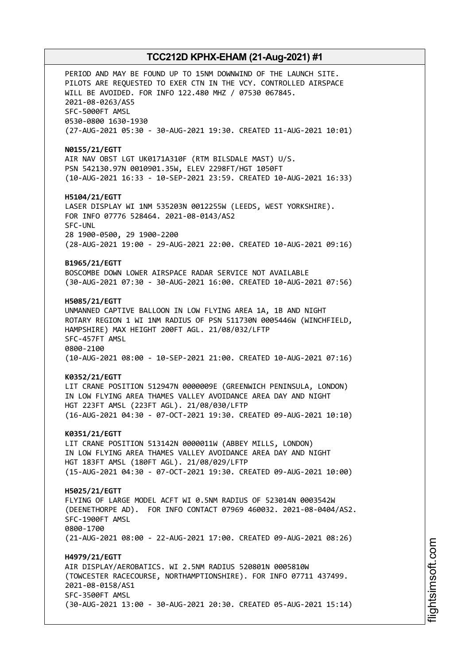PERIOD AND MAY BE FOUND UP TO 15NM DOWNWIND OF THE LAUNCH SITE. PILOTS ARE REQUESTED TO EXER CTN IN THE VCY. CONTROLLED AIRSPACE WILL BE AVOIDED. FOR INFO 122.480 MHZ / 07530 067845. 2021-08-0263/AS5 SFC-5000FT AMSL 0530-0800 1630-1930 (27-AUG-2021 05:30 - 30-AUG-2021 19:30. CREATED 11-AUG-2021 10:01) **N0155/21/EGTT** AIR NAV OBST LGT UK0171A310F (RTM BILSDALE MAST) U/S. PSN 542130.97N 0010901.35W, ELEV 2298FT/HGT 1050FT (10-AUG-2021 16:33 - 10-SEP-2021 23:59. CREATED 10-AUG-2021 16:33) **H5104/21/EGTT** LASER DISPLAY WI 1NM 535203N 0012255W (LEEDS, WEST YORKSHIRE). FOR INFO 07776 528464. 2021-08-0143/AS2 SFC-UNL 28 1900-0500, 29 1900-2200 (28-AUG-2021 19:00 - 29-AUG-2021 22:00. CREATED 10-AUG-2021 09:16) **B1965/21/EGTT** BOSCOMBE DOWN LOWER AIRSPACE RADAR SERVICE NOT AVAILABLE (30-AUG-2021 07:30 - 30-AUG-2021 16:00. CREATED 10-AUG-2021 07:56) **H5085/21/EGTT** UNMANNED CAPTIVE BALLOON IN LOW FLYING AREA 1A, 1B AND NIGHT ROTARY REGION 1 WI 1NM RADIUS OF PSN 511730N 0005446W (WINCHFIELD, HAMPSHIRE) MAX HEIGHT 200FT AGL. 21/08/032/LFTP SFC-457FT AMSL 0800-2100 (10-AUG-2021 08:00 - 10-SEP-2021 21:00. CREATED 10-AUG-2021 07:16) **K0352/21/EGTT** LIT CRANE POSITION 512947N 0000009E (GREENWICH PENINSULA, LONDON) IN LOW FLYING AREA THAMES VALLEY AVOIDANCE AREA DAY AND NIGHT HGT 223FT AMSL (223FT AGL). 21/08/030/LFTP (16-AUG-2021 04:30 - 07-OCT-2021 19:30. CREATED 09-AUG-2021 10:10) **K0351/21/EGTT** LIT CRANE POSITION 513142N 0000011W (ABBEY MILLS, LONDON) IN LOW FLYING AREA THAMES VALLEY AVOIDANCE AREA DAY AND NIGHT HGT 183FT AMSL (180FT AGL). 21/08/029/LFTP (15-AUG-2021 04:30 - 07-OCT-2021 19:30. CREATED 09-AUG-2021 10:00) **H5025/21/EGTT** FLYING OF LARGE MODEL ACFT WI 0.5NM RADIUS OF 523014N 0003542W (DEENETHORPE AD). FOR INFO CONTACT 07969 460032. 2021-08-0404/AS2. SFC-1900FT AMSL 0800-1700 (21-AUG-2021 08:00 - 22-AUG-2021 17:00. CREATED 09-AUG-2021 08:26) **H4979/21/EGTT** AIR DISPLAY/AEROBATICS. WI 2.5NM RADIUS 520801N 0005810W (TOWCESTER RACECOURSE, NORTHAMPTIONSHIRE). FOR INFO 07711 437499. 2021-08-0158/AS1 SFC-3500FT AMSL (30-AUG-2021 13:00 - 30-AUG-2021 20:30. CREATED 05-AUG-2021 15:14)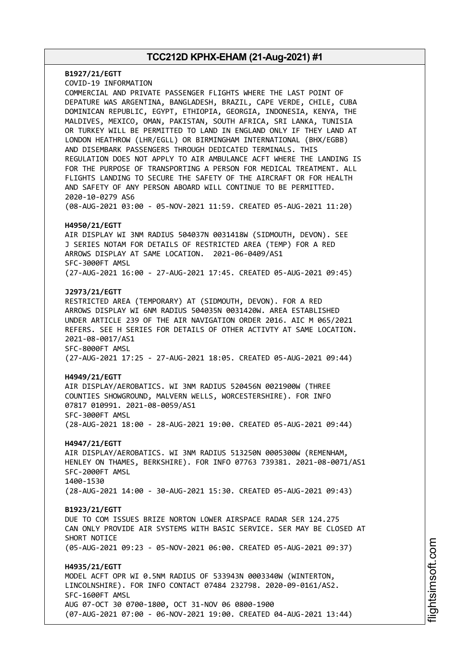**B1927/21/EGTT** COVID-19 INFORMATION COMMERCIAL AND PRIVATE PASSENGER FLIGHTS WHERE THE LAST POINT OF DEPATURE WAS ARGENTINA, BANGLADESH, BRAZIL, CAPE VERDE, CHILE, CUBA DOMINICAN REPUBLIC, EGYPT, ETHIOPIA, GEORGIA, INDONESIA, KENYA, THE MALDIVES, MEXICO, OMAN, PAKISTAN, SOUTH AFRICA, SRI LANKA, TUNISIA OR TURKEY WILL BE PERMITTED TO LAND IN ENGLAND ONLY IF THEY LAND AT LONDON HEATHROW (LHR/EGLL) OR BIRMINGHAM INTERNATIONAL (BHX/EGBB) AND DISEMBARK PASSENGERS THROUGH DEDICATED TERMINALS. THIS REGULATION DOES NOT APPLY TO AIR AMBULANCE ACFT WHERE THE LANDING IS FOR THE PURPOSE OF TRANSPORTING A PERSON FOR MEDICAL TREATMENT. ALL FLIGHTS LANDING TO SECURE THE SAFETY OF THE AIRCRAFT OR FOR HEALTH AND SAFETY OF ANY PERSON ABOARD WILL CONTINUE TO BE PERMITTED. 2020-10-0279 AS6 (08-AUG-2021 03:00 - 05-NOV-2021 11:59. CREATED 05-AUG-2021 11:20) **H4950/21/EGTT** AIR DISPLAY WI 3NM RADIUS 504037N 0031418W (SIDMOUTH, DEVON). SEE J SERIES NOTAM FOR DETAILS OF RESTRICTED AREA (TEMP) FOR A RED ARROWS DISPLAY AT SAME LOCATION. 2021-06-0409/AS1 SFC-3000FT AMSL (27-AUG-2021 16:00 - 27-AUG-2021 17:45. CREATED 05-AUG-2021 09:45) **J2973/21/EGTT** RESTRICTED AREA (TEMPORARY) AT (SIDMOUTH, DEVON). FOR A RED ARROWS DISPLAY WI 6NM RADIUS 504035N 0031420W. AREA ESTABLISHED UNDER ARTICLE 239 OF THE AIR NAVIGATION ORDER 2016. AIC M 065/2021 REFERS. SEE H SERIES FOR DETAILS OF OTHER ACTIVTY AT SAME LOCATION. 2021-08-0017/AS1 SFC-8000FT AMSL (27-AUG-2021 17:25 - 27-AUG-2021 18:05. CREATED 05-AUG-2021 09:44) **H4949/21/EGTT** AIR DISPLAY/AEROBATICS. WI 3NM RADIUS 520456N 0021900W (THREE COUNTIES SHOWGROUND, MALVERN WELLS, WORCESTERSHIRE). FOR INFO 07817 010991. 2021-08-0059/AS1 SFC-3000FT AMSL (28-AUG-2021 18:00 - 28-AUG-2021 19:00. CREATED 05-AUG-2021 09:44) **H4947/21/EGTT** AIR DISPLAY/AEROBATICS. WI 3NM RADIUS 513250N 0005300W (REMENHAM, HENLEY ON THAMES, BERKSHIRE). FOR INFO 07763 739381. 2021-08-0071/AS1 SFC-2000FT AMSL 1400-1530 (28-AUG-2021 14:00 - 30-AUG-2021 15:30. CREATED 05-AUG-2021 09:43) **B1923/21/EGTT** DUE TO COM ISSUES BRIZE NORTON LOWER AIRSPACE RADAR SER 124.275 CAN ONLY PROVIDE AIR SYSTEMS WITH BASIC SERVICE. SER MAY BE CLOSED AT SHORT NOTICE (05-AUG-2021 09:23 - 05-NOV-2021 06:00. CREATED 05-AUG-2021 09:37) **H4935/21/EGTT** MODEL ACFT OPR WI 0.5NM RADIUS OF 533943N 0003340W (WINTERTON, LINCOLNSHIRE). FOR INFO CONTACT 07484 232798. 2020-09-0161/AS2. SFC-1600FT AMSL AUG 07-OCT 30 0700-1800, OCT 31-NOV 06 0800-1900 (07-AUG-2021 07:00 - 06-NOV-2021 19:00. CREATED 04-AUG-2021 13:44)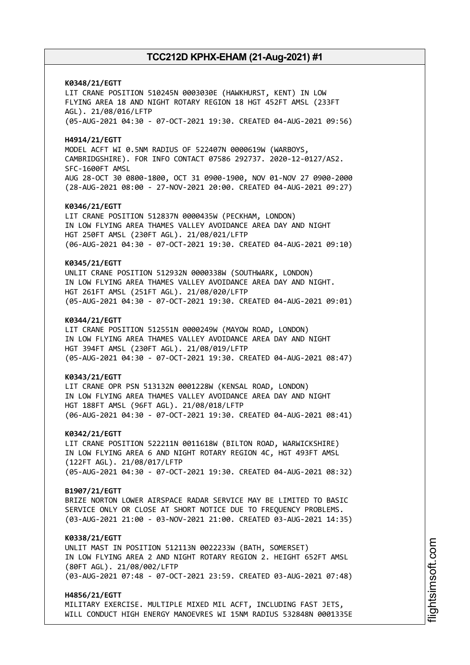**K0348/21/EGTT** LIT CRANE POSITION 510245N 0003030E (HAWKHURST, KENT) IN LOW FLYING AREA 18 AND NIGHT ROTARY REGION 18 HGT 452FT AMSL (233FT AGL). 21/08/016/LFTP (05-AUG-2021 04:30 - 07-OCT-2021 19:30. CREATED 04-AUG-2021 09:56) **H4914/21/EGTT** MODEL ACFT WI 0.5NM RADIUS OF 522407N 0000619W (WARBOYS, CAMBRIDGSHIRE). FOR INFO CONTACT 07586 292737. 2020-12-0127/AS2. SFC-1600FT AMSL AUG 28-OCT 30 0800-1800, OCT 31 0900-1900, NOV 01-NOV 27 0900-2000 (28-AUG-2021 08:00 - 27-NOV-2021 20:00. CREATED 04-AUG-2021 09:27) **K0346/21/EGTT** LIT CRANE POSITION 512837N 0000435W (PECKHAM, LONDON) IN LOW FLYING AREA THAMES VALLEY AVOIDANCE AREA DAY AND NIGHT HGT 250FT AMSL (230FT AGL). 21/08/021/LFTP (06-AUG-2021 04:30 - 07-OCT-2021 19:30. CREATED 04-AUG-2021 09:10) **K0345/21/EGTT** UNLIT CRANE POSITION 512932N 0000338W (SOUTHWARK, LONDON) IN LOW FLYING AREA THAMES VALLEY AVOIDANCE AREA DAY AND NIGHT. HGT 261FT AMSL (251FT AGL). 21/08/020/LFTP (05-AUG-2021 04:30 - 07-OCT-2021 19:30. CREATED 04-AUG-2021 09:01) **K0344/21/EGTT** LIT CRANE POSITION 512551N 0000249W (MAYOW ROAD, LONDON) IN LOW FLYING AREA THAMES VALLEY AVOIDANCE AREA DAY AND NIGHT HGT 394FT AMSL (230FT AGL). 21/08/019/LFTP (05-AUG-2021 04:30 - 07-OCT-2021 19:30. CREATED 04-AUG-2021 08:47) **K0343/21/EGTT** LIT CRANE OPR PSN 513132N 0001228W (KENSAL ROAD, LONDON) IN LOW FLYING AREA THAMES VALLEY AVOIDANCE AREA DAY AND NIGHT HGT 188FT AMSL (96FT AGL). 21/08/018/LFTP (06-AUG-2021 04:30 - 07-OCT-2021 19:30. CREATED 04-AUG-2021 08:41) **K0342/21/EGTT** LIT CRANE POSITION 522211N 0011618W (BILTON ROAD, WARWICKSHIRE) IN LOW FLYING AREA 6 AND NIGHT ROTARY REGION 4C, HGT 493FT AMSL (122FT AGL). 21/08/017/LFTP (05-AUG-2021 04:30 - 07-OCT-2021 19:30. CREATED 04-AUG-2021 08:32) **B1907/21/EGTT** BRIZE NORTON LOWER AIRSPACE RADAR SERVICE MAY BE LIMITED TO BASIC SERVICE ONLY OR CLOSE AT SHORT NOTICE DUE TO FREQUENCY PROBLEMS. (03-AUG-2021 21:00 - 03-NOV-2021 21:00. CREATED 03-AUG-2021 14:35) **K0338/21/EGTT** UNLIT MAST IN POSITION 512113N 0022233W (BATH, SOMERSET) IN LOW FLYING AREA 2 AND NIGHT ROTARY REGION 2. HEIGHT 652FT AMSL (80FT AGL). 21/08/002/LFTP (03-AUG-2021 07:48 - 07-OCT-2021 23:59. CREATED 03-AUG-2021 07:48) **H4856/21/EGTT**

MILITARY EXERCISE. MULTIPLE MIXED MIL ACFT, INCLUDING FAST JETS, WILL CONDUCT HIGH ENERGY MANOEVRES WI 15NM RADIUS 532848N 0001335E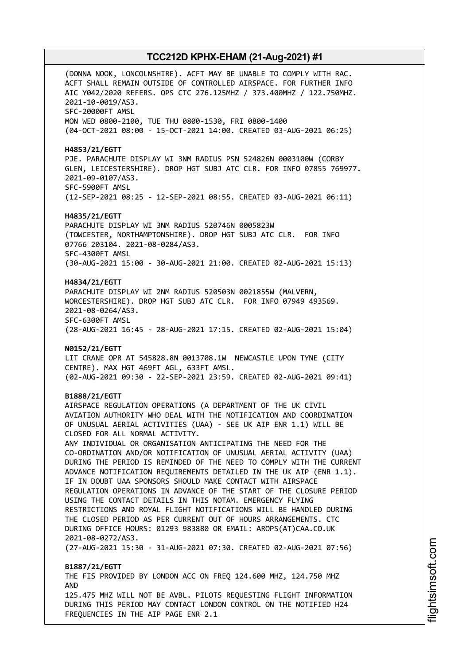(DONNA NOOK, LONCOLNSHIRE). ACFT MAY BE UNABLE TO COMPLY WITH RAC. ACFT SHALL REMAIN OUTSIDE OF CONTROLLED AIRSPACE. FOR FURTHER INFO AIC Y042/2020 REFERS. OPS CTC 276.125MHZ / 373.400MHZ / 122.750MHZ. 2021-10-0019/AS3. SFC-20000FT AMSL MON WED 0800-2100, TUE THU 0800-1530, FRI 0800-1400 (04-OCT-2021 08:00 - 15-OCT-2021 14:00. CREATED 03-AUG-2021 06:25) **H4853/21/EGTT** PJE. PARACHUTE DISPLAY WI 3NM RADIUS PSN 524826N 0003100W (CORBY GLEN, LEICESTERSHIRE). DROP HGT SUBJ ATC CLR. FOR INFO 07855 769977. 2021-09-0107/AS3. SFC-5900FT AMSL (12-SEP-2021 08:25 - 12-SEP-2021 08:55. CREATED 03-AUG-2021 06:11) **H4835/21/EGTT** PARACHUTE DISPLAY WI 3NM RADIUS 520746N 0005823W (TOWCESTER, NORTHAMPTONSHIRE). DROP HGT SUBJ ATC CLR. FOR INFO 07766 203104. 2021-08-0284/AS3. SFC-4300FT AMSL (30-AUG-2021 15:00 - 30-AUG-2021 21:00. CREATED 02-AUG-2021 15:13) **H4834/21/EGTT** PARACHUTE DISPLAY WI 2NM RADIUS 520503N 0021855W (MALVERN, WORCESTERSHIRE). DROP HGT SUBJ ATC CLR. FOR INFO 07949 493569. 2021-08-0264/AS3. SFC-6300FT AMSL (28-AUG-2021 16:45 - 28-AUG-2021 17:15. CREATED 02-AUG-2021 15:04) **N0152/21/EGTT** LIT CRANE OPR AT 545828.8N 0013708.1W NEWCASTLE UPON TYNE (CITY CENTRE). MAX HGT 469FT AGL, 633FT AMSL. (02-AUG-2021 09:30 - 22-SEP-2021 23:59. CREATED 02-AUG-2021 09:41) **B1888/21/EGTT** AIRSPACE REGULATION OPERATIONS (A DEPARTMENT OF THE UK CIVIL AVIATION AUTHORITY WHO DEAL WITH THE NOTIFICATION AND COORDINATION OF UNUSUAL AERIAL ACTIVITIES (UAA) - SEE UK AIP ENR 1.1) WILL BE CLOSED FOR ALL NORMAL ACTIVITY. ANY INDIVIDUAL OR ORGANISATION ANTICIPATING THE NEED FOR THE CO-ORDINATION AND/OR NOTIFICATION OF UNUSUAL AERIAL ACTIVITY (UAA) DURING THE PERIOD IS REMINDED OF THE NEED TO COMPLY WITH THE CURRENT ADVANCE NOTIFICATION REQUIREMENTS DETAILED IN THE UK AIP (ENR 1.1). IF IN DOUBT UAA SPONSORS SHOULD MAKE CONTACT WITH AIRSPACE REGULATION OPERATIONS IN ADVANCE OF THE START OF THE CLOSURE PERIOD USING THE CONTACT DETAILS IN THIS NOTAM. EMERGENCY FLYING RESTRICTIONS AND ROYAL FLIGHT NOTIFICATIONS WILL BE HANDLED DURING THE CLOSED PERIOD AS PER CURRENT OUT OF HOURS ARRANGEMENTS. CTC DURING OFFICE HOURS: 01293 983880 OR EMAIL: AROPS(AT)CAA.CO.UK 2021-08-0272/AS3. (27-AUG-2021 15:30 - 31-AUG-2021 07:30. CREATED 02-AUG-2021 07:56) **B1887/21/EGTT** THE FIS PROVIDED BY LONDON ACC ON FREQ 124.600 MHZ, 124.750 MHZ AND 125.475 MHZ WILL NOT BE AVBL. PILOTS REQUESTING FLIGHT INFORMATION DURING THIS PERIOD MAY CONTACT LONDON CONTROL ON THE NOTIFIED H24 FREQUENCIES IN THE AIP PAGE ENR 2.1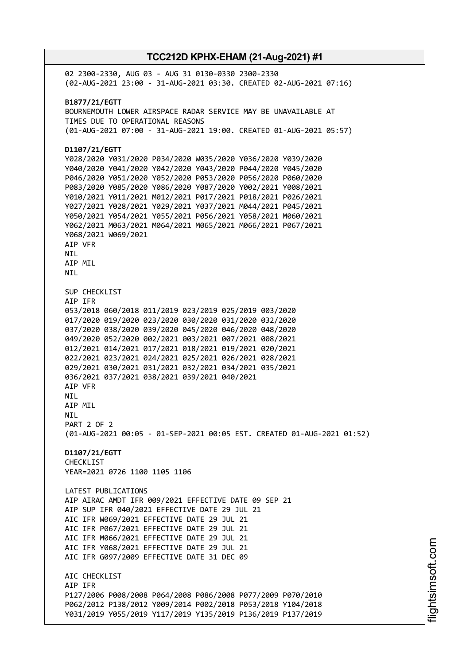02 2300-2330, AUG 03 - AUG 31 0130-0330 2300-2330 (02-AUG-2021 23:00 - 31-AUG-2021 03:30. CREATED 02-AUG-2021 07:16) **B1877/21/EGTT** BOURNEMOUTH LOWER AIRSPACE RADAR SERVICE MAY BE UNAVAILABLE AT TIMES DUE TO OPERATIONAL REASONS (01-AUG-2021 07:00 - 31-AUG-2021 19:00. CREATED 01-AUG-2021 05:57) **D1107/21/EGTT** Y028/2020 Y031/2020 P034/2020 W035/2020 Y036/2020 Y039/2020 Y040/2020 Y041/2020 Y042/2020 Y043/2020 P044/2020 Y045/2020 P046/2020 Y051/2020 Y052/2020 P053/2020 P056/2020 P060/2020 P083/2020 Y085/2020 Y086/2020 Y087/2020 Y002/2021 Y008/2021 Y010/2021 Y011/2021 M012/2021 P017/2021 P018/2021 P026/2021 Y027/2021 Y028/2021 Y029/2021 Y037/2021 M044/2021 P045/2021 Y050/2021 Y054/2021 Y055/2021 P056/2021 Y058/2021 M060/2021 Y062/2021 M063/2021 M064/2021 M065/2021 M066/2021 P067/2021 Y068/2021 W069/2021 AIP VFR **NTI** AIP MIL NIL SUP CHECKLIST AIP IFR 053/2018 060/2018 011/2019 023/2019 025/2019 003/2020 017/2020 019/2020 023/2020 030/2020 031/2020 032/2020 037/2020 038/2020 039/2020 045/2020 046/2020 048/2020 049/2020 052/2020 002/2021 003/2021 007/2021 008/2021 012/2021 014/2021 017/2021 018/2021 019/2021 020/2021 022/2021 023/2021 024/2021 025/2021 026/2021 028/2021 029/2021 030/2021 031/2021 032/2021 034/2021 035/2021 036/2021 037/2021 038/2021 039/2021 040/2021 AIP VFR NIL AIP MIL NIL PART 2 OF 2 (01-AUG-2021 00:05 - 01-SEP-2021 00:05 EST. CREATED 01-AUG-2021 01:52) **D1107/21/EGTT** CHECKLIST YEAR=2021 0726 1100 1105 1106 LATEST PUBLICATIONS AIP AIRAC AMDT IFR 009/2021 EFFECTIVE DATE 09 SEP 21 AIP SUP IFR 040/2021 EFFECTIVE DATE 29 JUL 21 AIC IFR W069/2021 EFFECTIVE DATE 29 JUL 21 AIC IFR P067/2021 EFFECTIVE DATE 29 JUL 21 AIC IFR M066/2021 EFFECTIVE DATE 29 JUL 21 AIC IFR Y068/2021 EFFECTIVE DATE 29 JUL 21 AIC IFR G097/2009 EFFECTIVE DATE 31 DEC 09 ATC CHECKLIST AIP IFR P127/2006 P008/2008 P064/2008 P086/2008 P077/2009 P070/2010 P062/2012 P138/2012 Y009/2014 P002/2018 P053/2018 Y104/2018 Y031/2019 Y055/2019 Y117/2019 Y135/2019 P136/2019 P137/2019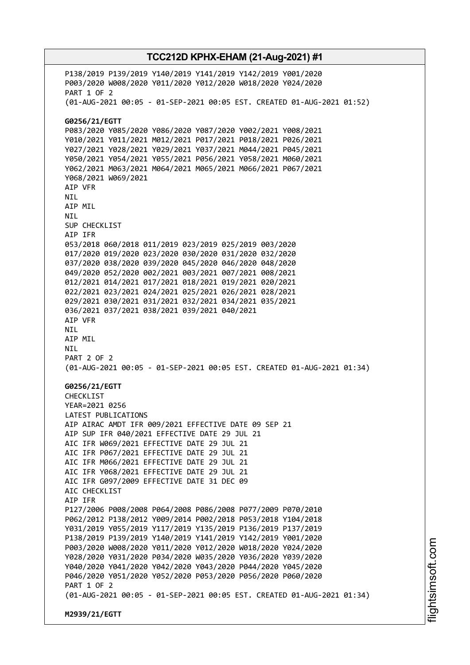P138/2019 P139/2019 Y140/2019 Y141/2019 Y142/2019 Y001/2020 P003/2020 W008/2020 Y011/2020 Y012/2020 W018/2020 Y024/2020 PART 1 OF 2 (01-AUG-2021 00:05 - 01-SEP-2021 00:05 EST. CREATED 01-AUG-2021 01:52) **G0256/21/EGTT** P083/2020 Y085/2020 Y086/2020 Y087/2020 Y002/2021 Y008/2021 Y010/2021 Y011/2021 M012/2021 P017/2021 P018/2021 P026/2021 Y027/2021 Y028/2021 Y029/2021 Y037/2021 M044/2021 P045/2021 Y050/2021 Y054/2021 Y055/2021 P056/2021 Y058/2021 M060/2021 Y062/2021 M063/2021 M064/2021 M065/2021 M066/2021 P067/2021 Y068/2021 W069/2021 AIP VFR NIL AIP MIL NIL SUP CHECKLIST AIP IFR 053/2018 060/2018 011/2019 023/2019 025/2019 003/2020 017/2020 019/2020 023/2020 030/2020 031/2020 032/2020 037/2020 038/2020 039/2020 045/2020 046/2020 048/2020 049/2020 052/2020 002/2021 003/2021 007/2021 008/2021 012/2021 014/2021 017/2021 018/2021 019/2021 020/2021 022/2021 023/2021 024/2021 025/2021 026/2021 028/2021 029/2021 030/2021 031/2021 032/2021 034/2021 035/2021 036/2021 037/2021 038/2021 039/2021 040/2021 AIP VFR NIL AIP MIL NIL PART 2 OF 2 (01-AUG-2021 00:05 - 01-SEP-2021 00:05 EST. CREATED 01-AUG-2021 01:34) **G0256/21/EGTT** CHECKLIST YEAR=2021 0256 LATEST PUBLICATIONS AIP AIRAC AMDT IFR 009/2021 EFFECTIVE DATE 09 SEP 21 AIP SUP IFR 040/2021 EFFECTIVE DATE 29 JUL 21 AIC IFR W069/2021 EFFECTIVE DATE 29 JUL 21 AIC IFR P067/2021 EFFECTIVE DATE 29 JUL 21 AIC IFR M066/2021 EFFECTIVE DATE 29 JUL 21 AIC IFR Y068/2021 EFFECTIVE DATE 29 JUL 21 AIC IFR G097/2009 EFFECTIVE DATE 31 DEC 09 ATC CHECKLIST AIP IFR P127/2006 P008/2008 P064/2008 P086/2008 P077/2009 P070/2010 P062/2012 P138/2012 Y009/2014 P002/2018 P053/2018 Y104/2018 Y031/2019 Y055/2019 Y117/2019 Y135/2019 P136/2019 P137/2019 P138/2019 P139/2019 Y140/2019 Y141/2019 Y142/2019 Y001/2020 P003/2020 W008/2020 Y011/2020 Y012/2020 W018/2020 Y024/2020 Y028/2020 Y031/2020 P034/2020 W035/2020 Y036/2020 Y039/2020 Y040/2020 Y041/2020 Y042/2020 Y043/2020 P044/2020 Y045/2020 P046/2020 Y051/2020 Y052/2020 P053/2020 P056/2020 P060/2020 PART 1 OF 2 (01-AUG-2021 00:05 - 01-SEP-2021 00:05 EST. CREATED 01-AUG-2021 01:34) **M2939/21/EGTT**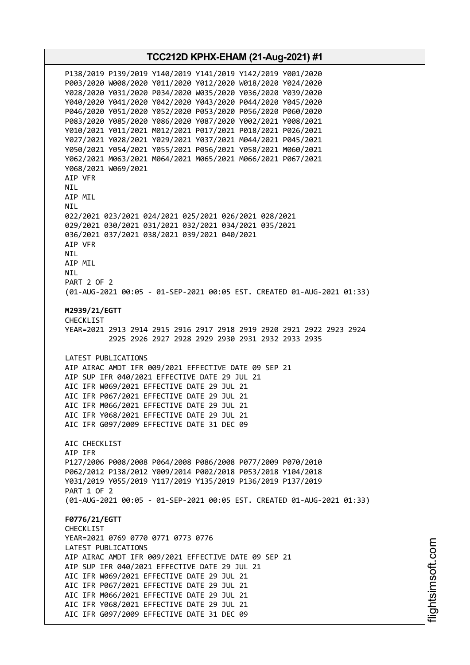**TCC212D KPHX-EHAM (21-Aug-2021) #1** P138/2019 P139/2019 Y140/2019 Y141/2019 Y142/2019 Y001/2020 P003/2020 W008/2020 Y011/2020 Y012/2020 W018/2020 Y024/2020 Y028/2020 Y031/2020 P034/2020 W035/2020 Y036/2020 Y039/2020 Y040/2020 Y041/2020 Y042/2020 Y043/2020 P044/2020 Y045/2020 P046/2020 Y051/2020 Y052/2020 P053/2020 P056/2020 P060/2020 P083/2020 Y085/2020 Y086/2020 Y087/2020 Y002/2021 Y008/2021 Y010/2021 Y011/2021 M012/2021 P017/2021 P018/2021 P026/2021 Y027/2021 Y028/2021 Y029/2021 Y037/2021 M044/2021 P045/2021 Y050/2021 Y054/2021 Y055/2021 P056/2021 Y058/2021 M060/2021 Y062/2021 M063/2021 M064/2021 M065/2021 M066/2021 P067/2021 Y068/2021 W069/2021 AIP VFR NIL AIP MIL NIL 022/2021 023/2021 024/2021 025/2021 026/2021 028/2021 029/2021 030/2021 031/2021 032/2021 034/2021 035/2021 036/2021 037/2021 038/2021 039/2021 040/2021 AIP VFR **NTI** AIP MIL NIL PART 2 OF 2 (01-AUG-2021 00:05 - 01-SEP-2021 00:05 EST. CREATED 01-AUG-2021 01:33) **M2939/21/EGTT** CHECKL<sub>TST</sub> YEAR=2021 2913 2914 2915 2916 2917 2918 2919 2920 2921 2922 2923 2924 2925 2926 2927 2928 2929 2930 2931 2932 2933 2935 LATEST PUBLICATIONS AIP AIRAC AMDT IFR 009/2021 EFFECTIVE DATE 09 SEP 21 AIP SUP IFR 040/2021 EFFECTIVE DATE 29 JUL 21 AIC IFR W069/2021 EFFECTIVE DATE 29 JUL 21 AIC IFR P067/2021 EFFECTIVE DATE 29 JUL 21 AIC IFR M066/2021 EFFECTIVE DATE 29 JUL 21 AIC IFR Y068/2021 EFFECTIVE DATE 29 JUL 21 AIC IFR G097/2009 EFFECTIVE DATE 31 DEC 09 AIC CHECKLIST AIP IFR P127/2006 P008/2008 P064/2008 P086/2008 P077/2009 P070/2010 P062/2012 P138/2012 Y009/2014 P002/2018 P053/2018 Y104/2018 Y031/2019 Y055/2019 Y117/2019 Y135/2019 P136/2019 P137/2019 PART 1 OF 2 (01-AUG-2021 00:05 - 01-SEP-2021 00:05 EST. CREATED 01-AUG-2021 01:33) **F0776/21/EGTT** CHECKLIST YEAR=2021 0769 0770 0771 0773 0776 LATEST PUBLICATIONS AIP AIRAC AMDT IFR 009/2021 EFFECTIVE DATE 09 SEP 21 AIP SUP IFR 040/2021 EFFECTIVE DATE 29 JUL 21 AIC IFR W069/2021 EFFECTIVE DATE 29 JUL 21 AIC IFR P067/2021 EFFECTIVE DATE 29 JUL 21 AIC IFR M066/2021 EFFECTIVE DATE 29 JUL 21 AIC IFR Y068/2021 EFFECTIVE DATE 29 JUL 21 AIC IFR G097/2009 EFFECTIVE DATE 31 DEC 09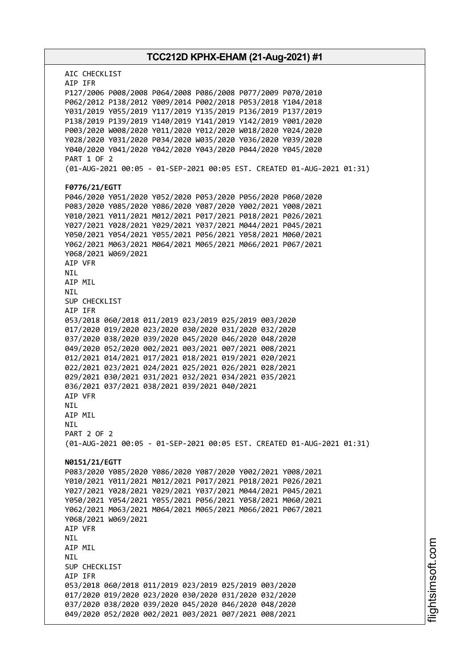## **TCC212D KPHX-EHAM (21-Aug-2021) #1** AIC CHECKLIST AIP IFR P127/2006 P008/2008 P064/2008 P086/2008 P077/2009 P070/2010 P062/2012 P138/2012 Y009/2014 P002/2018 P053/2018 Y104/2018 Y031/2019 Y055/2019 Y117/2019 Y135/2019 P136/2019 P137/2019 P138/2019 P139/2019 Y140/2019 Y141/2019 Y142/2019 Y001/2020 P003/2020 W008/2020 Y011/2020 Y012/2020 W018/2020 Y024/2020 Y028/2020 Y031/2020 P034/2020 W035/2020 Y036/2020 Y039/2020 Y040/2020 Y041/2020 Y042/2020 Y043/2020 P044/2020 Y045/2020 PART 1 OF 2 (01-AUG-2021 00:05 - 01-SEP-2021 00:05 EST. CREATED 01-AUG-2021 01:31) **F0776/21/EGTT** P046/2020 Y051/2020 Y052/2020 P053/2020 P056/2020 P060/2020 P083/2020 Y085/2020 Y086/2020 Y087/2020 Y002/2021 Y008/2021 Y010/2021 Y011/2021 M012/2021 P017/2021 P018/2021 P026/2021 Y027/2021 Y028/2021 Y029/2021 Y037/2021 M044/2021 P045/2021 Y050/2021 Y054/2021 Y055/2021 P056/2021 Y058/2021 M060/2021 Y062/2021 M063/2021 M064/2021 M065/2021 M066/2021 P067/2021 Y068/2021 W069/2021 AIP VFR NIL AIP MIL NIL SUP CHECKLIST AIP IFR 053/2018 060/2018 011/2019 023/2019 025/2019 003/2020 017/2020 019/2020 023/2020 030/2020 031/2020 032/2020 037/2020 038/2020 039/2020 045/2020 046/2020 048/2020 049/2020 052/2020 002/2021 003/2021 007/2021 008/2021 012/2021 014/2021 017/2021 018/2021 019/2021 020/2021 022/2021 023/2021 024/2021 025/2021 026/2021 028/2021 029/2021 030/2021 031/2021 032/2021 034/2021 035/2021 036/2021 037/2021 038/2021 039/2021 040/2021 AIP VFR **NTI** AIP MIL **NTI** PART 2 OF 2 (01-AUG-2021 00:05 - 01-SEP-2021 00:05 EST. CREATED 01-AUG-2021 01:31) **N0151/21/EGTT** P083/2020 Y085/2020 Y086/2020 Y087/2020 Y002/2021 Y008/2021 Y010/2021 Y011/2021 M012/2021 P017/2021 P018/2021 P026/2021 Y027/2021 Y028/2021 Y029/2021 Y037/2021 M044/2021 P045/2021 Y050/2021 Y054/2021 Y055/2021 P056/2021 Y058/2021 M060/2021 Y062/2021 M063/2021 M064/2021 M065/2021 M066/2021 P067/2021 Y068/2021 W069/2021 AIP VFR NIL AIP MIL NIL SUP CHECKLIST AIP IFR 053/2018 060/2018 011/2019 023/2019 025/2019 003/2020 017/2020 019/2020 023/2020 030/2020 031/2020 032/2020 037/2020 038/2020 039/2020 045/2020 046/2020 048/2020 049/2020 052/2020 002/2021 003/2021 007/2021 008/2021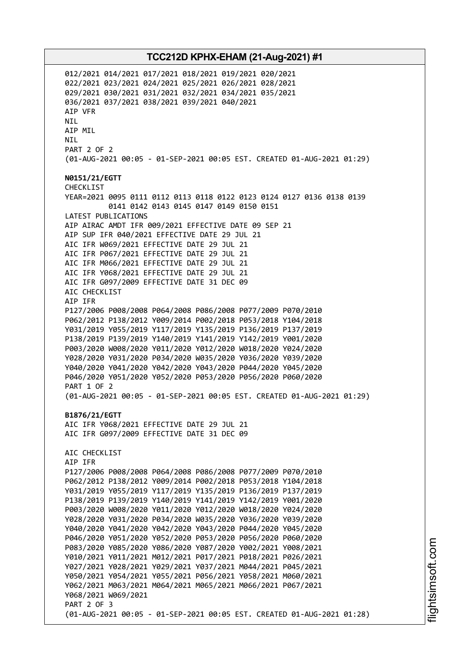012/2021 014/2021 017/2021 018/2021 019/2021 020/2021 022/2021 023/2021 024/2021 025/2021 026/2021 028/2021 029/2021 030/2021 031/2021 032/2021 034/2021 035/2021 036/2021 037/2021 038/2021 039/2021 040/2021 AIP VFR NIL AIP MIL NIL PART 2 OF 2 (01-AUG-2021 00:05 - 01-SEP-2021 00:05 EST. CREATED 01-AUG-2021 01:29) **N0151/21/EGTT** CHECKLIST YEAR=2021 0095 0111 0112 0113 0118 0122 0123 0124 0127 0136 0138 0139 0141 0142 0143 0145 0147 0149 0150 0151 LATEST PUBLICATIONS AIP AIRAC AMDT IFR 009/2021 EFFECTIVE DATE 09 SEP 21 AIP SUP IFR 040/2021 EFFECTIVE DATE 29 JUL 21 AIC IFR W069/2021 EFFECTIVE DATE 29 JUL 21 AIC IFR P067/2021 EFFECTIVE DATE 29 JUL 21 AIC IFR M066/2021 EFFECTIVE DATE 29 JUL 21 AIC IFR Y068/2021 EFFECTIVE DATE 29 JUL 21 AIC IFR G097/2009 EFFECTIVE DATE 31 DEC 09 AIC CHECKLIST AIP IFR P127/2006 P008/2008 P064/2008 P086/2008 P077/2009 P070/2010 P062/2012 P138/2012 Y009/2014 P002/2018 P053/2018 Y104/2018 Y031/2019 Y055/2019 Y117/2019 Y135/2019 P136/2019 P137/2019 P138/2019 P139/2019 Y140/2019 Y141/2019 Y142/2019 Y001/2020 P003/2020 W008/2020 Y011/2020 Y012/2020 W018/2020 Y024/2020 Y028/2020 Y031/2020 P034/2020 W035/2020 Y036/2020 Y039/2020 Y040/2020 Y041/2020 Y042/2020 Y043/2020 P044/2020 Y045/2020 P046/2020 Y051/2020 Y052/2020 P053/2020 P056/2020 P060/2020 PART 1 OF 2 (01-AUG-2021 00:05 - 01-SEP-2021 00:05 EST. CREATED 01-AUG-2021 01:29) **B1876/21/EGTT** AIC IFR Y068/2021 EFFECTIVE DATE 29 JUL 21 AIC IFR G097/2009 EFFECTIVE DATE 31 DEC 09 AIC CHECKLIST AIP IFR P127/2006 P008/2008 P064/2008 P086/2008 P077/2009 P070/2010 P062/2012 P138/2012 Y009/2014 P002/2018 P053/2018 Y104/2018 Y031/2019 Y055/2019 Y117/2019 Y135/2019 P136/2019 P137/2019 P138/2019 P139/2019 Y140/2019 Y141/2019 Y142/2019 Y001/2020 P003/2020 W008/2020 Y011/2020 Y012/2020 W018/2020 Y024/2020 Y028/2020 Y031/2020 P034/2020 W035/2020 Y036/2020 Y039/2020 Y040/2020 Y041/2020 Y042/2020 Y043/2020 P044/2020 Y045/2020 P046/2020 Y051/2020 Y052/2020 P053/2020 P056/2020 P060/2020 P083/2020 Y085/2020 Y086/2020 Y087/2020 Y002/2021 Y008/2021 Y010/2021 Y011/2021 M012/2021 P017/2021 P018/2021 P026/2021 Y027/2021 Y028/2021 Y029/2021 Y037/2021 M044/2021 P045/2021 Y050/2021 Y054/2021 Y055/2021 P056/2021 Y058/2021 M060/2021 Y062/2021 M063/2021 M064/2021 M065/2021 M066/2021 P067/2021 Y068/2021 W069/2021 PART 2 OF 3 (01-AUG-2021 00:05 - 01-SEP-2021 00:05 EST. CREATED 01-AUG-2021 01:28)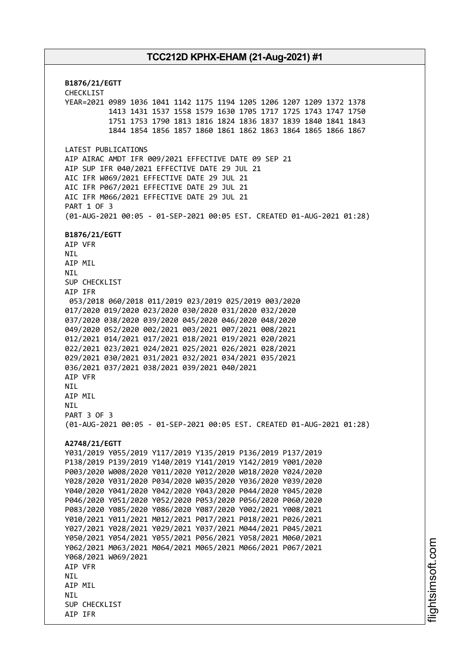**B1876/21/EGTT** CHECKLIST YEAR=2021 0989 1036 1041 1142 1175 1194 1205 1206 1207 1209 1372 1378 1413 1431 1537 1558 1579 1630 1705 1717 1725 1743 1747 1750 1751 1753 1790 1813 1816 1824 1836 1837 1839 1840 1841 1843 1844 1854 1856 1857 1860 1861 1862 1863 1864 1865 1866 1867 LATEST PUBLICATIONS AIP AIRAC AMDT IFR 009/2021 EFFECTIVE DATE 09 SEP 21 AIP SUP IFR 040/2021 EFFECTIVE DATE 29 JUL 21 AIC IFR W069/2021 EFFECTIVE DATE 29 JUL 21 AIC IFR P067/2021 EFFECTIVE DATE 29 JUL 21 AIC IFR M066/2021 EFFECTIVE DATE 29 JUL 21 PART 1 OF 3 (01-AUG-2021 00:05 - 01-SEP-2021 00:05 EST. CREATED 01-AUG-2021 01:28) **B1876/21/EGTT** AIP VFR NIL AIP MIL NIL SUP CHECKLIST AIP IFR 053/2018 060/2018 011/2019 023/2019 025/2019 003/2020 017/2020 019/2020 023/2020 030/2020 031/2020 032/2020 037/2020 038/2020 039/2020 045/2020 046/2020 048/2020 049/2020 052/2020 002/2021 003/2021 007/2021 008/2021 012/2021 014/2021 017/2021 018/2021 019/2021 020/2021 022/2021 023/2021 024/2021 025/2021 026/2021 028/2021 029/2021 030/2021 031/2021 032/2021 034/2021 035/2021 036/2021 037/2021 038/2021 039/2021 040/2021 AIP VFR **NTI** AIP MIL **NTL** PART 3 OF 3 (01-AUG-2021 00:05 - 01-SEP-2021 00:05 EST. CREATED 01-AUG-2021 01:28) **A2748/21/EGTT** Y031/2019 Y055/2019 Y117/2019 Y135/2019 P136/2019 P137/2019 P138/2019 P139/2019 Y140/2019 Y141/2019 Y142/2019 Y001/2020 P003/2020 W008/2020 Y011/2020 Y012/2020 W018/2020 Y024/2020 Y028/2020 Y031/2020 P034/2020 W035/2020 Y036/2020 Y039/2020 Y040/2020 Y041/2020 Y042/2020 Y043/2020 P044/2020 Y045/2020 P046/2020 Y051/2020 Y052/2020 P053/2020 P056/2020 P060/2020 P083/2020 Y085/2020 Y086/2020 Y087/2020 Y002/2021 Y008/2021 Y010/2021 Y011/2021 M012/2021 P017/2021 P018/2021 P026/2021 Y027/2021 Y028/2021 Y029/2021 Y037/2021 M044/2021 P045/2021 Y050/2021 Y054/2021 Y055/2021 P056/2021 Y058/2021 M060/2021 Y062/2021 M063/2021 M064/2021 M065/2021 M066/2021 P067/2021 Y068/2021 W069/2021 AIP VFR **NTI** AIP MIL **NTI** SUP CHECKLIST AIP IFR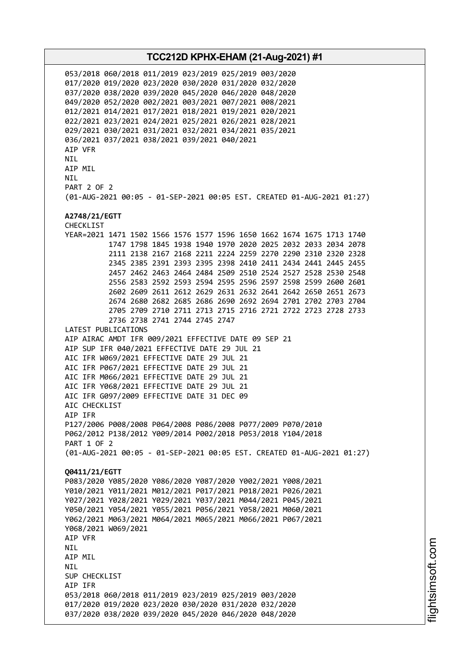053/2018 060/2018 011/2019 023/2019 025/2019 003/2020 017/2020 019/2020 023/2020 030/2020 031/2020 032/2020 037/2020 038/2020 039/2020 045/2020 046/2020 048/2020 049/2020 052/2020 002/2021 003/2021 007/2021 008/2021 012/2021 014/2021 017/2021 018/2021 019/2021 020/2021 022/2021 023/2021 024/2021 025/2021 026/2021 028/2021 029/2021 030/2021 031/2021 032/2021 034/2021 035/2021 036/2021 037/2021 038/2021 039/2021 040/2021 AIP VFR NIL AIP MIL **NTI** PART 2 OF 2 (01-AUG-2021 00:05 - 01-SEP-2021 00:05 EST. CREATED 01-AUG-2021 01:27) **A2748/21/EGTT** CHECKLIST YEAR=2021 1471 1502 1566 1576 1577 1596 1650 1662 1674 1675 1713 1740 1747 1798 1845 1938 1940 1970 2020 2025 2032 2033 2034 2078 2111 2138 2167 2168 2211 2224 2259 2270 2290 2310 2320 2328 2345 2385 2391 2393 2395 2398 2410 2411 2434 2441 2445 2455 2457 2462 2463 2464 2484 2509 2510 2524 2527 2528 2530 2548 2556 2583 2592 2593 2594 2595 2596 2597 2598 2599 2600 2601 2602 2609 2611 2612 2629 2631 2632 2641 2642 2650 2651 2673 2674 2680 2682 2685 2686 2690 2692 2694 2701 2702 2703 2704 2705 2709 2710 2711 2713 2715 2716 2721 2722 2723 2728 2733 2736 2738 2741 2744 2745 2747 LATEST PUBLICATIONS AIP AIRAC AMDT IFR 009/2021 EFFECTIVE DATE 09 SEP 21 AIP SUP IFR 040/2021 EFFECTIVE DATE 29 JUL 21 AIC IFR W069/2021 EFFECTIVE DATE 29 JUL 21 AIC IFR P067/2021 EFFECTIVE DATE 29 JUL 21 AIC IFR M066/2021 EFFECTIVE DATE 29 JUL 21 AIC IFR Y068/2021 EFFECTIVE DATE 29 JUL 21 AIC IFR G097/2009 EFFECTIVE DATE 31 DEC 09 ATC CHECKLIST AIP IFR P127/2006 P008/2008 P064/2008 P086/2008 P077/2009 P070/2010 P062/2012 P138/2012 Y009/2014 P002/2018 P053/2018 Y104/2018 PART 1 OF 2 (01-AUG-2021 00:05 - 01-SEP-2021 00:05 EST. CREATED 01-AUG-2021 01:27) **Q0411/21/EGTT** P083/2020 Y085/2020 Y086/2020 Y087/2020 Y002/2021 Y008/2021 Y010/2021 Y011/2021 M012/2021 P017/2021 P018/2021 P026/2021 Y027/2021 Y028/2021 Y029/2021 Y037/2021 M044/2021 P045/2021 Y050/2021 Y054/2021 Y055/2021 P056/2021 Y058/2021 M060/2021 Y062/2021 M063/2021 M064/2021 M065/2021 M066/2021 P067/2021 Y068/2021 W069/2021 AIP VFR NIL AIP MIL NIL SUP CHECKLIST AIP IFR 053/2018 060/2018 011/2019 023/2019 025/2019 003/2020 017/2020 019/2020 023/2020 030/2020 031/2020 032/2020 037/2020 038/2020 039/2020 045/2020 046/2020 048/2020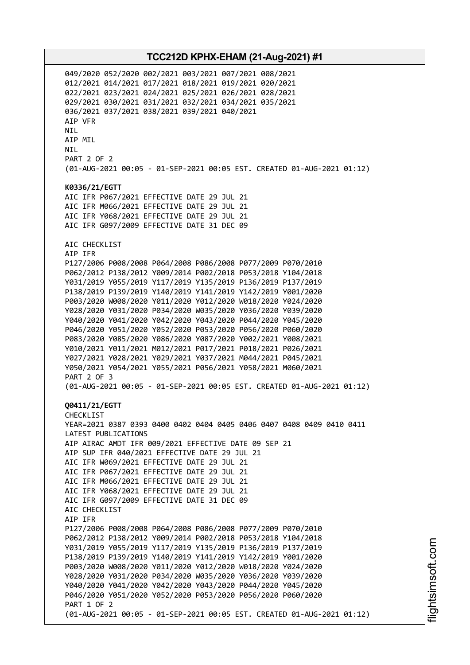049/2020 052/2020 002/2021 003/2021 007/2021 008/2021 012/2021 014/2021 017/2021 018/2021 019/2021 020/2021 022/2021 023/2021 024/2021 025/2021 026/2021 028/2021 029/2021 030/2021 031/2021 032/2021 034/2021 035/2021 036/2021 037/2021 038/2021 039/2021 040/2021 AIP VFR NIL AIP MIL NIL PART 2 OF 2 (01-AUG-2021 00:05 - 01-SEP-2021 00:05 EST. CREATED 01-AUG-2021 01:12) **K0336/21/EGTT** AIC IFR P067/2021 EFFECTIVE DATE 29 JUL 21 AIC IFR M066/2021 EFFECTIVE DATE 29 JUL 21 AIC IFR Y068/2021 EFFECTIVE DATE 29 JUL 21 AIC IFR G097/2009 EFFECTIVE DATE 31 DEC 09 AIC CHECKLIST AIP IFR P127/2006 P008/2008 P064/2008 P086/2008 P077/2009 P070/2010 P062/2012 P138/2012 Y009/2014 P002/2018 P053/2018 Y104/2018 Y031/2019 Y055/2019 Y117/2019 Y135/2019 P136/2019 P137/2019 P138/2019 P139/2019 Y140/2019 Y141/2019 Y142/2019 Y001/2020 P003/2020 W008/2020 Y011/2020 Y012/2020 W018/2020 Y024/2020 Y028/2020 Y031/2020 P034/2020 W035/2020 Y036/2020 Y039/2020 Y040/2020 Y041/2020 Y042/2020 Y043/2020 P044/2020 Y045/2020 P046/2020 Y051/2020 Y052/2020 P053/2020 P056/2020 P060/2020 P083/2020 Y085/2020 Y086/2020 Y087/2020 Y002/2021 Y008/2021 Y010/2021 Y011/2021 M012/2021 P017/2021 P018/2021 P026/2021 Y027/2021 Y028/2021 Y029/2021 Y037/2021 M044/2021 P045/2021 Y050/2021 Y054/2021 Y055/2021 P056/2021 Y058/2021 M060/2021 PART 2 OF 3 (01-AUG-2021 00:05 - 01-SEP-2021 00:05 EST. CREATED 01-AUG-2021 01:12) **Q0411/21/EGTT** CHECKLIST YEAR=2021 0387 0393 0400 0402 0404 0405 0406 0407 0408 0409 0410 0411 LATEST PUBLICATIONS AIP AIRAC AMDT IFR 009/2021 EFFECTIVE DATE 09 SEP 21 AIP SUP IFR 040/2021 EFFECTIVE DATE 29 JUL 21 AIC IFR W069/2021 EFFECTIVE DATE 29 JUL 21 AIC IFR P067/2021 EFFECTIVE DATE 29 JUL 21 AIC IFR M066/2021 EFFECTIVE DATE 29 JUL 21 AIC IFR Y068/2021 EFFECTIVE DATE 29 JUL 21 AIC IFR G097/2009 EFFECTIVE DATE 31 DEC 09 AIC CHECKLIST AIP IFR P127/2006 P008/2008 P064/2008 P086/2008 P077/2009 P070/2010 P062/2012 P138/2012 Y009/2014 P002/2018 P053/2018 Y104/2018 Y031/2019 Y055/2019 Y117/2019 Y135/2019 P136/2019 P137/2019 P138/2019 P139/2019 Y140/2019 Y141/2019 Y142/2019 Y001/2020 P003/2020 W008/2020 Y011/2020 Y012/2020 W018/2020 Y024/2020 Y028/2020 Y031/2020 P034/2020 W035/2020 Y036/2020 Y039/2020 Y040/2020 Y041/2020 Y042/2020 Y043/2020 P044/2020 Y045/2020 P046/2020 Y051/2020 Y052/2020 P053/2020 P056/2020 P060/2020 PART 1 OF 2 (01-AUG-2021 00:05 - 01-SEP-2021 00:05 EST. CREATED 01-AUG-2021 01:12)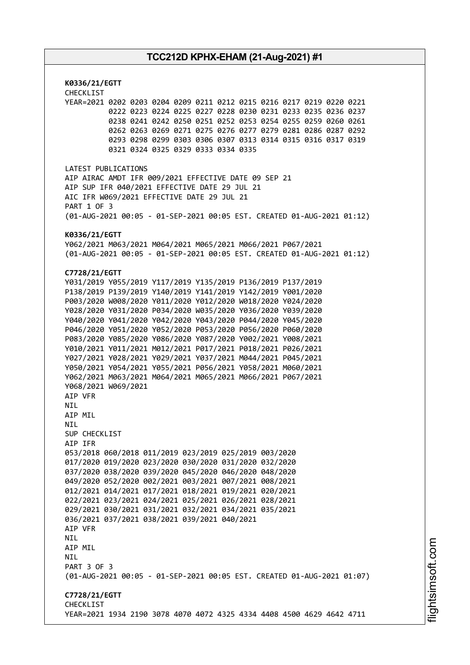**K0336/21/EGTT** CHECKLIST YEAR=2021 0202 0203 0204 0209 0211 0212 0215 0216 0217 0219 0220 0221 0222 0223 0224 0225 0227 0228 0230 0231 0233 0235 0236 0237 0238 0241 0242 0250 0251 0252 0253 0254 0255 0259 0260 0261 0262 0263 0269 0271 0275 0276 0277 0279 0281 0286 0287 0292 0293 0298 0299 0303 0306 0307 0313 0314 0315 0316 0317 0319 0321 0324 0325 0329 0333 0334 0335 LATEST PUBLICATIONS AIP AIRAC AMDT IFR 009/2021 EFFECTIVE DATE 09 SEP 21 AIP SUP IFR 040/2021 EFFECTIVE DATE 29 JUL 21 AIC IFR W069/2021 EFFECTIVE DATE 29 JUL 21 PART 1 OF 3 (01-AUG-2021 00:05 - 01-SEP-2021 00:05 EST. CREATED 01-AUG-2021 01:12) **K0336/21/EGTT** Y062/2021 M063/2021 M064/2021 M065/2021 M066/2021 P067/2021 (01-AUG-2021 00:05 - 01-SEP-2021 00:05 EST. CREATED 01-AUG-2021 01:12) **C7728/21/EGTT** Y031/2019 Y055/2019 Y117/2019 Y135/2019 P136/2019 P137/2019 P138/2019 P139/2019 Y140/2019 Y141/2019 Y142/2019 Y001/2020 P003/2020 W008/2020 Y011/2020 Y012/2020 W018/2020 Y024/2020 Y028/2020 Y031/2020 P034/2020 W035/2020 Y036/2020 Y039/2020 Y040/2020 Y041/2020 Y042/2020 Y043/2020 P044/2020 Y045/2020 P046/2020 Y051/2020 Y052/2020 P053/2020 P056/2020 P060/2020 P083/2020 Y085/2020 Y086/2020 Y087/2020 Y002/2021 Y008/2021 Y010/2021 Y011/2021 M012/2021 P017/2021 P018/2021 P026/2021 Y027/2021 Y028/2021 Y029/2021 Y037/2021 M044/2021 P045/2021 Y050/2021 Y054/2021 Y055/2021 P056/2021 Y058/2021 M060/2021 Y062/2021 M063/2021 M064/2021 M065/2021 M066/2021 P067/2021 Y068/2021 W069/2021 AIP VFR **NTI** AIP MIL **NTI** SUP CHECKLIST AIP IFR 053/2018 060/2018 011/2019 023/2019 025/2019 003/2020 017/2020 019/2020 023/2020 030/2020 031/2020 032/2020 037/2020 038/2020 039/2020 045/2020 046/2020 048/2020 049/2020 052/2020 002/2021 003/2021 007/2021 008/2021 012/2021 014/2021 017/2021 018/2021 019/2021 020/2021 022/2021 023/2021 024/2021 025/2021 026/2021 028/2021 029/2021 030/2021 031/2021 032/2021 034/2021 035/2021 036/2021 037/2021 038/2021 039/2021 040/2021 AIP VFR NIL AIP MIL **NTL** PART 3 OF 3 (01-AUG-2021 00:05 - 01-SEP-2021 00:05 EST. CREATED 01-AUG-2021 01:07) **C7728/21/EGTT** CHECKLIST YEAR=2021 1934 2190 3078 4070 4072 4325 4334 4408 4500 4629 4642 4711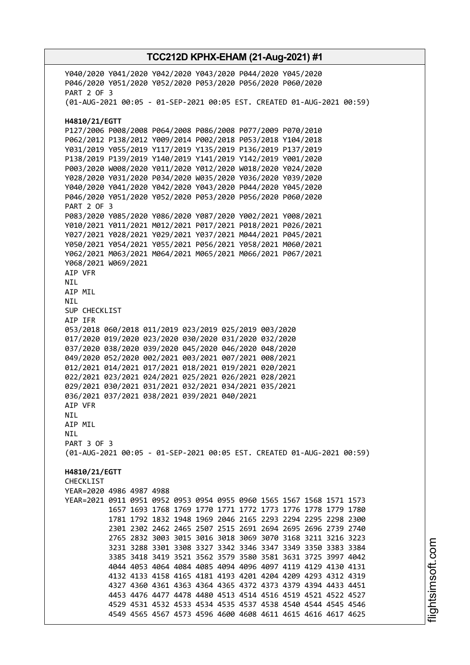Y040/2020 Y041/2020 Y042/2020 Y043/2020 P044/2020 Y045/2020 P046/2020 Y051/2020 Y052/2020 P053/2020 P056/2020 P060/2020 PART 2 OF 3 (01-AUG-2021 00:05 - 01-SEP-2021 00:05 EST. CREATED 01-AUG-2021 00:59) **H4810/21/EGTT** P127/2006 P008/2008 P064/2008 P086/2008 P077/2009 P070/2010 P062/2012 P138/2012 Y009/2014 P002/2018 P053/2018 Y104/2018 Y031/2019 Y055/2019 Y117/2019 Y135/2019 P136/2019 P137/2019 P138/2019 P139/2019 Y140/2019 Y141/2019 Y142/2019 Y001/2020 P003/2020 W008/2020 Y011/2020 Y012/2020 W018/2020 Y024/2020 Y028/2020 Y031/2020 P034/2020 W035/2020 Y036/2020 Y039/2020 Y040/2020 Y041/2020 Y042/2020 Y043/2020 P044/2020 Y045/2020 P046/2020 Y051/2020 Y052/2020 P053/2020 P056/2020 P060/2020 PART 2 OF 3 P083/2020 Y085/2020 Y086/2020 Y087/2020 Y002/2021 Y008/2021 Y010/2021 Y011/2021 M012/2021 P017/2021 P018/2021 P026/2021 Y027/2021 Y028/2021 Y029/2021 Y037/2021 M044/2021 P045/2021 Y050/2021 Y054/2021 Y055/2021 P056/2021 Y058/2021 M060/2021 Y062/2021 M063/2021 M064/2021 M065/2021 M066/2021 P067/2021 Y068/2021 W069/2021 AIP VFR NIL AIP MIL NIL SUP CHECKLIST AIP IFR 053/2018 060/2018 011/2019 023/2019 025/2019 003/2020 017/2020 019/2020 023/2020 030/2020 031/2020 032/2020 037/2020 038/2020 039/2020 045/2020 046/2020 048/2020 049/2020 052/2020 002/2021 003/2021 007/2021 008/2021 012/2021 014/2021 017/2021 018/2021 019/2021 020/2021 022/2021 023/2021 024/2021 025/2021 026/2021 028/2021 029/2021 030/2021 031/2021 032/2021 034/2021 035/2021 036/2021 037/2021 038/2021 039/2021 040/2021 AIP VFR NIL AIP MIL NIL PART 3 OF 3 (01-AUG-2021 00:05 - 01-SEP-2021 00:05 EST. CREATED 01-AUG-2021 00:59) **H4810/21/EGTT CHECKLIST** YEAR=2020 4986 4987 4988 YEAR=2021 0911 0951 0952 0953 0954 0955 0960 1565 1567 1568 1571 1573 1657 1693 1768 1769 1770 1771 1772 1773 1776 1778 1779 1780 1781 1792 1832 1948 1969 2046 2165 2293 2294 2295 2298 2300 2301 2302 2462 2465 2507 2515 2691 2694 2695 2696 2739 2740 2765 2832 3003 3015 3016 3018 3069 3070 3168 3211 3216 3223 3231 3288 3301 3308 3327 3342 3346 3347 3349 3350 3383 3384 3385 3418 3419 3521 3562 3579 3580 3581 3631 3725 3997 4042 4044 4053 4064 4084 4085 4094 4096 4097 4119 4129 4130 4131 4132 4133 4158 4165 4181 4193 4201 4204 4209 4293 4312 4319 4327 4360 4361 4363 4364 4365 4372 4373 4379 4394 4433 4451 4453 4476 4477 4478 4480 4513 4514 4516 4519 4521 4522 4527 4529 4531 4532 4533 4534 4535 4537 4538 4540 4544 4545 4546 4549 4565 4567 4573 4596 4600 4608 4611 4615 4616 4617 4625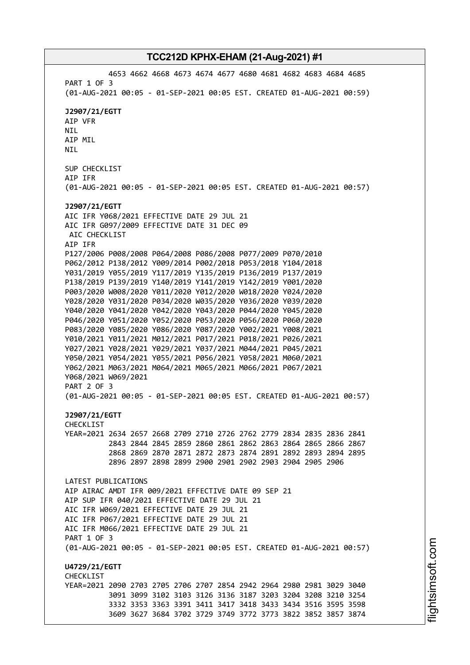4653 4662 4668 4673 4674 4677 4680 4681 4682 4683 4684 4685 PART 1 OF 3 (01-AUG-2021 00:05 - 01-SEP-2021 00:05 EST. CREATED 01-AUG-2021 00:59) **J2907/21/EGTT** AIP VFR NIL AIP MIL NIL SUP CHECKLIST AIP IFR (01-AUG-2021 00:05 - 01-SEP-2021 00:05 EST. CREATED 01-AUG-2021 00:57) **J2907/21/EGTT** AIC IFR Y068/2021 EFFECTIVE DATE 29 JUL 21 AIC IFR G097/2009 EFFECTIVE DATE 31 DEC 09 AIC CHECKLIST AIP IFR P127/2006 P008/2008 P064/2008 P086/2008 P077/2009 P070/2010 P062/2012 P138/2012 Y009/2014 P002/2018 P053/2018 Y104/2018 Y031/2019 Y055/2019 Y117/2019 Y135/2019 P136/2019 P137/2019 P138/2019 P139/2019 Y140/2019 Y141/2019 Y142/2019 Y001/2020 P003/2020 W008/2020 Y011/2020 Y012/2020 W018/2020 Y024/2020 Y028/2020 Y031/2020 P034/2020 W035/2020 Y036/2020 Y039/2020 Y040/2020 Y041/2020 Y042/2020 Y043/2020 P044/2020 Y045/2020 P046/2020 Y051/2020 Y052/2020 P053/2020 P056/2020 P060/2020 P083/2020 Y085/2020 Y086/2020 Y087/2020 Y002/2021 Y008/2021 Y010/2021 Y011/2021 M012/2021 P017/2021 P018/2021 P026/2021 Y027/2021 Y028/2021 Y029/2021 Y037/2021 M044/2021 P045/2021 Y050/2021 Y054/2021 Y055/2021 P056/2021 Y058/2021 M060/2021 Y062/2021 M063/2021 M064/2021 M065/2021 M066/2021 P067/2021 Y068/2021 W069/2021 PART 2 OF 3 (01-AUG-2021 00:05 - 01-SEP-2021 00:05 EST. CREATED 01-AUG-2021 00:57) **J2907/21/EGTT** CHECKLIST YEAR=2021 2634 2657 2668 2709 2710 2726 2762 2779 2834 2835 2836 2841 2843 2844 2845 2859 2860 2861 2862 2863 2864 2865 2866 2867 2868 2869 2870 2871 2872 2873 2874 2891 2892 2893 2894 2895 2896 2897 2898 2899 2900 2901 2902 2903 2904 2905 2906 LATEST PUBLICATIONS AIP AIRAC AMDT IFR 009/2021 EFFECTIVE DATE 09 SEP 21 AIP SUP IFR 040/2021 EFFECTIVE DATE 29 JUL 21 AIC IFR W069/2021 EFFECTIVE DATE 29 JUL 21 AIC IFR P067/2021 EFFECTIVE DATE 29 JUL 21 AIC IFR M066/2021 EFFECTIVE DATE 29 JUL 21 PART 1 OF 3 (01-AUG-2021 00:05 - 01-SEP-2021 00:05 EST. CREATED 01-AUG-2021 00:57) **U4729/21/EGTT CHECKLIST** YEAR=2021 2090 2703 2705 2706 2707 2854 2942 2964 2980 2981 3029 3040 3091 3099 3102 3103 3126 3136 3187 3203 3204 3208 3210 3254 3332 3353 3363 3391 3411 3417 3418 3433 3434 3516 3595 3598 3609 3627 3684 3702 3729 3749 3772 3773 3822 3852 3857 3874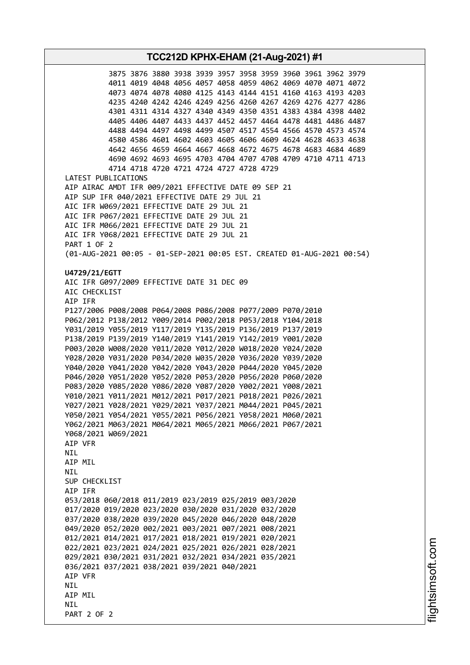## **TCC212D KPHX-EHAM (21-Aug-2021) #1** 3875 3876 3880 3938 3939 3957 3958 3959 3960 3961 3962 3979 4011 4019 4048 4056 4057 4058 4059 4062 4069 4070 4071 4072 4073 4074 4078 4080 4125 4143 4144 4151 4160 4163 4193 4203 4235 4240 4242 4246 4249 4256 4260 4267 4269 4276 4277 4286 4301 4311 4314 4327 4340 4349 4350 4351 4383 4384 4398 4402 4405 4406 4407 4433 4437 4452 4457 4464 4478 4481 4486 4487 4488 4494 4497 4498 4499 4507 4517 4554 4566 4570 4573 4574 4580 4586 4601 4602 4603 4605 4606 4609 4624 4628 4633 4638 4642 4656 4659 4664 4667 4668 4672 4675 4678 4683 4684 4689 4690 4692 4693 4695 4703 4704 4707 4708 4709 4710 4711 4713 4714 4718 4720 4721 4724 4727 4728 4729 LATEST PUBLICATIONS AIP AIRAC AMDT IFR 009/2021 EFFECTIVE DATE 09 SEP 21 AIP SUP IFR 040/2021 EFFECTIVE DATE 29 JUL 21 AIC IFR W069/2021 EFFECTIVE DATE 29 JUL 21 AIC IFR P067/2021 EFFECTIVE DATE 29 JUL 21 AIC IFR M066/2021 EFFECTIVE DATE 29 JUL 21 AIC IFR Y068/2021 EFFECTIVE DATE 29 JUL 21 PART 1 OF 2 (01-AUG-2021 00:05 - 01-SEP-2021 00:05 EST. CREATED 01-AUG-2021 00:54) **U4729/21/EGTT** AIC IFR G097/2009 EFFECTIVE DATE 31 DEC 09 AIC CHECKLIST AIP IFR P127/2006 P008/2008 P064/2008 P086/2008 P077/2009 P070/2010 P062/2012 P138/2012 Y009/2014 P002/2018 P053/2018 Y104/2018 Y031/2019 Y055/2019 Y117/2019 Y135/2019 P136/2019 P137/2019 P138/2019 P139/2019 Y140/2019 Y141/2019 Y142/2019 Y001/2020 P003/2020 W008/2020 Y011/2020 Y012/2020 W018/2020 Y024/2020 Y028/2020 Y031/2020 P034/2020 W035/2020 Y036/2020 Y039/2020 Y040/2020 Y041/2020 Y042/2020 Y043/2020 P044/2020 Y045/2020 P046/2020 Y051/2020 Y052/2020 P053/2020 P056/2020 P060/2020 P083/2020 Y085/2020 Y086/2020 Y087/2020 Y002/2021 Y008/2021 Y010/2021 Y011/2021 M012/2021 P017/2021 P018/2021 P026/2021 Y027/2021 Y028/2021 Y029/2021 Y037/2021 M044/2021 P045/2021 Y050/2021 Y054/2021 Y055/2021 P056/2021 Y058/2021 M060/2021 Y062/2021 M063/2021 M064/2021 M065/2021 M066/2021 P067/2021 Y068/2021 W069/2021 AIP VFR **NTI** AIP MIL NIL SUP CHECKLIST AIP IFR 053/2018 060/2018 011/2019 023/2019 025/2019 003/2020 017/2020 019/2020 023/2020 030/2020 031/2020 032/2020 037/2020 038/2020 039/2020 045/2020 046/2020 048/2020 049/2020 052/2020 002/2021 003/2021 007/2021 008/2021 012/2021 014/2021 017/2021 018/2021 019/2021 020/2021 022/2021 023/2021 024/2021 025/2021 026/2021 028/2021 029/2021 030/2021 031/2021 032/2021 034/2021 035/2021 036/2021 037/2021 038/2021 039/2021 040/2021 AIP VFR **NTI** AIP MIL **NTI** PART 2 OF 2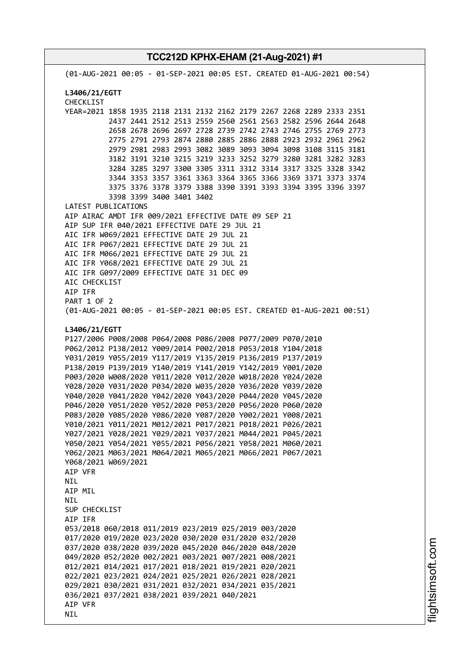(01-AUG-2021 00:05 - 01-SEP-2021 00:05 EST. CREATED 01-AUG-2021 00:54) **L3406/21/EGTT** CHECKLIST YEAR=2021 1858 1935 2118 2131 2132 2162 2179 2267 2268 2289 2333 2351 2437 2441 2512 2513 2559 2560 2561 2563 2582 2596 2644 2648 2658 2678 2696 2697 2728 2739 2742 2743 2746 2755 2769 2773 2775 2791 2793 2874 2880 2885 2886 2888 2923 2932 2961 2962 2979 2981 2983 2993 3082 3089 3093 3094 3098 3108 3115 3181 3182 3191 3210 3215 3219 3233 3252 3279 3280 3281 3282 3283 3284 3285 3297 3300 3305 3311 3312 3314 3317 3325 3328 3342 3344 3353 3357 3361 3363 3364 3365 3366 3369 3371 3373 3374 3375 3376 3378 3379 3388 3390 3391 3393 3394 3395 3396 3397 3398 3399 3400 3401 3402 LATEST PUBLICATIONS AIP AIRAC AMDT IFR 009/2021 EFFECTIVE DATE 09 SEP 21 AIP SUP IFR 040/2021 EFFECTIVE DATE 29 JUL 21 AIC IFR W069/2021 EFFECTIVE DATE 29 JUL 21 AIC IFR P067/2021 EFFECTIVE DATE 29 JUL 21 AIC IFR M066/2021 EFFECTIVE DATE 29 JUL 21 AIC IFR Y068/2021 EFFECTIVE DATE 29 JUL 21 AIC IFR G097/2009 EFFECTIVE DATE 31 DEC 09 AIC CHECKLIST AIP IFR PART 1 OF 2 (01-AUG-2021 00:05 - 01-SEP-2021 00:05 EST. CREATED 01-AUG-2021 00:51) **L3406/21/EGTT** P127/2006 P008/2008 P064/2008 P086/2008 P077/2009 P070/2010 P062/2012 P138/2012 Y009/2014 P002/2018 P053/2018 Y104/2018 Y031/2019 Y055/2019 Y117/2019 Y135/2019 P136/2019 P137/2019 P138/2019 P139/2019 Y140/2019 Y141/2019 Y142/2019 Y001/2020 P003/2020 W008/2020 Y011/2020 Y012/2020 W018/2020 Y024/2020 Y028/2020 Y031/2020 P034/2020 W035/2020 Y036/2020 Y039/2020 Y040/2020 Y041/2020 Y042/2020 Y043/2020 P044/2020 Y045/2020 P046/2020 Y051/2020 Y052/2020 P053/2020 P056/2020 P060/2020 P083/2020 Y085/2020 Y086/2020 Y087/2020 Y002/2021 Y008/2021 Y010/2021 Y011/2021 M012/2021 P017/2021 P018/2021 P026/2021 Y027/2021 Y028/2021 Y029/2021 Y037/2021 M044/2021 P045/2021 Y050/2021 Y054/2021 Y055/2021 P056/2021 Y058/2021 M060/2021 Y062/2021 M063/2021 M064/2021 M065/2021 M066/2021 P067/2021 Y068/2021 W069/2021 AIP VFR NIL AIP MIL **NTI** SUP CHECKLIST AIP IFR 053/2018 060/2018 011/2019 023/2019 025/2019 003/2020 017/2020 019/2020 023/2020 030/2020 031/2020 032/2020 037/2020 038/2020 039/2020 045/2020 046/2020 048/2020 049/2020 052/2020 002/2021 003/2021 007/2021 008/2021 012/2021 014/2021 017/2021 018/2021 019/2021 020/2021 022/2021 023/2021 024/2021 025/2021 026/2021 028/2021 029/2021 030/2021 031/2021 032/2021 034/2021 035/2021 036/2021 037/2021 038/2021 039/2021 040/2021 AIP VFR **NTL**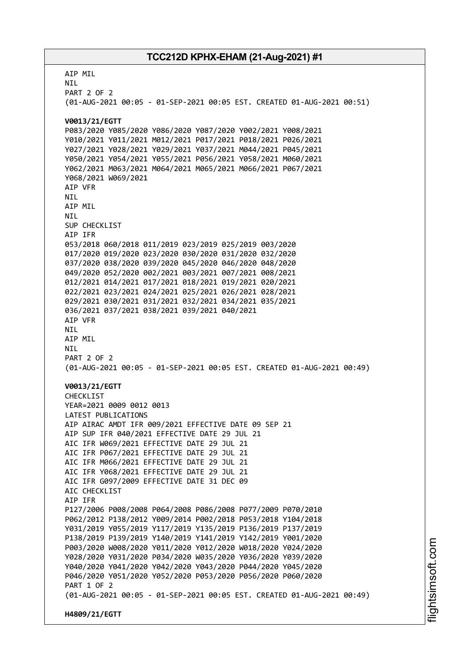AIP MIL NIL PART 2 OF 2 (01-AUG-2021 00:05 - 01-SEP-2021 00:05 EST. CREATED 01-AUG-2021 00:51) **V0013/21/EGTT** P083/2020 Y085/2020 Y086/2020 Y087/2020 Y002/2021 Y008/2021 Y010/2021 Y011/2021 M012/2021 P017/2021 P018/2021 P026/2021 Y027/2021 Y028/2021 Y029/2021 Y037/2021 M044/2021 P045/2021 Y050/2021 Y054/2021 Y055/2021 P056/2021 Y058/2021 M060/2021 Y062/2021 M063/2021 M064/2021 M065/2021 M066/2021 P067/2021 Y068/2021 W069/2021 AIP VFR NIL AIP MIL NIL SUP CHECKLIST AIP IFR 053/2018 060/2018 011/2019 023/2019 025/2019 003/2020 017/2020 019/2020 023/2020 030/2020 031/2020 032/2020 037/2020 038/2020 039/2020 045/2020 046/2020 048/2020 049/2020 052/2020 002/2021 003/2021 007/2021 008/2021 012/2021 014/2021 017/2021 018/2021 019/2021 020/2021 022/2021 023/2021 024/2021 025/2021 026/2021 028/2021 029/2021 030/2021 031/2021 032/2021 034/2021 035/2021 036/2021 037/2021 038/2021 039/2021 040/2021 AIP VFR NIL AIP MIL NIL PART 2 OF 2 (01-AUG-2021 00:05 - 01-SEP-2021 00:05 EST. CREATED 01-AUG-2021 00:49) **V0013/21/EGTT** CHECKLIST YEAR=2021 0009 0012 0013 LATEST PUBLICATIONS AIP AIRAC AMDT IFR 009/2021 EFFECTIVE DATE 09 SEP 21 AIP SUP IFR 040/2021 EFFECTIVE DATE 29 JUL 21 AIC IFR W069/2021 EFFECTIVE DATE 29 JUL 21 AIC IFR P067/2021 EFFECTIVE DATE 29 JUL 21 AIC IFR M066/2021 EFFECTIVE DATE 29 JUL 21 AIC IFR Y068/2021 EFFECTIVE DATE 29 JUL 21 AIC IFR G097/2009 EFFECTIVE DATE 31 DEC 09 ATC CHECKLIST AIP IFR P127/2006 P008/2008 P064/2008 P086/2008 P077/2009 P070/2010 P062/2012 P138/2012 Y009/2014 P002/2018 P053/2018 Y104/2018 Y031/2019 Y055/2019 Y117/2019 Y135/2019 P136/2019 P137/2019 P138/2019 P139/2019 Y140/2019 Y141/2019 Y142/2019 Y001/2020 P003/2020 W008/2020 Y011/2020 Y012/2020 W018/2020 Y024/2020 Y028/2020 Y031/2020 P034/2020 W035/2020 Y036/2020 Y039/2020 Y040/2020 Y041/2020 Y042/2020 Y043/2020 P044/2020 Y045/2020 P046/2020 Y051/2020 Y052/2020 P053/2020 P056/2020 P060/2020 PART 1 OF 2 (01-AUG-2021 00:05 - 01-SEP-2021 00:05 EST. CREATED 01-AUG-2021 00:49) **H4809/21/EGTT**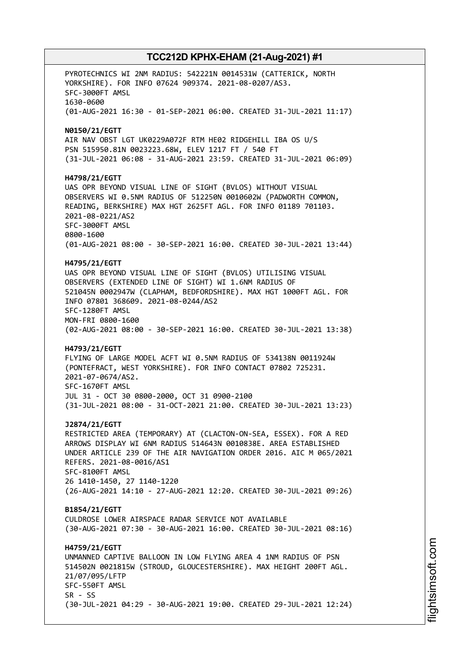PYROTECHNICS WI 2NM RADIUS: 542221N 0014531W (CATTERICK, NORTH YORKSHIRE). FOR INFO 07624 909374. 2021-08-0207/AS3. SFC-3000FT AMSL 1630-0600 (01-AUG-2021 16:30 - 01-SEP-2021 06:00. CREATED 31-JUL-2021 11:17) **N0150/21/EGTT** AIR NAV OBST LGT UK0229A072F RTM HE02 RIDGEHILL IBA OS U/S PSN 515950.81N 0023223.68W, ELEV 1217 FT / 540 FT (31-JUL-2021 06:08 - 31-AUG-2021 23:59. CREATED 31-JUL-2021 06:09) **H4798/21/EGTT** UAS OPR BEYOND VISUAL LINE OF SIGHT (BVLOS) WITHOUT VISUAL OBSERVERS WI 0.5NM RADIUS OF 512250N 0010602W (PADWORTH COMMON, READING, BERKSHIRE) MAX HGT 2625FT AGL. FOR INFO 01189 701103. 2021-08-0221/AS2 SFC-3000FT AMSL 0800-1600 (01-AUG-2021 08:00 - 30-SEP-2021 16:00. CREATED 30-JUL-2021 13:44) **H4795/21/EGTT** UAS OPR BEYOND VISUAL LINE OF SIGHT (BVLOS) UTILISING VISUAL OBSERVERS (EXTENDED LINE OF SIGHT) WI 1.6NM RADIUS OF 521045N 0002947W (CLAPHAM, BEDFORDSHIRE). MAX HGT 1000FT AGL. FOR INFO 07801 368609. 2021-08-0244/AS2 SFC-1280FT AMSL MON-FRI 0800-1600 (02-AUG-2021 08:00 - 30-SEP-2021 16:00. CREATED 30-JUL-2021 13:38) **H4793/21/EGTT** FLYING OF LARGE MODEL ACFT WI 0.5NM RADIUS OF 534138N 0011924W (PONTEFRACT, WEST YORKSHIRE). FOR INFO CONTACT 07802 725231. 2021-07-0674/AS2. SFC-1670FT AMSL JUL 31 - OCT 30 0800-2000, OCT 31 0900-2100 (31-JUL-2021 08:00 - 31-OCT-2021 21:00. CREATED 30-JUL-2021 13:23) **J2874/21/EGTT** RESTRICTED AREA (TEMPORARY) AT (CLACTON-ON-SEA, ESSEX). FOR A RED ARROWS DISPLAY WI 6NM RADIUS 514643N 0010838E. AREA ESTABLISHED UNDER ARTICLE 239 OF THE AIR NAVIGATION ORDER 2016. AIC M 065/2021 REFERS. 2021-08-0016/AS1 SFC-8100FT AMSL 26 1410-1450, 27 1140-1220 (26-AUG-2021 14:10 - 27-AUG-2021 12:20. CREATED 30-JUL-2021 09:26) **B1854/21/EGTT** CULDROSE LOWER AIRSPACE RADAR SERVICE NOT AVAILABLE (30-AUG-2021 07:30 - 30-AUG-2021 16:00. CREATED 30-JUL-2021 08:16) **H4759/21/EGTT** UNMANNED CAPTIVE BALLOON IN LOW FLYING AREA 4 1NM RADIUS OF PSN 514502N 0021815W (STROUD, GLOUCESTERSHIRE). MAX HEIGHT 200FT AGL. 21/07/095/LFTP SFC-550FT AMSL  $SR - SS$ (30-JUL-2021 04:29 - 30-AUG-2021 19:00. CREATED 29-JUL-2021 12:24)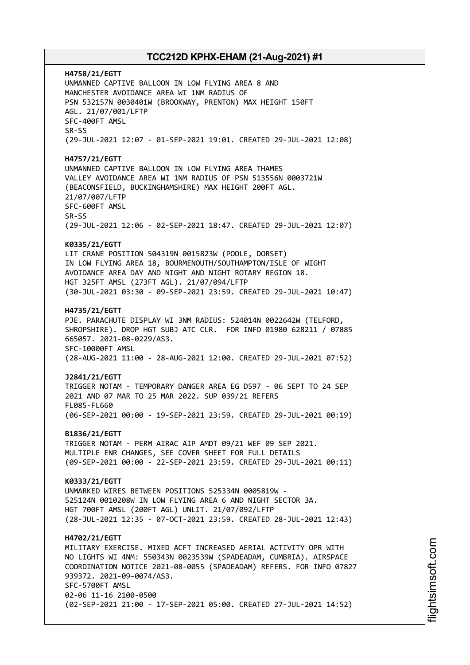**H4758/21/EGTT** UNMANNED CAPTIVE BALLOON IN LOW FLYING AREA 8 AND MANCHESTER AVOIDANCE AREA WI 1NM RADIUS OF PSN 532157N 0030401W (BROOKWAY, PRENTON) MAX HEIGHT 150FT AGL. 21/07/001/LFTP SFC-400FT AMSL SR-SS (29-JUL-2021 12:07 - 01-SEP-2021 19:01. CREATED 29-JUL-2021 12:08) **H4757/21/EGTT** UNMANNED CAPTIVE BALLOON IN LOW FLYING AREA THAMES VALLEY AVOIDANCE AREA WI 1NM RADIUS OF PSN 513556N 0003721W (BEACONSFIELD, BUCKINGHAMSHIRE) MAX HEIGHT 200FT AGL. 21/07/007/LFTP SFC-600FT AMSL SR-SS (29-JUL-2021 12:06 - 02-SEP-2021 18:47. CREATED 29-JUL-2021 12:07) **K0335/21/EGTT** LIT CRANE POSITION 504319N 0015823W (POOLE, DORSET) IN LOW FLYING AREA 18, BOURMENOUTH/SOUTHAMPTON/ISLE OF WIGHT AVOIDANCE AREA DAY AND NIGHT AND NIGHT ROTARY REGION 18. HGT 325FT AMSL (273FT AGL). 21/07/094/LFTP (30-JUL-2021 03:30 - 09-SEP-2021 23:59. CREATED 29-JUL-2021 10:47) **H4735/21/EGTT** PJE. PARACHUTE DISPLAY WI 3NM RADIUS: 524014N 0022642W (TELFORD, SHROPSHIRE). DROP HGT SUBJ ATC CLR. FOR INFO 01980 628211 / 07885 665057. 2021-08-0229/AS3. SFC-10000FT AMSL (28-AUG-2021 11:00 - 28-AUG-2021 12:00. CREATED 29-JUL-2021 07:52) **J2841/21/EGTT** TRIGGER NOTAM - TEMPORARY DANGER AREA EG D597 - 06 SEPT TO 24 SEP 2021 AND 07 MAR TO 25 MAR 2022. SUP 039/21 REFERS FL085-FL660 (06-SEP-2021 00:00 - 19-SEP-2021 23:59. CREATED 29-JUL-2021 00:19) **B1836/21/EGTT** TRIGGER NOTAM - PERM AIRAC AIP AMDT 09/21 WEF 09 SEP 2021. MULTIPLE ENR CHANGES, SEE COVER SHEET FOR FULL DETAILS (09-SEP-2021 00:00 - 22-SEP-2021 23:59. CREATED 29-JUL-2021 00:11) **K0333/21/EGTT** UNMARKED WIRES BETWEEN POSITIONS 525334N 0005819W - 525124N 0010208W IN LOW FLYING AREA 6 AND NIGHT SECTOR 3A. HGT 700FT AMSL (200FT AGL) UNLIT. 21/07/092/LFTP (28-JUL-2021 12:35 - 07-OCT-2021 23:59. CREATED 28-JUL-2021 12:43) **H4702/21/EGTT** MILITARY EXERCISE. MIXED ACFT INCREASED AERIAL ACTIVITY OPR WITH NO LIGHTS WI 4NM: 550343N 0023539W (SPADEADAM, CUMBRIA). AIRSPACE COORDINATION NOTICE 2021-08-0055 (SPADEADAM) REFERS. FOR INFO 07827 939372. 2021-09-0074/AS3. SFC-5700FT AMSL 02-06 11-16 2100-0500 (02-SEP-2021 21:00 - 17-SEP-2021 05:00. CREATED 27-JUL-2021 14:52)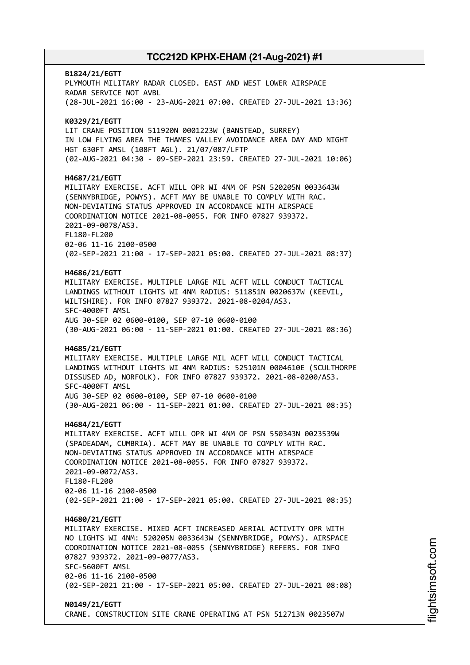# **B1824/21/EGTT** PLYMOUTH MILITARY RADAR CLOSED. EAST AND WEST LOWER AIRSPACE RADAR SERVICE NOT AVBL (28-JUL-2021 16:00 - 23-AUG-2021 07:00. CREATED 27-JUL-2021 13:36) **K0329/21/EGTT** LIT CRANE POSITION 511920N 0001223W (BANSTEAD, SURREY) IN LOW FLYING AREA THE THAMES VALLEY AVOIDANCE AREA DAY AND NIGHT HGT 630FT AMSL (108FT AGL). 21/07/087/LFTP (02-AUG-2021 04:30 - 09-SEP-2021 23:59. CREATED 27-JUL-2021 10:06) **H4687/21/EGTT** MILITARY EXERCISE. ACFT WILL OPR WI 4NM OF PSN 520205N 0033643W (SENNYBRIDGE, POWYS). ACFT MAY BE UNABLE TO COMPLY WITH RAC. NON-DEVIATING STATUS APPROVED IN ACCORDANCE WITH AIRSPACE COORDINATION NOTICE 2021-08-0055. FOR INFO 07827 939372. 2021-09-0078/AS3. FL180-FL200 02-06 11-16 2100-0500 (02-SEP-2021 21:00 - 17-SEP-2021 05:00. CREATED 27-JUL-2021 08:37) **H4686/21/EGTT** MILITARY EXERCISE. MULTIPLE LARGE MIL ACFT WILL CONDUCT TACTICAL LANDINGS WITHOUT LIGHTS WI 4NM RADIUS: 511851N 0020637W (KEEVIL, WILTSHIRE). FOR INFO 07827 939372. 2021-08-0204/AS3. SFC-4000FT AMSL AUG 30-SEP 02 0600-0100, SEP 07-10 0600-0100 (30-AUG-2021 06:00 - 11-SEP-2021 01:00. CREATED 27-JUL-2021 08:36) **H4685/21/EGTT** MILITARY EXERCISE. MULTIPLE LARGE MIL ACFT WILL CONDUCT TACTICAL LANDINGS WITHOUT LIGHTS WI 4NM RADIUS: 525101N 0004610E (SCULTHORPE DISSUSED AD, NORFOLK). FOR INFO 07827 939372. 2021-08-0200/AS3. SFC-4000FT AMSL AUG 30-SEP 02 0600-0100, SEP 07-10 0600-0100 (30-AUG-2021 06:00 - 11-SEP-2021 01:00. CREATED 27-JUL-2021 08:35) **H4684/21/EGTT** MILITARY EXERCISE. ACFT WILL OPR WI 4NM OF PSN 550343N 0023539W (SPADEADAM, CUMBRIA). ACFT MAY BE UNABLE TO COMPLY WITH RAC. NON-DEVIATING STATUS APPROVED IN ACCORDANCE WITH AIRSPACE COORDINATION NOTICE 2021-08-0055. FOR INFO 07827 939372. 2021-09-0072/AS3. FL180-FL200 02-06 11-16 2100-0500 (02-SEP-2021 21:00 - 17-SEP-2021 05:00. CREATED 27-JUL-2021 08:35) **H4680/21/EGTT** MILITARY EXERCISE. MIXED ACFT INCREASED AERIAL ACTIVITY OPR WITH NO LIGHTS WI 4NM: 520205N 0033643W (SENNYBRIDGE, POWYS). AIRSPACE COORDINATION NOTICE 2021-08-0055 (SENNYBRIDGE) REFERS. FOR INFO 07827 939372. 2021-09-0077/AS3. SFC-5600FT AMSL 02-06 11-16 2100-0500 (02-SEP-2021 21:00 - 17-SEP-2021 05:00. CREATED 27-JUL-2021 08:08) **N0149/21/EGTT**

CRANE. CONSTRUCTION SITE CRANE OPERATING AT PSN 512713N 0023507W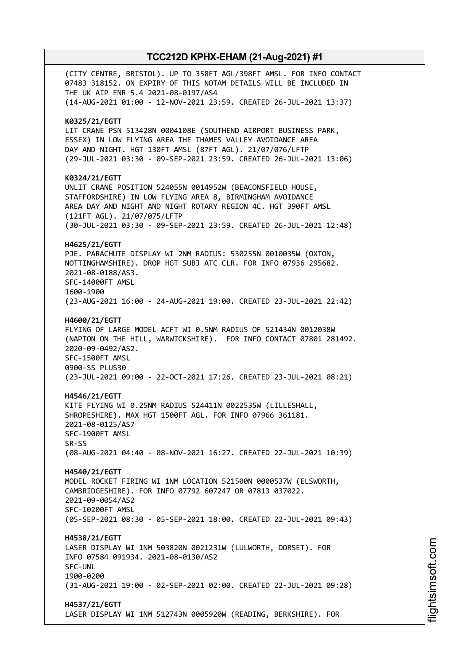(CITY CENTRE, BRISTOL). UP TO 358FT AGL/398FT AMSL. FOR INFO CONTACT 07483 318152. ON EXPIRY OF THIS NOTAM DETAILS WILL BE INCLUDED IN THE UK AIP ENR 5.4 2021-08-0197/AS4 (14-AUG-2021 01:00 - 12-NOV-2021 23:59. CREATED 26-JUL-2021 13:37) **K0325/21/EGTT** LIT CRANE PSN 513428N 0004108E (SOUTHEND AIRPORT BUSINESS PARK, ESSEX) IN LOW FLYING AREA THE THAMES VALLEY AVOIDANCE AREA DAY AND NIGHT. HGT 130FT AMSL (87FT AGL). 21/07/076/LFTP (29-JUL-2021 03:30 - 09-SEP-2021 23:59. CREATED 26-JUL-2021 13:06) **K0324/21/EGTT** UNLIT CRANE POSITION 524055N 0014952W (BEACONSFIELD HOUSE, STAFFORDSHIRE) IN LOW FLYING AREA 8, BIRMINGHAM AVOIDANCE AREA DAY AND NIGHT AND NIGHT ROTARY REGION 4C. HGT 390FT AMSL (121FT AGL). 21/07/075/LFTP (30-JUL-2021 03:30 - 09-SEP-2021 23:59. CREATED 26-JUL-2021 12:48) **H4625/21/EGTT** PJE. PARACHUTE DISPLAY WI 2NM RADIUS: 530255N 0010035W (OXTON, NOTTINGHAMSHIRE). DROP HGT SUBJ ATC CLR. FOR INFO 07936 295682. 2021-08-0188/AS3. SFC-14000FT AMSL 1600-1900 (23-AUG-2021 16:00 - 24-AUG-2021 19:00. CREATED 23-JUL-2021 22:42) **H4600/21/EGTT** FLYING OF LARGE MODEL ACFT WI 0.5NM RADIUS OF 521434N 0012038W (NAPTON ON THE HILL, WARWICKSHIRE). FOR INFO CONTACT 07801 281492. 2020-09-0492/AS2. SFC-1500FT AMSL 0900-SS PLUS30 (23-JUL-2021 09:00 - 22-OCT-2021 17:26. CREATED 23-JUL-2021 08:21) **H4546/21/EGTT** KITE FLYING WI 0.25NM RADIUS 524411N 0022535W (LILLESHALL, SHROPESHIRE). MAX HGT 1500FT AGL. FOR INFO 07966 361181. 2021-08-0125/AS7 SFC-1900FT AMSL SR-SS (08-AUG-2021 04:40 - 08-NOV-2021 16:27. CREATED 22-JUL-2021 10:39) **H4540/21/EGTT** MODEL ROCKET FIRING WI 1NM LOCATION 521500N 0000537W (ELSWORTH, CAMBRIDGESHIRE). FOR INFO 07792 607247 OR 07813 037022. 2021-09-0054/AS2 SFC-10200FT AMSL (05-SEP-2021 08:30 - 05-SEP-2021 18:00. CREATED 22-JUL-2021 09:43) **H4538/21/EGTT** LASER DISPLAY WI 1NM 503820N 0021231W (LULWORTH, DORSET). FOR INFO 07584 091934. 2021-08-0130/AS2 SFC-UNL 1900-0200 (31-AUG-2021 19:00 - 02-SEP-2021 02:00. CREATED 22-JUL-2021 09:28) **H4537/21/EGTT** LASER DISPLAY WI 1NM 512743N 0005920W (READING, BERKSHIRE). FOR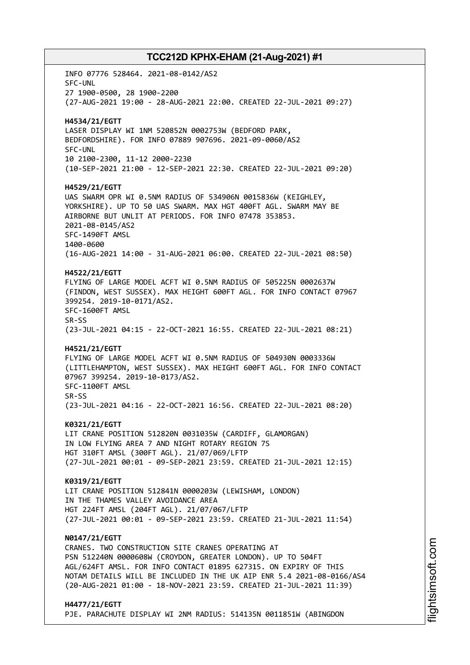INFO 07776 528464. 2021-08-0142/AS2 SFC-UNL 27 1900-0500, 28 1900-2200 (27-AUG-2021 19:00 - 28-AUG-2021 22:00. CREATED 22-JUL-2021 09:27) **H4534/21/EGTT** LASER DISPLAY WI 1NM 520852N 0002753W (BEDFORD PARK, BEDFORDSHIRE). FOR INFO 07889 907696. 2021-09-0060/AS2 SFC-UNL 10 2100-2300, 11-12 2000-2230 (10-SEP-2021 21:00 - 12-SEP-2021 22:30. CREATED 22-JUL-2021 09:20) **H4529/21/EGTT** UAS SWARM OPR WI 0.5NM RADIUS OF 534906N 0015836W (KEIGHLEY, YORKSHIRE). UP TO 50 UAS SWARM. MAX HGT 400FT AGL. SWARM MAY BE AIRBORNE BUT UNLIT AT PERIODS. FOR INFO 07478 353853. 2021-08-0145/AS2 SFC-1490FT AMSL 1400-0600 (16-AUG-2021 14:00 - 31-AUG-2021 06:00. CREATED 22-JUL-2021 08:50) **H4522/21/EGTT** FLYING OF LARGE MODEL ACFT WI 0.5NM RADIUS OF 505225N 0002637W (FINDON, WEST SUSSEX). MAX HEIGHT 600FT AGL. FOR INFO CONTACT 07967 399254. 2019-10-0171/AS2. SFC-1600FT AMSL SR-SS (23-JUL-2021 04:15 - 22-OCT-2021 16:55. CREATED 22-JUL-2021 08:21) **H4521/21/EGTT** FLYING OF LARGE MODEL ACFT WI 0.5NM RADIUS OF 504930N 0003336W (LITTLEHAMPTON, WEST SUSSEX). MAX HEIGHT 600FT AGL. FOR INFO CONTACT 07967 399254. 2019-10-0173/AS2. SFC-1100FT AMSL SR-SS (23-JUL-2021 04:16 - 22-OCT-2021 16:56. CREATED 22-JUL-2021 08:20) **K0321/21/EGTT** LIT CRANE POSITION 512820N 0031035W (CARDIFF, GLAMORGAN) IN LOW FLYING AREA 7 AND NIGHT ROTARY REGION 7S HGT 310FT AMSL (300FT AGL). 21/07/069/LFTP (27-JUL-2021 00:01 - 09-SEP-2021 23:59. CREATED 21-JUL-2021 12:15) **K0319/21/EGTT** LIT CRANE POSITION 512841N 0000203W (LEWISHAM, LONDON) IN THE THAMES VALLEY AVOIDANCE AREA HGT 224FT AMSL (204FT AGL). 21/07/067/LFTP (27-JUL-2021 00:01 - 09-SEP-2021 23:59. CREATED 21-JUL-2021 11:54) **N0147/21/EGTT** CRANES. TWO CONSTRUCTION SITE CRANES OPERATING AT PSN 512240N 0000608W (CROYDON, GREATER LONDON). UP TO 504FT AGL/624FT AMSL. FOR INFO CONTACT 01895 627315. ON EXPIRY OF THIS NOTAM DETAILS WILL BE INCLUDED IN THE UK AIP ENR 5.4 2021-08-0166/AS4 (20-AUG-2021 01:00 - 18-NOV-2021 23:59. CREATED 21-JUL-2021 11:39) **H4477/21/EGTT**

PJE. PARACHUTE DISPLAY WI 2NM RADIUS: 514135N 0011851W (ABINGDON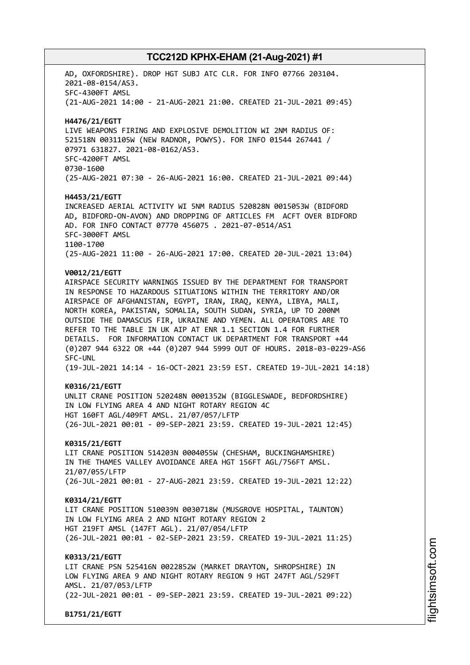AD, OXFORDSHIRE). DROP HGT SUBJ ATC CLR. FOR INFO 07766 203104. 2021-08-0154/AS3. SFC-4300FT AMSL (21-AUG-2021 14:00 - 21-AUG-2021 21:00. CREATED 21-JUL-2021 09:45) **H4476/21/EGTT** LIVE WEAPONS FIRING AND EXPLOSIVE DEMOLITION WI 2NM RADIUS OF: 521518N 0031105W (NEW RADNOR, POWYS). FOR INFO 01544 267441 / 07971 631827. 2021-08-0162/AS3. SFC-4200FT AMSL 0730-1600 (25-AUG-2021 07:30 - 26-AUG-2021 16:00. CREATED 21-JUL-2021 09:44) **H4453/21/EGTT** INCREASED AERIAL ACTIVITY WI 5NM RADIUS 520828N 0015053W (BIDFORD AD, BIDFORD-ON-AVON) AND DROPPING OF ARTICLES FM ACFT OVER BIDFORD AD. FOR INFO CONTACT 07770 456075 . 2021-07-0514/AS1 SFC-3000FT AMSL 1100-1700 (25-AUG-2021 11:00 - 26-AUG-2021 17:00. CREATED 20-JUL-2021 13:04) **V0012/21/EGTT** AIRSPACE SECURITY WARNINGS ISSUED BY THE DEPARTMENT FOR TRANSPORT IN RESPONSE TO HAZARDOUS SITUATIONS WITHIN THE TERRITORY AND/OR AIRSPACE OF AFGHANISTAN, EGYPT, IRAN, IRAQ, KENYA, LIBYA, MALI, NORTH KOREA, PAKISTAN, SOMALIA, SOUTH SUDAN, SYRIA, UP TO 200NM OUTSIDE THE DAMASCUS FIR, UKRAINE AND YEMEN. ALL OPERATORS ARE TO REFER TO THE TABLE IN UK AIP AT ENR 1.1 SECTION 1.4 FOR FURTHER DETAILS. FOR INFORMATION CONTACT UK DEPARTMENT FOR TRANSPORT +44 (0)207 944 6322 OR +44 (0)207 944 5999 OUT OF HOURS. 2018-03-0229-AS6 SFC-UNL (19-JUL-2021 14:14 - 16-OCT-2021 23:59 EST. CREATED 19-JUL-2021 14:18) **K0316/21/EGTT** UNLIT CRANE POSITION 520248N 0001352W (BIGGLESWADE, BEDFORDSHIRE) IN LOW FLYING AREA 4 AND NIGHT ROTARY REGION 4C HGT 160FT AGL/409FT AMSL. 21/07/057/LFTP (26-JUL-2021 00:01 - 09-SEP-2021 23:59. CREATED 19-JUL-2021 12:45) **K0315/21/EGTT** LIT CRANE POSITION 514203N 0004055W (CHESHAM, BUCKINGHAMSHIRE) IN THE THAMES VALLEY AVOIDANCE AREA HGT 156FT AGL/756FT AMSL. 21/07/055/LFTP (26-JUL-2021 00:01 - 27-AUG-2021 23:59. CREATED 19-JUL-2021 12:22) **K0314/21/EGTT** LIT CRANE POSITION 510039N 0030718W (MUSGROVE HOSPITAL, TAUNTON) IN LOW FLYING AREA 2 AND NIGHT ROTARY REGION 2 HGT 219FT AMSL (147FT AGL). 21/07/054/LFTP (26-JUL-2021 00:01 - 02-SEP-2021 23:59. CREATED 19-JUL-2021 11:25) **K0313/21/EGTT** LIT CRANE PSN 525416N 0022852W (MARKET DRAYTON, SHROPSHIRE) IN LOW FLYING AREA 9 AND NIGHT ROTARY REGION 9 HGT 247FT AGL/529FT AMSL. 21/07/053/LFTP (22-JUL-2021 00:01 - 09-SEP-2021 23:59. CREATED 19-JUL-2021 09:22) **B1751/21/EGTT**

i⊒<br>⊫ htsim soft.c om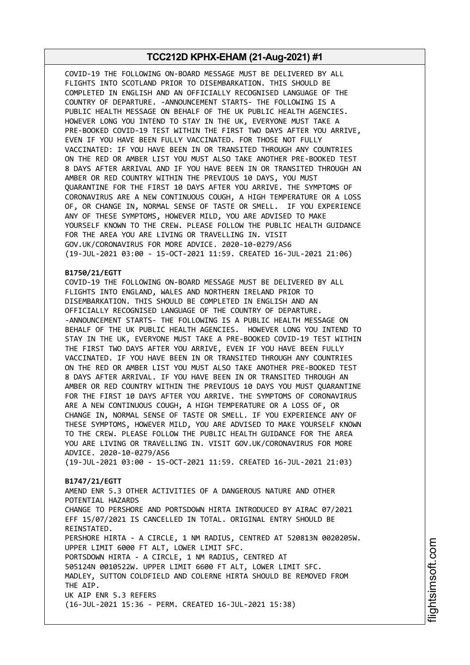COVID-19 THE FOLLOWING ON-BOARD MESSAGE MUST BE DELIVERED BY ALL FLIGHTS INTO SCOTLAND PRIOR TO DISEMBARKATION. THIS SHOULD BE COMPLETED IN ENGLISH AND AN OFFICIALLY RECOGNISED LANGUAGE OF THE COUNTRY OF DEPARTURE. -ANNOUNCEMENT STARTS- THE FOLLOWING IS A PUBLIC HEALTH MESSAGE ON BEHALF OF THE UK PUBLIC HEALTH AGENCIES. HOWEVER LONG YOU INTEND TO STAY IN THE UK, EVERYONE MUST TAKE A PRE-BOOKED COVID-19 TEST WITHIN THE FIRST TWO DAYS AFTER YOU ARRIVE, EVEN IF YOU HAVE BEEN FULLY VACCINATED. FOR THOSE NOT FULLY VACCINATED: IF YOU HAVE BEEN IN OR TRANSITED THROUGH ANY COUNTRIES ON THE RED OR AMBER LIST YOU MUST ALSO TAKE ANOTHER PRE-BOOKED TEST 8 DAYS AFTER ARRIVAL AND IF YOU HAVE BEEN IN OR TRANSITED THROUGH AN AMBER OR RED COUNTRY WITHIN THE PREVIOUS 10 DAYS, YOU MUST QUARANTINE FOR THE FIRST 10 DAYS AFTER YOU ARRIVE. THE SYMPTOMS OF CORONAVIRUS ARE A NEW CONTINUOUS COUGH, A HIGH TEMPERATURE OR A LOSS OF, OR CHANGE IN, NORMAL SENSE OF TASTE OR SMELL. IF YOU EXPERIENCE ANY OF THESE SYMPTOMS, HOWEVER MILD, YOU ARE ADVISED TO MAKE YOURSELF KNOWN TO THE CREW. PLEASE FOLLOW THE PUBLIC HEALTH GUIDANCE FOR THE AREA YOU ARE LIVING OR TRAVELLING IN. VISIT GOV.UK/CORONAVIRUS FOR MORE ADVICE. 2020-10-0279/AS6 (19-JUL-2021 03:00 - 15-OCT-2021 11:59. CREATED 16-JUL-2021 21:06)

### **B1750/21/EGTT**

COVID-19 THE FOLLOWING ON-BOARD MESSAGE MUST BE DELIVERED BY ALL FLIGHTS INTO ENGLAND, WALES AND NORTHERN IRELAND PRIOR TO DISEMBARKATION. THIS SHOULD BE COMPLETED IN ENGLISH AND AN OFFICIALLY RECOGNISED LANGUAGE OF THE COUNTRY OF DEPARTURE. -ANNOUNCEMENT STARTS- THE FOLLOWING IS A PUBLIC HEALTH MESSAGE ON BEHALF OF THE UK PUBLIC HEALTH AGENCIES. HOWEVER LONG YOU INTEND TO STAY IN THE UK, EVERYONE MUST TAKE A PRE-BOOKED COVID-19 TEST WITHIN THE FIRST TWO DAYS AFTER YOU ARRIVE, EVEN IF YOU HAVE BEEN FULLY VACCINATED. IF YOU HAVE BEEN IN OR TRANSITED THROUGH ANY COUNTRIES ON THE RED OR AMBER LIST YOU MUST ALSO TAKE ANOTHER PRE-BOOKED TEST 8 DAYS AFTER ARRIVAL. IF YOU HAVE BEEN IN OR TRANSITED THROUGH AN AMBER OR RED COUNTRY WITHIN THE PREVIOUS 10 DAYS YOU MUST QUARANTINE FOR THE FIRST 10 DAYS AFTER YOU ARRIVE. THE SYMPTOMS OF CORONAVIRUS ARE A NEW CONTINUOUS COUGH, A HIGH TEMPERATURE OR A LOSS OF, OR CHANGE IN, NORMAL SENSE OF TASTE OR SMELL. IF YOU EXPERIENCE ANY OF THESE SYMPTOMS, HOWEVER MILD, YOU ARE ADVISED TO MAKE YOURSELF KNOWN TO THE CREW. PLEASE FOLLOW THE PUBLIC HEALTH GUIDANCE FOR THE AREA YOU ARE LIVING OR TRAVELLING IN. VISIT GOV.UK/CORONAVIRUS FOR MORE ADVICE. 2020-10-0279/AS6

(19-JUL-2021 03:00 - 15-OCT-2021 11:59. CREATED 16-JUL-2021 21:03)

#### **B1747/21/EGTT**

AMEND ENR 5.3 OTHER ACTIVITIES OF A DANGEROUS NATURE AND OTHER POTENTIAL HAZARDS CHANGE TO PERSHORE AND PORTSDOWN HIRTA INTRODUCED BY AIRAC 07/2021 EFF 15/07/2021 IS CANCELLED IN TOTAL. ORIGINAL ENTRY SHOULD BE REINSTATED. PERSHORE HIRTA - A CIRCLE, 1 NM RADIUS, CENTRED AT 520813N 0020205W. UPPER LIMIT 6000 FT ALT, LOWER LIMIT SFC. PORTSDOWN HIRTA - A CIRCLE, 1 NM RADIUS, CENTRED AT 505124N 0010522W. UPPER LIMIT 6600 FT ALT, LOWER LIMIT SFC. MADLEY, SUTTON COLDFIELD AND COLERNE HIRTA SHOULD BE REMOVED FROM THE AIP. UK AIP ENR 5.3 REFERS (16-JUL-2021 15:36 - PERM. CREATED 16-JUL-2021 15:38)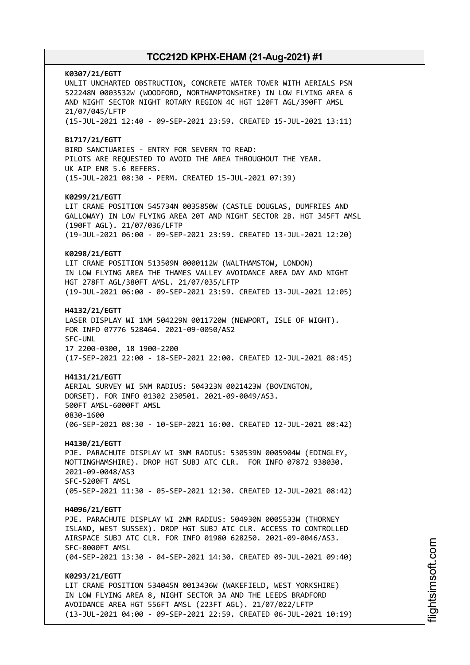**K0307/21/EGTT** UNLIT UNCHARTED OBSTRUCTION, CONCRETE WATER TOWER WITH AERIALS PSN 522248N 0003532W (WOODFORD, NORTHAMPTONSHIRE) IN LOW FLYING AREA 6 AND NIGHT SECTOR NIGHT ROTARY REGION 4C HGT 120FT AGL/390FT AMSL 21/07/045/LFTP (15-JUL-2021 12:40 - 09-SEP-2021 23:59. CREATED 15-JUL-2021 13:11) **B1717/21/EGTT** BIRD SANCTUARIES - ENTRY FOR SEVERN TO READ: PILOTS ARE REQUESTED TO AVOID THE AREA THROUGHOUT THE YEAR. UK AIP ENR 5.6 REFERS. (15-JUL-2021 08:30 - PERM. CREATED 15-JUL-2021 07:39) **K0299/21/EGTT** LIT CRANE POSITION 545734N 0035850W (CASTLE DOUGLAS, DUMFRIES AND GALLOWAY) IN LOW FLYING AREA 20T AND NIGHT SECTOR 2B. HGT 345FT AMSL (190FT AGL). 21/07/036/LFTP (19-JUL-2021 06:00 - 09-SEP-2021 23:59. CREATED 13-JUL-2021 12:20) **K0298/21/EGTT** LIT CRANE POSITION 513509N 0000112W (WALTHAMSTOW, LONDON) IN LOW FLYING AREA THE THAMES VALLEY AVOIDANCE AREA DAY AND NIGHT HGT 278FT AGL/380FT AMSL. 21/07/035/LFTP (19-JUL-2021 06:00 - 09-SEP-2021 23:59. CREATED 13-JUL-2021 12:05) **H4132/21/EGTT** LASER DISPLAY WI 1NM 504229N 0011720W (NEWPORT, ISLE OF WIGHT). FOR INFO 07776 528464. 2021-09-0050/AS2 SFC-UNL 17 2200-0300, 18 1900-2200 (17-SEP-2021 22:00 - 18-SEP-2021 22:00. CREATED 12-JUL-2021 08:45) **H4131/21/EGTT** AERIAL SURVEY WI 5NM RADIUS: 504323N 0021423W (BOVINGTON, DORSET). FOR INFO 01302 230501. 2021-09-0049/AS3. 500FT AMSL-6000FT AMSL 0830-1600 (06-SEP-2021 08:30 - 10-SEP-2021 16:00. CREATED 12-JUL-2021 08:42) **H4130/21/EGTT** PJE. PARACHUTE DISPLAY WI 3NM RADIUS: 530539N 0005904W (EDINGLEY, NOTTINGHAMSHIRE). DROP HGT SUBJ ATC CLR. FOR INFO 07872 938030. 2021-09-0048/AS3 SFC-5200FT AMSL (05-SEP-2021 11:30 - 05-SEP-2021 12:30. CREATED 12-JUL-2021 08:42) **H4096/21/EGTT** PJE. PARACHUTE DISPLAY WI 2NM RADIUS: 504930N 0005533W (THORNEY ISLAND, WEST SUSSEX). DROP HGT SUBJ ATC CLR. ACCESS TO CONTROLLED AIRSPACE SUBJ ATC CLR. FOR INFO 01980 628250. 2021-09-0046/AS3. SFC-8000FT AMSL (04-SEP-2021 13:30 - 04-SEP-2021 14:30. CREATED 09-JUL-2021 09:40) **K0293/21/EGTT** LIT CRANE POSITION 534045N 0013436W (WAKEFIELD, WEST YORKSHIRE) IN LOW FLYING AREA 8, NIGHT SECTOR 3A AND THE LEEDS BRADFORD AVOIDANCE AREA HGT 556FT AMSL (223FT AGL). 21/07/022/LFTP (13-JUL-2021 04:00 - 09-SEP-2021 22:59. CREATED 06-JUL-2021 10:19)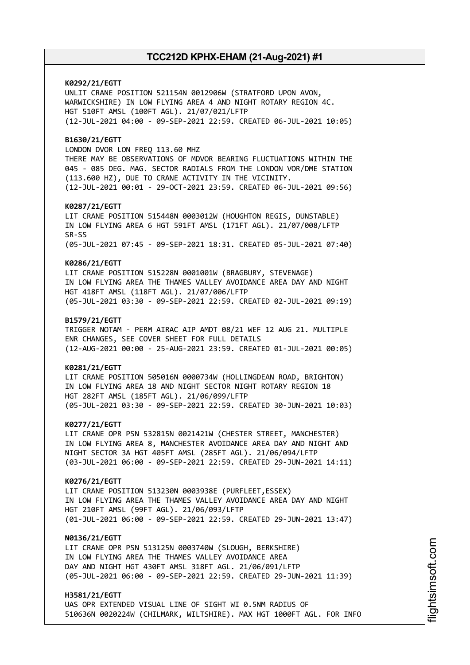**K0292/21/EGTT** UNLIT CRANE POSITION 521154N 0012906W (STRATFORD UPON AVON, WARWICKSHIRE) IN LOW FLYING AREA 4 AND NIGHT ROTARY REGION 4C. HGT 510FT AMSL (100FT AGL). 21/07/021/LFTP (12-JUL-2021 04:00 - 09-SEP-2021 22:59. CREATED 06-JUL-2021 10:05) **B1630/21/EGTT** LONDON DVOR LON FREQ 113.60 MHZ THERE MAY BE OBSERVATIONS OF MDVOR BEARING FLUCTUATIONS WITHIN THE 045 - 085 DEG. MAG. SECTOR RADIALS FROM THE LONDON VOR/DME STATION (113.600 HZ), DUE TO CRANE ACTIVITY IN THE VICINITY. (12-JUL-2021 00:01 - 29-OCT-2021 23:59. CREATED 06-JUL-2021 09:56) **K0287/21/EGTT** LIT CRANE POSITION 515448N 0003012W (HOUGHTON REGIS, DUNSTABLE) IN LOW FLYING AREA 6 HGT 591FT AMSL (171FT AGL). 21/07/008/LFTP SR-SS (05-JUL-2021 07:45 - 09-SEP-2021 18:31. CREATED 05-JUL-2021 07:40) **K0286/21/EGTT** LIT CRANE POSITION 515228N 0001001W (BRAGBURY, STEVENAGE) IN LOW FLYING AREA THE THAMES VALLEY AVOIDANCE AREA DAY AND NIGHT HGT 418FT AMSL (118FT AGL). 21/07/006/LFTP (05-JUL-2021 03:30 - 09-SEP-2021 22:59. CREATED 02-JUL-2021 09:19) **B1579/21/EGTT** TRIGGER NOTAM - PERM AIRAC AIP AMDT 08/21 WEF 12 AUG 21. MULTIPLE ENR CHANGES, SEE COVER SHEET FOR FULL DETAILS (12-AUG-2021 00:00 - 25-AUG-2021 23:59. CREATED 01-JUL-2021 00:05) **K0281/21/EGTT** LIT CRANE POSITION 505016N 0000734W (HOLLINGDEAN ROAD, BRIGHTON) IN LOW FLYING AREA 18 AND NIGHT SECTOR NIGHT ROTARY REGION 18 HGT 282FT AMSL (185FT AGL). 21/06/099/LFTP (05-JUL-2021 03:30 - 09-SEP-2021 22:59. CREATED 30-JUN-2021 10:03) **K0277/21/EGTT** LIT CRANE OPR PSN 532815N 0021421W (CHESTER STREET, MANCHESTER) IN LOW FLYING AREA 8, MANCHESTER AVOIDANCE AREA DAY AND NIGHT AND NIGHT SECTOR 3A HGT 405FT AMSL (285FT AGL). 21/06/094/LFTP (03-JUL-2021 06:00 - 09-SEP-2021 22:59. CREATED 29-JUN-2021 14:11) **K0276/21/EGTT** LIT CRANE POSITION 513230N 0003938E (PURFLEET,ESSEX) IN LOW FLYING AREA THE THAMES VALLEY AVOIDANCE AREA DAY AND NIGHT HGT 210FT AMSL (99FT AGL). 21/06/093/LFTP (01-JUL-2021 06:00 - 09-SEP-2021 22:59. CREATED 29-JUN-2021 13:47) **N0136/21/EGTT** LIT CRANE OPR PSN 513125N 0003740W (SLOUGH, BERKSHIRE) IN LOW FLYING AREA THE THAMES VALLEY AVOIDANCE AREA DAY AND NIGHT HGT 430FT AMSL 318FT AGL. 21/06/091/LFTP (05-JUL-2021 06:00 - 09-SEP-2021 22:59. CREATED 29-JUN-2021 11:39) **H3581/21/EGTT**

UAS OPR EXTENDED VISUAL LINE OF SIGHT WI 0.5NM RADIUS OF 510636N 0020224W (CHILMARK, WILTSHIRE). MAX HGT 1000FT AGL. FOR INFO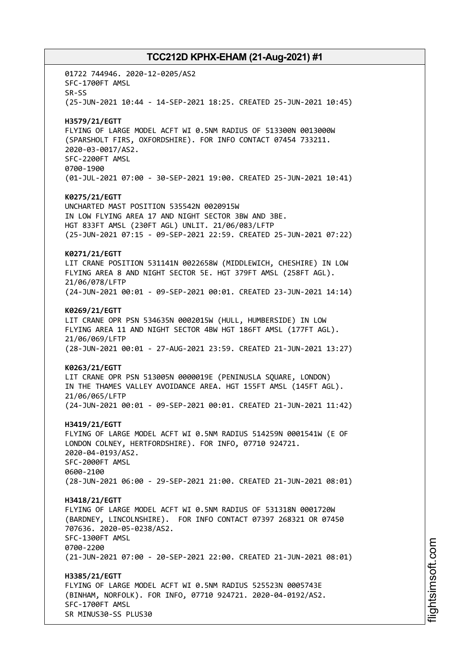01722 744946. 2020-12-0205/AS2 SFC-1700FT AMSL SR-SS (25-JUN-2021 10:44 - 14-SEP-2021 18:25. CREATED 25-JUN-2021 10:45) **H3579/21/EGTT** FLYING OF LARGE MODEL ACFT WI 0.5NM RADIUS OF 513300N 0013000W (SPARSHOLT FIRS, OXFORDSHIRE). FOR INFO CONTACT 07454 733211. 2020-03-0017/AS2. SFC-2200FT AMSL 0700-1900 (01-JUL-2021 07:00 - 30-SEP-2021 19:00. CREATED 25-JUN-2021 10:41) **K0275/21/EGTT** UNCHARTED MAST POSITION 535542N 0020915W IN LOW FLYING AREA 17 AND NIGHT SECTOR 3BW AND 3BE. HGT 833FT AMSL (230FT AGL) UNLIT. 21/06/083/LFTP (25-JUN-2021 07:15 - 09-SEP-2021 22:59. CREATED 25-JUN-2021 07:22) **K0271/21/EGTT** LIT CRANE POSITION 531141N 0022658W (MIDDLEWICH, CHESHIRE) IN LOW FLYING AREA 8 AND NIGHT SECTOR 5E. HGT 379FT AMSL (258FT AGL). 21/06/078/LFTP (24-JUN-2021 00:01 - 09-SEP-2021 00:01. CREATED 23-JUN-2021 14:14) **K0269/21/EGTT** LIT CRANE OPR PSN 534635N 0002015W (HULL, HUMBERSIDE) IN LOW FLYING AREA 11 AND NIGHT SECTOR 4BW HGT 186FT AMSL (177FT AGL). 21/06/069/LFTP (28-JUN-2021 00:01 - 27-AUG-2021 23:59. CREATED 21-JUN-2021 13:27) **K0263/21/EGTT** LIT CRANE OPR PSN 513005N 0000019E (PENINUSLA SQUARE, LONDON) IN THE THAMES VALLEY AVOIDANCE AREA. HGT 155FT AMSL (145FT AGL). 21/06/065/LFTP (24-JUN-2021 00:01 - 09-SEP-2021 00:01. CREATED 21-JUN-2021 11:42) **H3419/21/EGTT** FLYING OF LARGE MODEL ACFT WI 0.5NM RADIUS 514259N 0001541W (E OF LONDON COLNEY, HERTFORDSHIRE). FOR INFO, 07710 924721. 2020-04-0193/AS2. SFC-2000FT AMSL 0600-2100 (28-JUN-2021 06:00 - 29-SEP-2021 21:00. CREATED 21-JUN-2021 08:01) **H3418/21/EGTT** FLYING OF LARGE MODEL ACFT WI 0.5NM RADIUS OF 531318N 0001720W (BARDNEY, LINCOLNSHIRE). FOR INFO CONTACT 07397 268321 OR 07450 707636. 2020-05-0238/AS2. SFC-1300FT AMSL 0700-2200 (21-JUN-2021 07:00 - 20-SEP-2021 22:00. CREATED 21-JUN-2021 08:01) **H3385/21/EGTT** FLYING OF LARGE MODEL ACFT WI 0.5NM RADIUS 525523N 0005743E (BINHAM, NORFOLK). FOR INFO, 07710 924721. 2020-04-0192/AS2. SFC-1700FT AMSL SR MINUS30-SS PLUS30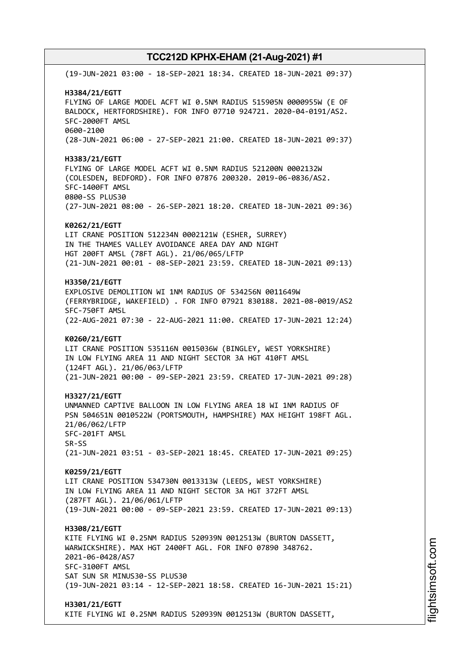(19-JUN-2021 03:00 - 18-SEP-2021 18:34. CREATED 18-JUN-2021 09:37) **H3384/21/EGTT** FLYING OF LARGE MODEL ACFT WI 0.5NM RADIUS 515905N 0000955W (E OF BALDOCK, HERTFORDSHIRE). FOR INFO 07710 924721. 2020-04-0191/AS2. SFC-2000FT AMSL 0600-2100 (28-JUN-2021 06:00 - 27-SEP-2021 21:00. CREATED 18-JUN-2021 09:37) **H3383/21/EGTT** FLYING OF LARGE MODEL ACFT WI 0.5NM RADIUS 521200N 0002132W (COLESDEN, BEDFORD). FOR INFO 07876 200320. 2019-06-0836/AS2. SFC-1400FT AMSL 0800-SS PLUS30 (27-JUN-2021 08:00 - 26-SEP-2021 18:20. CREATED 18-JUN-2021 09:36) **K0262/21/EGTT** LIT CRANE POSITION 512234N 0002121W (ESHER, SURREY) IN THE THAMES VALLEY AVOIDANCE AREA DAY AND NIGHT HGT 200FT AMSL (78FT AGL). 21/06/065/LFTP (21-JUN-2021 00:01 - 08-SEP-2021 23:59. CREATED 18-JUN-2021 09:13) **H3350/21/EGTT** EXPLOSIVE DEMOLITION WI 1NM RADIUS OF 534256N 0011649W (FERRYBRIDGE, WAKEFIELD) . FOR INFO 07921 830188. 2021-08-0019/AS2 SFC-750FT AMSL (22-AUG-2021 07:30 - 22-AUG-2021 11:00. CREATED 17-JUN-2021 12:24) **K0260/21/EGTT** LIT CRANE POSITION 535116N 0015036W (BINGLEY, WEST YORKSHIRE) IN LOW FLYING AREA 11 AND NIGHT SECTOR 3A HGT 410FT AMSL (124FT AGL). 21/06/063/LFTP (21-JUN-2021 00:00 - 09-SEP-2021 23:59. CREATED 17-JUN-2021 09:28) **H3327/21/EGTT** UNMANNED CAPTIVE BALLOON IN LOW FLYING AREA 18 WI 1NM RADIUS OF PSN 504651N 0010522W (PORTSMOUTH, HAMPSHIRE) MAX HEIGHT 198FT AGL. 21/06/062/LFTP SFC-201FT AMSL SR-SS (21-JUN-2021 03:51 - 03-SEP-2021 18:45. CREATED 17-JUN-2021 09:25) **K0259/21/EGTT** LIT CRANE POSITION 534730N 0013313W (LEEDS, WEST YORKSHIRE) IN LOW FLYING AREA 11 AND NIGHT SECTOR 3A HGT 372FT AMSL (287FT AGL). 21/06/061/LFTP (19-JUN-2021 00:00 - 09-SEP-2021 23:59. CREATED 17-JUN-2021 09:13) **H3308/21/EGTT** KITE FLYING WI 0.25NM RADIUS 520939N 0012513W (BURTON DASSETT, WARWICKSHIRE). MAX HGT 2400FT AGL. FOR INFO 07890 348762. 2021-06-0428/AS7 SFC-3100FT AMSL SAT SUN SR MINUS30-SS PLUS30 (19-JUN-2021 03:14 - 12-SEP-2021 18:58. CREATED 16-JUN-2021 15:21) **H3301/21/EGTT** KITE FLYING WI 0.25NM RADIUS 520939N 0012513W (BURTON DASSETT,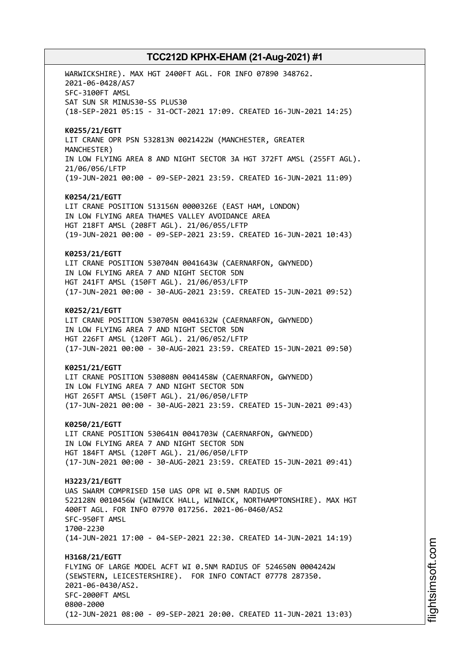WARWICKSHIRE). MAX HGT 2400FT AGL. FOR INFO 07890 348762. 2021-06-0428/AS7 SFC-3100FT AMSL SAT SUN SR MINUS30-SS PLUS30 (18-SEP-2021 05:15 - 31-OCT-2021 17:09. CREATED 16-JUN-2021 14:25) **K0255/21/EGTT** LIT CRANE OPR PSN 532813N 0021422W (MANCHESTER, GREATER MANCHESTER) IN LOW FLYING AREA 8 AND NIGHT SECTOR 3A HGT 372FT AMSL (255FT AGL). 21/06/056/LFTP (19-JUN-2021 00:00 - 09-SEP-2021 23:59. CREATED 16-JUN-2021 11:09) **K0254/21/EGTT** LIT CRANE POSITION 513156N 0000326E (EAST HAM, LONDON) IN LOW FLYING AREA THAMES VALLEY AVOIDANCE AREA HGT 218FT AMSL (208FT AGL). 21/06/055/LFTP (19-JUN-2021 00:00 - 09-SEP-2021 23:59. CREATED 16-JUN-2021 10:43) **K0253/21/EGTT** LIT CRANE POSITION 530704N 0041643W (CAERNARFON, GWYNEDD) IN LOW FLYING AREA 7 AND NIGHT SECTOR 5DN HGT 241FT AMSL (150FT AGL). 21/06/053/LFTP (17-JUN-2021 00:00 - 30-AUG-2021 23:59. CREATED 15-JUN-2021 09:52) **K0252/21/EGTT** LIT CRANE POSITION 530705N 0041632W (CAERNARFON, GWYNEDD) IN LOW FLYING AREA 7 AND NIGHT SECTOR 5DN HGT 226FT AMSL (120FT AGL). 21/06/052/LFTP (17-JUN-2021 00:00 - 30-AUG-2021 23:59. CREATED 15-JUN-2021 09:50) **K0251/21/EGTT** LIT CRANE POSITION 530808N 0041458W (CAERNARFON, GWYNEDD) IN LOW FLYING AREA 7 AND NIGHT SECTOR 5DN HGT 265FT AMSL (150FT AGL). 21/06/050/LFTP (17-JUN-2021 00:00 - 30-AUG-2021 23:59. CREATED 15-JUN-2021 09:43) **K0250/21/EGTT** LIT CRANE POSITION 530641N 0041703W (CAERNARFON, GWYNEDD) IN LOW FLYING AREA 7 AND NIGHT SECTOR 5DN HGT 184FT AMSL (120FT AGL). 21/06/050/LFTP (17-JUN-2021 00:00 - 30-AUG-2021 23:59. CREATED 15-JUN-2021 09:41) **H3223/21/EGTT** UAS SWARM COMPRISED 150 UAS OPR WI 0.5NM RADIUS OF 522128N 0010456W (WINWICK HALL, WINWICK, NORTHAMPTONSHIRE). MAX HGT 400FT AGL. FOR INFO 07970 017256. 2021-06-0460/AS2 SFC-950FT AMSL 1700-2230 (14-JUN-2021 17:00 - 04-SEP-2021 22:30. CREATED 14-JUN-2021 14:19) **H3168/21/EGTT** FLYING OF LARGE MODEL ACFT WI 0.5NM RADIUS OF 524650N 0004242W (SEWSTERN, LEICESTERSHIRE). FOR INFO CONTACT 07778 287350. 2021-06-0430/AS2. SFC-2000FT AMSL 0800-2000 (12-JUN-2021 08:00 - 09-SEP-2021 20:00. CREATED 11-JUN-2021 13:03)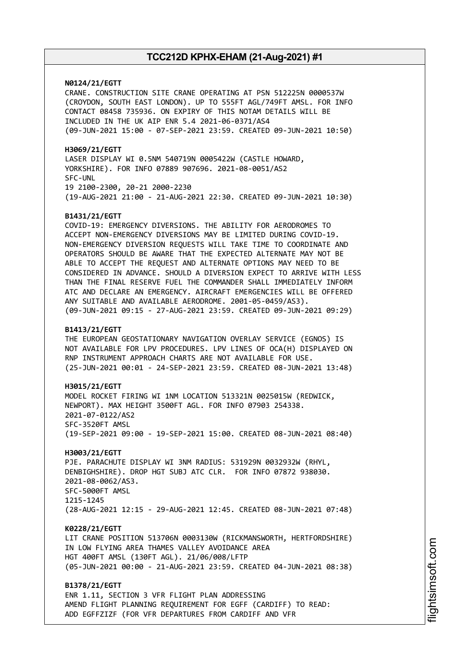**N0124/21/EGTT**

CRANE. CONSTRUCTION SITE CRANE OPERATING AT PSN 512225N 0000537W (CROYDON, SOUTH EAST LONDON). UP TO 555FT AGL/749FT AMSL. FOR INFO CONTACT 08458 735936. ON EXPIRY OF THIS NOTAM DETAILS WILL BE INCLUDED IN THE UK AIP ENR 5.4 2021-06-0371/AS4 (09-JUN-2021 15:00 - 07-SEP-2021 23:59. CREATED 09-JUN-2021 10:50)

**H3069/21/EGTT** LASER DISPLAY WI 0.5NM 540719N 0005422W (CASTLE HOWARD, YORKSHIRE). FOR INFO 07889 907696. 2021-08-0051/AS2 SFC-UNL 19 2100-2300, 20-21 2000-2230 (19-AUG-2021 21:00 - 21-AUG-2021 22:30. CREATED 09-JUN-2021 10:30)

#### **B1431/21/EGTT**

COVID-19: EMERGENCY DIVERSIONS. THE ABILITY FOR AERODROMES TO ACCEPT NON-EMERGENCY DIVERSIONS MAY BE LIMITED DURING COVID-19. NON-EMERGENCY DIVERSION REQUESTS WILL TAKE TIME TO COORDINATE AND OPERATORS SHOULD BE AWARE THAT THE EXPECTED ALTERNATE MAY NOT BE ABLE TO ACCEPT THE REQUEST AND ALTERNATE OPTIONS MAY NEED TO BE CONSIDERED IN ADVANCE. SHOULD A DIVERSION EXPECT TO ARRIVE WITH LESS THAN THE FINAL RESERVE FUEL THE COMMANDER SHALL IMMEDIATELY INFORM ATC AND DECLARE AN EMERGENCY. AIRCRAFT EMERGENCIES WILL BE OFFERED ANY SUITABLE AND AVAILABLE AERODROME. 2001-05-0459/AS3). (09-JUN-2021 09:15 - 27-AUG-2021 23:59. CREATED 09-JUN-2021 09:29)

#### **B1413/21/EGTT**

THE EUROPEAN GEOSTATIONARY NAVIGATION OVERLAY SERVICE (EGNOS) IS NOT AVAILABLE FOR LPV PROCEDURES. LPV LINES OF OCA(H) DISPLAYED ON RNP INSTRUMENT APPROACH CHARTS ARE NOT AVAILABLE FOR USE. (25-JUN-2021 00:01 - 24-SEP-2021 23:59. CREATED 08-JUN-2021 13:48)

**H3015/21/EGTT** MODEL ROCKET FIRING WI 1NM LOCATION 513321N 0025015W (REDWICK, NEWPORT). MAX HEIGHT 3500FT AGL. FOR INFO 07903 254338. 2021-07-0122/AS2 SFC-3520FT AMSL (19-SEP-2021 09:00 - 19-SEP-2021 15:00. CREATED 08-JUN-2021 08:40)

**H3003/21/EGTT** PJE. PARACHUTE DISPLAY WI 3NM RADIUS: 531929N 0032932W (RHYL, DENBIGHSHIRE). DROP HGT SUBJ ATC CLR. FOR INFO 07872 938030. 2021-08-0062/AS3. SFC-5000FT AMSL 1215-1245 (28-AUG-2021 12:15 - 29-AUG-2021 12:45. CREATED 08-JUN-2021 07:48)

**K0228/21/EGTT**

LIT CRANE POSITION 513706N 0003130W (RICKMANSWORTH, HERTFORDSHIRE) IN LOW FLYING AREA THAMES VALLEY AVOIDANCE AREA HGT 400FT AMSL (130FT AGL). 21/06/008/LFTP (05-JUN-2021 00:00 - 21-AUG-2021 23:59. CREATED 04-JUN-2021 08:38)

**B1378/21/EGTT** ENR 1.11, SECTION 3 VFR FLIGHT PLAN ADDRESSING AMEND FLIGHT PLANNING REQUIREMENT FOR EGFF (CARDIFF) TO READ: ADD EGFFZIZF (FOR VFR DEPARTURES FROM CARDIFF AND VFR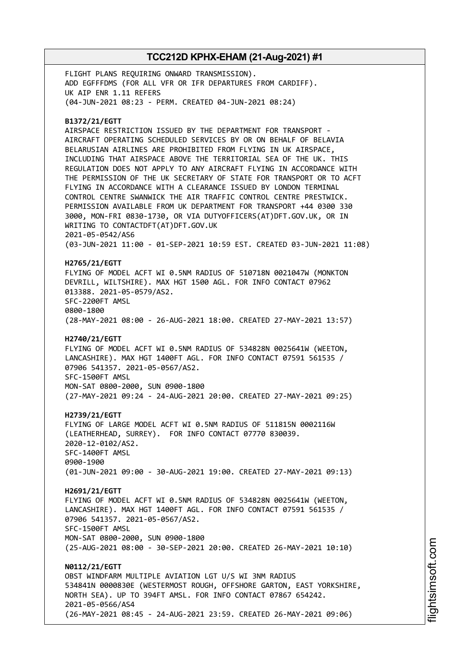FLIGHT PLANS REQUIRING ONWARD TRANSMISSION). ADD EGFFFDMS (FOR ALL VFR OR IFR DEPARTURES FROM CARDIFF). UK AIP ENR 1.11 REFERS (04-JUN-2021 08:23 - PERM. CREATED 04-JUN-2021 08:24)

#### **B1372/21/EGTT**

AIRSPACE RESTRICTION ISSUED BY THE DEPARTMENT FOR TRANSPORT - AIRCRAFT OPERATING SCHEDULED SERVICES BY OR ON BEHALF OF BELAVIA BELARUSIAN AIRLINES ARE PROHIBITED FROM FLYING IN UK AIRSPACE, INCLUDING THAT AIRSPACE ABOVE THE TERRITORIAL SEA OF THE UK. THIS REGULATION DOES NOT APPLY TO ANY AIRCRAFT FLYING IN ACCORDANCE WITH THE PERMISSION OF THE UK SECRETARY OF STATE FOR TRANSPORT OR TO ACFT FLYING IN ACCORDANCE WITH A CLEARANCE ISSUED BY LONDON TERMINAL CONTROL CENTRE SWANWICK THE AIR TRAFFIC CONTROL CENTRE PRESTWICK. PERMISSION AVAILABLE FROM UK DEPARTMENT FOR TRANSPORT +44 0300 330 3000, MON-FRI 0830-1730, OR VIA DUTYOFFICERS(AT)DFT.GOV.UK, OR IN WRITING TO CONTACTDFT(AT)DFT.GOV.UK 2021-05-0542/AS6 (03-JUN-2021 11:00 - 01-SEP-2021 10:59 EST. CREATED 03-JUN-2021 11:08)

### **H2765/21/EGTT**

FLYING OF MODEL ACFT WI 0.5NM RADIUS OF 510718N 0021047W (MONKTON DEVRILL, WILTSHIRE). MAX HGT 1500 AGL. FOR INFO CONTACT 07962 013388. 2021-05-0579/AS2. SFC-2200FT AMSL 0800-1800

(28-MAY-2021 08:00 - 26-AUG-2021 18:00. CREATED 27-MAY-2021 13:57)

### **H2740/21/EGTT**

FLYING OF MODEL ACFT WI 0.5NM RADIUS OF 534828N 0025641W (WEETON, LANCASHIRE). MAX HGT 1400FT AGL. FOR INFO CONTACT 07591 561535 / 07906 541357. 2021-05-0567/AS2. SFC-1500FT AMSL MON-SAT 0800-2000, SUN 0900-1800

(27-MAY-2021 09:24 - 24-AUG-2021 20:00. CREATED 27-MAY-2021 09:25)

#### **H2739/21/EGTT**

FLYING OF LARGE MODEL ACFT WI 0.5NM RADIUS OF 511815N 0002116W (LEATHERHEAD, SURREY). FOR INFO CONTACT 07770 830039. 2020-12-0102/AS2. SFC-1400FT AMSL 0900-1900 (01-JUN-2021 09:00 - 30-AUG-2021 19:00. CREATED 27-MAY-2021 09:13)

#### **H2691/21/EGTT**

FLYING OF MODEL ACFT WI 0.5NM RADIUS OF 534828N 0025641W (WEETON, LANCASHIRE). MAX HGT 1400FT AGL. FOR INFO CONTACT 07591 561535 / 07906 541357. 2021-05-0567/AS2. SFC-1500FT AMSL MON-SAT 0800-2000, SUN 0900-1800

(25-AUG-2021 08:00 - 30-SEP-2021 20:00. CREATED 26-MAY-2021 10:10)

**N0112/21/EGTT** OBST WINDFARM MULTIPLE AVIATION LGT U/S WI 3NM RADIUS 534841N 0000830E (WESTERMOST ROUGH, OFFSHORE GARTON, EAST YORKSHIRE, NORTH SEA). UP TO 394FT AMSL. FOR INFO CONTACT 07867 654242. 2021-05-0566/AS4 (26-MAY-2021 08:45 - 24-AUG-2021 23:59. CREATED 26-MAY-2021 09:06)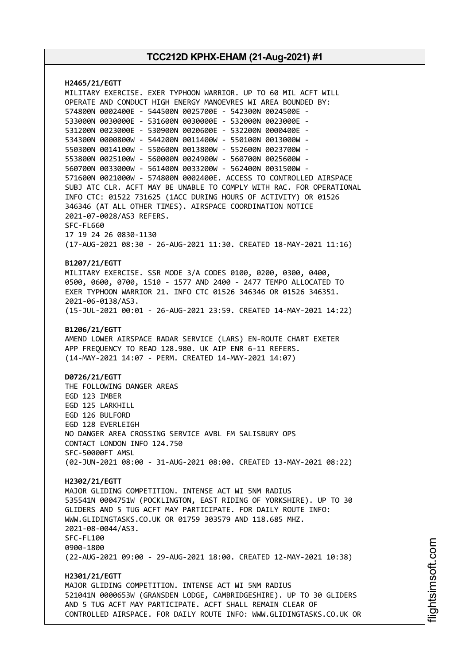**H2465/21/EGTT** MILITARY EXERCISE. EXER TYPHOON WARRIOR. UP TO 60 MIL ACFT WILL OPERATE AND CONDUCT HIGH ENERGY MANOEVRES WI AREA BOUNDED BY: 574800N 0002400E - 544500N 0025700E - 542300N 0024500E - 533000N 0030000E - 531600N 0030000E - 532000N 0023000E - 531200N 0023000E - 530900N 0020600E - 532200N 0000400E - 534300N 0000800W - 544200N 0011400W - 550100N 0013000W - 550300N 0014100W - 550600N 0013800W - 552600N 0023700W - 553800N 0025100W - 560000N 0024900W - 560700N 0025600W - 560700N 0033000W - 561400N 0033200W - 562400N 0031500W - 571600N 0021000W - 574800N 0002400E. ACCESS TO CONTROLLED AIRSPACE SUBJ ATC CLR. ACFT MAY BE UNABLE TO COMPLY WITH RAC. FOR OPERATIONAL INFO CTC: 01522 731625 (1ACC DURING HOURS OF ACTIVITY) OR 01526 346346 (AT ALL OTHER TIMES). AIRSPACE COORDINATION NOTICE 2021-07-0028/AS3 REFERS. SFC-FL660 17 19 24 26 0830-1130 (17-AUG-2021 08:30 - 26-AUG-2021 11:30. CREATED 18-MAY-2021 11:16) **B1207/21/EGTT** MILITARY EXERCISE. SSR MODE 3/A CODES 0100, 0200, 0300, 0400, 0500, 0600, 0700, 1510 - 1577 AND 2400 - 2477 TEMPO ALLOCATED TO EXER TYPHOON WARRIOR 21. INFO CTC 01526 346346 OR 01526 346351. 2021-06-0138/AS3. (15-JUL-2021 00:01 - 26-AUG-2021 23:59. CREATED 14-MAY-2021 14:22) **B1206/21/EGTT** AMEND LOWER AIRSPACE RADAR SERVICE (LARS) EN-ROUTE CHART EXETER APP FREQUENCY TO READ 128.980. UK AIP ENR 6-11 REFERS. (14-MAY-2021 14:07 - PERM. CREATED 14-MAY-2021 14:07) **D0726/21/EGTT** THE FOLLOWING DANGER AREAS EGD 123 IMBER EGD 125 LARKHILL EGD 126 BULFORD EGD 128 EVERLEIGH NO DANGER AREA CROSSING SERVICE AVBL FM SALISBURY OPS CONTACT LONDON INFO 124.750 SFC-50000FT AMSL (02-JUN-2021 08:00 - 31-AUG-2021 08:00. CREATED 13-MAY-2021 08:22) **H2302/21/EGTT** MAJOR GLIDING COMPETITION. INTENSE ACT WI 5NM RADIUS 535541N 0004751W (POCKLINGTON, EAST RIDING OF YORKSHIRE). UP TO 30 GLIDERS AND 5 TUG ACFT MAY PARTICIPATE. FOR DAILY ROUTE INFO: WWW.GLIDINGTASKS.CO.UK OR 01759 303579 AND 118.685 MHZ. 2021-08-0044/AS3. SFC-FL100 0900-1800 (22-AUG-2021 09:00 - 29-AUG-2021 18:00. CREATED 12-MAY-2021 10:38) **H2301/21/EGTT** MAJOR GLIDING COMPETITION. INTENSE ACT WI 5NM RADIUS 521041N 0000653W (GRANSDEN LODGE, CAMBRIDGESHIRE). UP TO 30 GLIDERS AND 5 TUG ACFT MAY PARTICIPATE. ACFT SHALL REMAIN CLEAR OF CONTROLLED AIRSPACE. FOR DAILY ROUTE INFO: WWW.GLIDINGTASKS.CO.UK OR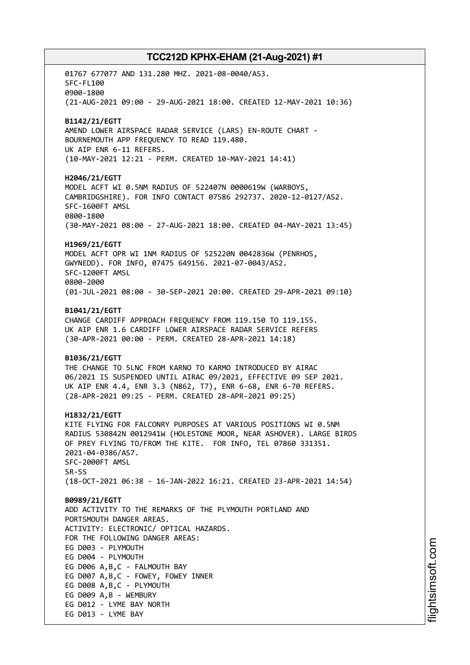01767 677077 AND 131.280 MHZ. 2021-08-0040/AS3. SFC-FL100 0900-1800 (21-AUG-2021 09:00 - 29-AUG-2021 18:00. CREATED 12-MAY-2021 10:36) **B1142/21/EGTT** AMEND LOWER AIRSPACE RADAR SERVICE (LARS) EN-ROUTE CHART - BOURNEMOUTH APP FREQUENCY TO READ 119.480. UK AIP ENR 6-11 REFERS. (10-MAY-2021 12:21 - PERM. CREATED 10-MAY-2021 14:41) **H2046/21/EGTT** MODEL ACFT WI 0.5NM RADIUS OF 522407N 0000619W (WARBOYS, CAMBRIDGSHIRE). FOR INFO CONTACT 07586 292737. 2020-12-0127/AS2. SFC-1600FT AMSL 0800-1800 (30-MAY-2021 08:00 - 27-AUG-2021 18:00. CREATED 04-MAY-2021 13:45) **H1969/21/EGTT** MODEL ACFT OPR WI 1NM RADIUS OF 525220N 0042836W (PENRHOS, GWYNEDD). FOR INFO, 07475 649156. 2021-07-0043/AS2. SFC-1200FT AMSL 0800-2000 (01-JUL-2021 08:00 - 30-SEP-2021 20:00. CREATED 29-APR-2021 09:10) **B1041/21/EGTT** CHANGE CARDIFF APPROACH FREQUENCY FROM 119.150 TO 119.155. UK AIP ENR 1.6 CARDIFF LOWER AIRSPACE RADAR SERVICE REFERS (30-APR-2021 00:00 - PERM. CREATED 28-APR-2021 14:18) **B1036/21/EGTT** THE CHANGE TO 5LNC FROM KARNO TO KARMO INTRODUCED BY AIRAC 06/2021 IS SUSPENDED UNTIL AIRAC 09/2021, EFFECTIVE 09 SEP 2021. UK AIP ENR 4.4, ENR 3.3 (N862, T7), ENR 6-68, ENR 6-70 REFERS. (28-APR-2021 09:25 - PERM. CREATED 28-APR-2021 09:25) **H1832/21/EGTT** KITE FLYING FOR FALCONRY PURPOSES AT VARIOUS POSITIONS WI 0.5NM RADIUS 530842N 0012941W (HOLESTONE MOOR, NEAR ASHOVER). LARGE BIRDS OF PREY FLYING TO/FROM THE KITE. FOR INFO, TEL 07860 331351. 2021-04-0386/AS7. SFC-2000FT AMSL SR-SS (18-OCT-2021 06:38 - 16-JAN-2022 16:21. CREATED 23-APR-2021 14:54) **B0989/21/EGTT** ADD ACTIVITY TO THE REMARKS OF THE PLYMOUTH PORTLAND AND PORTSMOUTH DANGER AREAS. ACTIVITY: ELECTRONIC/ OPTICAL HAZARDS. FOR THE FOLLOWING DANGER AREAS: EG D003 - PLYMOUTH EG D004 - PLYMOUTH EG D006 A,B,C - FALMOUTH BAY EG D007 A,B,C - FOWEY, FOWEY INNER EG D008 A,B,C - PLYMOUTH EG D009 A,B - WEMBURY EG D012 - LYME BAY NORTH EG D013 - LYME BAY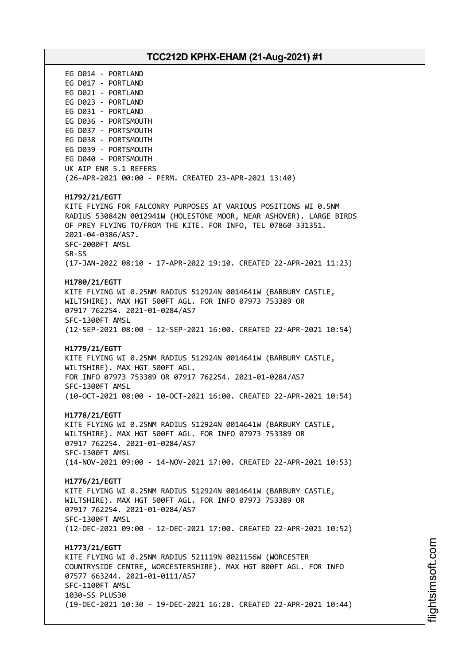# **TCC212D KPHX-EHAM (21-Aug-2021) #1** EG D014 - PORTLAND EG D017 - PORTLAND EG D021 - PORTLAND EG D023 - PORTLAND EG D031 - PORTLAND EG D036 - PORTSMOUTH EG D037 - PORTSMOUTH EG D038 - PORTSMOUTH EG D039 - PORTSMOUTH EG D040 - PORTSMOUTH UK AIP ENR 5.1 REFERS (26-APR-2021 00:00 - PERM. CREATED 23-APR-2021 13:40) **H1792/21/EGTT** KITE FLYING FOR FALCONRY PURPOSES AT VARIOUS POSITIONS WI 0.5NM RADIUS 530842N 0012941W (HOLESTONE MOOR, NEAR ASHOVER). LARGE BIRDS OF PREY FLYING TO/FROM THE KITE. FOR INFO, TEL 07860 331351. 2021-04-0386/AS7. SFC-2000FT AMSL SR-SS (17-JAN-2022 08:10 - 17-APR-2022 19:10. CREATED 22-APR-2021 11:23) **H1780/21/EGTT** KITE FLYING WI 0.25NM RADIUS 512924N 0014641W (BARBURY CASTLE, WILTSHIRE). MAX HGT 500FT AGL. FOR INFO 07973 753389 OR 07917 762254. 2021-01-0284/AS7 SFC-1300FT AMSL (12-SEP-2021 08:00 - 12-SEP-2021 16:00. CREATED 22-APR-2021 10:54) **H1779/21/EGTT** KITE FLYING WI 0.25NM RADIUS 512924N 0014641W (BARBURY CASTLE, WILTSHIRE). MAX HGT 500FT AGL. FOR INFO 07973 753389 OR 07917 762254. 2021-01-0284/AS7 SFC-1300FT AMSL (10-OCT-2021 08:00 - 10-OCT-2021 16:00. CREATED 22-APR-2021 10:54) **H1778/21/EGTT** KITE FLYING WI 0.25NM RADIUS 512924N 0014641W (BARBURY CASTLE, WILTSHIRE). MAX HGT 500FT AGL. FOR INFO 07973 753389 OR 07917 762254. 2021-01-0284/AS7 SFC-1300FT AMSL (14-NOV-2021 09:00 - 14-NOV-2021 17:00. CREATED 22-APR-2021 10:53) **H1776/21/EGTT** KITE FLYING WI 0.25NM RADIUS 512924N 0014641W (BARBURY CASTLE, WILTSHIRE). MAX HGT 500FT AGL. FOR INFO 07973 753389 OR 07917 762254. 2021-01-0284/AS7 SFC-1300FT AMSL (12-DEC-2021 09:00 - 12-DEC-2021 17:00. CREATED 22-APR-2021 10:52) **H1773/21/EGTT** KITE FLYING WI 0.25NM RADIUS 521119N 0021156W (WORCESTER COUNTRYSIDE CENTRE, WORCESTERSHIRE). MAX HGT 800FT AGL. FOR INFO 07577 663244. 2021-01-0111/AS7 SFC-1100FT AMSL 1030-SS PLUS30 (19-DEC-2021 10:30 - 19-DEC-2021 16:28. CREATED 22-APR-2021 10:44)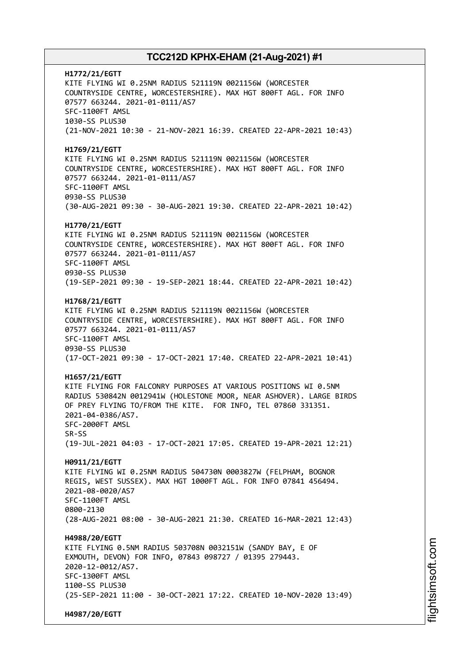**H1772/21/EGTT** KITE FLYING WI 0.25NM RADIUS 521119N 0021156W (WORCESTER COUNTRYSIDE CENTRE, WORCESTERSHIRE). MAX HGT 800FT AGL. FOR INFO 07577 663244. 2021-01-0111/AS7 SFC-1100FT AMSL 1030-SS PLUS30 (21-NOV-2021 10:30 - 21-NOV-2021 16:39. CREATED 22-APR-2021 10:43) **H1769/21/EGTT** KITE FLYING WI 0.25NM RADIUS 521119N 0021156W (WORCESTER COUNTRYSIDE CENTRE, WORCESTERSHIRE). MAX HGT 800FT AGL. FOR INFO 07577 663244. 2021-01-0111/AS7 SFC-1100FT AMSL 0930-SS PLUS30 (30-AUG-2021 09:30 - 30-AUG-2021 19:30. CREATED 22-APR-2021 10:42) **H1770/21/EGTT** KITE FLYING WI 0.25NM RADIUS 521119N 0021156W (WORCESTER COUNTRYSIDE CENTRE, WORCESTERSHIRE). MAX HGT 800FT AGL. FOR INFO 07577 663244. 2021-01-0111/AS7 SFC-1100FT AMSL 0930-SS PLUS30 (19-SEP-2021 09:30 - 19-SEP-2021 18:44. CREATED 22-APR-2021 10:42) **H1768/21/EGTT** KITE FLYING WI 0.25NM RADIUS 521119N 0021156W (WORCESTER COUNTRYSIDE CENTRE, WORCESTERSHIRE). MAX HGT 800FT AGL. FOR INFO 07577 663244. 2021-01-0111/AS7 SFC-1100FT AMSL 0930-SS PLUS30 (17-OCT-2021 09:30 - 17-OCT-2021 17:40. CREATED 22-APR-2021 10:41) **H1657/21/EGTT** KITE FLYING FOR FALCONRY PURPOSES AT VARIOUS POSITIONS WI 0.5NM RADIUS 530842N 0012941W (HOLESTONE MOOR, NEAR ASHOVER). LARGE BIRDS OF PREY FLYING TO/FROM THE KITE. FOR INFO, TEL 07860 331351. 2021-04-0386/AS7. SFC-2000FT AMSL SR-SS (19-JUL-2021 04:03 - 17-OCT-2021 17:05. CREATED 19-APR-2021 12:21) **H0911/21/EGTT** KITE FLYING WI 0.25NM RADIUS 504730N 0003827W (FELPHAM, BOGNOR REGIS, WEST SUSSEX). MAX HGT 1000FT AGL. FOR INFO 07841 456494. 2021-08-0020/AS7 SFC-1100FT AMSL 0800-2130 (28-AUG-2021 08:00 - 30-AUG-2021 21:30. CREATED 16-MAR-2021 12:43) **H4988/20/EGTT** KITE FLYING 0.5NM RADIUS 503708N 0032151W (SANDY BAY, E OF EXMOUTH, DEVON) FOR INFO, 07843 098727 / 01395 279443. 2020-12-0012/AS7. SFC-1300FT AMSL 1100-SS PLUS30 (25-SEP-2021 11:00 - 30-OCT-2021 17:22. CREATED 10-NOV-2020 13:49) **H4987/20/EGTT**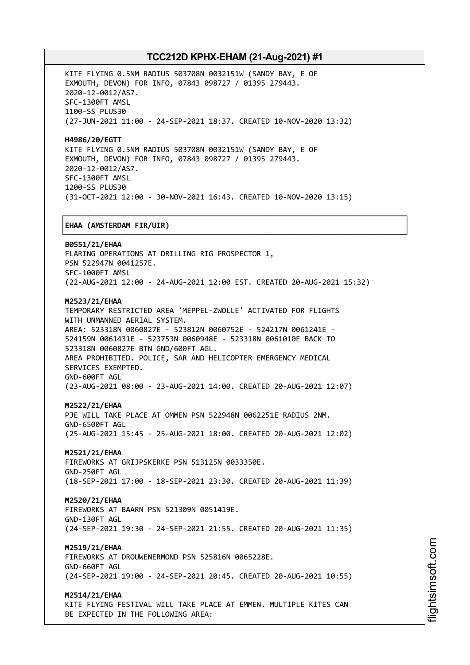┌──────────────────────────────────────────────────────────────────────────────┐

KITE FLYING 0.5NM RADIUS 503708N 0032151W (SANDY BAY, E OF EXMOUTH, DEVON) FOR INFO, 07843 098727 / 01395 279443. 2020-12-0012/AS7. SFC-1300FT AMSL 1100-SS PLUS30 (27-JUN-2021 11:00 - 24-SEP-2021 18:37. CREATED 10-NOV-2020 13:32)

**H4986/20/EGTT** KITE FLYING 0.5NM RADIUS 503708N 0032151W (SANDY BAY, E OF EXMOUTH, DEVON) FOR INFO, 07843 098727 / 01395 279443. 2020-12-0012/AS7. SFC-1300FT AMSL 1200-SS PLUS30 (31-OCT-2021 12:00 - 30-NOV-2021 16:43. CREATED 10-NOV-2020 13:15)

### │**EHAA (AMSTERDAM FIR/UIR)** │

└──────────────────────────────────────────────────────────────────────────────┘ **B0551/21/EHAA** FLARING OPERATIONS AT DRILLING RIG PROSPECTOR 1, PSN 522947N 0041257E. SFC-1000FT AMSL (22-AUG-2021 12:00 - 24-AUG-2021 12:00 EST. CREATED 20-AUG-2021 15:32) **M2523/21/EHAA** TEMPORARY RESTRICTED AREA 'MEPPEL-ZWOLLE' ACTIVATED FOR FLIGHTS WITH UNMANNED AERIAL SYSTEM. AREA: 523318N 0060827E - 523812N 0060752E - 524217N 0061241E - 524159N 0061431E - 523753N 0060948E - 523318N 0061010E BACK TO 523318N 0060827E BTN GND/600FT AGL. AREA PROHIBITED. POLICE, SAR AND HELICOPTER EMERGENCY MEDICAL SERVICES EXEMPTED. GND-600FT AGL

(23-AUG-2021 08:00 - 23-AUG-2021 14:00. CREATED 20-AUG-2021 12:07)

### **M2522/21/EHAA**

PJE WILL TAKE PLACE AT OMMEN PSN 522948N 0062251E RADIUS 2NM. GND-6500FT AGL (25-AUG-2021 15:45 - 25-AUG-2021 18:00. CREATED 20-AUG-2021 12:02)

### **M2521/21/EHAA**

FIREWORKS AT GRIJPSKERKE PSN 513125N 0033350E. GND-250FT AGL (18-SEP-2021 17:00 - 18-SEP-2021 23:30. CREATED 20-AUG-2021 11:39)

#### **M2520/21/EHAA**

FIREWORKS AT BAARN PSN 521309N 0051419E. GND-130FT AGL (24-SEP-2021 19:30 - 24-SEP-2021 21:55. CREATED 20-AUG-2021 11:35)

### **M2519/21/EHAA**

FIREWORKS AT DROUWENERMOND PSN 525816N 0065228E. GND-660FT AGL (24-SEP-2021 19:00 - 24-SEP-2021 20:45. CREATED 20-AUG-2021 10:55)

#### **M2514/21/EHAA**

KITE FLYING FESTIVAL WILL TAKE PLACE AT EMMEN. MULTIPLE KITES CAN BE EXPECTED IN THE FOLLOWING AREA: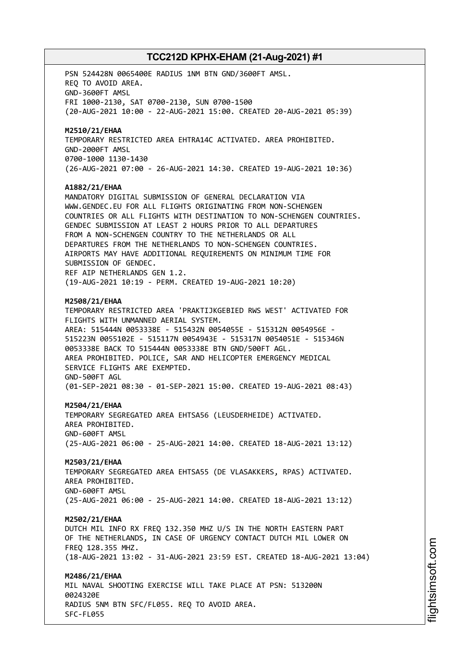PSN 524428N 0065400E RADIUS 1NM BTN GND/3600FT AMSL. REQ TO AVOID AREA. GND-3600FT AMSL FRI 1000-2130, SAT 0700-2130, SUN 0700-1500 (20-AUG-2021 10:00 - 22-AUG-2021 15:00. CREATED 20-AUG-2021 05:39) **M2510/21/EHAA** TEMPORARY RESTRICTED AREA EHTRA14C ACTIVATED. AREA PROHIBITED. GND-2000FT AMSL 0700-1000 1130-1430 (26-AUG-2021 07:00 - 26-AUG-2021 14:30. CREATED 19-AUG-2021 10:36) **A1882/21/EHAA** MANDATORY DIGITAL SUBMISSION OF GENERAL DECLARATION VIA WWW.GENDEC.EU FOR ALL FLIGHTS ORIGINATING FROM NON-SCHENGEN COUNTRIES OR ALL FLIGHTS WITH DESTINATION TO NON-SCHENGEN COUNTRIES. GENDEC SUBMISSION AT LEAST 2 HOURS PRIOR TO ALL DEPARTURES FROM A NON-SCHENGEN COUNTRY TO THE NETHERLANDS OR ALL DEPARTURES FROM THE NETHERLANDS TO NON-SCHENGEN COUNTRIES. AIRPORTS MAY HAVE ADDITIONAL REQUIREMENTS ON MINIMUM TIME FOR SUBMISSION OF GENDEC. REF AIP NETHERLANDS GEN 1.2. (19-AUG-2021 10:19 - PERM. CREATED 19-AUG-2021 10:20) **M2508/21/EHAA** TEMPORARY RESTRICTED AREA 'PRAKTIJKGEBIED RWS WEST' ACTIVATED FOR FLIGHTS WITH UNMANNED AERIAL SYSTEM. AREA: 515444N 0053338E - 515432N 0054055E - 515312N 0054956E - 515223N 0055102E - 515117N 0054943E - 515317N 0054051E - 515346N 0053338E BACK TO 515444N 0053338E BTN GND/500FT AGL. AREA PROHIBITED. POLICE, SAR AND HELICOPTER EMERGENCY MEDICAL SERVICE FLIGHTS ARE EXEMPTED. GND-500FT AGL (01-SEP-2021 08:30 - 01-SEP-2021 15:00. CREATED 19-AUG-2021 08:43) **M2504/21/EHAA** TEMPORARY SEGREGATED AREA EHTSA56 (LEUSDERHEIDE) ACTIVATED. AREA PROHIBITED. GND-600FT AMSL (25-AUG-2021 06:00 - 25-AUG-2021 14:00. CREATED 18-AUG-2021 13:12) **M2503/21/EHAA** TEMPORARY SEGREGATED AREA EHTSA55 (DE VLASAKKERS, RPAS) ACTIVATED. AREA PROHIBITED. GND-600FT AMSL (25-AUG-2021 06:00 - 25-AUG-2021 14:00. CREATED 18-AUG-2021 13:12) **M2502/21/EHAA** DUTCH MIL INFO RX FREQ 132.350 MHZ U/S IN THE NORTH EASTERN PART OF THE NETHERLANDS, IN CASE OF URGENCY CONTACT DUTCH MIL LOWER ON FREQ 128.355 MHZ. (18-AUG-2021 13:02 - 31-AUG-2021 23:59 EST. CREATED 18-AUG-2021 13:04) **M2486/21/EHAA** MIL NAVAL SHOOTING EXERCISE WILL TAKE PLACE AT PSN: 513200N 0024320E RADIUS 5NM BTN SFC/FL055. REQ TO AVOID AREA. SFC-FL055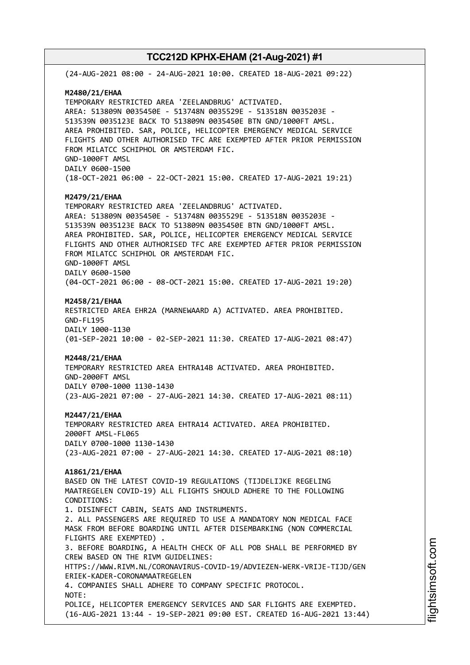(24-AUG-2021 08:00 - 24-AUG-2021 10:00. CREATED 18-AUG-2021 09:22) **M2480/21/EHAA** TEMPORARY RESTRICTED AREA 'ZEELANDBRUG' ACTIVATED. AREA: 513809N 0035450E - 513748N 0035529E - 513518N 0035203E - 513539N 0035123E BACK TO 513809N 0035450E BTN GND/1000FT AMSL. AREA PROHIBITED. SAR, POLICE, HELICOPTER EMERGENCY MEDICAL SERVICE FLIGHTS AND OTHER AUTHORISED TFC ARE EXEMPTED AFTER PRIOR PERMISSION FROM MILATCC SCHIPHOL OR AMSTERDAM FIC. GND-1000FT AMSL DAILY 0600-1500 (18-OCT-2021 06:00 - 22-OCT-2021 15:00. CREATED 17-AUG-2021 19:21) **M2479/21/EHAA** TEMPORARY RESTRICTED AREA 'ZEELANDBRUG' ACTIVATED. AREA: 513809N 0035450E - 513748N 0035529E - 513518N 0035203E - 513539N 0035123E BACK TO 513809N 0035450E BTN GND/1000FT AMSL. AREA PROHIBITED. SAR, POLICE, HELICOPTER EMERGENCY MEDICAL SERVICE FLIGHTS AND OTHER AUTHORISED TFC ARE EXEMPTED AFTER PRIOR PERMISSION FROM MILATCC SCHIPHOL OR AMSTERDAM FIC. GND-1000FT AMSL DAILY 0600-1500 (04-OCT-2021 06:00 - 08-OCT-2021 15:00. CREATED 17-AUG-2021 19:20) **M2458/21/EHAA** RESTRICTED AREA EHR2A (MARNEWAARD A) ACTIVATED. AREA PROHIBITED. GND-FL195 DAILY 1000-1130 (01-SEP-2021 10:00 - 02-SEP-2021 11:30. CREATED 17-AUG-2021 08:47) **M2448/21/EHAA** TEMPORARY RESTRICTED AREA EHTRA14B ACTIVATED. AREA PROHIBITED. GND-2000FT AMSL DAILY 0700-1000 1130-1430 (23-AUG-2021 07:00 - 27-AUG-2021 14:30. CREATED 17-AUG-2021 08:11) **M2447/21/EHAA** TEMPORARY RESTRICTED AREA EHTRA14 ACTIVATED. AREA PROHIBITED. 2000FT AMSL-FL065 DAILY 0700-1000 1130-1430 (23-AUG-2021 07:00 - 27-AUG-2021 14:30. CREATED 17-AUG-2021 08:10) **A1861/21/EHAA** BASED ON THE LATEST COVID-19 REGULATIONS (TIJDELIJKE REGELING MAATREGELEN COVID-19) ALL FLIGHTS SHOULD ADHERE TO THE FOLLOWING CONDITIONS: 1. DISINFECT CABIN, SEATS AND INSTRUMENTS. 2. ALL PASSENGERS ARE REQUIRED TO USE A MANDATORY NON MEDICAL FACE MASK FROM BEFORE BOARDING UNTIL AFTER DISEMBARKING (NON COMMERCIAL FLIGHTS ARE EXEMPTED) . 3. BEFORE BOARDING, A HEALTH CHECK OF ALL POB SHALL BE PERFORMED BY CREW BASED ON THE RIVM GUIDELINES: HTTPS://WWW.RIVM.NL/CORONAVIRUS-COVID-19/ADVIEZEN-WERK-VRIJE-TIJD/GEN ERIEK-KADER-CORONAMAATREGELEN 4. COMPANIES SHALL ADHERE TO COMPANY SPECIFIC PROTOCOL. NOTE: POLICE, HELICOPTER EMERGENCY SERVICES AND SAR FLIGHTS ARE EXEMPTED. (16-AUG-2021 13:44 - 19-SEP-2021 09:00 EST. CREATED 16-AUG-2021 13:44)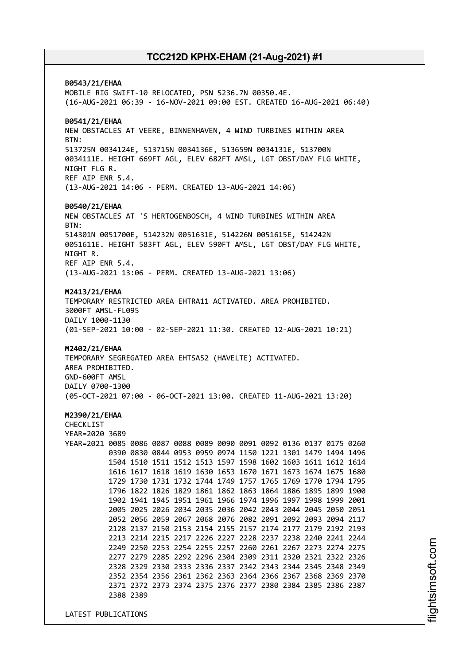**B0543/21/EHAA** MOBILE RIG SWIFT-10 RELOCATED, PSN 5236.7N 00350.4E. (16-AUG-2021 06:39 - 16-NOV-2021 09:00 EST. CREATED 16-AUG-2021 06:40) **B0541/21/EHAA** NEW OBSTACLES AT VEERE, BINNENHAVEN, 4 WIND TURBINES WITHIN AREA BTN: 513725N 0034124E, 513715N 0034136E, 513659N 0034131E, 513700N 0034111E. HEIGHT 669FT AGL, ELEV 682FT AMSL, LGT OBST/DAY FLG WHITE, NIGHT FLG R. REF AIP ENR 5.4. (13-AUG-2021 14:06 - PERM. CREATED 13-AUG-2021 14:06) **B0540/21/EHAA** NEW OBSTACLES AT 'S HERTOGENBOSCH, 4 WIND TURBINES WITHIN AREA BTN: 514301N 0051700E, 514232N 0051631E, 514226N 0051615E, 514242N 0051611E. HEIGHT 583FT AGL, ELEV 590FT AMSL, LGT OBST/DAY FLG WHITE, NIGHT R. REF AIP ENR 5.4. (13-AUG-2021 13:06 - PERM. CREATED 13-AUG-2021 13:06) **M2413/21/EHAA** TEMPORARY RESTRICTED AREA EHTRA11 ACTIVATED. AREA PROHIBITED. 3000FT AMSL-FL095 DAILY 1000-1130 (01-SEP-2021 10:00 - 02-SEP-2021 11:30. CREATED 12-AUG-2021 10:21) **M2402/21/EHAA** TEMPORARY SEGREGATED AREA EHTSA52 (HAVELTE) ACTIVATED. AREA PROHIBITED. GND-600FT AMSL DAILY 0700-1300 (05-OCT-2021 07:00 - 06-OCT-2021 13:00. CREATED 11-AUG-2021 13:20) **M2390/21/EHAA** CHECKLIST YEAR=2020 3689 YEAR=2021 0085 0086 0087 0088 0089 0090 0091 0092 0136 0137 0175 0260 0390 0830 0844 0953 0959 0974 1150 1221 1301 1479 1494 1496 1504 1510 1511 1512 1513 1597 1598 1602 1603 1611 1612 1614 1616 1617 1618 1619 1630 1653 1670 1671 1673 1674 1675 1680 1729 1730 1731 1732 1744 1749 1757 1765 1769 1770 1794 1795 1796 1822 1826 1829 1861 1862 1863 1864 1886 1895 1899 1900 1902 1941 1945 1951 1961 1966 1974 1996 1997 1998 1999 2001 2005 2025 2026 2034 2035 2036 2042 2043 2044 2045 2050 2051 2052 2056 2059 2067 2068 2076 2082 2091 2092 2093 2094 2117 2128 2137 2150 2153 2154 2155 2157 2174 2177 2179 2192 2193 2213 2214 2215 2217 2226 2227 2228 2237 2238 2240 2241 2244 2249 2250 2253 2254 2255 2257 2260 2261 2267 2273 2274 2275 2277 2279 2285 2292 2296 2304 2309 2311 2320 2321 2322 2326 2328 2329 2330 2333 2336 2337 2342 2343 2344 2345 2348 2349 2352 2354 2356 2361 2362 2363 2364 2366 2367 2368 2369 2370 2371 2372 2373 2374 2375 2376 2377 2380 2384 2385 2386 2387 2388 2389

LATEST PUBLICATIONS

i⊒<br>⊫ htsim soft.c om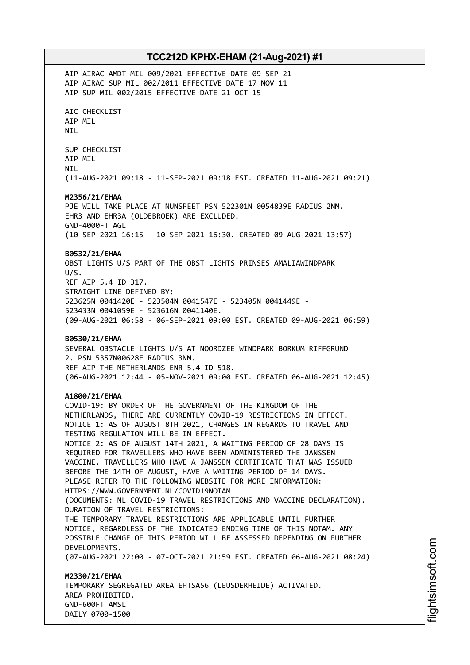AIP AIRAC AMDT MIL 009/2021 EFFECTIVE DATE 09 SEP 21 AIP AIRAC SUP MIL 002/2011 EFFECTIVE DATE 17 NOV 11 AIP SUP MIL 002/2015 EFFECTIVE DATE 21 OCT 15 AIC CHECKLIST AIP MIL NIL SUP CHECKLIST AIP MIL NIL (11-AUG-2021 09:18 - 11-SEP-2021 09:18 EST. CREATED 11-AUG-2021 09:21) **M2356/21/EHAA** PJE WILL TAKE PLACE AT NUNSPEET PSN 522301N 0054839E RADIUS 2NM. EHR3 AND EHR3A (OLDEBROEK) ARE EXCLUDED. GND-4000FT AGL (10-SEP-2021 16:15 - 10-SEP-2021 16:30. CREATED 09-AUG-2021 13:57) **B0532/21/EHAA** OBST LIGHTS U/S PART OF THE OBST LIGHTS PRINSES AMALIAWINDPARK U/S. REF AIP 5.4 ID 317. STRAIGHT LINE DEFINED BY: 523625N 0041420E - 523504N 0041547E - 523405N 0041449E - 523433N 0041059E - 523616N 0041140E. (09-AUG-2021 06:58 - 06-SEP-2021 09:00 EST. CREATED 09-AUG-2021 06:59) **B0530/21/EHAA** SEVERAL OBSTACLE LIGHTS U/S AT NOORDZEE WINDPARK BORKUM RIFFGRUND 2. PSN 5357N00628E RADIUS 3NM. REF AIP THE NETHERLANDS ENR 5.4 ID 518. (06-AUG-2021 12:44 - 05-NOV-2021 09:00 EST. CREATED 06-AUG-2021 12:45) **A1800/21/EHAA** COVID-19: BY ORDER OF THE GOVERNMENT OF THE KINGDOM OF THE NETHERLANDS, THERE ARE CURRENTLY COVID-19 RESTRICTIONS IN EFFECT. NOTICE 1: AS OF AUGUST 8TH 2021, CHANGES IN REGARDS TO TRAVEL AND TESTING REGULATION WILL BE IN EFFECT. NOTICE 2: AS OF AUGUST 14TH 2021, A WAITING PERIOD OF 28 DAYS IS REQUIRED FOR TRAVELLERS WHO HAVE BEEN ADMINISTERED THE JANSSEN VACCINE. TRAVELLERS WHO HAVE A JANSSEN CERTIFICATE THAT WAS ISSUED BEFORE THE 14TH OF AUGUST, HAVE A WAITING PERIOD OF 14 DAYS. PLEASE REFER TO THE FOLLOWING WEBSITE FOR MORE INFORMATION: HTTPS://WWW.GOVERNMENT.NL/COVID19NOTAM (DOCUMENTS: NL COVID-19 TRAVEL RESTRICTIONS AND VACCINE DECLARATION). DURATION OF TRAVEL RESTRICTIONS: THE TEMPORARY TRAVEL RESTRICTIONS ARE APPLICABLE UNTIL FURTHER NOTICE, REGARDLESS OF THE INDICATED ENDING TIME OF THIS NOTAM. ANY POSSIBLE CHANGE OF THIS PERIOD WILL BE ASSESSED DEPENDING ON FURTHER DEVELOPMENTS. (07-AUG-2021 22:00 - 07-OCT-2021 21:59 EST. CREATED 06-AUG-2021 08:24) **M2330/21/EHAA** TEMPORARY SEGREGATED AREA EHTSA56 (LEUSDERHEIDE) ACTIVATED. AREA PROHIBITED. GND-600FT AMSL

DAILY 0700-1500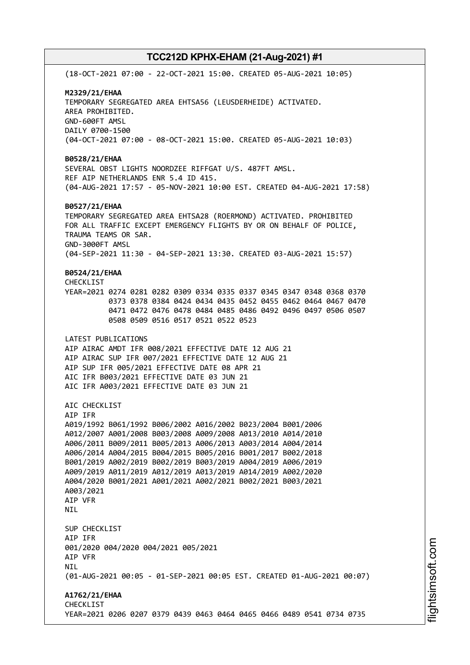(18-OCT-2021 07:00 - 22-OCT-2021 15:00. CREATED 05-AUG-2021 10:05) **M2329/21/EHAA** TEMPORARY SEGREGATED AREA EHTSA56 (LEUSDERHEIDE) ACTIVATED. AREA PROHIBITED. GND-600FT AMSL DAILY 0700-1500 (04-OCT-2021 07:00 - 08-OCT-2021 15:00. CREATED 05-AUG-2021 10:03) **B0528/21/EHAA** SEVERAL OBST LIGHTS NOORDZEE RIFFGAT U/S. 487FT AMSL. REF AIP NETHERLANDS ENR 5.4 ID 415. (04-AUG-2021 17:57 - 05-NOV-2021 10:00 EST. CREATED 04-AUG-2021 17:58) **B0527/21/EHAA** TEMPORARY SEGREGATED AREA EHTSA28 (ROERMOND) ACTIVATED. PROHIBITED FOR ALL TRAFFIC EXCEPT EMERGENCY FLIGHTS BY OR ON BEHALF OF POLICE, TRAUMA TEAMS OR SAR. GND-3000FT AMSL (04-SEP-2021 11:30 - 04-SEP-2021 13:30. CREATED 03-AUG-2021 15:57) **B0524/21/EHAA** CHECKLIST YEAR=2021 0274 0281 0282 0309 0334 0335 0337 0345 0347 0348 0368 0370 0373 0378 0384 0424 0434 0435 0452 0455 0462 0464 0467 0470 0471 0472 0476 0478 0484 0485 0486 0492 0496 0497 0506 0507 0508 0509 0516 0517 0521 0522 0523 LATEST PUBLICATIONS AIP AIRAC AMDT IFR 008/2021 EFFECTIVE DATE 12 AUG 21 AIP AIRAC SUP IFR 007/2021 EFFECTIVE DATE 12 AUG 21 AIP SUP IFR 005/2021 EFFECTIVE DATE 08 APR 21 AIC IFR B003/2021 EFFECTIVE DATE 03 JUN 21 AIC IFR A003/2021 EFFECTIVE DATE 03 JUN 21 ATC CHECKLIST AIP IFR A019/1992 B061/1992 B006/2002 A016/2002 B023/2004 B001/2006 A012/2007 A001/2008 B003/2008 A009/2008 A013/2010 A014/2010 A006/2011 B009/2011 B005/2013 A006/2013 A003/2014 A004/2014 A006/2014 A004/2015 B004/2015 B005/2016 B001/2017 B002/2018 B001/2019 A002/2019 B002/2019 B003/2019 A004/2019 A006/2019 A009/2019 A011/2019 A012/2019 A013/2019 A014/2019 A002/2020 A004/2020 B001/2021 A001/2021 A002/2021 B002/2021 B003/2021 A003/2021 AIP VFR **NTI** SUP CHECKLIST AIP IFR 001/2020 004/2020 004/2021 005/2021 AIP VFR NIL (01-AUG-2021 00:05 - 01-SEP-2021 00:05 EST. CREATED 01-AUG-2021 00:07) **A1762/21/EHAA** CHECKLIST YEAR=2021 0206 0207 0379 0439 0463 0464 0465 0466 0489 0541 0734 0735

i⊒<br>⊫ htsim soft.c om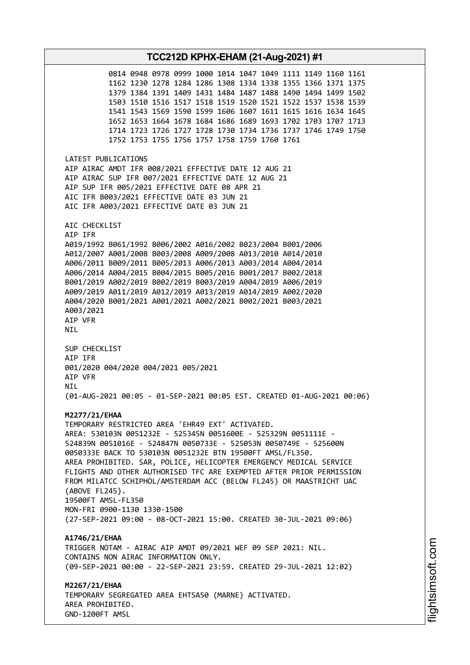**TCC212D KPHX-EHAM (21-Aug-2021) #1** 0814 0948 0978 0999 1000 1014 1047 1049 1111 1149 1160 1161 1162 1230 1278 1284 1286 1308 1334 1338 1355 1366 1371 1375 1379 1384 1391 1409 1431 1484 1487 1488 1490 1494 1499 1502 1503 1510 1516 1517 1518 1519 1520 1521 1522 1537 1538 1539 1541 1543 1569 1590 1599 1606 1607 1611 1615 1616 1634 1645 1652 1653 1664 1678 1684 1686 1689 1693 1702 1703 1707 1713 1714 1723 1726 1727 1728 1730 1734 1736 1737 1746 1749 1750 1752 1753 1755 1756 1757 1758 1759 1760 1761 LATEST PUBLICATIONS AIP AIRAC AMDT IFR 008/2021 EFFECTIVE DATE 12 AUG 21 AIP AIRAC SUP IFR 007/2021 EFFECTIVE DATE 12 AUG 21 AIP SUP IFR 005/2021 EFFECTIVE DATE 08 APR 21 AIC IFR B003/2021 EFFECTIVE DATE 03 JUN 21 AIC IFR A003/2021 EFFECTIVE DATE 03 JUN 21 AIC CHECKLIST AIP IFR A019/1992 B061/1992 B006/2002 A016/2002 B023/2004 B001/2006 A012/2007 A001/2008 B003/2008 A009/2008 A013/2010 A014/2010 A006/2011 B009/2011 B005/2013 A006/2013 A003/2014 A004/2014 A006/2014 A004/2015 B004/2015 B005/2016 B001/2017 B002/2018 B001/2019 A002/2019 B002/2019 B003/2019 A004/2019 A006/2019 A009/2019 A011/2019 A012/2019 A013/2019 A014/2019 A002/2020 A004/2020 B001/2021 A001/2021 A002/2021 B002/2021 B003/2021 A003/2021 AIP VFR NIL SUP CHECKLIST AIP IFR 001/2020 004/2020 004/2021 005/2021 AIP VFR **NTI** (01-AUG-2021 00:05 - 01-SEP-2021 00:05 EST. CREATED 01-AUG-2021 00:06) **M2277/21/EHAA** TEMPORARY RESTRICTED AREA 'EHR49 EXT' ACTIVATED. AREA: 530103N 0051232E - 525345N 0051600E - 525329N 0051111E - 524839N 0051016E - 524847N 0050733E - 525053N 0050749E - 525600N 0050333E BACK TO 530103N 0051232E BTN 19500FT AMSL/FL350. AREA PROHIBITED. SAR, POLICE, HELICOPTER EMERGENCY MEDICAL SERVICE FLIGHTS AND OTHER AUTHORISED TFC ARE EXEMPTED AFTER PRIOR PERMISSION FROM MILATCC SCHIPHOL/AMSTERDAM ACC (BELOW FL245) OR MAASTRICHT UAC (ABOVE FL245). 19500FT AMSL-FL350 MON-FRI 0900-1130 1330-1500 (27-SEP-2021 09:00 - 08-OCT-2021 15:00. CREATED 30-JUL-2021 09:06) **A1746/21/EHAA** TRIGGER NOTAM - AIRAC AIP AMDT 09/2021 WEF 09 SEP 2021: NIL. CONTAINS NON AIRAC INFORMATION ONLY. (09-SEP-2021 00:00 - 22-SEP-2021 23:59. CREATED 29-JUL-2021 12:02) **M2267/21/EHAA** TEMPORARY SEGREGATED AREA EHTSA50 (MARNE) ACTIVATED. AREA PROHIBITED. GND-1200FT AMSL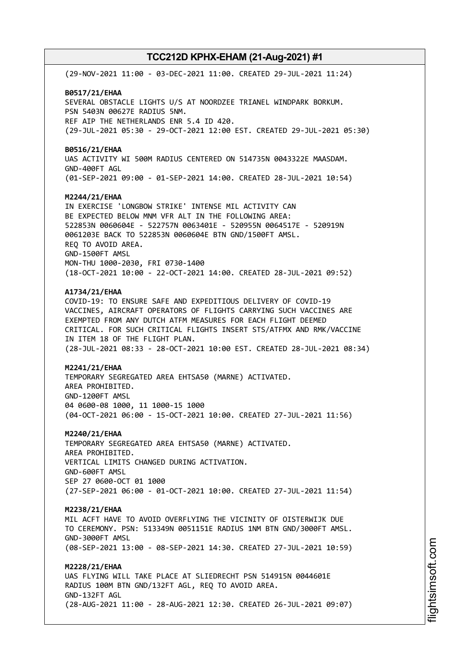(29-NOV-2021 11:00 - 03-DEC-2021 11:00. CREATED 29-JUL-2021 11:24) **B0517/21/EHAA** SEVERAL OBSTACLE LIGHTS U/S AT NOORDZEE TRIANEL WINDPARK BORKUM. PSN 5403N 00627E RADIUS 5NM. REF AIP THE NETHERLANDS ENR 5.4 ID 420. (29-JUL-2021 05:30 - 29-OCT-2021 12:00 EST. CREATED 29-JUL-2021 05:30) **B0516/21/EHAA** UAS ACTIVITY WI 500M RADIUS CENTERED ON 514735N 0043322E MAASDAM. GND-400FT AGL (01-SEP-2021 09:00 - 01-SEP-2021 14:00. CREATED 28-JUL-2021 10:54) **M2244/21/EHAA** IN EXERCISE 'LONGBOW STRIKE' INTENSE MIL ACTIVITY CAN BE EXPECTED BELOW MNM VFR ALT IN THE FOLLOWING AREA: 522853N 0060604E - 522757N 0063401E - 520955N 0064517E - 520919N 0061203E BACK TO 522853N 0060604E BTN GND/1500FT AMSL. REQ TO AVOID AREA. GND-1500FT AMSL MON-THU 1000-2030, FRI 0730-1400 (18-OCT-2021 10:00 - 22-OCT-2021 14:00. CREATED 28-JUL-2021 09:52) **A1734/21/EHAA** COVID-19: TO ENSURE SAFE AND EXPEDITIOUS DELIVERY OF COVID-19 VACCINES, AIRCRAFT OPERATORS OF FLIGHTS CARRYING SUCH VACCINES ARE EXEMPTED FROM ANY DUTCH ATFM MEASURES FOR EACH FLIGHT DEEMED CRITICAL. FOR SUCH CRITICAL FLIGHTS INSERT STS/ATFMX AND RMK/VACCINE IN ITEM 18 OF THE FLIGHT PLAN. (28-JUL-2021 08:33 - 28-OCT-2021 10:00 EST. CREATED 28-JUL-2021 08:34) **M2241/21/EHAA** TEMPORARY SEGREGATED AREA EHTSA50 (MARNE) ACTIVATED. AREA PROHIBITED. GND-1200FT AMSL 04 0600-08 1000, 11 1000-15 1000 (04-OCT-2021 06:00 - 15-OCT-2021 10:00. CREATED 27-JUL-2021 11:56) **M2240/21/EHAA** TEMPORARY SEGREGATED AREA EHTSA50 (MARNE) ACTIVATED. AREA PROHIBITED. VERTICAL LIMITS CHANGED DURING ACTIVATION. GND-600FT AMSL SEP 27 0600-OCT 01 1000 (27-SEP-2021 06:00 - 01-OCT-2021 10:00. CREATED 27-JUL-2021 11:54) **M2238/21/EHAA** MIL ACFT HAVE TO AVOID OVERFLYING THE VICINITY OF OISTERWIJK DUE TO CEREMONY. PSN: 513349N 0051151E RADIUS 1NM BTN GND/3000FT AMSL. GND-3000FT AMSL (08-SEP-2021 13:00 - 08-SEP-2021 14:30. CREATED 27-JUL-2021 10:59) **M2228/21/EHAA** UAS FLYING WILL TAKE PLACE AT SLIEDRECHT PSN 514915N 0044601E RADIUS 100M BTN GND/132FT AGL, REQ TO AVOID AREA. GND-132FT AGL (28-AUG-2021 11:00 - 28-AUG-2021 12:30. CREATED 26-JUL-2021 09:07)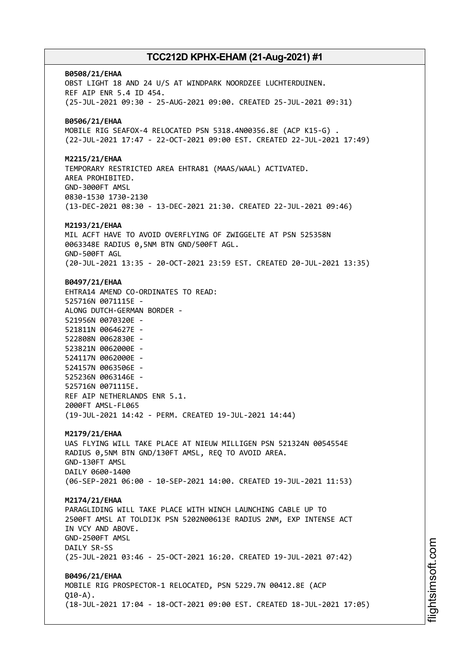**B0508/21/EHAA** OBST LIGHT 18 AND 24 U/S AT WINDPARK NOORDZEE LUCHTERDUINEN. REF AIP ENR 5.4 ID 454. (25-JUL-2021 09:30 - 25-AUG-2021 09:00. CREATED 25-JUL-2021 09:31) **B0506/21/EHAA** MOBILE RIG SEAFOX-4 RELOCATED PSN 5318.4N00356.8E (ACP K15-G) . (22-JUL-2021 17:47 - 22-OCT-2021 09:00 EST. CREATED 22-JUL-2021 17:49) **M2215/21/EHAA** TEMPORARY RESTRICTED AREA EHTRA81 (MAAS/WAAL) ACTIVATED. AREA PROHIBITED. GND-3000FT AMSL 0830-1530 1730-2130 (13-DEC-2021 08:30 - 13-DEC-2021 21:30. CREATED 22-JUL-2021 09:46) **M2193/21/EHAA** MIL ACFT HAVE TO AVOID OVERFLYING OF ZWIGGELTE AT PSN 525358N 0063348E RADIUS 0,5NM BTN GND/500FT AGL. GND-500FT AGL (20-JUL-2021 13:35 - 20-OCT-2021 23:59 EST. CREATED 20-JUL-2021 13:35) **B0497/21/EHAA** EHTRA14 AMEND CO-ORDINATES TO READ: 525716N 0071115E - ALONG DUTCH-GERMAN BORDER - 521956N 0070320E - 521811N 0064627E - 522808N 0062830E - 523821N 0062000E - 524117N 0062000E - 524157N 0063506E - 525236N 0063146E - 525716N 0071115E. REF AIP NETHERLANDS ENR 5.1. 2000FT AMSL-FL065 (19-JUL-2021 14:42 - PERM. CREATED 19-JUL-2021 14:44) **M2179/21/EHAA** UAS FLYING WILL TAKE PLACE AT NIEUW MILLIGEN PSN 521324N 0054554E RADIUS 0,5NM BTN GND/130FT AMSL, REQ TO AVOID AREA. GND-130FT AMSL DAILY 0600-1400 (06-SEP-2021 06:00 - 10-SEP-2021 14:00. CREATED 19-JUL-2021 11:53) **M2174/21/EHAA** PARAGLIDING WILL TAKE PLACE WITH WINCH LAUNCHING CABLE UP TO 2500FT AMSL AT TOLDIJK PSN 5202N00613E RADIUS 2NM, EXP INTENSE ACT IN VCY AND ABOVE. GND-2500FT AMSL DAILY SR-SS (25-JUL-2021 03:46 - 25-OCT-2021 16:20. CREATED 19-JUL-2021 07:42) **B0496/21/EHAA** MOBILE RIG PROSPECTOR-1 RELOCATED, PSN 5229.7N 00412.8E (ACP  $010 - A$ ). (18-JUL-2021 17:04 - 18-OCT-2021 09:00 EST. CREATED 18-JUL-2021 17:05)

i⊒<br>⊫ htsim soft.c om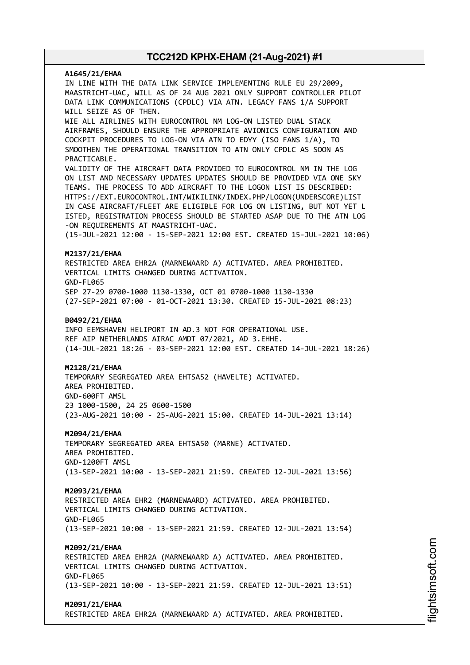# **A1645/21/EHAA** IN LINE WITH THE DATA LINK SERVICE IMPLEMENTING RULE EU 29/2009, MAASTRICHT-UAC, WILL AS OF 24 AUG 2021 ONLY SUPPORT CONTROLLER PILOT DATA LINK COMMUNICATIONS (CPDLC) VIA ATN. LEGACY FANS 1/A SUPPORT WILL SEIZE AS OF THEN. WIE ALL AIRLINES WITH EUROCONTROL NM LOG-ON LISTED DUAL STACK AIRFRAMES, SHOULD ENSURE THE APPROPRIATE AVIONICS CONFIGURATION AND COCKPIT PROCEDURES TO LOG-ON VIA ATN TO EDYY (ISO FANS 1/A), TO SMOOTHEN THE OPERATIONAL TRANSITION TO ATN ONLY CPDLC AS SOON AS PRACTICABLE. VALIDITY OF THE AIRCRAFT DATA PROVIDED TO EUROCONTROL NM IN THE LOG ON LIST AND NECESSARY UPDATES UPDATES SHOULD BE PROVIDED VIA ONE SKY TEAMS. THE PROCESS TO ADD AIRCRAFT TO THE LOGON LIST IS DESCRIBED: HTTPS://EXT.EUROCONTROL.INT/WIKILINK/INDEX.PHP/LOGON(UNDERSCORE)LIST IN CASE AIRCRAFT/FLEET ARE ELIGIBLE FOR LOG ON LISTING, BUT NOT YET L ISTED, REGISTRATION PROCESS SHOULD BE STARTED ASAP DUE TO THE ATN LOG -ON REQUIREMENTS AT MAASTRICHT-UAC. (15-JUL-2021 12:00 - 15-SEP-2021 12:00 EST. CREATED 15-JUL-2021 10:06) **M2137/21/EHAA** RESTRICTED AREA EHR2A (MARNEWAARD A) ACTIVATED. AREA PROHIBITED. VERTICAL LIMITS CHANGED DURING ACTIVATION. GND-FL065 SEP 27-29 0700-1000 1130-1330, OCT 01 0700-1000 1130-1330 (27-SEP-2021 07:00 - 01-OCT-2021 13:30. CREATED 15-JUL-2021 08:23) **B0492/21/EHAA** INFO EEMSHAVEN HELIPORT IN AD.3 NOT FOR OPERATIONAL USE. REF AIP NETHERLANDS AIRAC AMDT 07/2021, AD 3.EHHE. (14-JUL-2021 18:26 - 03-SEP-2021 12:00 EST. CREATED 14-JUL-2021 18:26) **M2128/21/EHAA** TEMPORARY SEGREGATED AREA EHTSA52 (HAVELTE) ACTIVATED. AREA PROHIBITED. GND-600FT AMSL 23 1000-1500, 24 25 0600-1500 (23-AUG-2021 10:00 - 25-AUG-2021 15:00. CREATED 14-JUL-2021 13:14) **M2094/21/EHAA** TEMPORARY SEGREGATED AREA EHTSA50 (MARNE) ACTIVATED. AREA PROHIBITED. GND-1200FT AMSL (13-SEP-2021 10:00 - 13-SEP-2021 21:59. CREATED 12-JUL-2021 13:56) **M2093/21/EHAA** RESTRICTED AREA EHR2 (MARNEWAARD) ACTIVATED. AREA PROHIBITED. VERTICAL LIMITS CHANGED DURING ACTIVATION. GND-FL065 (13-SEP-2021 10:00 - 13-SEP-2021 21:59. CREATED 12-JUL-2021 13:54) **M2092/21/EHAA** RESTRICTED AREA EHR2A (MARNEWAARD A) ACTIVATED. AREA PROHIBITED. VERTICAL LIMITS CHANGED DURING ACTIVATION. GND-FL065 (13-SEP-2021 10:00 - 13-SEP-2021 21:59. CREATED 12-JUL-2021 13:51) **M2091/21/EHAA** RESTRICTED AREA EHR2A (MARNEWAARD A) ACTIVATED. AREA PROHIBITED.

i⊒<br>⊫ htsim soft.c om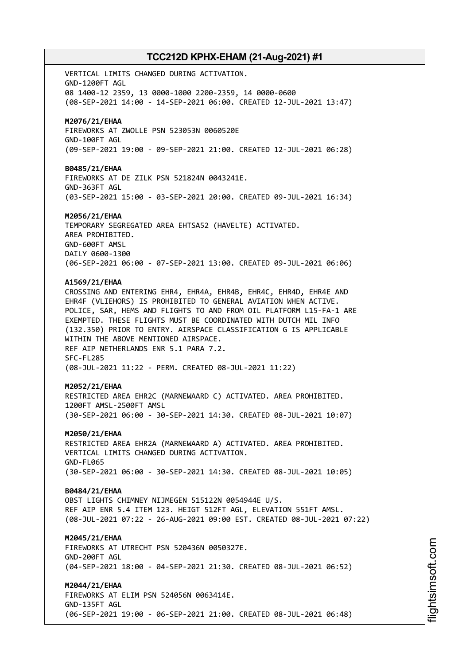VERTICAL LIMITS CHANGED DURING ACTIVATION. GND-1200FT AGL 08 1400-12 2359, 13 0000-1000 2200-2359, 14 0000-0600 (08-SEP-2021 14:00 - 14-SEP-2021 06:00. CREATED 12-JUL-2021 13:47) **M2076/21/EHAA** FIREWORKS AT ZWOLLE PSN 523053N 0060520E GND-100FT AGL (09-SEP-2021 19:00 - 09-SEP-2021 21:00. CREATED 12-JUL-2021 06:28) **B0485/21/EHAA** FIREWORKS AT DE ZILK PSN 521824N 0043241E. GND-363FT AGL (03-SEP-2021 15:00 - 03-SEP-2021 20:00. CREATED 09-JUL-2021 16:34) **M2056/21/EHAA** TEMPORARY SEGREGATED AREA EHTSA52 (HAVELTE) ACTIVATED. AREA PROHIBITED. GND-600FT AMSL DAILY 0600-1300 (06-SEP-2021 06:00 - 07-SEP-2021 13:00. CREATED 09-JUL-2021 06:06) **A1569/21/EHAA** CROSSING AND ENTERING EHR4, EHR4A, EHR4B, EHR4C, EHR4D, EHR4E AND EHR4F (VLIEHORS) IS PROHIBITED TO GENERAL AVIATION WHEN ACTIVE. POLICE, SAR, HEMS AND FLIGHTS TO AND FROM OIL PLATFORM L15-FA-1 ARE EXEMPTED. THESE FLIGHTS MUST BE COORDINATED WITH DUTCH MIL INFO (132.350) PRIOR TO ENTRY. AIRSPACE CLASSIFICATION G IS APPLICABLE WITHIN THE ABOVE MENTIONED AIRSPACE. REF AIP NETHERLANDS ENR 5.1 PARA 7.2. SFC-FL285 (08-JUL-2021 11:22 - PERM. CREATED 08-JUL-2021 11:22) **M2052/21/EHAA** RESTRICTED AREA EHR2C (MARNEWAARD C) ACTIVATED. AREA PROHIBITED. 1200FT AMSL-2500FT AMSL (30-SEP-2021 06:00 - 30-SEP-2021 14:30. CREATED 08-JUL-2021 10:07) **M2050/21/EHAA** RESTRICTED AREA EHR2A (MARNEWAARD A) ACTIVATED. AREA PROHIBITED. VERTICAL LIMITS CHANGED DURING ACTIVATION. GND-FL065 (30-SEP-2021 06:00 - 30-SEP-2021 14:30. CREATED 08-JUL-2021 10:05) **B0484/21/EHAA** OBST LIGHTS CHIMNEY NIJMEGEN 515122N 0054944E U/S. REF AIP ENR 5.4 ITEM 123. HEIGT 512FT AGL, ELEVATION 551FT AMSL. (08-JUL-2021 07:22 - 26-AUG-2021 09:00 EST. CREATED 08-JUL-2021 07:22) **M2045/21/EHAA** FIREWORKS AT UTRECHT PSN 520436N 0050327E. GND-200FT AGL (04-SEP-2021 18:00 - 04-SEP-2021 21:30. CREATED 08-JUL-2021 06:52) **M2044/21/EHAA** FIREWORKS AT ELIM PSN 524056N 0063414E. GND-135FT AGL (06-SEP-2021 19:00 - 06-SEP-2021 21:00. CREATED 08-JUL-2021 06:48)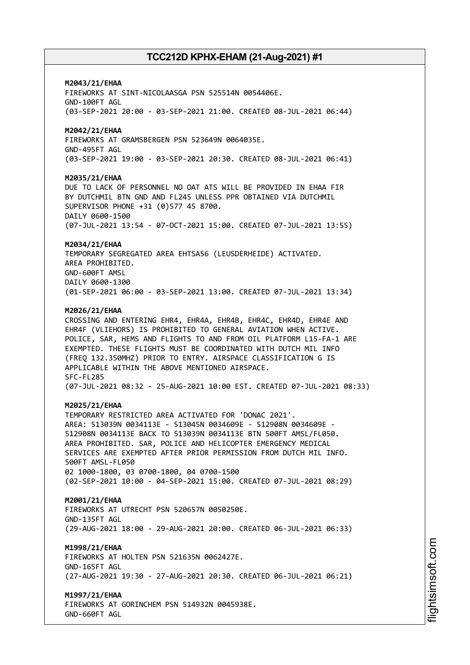### **M2043/21/EHAA**

FIREWORKS AT SINT-NICOLAASGA PSN 525514N 0054406E. GND-100FT AGL (03-SEP-2021 20:00 - 03-SEP-2021 21:00. CREATED 08-JUL-2021 06:44)

### **M2042/21/EHAA**

FIREWORKS AT GRAMSBERGEN PSN 523649N 0064035E. GND-495FT AGL (03-SEP-2021 19:00 - 03-SEP-2021 20:30. CREATED 08-JUL-2021 06:41)

#### **M2035/21/EHAA**

DUE TO LACK OF PERSONNEL NO OAT ATS WILL BE PROVIDED IN EHAA FIR BY DUTCHMIL BTN GND AND FL245 UNLESS PPR OBTAINED VIA DUTCHMIL SUPERVISOR PHONE +31 (0)577 45 8700. DAILY 0600-1500 (07-JUL-2021 13:54 - 07-OCT-2021 15:00. CREATED 07-JUL-2021 13:55)

#### **M2034/21/EHAA**

TEMPORARY SEGREGATED AREA EHTSA56 (LEUSDERHEIDE) ACTIVATED. AREA PROHIBITED. GND-600FT AMSL DAILY 0600-1300 (01-SEP-2021 06:00 - 03-SEP-2021 13:00. CREATED 07-JUL-2021 13:34)

#### **M2026/21/EHAA**

CROSSING AND ENTERING EHR4, EHR4A, EHR4B, EHR4C, EHR4D, EHR4E AND EHR4F (VLIEHORS) IS PROHIBITED TO GENERAL AVIATION WHEN ACTIVE. POLICE, SAR, HEMS AND FLIGHTS TO AND FROM OIL PLATFORM L15-FA-1 ARE EXEMPTED. THESE FLIGHTS MUST BE COORDINATED WITH DUTCH MIL INFO (FREQ 132.350MHZ) PRIOR TO ENTRY. AIRSPACE CLASSIFICATION G IS APPLICABLE WITHIN THE ABOVE MENTIONED AIRSPACE. SFC-FL285 (07-JUL-2021 08:32 - 25-AUG-2021 10:00 EST. CREATED 07-JUL-2021 08:33)

#### **M2025/21/EHAA**

TEMPORARY RESTRICTED AREA ACTIVATED FOR 'DONAC 2021'. AREA: 513039N 0034113E - 513045N 0034609E - 512908N 0034609E - 512908N 0034113E BACK TO 513039N 0034113E BTN 500FT AMSL/FL050. AREA PROHIBITED. SAR, POLICE AND HELICOPTER EMERGENCY MEDICAL SERVICES ARE EXEMPTED AFTER PRIOR PERMISSION FROM DUTCH MIL INFO. 500FT AMSL-FL050 02 1000-1800, 03 0700-1800, 04 0700-1500 (02-SEP-2021 10:00 - 04-SEP-2021 15:00. CREATED 07-JUL-2021 08:29)

#### **M2001/21/EHAA**

FIREWORKS AT UTRECHT PSN 520657N 0050250E. GND-135FT AGL (29-AUG-2021 18:00 - 29-AUG-2021 20:00. CREATED 06-JUL-2021 06:33)

#### **M1998/21/EHAA**

FIREWORKS AT HOLTEN PSN 521635N 0062427E. GND-165FT AGL (27-AUG-2021 19:30 - 27-AUG-2021 20:30. CREATED 06-JUL-2021 06:21)

#### **M1997/21/EHAA**

FIREWORKS AT GORINCHEM PSN 514932N 0045938E. GND-660FT AGL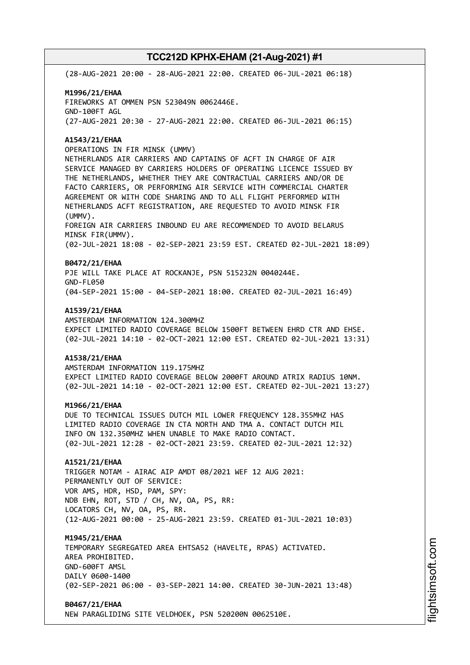(28-AUG-2021 20:00 - 28-AUG-2021 22:00. CREATED 06-JUL-2021 06:18)

# **M1996/21/EHAA** FIREWORKS AT OMMEN PSN 523049N 0062446E. GND-100FT AGL (27-AUG-2021 20:30 - 27-AUG-2021 22:00. CREATED 06-JUL-2021 06:15)

#### **A1543/21/EHAA**

OPERATIONS IN FIR MINSK (UMMV) NETHERLANDS AIR CARRIERS AND CAPTAINS OF ACFT IN CHARGE OF AIR SERVICE MANAGED BY CARRIERS HOLDERS OF OPERATING LICENCE ISSUED BY THE NETHERLANDS, WHETHER THEY ARE CONTRACTUAL CARRIERS AND/OR DE FACTO CARRIERS, OR PERFORMING AIR SERVICE WITH COMMERCIAL CHARTER AGREEMENT OR WITH CODE SHARING AND TO ALL FLIGHT PERFORMED WITH NETHERLANDS ACFT REGISTRATION, ARE REQUESTED TO AVOID MINSK FIR (UMMV). FOREIGN AIR CARRIERS INBOUND EU ARE RECOMMENDED TO AVOID BELARUS MINSK FIR(UMMV). (02-JUL-2021 18:08 - 02-SEP-2021 23:59 EST. CREATED 02-JUL-2021 18:09)

### **B0472/21/EHAA**

PJE WILL TAKE PLACE AT ROCKANJE, PSN 515232N 0040244E. GND-FL050 (04-SEP-2021 15:00 - 04-SEP-2021 18:00. CREATED 02-JUL-2021 16:49)

#### **A1539/21/EHAA**

AMSTERDAM INFORMATION 124.300MHZ EXPECT LIMITED RADIO COVERAGE BELOW 1500FT BETWEEN EHRD CTR AND EHSE. (02-JUL-2021 14:10 - 02-OCT-2021 12:00 EST. CREATED 02-JUL-2021 13:31)

### **A1538/21/EHAA**

AMSTERDAM INFORMATION 119.175MHZ EXPECT LIMITED RADIO COVERAGE BELOW 2000FT AROUND ATRIX RADIUS 10NM. (02-JUL-2021 14:10 - 02-OCT-2021 12:00 EST. CREATED 02-JUL-2021 13:27)

#### **M1966/21/EHAA**

DUE TO TECHNICAL ISSUES DUTCH MIL LOWER FREQUENCY 128.355MHZ HAS LIMITED RADIO COVERAGE IN CTA NORTH AND TMA A. CONTACT DUTCH MIL INFO ON 132.350MHZ WHEN UNABLE TO MAKE RADIO CONTACT. (02-JUL-2021 12:28 - 02-OCT-2021 23:59. CREATED 02-JUL-2021 12:32)

### **A1521/21/EHAA**

TRIGGER NOTAM - AIRAC AIP AMDT 08/2021 WEF 12 AUG 2021: PERMANENTLY OUT OF SERVICE: VOR AMS, HDR, HSD, PAM, SPY: NDB EHN, ROT, STD / CH, NV, OA, PS, RR: LOCATORS CH, NV, OA, PS, RR. (12-AUG-2021 00:00 - 25-AUG-2021 23:59. CREATED 01-JUL-2021 10:03)

#### **M1945/21/EHAA**

TEMPORARY SEGREGATED AREA EHTSA52 (HAVELTE, RPAS) ACTIVATED. AREA PROHIBITED. GND-600FT AMSL DAILY 0600-1400 (02-SEP-2021 06:00 - 03-SEP-2021 14:00. CREATED 30-JUN-2021 13:48)

#### **B0467/21/EHAA**

NEW PARAGLIDING SITE VELDHOEK, PSN 520200N 0062510E.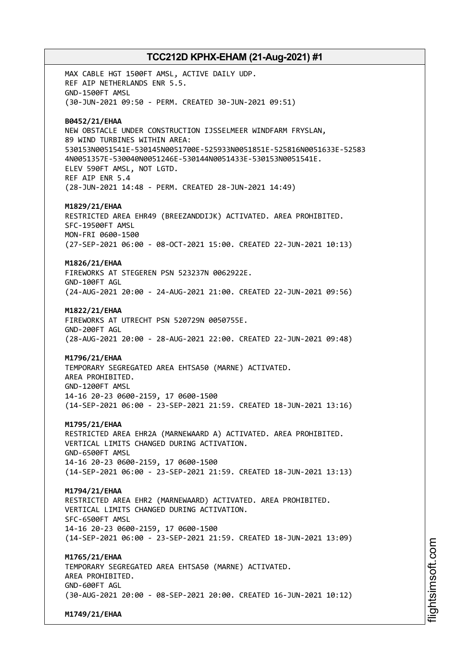MAX CABLE HGT 1500FT AMSL, ACTIVE DAILY UDP. REF AIP NETHERLANDS ENR 5.5. GND-1500FT AMSL (30-JUN-2021 09:50 - PERM. CREATED 30-JUN-2021 09:51) **B0452/21/EHAA** NEW OBSTACLE UNDER CONSTRUCTION IJSSELMEER WINDFARM FRYSLAN, 89 WIND TURBINES WITHIN AREA: 530153N0051541E-530145N0051700E-525933N0051851E-525816N0051633E-52583 4N0051357E-530040N0051246E-530144N0051433E-530153N0051541E. ELEV 590FT AMSL, NOT LGTD. REF AIP ENR 5.4 (28-JUN-2021 14:48 - PERM. CREATED 28-JUN-2021 14:49) **M1829/21/EHAA** RESTRICTED AREA EHR49 (BREEZANDDIJK) ACTIVATED. AREA PROHIBITED. SFC-19500FT AMSL MON-FRI 0600-1500 (27-SEP-2021 06:00 - 08-OCT-2021 15:00. CREATED 22-JUN-2021 10:13) **M1826/21/EHAA** FIREWORKS AT STEGEREN PSN 523237N 0062922E. GND-100FT AGL (24-AUG-2021 20:00 - 24-AUG-2021 21:00. CREATED 22-JUN-2021 09:56) **M1822/21/EHAA** FIREWORKS AT UTRECHT PSN 520729N 0050755E. GND-200FT AGL (28-AUG-2021 20:00 - 28-AUG-2021 22:00. CREATED 22-JUN-2021 09:48) **M1796/21/EHAA** TEMPORARY SEGREGATED AREA EHTSA50 (MARNE) ACTIVATED. AREA PROHIBITED. GND-1200FT AMSL 14-16 20-23 0600-2159, 17 0600-1500 (14-SEP-2021 06:00 - 23-SEP-2021 21:59. CREATED 18-JUN-2021 13:16) **M1795/21/EHAA** RESTRICTED AREA EHR2A (MARNEWAARD A) ACTIVATED. AREA PROHIBITED. VERTICAL LIMITS CHANGED DURING ACTIVATION. GND-6500FT AMSL 14-16 20-23 0600-2159, 17 0600-1500 (14-SEP-2021 06:00 - 23-SEP-2021 21:59. CREATED 18-JUN-2021 13:13) **M1794/21/EHAA** RESTRICTED AREA EHR2 (MARNEWAARD) ACTIVATED. AREA PROHIBITED. VERTICAL LIMITS CHANGED DURING ACTIVATION. SFC-6500FT AMSL 14-16 20-23 0600-2159, 17 0600-1500 (14-SEP-2021 06:00 - 23-SEP-2021 21:59. CREATED 18-JUN-2021 13:09) **M1765/21/EHAA** TEMPORARY SEGREGATED AREA EHTSA50 (MARNE) ACTIVATED. AREA PROHIBITED. GND-600FT AGL (30-AUG-2021 20:00 - 08-SEP-2021 20:00. CREATED 16-JUN-2021 10:12)

**M1749/21/EHAA**

i⊒<br>⊫ htsim soft.c om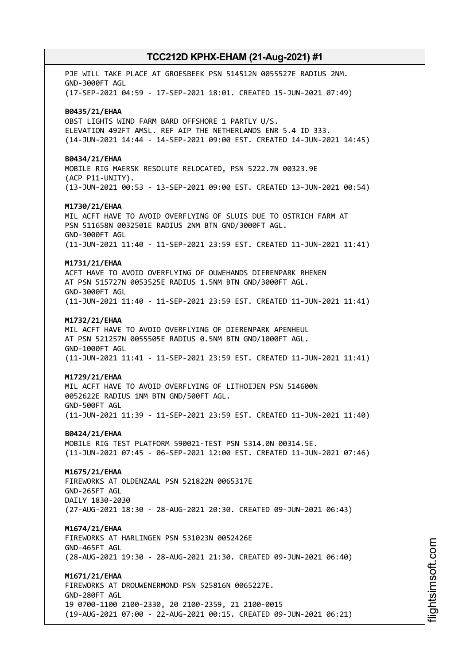PJE WILL TAKE PLACE AT GROESBEEK PSN 514512N 0055527E RADIUS 2NM. GND-3000FT AGL (17-SEP-2021 04:59 - 17-SEP-2021 18:01. CREATED 15-JUN-2021 07:49) **B0435/21/EHAA** OBST LIGHTS WIND FARM BARD OFFSHORE 1 PARTLY U/S. ELEVATION 492FT AMSL. REF AIP THE NETHERLANDS ENR 5.4 ID 333. (14-JUN-2021 14:44 - 14-SEP-2021 09:00 EST. CREATED 14-JUN-2021 14:45) **B0434/21/EHAA** MOBILE RIG MAERSK RESOLUTE RELOCATED, PSN 5222.7N 00323.9E (ACP P11-UNITY). (13-JUN-2021 00:53 - 13-SEP-2021 09:00 EST. CREATED 13-JUN-2021 00:54) **M1730/21/EHAA** MIL ACFT HAVE TO AVOID OVERFLYING OF SLUIS DUE TO OSTRICH FARM AT PSN 511658N 0032501E RADIUS 2NM BTN GND/3000FT AGL. GND-3000FT AGL (11-JUN-2021 11:40 - 11-SEP-2021 23:59 EST. CREATED 11-JUN-2021 11:41) **M1731/21/EHAA** ACFT HAVE TO AVOID OVERFLYING OF OUWEHANDS DIERENPARK RHENEN AT PSN 515727N 0053525E RADIUS 1.5NM BTN GND/3000FT AGL. GND-3000FT AGL (11-JUN-2021 11:40 - 11-SEP-2021 23:59 EST. CREATED 11-JUN-2021 11:41) **M1732/21/EHAA** MIL ACFT HAVE TO AVOID OVERFLYING OF DIERENPARK APENHEUL AT PSN 521257N 0055505E RADIUS 0.5NM BTN GND/1000FT AGL. GND-1000FT AGL (11-JUN-2021 11:41 - 11-SEP-2021 23:59 EST. CREATED 11-JUN-2021 11:41) **M1729/21/EHAA** MIL ACFT HAVE TO AVOID OVERFLYING OF LITHOIJEN PSN 514600N 0052622E RADIUS 1NM BTN GND/500FT AGL. GND-500FT AGL (11-JUN-2021 11:39 - 11-SEP-2021 23:59 EST. CREATED 11-JUN-2021 11:40) **B0424/21/EHAA** MOBILE RIG TEST PLATFORM 590021-TEST PSN 5314.0N 00314.5E. (11-JUN-2021 07:45 - 06-SEP-2021 12:00 EST. CREATED 11-JUN-2021 07:46) **M1675/21/EHAA** FIREWORKS AT OLDENZAAL PSN 521822N 0065317E GND-265FT AGL DAILY 1830-2030 (27-AUG-2021 18:30 - 28-AUG-2021 20:30. CREATED 09-JUN-2021 06:43) **M1674/21/EHAA** FIREWORKS AT HARLINGEN PSN 531023N 0052426E GND-465FT AGL (28-AUG-2021 19:30 - 28-AUG-2021 21:30. CREATED 09-JUN-2021 06:40) **M1671/21/EHAA** FIREWORKS AT DROUWENERMOND PSN 525816N 0065227E. GND-280FT AGL 19 0700-1100 2100-2330, 20 2100-2359, 21 2100-0015 (19-AUG-2021 07:00 - 22-AUG-2021 00:15. CREATED 09-JUN-2021 06:21)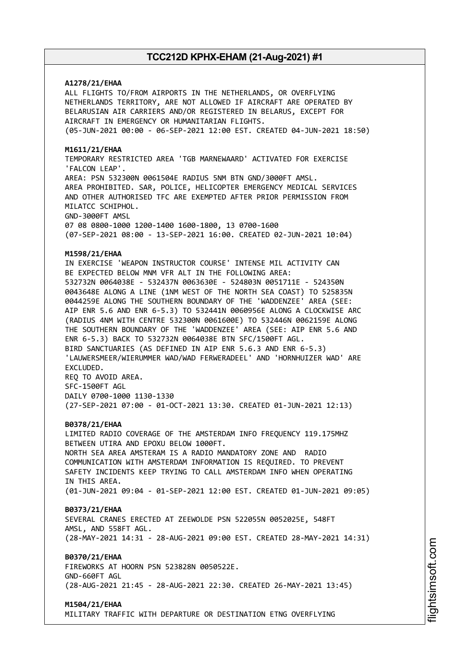### **A1278/21/EHAA**

ALL FLIGHTS TO/FROM AIRPORTS IN THE NETHERLANDS, OR OVERFLYING NETHERLANDS TERRITORY, ARE NOT ALLOWED IF AIRCRAFT ARE OPERATED BY BELARUSIAN AIR CARRIERS AND/OR REGISTERED IN BELARUS, EXCEPT FOR AIRCRAFT IN EMERGENCY OR HUMANITARIAN FLIGHTS. (05-JUN-2021 00:00 - 06-SEP-2021 12:00 EST. CREATED 04-JUN-2021 18:50)

#### **M1611/21/EHAA**

TEMPORARY RESTRICTED AREA 'TGB MARNEWAARD' ACTIVATED FOR EXERCISE 'FALCON LEAP'. AREA: PSN 532300N 0061504E RADIUS 5NM BTN GND/3000FT AMSL. AREA PROHIBITED. SAR, POLICE, HELICOPTER EMERGENCY MEDICAL SERVICES AND OTHER AUTHORISED TFC ARE EXEMPTED AFTER PRIOR PERMISSION FROM MILATCC SCHIPHOL. GND-3000FT AMSL 07 08 0800-1000 1200-1400 1600-1800, 13 0700-1600

(07-SEP-2021 08:00 - 13-SEP-2021 16:00. CREATED 02-JUN-2021 10:04)

### **M1598/21/EHAA**

IN EXERCISE 'WEAPON INSTRUCTOR COURSE' INTENSE MIL ACTIVITY CAN BE EXPECTED BELOW MNM VFR ALT IN THE FOLLOWING AREA: 532732N 0064038E - 532437N 0063630E - 524803N 0051711E - 524350N 0043648E ALONG A LINE (1NM WEST OF THE NORTH SEA COAST) TO 525835N 0044259E ALONG THE SOUTHERN BOUNDARY OF THE 'WADDENZEE' AREA (SEE: AIP ENR 5.6 AND ENR 6-5.3) TO 532441N 0060956E ALONG A CLOCKWISE ARC (RADIUS 4NM WITH CENTRE 532300N 0061600E) TO 532446N 0062159E ALONG THE SOUTHERN BOUNDARY OF THE 'WADDENZEE' AREA (SEE: AIP ENR 5.6 AND ENR 6-5.3) BACK TO 532732N 0064038E BTN SFC/1500FT AGL. BIRD SANCTUARIES (AS DEFINED IN AIP ENR 5.6.3 AND ENR 6-5.3) 'LAUWERSMEER/WIERUMMER WAD/WAD FERWERADEEL' AND 'HORNHUIZER WAD' ARE EXCLUDED. REQ TO AVOID AREA. SFC-1500FT AGL DAILY 0700-1000 1130-1330

(27-SEP-2021 07:00 - 01-OCT-2021 13:30. CREATED 01-JUN-2021 12:13)

#### **B0378/21/EHAA**

LIMITED RADIO COVERAGE OF THE AMSTERDAM INFO FREQUENCY 119.175MHZ BETWEEN UTIRA AND EPOXU BELOW 1000FT. NORTH SEA AREA AMSTERAM IS A RADIO MANDATORY ZONE AND RADIO COMMUNICATION WITH AMSTERDAM INFORMATION IS REQUIRED. TO PREVENT SAFETY INCIDENTS KEEP TRYING TO CALL AMSTERDAM INFO WHEN OPERATING IN THIS AREA. (01-JUN-2021 09:04 - 01-SEP-2021 12:00 EST. CREATED 01-JUN-2021 09:05)

#### **B0373/21/EHAA**

SEVERAL CRANES ERECTED AT ZEEWOLDE PSN 522055N 0052025E, 548FT AMSL, AND 558FT AGL. (28-MAY-2021 14:31 - 28-AUG-2021 09:00 EST. CREATED 28-MAY-2021 14:31)

### **B0370/21/EHAA**

FIREWORKS AT HOORN PSN 523828N 0050522E. GND-660FT AGL (28-AUG-2021 21:45 - 28-AUG-2021 22:30. CREATED 26-MAY-2021 13:45)

#### **M1504/21/EHAA**

MILITARY TRAFFIC WITH DEPARTURE OR DESTINATION ETNG OVERFLYING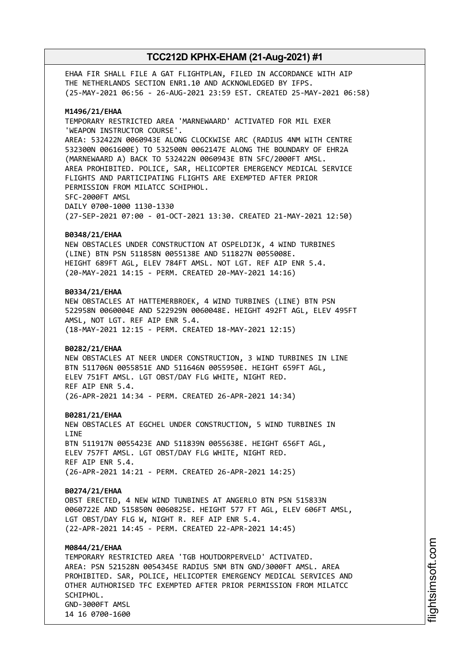EHAA FIR SHALL FILE A GAT FLIGHTPLAN, FILED IN ACCORDANCE WITH AIP THE NETHERLANDS SECTION ENR1.10 AND ACKNOWLEDGED BY IFPS. (25-MAY-2021 06:56 - 26-AUG-2021 23:59 EST. CREATED 25-MAY-2021 06:58)

#### **M1496/21/EHAA**

TEMPORARY RESTRICTED AREA 'MARNEWAARD' ACTIVATED FOR MIL EXER 'WEAPON INSTRUCTOR COURSE'. AREA: 532422N 0060943E ALONG CLOCKWISE ARC (RADIUS 4NM WITH CENTRE 532300N 0061600E) TO 532500N 0062147E ALONG THE BOUNDARY OF EHR2A (MARNEWAARD A) BACK TO 532422N 0060943E BTN SFC/2000FT AMSL. AREA PROHIBITED. POLICE, SAR, HELICOPTER EMERGENCY MEDICAL SERVICE FLIGHTS AND PARTICIPATING FLIGHTS ARE EXEMPTED AFTER PRIOR PERMISSION FROM MILATCC SCHIPHOL. SFC-2000FT AMSL DAILY 0700-1000 1130-1330 (27-SEP-2021 07:00 - 01-OCT-2021 13:30. CREATED 21-MAY-2021 12:50)

#### **B0348/21/EHAA**

NEW OBSTACLES UNDER CONSTRUCTION AT OSPELDIJK, 4 WIND TURBINES (LINE) BTN PSN 511858N 0055138E AND 511827N 0055008E. HEIGHT 689FT AGL, ELEV 784FT AMSL. NOT LGT. REF AIP ENR 5.4. (20-MAY-2021 14:15 - PERM. CREATED 20-MAY-2021 14:16)

#### **B0334/21/EHAA**

NEW OBSTACLES AT HATTEMERBROEK, 4 WIND TURBINES (LINE) BTN PSN 522958N 0060004E AND 522929N 0060048E. HEIGHT 492FT AGL, ELEV 495FT AMSL, NOT LGT. REF AIP ENR 5.4. (18-MAY-2021 12:15 - PERM. CREATED 18-MAY-2021 12:15)

#### **B0282/21/EHAA**

NEW OBSTACLES AT NEER UNDER CONSTRUCTION, 3 WIND TURBINES IN LINE BTN 511706N 0055851E AND 511646N 0055950E. HEIGHT 659FT AGL, ELEV 751FT AMSL. LGT OBST/DAY FLG WHITE, NIGHT RED. REF AIP ENR 5.4. (26-APR-2021 14:34 - PERM. CREATED 26-APR-2021 14:34)

#### **B0281/21/EHAA**

NEW OBSTACLES AT EGCHEL UNDER CONSTRUCTION, 5 WIND TURBINES IN LINE BTN 511917N 0055423E AND 511839N 0055638E. HEIGHT 656FT AGL, ELEV 757FT AMSL. LGT OBST/DAY FLG WHITE, NIGHT RED. REF AIP ENR 5.4. (26-APR-2021 14:21 - PERM. CREATED 26-APR-2021 14:25)

#### **B0274/21/EHAA**

OBST ERECTED, 4 NEW WIND TUNBINES AT ANGERLO BTN PSN 515833N 0060722E AND 515850N 0060825E. HEIGHT 577 FT AGL, ELEV 606FT AMSL, LGT OBST/DAY FLG W, NIGHT R. REF AIP ENR 5.4. (22-APR-2021 14:45 - PERM. CREATED 22-APR-2021 14:45)

### **M0844/21/EHAA**

TEMPORARY RESTRICTED AREA 'TGB HOUTDORPERVELD' ACTIVATED. AREA: PSN 521528N 0054345E RADIUS 5NM BTN GND/3000FT AMSL. AREA PROHIBITED. SAR, POLICE, HELICOPTER EMERGENCY MEDICAL SERVICES AND OTHER AUTHORISED TFC EXEMPTED AFTER PRIOR PERMISSION FROM MILATCC SCHIPHOL. GND-3000FT AMSL 14 16 0700-1600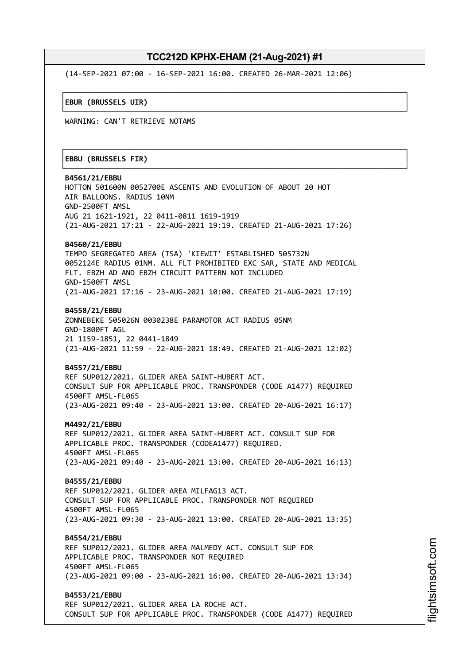┌──────────────────────────────────────────────────────────────────────────────┐

└──────────────────────────────────────────────────────────────────────────────┘

┌──────────────────────────────────────────────────────────────────────────────┐

└──────────────────────────────────────────────────────────────────────────────┘

(14-SEP-2021 07:00 - 16-SEP-2021 16:00. CREATED 26-MAR-2021 12:06)

│**EBUR (BRUSSELS UIR)** │

WARNING: CAN'T RETRIEVE NOTAMS

#### │**EBBU (BRUSSELS FIR)** │

**B4561/21/EBBU** HOTTON 501600N 0052700E ASCENTS AND EVOLUTION OF ABOUT 20 HOT AIR BALLOONS. RADIUS 10NM GND-2500FT AMSL AUG 21 1621-1921, 22 0411-0811 1619-1919 (21-AUG-2021 17:21 - 22-AUG-2021 19:19. CREATED 21-AUG-2021 17:26) **B4560/21/EBBU** TEMPO SEGREGATED AREA (TSA) 'KIEWIT' ESTABLISHED 505732N 0052124E RADIUS 01NM. ALL FLT PROHIBITED EXC SAR, STATE AND MEDICAL FLT. EBZH AD AND EBZH CIRCUIT PATTERN NOT INCLUDED GND-1500FT AMSL (21-AUG-2021 17:16 - 23-AUG-2021 10:00. CREATED 21-AUG-2021 17:19) **B4558/21/EBBU** ZONNEBEKE 505026N 0030238E PARAMOTOR ACT RADIUS 05NM GND-1800FT AGL 21 1159-1851, 22 0441-1849

(21-AUG-2021 11:59 - 22-AUG-2021 18:49. CREATED 21-AUG-2021 12:02)

#### **B4557/21/EBBU**

REF SUP012/2021. GLIDER AREA SAINT-HUBERT ACT. CONSULT SUP FOR APPLICABLE PROC. TRANSPONDER (CODE A1477) REQUIRED 4500FT AMSL-FL065 (23-AUG-2021 09:40 - 23-AUG-2021 13:00. CREATED 20-AUG-2021 16:17)

**M4492/21/EBBU**

REF SUP012/2021. GLIDER AREA SAINT-HUBERT ACT. CONSULT SUP FOR APPLICABLE PROC. TRANSPONDER (CODEA1477) REQUIRED. 4500FT AMSL-FL065 (23-AUG-2021 09:40 - 23-AUG-2021 13:00. CREATED 20-AUG-2021 16:13)

**B4555/21/EBBU** REF SUP012/2021. GLIDER AREA MILFAG13 ACT. CONSULT SUP FOR APPLICABLE PROC. TRANSPONDER NOT REQUIRED 4500FT AMSL-FL065 (23-AUG-2021 09:30 - 23-AUG-2021 13:00. CREATED 20-AUG-2021 13:35)

**B4554/21/EBBU** REF SUP012/2021. GLIDER AREA MALMEDY ACT. CONSULT SUP FOR APPLICABLE PROC. TRANSPONDER NOT REQUIRED 4500FT AMSL-FL065 (23-AUG-2021 09:00 - 23-AUG-2021 16:00. CREATED 20-AUG-2021 13:34)

**B4553/21/EBBU** REF SUP012/2021. GLIDER AREA LA ROCHE ACT. CONSULT SUP FOR APPLICABLE PROC. TRANSPONDER (CODE A1477) REQUIRED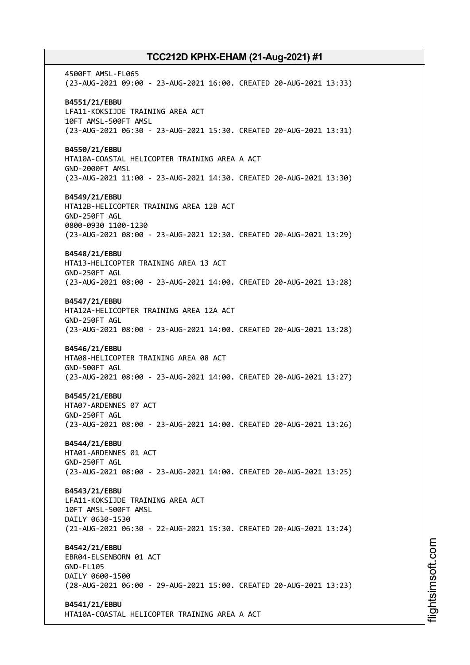4500FT AMSL-FL065 (23-AUG-2021 09:00 - 23-AUG-2021 16:00. CREATED 20-AUG-2021 13:33) **B4551/21/EBBU** LFA11-KOKSIJDE TRAINING AREA ACT 10FT AMSL-500FT AMSL (23-AUG-2021 06:30 - 23-AUG-2021 15:30. CREATED 20-AUG-2021 13:31) **B4550/21/EBBU** HTA10A-COASTAL HELICOPTER TRAINING AREA A ACT GND-2000FT AMSL (23-AUG-2021 11:00 - 23-AUG-2021 14:30. CREATED 20-AUG-2021 13:30) **B4549/21/EBBU** HTA12B-HELICOPTER TRAINING AREA 12B ACT GND-250FT AGL 0800-0930 1100-1230 (23-AUG-2021 08:00 - 23-AUG-2021 12:30. CREATED 20-AUG-2021 13:29) **B4548/21/EBBU** HTA13-HELICOPTER TRAINING AREA 13 ACT GND-250FT AGL (23-AUG-2021 08:00 - 23-AUG-2021 14:00. CREATED 20-AUG-2021 13:28) **B4547/21/EBBU** HTA12A-HELICOPTER TRAINING AREA 12A ACT GND-250FT AGL (23-AUG-2021 08:00 - 23-AUG-2021 14:00. CREATED 20-AUG-2021 13:28) **B4546/21/EBBU** HTA08-HELICOPTER TRAINING AREA 08 ACT GND-500FT AGL (23-AUG-2021 08:00 - 23-AUG-2021 14:00. CREATED 20-AUG-2021 13:27) **B4545/21/EBBU** HTA07-ARDENNES 07 ACT GND-250FT AGL (23-AUG-2021 08:00 - 23-AUG-2021 14:00. CREATED 20-AUG-2021 13:26) **B4544/21/EBBU** HTA01-ARDENNES 01 ACT GND-250FT AGL (23-AUG-2021 08:00 - 23-AUG-2021 14:00. CREATED 20-AUG-2021 13:25) **B4543/21/EBBU** LFA11-KOKSIJDE TRAINING AREA ACT 10FT AMSL-500FT AMSL DAILY 0630-1530 (21-AUG-2021 06:30 - 22-AUG-2021 15:30. CREATED 20-AUG-2021 13:24) **B4542/21/EBBU** EBR04-ELSENBORN 01 ACT GND-FL105 DAILY 0600-1500 (28-AUG-2021 06:00 - 29-AUG-2021 15:00. CREATED 20-AUG-2021 13:23) **B4541/21/EBBU** HTA10A-COASTAL HELICOPTER TRAINING AREA A ACT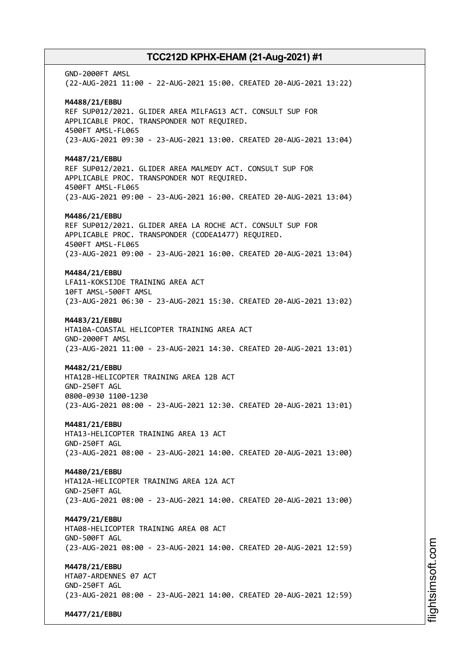GND-2000FT AMSL (22-AUG-2021 11:00 - 22-AUG-2021 15:00. CREATED 20-AUG-2021 13:22) **M4488/21/EBBU** REF SUP012/2021. GLIDER AREA MILFAG13 ACT. CONSULT SUP FOR APPLICABLE PROC. TRANSPONDER NOT REQUIRED. 4500FT AMSL-FL065 (23-AUG-2021 09:30 - 23-AUG-2021 13:00. CREATED 20-AUG-2021 13:04) **M4487/21/EBBU** REF SUP012/2021. GLIDER AREA MALMEDY ACT. CONSULT SUP FOR APPLICABLE PROC. TRANSPONDER NOT REQUIRED. 4500FT AMSL-FL065 (23-AUG-2021 09:00 - 23-AUG-2021 16:00. CREATED 20-AUG-2021 13:04) **M4486/21/EBBU** REF SUP012/2021. GLIDER AREA LA ROCHE ACT. CONSULT SUP FOR APPLICABLE PROC. TRANSPONDER (CODEA1477) REQUIRED. 4500FT AMSL-FL065 (23-AUG-2021 09:00 - 23-AUG-2021 16:00. CREATED 20-AUG-2021 13:04) **M4484/21/EBBU** LFA11-KOKSIJDE TRAINING AREA ACT 10FT AMSL-500FT AMSL (23-AUG-2021 06:30 - 23-AUG-2021 15:30. CREATED 20-AUG-2021 13:02) **M4483/21/EBBU** HTA10A-COASTAL HELICOPTER TRAINING AREA ACT GND-2000FT AMSL (23-AUG-2021 11:00 - 23-AUG-2021 14:30. CREATED 20-AUG-2021 13:01) **M4482/21/EBBU** HTA12B-HELICOPTER TRAINING AREA 12B ACT GND-250FT AGL 0800-0930 1100-1230 (23-AUG-2021 08:00 - 23-AUG-2021 12:30. CREATED 20-AUG-2021 13:01) **M4481/21/EBBU** HTA13-HELICOPTER TRAINING AREA 13 ACT GND-250FT AGL (23-AUG-2021 08:00 - 23-AUG-2021 14:00. CREATED 20-AUG-2021 13:00) **M4480/21/EBBU** HTA12A-HELICOPTER TRAINING AREA 12A ACT GND-250FT AGL (23-AUG-2021 08:00 - 23-AUG-2021 14:00. CREATED 20-AUG-2021 13:00) **M4479/21/EBBU** HTA08-HELICOPTER TRAINING AREA 08 ACT GND-500FT AGL (23-AUG-2021 08:00 - 23-AUG-2021 14:00. CREATED 20-AUG-2021 12:59) **M4478/21/EBBU** HTA07-ARDENNES 07 ACT GND-250FT AGL (23-AUG-2021 08:00 - 23-AUG-2021 14:00. CREATED 20-AUG-2021 12:59) **M4477/21/EBBU**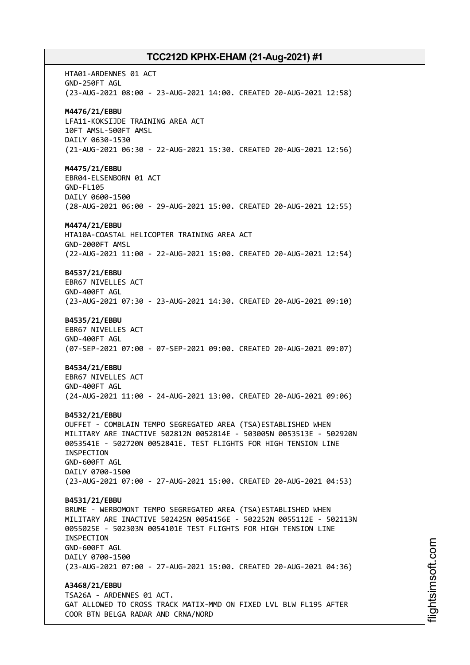HTA01-ARDENNES 01 ACT GND-250FT AGL (23-AUG-2021 08:00 - 23-AUG-2021 14:00. CREATED 20-AUG-2021 12:58) **M4476/21/EBBU** LFA11-KOKSIJDE TRAINING AREA ACT 10FT AMSL-500FT AMSL DAILY 0630-1530 (21-AUG-2021 06:30 - 22-AUG-2021 15:30. CREATED 20-AUG-2021 12:56) **M4475/21/EBBU** EBR04-ELSENBORN 01 ACT GND-FL105 DAILY 0600-1500 (28-AUG-2021 06:00 - 29-AUG-2021 15:00. CREATED 20-AUG-2021 12:55) **M4474/21/EBBU** HTA10A-COASTAL HELICOPTER TRAINING AREA ACT GND-2000FT AMSL (22-AUG-2021 11:00 - 22-AUG-2021 15:00. CREATED 20-AUG-2021 12:54) **B4537/21/EBBU** EBR67 NIVELLES ACT GND-400FT AGL (23-AUG-2021 07:30 - 23-AUG-2021 14:30. CREATED 20-AUG-2021 09:10) **B4535/21/EBBU** EBR67 NIVELLES ACT GND-400FT AGL (07-SEP-2021 07:00 - 07-SEP-2021 09:00. CREATED 20-AUG-2021 09:07) **B4534/21/EBBU** EBR67 NIVELLES ACT GND-400FT AGL (24-AUG-2021 11:00 - 24-AUG-2021 13:00. CREATED 20-AUG-2021 09:06) **B4532/21/EBBU** OUFFET - COMBLAIN TEMPO SEGREGATED AREA (TSA)ESTABLISHED WHEN MILITARY ARE INACTIVE 502812N 0052814E - 503005N 0053513E - 502920N 0053541E - 502720N 0052841E. TEST FLIGHTS FOR HIGH TENSION LINE INSPECTION GND-600FT AGL DAILY 0700-1500 (23-AUG-2021 07:00 - 27-AUG-2021 15:00. CREATED 20-AUG-2021 04:53) **B4531/21/EBBU** BRUME - WERBOMONT TEMPO SEGREGATED AREA (TSA)ESTABLISHED WHEN MILITARY ARE INACTIVE 502425N 0054156E - 502252N 0055112E - 502113N 0055025E - 502303N 0054101E TEST FLIGHTS FOR HIGH TENSION LINE INSPECTION GND-600FT AGL DAILY 0700-1500 (23-AUG-2021 07:00 - 27-AUG-2021 15:00. CREATED 20-AUG-2021 04:36) **A3468/21/EBBU** TSA26A - ARDENNES 01 ACT. GAT ALLOWED TO CROSS TRACK MATIX-MMD ON FIXED LVL BLW FL195 AFTER COOR BTN BELGA RADAR AND CRNA/NORD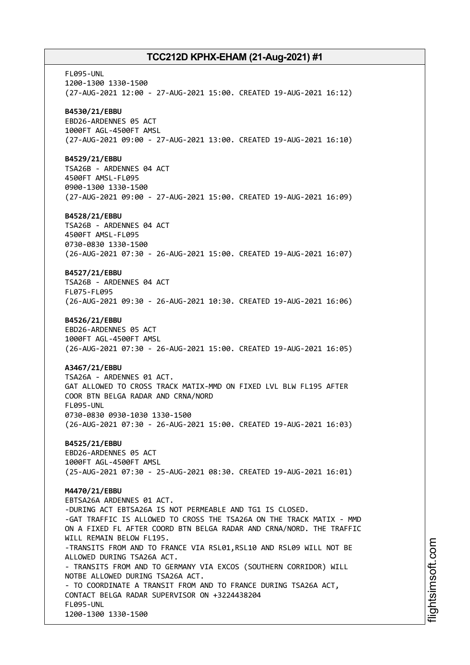FL095-UNL 1200-1300 1330-1500 (27-AUG-2021 12:00 - 27-AUG-2021 15:00. CREATED 19-AUG-2021 16:12) **B4530/21/EBBU** EBD26-ARDENNES 05 ACT 1000FT AGL-4500FT AMSL (27-AUG-2021 09:00 - 27-AUG-2021 13:00. CREATED 19-AUG-2021 16:10) **B4529/21/EBBU** TSA26B - ARDENNES 04 ACT 4500FT AMSL-FL095 0900-1300 1330-1500 (27-AUG-2021 09:00 - 27-AUG-2021 15:00. CREATED 19-AUG-2021 16:09) **B4528/21/EBBU** TSA26B - ARDENNES 04 ACT 4500FT AMSL-FL095 0730-0830 1330-1500 (26-AUG-2021 07:30 - 26-AUG-2021 15:00. CREATED 19-AUG-2021 16:07) **B4527/21/EBBU** TSA26B - ARDENNES 04 ACT FL075-FL095 (26-AUG-2021 09:30 - 26-AUG-2021 10:30. CREATED 19-AUG-2021 16:06) **B4526/21/EBBU** EBD26-ARDENNES 05 ACT 1000FT AGL-4500FT AMSL (26-AUG-2021 07:30 - 26-AUG-2021 15:00. CREATED 19-AUG-2021 16:05) **A3467/21/EBBU** TSA26A - ARDENNES 01 ACT. GAT ALLOWED TO CROSS TRACK MATIX-MMD ON FIXED LVL BLW FL195 AFTER COOR BTN BELGA RADAR AND CRNA/NORD FL095-UNL 0730-0830 0930-1030 1330-1500 (26-AUG-2021 07:30 - 26-AUG-2021 15:00. CREATED 19-AUG-2021 16:03) **B4525/21/EBBU** EBD26-ARDENNES 05 ACT 1000FT AGL-4500FT AMSL (25-AUG-2021 07:30 - 25-AUG-2021 08:30. CREATED 19-AUG-2021 16:01) **M4470/21/EBBU** EBTSA26A ARDENNES 01 ACT. -DURING ACT EBTSA26A IS NOT PERMEABLE AND TG1 IS CLOSED. -GAT TRAFFIC IS ALLOWED TO CROSS THE TSA26A ON THE TRACK MATIX - MMD ON A FIXED FL AFTER COORD BTN BELGA RADAR AND CRNA/NORD. THE TRAFFIC WILL REMAIN BELOW FL195. -TRANSITS FROM AND TO FRANCE VIA RSL01, RSL10 AND RSL09 WILL NOT BE ALLOWED DURING TSA26A ACT. - TRANSITS FROM AND TO GERMANY VIA EXCOS (SOUTHERN CORRIDOR) WILL NOTBE ALLOWED DURING TSA26A ACT. - TO COORDINATE A TRANSIT FROM AND TO FRANCE DURING TSA26A ACT, CONTACT BELGA RADAR SUPERVISOR ON +3224438204 FL095-UNL 1200-1300 1330-1500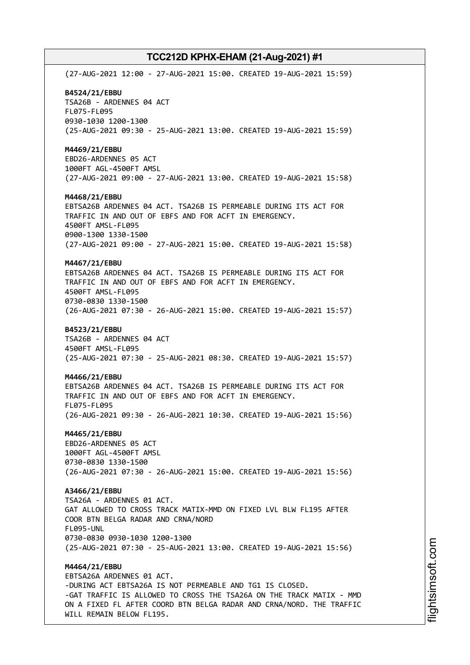(27-AUG-2021 12:00 - 27-AUG-2021 15:00. CREATED 19-AUG-2021 15:59) **B4524/21/EBBU** TSA26B - ARDENNES 04 ACT FL075-FL095 0930-1030 1200-1300 (25-AUG-2021 09:30 - 25-AUG-2021 13:00. CREATED 19-AUG-2021 15:59) **M4469/21/EBBU** EBD26-ARDENNES 05 ACT 1000FT AGL-4500FT AMSL (27-AUG-2021 09:00 - 27-AUG-2021 13:00. CREATED 19-AUG-2021 15:58) **M4468/21/EBBU** EBTSA26B ARDENNES 04 ACT. TSA26B IS PERMEABLE DURING ITS ACT FOR TRAFFIC IN AND OUT OF EBFS AND FOR ACFT IN EMERGENCY. 4500FT AMSL-FL095 0900-1300 1330-1500 (27-AUG-2021 09:00 - 27-AUG-2021 15:00. CREATED 19-AUG-2021 15:58) **M4467/21/EBBU** EBTSA26B ARDENNES 04 ACT. TSA26B IS PERMEABLE DURING ITS ACT FOR TRAFFIC IN AND OUT OF EBFS AND FOR ACFT IN EMERGENCY. 4500FT AMSL-FL095 0730-0830 1330-1500 (26-AUG-2021 07:30 - 26-AUG-2021 15:00. CREATED 19-AUG-2021 15:57) **B4523/21/EBBU** TSA26B - ARDENNES 04 ACT 4500FT AMSL-FL095 (25-AUG-2021 07:30 - 25-AUG-2021 08:30. CREATED 19-AUG-2021 15:57) **M4466/21/EBBU** EBTSA26B ARDENNES 04 ACT. TSA26B IS PERMEABLE DURING ITS ACT FOR TRAFFIC IN AND OUT OF EBFS AND FOR ACFT IN EMERGENCY. FL075-FL095 (26-AUG-2021 09:30 - 26-AUG-2021 10:30. CREATED 19-AUG-2021 15:56) **M4465/21/EBBU** EBD26-ARDENNES 05 ACT 1000FT AGL-4500FT AMSL 0730-0830 1330-1500 (26-AUG-2021 07:30 - 26-AUG-2021 15:00. CREATED 19-AUG-2021 15:56) **A3466/21/EBBU** TSA26A - ARDENNES 01 ACT. GAT ALLOWED TO CROSS TRACK MATIX-MMD ON FIXED LVL BLW FL195 AFTER COOR BTN BELGA RADAR AND CRNA/NORD FL095-UNL 0730-0830 0930-1030 1200-1300 (25-AUG-2021 07:30 - 25-AUG-2021 13:00. CREATED 19-AUG-2021 15:56) **M4464/21/EBBU** EBTSA26A ARDENNES 01 ACT. -DURING ACT EBTSA26A IS NOT PERMEABLE AND TG1 IS CLOSED. -GAT TRAFFIC IS ALLOWED TO CROSS THE TSA26A ON THE TRACK MATIX - MMD ON A FIXED FL AFTER COORD BTN BELGA RADAR AND CRNA/NORD. THE TRAFFIC

WILL REMAIN BELOW FL195.

i⊒<br>⊫ htsim soft.c om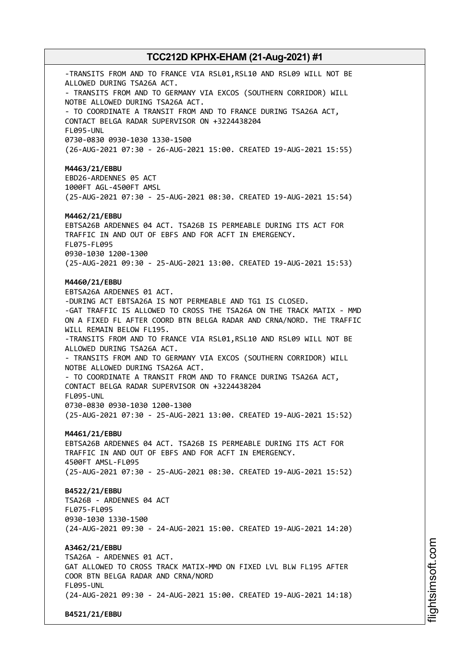-TRANSITS FROM AND TO FRANCE VIA RSL01, RSL10 AND RSL09 WILL NOT BE ALLOWED DURING TSA26A ACT. - TRANSITS FROM AND TO GERMANY VIA EXCOS (SOUTHERN CORRIDOR) WILL NOTBE ALLOWED DURING TSA26A ACT. - TO COORDINATE A TRANSIT FROM AND TO FRANCE DURING TSA26A ACT, CONTACT BELGA RADAR SUPERVISOR ON +3224438204 FL095-UNL 0730-0830 0930-1030 1330-1500 (26-AUG-2021 07:30 - 26-AUG-2021 15:00. CREATED 19-AUG-2021 15:55) **M4463/21/EBBU** EBD26-ARDENNES 05 ACT 1000FT AGL-4500FT AMSL (25-AUG-2021 07:30 - 25-AUG-2021 08:30. CREATED 19-AUG-2021 15:54) **M4462/21/EBBU** EBTSA26B ARDENNES 04 ACT. TSA26B IS PERMEABLE DURING ITS ACT FOR TRAFFIC IN AND OUT OF EBFS AND FOR ACFT IN EMERGENCY. FL075-FL095 0930-1030 1200-1300 (25-AUG-2021 09:30 - 25-AUG-2021 13:00. CREATED 19-AUG-2021 15:53) **M4460/21/EBBU** EBTSA26A ARDENNES 01 ACT. -DURING ACT EBTSA26A IS NOT PERMEABLE AND TG1 IS CLOSED. -GAT TRAFFIC IS ALLOWED TO CROSS THE TSA26A ON THE TRACK MATIX - MMD ON A FIXED FL AFTER COORD BTN BELGA RADAR AND CRNA/NORD. THE TRAFFIC WILL REMAIN BELOW FL195. -TRANSITS FROM AND TO FRANCE VIA RSL01, RSL10 AND RSL09 WILL NOT BE ALLOWED DURING TSA26A ACT. - TRANSITS FROM AND TO GERMANY VIA EXCOS (SOUTHERN CORRIDOR) WILL NOTBE ALLOWED DURING TSA26A ACT. - TO COORDINATE A TRANSIT FROM AND TO FRANCE DURING TSA26A ACT, CONTACT BELGA RADAR SUPERVISOR ON +3224438204 FL095-UNL 0730-0830 0930-1030 1200-1300 (25-AUG-2021 07:30 - 25-AUG-2021 13:00. CREATED 19-AUG-2021 15:52) **M4461/21/EBBU** EBTSA26B ARDENNES 04 ACT. TSA26B IS PERMEABLE DURING ITS ACT FOR TRAFFIC IN AND OUT OF EBFS AND FOR ACFT IN EMERGENCY. 4500FT AMSL-FL095 (25-AUG-2021 07:30 - 25-AUG-2021 08:30. CREATED 19-AUG-2021 15:52) **B4522/21/EBBU** TSA26B - ARDENNES 04 ACT FL075-FL095 0930-1030 1330-1500 (24-AUG-2021 09:30 - 24-AUG-2021 15:00. CREATED 19-AUG-2021 14:20) **A3462/21/EBBU** TSA26A - ARDENNES 01 ACT. GAT ALLOWED TO CROSS TRACK MATIX-MMD ON FIXED LVL BLW FL195 AFTER COOR BTN BELGA RADAR AND CRNA/NORD FL095-UNL (24-AUG-2021 09:30 - 24-AUG-2021 15:00. CREATED 19-AUG-2021 14:18) **B4521/21/EBBU**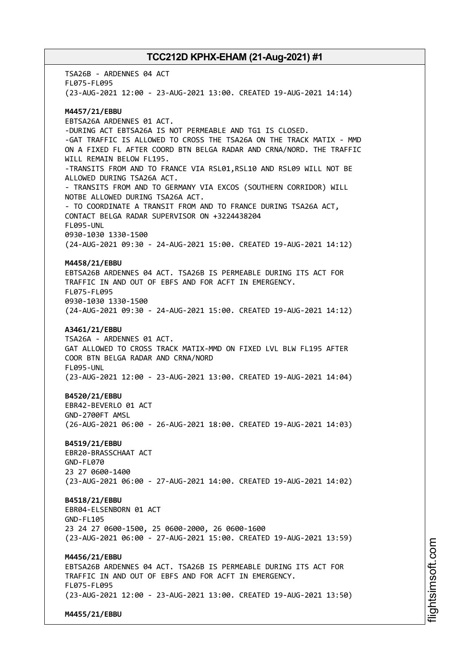TSA26B - ARDENNES 04 ACT FL075-FL095 (23-AUG-2021 12:00 - 23-AUG-2021 13:00. CREATED 19-AUG-2021 14:14) **M4457/21/EBBU** EBTSA26A ARDENNES 01 ACT. -DURING ACT EBTSA26A IS NOT PERMEABLE AND TG1 IS CLOSED. -GAT TRAFFIC IS ALLOWED TO CROSS THE TSA26A ON THE TRACK MATIX - MMD ON A FIXED FL AFTER COORD BTN BELGA RADAR AND CRNA/NORD. THE TRAFFIC WILL REMAIN BELOW FL195. -TRANSITS FROM AND TO FRANCE VIA RSL01,RSL10 AND RSL09 WILL NOT BE ALLOWED DURING TSA26A ACT. - TRANSITS FROM AND TO GERMANY VIA EXCOS (SOUTHERN CORRIDOR) WILL NOTBE ALLOWED DURING TSA26A ACT. - TO COORDINATE A TRANSIT FROM AND TO FRANCE DURING TSA26A ACT, CONTACT BELGA RADAR SUPERVISOR ON +3224438204 FL095-UNL 0930-1030 1330-1500 (24-AUG-2021 09:30 - 24-AUG-2021 15:00. CREATED 19-AUG-2021 14:12) **M4458/21/EBBU** EBTSA26B ARDENNES 04 ACT. TSA26B IS PERMEABLE DURING ITS ACT FOR TRAFFIC IN AND OUT OF EBFS AND FOR ACFT IN EMERGENCY. FL075-FL095 0930-1030 1330-1500 (24-AUG-2021 09:30 - 24-AUG-2021 15:00. CREATED 19-AUG-2021 14:12) **A3461/21/EBBU** TSA26A - ARDENNES 01 ACT. GAT ALLOWED TO CROSS TRACK MATIX-MMD ON FIXED LVL BLW FL195 AFTER COOR BTN BELGA RADAR AND CRNA/NORD FL095-UNL (23-AUG-2021 12:00 - 23-AUG-2021 13:00. CREATED 19-AUG-2021 14:04) **B4520/21/EBBU** EBR42-BEVERLO 01 ACT GND-2700FT AMSL (26-AUG-2021 06:00 - 26-AUG-2021 18:00. CREATED 19-AUG-2021 14:03) **B4519/21/EBBU** EBR20-BRASSCHAAT ACT GND-FL070 23 27 0600-1400 (23-AUG-2021 06:00 - 27-AUG-2021 14:00. CREATED 19-AUG-2021 14:02) **B4518/21/EBBU** EBR04-ELSENBORN 01 ACT GND-FL105 23 24 27 0600-1500, 25 0600-2000, 26 0600-1600 (23-AUG-2021 06:00 - 27-AUG-2021 15:00. CREATED 19-AUG-2021 13:59) **M4456/21/EBBU** EBTSA26B ARDENNES 04 ACT. TSA26B IS PERMEABLE DURING ITS ACT FOR TRAFFIC IN AND OUT OF EBFS AND FOR ACFT IN EMERGENCY. FL075-FL095 (23-AUG-2021 12:00 - 23-AUG-2021 13:00. CREATED 19-AUG-2021 13:50) **M4455/21/EBBU**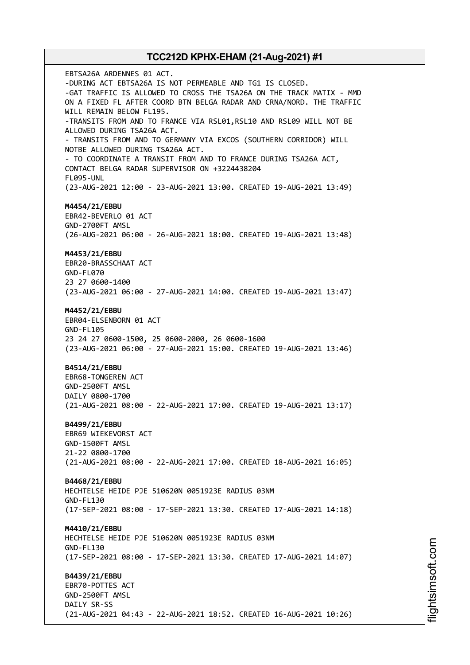EBTSA26A ARDENNES 01 ACT. -DURING ACT EBTSA26A IS NOT PERMEABLE AND TG1 IS CLOSED. -GAT TRAFFIC IS ALLOWED TO CROSS THE TSA26A ON THE TRACK MATIX - MMD ON A FIXED FL AFTER COORD BTN BELGA RADAR AND CRNA/NORD. THE TRAFFIC WILL REMAIN BELOW FL195. -TRANSITS FROM AND TO FRANCE VIA RSL01,RSL10 AND RSL09 WILL NOT BE ALLOWED DURING TSA26A ACT. - TRANSITS FROM AND TO GERMANY VIA EXCOS (SOUTHERN CORRIDOR) WILL NOTBE ALLOWED DURING TSA26A ACT. - TO COORDINATE A TRANSIT FROM AND TO FRANCE DURING TSA26A ACT, CONTACT BELGA RADAR SUPERVISOR ON +3224438204 FL095-UNL (23-AUG-2021 12:00 - 23-AUG-2021 13:00. CREATED 19-AUG-2021 13:49) **M4454/21/EBBU** EBR42-BEVERLO 01 ACT GND-2700FT AMSL (26-AUG-2021 06:00 - 26-AUG-2021 18:00. CREATED 19-AUG-2021 13:48) **M4453/21/EBBU** EBR20-BRASSCHAAT ACT GND-FL070 23 27 0600-1400 (23-AUG-2021 06:00 - 27-AUG-2021 14:00. CREATED 19-AUG-2021 13:47) **M4452/21/EBBU** EBR04-ELSENBORN 01 ACT GND-FL105 23 24 27 0600-1500, 25 0600-2000, 26 0600-1600 (23-AUG-2021 06:00 - 27-AUG-2021 15:00. CREATED 19-AUG-2021 13:46) **B4514/21/EBBU** EBR68-TONGEREN ACT GND-2500FT AMSL DAILY 0800-1700 (21-AUG-2021 08:00 - 22-AUG-2021 17:00. CREATED 19-AUG-2021 13:17) **B4499/21/EBBU** EBR69 WIEKEVORST ACT GND-1500FT AMSL 21-22 0800-1700 (21-AUG-2021 08:00 - 22-AUG-2021 17:00. CREATED 18-AUG-2021 16:05) **B4468/21/EBBU** HECHTELSE HEIDE PJE 510620N 0051923E RADIUS 03NM GND-FL130 (17-SEP-2021 08:00 - 17-SEP-2021 13:30. CREATED 17-AUG-2021 14:18) **M4410/21/EBBU** HECHTELSE HEIDE PJE 510620N 0051923E RADIUS 03NM GND-FL130 (17-SEP-2021 08:00 - 17-SEP-2021 13:30. CREATED 17-AUG-2021 14:07) **B4439/21/EBBU** EBR70-POTTES ACT GND-2500FT AMSL DAILY SR-SS (21-AUG-2021 04:43 - 22-AUG-2021 18:52. CREATED 16-AUG-2021 10:26)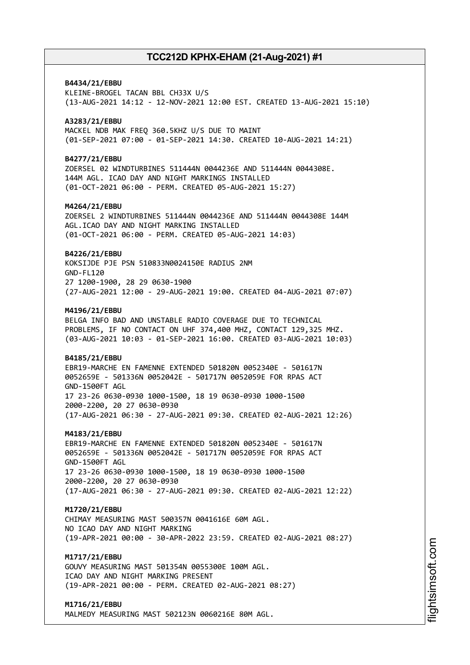# **B4434/21/EBBU** KLEINE-BROGEL TACAN BBL CH33X U/S (13-AUG-2021 14:12 - 12-NOV-2021 12:00 EST. CREATED 13-AUG-2021 15:10) **A3283/21/EBBU** MACKEL NDB MAK FREQ 360.5KHZ U/S DUE TO MAINT (01-SEP-2021 07:00 - 01-SEP-2021 14:30. CREATED 10-AUG-2021 14:21) **B4277/21/EBBU** ZOERSEL 02 WINDTURBINES 511444N 0044236E AND 511444N 0044308E. 144M AGL. ICAO DAY AND NIGHT MARKINGS INSTALLED (01-OCT-2021 06:00 - PERM. CREATED 05-AUG-2021 15:27) **M4264/21/EBBU** ZOERSEL 2 WINDTURBINES 511444N 0044236E AND 511444N 0044308E 144M AGL.ICAO DAY AND NIGHT MARKING INSTALLED (01-OCT-2021 06:00 - PERM. CREATED 05-AUG-2021 14:03) **B4226/21/EBBU** KOKSIJDE PJE PSN 510833N0024150E RADIUS 2NM GND-FL120 27 1200-1900, 28 29 0630-1900 (27-AUG-2021 12:00 - 29-AUG-2021 19:00. CREATED 04-AUG-2021 07:07) **M4196/21/EBBU** BELGA INFO BAD AND UNSTABLE RADIO COVERAGE DUE TO TECHNICAL PROBLEMS, IF NO CONTACT ON UHF 374,400 MHZ, CONTACT 129,325 MHZ. (03-AUG-2021 10:03 - 01-SEP-2021 16:00. CREATED 03-AUG-2021 10:03) **B4185/21/EBBU** EBR19-MARCHE EN FAMENNE EXTENDED 501820N 0052340E - 501617N 0052659E - 501336N 0052042E - 501717N 0052059E FOR RPAS ACT GND-1500FT AGL 17 23-26 0630-0930 1000-1500, 18 19 0630-0930 1000-1500 2000-2200, 20 27 0630-0930 (17-AUG-2021 06:30 - 27-AUG-2021 09:30. CREATED 02-AUG-2021 12:26) **M4183/21/EBBU** EBR19-MARCHE EN FAMENNE EXTENDED 501820N 0052340E - 501617N 0052659E - 501336N 0052042E - 501717N 0052059E FOR RPAS ACT GND-1500FT AGL 17 23-26 0630-0930 1000-1500, 18 19 0630-0930 1000-1500 2000-2200, 20 27 0630-0930 (17-AUG-2021 06:30 - 27-AUG-2021 09:30. CREATED 02-AUG-2021 12:22) **M1720/21/EBBU** CHIMAY MEASURING MAST 500357N 0041616E 60M AGL. NO ICAO DAY AND NIGHT MARKING (19-APR-2021 00:00 - 30-APR-2022 23:59. CREATED 02-AUG-2021 08:27) **M1717/21/EBBU** GOUVY MEASURING MAST 501354N 0055300E 100M AGL. ICAO DAY AND NIGHT MARKING PRESENT (19-APR-2021 00:00 - PERM. CREATED 02-AUG-2021 08:27) **M1716/21/EBBU**

MALMEDY MEASURING MAST 502123N 0060216E 80M AGL.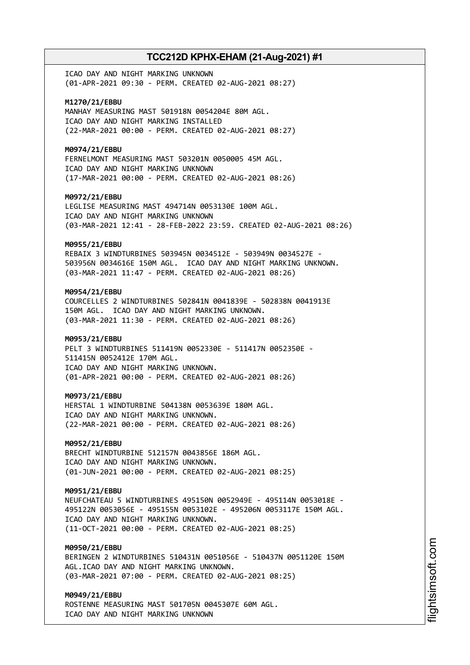ICAO DAY AND NIGHT MARKING UNKNOWN (01-APR-2021 09:30 - PERM. CREATED 02-AUG-2021 08:27)

**M1270/21/EBBU** MANHAY MEASURING MAST 501918N 0054204E 80M AGL. ICAO DAY AND NIGHT MARKING INSTALLED (22-MAR-2021 00:00 - PERM. CREATED 02-AUG-2021 08:27)

**M0974/21/EBBU**

FERNELMONT MEASURING MAST 503201N 0050005 45M AGL. ICAO DAY AND NIGHT MARKING UNKNOWN (17-MAR-2021 00:00 - PERM. CREATED 02-AUG-2021 08:26)

**M0972/21/EBBU**

LEGLISE MEASURING MAST 494714N 0053130E 100M AGL. ICAO DAY AND NIGHT MARKING UNKNOWN (03-MAR-2021 12:41 - 28-FEB-2022 23:59. CREATED 02-AUG-2021 08:26)

### **M0955/21/EBBU**

REBAIX 3 WINDTURBINES 503945N 0034512E - 503949N 0034527E - 503956N 0034616E 150M AGL. ICAO DAY AND NIGHT MARKING UNKNOWN. (03-MAR-2021 11:47 - PERM. CREATED 02-AUG-2021 08:26)

### **M0954/21/EBBU**

COURCELLES 2 WINDTURBINES 502841N 0041839E - 502838N 0041913E 150M AGL. ICAO DAY AND NIGHT MARKING UNKNOWN. (03-MAR-2021 11:30 - PERM. CREATED 02-AUG-2021 08:26)

### **M0953/21/EBBU**

PELT 3 WINDTURBINES 511419N 0052330E - 511417N 0052350E - 511415N 0052412E 170M AGL. ICAO DAY AND NIGHT MARKING UNKNOWN. (01-APR-2021 00:00 - PERM. CREATED 02-AUG-2021 08:26)

#### **M0973/21/EBBU**

HERSTAL 1 WINDTURBINE 504138N 0053639E 180M AGL. ICAO DAY AND NIGHT MARKING UNKNOWN. (22-MAR-2021 00:00 - PERM. CREATED 02-AUG-2021 08:26)

### **M0952/21/EBBU**

BRECHT WINDTURBINE 512157N 0043856E 186M AGL. ICAO DAY AND NIGHT MARKING UNKNOWN. (01-JUN-2021 00:00 - PERM. CREATED 02-AUG-2021 08:25)

### **M0951/21/EBBU**

NEUFCHATEAU 5 WINDTURBINES 495150N 0052949E - 495114N 0053018E - 495122N 0053056E - 495155N 0053102E - 495206N 0053117E 150M AGL. ICAO DAY AND NIGHT MARKING UNKNOWN. (11-OCT-2021 00:00 - PERM. CREATED 02-AUG-2021 08:25)

### **M0950/21/EBBU**

BERINGEN 2 WINDTURBINES 510431N 0051056E - 510437N 0051120E 150M AGL.ICAO DAY AND NIGHT MARKING UNKNOWN. (03-MAR-2021 07:00 - PERM. CREATED 02-AUG-2021 08:25)

# **M0949/21/EBBU**

ROSTENNE MEASURING MAST 501705N 0045307E 60M AGL. ICAO DAY AND NIGHT MARKING UNKNOWN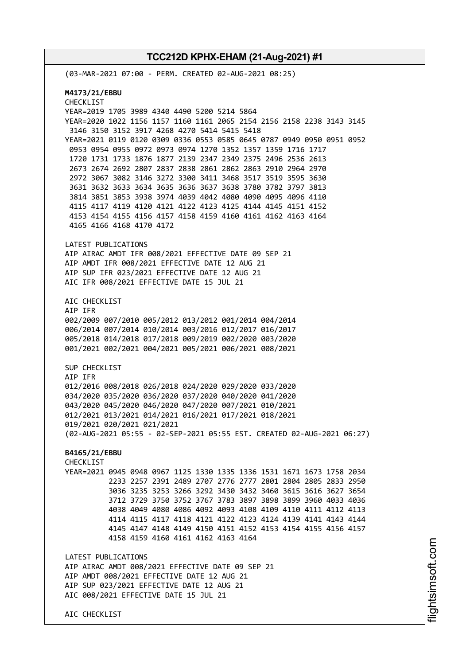AIC CHECKLIST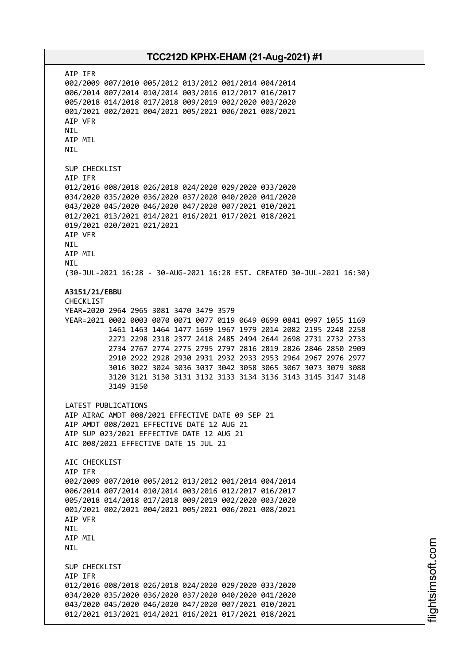AIP IFR 002/2009 007/2010 005/2012 013/2012 001/2014 004/2014 006/2014 007/2014 010/2014 003/2016 012/2017 016/2017 005/2018 014/2018 017/2018 009/2019 002/2020 003/2020 001/2021 002/2021 004/2021 005/2021 006/2021 008/2021 AIP VFR NIL AIP MIL NIL SUP CHECKLIST AIP IFR 012/2016 008/2018 026/2018 024/2020 029/2020 033/2020 034/2020 035/2020 036/2020 037/2020 040/2020 041/2020 043/2020 045/2020 046/2020 047/2020 007/2021 010/2021 012/2021 013/2021 014/2021 016/2021 017/2021 018/2021 019/2021 020/2021 021/2021 AIP VFR NIL AIP MIL NIL (30-JUL-2021 16:28 - 30-AUG-2021 16:28 EST. CREATED 30-JUL-2021 16:30) **A3151/21/EBBU** CHECKLIST YEAR=2020 2964 2965 3081 3470 3479 3579 YEAR=2021 0002 0003 0070 0071 0077 0119 0649 0699 0841 0997 1055 1169 1461 1463 1464 1477 1699 1967 1979 2014 2082 2195 2248 2258 2271 2298 2318 2377 2418 2485 2494 2644 2698 2731 2732 2733 2734 2767 2774 2775 2795 2797 2816 2819 2826 2846 2850 2909 2910 2922 2928 2930 2931 2932 2933 2953 2964 2967 2976 2977 3016 3022 3024 3036 3037 3042 3058 3065 3067 3073 3079 3088 3120 3121 3130 3131 3132 3133 3134 3136 3143 3145 3147 3148 3149 3150 LATEST PUBLICATIONS AIP AIRAC AMDT 008/2021 EFFECTIVE DATE 09 SEP 21 AIP AMDT 008/2021 EFFECTIVE DATE 12 AUG 21 AIP SUP 023/2021 EFFECTIVE DATE 12 AUG 21 AIC 008/2021 EFFECTIVE DATE 15 JUL 21 AIC CHECKLIST AIP IFR 002/2009 007/2010 005/2012 013/2012 001/2014 004/2014 006/2014 007/2014 010/2014 003/2016 012/2017 016/2017 005/2018 014/2018 017/2018 009/2019 002/2020 003/2020 001/2021 002/2021 004/2021 005/2021 006/2021 008/2021 AIP VFR NIL AIP MIL NIL SUP CHECKLIST AIP IFR 012/2016 008/2018 026/2018 024/2020 029/2020 033/2020 034/2020 035/2020 036/2020 037/2020 040/2020 041/2020 043/2020 045/2020 046/2020 047/2020 007/2021 010/2021 012/2021 013/2021 014/2021 016/2021 017/2021 018/2021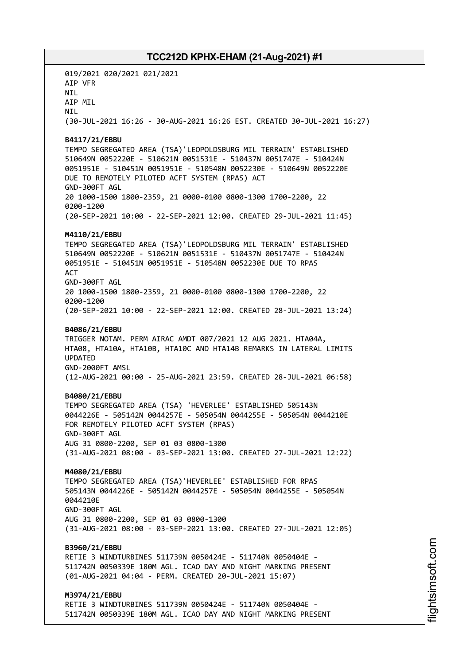019/2021 020/2021 021/2021 AIP VFR NIL AIP MIL **NTI** (30-JUL-2021 16:26 - 30-AUG-2021 16:26 EST. CREATED 30-JUL-2021 16:27) **B4117/21/EBBU** TEMPO SEGREGATED AREA (TSA)'LEOPOLDSBURG MIL TERRAIN' ESTABLISHED 510649N 0052220E - 510621N 0051531E - 510437N 0051747E - 510424N 0051951E - 510451N 0051951E - 510548N 0052230E - 510649N 0052220E DUE TO REMOTELY PILOTED ACFT SYSTEM (RPAS) ACT GND-300FT AGL 20 1000-1500 1800-2359, 21 0000-0100 0800-1300 1700-2200, 22 0200-1200 (20-SEP-2021 10:00 - 22-SEP-2021 12:00. CREATED 29-JUL-2021 11:45) **M4110/21/EBBU** TEMPO SEGREGATED AREA (TSA)'LEOPOLDSBURG MIL TERRAIN' ESTABLISHED 510649N 0052220E - 510621N 0051531E - 510437N 0051747E - 510424N 0051951E - 510451N 0051951E - 510548N 0052230E DUE TO RPAS **ACT** GND-300FT AGL 20 1000-1500 1800-2359, 21 0000-0100 0800-1300 1700-2200, 22 0200-1200 (20-SEP-2021 10:00 - 22-SEP-2021 12:00. CREATED 28-JUL-2021 13:24) **B4086/21/EBBU** TRIGGER NOTAM. PERM AIRAC AMDT 007/2021 12 AUG 2021. HTA04A, HTA08, HTA10A, HTA10B, HTA10C AND HTA14B REMARKS IN LATERAL LIMITS UPDATED GND-2000FT AMSL (12-AUG-2021 00:00 - 25-AUG-2021 23:59. CREATED 28-JUL-2021 06:58) **B4080/21/EBBU** TEMPO SEGREGATED AREA (TSA) 'HEVERLEE' ESTABLISHED 505143N 0044226E - 505142N 0044257E - 505054N 0044255E - 505054N 0044210E FOR REMOTELY PILOTED ACFT SYSTEM (RPAS) GND-300FT AGL AUG 31 0800-2200, SEP 01 03 0800-1300 (31-AUG-2021 08:00 - 03-SEP-2021 13:00. CREATED 27-JUL-2021 12:22) **M4080/21/EBBU** TEMPO SEGREGATED AREA (TSA)'HEVERLEE' ESTABLISHED FOR RPAS 505143N 0044226E - 505142N 0044257E - 505054N 0044255E - 505054N 0044210E GND-300FT AGL AUG 31 0800-2200, SEP 01 03 0800-1300 (31-AUG-2021 08:00 - 03-SEP-2021 13:00. CREATED 27-JUL-2021 12:05) **B3960/21/EBBU** RETIE 3 WINDTURBINES 511739N 0050424E - 511740N 0050404E - 511742N 0050339E 180M AGL. ICAO DAY AND NIGHT MARKING PRESENT (01-AUG-2021 04:04 - PERM. CREATED 20-JUL-2021 15:07) **M3974/21/EBBU** RETIE 3 WINDTURBINES 511739N 0050424E - 511740N 0050404E - 511742N 0050339E 180M AGL. ICAO DAY AND NIGHT MARKING PRESENT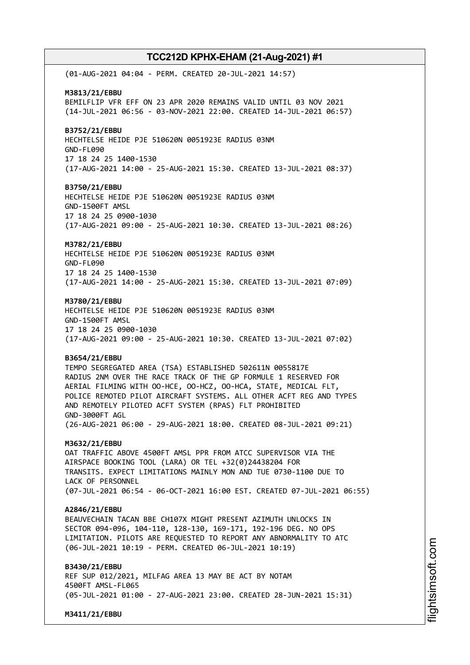(01-AUG-2021 04:04 - PERM. CREATED 20-JUL-2021 14:57) **M3813/21/EBBU** BEMILFLIP VFR EFF ON 23 APR 2020 REMAINS VALID UNTIL 03 NOV 2021 (14-JUL-2021 06:56 - 03-NOV-2021 22:00. CREATED 14-JUL-2021 06:57) **B3752/21/EBBU** HECHTELSE HEIDE PJE 510620N 0051923E RADIUS 03NM GND-FL090 17 18 24 25 1400-1530 (17-AUG-2021 14:00 - 25-AUG-2021 15:30. CREATED 13-JUL-2021 08:37) **B3750/21/EBBU** HECHTELSE HEIDE PJE 510620N 0051923E RADIUS 03NM GND-1500FT AMSL 17 18 24 25 0900-1030 (17-AUG-2021 09:00 - 25-AUG-2021 10:30. CREATED 13-JUL-2021 08:26) **M3782/21/EBBU** HECHTELSE HEIDE PJE 510620N 0051923E RADIUS 03NM GND-FL090 17 18 24 25 1400-1530 (17-AUG-2021 14:00 - 25-AUG-2021 15:30. CREATED 13-JUL-2021 07:09) **M3780/21/EBBU** HECHTELSE HEIDE PJE 510620N 0051923E RADIUS 03NM GND-1500FT AMSL 17 18 24 25 0900-1030 (17-AUG-2021 09:00 - 25-AUG-2021 10:30. CREATED 13-JUL-2021 07:02) **B3654/21/EBBU** TEMPO SEGREGATED AREA (TSA) ESTABLISHED 502611N 0055817E RADIUS 2NM OVER THE RACE TRACK OF THE GP FORMULE 1 RESERVED FOR AERIAL FILMING WITH OO-HCE, OO-HCZ, OO-HCA, STATE, MEDICAL FLT, POLICE REMOTED PILOT AIRCRAFT SYSTEMS. ALL OTHER ACFT REG AND TYPES AND REMOTELY PILOTED ACFT SYSTEM (RPAS) FLT PROHIBITED GND-3000FT AGL (26-AUG-2021 06:00 - 29-AUG-2021 18:00. CREATED 08-JUL-2021 09:21) **M3632/21/EBBU** OAT TRAFFIC ABOVE 4500FT AMSL PPR FROM ATCC SUPERVISOR VIA THE AIRSPACE BOOKING TOOL (LARA) OR TEL +32(0)24438204 FOR TRANSITS. EXPECT LIMITATIONS MAINLY MON AND TUE 0730-1100 DUE TO LACK OF PERSONNEL (07-JUL-2021 06:54 - 06-OCT-2021 16:00 EST. CREATED 07-JUL-2021 06:55) **A2846/21/EBBU** BEAUVECHAIN TACAN BBE CH107X MIGHT PRESENT AZIMUTH UNLOCKS IN SECTOR 094-096, 104-110, 128-130, 169-171, 192-196 DEG. NO OPS LIMITATION. PILOTS ARE REQUESTED TO REPORT ANY ABNORMALITY TO ATC (06-JUL-2021 10:19 - PERM. CREATED 06-JUL-2021 10:19) **B3430/21/EBBU** REF SUP 012/2021, MILFAG AREA 13 MAY BE ACT BY NOTAM 4500FT AMSL-FL065 (05-JUL-2021 01:00 - 27-AUG-2021 23:00. CREATED 28-JUN-2021 15:31) **M3411/21/EBBU**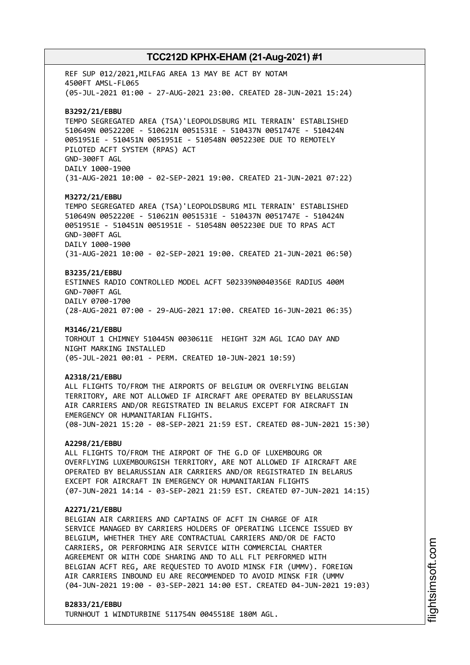REF SUP 012/2021,MILFAG AREA 13 MAY BE ACT BY NOTAM 4500FT AMSL-FL065 (05-JUL-2021 01:00 - 27-AUG-2021 23:00. CREATED 28-JUN-2021 15:24) **B3292/21/EBBU** TEMPO SEGREGATED AREA (TSA)'LEOPOLDSBURG MIL TERRAIN' ESTABLISHED 510649N 0052220E - 510621N 0051531E - 510437N 0051747E - 510424N 0051951E - 510451N 0051951E - 510548N 0052230E DUE TO REMOTELY PILOTED ACFT SYSTEM (RPAS) ACT GND-300FT AGL DAILY 1000-1900 (31-AUG-2021 10:00 - 02-SEP-2021 19:00. CREATED 21-JUN-2021 07:22) **M3272/21/EBBU** TEMPO SEGREGATED AREA (TSA)'LEOPOLDSBURG MIL TERRAIN' ESTABLISHED 510649N 0052220E - 510621N 0051531E - 510437N 0051747E - 510424N 0051951E - 510451N 0051951E - 510548N 0052230E DUE TO RPAS ACT GND-300FT AGL DAILY 1000-1900 (31-AUG-2021 10:00 - 02-SEP-2021 19:00. CREATED 21-JUN-2021 06:50) **B3235/21/EBBU** ESTINNES RADIO CONTROLLED MODEL ACFT 502339N0040356E RADIUS 400M GND-700FT AGL DAILY 0700-1700 (28-AUG-2021 07:00 - 29-AUG-2021 17:00. CREATED 16-JUN-2021 06:35) **M3146/21/EBBU** TORHOUT 1 CHIMNEY 510445N 0030611E HEIGHT 32M AGL ICAO DAY AND NIGHT MARKING INSTALLED (05-JUL-2021 00:01 - PERM. CREATED 10-JUN-2021 10:59) **A2318/21/EBBU** ALL FLIGHTS TO/FROM THE AIRPORTS OF BELGIUM OR OVERFLYING BELGIAN TERRITORY, ARE NOT ALLOWED IF AIRCRAFT ARE OPERATED BY BELARUSSIAN AIR CARRIERS AND/OR REGISTRATED IN BELARUS EXCEPT FOR AIRCRAFT IN EMERGENCY OR HUMANITARIAN FLIGHTS. (08-JUN-2021 15:20 - 08-SEP-2021 21:59 EST. CREATED 08-JUN-2021 15:30) **A2298/21/EBBU** ALL FLIGHTS TO/FROM THE AIRPORT OF THE G.D OF LUXEMBOURG OR OVERFLYING LUXEMBOURGISH TERRITORY, ARE NOT ALLOWED IF AIRCRAFT ARE OPERATED BY BELARUSSIAN AIR CARRIERS AND/OR REGISTRATED IN BELARUS

#### **A2271/21/EBBU**

BELGIAN AIR CARRIERS AND CAPTAINS OF ACFT IN CHARGE OF AIR SERVICE MANAGED BY CARRIERS HOLDERS OF OPERATING LICENCE ISSUED BY BELGIUM, WHETHER THEY ARE CONTRACTUAL CARRIERS AND/OR DE FACTO CARRIERS, OR PERFORMING AIR SERVICE WITH COMMERCIAL CHARTER AGREEMENT OR WITH CODE SHARING AND TO ALL FLT PERFORMED WITH BELGIAN ACFT REG, ARE REQUESTED TO AVOID MINSK FIR (UMMV). FOREIGN AIR CARRIERS INBOUND EU ARE RECOMMENDED TO AVOID MINSK FIR (UMMV (04-JUN-2021 19:00 - 03-SEP-2021 14:00 EST. CREATED 04-JUN-2021 19:03)

(07-JUN-2021 14:14 - 03-SEP-2021 21:59 EST. CREATED 07-JUN-2021 14:15)

### **B2833/21/EBBU**

TURNHOUT 1 WINDTURBINE 511754N 0045518E 180M AGL.

EXCEPT FOR AIRCRAFT IN EMERGENCY OR HUMANITARIAN FLIGHTS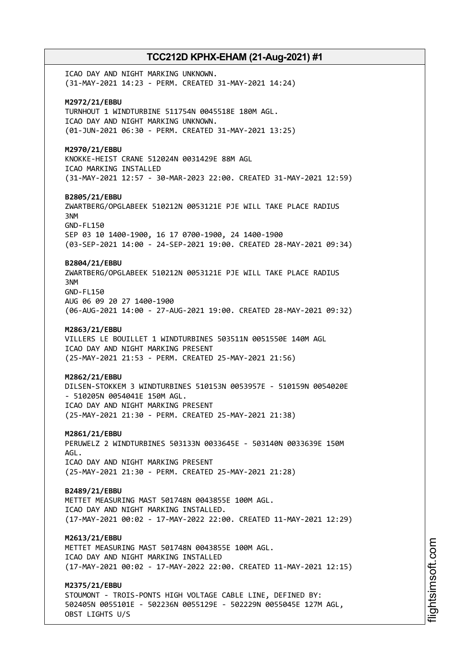ICAO DAY AND NIGHT MARKING UNKNOWN. (31-MAY-2021 14:23 - PERM. CREATED 31-MAY-2021 14:24) **M2972/21/EBBU** TURNHOUT 1 WINDTURBINE 511754N 0045518E 180M AGL. ICAO DAY AND NIGHT MARKING UNKNOWN. (01-JUN-2021 06:30 - PERM. CREATED 31-MAY-2021 13:25) **M2970/21/EBBU** KNOKKE-HEIST CRANE 512024N 0031429E 88M AGL ICAO MARKING INSTALLED (31-MAY-2021 12:57 - 30-MAR-2023 22:00. CREATED 31-MAY-2021 12:59) **B2805/21/EBBU** ZWARTBERG/OPGLABEEK 510212N 0053121E PJE WILL TAKE PLACE RADIUS 3NM GND-FL150 SEP 03 10 1400-1900, 16 17 0700-1900, 24 1400-1900 (03-SEP-2021 14:00 - 24-SEP-2021 19:00. CREATED 28-MAY-2021 09:34) **B2804/21/EBBU** ZWARTBERG/OPGLABEEK 510212N 0053121E PJE WILL TAKE PLACE RADIUS 3NM GND-FL150 AUG 06 09 20 27 1400-1900 (06-AUG-2021 14:00 - 27-AUG-2021 19:00. CREATED 28-MAY-2021 09:32) **M2863/21/EBBU** VILLERS LE BOUILLET 1 WINDTURBINES 503511N 0051550E 140M AGL ICAO DAY AND NIGHT MARKING PRESENT (25-MAY-2021 21:53 - PERM. CREATED 25-MAY-2021 21:56) **M2862/21/EBBU** DILSEN-STOKKEM 3 WINDTURBINES 510153N 0053957E - 510159N 0054020E - 510205N 0054041E 150M AGL. ICAO DAY AND NIGHT MARKING PRESENT (25-MAY-2021 21:30 - PERM. CREATED 25-MAY-2021 21:38) **M2861/21/EBBU** PERUWELZ 2 WINDTURBINES 503133N 0033645E - 503140N 0033639E 150M AGL. ICAO DAY AND NIGHT MARKING PRESENT (25-MAY-2021 21:30 - PERM. CREATED 25-MAY-2021 21:28) **B2489/21/EBBU** METTET MEASURING MAST 501748N 0043855E 100M AGL. ICAO DAY AND NIGHT MARKING INSTALLED. (17-MAY-2021 00:02 - 17-MAY-2022 22:00. CREATED 11-MAY-2021 12:29) **M2613/21/EBBU** METTET MEASURING MAST 501748N 0043855E 100M AGL. ICAO DAY AND NIGHT MARKING INSTALLED (17-MAY-2021 00:02 - 17-MAY-2022 22:00. CREATED 11-MAY-2021 12:15) **M2375/21/EBBU** STOUMONT - TROIS-PONTS HIGH VOLTAGE CABLE LINE, DEFINED BY: 502405N 0055101E - 502236N 0055129E - 502229N 0055045E 127M AGL,

OBST LIGHTS U/S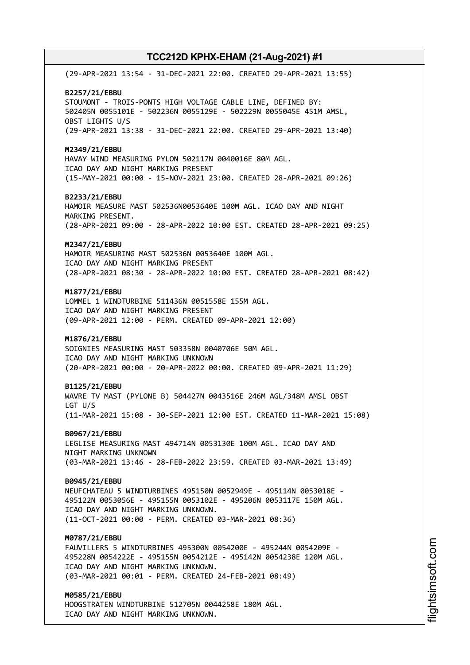(29-APR-2021 13:54 - 31-DEC-2021 22:00. CREATED 29-APR-2021 13:55) **B2257/21/EBBU** STOUMONT - TROIS-PONTS HIGH VOLTAGE CABLE LINE, DEFINED BY: 502405N 0055101E - 502236N 0055129E - 502229N 0055045E 451M AMSL, OBST LIGHTS U/S (29-APR-2021 13:38 - 31-DEC-2021 22:00. CREATED 29-APR-2021 13:40) **M2349/21/EBBU** HAVAY WIND MEASURING PYLON 502117N 0040016E 80M AGL. ICAO DAY AND NIGHT MARKING PRESENT (15-MAY-2021 00:00 - 15-NOV-2021 23:00. CREATED 28-APR-2021 09:26) **B2233/21/EBBU** HAMOIR MEASURE MAST 502536N0053640E 100M AGL. ICAO DAY AND NIGHT MARKING PRESENT. (28-APR-2021 09:00 - 28-APR-2022 10:00 EST. CREATED 28-APR-2021 09:25) **M2347/21/EBBU** HAMOIR MEASURING MAST 502536N 0053640E 100M AGL. ICAO DAY AND NIGHT MARKING PRESENT (28-APR-2021 08:30 - 28-APR-2022 10:00 EST. CREATED 28-APR-2021 08:42) **M1877/21/EBBU** LOMMEL 1 WINDTURBINE 511436N 0051558E 155M AGL. ICAO DAY AND NIGHT MARKING PRESENT (09-APR-2021 12:00 - PERM. CREATED 09-APR-2021 12:00) **M1876/21/EBBU** SOIGNIES MEASURING MAST 503358N 0040706E 50M AGL. ICAO DAY AND NIGHT MARKING UNKNOWN (20-APR-2021 00:00 - 20-APR-2022 00:00. CREATED 09-APR-2021 11:29) **B1125/21/EBBU** WAVRE TV MAST (PYLONE B) 504427N 0043516E 246M AGL/348M AMSL OBST LGT U/S (11-MAR-2021 15:08 - 30-SEP-2021 12:00 EST. CREATED 11-MAR-2021 15:08) **B0967/21/EBBU** LEGLISE MEASURING MAST 494714N 0053130E 100M AGL. ICAO DAY AND NIGHT MARKING UNKNOWN (03-MAR-2021 13:46 - 28-FEB-2022 23:59. CREATED 03-MAR-2021 13:49) **B0945/21/EBBU** NEUFCHATEAU 5 WINDTURBINES 495150N 0052949E - 495114N 0053018E - 495122N 0053056E - 495155N 0053102E - 495206N 0053117E 150M AGL. ICAO DAY AND NIGHT MARKING UNKNOWN. (11-OCT-2021 00:00 - PERM. CREATED 03-MAR-2021 08:36) **M0787/21/EBBU** FAUVILLERS 5 WINDTURBINES 495300N 0054200E - 495244N 0054209E - 495228N 0054222E - 495155N 0054212E - 495142N 0054238E 120M AGL. ICAO DAY AND NIGHT MARKING UNKNOWN. (03-MAR-2021 00:01 - PERM. CREATED 24-FEB-2021 08:49) **M0585/21/EBBU** HOOGSTRATEN WINDTURBINE 512705N 0044258E 180M AGL. ICAO DAY AND NIGHT MARKING UNKNOWN.